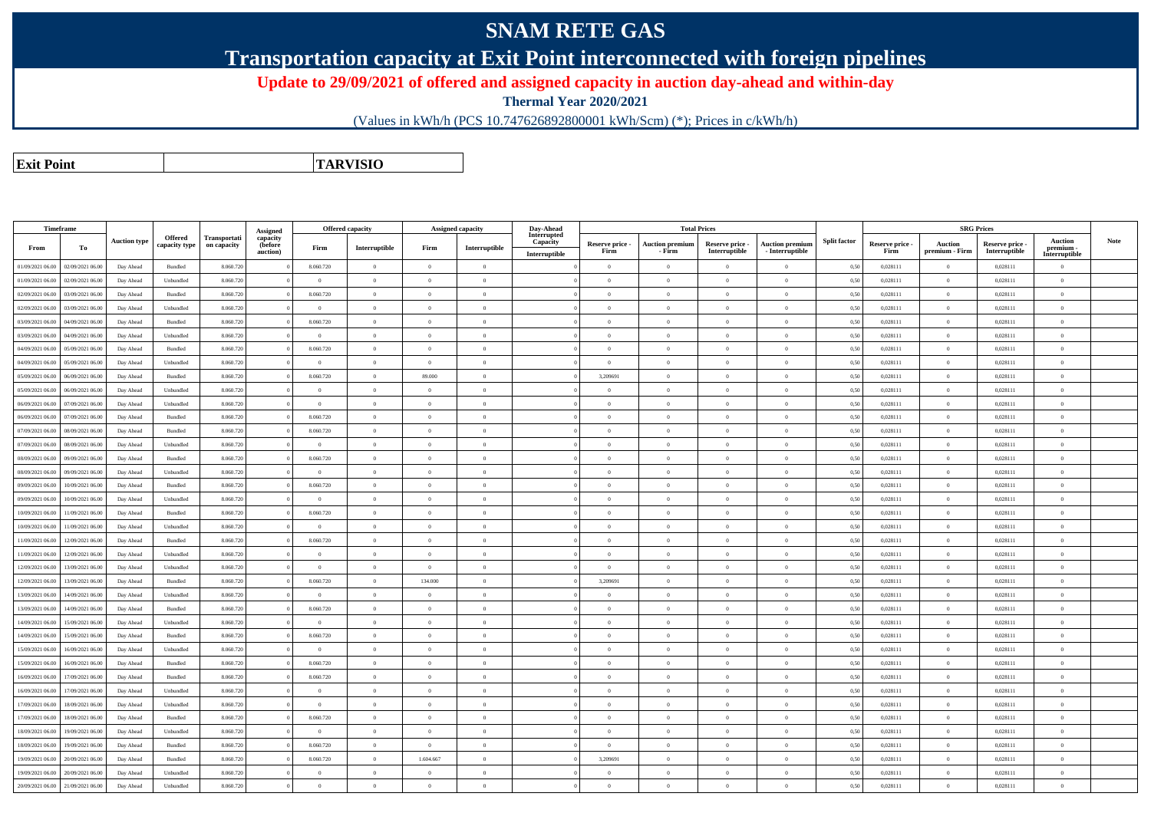## **SNAM RETE GAS**

**Transportation capacity at Exit Point interconnected with foreign pipelines**

**Update to 29/09/2021 of offered and assigned capacity in auction day-ahead and within-day**

**Thermal Year 2020/2021**

(Values in kWh/h (PCS 10.747626892800001 kWh/Scm) (\*); Prices in c/kWh/h)

**Exit PointTARVISIO**

| Timeframe        |                  |                     |                                 |                             | Assigned                        |                | Offered capacity |                    | <b>Assigned capacity</b> | Day-Ahead                                |                         |                                  | <b>Total Prices</b>              |                                           |                     |                         |                                  | <b>SRG Prices</b>                |                                              |             |
|------------------|------------------|---------------------|---------------------------------|-----------------------------|---------------------------------|----------------|------------------|--------------------|--------------------------|------------------------------------------|-------------------------|----------------------------------|----------------------------------|-------------------------------------------|---------------------|-------------------------|----------------------------------|----------------------------------|----------------------------------------------|-------------|
| From             | То               | <b>Auction type</b> | <b>Offered</b><br>capacity type | Transportati<br>on capacity | capacity<br>(before<br>auction) | Firm           | Interruptible    | Firm               | Interruptible            | Interrupted<br>Capacity<br>Interruptible | Reserve price -<br>Firm | <b>Auction premiun</b><br>- Firm | Reserve price -<br>Interruptible | <b>Auction premium</b><br>- Interruptible | <b>Split factor</b> | Reserve price -<br>Firm | <b>Auction</b><br>premium - Firm | Reserve price -<br>Interruptible | <b>Auction</b><br>premium -<br>Interruptible | <b>Note</b> |
| 01/09/2021 06:00 | 02/09/2021 06:00 | Day Ahead           | Bundled                         | 8.060.720                   |                                 | 8.060.720      | $\overline{0}$   | $\theta$           | $\theta$                 |                                          | $\Omega$                | $\theta$                         | $\Omega$                         | $\Omega$                                  | 0,50                | 0,028111                | $\theta$                         | 0,028111                         | $\theta$                                     |             |
| 01/09/2021 06:00 | 02/09/2021 06:00 | Day Ahead           | Unbundled                       | 8.060.720                   |                                 | $\bf{0}$       | $\overline{0}$   | $\theta$           | $\Omega$                 |                                          | $\Omega$                | $\theta$                         | $\overline{0}$                   | $\theta$                                  | 0,50                | 0,028111                | $\overline{0}$                   | 0,028111                         | $\mathbf{0}$                                 |             |
| 02/09/2021 06:00 | 03/09/2021 06:00 | Day Ahead           | Bundled                         | 8.060.720                   |                                 | 8.060.720      | $\overline{0}$   | $\theta$           | $\Omega$                 |                                          | $\Omega$                | $\mathbf{0}$                     | $\overline{0}$                   | $\theta$                                  | 0,50                | 0,028111                | $\overline{0}$                   | 0,028111                         | $\mathbf{0}$                                 |             |
| 02/09/2021 06:00 | 03/09/2021 06:00 | Day Ahead           | Unbundled                       | 8.060.720                   |                                 | $\theta$       | $\Omega$         | $\Omega$           | $\Omega$                 |                                          | $\theta$                | $\Omega$                         | $\Omega$                         | $\Omega$                                  | 0,50                | 0.028111                | $\Omega$                         | 0.028111                         | $\theta$                                     |             |
| 03/09/2021 06:00 | 04/09/2021 06:00 | Day Ahead           | Bundled                         | 8.060.720                   |                                 | 8.060.720      | $\overline{0}$   | $\overline{0}$     | $\Omega$                 |                                          | $\Omega$                | $\theta$                         | $\overline{0}$                   | $\theta$                                  | 0,50                | 0,028111                | $\overline{0}$                   | 0,028111                         | $\mathbf{0}$                                 |             |
| 03/09/2021 06:00 | 04/09/2021 06:00 | Day Ahead           | Unbundled                       | 8.060.720                   |                                 | $\mathbf{0}$   | $\overline{0}$   | $\overline{0}$     | $\theta$                 |                                          | $\Omega$                | $\overline{0}$                   | $\overline{0}$                   | $\overline{0}$                            | 0,50                | 0,028111                | $\overline{0}$                   | 0,028111                         | $\mathbf{0}$                                 |             |
| 04/09/2021 06:00 | 05/09/2021 06.00 | Day Ahead           | Bundled                         | 8.060.720                   |                                 | 8.060.720      | $\overline{0}$   | $\overline{0}$     | $\Omega$                 |                                          | $\Omega$                | $\theta$                         | $\overline{0}$                   | $\theta$                                  | 0,50                | 0,028111                | $\overline{0}$                   | 0,028111                         | $\bf{0}$                                     |             |
| 04/09/2021 06:00 | 05/09/2021 06:00 | Day Ahead           | Unbundled                       | 8.060.720                   |                                 | $\theta$       | $\overline{0}$   | $\theta$           | $\overline{0}$           |                                          | $\Omega$                | $\theta$                         | $\overline{0}$                   | $\theta$                                  | 0,50                | 0,028111                | $\overline{0}$                   | 0,028111                         | $\mathbf{0}$                                 |             |
| 05/09/2021 06:00 | 06/09/2021 06:00 | Day Ahead           | Bundled                         | 8.060.720                   |                                 | 8.060.720      | $\overline{0}$   | 89.000             |                          |                                          | 3,209691                | $\Omega$                         | $\Omega$                         | $\theta$                                  | 0,50                | 0,028111                | $\Omega$                         | 0,028111                         | $\overline{0}$                               |             |
| 05/09/2021 06:00 | 06/09/2021 06:00 | Day Ahead           | Unbundled                       | 8.060.720                   |                                 | $\theta$       | $\overline{0}$   | $\theta$           | $\Omega$                 |                                          | $\Omega$                | $\theta$                         | $\overline{0}$                   | $\theta$                                  | 0,50                | 0,028111                | $\overline{0}$                   | 0,028111                         | $\mathbf{0}$                                 |             |
| 06/09/2021 06:00 | 07/09/2021 06:00 | Day Ahead           | Unbundled                       | 8.060.720                   |                                 | $\theta$       | $\overline{0}$   | $\theta$           | $\Omega$                 |                                          | $\Omega$                | $\Omega$                         | $\theta$                         | $\theta$                                  | 0.50                | 0.028111                | $\theta$                         | 0.028111                         | $\theta$                                     |             |
| 06/09/2021 06:00 | 07/09/2021 06:00 | Day Ahead           | Bundled                         | 8.060.720                   |                                 | 8.060.720      | $\overline{0}$   | $\overline{0}$     | $\overline{0}$           |                                          | $\overline{0}$          | $\overline{0}$                   | $\overline{0}$                   | $\theta$                                  | 0,50                | 0,028111                | $\overline{0}$                   | 0,028111                         | $\mathbf{0}$                                 |             |
| 07/09/2021 06:00 | 08/09/2021 06:00 | Day Ahead           | Bundled                         | 8.060.720                   |                                 | 8.060.720      | $\overline{0}$   | $\theta$           | $\Omega$                 |                                          | $\sqrt{2}$              | $\Omega$                         | $\Omega$                         | $\theta$                                  | 0,50                | 0,028111                | $\overline{0}$                   | 0,028111                         | $\theta$                                     |             |
| 07/09/2021 06:00 | 08/09/2021 06:00 | Day Ahead           | Unbundled                       | 8.060.720                   |                                 | $\theta$       | $\overline{0}$   | $\overline{0}$     | $\Omega$                 |                                          | $\Omega$                | $\theta$                         | $\overline{0}$                   | $\Omega$                                  | 0,50                | 0,028111                | $\overline{0}$                   | 0,028111                         | $\overline{0}$                               |             |
| 08/09/2021 06:00 | 09/09/2021 06:00 | Day Ahead           | Bundled                         | 8.060.720                   |                                 | 8.060.720      | $\overline{0}$   | $\overline{0}$     | $\overline{0}$           |                                          | $\Omega$                | $\overline{0}$                   | $\overline{0}$                   | $\theta$                                  | 0,50                | 0,028111                | $\overline{0}$                   | 0,028111                         | $\theta$                                     |             |
| 08/09/2021 06:00 | 09/09/2021 06.00 | Day Ahead           | Unbundled                       | 8.060.720                   |                                 | $\theta$       | $\overline{0}$   | $\theta$           | $\Omega$                 |                                          | $\Omega$                | $\Omega$                         | $\Omega$                         | $\theta$                                  | 0,50                | 0,028111                | $\overline{0}$                   | 0,028111                         | $\overline{0}$                               |             |
| 09/09/2021 06:00 | 10/09/2021 06:00 | Day Ahead           | Bundled                         | 8.060.720                   |                                 | 8.060.720      | $\overline{0}$   | $\theta$           | $\overline{0}$           |                                          | $\overline{0}$          | $\theta$                         | $\overline{0}$                   | $\theta$                                  | 0,50                | 0,028111                | $\overline{0}$                   | 0,028111                         | $\mathbf{0}$                                 |             |
| 09/09/2021 06:00 | 10/09/2021 06:00 | Day Ahead           | Unbundled                       | 8.060.720                   |                                 |                | $\overline{0}$   | $\Omega$           | $\Omega$                 |                                          |                         | $\Omega$                         | $\overline{0}$                   | $\theta$                                  | 0,50                | 0,028111                | $\Omega$                         | 0,028111                         | $\overline{0}$                               |             |
| 10/09/2021 06:00 | 11/09/2021 06:00 | Day Ahead           | Bundled                         | 8.060.720                   |                                 | 8.060.720      | $\overline{0}$   | $\overline{0}$     | $\theta$                 |                                          | $\Omega$                | $\mathbf{0}$                     | $\overline{0}$                   | $\theta$                                  | 0,50                | 0,028111                | $\overline{0}$                   | 0,028111                         | $\mathbf{0}$                                 |             |
| 10/09/2021 06:00 | 11/09/2021 06:00 | Day Ahead           | Unbundled                       | 8.060.720                   |                                 | $\mathbf{0}$   | $\overline{0}$   | $\Omega$           | $\Omega$                 |                                          | $\Omega$                | $\Omega$                         | $\Omega$                         | $\Omega$                                  | 0.50                | 0.028111                | $\theta$                         | 0.028111                         | $\theta$                                     |             |
| 11/09/2021 06:00 | 12/09/2021 06:00 | Day Ahead           | Bundled                         | 8.060.720                   |                                 | 8.060.720      | $\overline{0}$   | $\overline{0}$     | $\Omega$                 |                                          | $\Omega$                | $\theta$                         | $\overline{0}$                   | $\Omega$                                  | 0,50                | 0,028111                | $\overline{0}$                   | 0,028111                         | $\overline{0}$                               |             |
| 11/09/2021 06:00 | 12/09/2021 06:00 | Day Ahead           | Unbundled                       | 8.060.720                   |                                 | $\sqrt{2}$     | $\overline{0}$   | $\Omega$           | $\Omega$                 |                                          | $\Omega$                | $\theta$                         | $\Omega$                         | $\Omega$                                  | 0,50                | 0,028111                | $\Omega$                         | 0,028111                         | $\theta$                                     |             |
| 12/09/2021 06:00 | 13/09/2021 06.00 | Day Ahead           | Unbundled                       | 8.060.720                   |                                 | $\theta$       | $\overline{0}$   | $\overline{0}$     | $\Omega$                 |                                          | $\Omega$                | $\theta$                         | $\overline{0}$                   | $\Omega$                                  | 0,50                | 0,028111                | $\overline{0}$                   | 0,028111                         | $\overline{0}$                               |             |
| 12/09/2021 06:00 | 13/09/2021 06:00 | Day Ahead           | Bundled                         | 8.060.720                   |                                 | 8.060.720      | $\overline{0}$   | 134.000            | $\overline{0}$           |                                          | 3,209691                | $\theta$                         | $\overline{0}$                   | $\theta$                                  | 0,50                | 0,028111                | $\overline{0}$                   | 0,028111                         | $\mathbf{0}$                                 |             |
| 13/09/2021 06:00 | 14/09/2021 06.00 | Day Ahead           | Unbundled                       | 8.060.720                   |                                 | $\theta$       | $\overline{0}$   | $\theta$           | $\Omega$                 |                                          | $\Omega$                | $\Omega$                         | $\overline{0}$                   | $\theta$                                  | 0,50                | 0,028111                | $\overline{0}$                   | 0,028111                         | $\overline{0}$                               |             |
| 13/09/2021 06:00 | 14/09/2021 06:00 | Day Ahead           | Bundled                         | 8.060.720                   |                                 | 8.060.720      | $\overline{0}$   | $\theta$           | $\Omega$                 |                                          | $\Omega$                | $\theta$                         | $\theta$                         | $\theta$                                  | 0,50                | 0,028111                | $\overline{0}$                   | 0,028111                         | $\mathbf{0}$                                 |             |
| 14/09/2021 06:00 | 15/09/2021 06:00 | Day Ahead           | Unbundled                       | 8.060.720                   |                                 | $\theta$       | $\overline{0}$   | $\theta$           | $\Omega$                 |                                          | $\Omega$                | $\Omega$                         | $\theta$                         | $\theta$                                  | 0.50                | 0.028111                | $\Omega$                         | 0.028111                         | $\theta$                                     |             |
| 14/09/2021 06:00 | 15/09/2021 06:00 | Day Ahead           | Bundled                         | 8.060.720                   |                                 | 8.060.720      | $\overline{0}$   | $\hspace{0.1mm}$ 0 | $\Omega$                 |                                          | $\overline{0}$          | $\mathbf{0}$                     | $\overline{0}$                   | $\overline{0}$                            | 0,50                | 0,028111                | $\overline{0}$                   | 0,028111                         | $\,$ 0 $\,$                                  |             |
| 15/09/2021 06:00 | 16/09/2021 06:00 | Day Ahead           | Unbundled                       | 8.060.720                   |                                 | $\mathbf{0}$   | $\overline{0}$   | $\Omega$           | $\theta$                 |                                          | $\Omega$                | $\theta$                         | $\Omega$                         | $\Omega$                                  | 0,50                | 0,028111                | $\overline{0}$                   | 0,028111                         | $\theta$                                     |             |
| 15/09/2021 06:00 | 16/09/2021 06.00 | Day Ahead           | Bundled                         | 8.060.720                   |                                 | 8.060.720      | $\overline{0}$   | $\overline{0}$     | $\Omega$                 |                                          | $\Omega$                | $\Omega$                         | $\Omega$                         | $\Omega$                                  | 0,50                | 0,028111                | $\overline{0}$                   | 0,028111                         | $\overline{0}$                               |             |
| 16/09/2021 06:00 | 17/09/2021 06.00 | Day Ahead           | Bundled                         | 8.060.720                   |                                 | 8.060.720      | $\overline{0}$   | $\Omega$           | $\Omega$                 |                                          | $\Omega$                | $\theta$                         | $\Omega$                         | $\Omega$                                  | 0,50                | 0,028111                | $\overline{0}$                   | 0,028111                         | $\overline{0}$                               |             |
| 16/09/2021 06:00 | 17/09/2021 06.00 | Day Ahead           | Unbundled                       | 8.060.720                   |                                 | $\Omega$       | $\overline{0}$   | $\Omega$           | $\Omega$                 |                                          | $\Omega$                | $\theta$                         | $\overline{0}$                   | $\Omega$                                  | 0,50                | 0,028111                | $\Omega$                         | 0,028111                         | $\overline{0}$                               |             |
| 17/09/2021 06:00 | 18/09/2021 06:00 | Day Ahead           | Unbundled                       | 8.060.720                   |                                 | $\overline{0}$ | $\overline{0}$   | $\theta$           | $\overline{0}$           |                                          | $\overline{0}$          | $\theta$                         | $\overline{0}$                   | $\theta$                                  | 0,50                | 0,028111                | $\overline{0}$                   | 0,028111                         | $\,$ 0 $\,$                                  |             |
| 17/09/2021 06:00 | 18/09/2021 06:00 | Day Ahead           | Bundled                         | 8.060.720                   |                                 | 8.060.720      | $\overline{0}$   | $\theta$           | $\Omega$                 |                                          | $\Omega$                | $\Omega$                         | $\overline{0}$                   | $\theta$                                  | 0,50                | 0,028111                | $\overline{0}$                   | 0,028111                         | $\overline{0}$                               |             |
| 18/09/2021 06:00 | 19/09/2021 06:00 | Day Ahead           | Unbundled                       | 8.060.720                   |                                 | $\theta$       | $\overline{0}$   | $\theta$           | $\Omega$                 |                                          | $\Omega$                | $\theta$                         | $\overline{0}$                   | $\theta$                                  | 0,50                | 0,028111                | $\overline{0}$                   | 0,028111                         | $\mathbf{0}$                                 |             |
| 18/09/2021 06:00 | 19/09/2021 06:00 | Day Ahead           | Bundled                         | 8.060.720                   |                                 | 8.060.720      | $\theta$         | $\theta$           | $\Omega$                 |                                          | $\Omega$                | $\Omega$                         | $\theta$                         | $\Omega$                                  | 0.50                | 0.028111                | $\theta$                         | 0.028111                         | $\theta$                                     |             |
| 19/09/2021 06:00 | 20/09/2021 06:00 | Day Ahead           | Bundled                         | 8.060.720                   |                                 | 8.060.720      | $\overline{0}$   | 1.604.667          | $\Omega$                 |                                          | 3,209691                | $\theta$                         | $\theta$                         | $\theta$                                  | 0,50                | 0,028111                | $\overline{0}$                   | 0,028111                         | $\mathbf{0}$                                 |             |
| 19/09/2021 06:00 | 20/09/2021 06:00 | Day Ahead           | Unbundled                       | 8.060.720                   |                                 | $\mathbf{0}$   | $\overline{0}$   | $\theta$           | $\Omega$                 |                                          | $\theta$                | $\Omega$                         | $\theta$                         | $\theta$                                  | 0,50                | 0,028111                | $\overline{0}$                   | 0,028111                         | $\mathbf{0}$                                 |             |
| 20/09/2021 06:00 | 21/09/2021 06:00 | Day Ahead           | Unbundled                       | 8.060.720                   |                                 | $\sqrt{2}$     | $\Omega$         | $\alpha$           |                          |                                          | $\sqrt{2}$              | $\theta$                         | $\Omega$                         | $\alpha$                                  | 0,50                | 0,028111                | $\Omega$                         | 0,028111                         | $\theta$                                     |             |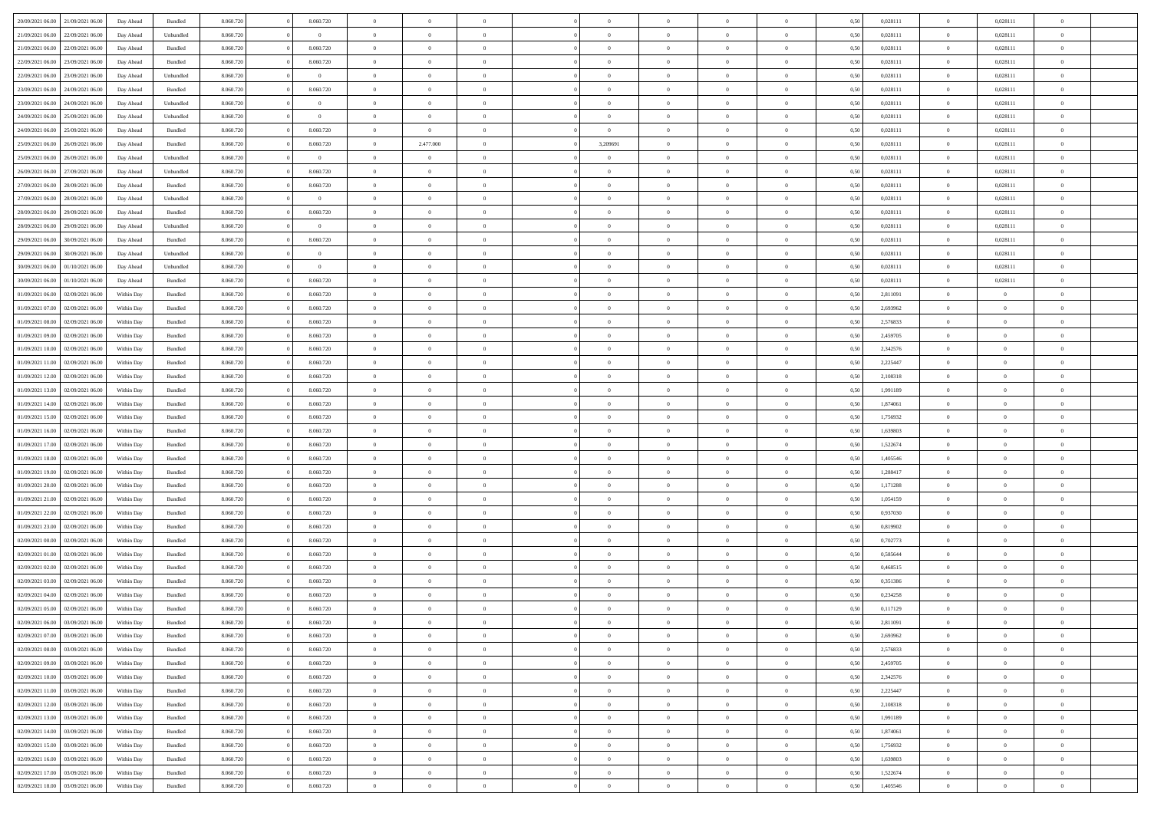| 20/09/2021 06:00                  | 21/09/2021 06:00 | Day Ahead  | Bundled   | 8.060.720 | 8.060.720      | $\Omega$       | $\Omega$       |                | $\Omega$       | $\Omega$       | $\Omega$       | $\theta$       | 0.50 | 0,028111 | $\theta$       | 0,028111       | $\theta$       |  |
|-----------------------------------|------------------|------------|-----------|-----------|----------------|----------------|----------------|----------------|----------------|----------------|----------------|----------------|------|----------|----------------|----------------|----------------|--|
| 21/09/2021 06:00                  | 22/09/2021 06:00 | Day Ahead  | Unbundled | 8.060.720 | $\theta$       | $\overline{0}$ | $\theta$       | $\overline{0}$ | $\overline{0}$ | $\bf{0}$       | $\overline{0}$ | $\overline{0}$ | 0,50 | 0,028111 | $\theta$       | 0,028111       | $\overline{0}$ |  |
| 21/09/2021 06:00                  | 22/09/2021 06:00 | Day Ahead  | Bundled   | 8.060.720 | 8.060.720      | $\overline{0}$ | $\overline{0}$ | $\overline{0}$ | $\bf{0}$       | $\bf{0}$       | $\bf{0}$       | $\bf{0}$       | 0,50 | 0,028111 | $\overline{0}$ | 0,028111       | $\overline{0}$ |  |
|                                   |                  |            |           |           |                |                |                |                |                |                |                |                |      |          | $\overline{0}$ |                |                |  |
| 22/09/2021 06:00                  | 23/09/2021 06:00 | Day Ahead  | Bundled   | 8.060.720 | 8.060.720      | $\overline{0}$ | $\overline{0}$ | $\overline{0}$ | $\overline{0}$ | $\bf{0}$       | $\overline{0}$ | $\overline{0}$ | 0.50 | 0.028111 |                | 0,028111       | $\overline{0}$ |  |
| 22/09/2021 06:00                  | 23/09/2021 06:00 | Day Ahead  | Unbundled | 8.060.720 | $\overline{0}$ | $\overline{0}$ | $\theta$       | $\overline{0}$ | $\overline{0}$ | $\bf{0}$       | $\overline{0}$ | $\bf{0}$       | 0,50 | 0,028111 | $\,$ 0 $\,$    | 0,028111       | $\overline{0}$ |  |
| 23/09/2021 06:00                  | 24/09/2021 06:00 | Day Ahead  | Bundled   | 8.060.720 | 8.060.720      | $\overline{0}$ | $\overline{0}$ | $\overline{0}$ | $\bf{0}$       | $\overline{0}$ | $\overline{0}$ | $\mathbf{0}$   | 0,50 | 0,028111 | $\overline{0}$ | 0,028111       | $\bf{0}$       |  |
| 23/09/2021 06:00                  | 24/09/2021 06:00 | Day Ahead  | Unbundled | 8.060.720 | $\overline{0}$ | $\overline{0}$ | $\overline{0}$ | $\overline{0}$ | $\overline{0}$ | $\bf{0}$       | $\overline{0}$ | $\overline{0}$ | 0.50 | 0,028111 | $\overline{0}$ | 0,028111       | $\overline{0}$ |  |
|                                   |                  |            |           |           |                |                |                |                |                |                |                |                |      |          |                |                |                |  |
| 24/09/2021 06.00                  | 25/09/2021 06:00 | Day Ahead  | Unbundled | 8.060.720 | $\theta$       | $\overline{0}$ | $\theta$       | $\overline{0}$ | $\overline{0}$ | $\bf{0}$       | $\overline{0}$ | $\bf{0}$       | 0,50 | 0,028111 | $\,$ 0 $\,$    | 0,028111       | $\overline{0}$ |  |
| 24/09/2021 06:00                  | 25/09/2021 06:00 | Day Ahead  | Bundled   | 8.060.720 | 8.060.720      | $\overline{0}$ | $\bf{0}$       | $\overline{0}$ | $\bf{0}$       | $\bf{0}$       | $\bf{0}$       | $\bf{0}$       | 0,50 | 0,028111 | $\bf{0}$       | 0,028111       | $\overline{0}$ |  |
| 25/09/2021 06:00                  | 26/09/2021 06:00 | Day Ahead  | Bundled   | 8.060.720 | 8.060.720      | $\overline{0}$ | 2.477.000      | $\overline{0}$ | 3,209691       | $\bf{0}$       | $\overline{0}$ | $\overline{0}$ | 0.50 | 0,028111 | $\overline{0}$ | 0,028111       | $\overline{0}$ |  |
| 25/09/2021 06:00                  | 26/09/2021 06:00 |            |           | 8.060.720 | $\theta$       | $\overline{0}$ | $\theta$       | $\overline{0}$ | $\overline{0}$ | $\bf{0}$       | $\overline{0}$ |                |      | 0,028111 | $\,$ 0 $\,$    | 0,028111       | $\overline{0}$ |  |
|                                   |                  | Day Ahead  | Unbundled |           |                |                |                |                |                |                |                | $\bf{0}$       | 0,50 |          |                |                |                |  |
| 26/09/2021 06:00                  | 27/09/2021 06:00 | Day Ahead  | Unbundled | 8.060.720 | 8.060.720      | $\overline{0}$ | $\bf{0}$       | $\overline{0}$ | $\overline{0}$ | $\bf{0}$       | $\overline{0}$ | $\bf{0}$       | 0,50 | 0,028111 | $\overline{0}$ | 0,028111       | $\overline{0}$ |  |
| 27/09/2021 06:00                  | 28/09/2021 06:00 | Day Ahead  | Bundled   | 8.060.720 | 8.060.720      | $\overline{0}$ | $\overline{0}$ | $\overline{0}$ | $\overline{0}$ | $\bf{0}$       | $\overline{0}$ | $\overline{0}$ | 0.50 | 0,028111 | $\overline{0}$ | 0.028111       | $\overline{0}$ |  |
| 27/09/2021 06:00                  | 28/09/2021 06:00 | Day Ahead  | Unbundled | 8.060.720 | $\theta$       | $\overline{0}$ | $\theta$       | $\overline{0}$ | $\overline{0}$ | $\bf{0}$       | $\overline{0}$ | $\overline{0}$ | 0,50 | 0,028111 | $\,$ 0 $\,$    | 0,028111       | $\overline{0}$ |  |
|                                   |                  |            |           |           |                |                |                |                |                |                |                |                |      |          |                |                |                |  |
| 28/09/2021 06:00                  | 29/09/2021 06:00 | Day Ahead  | Bundled   | 8.060.720 | 8.060.720      | $\overline{0}$ | $\overline{0}$ | $\overline{0}$ | $\overline{0}$ | $\overline{0}$ | $\overline{0}$ | $\mathbf{0}$   | 0,50 | 0,028111 | $\overline{0}$ | 0,028111       | $\bf{0}$       |  |
| 28/09/2021 06:00                  | 29/09/2021 06:00 | Day Ahead  | Unbundled | 8.060.720 | $\overline{0}$ | $\overline{0}$ | $\overline{0}$ | $\overline{0}$ | $\overline{0}$ | $\overline{0}$ | $\overline{0}$ | $\overline{0}$ | 0.50 | 0,028111 | $\overline{0}$ | 0,028111       | $\overline{0}$ |  |
| 29/09/2021 06:00                  | 30/09/2021 06:00 | Day Ahead  | Bundled   | 8.060.720 | 8.060.720      | $\overline{0}$ | $\theta$       | $\overline{0}$ | $\overline{0}$ | $\bf{0}$       | $\overline{0}$ | $\bf{0}$       | 0,50 | 0,028111 | $\,$ 0 $\,$    | 0,028111       | $\overline{0}$ |  |
| 29/09/2021 06:00                  | 30/09/2021 06:00 | Day Ahead  | Unbundled | 8.060.720 | $\bf{0}$       | $\overline{0}$ | $\overline{0}$ | $\overline{0}$ | $\overline{0}$ | $\bf{0}$       | $\overline{0}$ | $\bf{0}$       | 0,50 | 0,028111 | $\overline{0}$ | 0,028111       | $\overline{0}$ |  |
| 30/09/2021 06:00                  | 01/10/2021 06:00 |            | Unbundled | 8.060.720 | $\overline{0}$ | $\overline{0}$ | $\overline{0}$ | $\overline{0}$ | $\overline{0}$ | $\overline{0}$ | $\overline{0}$ | $\overline{0}$ | 0.50 | 0,028111 | $\overline{0}$ | 0,028111       | $\overline{0}$ |  |
|                                   |                  | Day Ahead  |           |           |                |                |                |                |                |                |                |                |      |          |                |                |                |  |
| 30/09/2021 06:00                  | 01/10/2021 06:00 | Day Ahead  | Bundled   | 8.060.720 | 8.060.720      | $\overline{0}$ | $\theta$       | $\overline{0}$ | $\overline{0}$ | $\bf{0}$       | $\overline{0}$ | $\bf{0}$       | 0,50 | 0,028111 | $\,$ 0 $\,$    | 0,028111       | $\overline{0}$ |  |
| 01/09/2021 06:00                  | 02/09/2021 06:00 | Within Day | Bundled   | 8.060.720 | 8.060.720      | $\overline{0}$ | $\overline{0}$ | $\overline{0}$ | $\overline{0}$ | $\bf{0}$       | $\overline{0}$ | $\bf{0}$       | 0,50 | 2,811091 | $\bf{0}$       | $\overline{0}$ | $\overline{0}$ |  |
| 01/09/2021 07:00                  | 02/09/2021 06:00 | Within Day | Bundled   | 8.060.720 | 8.060.720      | $\overline{0}$ | $\overline{0}$ | $\overline{0}$ | $\overline{0}$ | $\bf{0}$       | $\overline{0}$ | $\overline{0}$ | 0.50 | 2,693962 | $\theta$       | $\overline{0}$ | $\overline{0}$ |  |
|                                   |                  |            |           |           |                | $\overline{0}$ | $\theta$       |                |                |                |                |                |      |          | $\theta$       | $\overline{0}$ |                |  |
| 01/09/2021 08:00                  | 02/09/2021 06:00 | Within Day | Bundled   | 8.060.720 | 8.060.720      |                |                | $\overline{0}$ | $\overline{0}$ | $\bf{0}$       | $\overline{0}$ | $\bf{0}$       | 0,50 | 2,576833 |                |                | $\overline{0}$ |  |
| 01/09/2021 09:00                  | 02/09/2021 06:00 | Within Day | Bundled   | 8.060.720 | 8.060.720      | $\overline{0}$ | $\bf{0}$       | $\overline{0}$ | $\overline{0}$ | $\overline{0}$ | $\overline{0}$ | $\mathbf{0}$   | 0,50 | 2,459705 | $\overline{0}$ | $\overline{0}$ | $\bf{0}$       |  |
| 01/09/2021 10:00                  | 02/09/2021 06:00 | Within Dav | Bundled   | 8.060.720 | 8.060.720      | $\overline{0}$ | $\overline{0}$ | $\overline{0}$ | $\overline{0}$ | $\overline{0}$ | $\overline{0}$ | $\overline{0}$ | 0.50 | 2,342576 | $\theta$       | $\theta$       | $\overline{0}$ |  |
| 01/09/2021 11:00                  | 02/09/2021 06:00 | Within Day | Bundled   | 8.060.720 | 8.060.720      | $\overline{0}$ | $\theta$       | $\overline{0}$ | $\overline{0}$ | $\bf{0}$       | $\overline{0}$ | $\bf{0}$       | 0,50 | 2,225447 | $\theta$       | $\theta$       | $\overline{0}$ |  |
|                                   |                  |            |           |           |                |                |                |                |                |                |                |                |      |          |                |                |                |  |
| 01/09/2021 12:00                  | 02/09/2021 06:00 | Within Day | Bundled   | 8.060.720 | 8.060.720      | $\overline{0}$ | $\overline{0}$ | $\overline{0}$ | $\overline{0}$ | $\bf{0}$       | $\overline{0}$ | $\bf{0}$       | 0,50 | 2,108318 | $\,0\,$        | $\overline{0}$ | $\overline{0}$ |  |
| 01/09/2021 13:00                  | 02/09/2021 06:00 | Within Day | Bundled   | 8.060.720 | 8.060.720      | $\overline{0}$ | $\overline{0}$ | $\overline{0}$ | $\overline{0}$ | $\overline{0}$ | $\overline{0}$ | $\overline{0}$ | 0.50 | 1,991189 | $\theta$       | $\overline{0}$ | $\overline{0}$ |  |
| 01/09/2021 14:00                  | 02/09/2021 06:00 | Within Day | Bundled   | 8.060.720 | 8.060.720      | $\overline{0}$ | $\theta$       | $\overline{0}$ | $\overline{0}$ | $\bf{0}$       | $\overline{0}$ | $\bf{0}$       | 0,50 | 1,874061 | $\,$ 0 $\,$    | $\overline{0}$ | $\overline{0}$ |  |
| 01/09/2021 15:00                  | 02/09/2021 06:00 | Within Day | Bundled   | 8.060.720 | 8.060.720      | $\overline{0}$ | $\overline{0}$ | $\overline{0}$ | $\bf{0}$       | $\bf{0}$       | $\bf{0}$       | $\bf{0}$       | 0,50 | 1,756932 | $\bf{0}$       | $\overline{0}$ | $\overline{0}$ |  |
|                                   |                  |            |           |           |                |                |                |                |                |                |                |                |      |          |                |                |                |  |
| 01/09/2021 16:00                  | 02/09/2021 06:00 | Within Day | Bundled   | 8.060.720 | 8.060.720      | $\overline{0}$ | $\Omega$       | $\Omega$       | $\Omega$       | $\Omega$       | $\Omega$       | $\overline{0}$ | 0,50 | 1,639803 | $\,0\,$        | $\Omega$       | $\theta$       |  |
| 01/09/2021 17:00                  | 02/09/2021 06:00 | Within Day | Bundled   | 8.060.720 | 8.060.720      | $\overline{0}$ | $\theta$       | $\overline{0}$ | $\overline{0}$ | $\bf{0}$       | $\overline{0}$ | $\bf{0}$       | 0,50 | 1,522674 | $\theta$       | $\theta$       | $\overline{0}$ |  |
| 01/09/2021 18:00                  | 02/09/2021 06:00 | Within Day | Bundled   | 8.060.720 | 8.060.720      | $\overline{0}$ | $\bf{0}$       | $\overline{0}$ | $\bf{0}$       | $\bf{0}$       | $\overline{0}$ | $\mathbf{0}$   | 0,50 | 1,405546 | $\overline{0}$ | $\overline{0}$ | $\bf{0}$       |  |
| 01/09/2021 19:00                  | 02/09/2021 06:00 | Within Day | Bundled   | 8.060.720 | 8.060.720      | $\overline{0}$ | $\Omega$       | $\Omega$       | $\Omega$       | $\Omega$       | $\Omega$       | $\overline{0}$ | 0.50 | 1,288417 | $\theta$       | $\theta$       | $\theta$       |  |
| 01/09/2021 20:00                  | 02/09/2021 06:00 |            |           | 8.060.720 | 8.060.720      | $\overline{0}$ | $\theta$       | $\overline{0}$ | $\overline{0}$ | $\bf{0}$       | $\overline{0}$ |                |      | 1,171288 | $\theta$       | $\theta$       | $\overline{0}$ |  |
|                                   |                  | Within Day | Bundled   |           |                |                |                |                |                |                |                | $\bf{0}$       | 0,50 |          |                |                |                |  |
| 01/09/2021 21.00                  | 02/09/2021 06:00 | Within Day | Bundled   | 8.060.720 | 8.060.720      | $\overline{0}$ | $\overline{0}$ | $\overline{0}$ | $\bf{0}$       | $\bf{0}$       | $\bf{0}$       | $\bf{0}$       | 0,50 | 1,054159 | $\,0\,$        | $\overline{0}$ | $\overline{0}$ |  |
| 01/09/2021 22.00                  | 02/09/2021 06:00 | Within Day | Bundled   | 8.060.720 | 8.060.720      | $\overline{0}$ | $\Omega$       | $\Omega$       | $\Omega$       | $\Omega$       | $\theta$       | $\overline{0}$ | 0.50 | 0.937030 | $\theta$       | $\theta$       | $\theta$       |  |
| 01/09/2021 23:00                  | 02/09/2021 06:00 | Within Day | Bundled   | 8.060.720 | 8.060.720      | $\overline{0}$ | $\theta$       | $\overline{0}$ | $\overline{0}$ | $\bf{0}$       | $\overline{0}$ | $\bf{0}$       | 0,50 | 0,819902 | $\,$ 0 $\,$    | $\overline{0}$ | $\overline{0}$ |  |
|                                   |                  |            |           |           |                |                |                |                |                |                |                |                |      |          |                |                |                |  |
| 02/09/2021 00:00                  | 02/09/2021 06:00 | Within Day | Bundled   | 8.060.720 | 8.060.720      | $\overline{0}$ | $\overline{0}$ | $\overline{0}$ | $\bf{0}$       | $\bf{0}$       | $\bf{0}$       | $\bf{0}$       | 0,50 | 0,702773 | $\overline{0}$ | $\overline{0}$ | $\overline{0}$ |  |
| 02/09/2021 01:00                  | 02/09/2021 06:00 | Within Day | Bundled   | 8.060.720 | 8.060.720      | $\overline{0}$ | $\Omega$       | $\Omega$       | $\Omega$       | $\Omega$       | $\overline{0}$ | $\overline{0}$ | 0.50 | 0,585644 | $\,0\,$        | $\theta$       | $\theta$       |  |
| 02/09/2021 02:00                  | 02/09/2021 06:00 | Within Day | Bundled   | 8.060.720 | 8.060.720      | $\overline{0}$ | $\theta$       | $\overline{0}$ | $\overline{0}$ | $\bf{0}$       | $\overline{0}$ | $\bf{0}$       | 0,50 | 0,468515 | $\,$ 0 $\,$    | $\overline{0}$ | $\overline{0}$ |  |
| 02/09/2021 03:00                  | 02/09/2021 06:00 | Within Day | Bundled   | 8.060.720 | 8.060.720      | $\overline{0}$ | $\overline{0}$ | $\overline{0}$ | $\bf{0}$       | $\bf{0}$       | $\bf{0}$       | $\mathbf{0}$   | 0,50 | 0,351386 | $\overline{0}$ | $\overline{0}$ | $\bf{0}$       |  |
|                                   | 02/09/2021 06:00 |            |           | 8.060.720 | 8.060.720      | $\overline{0}$ | $\Omega$       | $\Omega$       | $\Omega$       | $\Omega$       | $\Omega$       | $\Omega$       | 0.50 |          | $\theta$       | $\Omega$       | $\theta$       |  |
| 02/09/2021 04:00                  |                  | Within Day | Bundled   |           |                |                |                |                |                |                |                |                |      | 0,234258 |                |                |                |  |
| 02/09/2021 05:00                  | 02/09/2021 06:00 | Within Day | Bundled   | 8.060.720 | 8.060.720      | $\overline{0}$ | $\,$ 0 $\,$    | $\overline{0}$ | $\bf{0}$       | $\,$ 0         | $\bf{0}$       | $\bf{0}$       | 0,50 | 0,117129 | $\,0\,$        | $\overline{0}$ | $\overline{0}$ |  |
| 02/09/2021 06:00 03/09/2021 06:00 |                  | Within Day | Bundled   | 8.060.720 | 8.060.720      | $\bf{0}$       | $\bf{0}$       |                |                |                |                |                | 0,50 | 2,811091 | $\bf{0}$       | $\overline{0}$ |                |  |
| 02/09/2021 07:00                  | 03/09/2021 06:00 | Within Day | Bundled   | 8.060.720 | 8.060.720      | $\overline{0}$ | $\overline{0}$ | $\overline{0}$ | $\Omega$       | $\overline{0}$ | $\overline{0}$ | $\overline{0}$ | 0.50 | 2,693962 | $\theta$       | $\theta$       | $\theta$       |  |
| 02/09/2021 08:00                  | 03/09/2021 06:00 | Within Day | Bundled   | 8.060.720 | 8.060.720      | $\overline{0}$ | $\,$ 0         | $\overline{0}$ | $\bf{0}$       | $\,$ 0 $\,$    | $\overline{0}$ | $\mathbf{0}$   | 0,50 | 2,576833 | $\,$ 0 $\,$    | $\,$ 0 $\,$    | $\,$ 0         |  |
|                                   |                  |            |           |           |                |                |                |                |                |                |                |                |      |          |                |                |                |  |
| 02/09/2021 09:00                  | 03/09/2021 06:00 | Within Day | Bundled   | 8.060.720 | 8.060.720      | $\overline{0}$ | $\overline{0}$ | $\overline{0}$ | $\overline{0}$ | $\overline{0}$ | $\overline{0}$ | $\mathbf{0}$   | 0,50 | 2,459705 | $\overline{0}$ | $\bf{0}$       | $\overline{0}$ |  |
| 02/09/2021 10:00                  | 03/09/2021 06:00 | Within Day | Bundled   | 8.060.720 | 8.060.720      | $\overline{0}$ | $\overline{0}$ | $\overline{0}$ | $\Omega$       | $\overline{0}$ | $\overline{0}$ | $\overline{0}$ | 0,50 | 2,342576 | $\overline{0}$ | $\theta$       | $\overline{0}$ |  |
| 02/09/2021 11:00                  | 03/09/2021 06:00 | Within Day | Bundled   | 8.060.720 | 8.060.720      | $\overline{0}$ | $\,$ 0         | $\overline{0}$ | $\overline{0}$ | $\,$ 0 $\,$    | $\overline{0}$ | $\mathbf{0}$   | 0,50 | 2,225447 | $\,$ 0 $\,$    | $\overline{0}$ | $\overline{0}$ |  |
| 02/09/2021 12:00                  | 03/09/2021 06:00 | Within Day | Bundled   | 8.060.720 | 8.060.720      | $\overline{0}$ | $\overline{0}$ | $\overline{0}$ | $\overline{0}$ | $\overline{0}$ | $\overline{0}$ | $\mathbf{0}$   | 0,50 | 2,108318 | $\overline{0}$ | $\overline{0}$ | $\bf{0}$       |  |
|                                   |                  |            |           |           |                |                |                |                |                |                |                |                |      |          |                |                |                |  |
| 02/09/2021 13:00                  | 03/09/2021 06:00 | Within Day | Bundled   | 8.060.720 | 8.060.720      | $\overline{0}$ | $\overline{0}$ | $\overline{0}$ | $\Omega$       | $\overline{0}$ | $\overline{0}$ | $\bf{0}$       | 0.50 | 1,991189 | $\overline{0}$ | $\theta$       | $\overline{0}$ |  |
| 02/09/2021 14:00                  | 03/09/2021 06:00 | Within Day | Bundled   | 8.060.720 | 8.060.720      | $\overline{0}$ | $\,$ 0         | $\overline{0}$ | $\bf{0}$       | $\bf{0}$       | $\bf{0}$       | $\bf{0}$       | 0,50 | 1,874061 | $\,$ 0 $\,$    | $\overline{0}$ | $\overline{0}$ |  |
| 02/09/2021 15:00                  | 03/09/2021 06:00 | Within Day | Bundled   | 8.060.720 | 8.060.720      | $\overline{0}$ | $\bf{0}$       | $\overline{0}$ | $\overline{0}$ | $\overline{0}$ | $\overline{0}$ | $\mathbf{0}$   | 0,50 | 1,756932 | $\overline{0}$ | $\overline{0}$ | $\bf{0}$       |  |
| 02/09/2021 16:00                  | 03/09/2021 06:00 | Within Day | Bundled   | 8.060.720 | 8.060.720      | $\overline{0}$ | $\overline{0}$ | $\overline{0}$ | $\Omega$       | $\overline{0}$ | $\overline{0}$ | $\overline{0}$ | 0.50 | 1,639803 | $\overline{0}$ | $\overline{0}$ | $\overline{0}$ |  |
|                                   |                  |            |           |           |                |                |                |                |                |                |                |                |      |          |                |                |                |  |
| 02/09/2021 17:00                  | 03/09/2021 06:00 | Within Day | Bundled   | 8.060.720 | 8.060.720      | $\overline{0}$ | $\bf{0}$       | $\overline{0}$ | $\overline{0}$ | $\bf{0}$       | $\overline{0}$ | $\mathbf{0}$   | 0,50 | 1,522674 | $\,$ 0 $\,$    | $\,$ 0 $\,$    | $\bf{0}$       |  |
| 02/09/2021 18:00                  | 03/09/2021 06:00 | Within Day | Bundled   | 8.060.720 | 8.060.720      | $\overline{0}$ | $\overline{0}$ | $\overline{0}$ | $\overline{0}$ | $\overline{0}$ | $\overline{0}$ | $\mathbf{0}$   | 0,50 | 1,405546 | $\overline{0}$ | $\bf{0}$       | $\bf{0}$       |  |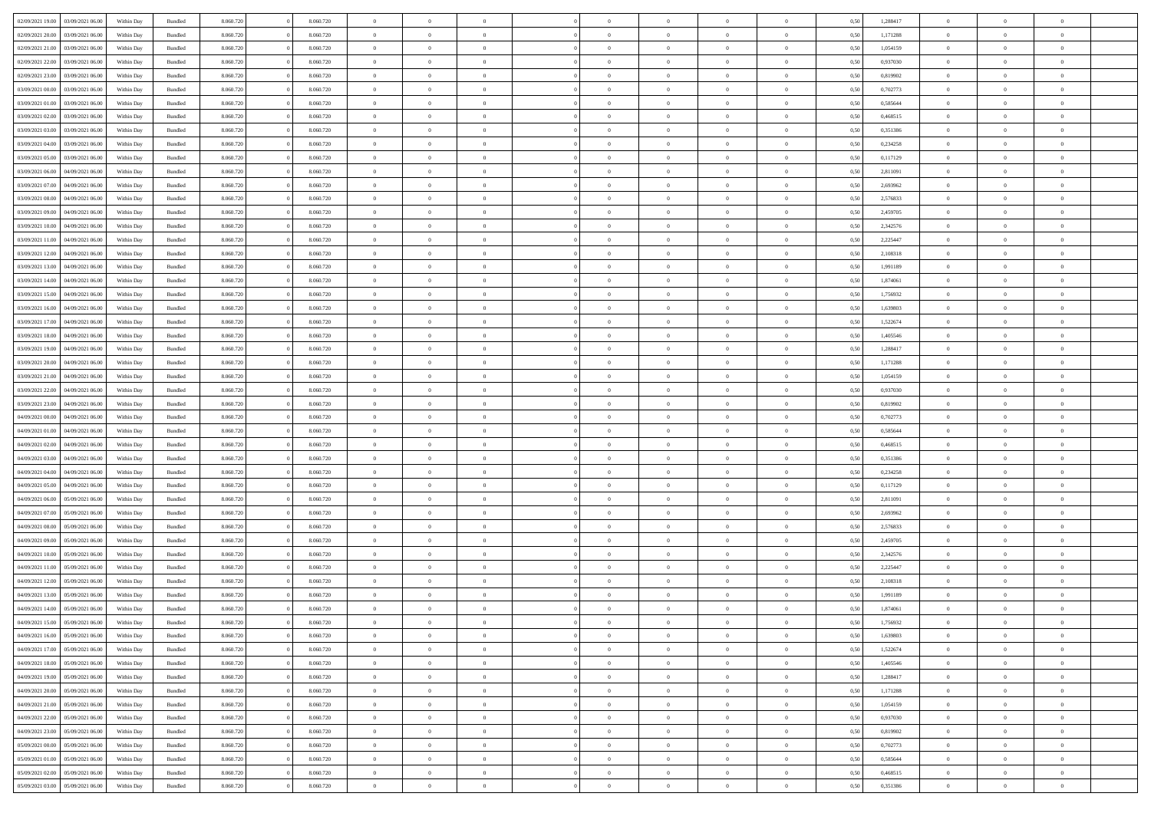| 02/09/2021 19:00 | 03/09/2021 06:00                  | Within Day | Bundled            | 8.060.720 | 8.060.720 | $\overline{0}$ | $\Omega$       |                | $\Omega$       | $\Omega$       | $\theta$       | $\theta$       | 0.50 | 1,288417 | $\theta$       | $\theta$       | $\theta$       |  |
|------------------|-----------------------------------|------------|--------------------|-----------|-----------|----------------|----------------|----------------|----------------|----------------|----------------|----------------|------|----------|----------------|----------------|----------------|--|
| 02/09/2021 20:00 | 03/09/2021 06:00                  | Within Day | Bundled            | 8.060.720 | 8.060.720 | $\overline{0}$ | $\theta$       | $\overline{0}$ | $\overline{0}$ | $\bf{0}$       | $\overline{0}$ | $\overline{0}$ | 0,50 | 1,171288 | $\theta$       | $\theta$       | $\overline{0}$ |  |
| 02/09/2021 21.00 | 03/09/2021 06:00                  | Within Day | Bundled            | 8.060.720 | 8.060.720 | $\overline{0}$ | $\overline{0}$ | $\overline{0}$ | $\overline{0}$ | $\bf{0}$       | $\overline{0}$ | $\bf{0}$       | 0,50 | 1,054159 | $\overline{0}$ | $\overline{0}$ | $\overline{0}$ |  |
|                  |                                   |            |                    |           |           |                |                |                |                |                |                |                |      |          | $\theta$       |                |                |  |
| 02/09/2021 22:00 | 03/09/2021 06:00                  | Within Dav | Bundled            | 8.060.720 | 8.060.720 | $\overline{0}$ | $\overline{0}$ | $\overline{0}$ | $\overline{0}$ | $\bf{0}$       | $\overline{0}$ | $\overline{0}$ | 0.50 | 0,937030 |                | $\theta$       | $\overline{0}$ |  |
| 02/09/2021 23:00 | 03/09/2021 06.00                  | Within Day | Bundled            | 8.060.720 | 8.060.720 | $\overline{0}$ | $\theta$       | $\overline{0}$ | $\overline{0}$ | $\bf{0}$       | $\overline{0}$ | $\bf{0}$       | 0,50 | 0,819902 | $\theta$       | $\theta$       | $\overline{0}$ |  |
| 03/09/2021 00:00 | 03/09/2021 06:00                  | Within Day | Bundled            | 8.060.720 | 8.060.720 | $\overline{0}$ | $\bf{0}$       | $\overline{0}$ | $\overline{0}$ | $\overline{0}$ | $\overline{0}$ | $\mathbf{0}$   | 0,50 | 0,702773 | $\overline{0}$ | $\overline{0}$ | $\bf{0}$       |  |
| 03/09/2021 01:00 | 03/09/2021 06:00                  | Within Dav | Bundled            | 8.060.720 | 8.060.720 | $\overline{0}$ | $\overline{0}$ | $\overline{0}$ | $\overline{0}$ | $\overline{0}$ | $\overline{0}$ | $\overline{0}$ | 0.50 | 0.585644 | $\theta$       | $\overline{0}$ | $\overline{0}$ |  |
|                  |                                   |            |                    |           |           |                |                |                |                |                |                |                |      |          |                |                |                |  |
| 03/09/2021 02:00 | 03/09/2021 06:00                  | Within Day | Bundled            | 8.060.720 | 8.060.720 | $\overline{0}$ | $\theta$       | $\overline{0}$ | $\overline{0}$ | $\bf{0}$       | $\overline{0}$ | $\bf{0}$       | 0,50 | 0,468515 | $\theta$       | $\theta$       | $\overline{0}$ |  |
| 03/09/2021 03:00 | 03/09/2021 06:00                  | Within Day | Bundled            | 8.060.720 | 8.060.720 | $\overline{0}$ | $\overline{0}$ | $\overline{0}$ | $\overline{0}$ | $\bf{0}$       | $\overline{0}$ | $\bf{0}$       | 0,50 | 0,351386 | $\,0\,$        | $\overline{0}$ | $\overline{0}$ |  |
| 03/09/2021 04:00 | 03/09/2021 06:00                  | Within Dav | Bundled            | 8.060.720 | 8.060.720 | $\overline{0}$ | $\overline{0}$ | $\overline{0}$ | $\overline{0}$ | $\overline{0}$ | $\overline{0}$ | $\overline{0}$ | 0.50 | 0,234258 | $\theta$       | $\overline{0}$ | $\overline{0}$ |  |
|                  |                                   |            |                    |           |           |                |                |                |                |                |                |                |      |          |                |                |                |  |
| 03/09/2021 05:00 | 03/09/2021 06:00                  | Within Day | Bundled            | 8.060.720 | 8.060.720 | $\overline{0}$ | $\theta$       | $\overline{0}$ | $\overline{0}$ | $\bf{0}$       | $\overline{0}$ | $\bf{0}$       | 0,50 | 0,117129 | $\,$ 0 $\,$    | $\theta$       | $\overline{0}$ |  |
| 03/09/2021 06:00 | 04/09/2021 06.00                  | Within Day | Bundled            | 8.060.720 | 8.060.720 | $\overline{0}$ | $\overline{0}$ | $\overline{0}$ | $\overline{0}$ | $\bf{0}$       | $\overline{0}$ | $\bf{0}$       | 0,50 | 2,811091 | $\overline{0}$ | $\overline{0}$ | $\overline{0}$ |  |
| 03/09/2021 07:00 | 04/09/2021 06:00                  | Within Dav | Bundled            | 8.060.720 | 8.060.720 | $\overline{0}$ | $\overline{0}$ | $\overline{0}$ | $\overline{0}$ | $\bf{0}$       | $\overline{0}$ | $\overline{0}$ | 0.50 | 2,693962 | $\theta$       | $\theta$       | $\overline{0}$ |  |
| 03/09/2021 08:00 | 04/09/2021 06.00                  | Within Day | Bundled            | 8.060.720 | 8.060.720 | $\overline{0}$ | $\theta$       | $\overline{0}$ | $\overline{0}$ | $\bf{0}$       | $\overline{0}$ | $\overline{0}$ | 0,50 | 2,576833 | $\theta$       | $\theta$       | $\overline{0}$ |  |
|                  |                                   |            |                    |           |           |                |                |                |                |                |                |                |      |          |                |                |                |  |
| 03/09/2021 09:00 | 04/09/2021 06.00                  | Within Day | Bundled            | 8.060.720 | 8.060.720 | $\overline{0}$ | $\overline{0}$ | $\overline{0}$ | $\overline{0}$ | $\overline{0}$ | $\overline{0}$ | $\mathbf{0}$   | 0,50 | 2,459705 | $\overline{0}$ | $\overline{0}$ | $\bf{0}$       |  |
| 03/09/2021 10:00 | 04/09/2021 06:00                  | Within Dav | Bundled            | 8.060.720 | 8.060.720 | $\overline{0}$ | $\overline{0}$ | $\overline{0}$ | $\overline{0}$ | $\overline{0}$ | $\overline{0}$ | $\overline{0}$ | 0.50 | 2,342576 | $\theta$       | $\overline{0}$ | $\overline{0}$ |  |
| 03/09/2021 11:00 | 04/09/2021 06.00                  | Within Day | Bundled            | 8.060.720 | 8.060.720 | $\overline{0}$ | $\theta$       | $\overline{0}$ | $\overline{0}$ | $\bf{0}$       | $\overline{0}$ | $\bf{0}$       | 0,50 | 2,225447 | $\theta$       | $\theta$       | $\overline{0}$ |  |
|                  |                                   |            |                    |           |           |                |                |                |                |                |                |                |      |          |                |                |                |  |
| 03/09/2021 12:00 | 04/09/2021 06.00                  | Within Day | Bundled            | 8.060.720 | 8.060.720 | $\overline{0}$ | $\overline{0}$ | $\overline{0}$ | $\overline{0}$ | $\bf{0}$       | $\overline{0}$ | $\bf{0}$       | 0,50 | 2,108318 | $\,0\,$        | $\overline{0}$ | $\overline{0}$ |  |
| 03/09/2021 13:00 | 04/09/2021 06:00                  | Within Dav | Bundled            | 8.060.720 | 8.060.720 | $\overline{0}$ | $\overline{0}$ | $\overline{0}$ | $\overline{0}$ | $\overline{0}$ | $\overline{0}$ | $\overline{0}$ | 0.50 | 1,991189 | $\theta$       | $\overline{0}$ | $\overline{0}$ |  |
| 03/09/2021 14:00 | 04/09/2021 06.00                  | Within Day | Bundled            | 8.060.720 | 8.060.720 | $\overline{0}$ | $\theta$       | $\overline{0}$ | $\overline{0}$ | $\bf{0}$       | $\overline{0}$ | $\bf{0}$       | 0,50 | 1,874061 | $\,$ 0 $\,$    | $\theta$       | $\overline{0}$ |  |
| 03/09/2021 15:00 | 04/09/2021 06:00                  | Within Day | Bundled            | 8.060.720 | 8.060.720 | $\overline{0}$ | $\overline{0}$ | $\overline{0}$ | $\overline{0}$ | $\bf{0}$       | $\overline{0}$ | $\bf{0}$       | 0,50 | 1,756932 | $\bf{0}$       | $\overline{0}$ | $\overline{0}$ |  |
|                  |                                   |            |                    |           |           |                |                |                |                |                |                |                |      |          |                |                |                |  |
| 03/09/2021 16:00 | 04/09/2021 06:00                  | Within Day | Bundled            | 8.060.720 | 8.060.720 | $\overline{0}$ | $\overline{0}$ | $\overline{0}$ | $\overline{0}$ | $\bf{0}$       | $\overline{0}$ | $\overline{0}$ | 0.50 | 1,639803 | $\theta$       | $\theta$       | $\overline{0}$ |  |
| 03/09/2021 17:00 | 04/09/2021 06.00                  | Within Day | Bundled            | 8.060.720 | 8.060.720 | $\overline{0}$ | $\theta$       | $\overline{0}$ | $\overline{0}$ | $\bf{0}$       | $\overline{0}$ | $\bf{0}$       | 0,50 | 1,522674 | $\,$ 0 $\,$    | $\overline{0}$ | $\overline{0}$ |  |
| 03/09/2021 18:00 | 04/09/2021 06.00                  | Within Day | Bundled            | 8.060.720 | 8.060.720 | $\overline{0}$ | $\bf{0}$       | $\overline{0}$ | $\overline{0}$ | $\overline{0}$ | $\overline{0}$ | $\mathbf{0}$   | 0,50 | 1,405546 | $\bf{0}$       | $\overline{0}$ | $\bf{0}$       |  |
| 03/09/2021 19:00 | 04/09/2021 06:00                  | Within Dav | Bundled            | 8.060.720 | 8.060.720 | $\overline{0}$ | $\overline{0}$ | $\overline{0}$ | $\overline{0}$ | $\overline{0}$ | $\overline{0}$ | $\overline{0}$ | 0.50 | 1,288417 | $\theta$       | $\theta$       | $\overline{0}$ |  |
|                  |                                   |            |                    |           |           |                |                |                |                |                |                |                |      |          |                |                |                |  |
| 03/09/2021 20:00 | 04/09/2021 06.00                  | Within Day | Bundled            | 8.060.720 | 8.060.720 | $\overline{0}$ | $\theta$       | $\overline{0}$ | $\overline{0}$ | $\bf{0}$       | $\overline{0}$ | $\bf{0}$       | 0,50 | 1,171288 | $\theta$       | $\theta$       | $\overline{0}$ |  |
| 03/09/2021 21:00 | 04/09/2021 06.00                  | Within Day | Bundled            | 8.060.720 | 8.060.720 | $\overline{0}$ | $\overline{0}$ | $\overline{0}$ | $\overline{0}$ | $\bf{0}$       | $\bf{0}$       | $\bf{0}$       | 0,50 | 1,054159 | $\,0\,$        | $\overline{0}$ | $\overline{0}$ |  |
| 03/09/2021 22.00 | 04/09/2021 06:00                  | Within Day | Bundled            | 8.060.720 | 8.060.720 | $\overline{0}$ | $\overline{0}$ | $\overline{0}$ | $\overline{0}$ | $\overline{0}$ | $\overline{0}$ | $\overline{0}$ | 0.50 | 0,937030 | $\theta$       | $\overline{0}$ | $\overline{0}$ |  |
| 03/09/2021 23:00 | 04/09/2021 06.00                  |            |                    | 8.060.720 | 8.060.720 | $\overline{0}$ | $\theta$       | $\overline{0}$ | $\overline{0}$ | $\bf{0}$       | $\overline{0}$ |                |      | 0,819902 | $\,$ 0 $\,$    | $\overline{0}$ | $\overline{0}$ |  |
|                  |                                   | Within Day | Bundled            |           |           |                |                |                |                |                |                | $\bf{0}$       | 0,50 |          |                |                |                |  |
| 04/09/2021 00:00 | 04/09/2021 06.00                  | Within Day | Bundled            | 8.060.720 | 8.060.720 | $\overline{0}$ | $\overline{0}$ | $\overline{0}$ | $\bf{0}$       | $\bf{0}$       | $\bf{0}$       | $\bf{0}$       | 0,50 | 0,702773 | $\bf{0}$       | $\overline{0}$ | $\overline{0}$ |  |
| 04/09/2021 01:00 | 04/09/2021 06.00                  | Within Day | Bundled            | 8.060.720 | 8.060.720 | $\overline{0}$ | $\Omega$       | $\Omega$       | $\Omega$       | $\Omega$       | $\Omega$       | $\overline{0}$ | 0.50 | 0,585644 | $\,0\,$        | $\theta$       | $\theta$       |  |
| 04/09/2021 02.00 | 04/09/2021 06.00                  | Within Day | Bundled            | 8.060.720 | 8.060.720 | $\overline{0}$ | $\theta$       | $\overline{0}$ | $\overline{0}$ | $\bf{0}$       | $\overline{0}$ | $\bf{0}$       | 0,50 | 0,468515 | $\theta$       | $\theta$       | $\overline{0}$ |  |
|                  |                                   |            |                    |           |           |                |                |                |                |                |                |                |      |          |                |                |                |  |
| 04/09/2021 03:00 | 04/09/2021 06:00                  | Within Day | Bundled            | 8.060.720 | 8.060.720 | $\overline{0}$ | $\overline{0}$ | $\overline{0}$ | $\bf{0}$       | $\bf{0}$       | $\overline{0}$ | $\mathbf{0}$   | 0,50 | 0,351386 | $\bf{0}$       | $\overline{0}$ | $\bf{0}$       |  |
| 04/09/2021 04:00 | 04/09/2021 06:00                  | Within Day | Bundled            | 8.060.720 | 8.060.720 | $\overline{0}$ | $\Omega$       | $\Omega$       | $\Omega$       | $\bf{0}$       | $\Omega$       | $\overline{0}$ | 0.50 | 0,234258 | $\,0\,$        | $\theta$       | $\theta$       |  |
| 04/09/2021 05:00 | 04/09/2021 06.00                  | Within Day | Bundled            | 8.060.720 | 8.060.720 | $\overline{0}$ | $\theta$       | $\overline{0}$ | $\overline{0}$ | $\bf{0}$       | $\overline{0}$ | $\bf{0}$       | 0,50 | 0,117129 | $\,$ 0 $\,$    | $\theta$       | $\overline{0}$ |  |
| 04/09/2021 06.00 | 05/09/2021 06:00                  | Within Day | Bundled            | 8.060.720 | 8.060.720 | $\overline{0}$ | $\overline{0}$ | $\overline{0}$ | $\bf{0}$       | $\bf{0}$       | $\bf{0}$       | $\bf{0}$       | 0,50 | 2,811091 | $\bf{0}$       | $\overline{0}$ | $\overline{0}$ |  |
|                  |                                   |            |                    |           |           |                |                |                |                |                |                |                |      |          |                |                |                |  |
| 04/09/2021 07:00 | 05/09/2021 06:00                  | Within Day | Bundled            | 8.060.720 | 8.060.720 | $\overline{0}$ | $\Omega$       | $\Omega$       | $\Omega$       | $\theta$       | $\theta$       | $\overline{0}$ | 0.50 | 2,693962 | $\theta$       | $\theta$       | $\theta$       |  |
| 04/09/2021 08:00 | 05/09/2021 06:00                  | Within Day | Bundled            | 8.060.720 | 8.060.720 | $\overline{0}$ | $\theta$       | $\overline{0}$ | $\overline{0}$ | $\bf{0}$       | $\overline{0}$ | $\bf{0}$       | 0,50 | 2,576833 | $\,$ 0 $\,$    | $\overline{0}$ | $\overline{0}$ |  |
| 04/09/2021 09:00 | 05/09/2021 06:00                  | Within Day | Bundled            | 8.060.720 | 8.060.720 | $\overline{0}$ | $\overline{0}$ | $\overline{0}$ | $\bf{0}$       | $\bf{0}$       | $\bf{0}$       | $\bf{0}$       | 0,50 | 2,459705 | $\overline{0}$ | $\overline{0}$ | $\overline{0}$ |  |
|                  |                                   |            |                    |           |           | $\overline{0}$ | $\Omega$       | $\Omega$       | $\Omega$       | $\Omega$       | $\overline{0}$ | $\overline{0}$ | 0.50 |          | $\,0\,$        | $\theta$       | $\theta$       |  |
| 04/09/2021 10:00 | 05/09/2021 06:00                  | Within Day | Bundled            | 8.060.720 | 8.060.720 |                |                |                |                |                |                |                |      | 2,342576 |                |                |                |  |
| 04/09/2021 11:00 | 05/09/2021 06:00                  | Within Day | Bundled            | 8.060.720 | 8.060.720 | $\overline{0}$ | $\theta$       | $\overline{0}$ | $\overline{0}$ | $\bf{0}$       | $\overline{0}$ | $\bf{0}$       | 0,50 | 2,225447 | $\,$ 0 $\,$    | $\overline{0}$ | $\overline{0}$ |  |
| 04/09/2021 12:00 | 05/09/2021 06:00                  | Within Day | Bundled            | 8.060.720 | 8.060.720 | $\overline{0}$ | $\overline{0}$ | $\overline{0}$ | $\bf{0}$       | $\bf{0}$       | $\bf{0}$       | $\mathbf{0}$   | 0,50 | 2,108318 | $\overline{0}$ | $\overline{0}$ | $\bf{0}$       |  |
| 04/09/2021 13:00 | 05/09/2021 06:00                  | Within Day | Bundled            | 8.060.720 | 8.060.720 | $\overline{0}$ | $\Omega$       | $\Omega$       | $\Omega$       | $\Omega$       | $\Omega$       | $\overline{0}$ | 0.50 | 1,991189 | $\theta$       | $\Omega$       | $\theta$       |  |
| 04/09/2021 14:00 | 05/09/2021 06:00                  | Within Day | Bundled            | 8.060.720 | 8.060.720 | $\overline{0}$ | $\overline{0}$ | $\overline{0}$ | $\bf{0}$       | $\,$ 0         | $\bf{0}$       | $\bf{0}$       | 0,50 | 1,874061 | $\,0\,$        | $\,$ 0 $\,$    | $\overline{0}$ |  |
|                  |                                   |            |                    |           |           |                |                |                |                |                |                |                |      |          |                |                |                |  |
|                  | 04/09/2021 15:00 05/09/2021 06:00 | Within Day | $\mathbf B$ undled | 8.060.720 | 8.060.720 | $\bf{0}$       | $\bf{0}$       |                |                | $\bf{0}$       |                |                | 0,50 | 1,756932 | $\bf{0}$       | $\overline{0}$ |                |  |
| 04/09/2021 16:00 | 05/09/2021 06:00                  | Within Day | Bundled            | 8.060.720 | 8.060.720 | $\overline{0}$ | $\overline{0}$ | $\overline{0}$ | $\Omega$       | $\overline{0}$ | $\overline{0}$ | $\overline{0}$ | 0.50 | 1.639803 | $\theta$       | $\theta$       | $\theta$       |  |
| 04/09/2021 17:00 | 05/09/2021 06:00                  | Within Day | Bundled            | 8.060.720 | 8.060.720 | $\overline{0}$ | $\,$ 0         | $\overline{0}$ | $\bf{0}$       | $\,$ 0 $\,$    | $\overline{0}$ | $\mathbf{0}$   | 0,50 | 1,522674 | $\,$ 0 $\,$    | $\,$ 0 $\,$    | $\,$ 0         |  |
|                  |                                   |            |                    |           |           |                |                |                |                |                |                |                |      |          |                |                |                |  |
| 04/09/2021 18:00 | 05/09/2021 06:00                  | Within Day | Bundled            | 8.060.720 | 8.060.720 | $\overline{0}$ | $\overline{0}$ | $\overline{0}$ | $\overline{0}$ | $\overline{0}$ | $\overline{0}$ | $\mathbf{0}$   | 0,50 | 1,405546 | $\overline{0}$ | $\bf{0}$       | $\overline{0}$ |  |
| 04/09/2021 19:00 | 05/09/2021 06:00                  | Within Day | Bundled            | 8.060.720 | 8.060.720 | $\overline{0}$ | $\overline{0}$ | $\overline{0}$ | $\Omega$       | $\overline{0}$ | $\overline{0}$ | $\overline{0}$ | 0,50 | 1,288417 | $\overline{0}$ | $\theta$       | $\overline{0}$ |  |
| 04/09/2021 20:00 | 05/09/2021 06:00                  | Within Day | Bundled            | 8.060.720 | 8.060.720 | $\overline{0}$ | $\,$ 0         | $\overline{0}$ | $\overline{0}$ | $\,$ 0 $\,$    | $\overline{0}$ | $\mathbf{0}$   | 0,50 | 1,171288 | $\,$ 0 $\,$    | $\overline{0}$ | $\overline{0}$ |  |
| 04/09/2021 21:00 | 05/09/2021 06:00                  | Within Day | Bundled            | 8.060.720 | 8.060.720 | $\overline{0}$ | $\overline{0}$ | $\overline{0}$ | $\overline{0}$ | $\overline{0}$ | $\overline{0}$ | $\mathbf{0}$   | 0,50 | 1,054159 | $\overline{0}$ | $\overline{0}$ | $\bf{0}$       |  |
|                  |                                   |            |                    |           |           |                |                |                |                |                |                |                |      |          |                |                |                |  |
| 04/09/2021 22.00 | 05/09/2021 06:00                  | Within Day | Bundled            | 8.060.720 | 8.060.720 | $\overline{0}$ | $\overline{0}$ | $\overline{0}$ | $\Omega$       | $\overline{0}$ | $\overline{0}$ | $\bf{0}$       | 0.50 | 0,937030 | $\overline{0}$ | $\theta$       | $\overline{0}$ |  |
| 04/09/2021 23:00 | 05/09/2021 06:00                  | Within Day | Bundled            | 8.060.720 | 8.060.720 | $\overline{0}$ | $\,$ 0         | $\overline{0}$ | $\bf{0}$       | $\bf{0}$       | $\bf{0}$       | $\bf{0}$       | 0,50 | 0,819902 | $\,$ 0 $\,$    | $\overline{0}$ | $\overline{0}$ |  |
| 05/09/2021 00:00 | 05/09/2021 06:00                  | Within Day | Bundled            | 8.060.720 | 8.060.720 | $\overline{0}$ | $\bf{0}$       | $\overline{0}$ | $\overline{0}$ | $\overline{0}$ | $\overline{0}$ | $\mathbf{0}$   | 0,50 | 0,702773 | $\overline{0}$ | $\overline{0}$ | $\bf{0}$       |  |
|                  |                                   |            |                    |           |           |                |                |                |                |                |                |                |      |          |                |                |                |  |
| 05/09/2021 01:00 | 05/09/2021 06:00                  | Within Day | Bundled            | 8.060.720 | 8.060.720 | $\overline{0}$ | $\overline{0}$ | $\overline{0}$ | $\Omega$       | $\overline{0}$ | $\overline{0}$ | $\overline{0}$ | 0.50 | 0,585644 | $\overline{0}$ | $\overline{0}$ | $\overline{0}$ |  |
| 05/09/2021 02:00 | 05/09/2021 06:00                  | Within Day | Bundled            | 8.060.720 | 8.060.720 | $\overline{0}$ | $\bf{0}$       | $\overline{0}$ | $\overline{0}$ | $\bf{0}$       | $\bf{0}$       | $\bf{0}$       | 0,50 | 0,468515 | $\,$ 0 $\,$    | $\,$ 0 $\,$    | $\bf{0}$       |  |
| 05/09/2021 03:00 | 05/09/2021 06:00                  | Within Day | Bundled            | 8.060.720 | 8.060.720 | $\overline{0}$ | $\bf{0}$       | $\overline{0}$ | $\bf{0}$       | $\bf{0}$       | $\bf{0}$       | $\bf{0}$       | 0,50 | 0,351386 | $\overline{0}$ | $\overline{0}$ | $\bf{0}$       |  |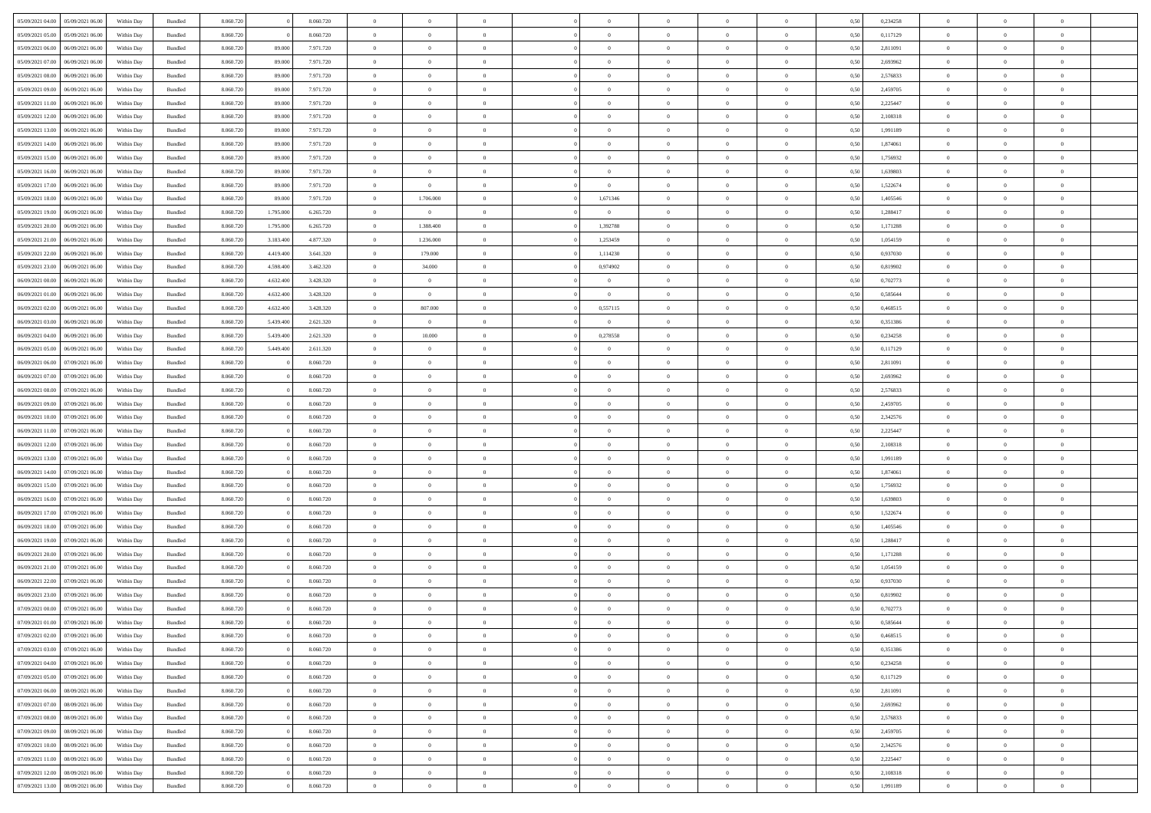| 05/09/2021 04:00                  | 05/09/2021 06:00 | Within Day | Bundled | 8.060.720 |           | 8.060.720 | $\overline{0}$ | $\Omega$       |                | $\Omega$       | $\Omega$       | $\theta$       | $\theta$       | 0.50 | 0,234258 | $\theta$       | $\theta$       | $\theta$       |  |
|-----------------------------------|------------------|------------|---------|-----------|-----------|-----------|----------------|----------------|----------------|----------------|----------------|----------------|----------------|------|----------|----------------|----------------|----------------|--|
|                                   |                  |            |         |           |           |           |                |                |                |                |                |                |                |      |          |                |                |                |  |
| 05/09/2021 05:00                  | 05/09/2021 06:00 | Within Day | Bundled | 8.060.720 |           | 8.060.720 | $\overline{0}$ | $\theta$       | $\overline{0}$ | $\overline{0}$ | $\bf{0}$       | $\overline{0}$ | $\bf{0}$       | 0,50 | 0,117129 | $\theta$       | $\theta$       | $\overline{0}$ |  |
| 05/09/2021 06:00                  | 06/09/2021 06:00 | Within Day | Bundled | 8.060.720 | 89.000    | 7.971.720 | $\overline{0}$ | $\overline{0}$ | $\overline{0}$ | $\bf{0}$       | $\bf{0}$       | $\overline{0}$ | $\bf{0}$       | 0,50 | 2,811091 | $\bf{0}$       | $\overline{0}$ | $\overline{0}$ |  |
| 05/09/2021 07:00                  | 06/09/2021 06:00 | Within Dav | Bundled | 8.060.720 | 89,000    | 7.971.720 | $\overline{0}$ | $\overline{0}$ | $\overline{0}$ | $\overline{0}$ | $\bf{0}$       | $\overline{0}$ | $\overline{0}$ | 0.50 | 2,693962 | $\theta$       | $\theta$       | $\overline{0}$ |  |
| 05/09/2021 08:00                  | 06/09/2021 06:00 | Within Day | Bundled | 8.060.720 | 89.000    | 7.971.720 | $\overline{0}$ | $\theta$       | $\overline{0}$ | $\overline{0}$ | $\bf{0}$       | $\overline{0}$ | $\bf{0}$       | 0,50 | 2,576833 | $\theta$       | $\theta$       | $\overline{0}$ |  |
| 05/09/2021 09:00                  | 06/09/2021 06:00 | Within Day | Bundled | 8.060.720 | 89.000    | 7.971.720 | $\overline{0}$ | $\bf{0}$       | $\overline{0}$ | $\overline{0}$ | $\overline{0}$ | $\overline{0}$ | $\mathbf{0}$   | 0,50 | 2,459705 | $\bf{0}$       | $\overline{0}$ | $\bf{0}$       |  |
| 05/09/2021 11:00                  | 06/09/2021 06:00 | Within Dav | Bundled | 8.060.720 | 89,000    | 7.971.720 | $\overline{0}$ | $\overline{0}$ | $\overline{0}$ | $\overline{0}$ | $\overline{0}$ | $\overline{0}$ | $\overline{0}$ | 0.50 | 2,225447 | $\theta$       | $\overline{0}$ | $\overline{0}$ |  |
|                                   |                  |            |         |           |           |           |                |                |                |                |                |                |                |      |          |                |                |                |  |
| 05/09/2021 12:00                  | 06/09/2021 06:00 | Within Day | Bundled | 8.060.720 | 89.000    | 7.971.720 | $\overline{0}$ | $\theta$       | $\overline{0}$ | $\overline{0}$ | $\bf{0}$       | $\overline{0}$ | $\bf{0}$       | 0,50 | 2,108318 | $\theta$       | $\theta$       | $\overline{0}$ |  |
| 05/09/2021 13:00                  | 06/09/2021 06:00 | Within Day | Bundled | 8.060.720 | 89.000    | 7.971.720 | $\overline{0}$ | $\overline{0}$ | $\overline{0}$ | $\overline{0}$ | $\bf{0}$       | $\overline{0}$ | $\bf{0}$       | 0,50 | 1,991189 | $\,0\,$        | $\overline{0}$ | $\overline{0}$ |  |
| 05/09/2021 14:00                  | 06/09/2021 06:00 | Within Dav | Bundled | 8.060.720 | 89,000    | 7.971.720 | $\overline{0}$ | $\overline{0}$ | $\overline{0}$ | $\overline{0}$ | $\overline{0}$ | $\overline{0}$ | $\overline{0}$ | 0.50 | 1,874061 | $\theta$       | $\overline{0}$ | $\overline{0}$ |  |
| 05/09/2021 15:00                  | 06/09/2021 06:00 | Within Day | Bundled | 8.060.720 | 89.000    | 7.971.720 | $\overline{0}$ | $\theta$       | $\overline{0}$ | $\overline{0}$ | $\bf{0}$       | $\overline{0}$ | $\bf{0}$       | 0,50 | 1,756932 | $\,$ 0 $\,$    | $\theta$       | $\overline{0}$ |  |
| 05/09/2021 16:00                  | 06/09/2021 06:00 | Within Day | Bundled | 8.060.720 | 89.000    | 7.971.720 | $\overline{0}$ | $\overline{0}$ | $\overline{0}$ | $\bf{0}$       | $\bf{0}$       | $\bf{0}$       | $\bf{0}$       | 0,50 | 1,639803 | $\bf{0}$       | $\overline{0}$ | $\overline{0}$ |  |
| 05/09/2021 17:00                  | 06/09/2021 06:00 | Within Dav | Bundled | 8.060.720 | 89,000    | 7.971.720 | $\overline{0}$ | $\overline{0}$ | $\overline{0}$ | $\overline{0}$ | $\bf{0}$       | $\overline{0}$ | $\overline{0}$ | 0.50 | 1,522674 | $\theta$       | $\theta$       | $\overline{0}$ |  |
|                                   |                  |            |         |           |           |           |                |                |                |                |                |                |                |      |          |                |                |                |  |
| 05/09/2021 18:00                  | 06/09/2021 06:00 | Within Day | Bundled | 8.060.720 | 89.000    | 7.971.720 | $\overline{0}$ | 1.706.000      | $\overline{0}$ | 1,671346       | $\bf{0}$       | $\overline{0}$ | $\bf{0}$       | 0,50 | 1,405546 | $\theta$       | $\overline{0}$ | $\overline{0}$ |  |
| 05/09/2021 19:00                  | 06/09/2021 06:00 | Within Day | Bundled | 8.060.720 | 1.795.000 | 6.265.720 | $\overline{0}$ | $\overline{0}$ | $\overline{0}$ | $\overline{0}$ | $\bf{0}$       | $\overline{0}$ | $\mathbf{0}$   | 0,50 | 1,288417 | $\bf{0}$       | $\overline{0}$ | $\bf{0}$       |  |
| 05/09/2021 20:00                  | 06/09/2021 06:00 | Within Dav | Bundled | 8.060.720 | 1.795.000 | 6.265.720 | $\overline{0}$ | 1.388.400      | $\overline{0}$ | 1,392788       | $\bf{0}$       | $\overline{0}$ | $\overline{0}$ | 0.50 | 1,171288 | $\theta$       | $\overline{0}$ | $\overline{0}$ |  |
| 05/09/2021 21:00                  | 06/09/2021 06:00 | Within Day | Bundled | 8.060.720 | 3.183.400 | 4.877.320 | $\overline{0}$ | 1.236.000      | $\overline{0}$ | 1,253459       | $\bf{0}$       | $\overline{0}$ | $\bf{0}$       | 0,50 | 1,054159 | $\theta$       | $\theta$       | $\overline{0}$ |  |
| 05/09/2021 22.00                  | 06/09/2021 06:00 | Within Day | Bundled | 8.060.720 | 4.419.400 | 3.641.320 | $\overline{0}$ | 179.000        | $\overline{0}$ | 1,114230       | $\bf{0}$       | $\bf{0}$       | $\bf{0}$       | 0,50 | 0,937030 | $\,0\,$        | $\overline{0}$ | $\overline{0}$ |  |
| 05/09/2021 23:00                  | 06/09/2021 06:00 | Within Dav | Bundled | 8.060.720 | 4.598.400 | 3.462.320 | $\overline{0}$ | 34.000         | $\overline{0}$ | 0,974902       | $\overline{0}$ | $\overline{0}$ | $\overline{0}$ | 0.50 | 0,819902 | $\theta$       | $\overline{0}$ | $\overline{0}$ |  |
|                                   |                  |            |         |           |           |           |                |                |                |                |                |                |                |      |          |                |                |                |  |
| 06/09/2021 00:00                  | 06/09/2021 06:00 | Within Day | Bundled | 8.060.720 | 4.632.400 | 3.428.320 | $\overline{0}$ | $\theta$       | $\overline{0}$ | $\overline{0}$ | $\bf{0}$       | $\overline{0}$ | $\bf{0}$       | 0,50 | 0,702773 | $\,$ 0 $\,$    | $\theta$       | $\overline{0}$ |  |
| 06/09/2021 01:00                  | 06/09/2021 06:00 | Within Day | Bundled | 8.060.720 | 4.632.400 | 3.428.320 | $\overline{0}$ | $\bf{0}$       | $\overline{0}$ | $\bf{0}$       | $\bf{0}$       | $\overline{0}$ | $\bf{0}$       | 0,50 | 0,585644 | $\,0\,$        | $\overline{0}$ | $\overline{0}$ |  |
| 06/09/2021 02:00                  | 06/09/2021 06:00 | Within Dav | Bundled | 8.060.720 | 4.632.400 | 3.428.320 | $\overline{0}$ | 807.000        | $\overline{0}$ | 0,557115       | $\bf{0}$       | $\overline{0}$ | $\overline{0}$ | 0.50 | 0.468515 | $\theta$       | $\overline{0}$ | $\overline{0}$ |  |
| 06/09/2021 03:00                  | 06/09/2021 06:00 | Within Day | Bundled | 8.060.720 | 5.439.400 | 2.621.320 | $\overline{0}$ | $\overline{0}$ | $\overline{0}$ | $\overline{0}$ | $\bf{0}$       | $\overline{0}$ | $\bf{0}$       | 0,50 | 0,351386 | $\,$ 0 $\,$    | $\overline{0}$ | $\overline{0}$ |  |
| 06/09/2021 04:00                  | 06/09/2021 06:00 | Within Day | Bundled | 8.060.720 | 5.439.400 | 2.621.320 | $\overline{0}$ | 10.000         | $\overline{0}$ | 0,278558       | $\bf{0}$       | $\overline{0}$ | $\mathbf{0}$   | 0,50 | 0,234258 | $\bf{0}$       | $\overline{0}$ | $\bf{0}$       |  |
| 06/09/2021 05:00                  | 06/09/2021 06:00 | Within Dav | Bundled | 8.060.720 | 5.449.400 | 2.611.320 | $\overline{0}$ | $\overline{0}$ | $\overline{0}$ | $\overline{0}$ | $\overline{0}$ | $\overline{0}$ | $\overline{0}$ | 0.50 | 0,117129 | $\theta$       | $\overline{0}$ | $\overline{0}$ |  |
|                                   |                  |            |         |           |           |           |                |                |                |                |                |                |                |      |          |                |                |                |  |
| 06/09/2021 06:00                  | 07/09/2021 06:00 | Within Day | Bundled | 8.060.720 |           | 8.060.720 | $\overline{0}$ | $\theta$       | $\overline{0}$ | $\overline{0}$ | $\bf{0}$       | $\overline{0}$ | $\bf{0}$       | 0,50 | 2,811091 | $\theta$       | $\theta$       | $\overline{0}$ |  |
| 06/09/2021 07:00                  | 07/09/2021 06:00 | Within Day | Bundled | 8.060.720 |           | 8.060.720 | $\overline{0}$ | $\overline{0}$ | $\overline{0}$ | $\overline{0}$ | $\bf{0}$       | $\overline{0}$ | $\bf{0}$       | 0,50 | 2,693962 | $\,0\,$        | $\overline{0}$ | $\overline{0}$ |  |
| 06/09/2021 08:00                  | 07/09/2021 06:00 | Within Dav | Bundled | 8.060.720 |           | 8.060.720 | $\overline{0}$ | $\overline{0}$ | $\overline{0}$ | $\overline{0}$ | $\overline{0}$ | $\overline{0}$ | $\overline{0}$ | 0.50 | 2,576833 | $\theta$       | $\overline{0}$ | $\overline{0}$ |  |
| 06/09/2021 09:00                  | 07/09/2021 06:00 | Within Day | Bundled | 8.060.720 |           | 8.060.720 | $\overline{0}$ | $\theta$       | $\overline{0}$ | $\overline{0}$ | $\bf{0}$       | $\overline{0}$ | $\bf{0}$       | 0,50 | 2,459705 | $\,$ 0 $\,$    | $\overline{0}$ | $\overline{0}$ |  |
| 06/09/2021 10:00                  | 07/09/2021 06:00 | Within Day | Bundled | 8.060.720 |           | 8.060.720 | $\overline{0}$ | $\overline{0}$ | $\overline{0}$ | $\overline{0}$ | $\bf{0}$       | $\overline{0}$ | $\bf{0}$       | 0,50 | 2,342576 | $\bf{0}$       | $\overline{0}$ | $\overline{0}$ |  |
| 06/09/2021 11:00                  | 07/09/2021 06:00 | Within Day | Bundled | 8.060.720 |           | 8.060.720 | $\overline{0}$ | $\Omega$       | $\Omega$       | $\Omega$       | $\Omega$       | $\Omega$       | $\overline{0}$ | 0,50 | 2,225447 | $\,0\,$        | $\theta$       | $\theta$       |  |
|                                   |                  |            |         |           |           |           |                |                |                |                |                |                |                |      |          |                |                |                |  |
| 06/09/2021 12:00                  | 07/09/2021 06:00 | Within Day | Bundled | 8.060.720 |           | 8.060.720 | $\overline{0}$ | $\theta$       | $\overline{0}$ | $\overline{0}$ | $\bf{0}$       | $\overline{0}$ | $\bf{0}$       | 0,50 | 2,108318 | $\,$ 0 $\,$    | $\theta$       | $\overline{0}$ |  |
| 06/09/2021 13:00                  | 07/09/2021 06:00 | Within Day | Bundled | 8.060.720 |           | 8.060.720 | $\overline{0}$ | $\overline{0}$ | $\overline{0}$ | $\bf{0}$       | $\bf{0}$       | $\overline{0}$ | $\mathbf{0}$   | 0,50 | 1,991189 | $\bf{0}$       | $\overline{0}$ | $\bf{0}$       |  |
| 06/09/2021 14:00                  | 07/09/2021 06:00 | Within Day | Bundled | 8.060.720 |           | 8.060.720 | $\overline{0}$ | $\Omega$       | $\Omega$       | $\Omega$       | $\bf{0}$       | $\overline{0}$ | $\overline{0}$ | 0.50 | 1,874061 | $\,$ 0 $\,$    | $\theta$       | $\theta$       |  |
| 06/09/2021 15:00                  | 07/09/2021 06:00 | Within Day | Bundled | 8.060.720 |           | 8.060.720 | $\overline{0}$ | $\theta$       | $\overline{0}$ | $\overline{0}$ | $\bf{0}$       | $\overline{0}$ | $\bf{0}$       | 0,50 | 1,756932 | $\,$ 0 $\,$    | $\theta$       | $\overline{0}$ |  |
| 06/09/2021 16:00                  | 07/09/2021 06:00 | Within Day | Bundled | 8.060.720 |           | 8.060.720 | $\overline{0}$ | $\overline{0}$ | $\overline{0}$ | $\bf{0}$       | $\bf{0}$       | $\bf{0}$       | $\bf{0}$       | 0,50 | 1,639803 | $\,0\,$        | $\overline{0}$ | $\overline{0}$ |  |
| 06/09/2021 17:00                  | 07/09/2021 06:00 | Within Day | Bundled | 8.060.720 |           | 8.060.720 | $\overline{0}$ | $\Omega$       | $\Omega$       | $\Omega$       | $\theta$       | $\theta$       | $\overline{0}$ | 0.50 | 1,522674 | $\,$ 0 $\,$    | $\theta$       | $\theta$       |  |
|                                   |                  |            |         |           |           |           | $\overline{0}$ |                |                |                |                |                |                |      |          |                |                |                |  |
| 06/09/2021 18:00                  | 07/09/2021 06:00 | Within Day | Bundled | 8.060.720 |           | 8.060.720 |                | $\theta$       | $\overline{0}$ | $\overline{0}$ | $\bf{0}$       | $\overline{0}$ | $\bf{0}$       | 0,50 | 1,405546 | $\,$ 0 $\,$    | $\overline{0}$ | $\overline{0}$ |  |
| 06/09/2021 19:00                  | 07/09/2021 06:00 | Within Day | Bundled | 8.060.720 |           | 8.060.720 | $\overline{0}$ | $\overline{0}$ | $\overline{0}$ | $\bf{0}$       | $\bf{0}$       | $\bf{0}$       | $\bf{0}$       | 0,50 | 1,288417 | $\bf{0}$       | $\overline{0}$ | $\overline{0}$ |  |
| 06/09/2021 20:00                  | 07/09/2021 06:00 | Within Day | Bundled | 8.060.720 |           | 8.060.720 | $\overline{0}$ | $\Omega$       | $\overline{0}$ | $\Omega$       | $\overline{0}$ | $\overline{0}$ | $\overline{0}$ | 0,50 | 1,171288 | $\,0\,$        | $\theta$       | $\theta$       |  |
| 06/09/2021 21:00                  | 07/09/2021 06:00 | Within Day | Bundled | 8.060.720 |           | 8.060.720 | $\overline{0}$ | $\theta$       | $\overline{0}$ | $\overline{0}$ | $\bf{0}$       | $\overline{0}$ | $\bf{0}$       | 0,50 | 1,054159 | $\,$ 0 $\,$    | $\overline{0}$ | $\overline{0}$ |  |
| 06/09/2021 22.00                  | 07/09/2021 06:00 | Within Day | Bundled | 8.060.720 |           | 8.060.720 | $\overline{0}$ | $\overline{0}$ | $\overline{0}$ | $\bf{0}$       | $\bf{0}$       | $\bf{0}$       | $\mathbf{0}$   | 0,50 | 0,937030 | $\overline{0}$ | $\overline{0}$ | $\bf{0}$       |  |
| 06/09/2021 23:00                  | 07/09/2021 06:00 | Within Day | Bundled | 8.060.720 |           | 8.060.720 | $\overline{0}$ | $\Omega$       | $\Omega$       | $\Omega$       | $\Omega$       | $\Omega$       | $\overline{0}$ | 0.50 | 0,819902 | $\theta$       | $\theta$       | $\theta$       |  |
| 07/09/2021 00:00                  | 07/09/2021 06:00 | Within Day | Bundled | 8.060.720 |           | 8.060.720 | $\overline{0}$ | $\,$ 0 $\,$    | $\overline{0}$ | $\bf{0}$       | $\,$ 0         | $\bf{0}$       | $\bf{0}$       | 0,50 | 0,702773 | $\,0\,$        | $\,$ 0 $\,$    | $\overline{0}$ |  |
|                                   |                  |            |         |           |           |           |                |                |                |                |                |                |                |      |          |                |                |                |  |
| 07/09/2021 01:00 07/09/2021 06:00 |                  | Within Day | Bundled | 8.060.720 |           | 8.060.720 | $\bf{0}$       | $\bf{0}$       |                |                |                |                |                | 0,50 | 0,585644 | $\bf{0}$       | $\overline{0}$ |                |  |
| 07/09/2021 02:00                  | 07/09/2021 06:00 | Within Day | Bundled | 8.060.720 |           | 8.060.720 | $\overline{0}$ | $\overline{0}$ | $\overline{0}$ | $\Omega$       | $\overline{0}$ | $\overline{0}$ | $\overline{0}$ | 0.50 | 0.468515 | $\theta$       | $\theta$       | $\theta$       |  |
| 07/09/2021 03:00                  | 07/09/2021 06:00 | Within Day | Bundled | 8.060.720 |           | 8.060.720 | $\overline{0}$ | $\,$ 0         | $\overline{0}$ | $\bf{0}$       | $\,$ 0 $\,$    | $\overline{0}$ | $\mathbf{0}$   | 0,50 | 0,351386 | $\,$ 0 $\,$    | $\,$ 0 $\,$    | $\,$ 0         |  |
| 07/09/2021 04:00                  | 07/09/2021 06:00 | Within Day | Bundled | 8.060.720 |           | 8.060.720 | $\overline{0}$ | $\overline{0}$ | $\overline{0}$ | $\overline{0}$ | $\overline{0}$ | $\overline{0}$ | $\mathbf{0}$   | 0,50 | 0,234258 | $\overline{0}$ | $\bf{0}$       | $\bf{0}$       |  |
| 07/09/2021 05:00                  | 07/09/2021 06:00 | Within Day | Bundled | 8.060.720 |           | 8.060.720 | $\overline{0}$ | $\overline{0}$ | $\overline{0}$ | $\Omega$       | $\overline{0}$ | $\overline{0}$ | $\overline{0}$ | 0,50 | 0,117129 | $\overline{0}$ | $\theta$       | $\overline{0}$ |  |
| 07/09/2021 06:00                  | 08/09/2021 06:00 | Within Day | Bundled | 8.060.720 |           | 8.060.720 | $\overline{0}$ | $\,$ 0         | $\overline{0}$ | $\overline{0}$ | $\,$ 0 $\,$    | $\overline{0}$ | $\mathbf{0}$   | 0,50 | 2,811091 | $\,$ 0 $\,$    | $\overline{0}$ | $\overline{0}$ |  |
|                                   |                  |            |         |           |           |           |                |                |                |                |                |                |                |      |          |                |                |                |  |
| 07/09/2021 07:00                  | 08/09/2021 06:00 | Within Day | Bundled | 8.060.720 |           | 8.060.720 | $\overline{0}$ | $\overline{0}$ | $\overline{0}$ | $\overline{0}$ | $\overline{0}$ | $\overline{0}$ | $\mathbf{0}$   | 0,50 | 2,693962 | $\overline{0}$ | $\overline{0}$ | $\bf{0}$       |  |
| 07/09/2021 08:00                  | 08/09/2021 06:00 | Within Day | Bundled | 8.060.720 |           | 8.060.720 | $\overline{0}$ | $\overline{0}$ | $\overline{0}$ | $\Omega$       | $\overline{0}$ | $\overline{0}$ | $\bf{0}$       | 0.50 | 2,576833 | $\overline{0}$ | $\theta$       | $\overline{0}$ |  |
| 07/09/2021 09:00                  | 08/09/2021 06:00 | Within Day | Bundled | 8.060.720 |           | 8.060.720 | $\overline{0}$ | $\,$ 0         | $\overline{0}$ | $\bf{0}$       | $\bf{0}$       | $\bf{0}$       | $\bf{0}$       | 0,50 | 2,459705 | $\,$ 0 $\,$    | $\overline{0}$ | $\overline{0}$ |  |
| 07/09/2021 10:00                  | 08/09/2021 06:00 | Within Day | Bundled | 8.060.720 |           | 8.060.720 | $\overline{0}$ | $\bf{0}$       | $\overline{0}$ | $\overline{0}$ | $\overline{0}$ | $\overline{0}$ | $\mathbf{0}$   | 0,50 | 2,342576 | $\overline{0}$ | $\overline{0}$ | $\bf{0}$       |  |
| 07/09/2021 11:00                  | 08/09/2021 06:00 | Within Day | Bundled | 8.060.720 |           | 8.060.720 | $\overline{0}$ | $\overline{0}$ | $\overline{0}$ | $\Omega$       | $\overline{0}$ | $\overline{0}$ | $\bf{0}$       | 0.50 | 2,225447 | $\overline{0}$ | $\overline{0}$ | $\overline{0}$ |  |
| 07/09/2021 12:00                  | 08/09/2021 06:00 | Within Day | Bundled | 8.060.720 |           | 8.060.720 | $\overline{0}$ | $\bf{0}$       | $\overline{0}$ | $\overline{0}$ | $\bf{0}$       | $\bf{0}$       | $\mathbf{0}$   | 0,50 | 2,108318 | $\,$ 0 $\,$    | $\,$ 0 $\,$    | $\bf{0}$       |  |
|                                   |                  |            |         |           |           |           |                |                |                |                |                |                |                |      |          |                |                |                |  |
| 07/09/2021 13:00                  | 08/09/2021 06:00 | Within Day | Bundled | 8.060.720 |           | 8.060.720 | $\overline{0}$ | $\overline{0}$ | $\overline{0}$ | $\overline{0}$ | $\bf{0}$       | $\bf{0}$       | $\mathbf{0}$   | 0,50 | 1,991189 | $\overline{0}$ | $\bf{0}$       | $\bf{0}$       |  |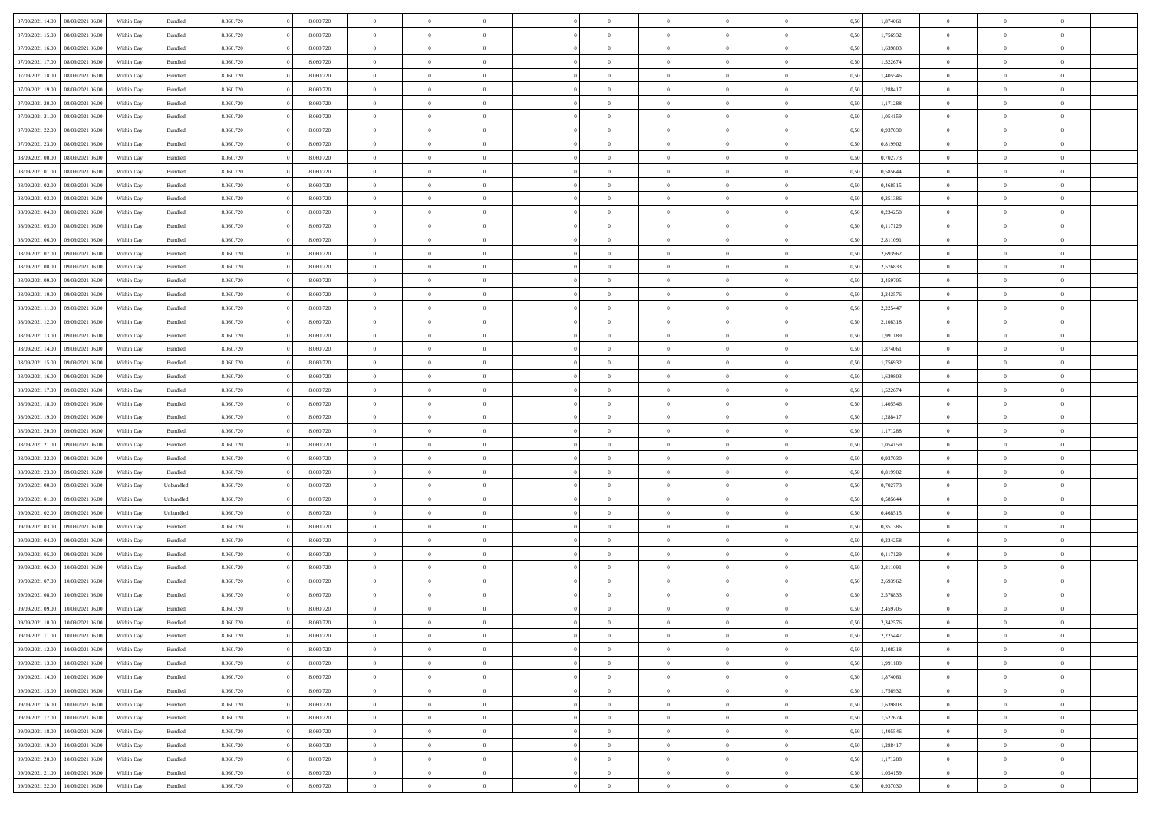| 07/09/2021 14:00 | 08/09/2021 06:00 | Within Day | Bundled            | 8.060.720 | 8.060.720 | $\overline{0}$ | $\Omega$       |                | $\Omega$       | $\Omega$       | $\theta$       | $\theta$       | 0,50 | 1,874061 | $\theta$       | $\theta$       | $\overline{0}$ |  |
|------------------|------------------|------------|--------------------|-----------|-----------|----------------|----------------|----------------|----------------|----------------|----------------|----------------|------|----------|----------------|----------------|----------------|--|
| 07/09/2021 15:00 | 08/09/2021 06:00 | Within Day | Bundled            | 8.060.720 | 8.060.720 | $\overline{0}$ | $\theta$       | $\overline{0}$ | $\overline{0}$ | $\bf{0}$       | $\overline{0}$ | $\bf{0}$       | 0,50 | 1,756932 | $\theta$       | $\overline{0}$ | $\overline{0}$ |  |
| 07/09/2021 16:00 | 08/09/2021 06:00 | Within Day | Bundled            | 8.060.720 | 8.060.720 | $\overline{0}$ | $\bf{0}$       | $\overline{0}$ | $\bf{0}$       | $\bf{0}$       | $\bf{0}$       | $\mathbf{0}$   | 0,50 | 1,639803 | $\overline{0}$ | $\overline{0}$ | $\bf{0}$       |  |
| 07/09/2021 17:00 | 08/09/2021 06:00 | Within Dav | Bundled            | 8.060.720 | 8.060.720 | $\overline{0}$ | $\overline{0}$ | $\overline{0}$ | $\overline{0}$ | $\bf{0}$       | $\overline{0}$ | $\overline{0}$ | 0.50 | 1,522674 | $\theta$       | $\theta$       | $\overline{0}$ |  |
| 07/09/2021 18:00 | 08/09/2021 06:00 |            |                    | 8.060.720 | 8.060.720 | $\overline{0}$ | $\theta$       | $\overline{0}$ | $\overline{0}$ | $\bf{0}$       | $\overline{0}$ |                |      | 1,405546 | $\theta$       | $\overline{0}$ | $\overline{0}$ |  |
|                  |                  | Within Day | Bundled            |           |           |                |                |                |                |                |                | $\bf{0}$       | 0,50 |          |                |                |                |  |
| 07/09/2021 19:00 | 08/09/2021 06:00 | Within Day | Bundled            | 8.060.720 | 8.060.720 | $\overline{0}$ | $\overline{0}$ | $\overline{0}$ | $\bf{0}$       | $\overline{0}$ | $\overline{0}$ | $\mathbf{0}$   | 0,50 | 1,288417 | $\overline{0}$ | $\overline{0}$ | $\bf{0}$       |  |
| 07/09/2021 20:00 | 08/09/2021 06:00 | Within Dav | Bundled            | 8.060.720 | 8.060.720 | $\overline{0}$ | $\overline{0}$ | $\overline{0}$ | $\overline{0}$ | $\overline{0}$ | $\overline{0}$ | $\overline{0}$ | 0.50 | 1,171288 | $\theta$       | $\overline{0}$ | $\overline{0}$ |  |
| 07/09/2021 21:00 | 08/09/2021 06:00 | Within Day | Bundled            | 8.060.720 | 8.060.720 | $\overline{0}$ | $\theta$       | $\overline{0}$ | $\overline{0}$ | $\bf{0}$       | $\overline{0}$ | $\bf{0}$       | 0,50 | 1,054159 | $\theta$       | $\theta$       | $\overline{0}$ |  |
| 07/09/2021 22.00 | 08/09/2021 06:00 | Within Day | Bundled            | 8.060.720 | 8.060.720 | $\overline{0}$ | $\overline{0}$ | $\overline{0}$ | $\overline{0}$ | $\bf{0}$       | $\overline{0}$ | $\bf{0}$       | 0,50 | 0,937030 | $\,0\,$        | $\overline{0}$ | $\overline{0}$ |  |
| 07/09/2021 23:00 | 08/09/2021 06:00 | Within Dav | Bundled            | 8.060.720 | 8.060.720 | $\overline{0}$ | $\overline{0}$ | $\overline{0}$ | $\overline{0}$ | $\overline{0}$ | $\overline{0}$ | $\overline{0}$ | 0.50 | 0,819902 | $\theta$       | $\overline{0}$ | $\overline{0}$ |  |
|                  |                  |            |                    |           |           |                |                |                |                |                |                |                |      |          |                |                |                |  |
| 08/09/2021 00:00 | 08/09/2021 06:00 | Within Day | Bundled            | 8.060.720 | 8.060.720 | $\overline{0}$ | $\theta$       | $\overline{0}$ | $\overline{0}$ | $\bf{0}$       | $\overline{0}$ | $\bf{0}$       | 0,50 | 0,702773 | $\,$ 0 $\,$    | $\overline{0}$ | $\overline{0}$ |  |
| 08/09/2021 01:00 | 08/09/2021 06:00 | Within Day | Bundled            | 8.060.720 | 8.060.720 | $\overline{0}$ | $\bf{0}$       | $\overline{0}$ | $\overline{0}$ | $\bf{0}$       | $\overline{0}$ | $\bf{0}$       | 0,50 | 0,585644 | $\overline{0}$ | $\overline{0}$ | $\bf{0}$       |  |
| 08/09/2021 02:00 | 08/09/2021 06:00 | Within Dav | Bundled            | 8.060.720 | 8.060.720 | $\overline{0}$ | $\overline{0}$ | $\overline{0}$ | $\overline{0}$ | $\bf{0}$       | $\overline{0}$ | $\overline{0}$ | 0.50 | 0,468515 | $\theta$       | $\theta$       | $\overline{0}$ |  |
| 08/09/2021 03:00 | 08/09/2021 06:00 | Within Day | Bundled            | 8.060.720 | 8.060.720 | $\overline{0}$ | $\theta$       | $\overline{0}$ | $\overline{0}$ | $\bf{0}$       | $\overline{0}$ | $\overline{0}$ | 0,50 | 0,351386 | $\theta$       | $\overline{0}$ | $\overline{0}$ |  |
| 08/09/2021 04:00 | 08/09/2021 06:00 | Within Day | Bundled            | 8.060.720 | 8.060.720 | $\overline{0}$ | $\overline{0}$ | $\overline{0}$ | $\overline{0}$ | $\overline{0}$ | $\overline{0}$ | $\mathbf{0}$   | 0,50 | 0,234258 | $\overline{0}$ | $\overline{0}$ | $\bf{0}$       |  |
| 08/09/2021 05:00 | 08/09/2021 06:00 | Within Dav | Bundled            | 8.060.720 | 8.060.720 | $\overline{0}$ | $\overline{0}$ | $\overline{0}$ |                | $\overline{0}$ | $\overline{0}$ | $\overline{0}$ | 0.50 | 0,117129 | $\theta$       | $\overline{0}$ | $\overline{0}$ |  |
|                  |                  |            |                    |           |           |                |                |                | $\overline{0}$ |                |                |                |      |          |                |                |                |  |
| 08/09/2021 06:00 | 09/09/2021 06:00 | Within Day | Bundled            | 8.060.720 | 8.060.720 | $\overline{0}$ | $\theta$       | $\overline{0}$ | $\overline{0}$ | $\bf{0}$       | $\overline{0}$ | $\bf{0}$       | 0,50 | 2,811091 | $\theta$       | $\theta$       | $\overline{0}$ |  |
| 08/09/2021 07:00 | 09/09/2021 06:00 | Within Day | Bundled            | 8.060.720 | 8.060.720 | $\overline{0}$ | $\overline{0}$ | $\overline{0}$ | $\overline{0}$ | $\bf{0}$       | $\overline{0}$ | $\bf{0}$       | 0,50 | 2,693962 | $\bf{0}$       | $\overline{0}$ | $\overline{0}$ |  |
| 08/09/2021 08:00 | 09/09/2021 06:00 | Within Dav | Bundled            | 8.060.720 | 8.060.720 | $\overline{0}$ | $\overline{0}$ | $\overline{0}$ | $\overline{0}$ | $\overline{0}$ | $\overline{0}$ | $\overline{0}$ | 0.50 | 2,576833 | $\theta$       | $\overline{0}$ | $\overline{0}$ |  |
| 08/09/2021 09:00 | 09/09/2021 06:00 | Within Day | Bundled            | 8.060.720 | 8.060.720 | $\overline{0}$ | $\theta$       | $\overline{0}$ | $\overline{0}$ | $\bf{0}$       | $\overline{0}$ | $\bf{0}$       | 0,50 | 2,459705 | $\,$ 0 $\,$    | $\overline{0}$ | $\overline{0}$ |  |
| 08/09/2021 10:00 | 09/09/2021 06:00 | Within Day | Bundled            | 8.060.720 | 8.060.720 | $\overline{0}$ | $\overline{0}$ | $\overline{0}$ | $\overline{0}$ | $\bf{0}$       | $\overline{0}$ | $\bf{0}$       | 0,50 | 2,342576 | $\overline{0}$ | $\overline{0}$ | $\bf{0}$       |  |
| 08/09/2021 11:00 | 09/09/2021 06:00 | Within Day | Bundled            | 8.060.720 | 8.060.720 | $\overline{0}$ | $\overline{0}$ | $\overline{0}$ | $\overline{0}$ | $\bf{0}$       | $\overline{0}$ | $\overline{0}$ | 0.50 | 2.225447 | $\theta$       | $\overline{0}$ | $\overline{0}$ |  |
|                  |                  |            |                    |           |           |                |                |                |                |                |                |                |      |          |                |                |                |  |
| 08/09/2021 12:00 | 09/09/2021 06:00 | Within Day | Bundled            | 8.060.720 | 8.060.720 | $\overline{0}$ | $\theta$       | $\overline{0}$ | $\overline{0}$ | $\bf{0}$       | $\overline{0}$ | $\bf{0}$       | 0,50 | 2,108318 | $\,$ 0 $\,$    | $\overline{0}$ | $\overline{0}$ |  |
| 08/09/2021 13:00 | 09/09/2021 06:00 | Within Day | Bundled            | 8.060.720 | 8.060.720 | $\overline{0}$ | $\overline{0}$ | $\overline{0}$ | $\overline{0}$ | $\overline{0}$ | $\overline{0}$ | $\mathbf{0}$   | 0,50 | 1,991189 | $\overline{0}$ | $\overline{0}$ | $\bf{0}$       |  |
| 08/09/2021 14:00 | 09/09/2021 06:00 | Within Dav | Bundled            | 8.060.720 | 8.060.720 | $\overline{0}$ | $\overline{0}$ | $\overline{0}$ | $\overline{0}$ | $\overline{0}$ | $\overline{0}$ | $\overline{0}$ | 0.50 | 1,874061 | $\theta$       | $\overline{0}$ | $\overline{0}$ |  |
| 08/09/2021 15:00 | 09/09/2021 06:00 | Within Day | Bundled            | 8.060.720 | 8.060.720 | $\overline{0}$ | $\theta$       | $\overline{0}$ | $\overline{0}$ | $\bf{0}$       | $\overline{0}$ | $\bf{0}$       | 0,50 | 1,756932 | $\theta$       | $\theta$       | $\overline{0}$ |  |
| 08/09/2021 16:00 | 09/09/2021 06:00 | Within Day | Bundled            | 8.060.720 | 8.060.720 | $\overline{0}$ | $\overline{0}$ | $\overline{0}$ | $\bf{0}$       | $\bf{0}$       | $\bf{0}$       | $\bf{0}$       | 0,50 | 1,639803 | $\,0\,$        | $\overline{0}$ | $\overline{0}$ |  |
| 08/09/2021 17:00 | 09/09/2021 06:00 | Within Day | Bundled            | 8.060.720 | 8.060.720 | $\overline{0}$ | $\overline{0}$ | $\overline{0}$ | $\overline{0}$ | $\overline{0}$ | $\overline{0}$ | $\overline{0}$ | 0.50 | 1,522674 | $\theta$       | $\overline{0}$ | $\overline{0}$ |  |
|                  |                  |            |                    |           |           |                |                |                |                |                |                |                |      |          |                |                |                |  |
| 08/09/2021 18:00 | 09/09/2021 06:00 | Within Day | Bundled            | 8.060.720 | 8.060.720 | $\overline{0}$ | $\theta$       | $\overline{0}$ | $\overline{0}$ | $\bf{0}$       | $\overline{0}$ | $\bf{0}$       | 0,50 | 1,405546 | $\,$ 0 $\,$    | $\overline{0}$ | $\overline{0}$ |  |
| 08/09/2021 19:00 | 09/09/2021 06:00 | Within Day | Bundled            | 8.060.720 | 8.060.720 | $\overline{0}$ | $\overline{0}$ | $\overline{0}$ | $\bf{0}$       | $\bf{0}$       | $\bf{0}$       | $\bf{0}$       | 0,50 | 1,288417 | $\overline{0}$ | $\overline{0}$ | $\bf{0}$       |  |
| 08/09/2021 20:00 | 09/09/2021 06:00 | Within Day | Bundled            | 8.060.720 | 8.060.720 | $\overline{0}$ | $\Omega$       | $\Omega$       | $\Omega$       | $\Omega$       | $\Omega$       | $\overline{0}$ | 0,50 | 1,171288 | $\,0\,$        | $\theta$       | $\theta$       |  |
| 08/09/2021 21:00 | 09/09/2021 06:00 | Within Day | Bundled            | 8.060.720 | 8.060.720 | $\overline{0}$ | $\theta$       | $\overline{0}$ | $\overline{0}$ | $\bf{0}$       | $\overline{0}$ | $\bf{0}$       | 0,50 | 1,054159 | $\theta$       | $\overline{0}$ | $\overline{0}$ |  |
| 08/09/2021 22.00 | 09/09/2021 06:00 | Within Day | Bundled            | 8.060.720 | 8.060.720 | $\overline{0}$ | $\overline{0}$ | $\overline{0}$ | $\bf{0}$       | $\overline{0}$ | $\overline{0}$ | $\mathbf{0}$   | 0,50 | 0,937030 | $\overline{0}$ | $\overline{0}$ | $\bf{0}$       |  |
| 08/09/2021 23:00 | 09/09/2021 06:00 | Within Day | Bundled            | 8.060.720 | 8.060.720 | $\overline{0}$ | $\Omega$       | $\Omega$       | $\Omega$       | $\bf{0}$       | $\overline{0}$ | $\overline{0}$ | 0.50 | 0,819902 | $\,0\,$        | $\theta$       | $\theta$       |  |
|                  |                  |            |                    |           |           |                |                |                |                |                |                |                |      |          |                |                |                |  |
| 09/09/2021 00:00 | 09/09/2021 06:00 | Within Day | Unbundled          | 8.060.720 | 8.060.720 | $\overline{0}$ | $\theta$       | $\overline{0}$ | $\overline{0}$ | $\bf{0}$       | $\overline{0}$ | $\bf{0}$       | 0,50 | 0,702773 | $\theta$       | $\overline{0}$ | $\overline{0}$ |  |
| 09/09/2021 01:00 | 09/09/2021 06:00 | Within Day | Unbundled          | 8.060.720 | 8.060.720 | $\overline{0}$ | $\overline{0}$ | $\overline{0}$ | $\bf{0}$       | $\bf{0}$       | $\bf{0}$       | $\bf{0}$       | 0,50 | 0,585644 | $\bf{0}$       | $\overline{0}$ | $\bf{0}$       |  |
| 09/09/2021 02:00 | 09/09/2021 06:00 | Within Day | Unbundled          | 8.060.720 | 8.060.720 | $\overline{0}$ | $\Omega$       | $\Omega$       | $\Omega$       | $\theta$       | $\theta$       | $\overline{0}$ | 0.50 | 0.468515 | $\theta$       | $\theta$       | $\theta$       |  |
| 09/09/2021 03:00 | 09/09/2021 06:00 | Within Day | Bundled            | 8.060.720 | 8.060.720 | $\overline{0}$ | $\theta$       | $\overline{0}$ | $\overline{0}$ | $\bf{0}$       | $\overline{0}$ | $\bf{0}$       | 0,50 | 0,351386 | $\,$ 0 $\,$    | $\overline{0}$ | $\overline{0}$ |  |
| 09/09/2021 04:00 | 09/09/2021 06:00 | Within Day | Bundled            | 8.060.720 | 8.060.720 | $\overline{0}$ | $\bf{0}$       | $\overline{0}$ | $\bf{0}$       | $\bf{0}$       | $\bf{0}$       | $\bf{0}$       | 0,50 | 0,234258 | $\overline{0}$ | $\overline{0}$ | $\bf{0}$       |  |
| 09/09/2021 05:00 | 09/09/2021 06:00 | Within Day | Bundled            | 8.060.720 | 8.060.720 | $\overline{0}$ | $\Omega$       | $\Omega$       | $\Omega$       | $\overline{0}$ | $\overline{0}$ | $\overline{0}$ | 0,50 | 0,117129 | $\,0\,$        | $\theta$       | $\theta$       |  |
|                  |                  |            |                    |           |           | $\overline{0}$ | $\overline{0}$ | $\overline{0}$ | $\overline{0}$ | $\bf{0}$       | $\overline{0}$ |                |      |          | $\,$ 0 $\,$    | $\overline{0}$ | $\overline{0}$ |  |
| 09/09/2021 06:00 | 10/09/2021 06:00 | Within Day | Bundled            | 8.060.720 | 8.060.720 |                |                |                |                |                |                | $\bf{0}$       | 0,50 | 2,811091 |                |                |                |  |
| 09/09/2021 07:00 | 10/09/2021 06:00 | Within Day | Bundled            | 8.060.720 | 8.060.720 | $\overline{0}$ | $\overline{0}$ | $\overline{0}$ | $\bf{0}$       | $\bf{0}$       | $\bf{0}$       | $\mathbf{0}$   | 0,50 | 2,693962 | $\overline{0}$ | $\overline{0}$ | $\bf{0}$       |  |
| 09/09/2021 08:00 | 10/09/2021 06:00 | Within Day | Bundled            | 8.060.720 | 8.060.720 | $\overline{0}$ | $\Omega$       | $\Omega$       | $\Omega$       | $\Omega$       | $\Omega$       | $\overline{0}$ | 0.50 | 2,576833 | $\theta$       | $\theta$       | $\theta$       |  |
| 09/09/2021 09:00 | 10/09/2021 06:00 | Within Day | Bundled            | 8.060.720 | 8.060.720 | $\overline{0}$ | $\bf{0}$       | $\bf{0}$       | $\bf{0}$       | $\,$ 0         | $\bf{0}$       | $\bf{0}$       | 0,50 | 2,459705 | $\,0\,$        | $\,$ 0 $\,$    | $\overline{0}$ |  |
| 09/09/2021 10:00 | 10/09/2021 06:00 | Within Day | $\mathbf B$ undled | 8.060.720 | 8.060.720 | $\bf{0}$       | $\bf{0}$       |                |                | $\bf{0}$       |                |                | 0,50 | 2,342576 | $\bf{0}$       | $\overline{0}$ |                |  |
| 09/09/2021 11:00 | 10/09/2021 06:00 | Within Day | Bundled            | 8.060.720 | 8.060.720 | $\overline{0}$ | $\overline{0}$ | $\overline{0}$ | $\Omega$       | $\overline{0}$ | $\overline{0}$ | $\overline{0}$ | 0.50 | 2,225447 | $\theta$       | $\theta$       | $\theta$       |  |
| 09/09/2021 12:00 | 10/09/2021 06:00 | Within Day | Bundled            | 8.060.720 | 8.060.720 | $\overline{0}$ | $\,$ 0         | $\overline{0}$ | $\overline{0}$ | $\,$ 0 $\,$    | $\overline{0}$ | $\mathbf{0}$   | 0,50 | 2,108318 | $\,$ 0 $\,$    | $\,$ 0 $\,$    | $\,$ 0         |  |
|                  |                  |            |                    |           |           |                |                |                |                |                |                |                |      |          |                |                |                |  |
| 09/09/2021 13:00 | 10/09/2021 06:00 | Within Day | Bundled            | 8.060.720 | 8.060.720 | $\overline{0}$ | $\overline{0}$ | $\overline{0}$ | $\overline{0}$ | $\overline{0}$ | $\overline{0}$ | $\mathbf{0}$   | 0,50 | 1,991189 | $\overline{0}$ | $\bf{0}$       | $\bf{0}$       |  |
| 09/09/2021 14:00 | 10/09/2021 06:00 | Within Day | Bundled            | 8.060.720 | 8.060.720 | $\overline{0}$ | $\overline{0}$ | $\overline{0}$ | $\Omega$       | $\overline{0}$ | $\overline{0}$ | $\overline{0}$ | 0,50 | 1,874061 | $\overline{0}$ | $\theta$       | $\overline{0}$ |  |
| 09/09/2021 15:00 | 10/09/2021 06:00 | Within Day | Bundled            | 8.060.720 | 8.060.720 | $\overline{0}$ | $\,$ 0         | $\overline{0}$ | $\overline{0}$ | $\,$ 0 $\,$    | $\overline{0}$ | $\mathbf{0}$   | 0,50 | 1,756932 | $\,$ 0 $\,$    | $\overline{0}$ | $\overline{0}$ |  |
| 09/09/2021 16:00 | 10/09/2021 06:00 | Within Day | Bundled            | 8.060.720 | 8.060.720 | $\overline{0}$ | $\overline{0}$ | $\overline{0}$ | $\overline{0}$ | $\overline{0}$ | $\overline{0}$ | $\mathbf{0}$   | 0,50 | 1,639803 | $\overline{0}$ | $\overline{0}$ | $\bf{0}$       |  |
| 09/09/2021 17:00 | 10/09/2021 06:00 | Within Day | Bundled            | 8.060.720 | 8.060.720 | $\overline{0}$ | $\overline{0}$ | $\overline{0}$ | $\Omega$       | $\overline{0}$ | $\overline{0}$ | $\bf{0}$       | 0.50 | 1,522674 | $\overline{0}$ | $\theta$       | $\overline{0}$ |  |
| 09/09/2021 18:00 | 10/09/2021 06:00 | Within Day | Bundled            | 8.060.720 | 8.060.720 | $\overline{0}$ | $\,$ 0         | $\overline{0}$ | $\overline{0}$ | $\bf{0}$       | $\overline{0}$ | $\bf{0}$       | 0,50 | 1,405546 | $\,$ 0 $\,$    | $\overline{0}$ | $\overline{0}$ |  |
|                  |                  |            |                    |           |           |                | $\bf{0}$       |                |                |                |                |                |      |          |                | $\overline{0}$ | $\bf{0}$       |  |
| 09/09/2021 19:00 | 10/09/2021 06:00 | Within Day | Bundled            | 8.060.720 | 8.060.720 | $\overline{0}$ |                | $\overline{0}$ | $\overline{0}$ | $\overline{0}$ | $\overline{0}$ | $\mathbf{0}$   | 0,50 | 1,288417 | $\overline{0}$ |                |                |  |
| 09/09/2021 20:00 | 10/09/2021 06:00 | Within Day | Bundled            | 8.060.720 | 8.060.720 | $\overline{0}$ | $\overline{0}$ | $\overline{0}$ | $\Omega$       | $\overline{0}$ | $\overline{0}$ | $\overline{0}$ | 0.50 | 1,171288 | $\overline{0}$ | $\overline{0}$ | $\overline{0}$ |  |
| 09/09/2021 21:00 | 10/09/2021 06:00 | Within Day | Bundled            | 8.060.720 | 8.060.720 | $\overline{0}$ | $\bf{0}$       | $\overline{0}$ | $\overline{0}$ | $\bf{0}$       | $\overline{0}$ | $\bf{0}$       | 0,50 | 1,054159 | $\,$ 0 $\,$    | $\,$ 0 $\,$    | $\bf{0}$       |  |
| 09/09/2021 22.00 | 10/09/2021 06:00 | Within Day | Bundled            | 8.060.720 | 8.060.720 | $\overline{0}$ | $\bf{0}$       | $\overline{0}$ | $\bf{0}$       | $\bf{0}$       | $\overline{0}$ | $\bf{0}$       | 0,50 | 0,937030 | $\overline{0}$ | $\overline{0}$ | $\bf{0}$       |  |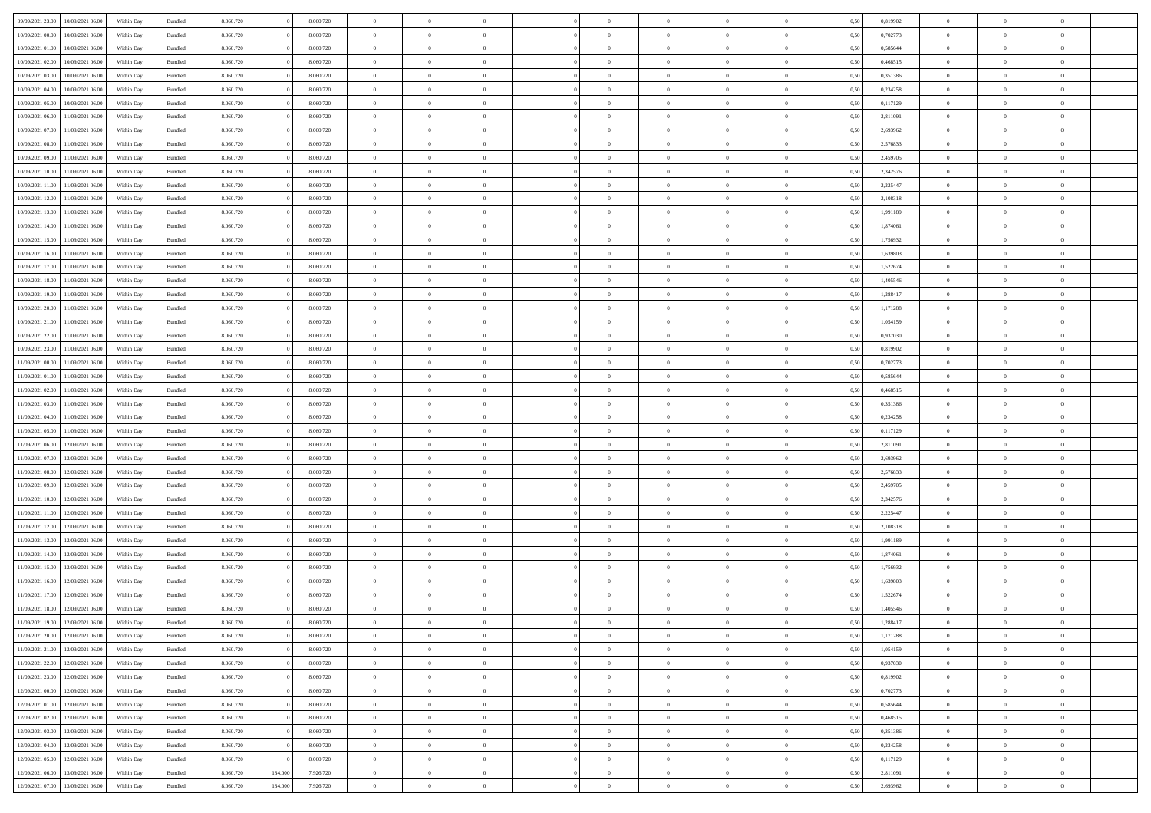| 09/09/2021 23:00                  | 10/09/2021 06:00 | Within Day | Bundled            | 8.060.720 |         | 8.060.720 | $\overline{0}$ | $\Omega$       |                | $\Omega$       | $\Omega$       | $\theta$       | $\theta$       | 0,50 | 0,819902 | $\theta$       | $\theta$       | $\overline{0}$ |  |
|-----------------------------------|------------------|------------|--------------------|-----------|---------|-----------|----------------|----------------|----------------|----------------|----------------|----------------|----------------|------|----------|----------------|----------------|----------------|--|
| 10/09/2021 00:00                  | 10/09/2021 06:00 | Within Day | Bundled            | 8.060.720 |         | 8.060.720 | $\overline{0}$ | $\theta$       | $\overline{0}$ | $\overline{0}$ | $\bf{0}$       | $\overline{0}$ | $\bf{0}$       | 0,50 | 0,702773 | $\theta$       | $\overline{0}$ | $\overline{0}$ |  |
| 10/09/2021 01:00                  | 10/09/2021 06:00 | Within Day | Bundled            | 8.060.720 |         | 8.060.720 | $\overline{0}$ | $\bf{0}$       | $\overline{0}$ | $\overline{0}$ | $\bf{0}$       | $\overline{0}$ | $\mathbf{0}$   | 0,50 | 0,585644 | $\overline{0}$ | $\overline{0}$ | $\bf{0}$       |  |
| 10/09/2021 02:00                  | 10/09/2021 06:00 | Within Dav | Bundled            | 8.060.720 |         | 8.060.720 | $\overline{0}$ | $\overline{0}$ | $\overline{0}$ | $\overline{0}$ | $\bf{0}$       | $\overline{0}$ | $\overline{0}$ | 0.50 | 0.468515 | $\theta$       | $\theta$       | $\overline{0}$ |  |
| 10/09/2021 03:00                  | 10/09/2021 06:00 | Within Day | Bundled            | 8.060.720 |         | 8.060.720 | $\overline{0}$ | $\theta$       | $\overline{0}$ | $\overline{0}$ | $\bf{0}$       | $\overline{0}$ | $\bf{0}$       | 0,50 | 0,351386 | $\theta$       | $\overline{0}$ | $\overline{0}$ |  |
|                                   |                  |            |                    |           |         |           |                |                |                |                |                |                |                |      |          |                |                |                |  |
| 10/09/2021 04:00                  | 10/09/2021 06:00 | Within Day | Bundled            | 8.060.720 |         | 8.060.720 | $\overline{0}$ | $\overline{0}$ | $\overline{0}$ | $\bf{0}$       | $\overline{0}$ | $\overline{0}$ | $\mathbf{0}$   | 0,50 | 0,234258 | $\bf{0}$       | $\overline{0}$ | $\bf{0}$       |  |
| 10/09/2021 05:00                  | 10/09/2021 06:00 | Within Dav | Bundled            | 8.060.720 |         | 8.060.720 | $\overline{0}$ | $\overline{0}$ | $\overline{0}$ | $\overline{0}$ | $\overline{0}$ | $\overline{0}$ | $\overline{0}$ | 0.50 | 0,117129 | $\theta$       | $\overline{0}$ | $\overline{0}$ |  |
| 10/09/2021 06:00                  | 11/09/2021 06:00 | Within Day | Bundled            | 8.060.720 |         | 8.060.720 | $\overline{0}$ | $\theta$       | $\overline{0}$ | $\overline{0}$ | $\bf{0}$       | $\overline{0}$ | $\bf{0}$       | 0,50 | 2,811091 | $\theta$       | $\theta$       | $\overline{0}$ |  |
| 10/09/2021 07:00                  | 11/09/2021 06:00 | Within Day | Bundled            | 8.060.720 |         | 8.060.720 | $\overline{0}$ | $\overline{0}$ | $\overline{0}$ | $\bf{0}$       | $\bf{0}$       | $\bf{0}$       | $\bf{0}$       | 0,50 | 2,693962 | $\,0\,$        | $\overline{0}$ | $\overline{0}$ |  |
| 10/09/2021 08:00                  | 11/09/2021 06:00 | Within Dav | Bundled            | 8.060.720 |         | 8.060.720 | $\overline{0}$ | $\overline{0}$ | $\overline{0}$ | $\overline{0}$ | $\overline{0}$ | $\overline{0}$ | $\overline{0}$ | 0.50 | 2,576833 | $\theta$       | $\overline{0}$ | $\overline{0}$ |  |
| 10/09/2021 09:00                  | 11/09/2021 06:00 | Within Day | Bundled            | 8.060.720 |         | 8.060.720 | $\overline{0}$ | $\theta$       | $\overline{0}$ | $\overline{0}$ | $\bf{0}$       | $\overline{0}$ | $\bf{0}$       | 0,50 | 2,459705 | $\,$ 0 $\,$    | $\overline{0}$ | $\overline{0}$ |  |
| 10/09/2021 10:00                  | 11/09/2021 06:00 | Within Day | Bundled            | 8.060.720 |         | 8.060.720 | $\overline{0}$ | $\bf{0}$       | $\overline{0}$ | $\bf{0}$       | $\bf{0}$       | $\bf{0}$       | $\mathbf{0}$   | 0,50 | 2,342576 | $\bf{0}$       | $\overline{0}$ | $\bf{0}$       |  |
|                                   |                  |            |                    |           |         |           |                |                |                |                |                |                |                |      |          | $\theta$       |                |                |  |
| 10/09/2021 11:00                  | 11/09/2021 06:00 | Within Dav | Bundled            | 8.060.720 |         | 8.060.720 | $\overline{0}$ | $\overline{0}$ | $\overline{0}$ | $\overline{0}$ | $\bf{0}$       | $\overline{0}$ | $\overline{0}$ | 0.50 | 2.225447 |                | $\theta$       | $\overline{0}$ |  |
| 10/09/2021 12:00                  | 11/09/2021 06:00 | Within Day | Bundled            | 8.060.720 |         | 8.060.720 | $\overline{0}$ | $\theta$       | $\overline{0}$ | $\overline{0}$ | $\bf{0}$       | $\overline{0}$ | $\overline{0}$ | 0,50 | 2,108318 | $\theta$       | $\overline{0}$ | $\overline{0}$ |  |
| 10/09/2021 13:00                  | 11/09/2021 06:00 | Within Day | Bundled            | 8.060.720 |         | 8.060.720 | $\overline{0}$ | $\overline{0}$ | $\overline{0}$ | $\bf{0}$       | $\overline{0}$ | $\overline{0}$ | $\mathbf{0}$   | 0,50 | 1,991189 | $\overline{0}$ | $\overline{0}$ | $\bf{0}$       |  |
| 10/09/2021 14:00                  | 11/09/2021 06:00 | Within Dav | Bundled            | 8.060.720 |         | 8.060.720 | $\overline{0}$ | $\overline{0}$ | $\overline{0}$ | $\overline{0}$ | $\overline{0}$ | $\overline{0}$ | $\overline{0}$ | 0.50 | 1,874061 | $\theta$       | $\overline{0}$ | $\overline{0}$ |  |
| 10/09/2021 15:00                  | 11/09/2021 06:00 | Within Day | Bundled            | 8.060.720 |         | 8.060.720 | $\overline{0}$ | $\theta$       | $\overline{0}$ | $\overline{0}$ | $\bf{0}$       | $\overline{0}$ | $\bf{0}$       | 0,50 | 1,756932 | $\theta$       | $\theta$       | $\overline{0}$ |  |
| 10/09/2021 16:00                  | 11/09/2021 06:00 | Within Day | Bundled            | 8.060.720 |         | 8.060.720 | $\overline{0}$ | $\overline{0}$ | $\overline{0}$ | $\bf{0}$       | $\bf{0}$       | $\bf{0}$       | $\bf{0}$       | 0,50 | 1,639803 | $\bf{0}$       | $\overline{0}$ | $\overline{0}$ |  |
| 10/09/2021 17:00                  | 11/09/2021 06:00 | Within Dav | Bundled            | 8.060.720 |         | 8.060.720 | $\overline{0}$ | $\overline{0}$ | $\overline{0}$ | $\overline{0}$ | $\overline{0}$ | $\overline{0}$ | $\overline{0}$ | 0.50 | 1,522674 | $\theta$       | $\overline{0}$ | $\overline{0}$ |  |
| 10/09/2021 18:00                  | 11/09/2021 06:00 |            |                    | 8.060.720 |         | 8.060.720 | $\overline{0}$ | $\theta$       | $\overline{0}$ | $\overline{0}$ | $\bf{0}$       | $\overline{0}$ |                |      | 1,405546 | $\,$ 0 $\,$    | $\overline{0}$ | $\overline{0}$ |  |
|                                   |                  | Within Day | Bundled            |           |         |           |                |                |                |                |                |                | $\bf{0}$       | 0,50 |          |                |                |                |  |
| 10/09/2021 19:00                  | 11/09/2021 06:00 | Within Day | Bundled            | 8.060.720 |         | 8.060.720 | $\overline{0}$ | $\overline{0}$ | $\overline{0}$ | $\bf{0}$       | $\bf{0}$       | $\bf{0}$       | $\bf{0}$       | 0,50 | 1,288417 | $\overline{0}$ | $\overline{0}$ | $\bf{0}$       |  |
| 10/09/2021 20:00                  | 11/09/2021 06:00 | Within Day | Bundled            | 8.060.720 |         | 8.060.720 | $\overline{0}$ | $\overline{0}$ | $\overline{0}$ | $\overline{0}$ | $\bf{0}$       | $\overline{0}$ | $\overline{0}$ | 0.50 | 1,171288 | $\theta$       | $\overline{0}$ | $\overline{0}$ |  |
| 10/09/2021 21:00                  | 11/09/2021 06:00 | Within Day | Bundled            | 8.060.720 |         | 8.060.720 | $\overline{0}$ | $\theta$       | $\overline{0}$ | $\overline{0}$ | $\bf{0}$       | $\overline{0}$ | $\bf{0}$       | 0,50 | 1,054159 | $\,$ 0 $\,$    | $\overline{0}$ | $\overline{0}$ |  |
| 10/09/2021 22:00                  | 11/09/2021 06:00 | Within Day | Bundled            | 8.060.720 |         | 8.060.720 | $\overline{0}$ | $\overline{0}$ | $\overline{0}$ | $\bf{0}$       | $\overline{0}$ | $\overline{0}$ | $\mathbf{0}$   | 0,50 | 0,937030 | $\overline{0}$ | $\overline{0}$ | $\bf{0}$       |  |
| 10/09/2021 23:00                  | 11/09/2021 06:00 | Within Dav | Bundled            | 8.060.720 |         | 8.060.720 | $\overline{0}$ | $\overline{0}$ | $\overline{0}$ | $\overline{0}$ | $\overline{0}$ | $\overline{0}$ | $\overline{0}$ | 0.50 | 0,819902 | $\overline{0}$ | $\overline{0}$ | $\overline{0}$ |  |
| 11/09/2021 00:00                  | 11/09/2021 06:00 | Within Day | Bundled            | 8.060.720 |         | 8.060.720 | $\overline{0}$ | $\theta$       | $\overline{0}$ | $\overline{0}$ | $\bf{0}$       | $\overline{0}$ | $\bf{0}$       | 0,50 | 0,702773 | $\theta$       | $\theta$       | $\overline{0}$ |  |
| 11/09/2021 01:00                  | 11/09/2021 06:00 | Within Day | Bundled            | 8.060.720 |         | 8.060.720 | $\overline{0}$ | $\overline{0}$ | $\overline{0}$ | $\bf{0}$       | $\bf{0}$       | $\bf{0}$       | $\bf{0}$       | 0,50 | 0,585644 | $\,0\,$        | $\overline{0}$ | $\overline{0}$ |  |
| 11/09/2021 02:00                  | 11/09/2021 06:00 |            | Bundled            | 8.060.720 |         | 8.060.720 | $\overline{0}$ | $\overline{0}$ | $\overline{0}$ | $\overline{0}$ | $\overline{0}$ | $\overline{0}$ | $\overline{0}$ | 0.50 | 0,468515 | $\theta$       | $\overline{0}$ | $\overline{0}$ |  |
|                                   |                  | Within Day |                    |           |         |           |                |                |                |                |                |                |                |      |          |                |                |                |  |
| 11/09/2021 03:00                  | 11/09/2021 06:00 | Within Day | Bundled            | 8.060.720 |         | 8.060.720 | $\overline{0}$ | $\theta$       | $\overline{0}$ | $\overline{0}$ | $\bf{0}$       | $\overline{0}$ | $\bf{0}$       | 0,50 | 0,351386 | $\,$ 0 $\,$    | $\overline{0}$ | $\overline{0}$ |  |
| 11/09/2021 04:00                  | 11/09/2021 06:00 | Within Day | Bundled            | 8.060.720 |         | 8.060.720 | $\overline{0}$ | $\overline{0}$ | $\overline{0}$ | $\bf{0}$       | $\bf{0}$       | $\bf{0}$       | $\bf{0}$       | 0,50 | 0,234258 | $\bf{0}$       | $\overline{0}$ | $\bf{0}$       |  |
| 11/09/2021 05:00                  | 11/09/2021 06.00 | Within Day | Bundled            | 8.060.720 |         | 8.060.720 | $\overline{0}$ | $\Omega$       | $\Omega$       | $\Omega$       | $\Omega$       | $\Omega$       | $\overline{0}$ | 0,50 | 0,117129 | $\,0\,$        | $\theta$       | $\theta$       |  |
| 11/09/2021 06:00                  | 12/09/2021 06:00 | Within Day | Bundled            | 8.060.720 |         | 8.060.720 | $\overline{0}$ | $\theta$       | $\overline{0}$ | $\overline{0}$ | $\bf{0}$       | $\overline{0}$ | $\bf{0}$       | 0,50 | 2,811091 | $\,$ 0 $\,$    | $\overline{0}$ | $\overline{0}$ |  |
| 11/09/2021 07:00                  | 12/09/2021 06:00 | Within Day | Bundled            | 8.060.720 |         | 8.060.720 | $\overline{0}$ | $\overline{0}$ | $\overline{0}$ | $\bf{0}$       | $\overline{0}$ | $\overline{0}$ | $\mathbf{0}$   | 0,50 | 2,693962 | $\bf{0}$       | $\overline{0}$ | $\bf{0}$       |  |
| 11/09/2021 08:00                  | 12/09/2021 06:00 | Within Day | Bundled            | 8.060.720 |         | 8.060.720 | $\overline{0}$ | $\Omega$       | $\Omega$       | $\Omega$       | $\bf{0}$       | $\overline{0}$ | $\overline{0}$ | 0.50 | 2,576833 | $\,0\,$        | $\theta$       | $\theta$       |  |
| 11/09/2021 09:00                  | 12/09/2021 06:00 | Within Day | Bundled            | 8.060.720 |         | 8.060.720 | $\overline{0}$ | $\theta$       | $\overline{0}$ | $\overline{0}$ | $\bf{0}$       | $\overline{0}$ | $\bf{0}$       | 0,50 | 2,459705 | $\,$ 0 $\,$    | $\overline{0}$ | $\overline{0}$ |  |
|                                   |                  |            |                    |           |         |           |                | $\overline{0}$ |                |                | $\bf{0}$       |                |                |      |          | $\bf{0}$       | $\overline{0}$ | $\bf{0}$       |  |
| 11/09/2021 10:00                  | 12/09/2021 06:00 | Within Day | Bundled            | 8.060.720 |         | 8.060.720 | $\overline{0}$ |                | $\overline{0}$ | $\bf{0}$       |                | $\bf{0}$       | $\bf{0}$       | 0,50 | 2,342576 |                |                |                |  |
| 11/09/2021 11:00                  | 12/09/2021 06:00 | Within Day | Bundled            | 8.060.720 |         | 8.060.720 | $\overline{0}$ | $\Omega$       | $\Omega$       | $\Omega$       | $\theta$       | $\theta$       | $\overline{0}$ | 0.50 | 2,225447 | $\theta$       | $\theta$       | $\theta$       |  |
| 11/09/2021 12:00                  | 12/09/2021 06:00 | Within Day | Bundled            | 8.060.720 |         | 8.060.720 | $\overline{0}$ | $\theta$       | $\overline{0}$ | $\overline{0}$ | $\bf{0}$       | $\overline{0}$ | $\bf{0}$       | 0,50 | 2,108318 | $\,$ 0 $\,$    | $\overline{0}$ | $\overline{0}$ |  |
| 11/09/2021 13:00                  | 12/09/2021 06:00 | Within Day | Bundled            | 8.060.720 |         | 8.060.720 | $\overline{0}$ | $\bf{0}$       | $\overline{0}$ | $\bf{0}$       | $\bf{0}$       | $\bf{0}$       | $\bf{0}$       | 0,50 | 1,991189 | $\overline{0}$ | $\overline{0}$ | $\bf{0}$       |  |
| 11/09/2021 14:00                  | 12/09/2021 06:00 | Within Day | Bundled            | 8.060.720 |         | 8.060.720 | $\overline{0}$ | $\Omega$       | $\Omega$       | $\Omega$       | $\overline{0}$ | $\overline{0}$ | $\overline{0}$ | 0,50 | 1,874061 | $\,0\,$        | $\theta$       | $\theta$       |  |
| 11/09/2021 15:00                  | 12/09/2021 06:00 | Within Day | Bundled            | 8.060.720 |         | 8.060.720 | $\overline{0}$ | $\overline{0}$ | $\overline{0}$ | $\overline{0}$ | $\bf{0}$       | $\overline{0}$ | $\bf{0}$       | 0,50 | 1,756932 | $\,$ 0 $\,$    | $\overline{0}$ | $\overline{0}$ |  |
| 11/09/2021 16:00                  | 12/09/2021 06:00 | Within Day | Bundled            | 8.060.720 |         | 8.060.720 | $\overline{0}$ | $\overline{0}$ | $\overline{0}$ | $\bf{0}$       | $\bf{0}$       | $\bf{0}$       | $\mathbf{0}$   | 0,50 | 1,639803 | $\overline{0}$ | $\overline{0}$ | $\bf{0}$       |  |
| 11/09/2021 17:00                  | 12/09/2021 06:00 | Within Day | Bundled            | 8.060.720 |         | 8.060.720 | $\overline{0}$ | $\Omega$       | $\Omega$       | $\Omega$       | $\Omega$       | $\Omega$       | $\overline{0}$ | 0.50 | 1,522674 | $\theta$       | $\theta$       | $\theta$       |  |
| 11/09/2021 18:00                  | 12/09/2021 06:00 | Within Day | Bundled            | 8.060.720 |         | 8.060.720 | $\overline{0}$ | $\bf{0}$       | $\bf{0}$       | $\bf{0}$       | $\,$ 0         | $\bf{0}$       | $\bf{0}$       | 0,50 | 1,405546 | $\,0\,$        | $\,$ 0 $\,$    | $\overline{0}$ |  |
|                                   |                  |            |                    |           |         |           |                |                |                |                |                |                |                |      |          |                |                |                |  |
| 11/09/2021 19:00 12/09/2021 06:00 |                  | Within Day | $\mathbf B$ undled | 8.060.720 |         | 8.060.720 | $\bf{0}$       | $\bf{0}$       |                |                | $\bf{0}$       |                |                | 0,50 | 1,288417 | $\bf{0}$       | $\overline{0}$ |                |  |
| 11/09/2021 20:00                  | 12/09/2021 06:00 | Within Day | Bundled            | 8.060.720 |         | 8.060.720 | $\overline{0}$ | $\overline{0}$ | $\overline{0}$ | $\Omega$       | $\overline{0}$ | $\overline{0}$ | $\overline{0}$ | 0,50 | 1,171288 | $\theta$       | $\theta$       | $\theta$       |  |
| 11/09/2021 21:00                  | 12/09/2021 06:00 | Within Day | Bundled            | 8.060.720 |         | 8.060.720 | $\overline{0}$ | $\,$ 0         | $\overline{0}$ | $\bf{0}$       | $\,$ 0 $\,$    | $\overline{0}$ | $\,$ 0 $\,$    | 0,50 | 1,054159 | $\,$ 0 $\,$    | $\,$ 0 $\,$    | $\,$ 0         |  |
| 11/09/2021 22.00                  | 12/09/2021 06:00 | Within Day | Bundled            | 8.060.720 |         | 8.060.720 | $\overline{0}$ | $\overline{0}$ | $\overline{0}$ | $\overline{0}$ | $\overline{0}$ | $\overline{0}$ | $\mathbf{0}$   | 0,50 | 0,937030 | $\overline{0}$ | $\bf{0}$       | $\overline{0}$ |  |
| 11/09/2021 23:00                  | 12/09/2021 06:00 | Within Day | Bundled            | 8.060.720 |         | 8.060.720 | $\overline{0}$ | $\overline{0}$ | $\overline{0}$ | $\Omega$       | $\overline{0}$ | $\overline{0}$ | $\overline{0}$ | 0,50 | 0,819902 | $\overline{0}$ | $\theta$       | $\overline{0}$ |  |
| 12/09/2021 00:00                  | 12/09/2021 06:00 | Within Day | Bundled            | 8.060.720 |         | 8.060.720 | $\overline{0}$ | $\,$ 0         | $\overline{0}$ | $\overline{0}$ | $\,$ 0 $\,$    | $\overline{0}$ | $\mathbf{0}$   | 0,50 | 0,702773 | $\,$ 0 $\,$    | $\overline{0}$ | $\overline{0}$ |  |
| 12/09/2021 01:00                  | 12/09/2021 06:00 | Within Day | Bundled            | 8.060.720 |         | 8.060.720 | $\overline{0}$ | $\overline{0}$ | $\overline{0}$ | $\overline{0}$ | $\overline{0}$ | $\overline{0}$ | $\mathbf{0}$   | 0,50 | 0,585644 | $\overline{0}$ | $\overline{0}$ | $\bf{0}$       |  |
|                                   |                  |            |                    |           |         |           | $\overline{0}$ | $\overline{0}$ | $\overline{0}$ | $\Omega$       | $\overline{0}$ | $\overline{0}$ |                | 0.50 |          |                | $\theta$       | $\overline{0}$ |  |
| 12/09/2021 02:00                  | 12/09/2021 06:00 | Within Day | Bundled            | 8.060.720 |         | 8.060.720 |                |                |                |                |                |                | $\bf{0}$       |      | 0,468515 | $\overline{0}$ |                |                |  |
| 12/09/2021 03:00                  | 12/09/2021 06:00 | Within Day | Bundled            | 8.060.720 |         | 8.060.720 | $\overline{0}$ | $\,$ 0         | $\overline{0}$ | $\bf{0}$       | $\bf{0}$       | $\bf{0}$       | $\bf{0}$       | 0,50 | 0,351386 | $\,$ 0 $\,$    | $\overline{0}$ | $\overline{0}$ |  |
| 12/09/2021 04:00                  | 12/09/2021 06:00 | Within Day | Bundled            | 8.060.720 |         | 8.060.720 | $\overline{0}$ | $\bf{0}$       | $\overline{0}$ | $\overline{0}$ | $\overline{0}$ | $\overline{0}$ | $\mathbf{0}$   | 0,50 | 0,234258 | $\overline{0}$ | $\overline{0}$ | $\bf{0}$       |  |
| 12/09/2021 05:00                  | 12/09/2021 06:00 | Within Day | Bundled            | 8.060.720 |         | 8.060.720 | $\overline{0}$ | $\overline{0}$ | $\overline{0}$ | $\Omega$       | $\overline{0}$ | $\overline{0}$ | $\overline{0}$ | 0.50 | 0,117129 | $\overline{0}$ | $\overline{0}$ | $\overline{0}$ |  |
| 12/09/2021 06:00                  | 13/09/2021 06:00 | Within Day | Bundled            | 8.060.720 | 134.000 | 7.926.720 | $\overline{0}$ | $\bf{0}$       | $\overline{0}$ | $\overline{0}$ | $\bf{0}$       | $\bf{0}$       | $\mathbf{0}$   | 0,50 | 2,811091 | $\,$ 0 $\,$    | $\,$ 0 $\,$    | $\bf{0}$       |  |
| 12/09/2021 07:00 13/09/2021 06:00 |                  | Within Day | Bundled            | 8.060.720 | 134.000 | 7.926.720 | $\overline{0}$ | $\overline{0}$ | $\overline{0}$ | $\overline{0}$ | $\overline{0}$ | $\bf{0}$       | $\mathbf{0}$   | 0,50 | 2,693962 | $\overline{0}$ | $\bf{0}$       | $\overline{0}$ |  |
|                                   |                  |            |                    |           |         |           |                |                |                |                |                |                |                |      |          |                |                |                |  |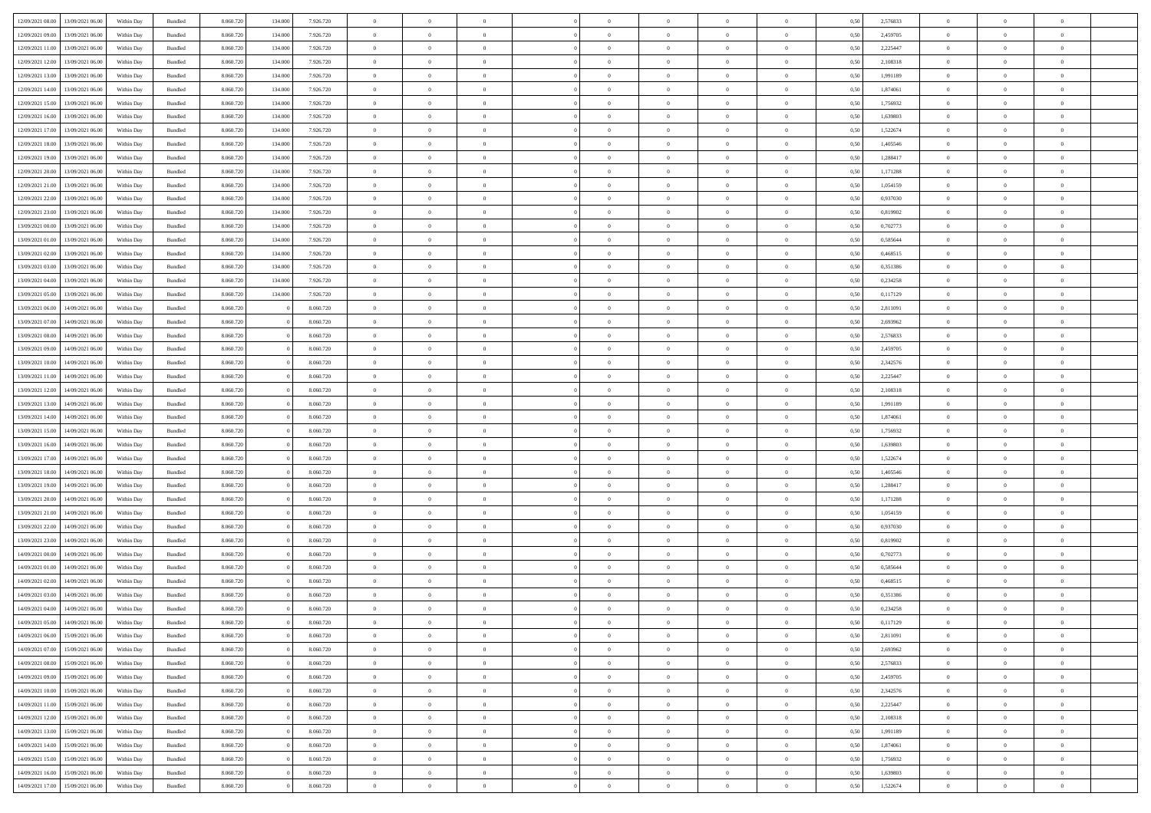|                  |                  |            |                    |           |         |           | $\overline{0}$ | $\Omega$       |                |                | $\Omega$       | $\theta$       | $\theta$       |      |          | $\theta$       |                | $\theta$       |  |
|------------------|------------------|------------|--------------------|-----------|---------|-----------|----------------|----------------|----------------|----------------|----------------|----------------|----------------|------|----------|----------------|----------------|----------------|--|
| 12/09/2021 08:00 | 13/09/2021 06:00 | Within Dav | Bundled            | 8.060.720 | 134.000 | 7.926.720 |                |                |                | $\Omega$       |                |                |                | 0.50 | 2,576833 |                | $\theta$       |                |  |
| 12/09/2021 09:00 | 13/09/2021 06:00 | Within Day | Bundled            | 8.060.720 | 134.000 | 7.926.720 | $\overline{0}$ | $\theta$       | $\overline{0}$ | $\overline{0}$ | $\bf{0}$       | $\overline{0}$ | $\bf{0}$       | 0,50 | 2,459705 | $\theta$       | $\theta$       | $\overline{0}$ |  |
| 12/09/2021 11:00 | 13/09/2021 06:00 | Within Day | Bundled            | 8.060.720 | 134.000 | 7.926.720 | $\overline{0}$ | $\overline{0}$ | $\overline{0}$ | $\bf{0}$       | $\bf{0}$       | $\bf{0}$       | $\mathbf{0}$   | 0,50 | 2,225447 | $\overline{0}$ | $\overline{0}$ | $\overline{0}$ |  |
|                  |                  |            |                    |           |         |           |                |                |                |                |                |                |                |      |          |                |                |                |  |
| 12/09/2021 12:00 | 13/09/2021 06:00 | Within Dav | Bundled            | 8.060.720 | 134,000 | 7.926.720 | $\overline{0}$ | $\overline{0}$ | $\overline{0}$ | $\overline{0}$ | $\bf{0}$       | $\overline{0}$ | $\overline{0}$ | 0.50 | 2,108318 | $\theta$       | $\theta$       | $\overline{0}$ |  |
| 12/09/2021 13:00 | 13/09/2021 06:00 | Within Day | Bundled            | 8.060.720 | 134.000 | 7.926.720 | $\overline{0}$ | $\theta$       | $\overline{0}$ | $\overline{0}$ | $\bf{0}$       | $\overline{0}$ | $\bf{0}$       | 0,50 | 1,991189 | $\theta$       | $\theta$       | $\overline{0}$ |  |
| 12/09/2021 14:00 | 13/09/2021 06:00 | Within Day | Bundled            | 8.060.720 | 134.000 | 7.926.720 | $\overline{0}$ | $\bf{0}$       | $\overline{0}$ | $\bf{0}$       | $\overline{0}$ | $\overline{0}$ | $\mathbf{0}$   | 0,50 | 1,874061 | $\overline{0}$ | $\overline{0}$ | $\bf{0}$       |  |
| 12/09/2021 15:00 | 13/09/2021 06:00 | Within Dav | Bundled            | 8.060.720 | 134,000 | 7.926.720 | $\overline{0}$ | $\overline{0}$ | $\overline{0}$ | $\overline{0}$ | $\overline{0}$ | $\overline{0}$ | $\overline{0}$ | 0.50 | 1,756932 | $\theta$       | $\overline{0}$ | $\overline{0}$ |  |
|                  |                  |            |                    |           |         |           |                |                |                |                |                |                |                |      |          |                |                |                |  |
| 12/09/2021 16:00 | 13/09/2021 06:00 | Within Day | Bundled            | 8.060.720 | 134.000 | 7.926.720 | $\overline{0}$ | $\theta$       | $\overline{0}$ | $\overline{0}$ | $\bf{0}$       | $\overline{0}$ | $\bf{0}$       | 0,50 | 1,639803 | $\theta$       | $\theta$       | $\overline{0}$ |  |
| 12/09/2021 17:00 | 13/09/2021 06:00 | Within Day | Bundled            | 8.060.720 | 134.000 | 7.926.720 | $\overline{0}$ | $\overline{0}$ | $\overline{0}$ | $\bf{0}$       | $\bf{0}$       | $\bf{0}$       | $\bf{0}$       | 0,50 | 1,522674 | $\,0\,$        | $\overline{0}$ | $\overline{0}$ |  |
| 12/09/2021 18:00 | 13/09/2021 06:00 | Within Dav | Bundled            | 8.060.720 | 134.000 | 7.926.720 | $\overline{0}$ | $\overline{0}$ | $\overline{0}$ | $\overline{0}$ | $\overline{0}$ | $\overline{0}$ | $\overline{0}$ | 0.50 | 1,405546 | $\theta$       | $\overline{0}$ | $\overline{0}$ |  |
|                  |                  |            |                    |           |         |           |                |                |                |                |                |                |                |      |          |                |                |                |  |
| 12/09/2021 19:00 | 13/09/2021 06:00 | Within Day | Bundled            | 8.060.720 | 134.000 | 7.926.720 | $\overline{0}$ | $\theta$       | $\overline{0}$ | $\overline{0}$ | $\bf{0}$       | $\overline{0}$ | $\bf{0}$       | 0,50 | 1,288417 | $\,$ 0 $\,$    | $\overline{0}$ | $\overline{0}$ |  |
| 12/09/2021 20:00 | 13/09/2021 06:00 | Within Day | Bundled            | 8.060.720 | 134.000 | 7.926.720 | $\overline{0}$ | $\overline{0}$ | $\overline{0}$ | $\overline{0}$ | $\bf{0}$       | $\overline{0}$ | $\mathbf{0}$   | 0,50 | 1,171288 | $\overline{0}$ | $\overline{0}$ | $\bf{0}$       |  |
| 12/09/2021 21:00 | 13/09/2021 06:00 | Within Day | Bundled            | 8.060.720 | 134,000 | 7.926.720 | $\overline{0}$ | $\overline{0}$ | $\overline{0}$ | $\overline{0}$ | $\overline{0}$ | $\overline{0}$ | $\overline{0}$ | 0.50 | 1,054159 | $\theta$       | $\theta$       | $\overline{0}$ |  |
| 12/09/2021 22:00 | 13/09/2021 06:00 | Within Day | Bundled            | 8.060.720 | 134.000 | 7.926.720 | $\overline{0}$ | $\theta$       | $\overline{0}$ | $\overline{0}$ | $\bf{0}$       | $\overline{0}$ | $\bf{0}$       | 0,50 | 0,937030 | $\theta$       | $\overline{0}$ | $\overline{0}$ |  |
|                  |                  |            |                    |           |         |           |                |                |                |                |                |                |                |      |          |                |                |                |  |
| 12/09/2021 23:00 | 13/09/2021 06:00 | Within Day | Bundled            | 8.060.720 | 134.000 | 7.926.720 | $\overline{0}$ | $\overline{0}$ | $\overline{0}$ | $\overline{0}$ | $\overline{0}$ | $\overline{0}$ | $\mathbf{0}$   | 0,50 | 0,819902 | $\overline{0}$ | $\overline{0}$ | $\bf{0}$       |  |
| 13/09/2021 00:00 | 13/09/2021 06:00 | Within Dav | Bundled            | 8.060.720 | 134.000 | 7.926.720 | $\overline{0}$ | $\overline{0}$ | $\overline{0}$ | $\overline{0}$ | $\overline{0}$ | $\overline{0}$ | $\overline{0}$ | 0.50 | 0,702773 | $\theta$       | $\overline{0}$ | $\overline{0}$ |  |
| 13/09/2021 01:00 | 13/09/2021 06:00 | Within Day | Bundled            | 8.060.720 | 134.000 | 7.926.720 | $\overline{0}$ | $\theta$       | $\overline{0}$ | $\overline{0}$ | $\bf{0}$       | $\overline{0}$ | $\bf{0}$       | 0,50 | 0,585644 | $\theta$       | $\theta$       | $\overline{0}$ |  |
|                  |                  |            |                    |           |         |           |                | $\overline{0}$ |                |                | $\bf{0}$       |                |                |      |          | $\,0\,$        | $\overline{0}$ | $\overline{0}$ |  |
| 13/09/2021 02:00 | 13/09/2021 06:00 | Within Day | Bundled            | 8.060.720 | 134.000 | 7.926.720 | $\overline{0}$ |                | $\overline{0}$ | $\overline{0}$ |                | $\overline{0}$ | $\mathbf{0}$   | 0,50 | 0,468515 |                |                |                |  |
| 13/09/2021 03:00 | 13/09/2021 06:00 | Within Day | Bundled            | 8.060.720 | 134,000 | 7.926.720 | $\overline{0}$ | $\overline{0}$ | $\overline{0}$ | $\overline{0}$ | $\overline{0}$ | $\overline{0}$ | $\overline{0}$ | 0.50 | 0,351386 | $\theta$       | $\overline{0}$ | $\overline{0}$ |  |
| 13/09/2021 04:00 | 13/09/2021 06:00 | Within Day | Bundled            | 8.060.720 | 134.000 | 7.926.720 | $\overline{0}$ | $\theta$       | $\overline{0}$ | $\overline{0}$ | $\bf{0}$       | $\overline{0}$ | $\bf{0}$       | 0,50 | 0,234258 | $\,$ 0 $\,$    | $\overline{0}$ | $\overline{0}$ |  |
| 13/09/2021 05:00 | 13/09/2021 06:00 | Within Day | Bundled            | 8.060.720 | 134.000 | 7.926.720 | $\overline{0}$ | $\overline{0}$ | $\overline{0}$ | $\overline{0}$ | $\bf{0}$       | $\overline{0}$ | $\bf{0}$       | 0,50 | 0,117129 | $\bf{0}$       | $\overline{0}$ | $\overline{0}$ |  |
| 13/09/2021 06:00 | 14/09/2021 06:00 | Within Day | Bundled            | 8.060.720 |         | 8.060.720 | $\overline{0}$ | $\overline{0}$ | $\overline{0}$ | $\overline{0}$ | $\overline{0}$ | $\overline{0}$ | $\overline{0}$ | 0.50 | 2,811091 | $\theta$       | $\overline{0}$ | $\overline{0}$ |  |
|                  |                  |            |                    |           |         |           |                |                |                |                |                |                |                |      |          |                |                |                |  |
| 13/09/2021 07:00 | 14/09/2021 06:00 | Within Day | Bundled            | 8.060.720 |         | 8.060.720 | $\overline{0}$ | $\theta$       | $\overline{0}$ | $\overline{0}$ | $\bf{0}$       | $\overline{0}$ | $\bf{0}$       | 0,50 | 2,693962 | $\,$ 0 $\,$    | $\overline{0}$ | $\overline{0}$ |  |
| 13/09/2021 08:00 | 14/09/2021 06:00 | Within Day | Bundled            | 8.060.720 |         | 8.060.720 | $\overline{0}$ | $\bf{0}$       | $\overline{0}$ | $\overline{0}$ | $\overline{0}$ | $\overline{0}$ | $\mathbf{0}$   | 0,50 | 2,576833 | $\overline{0}$ | $\overline{0}$ | $\bf{0}$       |  |
| 13/09/2021 09:00 | 14/09/2021 06:00 | Within Dav | Bundled            | 8.060.720 |         | 8.060.720 | $\overline{0}$ | $\overline{0}$ | $\overline{0}$ | $\overline{0}$ | $\overline{0}$ | $\overline{0}$ | $\overline{0}$ | 0.50 | 2,459705 | $\theta$       | $\overline{0}$ | $\overline{0}$ |  |
| 13/09/2021 10:00 | 14/09/2021 06:00 | Within Day | Bundled            | 8.060.720 |         | 8.060.720 | $\overline{0}$ | $\theta$       | $\overline{0}$ | $\overline{0}$ | $\bf{0}$       | $\overline{0}$ | $\bf{0}$       | 0,50 | 2,342576 | $\theta$       | $\theta$       | $\overline{0}$ |  |
|                  |                  |            |                    |           |         |           |                |                |                |                |                |                |                |      |          |                |                |                |  |
| 13/09/2021 11:00 | 14/09/2021 06:00 | Within Day | Bundled            | 8.060.720 |         | 8.060.720 | $\overline{0}$ | $\overline{0}$ | $\overline{0}$ | $\overline{0}$ | $\bf{0}$       | $\overline{0}$ | $\bf{0}$       | 0,50 | 2,225447 | $\,0\,$        | $\overline{0}$ | $\overline{0}$ |  |
| 13/09/2021 12:00 | 14/09/2021 06:00 | Within Day | Bundled            | 8.060.720 |         | 8.060.720 | $\overline{0}$ | $\overline{0}$ | $\overline{0}$ | $\overline{0}$ | $\overline{0}$ | $\overline{0}$ | $\overline{0}$ | 0.50 | 2,108318 | $\theta$       | $\overline{0}$ | $\overline{0}$ |  |
| 13/09/2021 13:00 | 14/09/2021 06:00 | Within Day | Bundled            | 8.060.720 |         | 8.060.720 | $\overline{0}$ | $\theta$       | $\overline{0}$ | $\overline{0}$ | $\bf{0}$       | $\overline{0}$ | $\bf{0}$       | 0,50 | 1,991189 | $\,$ 0 $\,$    | $\overline{0}$ | $\overline{0}$ |  |
|                  |                  |            |                    |           |         |           |                |                |                |                |                |                |                |      |          |                |                |                |  |
| 13/09/2021 14:00 | 14/09/2021 06:00 | Within Day | Bundled            | 8.060.720 |         | 8.060.720 | $\overline{0}$ | $\overline{0}$ | $\overline{0}$ | $\bf{0}$       | $\bf{0}$       | $\bf{0}$       | $\bf{0}$       | 0,50 | 1,874061 | $\bf{0}$       | $\overline{0}$ | $\overline{0}$ |  |
| 13/09/2021 15:00 | 14/09/2021 06:00 | Within Day | Bundled            | 8.060.720 |         | 8.060.720 | $\overline{0}$ | $\Omega$       | $\overline{0}$ | $\Omega$       | $\Omega$       | $\overline{0}$ | $\overline{0}$ | 0.50 | 1,756932 | $\,0\,$        | $\theta$       | $\theta$       |  |
| 13/09/2021 16:00 | 14/09/2021 06:00 | Within Day | Bundled            | 8.060.720 |         | 8.060.720 | $\overline{0}$ | $\theta$       | $\overline{0}$ | $\overline{0}$ | $\bf{0}$       | $\overline{0}$ | $\bf{0}$       | 0,50 | 1,639803 | $\,$ 0 $\,$    | $\overline{0}$ | $\overline{0}$ |  |
| 13/09/2021 17:00 | 14/09/2021 06:00 | Within Day | Bundled            | 8.060.720 |         | 8.060.720 | $\overline{0}$ | $\overline{0}$ | $\overline{0}$ | $\bf{0}$       | $\bf{0}$       | $\overline{0}$ | $\mathbf{0}$   | 0,50 | 1,522674 | $\overline{0}$ | $\overline{0}$ | $\bf{0}$       |  |
| 13/09/2021 18:00 | 14/09/2021 06:00 |            | Bundled            | 8.060.720 |         | 8.060.720 | $\overline{0}$ | $\Omega$       | $\Omega$       | $\Omega$       | $\overline{0}$ | $\overline{0}$ | $\overline{0}$ | 0.50 | 1,405546 | $\,0\,$        | $\theta$       | $\theta$       |  |
|                  |                  | Within Day |                    |           |         |           |                |                |                |                |                |                |                |      |          |                |                |                |  |
| 13/09/2021 19:00 | 14/09/2021 06:00 | Within Day | Bundled            | 8.060.720 |         | 8.060.720 | $\overline{0}$ | $\theta$       | $\overline{0}$ | $\overline{0}$ | $\bf{0}$       | $\overline{0}$ | $\bf{0}$       | 0,50 | 1,288417 | $\,$ 0 $\,$    | $\theta$       | $\overline{0}$ |  |
| 13/09/2021 20:00 | 14/09/2021 06:00 | Within Day | Bundled            | 8.060.720 |         | 8.060.720 | $\overline{0}$ | $\overline{0}$ | $\overline{0}$ | $\bf{0}$       | $\bf{0}$       | $\bf{0}$       | $\bf{0}$       | 0,50 | 1,171288 | $\,0\,$        | $\overline{0}$ | $\overline{0}$ |  |
| 13/09/2021 21:00 | 14/09/2021 06:00 | Within Day | Bundled            | 8.060.720 |         | 8.060.720 | $\overline{0}$ | $\Omega$       | $\overline{0}$ | $\Omega$       | $\overline{0}$ | $\overline{0}$ | $\overline{0}$ | 0.50 | 1.054159 | $\theta$       | $\theta$       | $\theta$       |  |
| 13/09/2021 22:00 | 14/09/2021 06:00 | Within Day | Bundled            | 8.060.720 |         | 8.060.720 | $\overline{0}$ | $\theta$       | $\overline{0}$ | $\overline{0}$ | $\bf{0}$       | $\overline{0}$ | $\bf{0}$       | 0,50 | 0,937030 | $\,$ 0 $\,$    | $\overline{0}$ | $\overline{0}$ |  |
|                  |                  |            |                    |           |         |           |                |                |                |                |                |                |                |      |          |                |                |                |  |
| 13/09/2021 23:00 | 14/09/2021 06:00 | Within Day | Bundled            | 8.060.720 |         | 8.060.720 | $\overline{0}$ | $\overline{0}$ | $\overline{0}$ | $\bf{0}$       | $\bf{0}$       | $\bf{0}$       | $\mathbf{0}$   | 0,50 | 0,819902 | $\overline{0}$ | $\overline{0}$ | $\overline{0}$ |  |
| 14/09/2021 00:00 | 14/09/2021 06:00 | Within Day | Bundled            | 8.060.720 |         | 8.060.720 | $\overline{0}$ | $\Omega$       | $\overline{0}$ | $\Omega$       | $\overline{0}$ | $\overline{0}$ | $\overline{0}$ | 0.50 | 0,702773 | $\,0\,$        | $\theta$       | $\theta$       |  |
| 14/09/2021 01:00 | 14/09/2021 06:00 | Within Day | Bundled            | 8.060.720 |         | 8.060.720 | $\overline{0}$ | $\theta$       | $\overline{0}$ | $\overline{0}$ | $\,$ 0         | $\overline{0}$ | $\bf{0}$       | 0,50 | 0,585644 | $\,$ 0 $\,$    | $\overline{0}$ | $\overline{0}$ |  |
|                  |                  |            |                    |           |         |           |                | $\overline{0}$ |                |                | $\bf{0}$       |                |                |      |          |                | $\overline{0}$ | $\bf{0}$       |  |
| 14/09/2021 02:00 | 14/09/2021 06:00 | Within Day | Bundled            | 8.060.720 |         | 8.060.720 | $\overline{0}$ |                | $\overline{0}$ | $\bf{0}$       |                | $\bf{0}$       | $\mathbf{0}$   | 0,50 | 0,468515 | $\overline{0}$ |                |                |  |
| 14/09/2021 03:00 | 14/09/2021 06:00 | Within Day | Bundled            | 8.060.720 |         | 8.060.720 | $\overline{0}$ | $\Omega$       | $\Omega$       | $\Omega$       | $\Omega$       | $\Omega$       | $\overline{0}$ | 0.50 | 0,351386 | $\theta$       | $\theta$       | $\theta$       |  |
| 14/09/2021 04:00 | 14/09/2021 06:00 | Within Day | Bundled            | 8.060.720 |         | 8.060.720 | $\overline{0}$ | $\overline{0}$ | $\overline{0}$ | $\bf{0}$       | $\,$ 0         | $\bf{0}$       | $\bf{0}$       | 0,50 | 0,234258 | $\,0\,$        | $\,$ 0 $\,$    | $\overline{0}$ |  |
| 14/09/2021 05:00 | 14/09/2021 06:00 | Within Day | $\mathbf B$ undled | 8.060.720 |         | 8.060.720 | $\bf{0}$       | $\bf{0}$       |                |                | $\bf{0}$       |                |                | 0,50 | 0,117129 | $\bf{0}$       | $\overline{0}$ |                |  |
| 14/09/2021 06:00 | 15/09/2021 06:00 |            |                    | 8.060.720 |         | 8.060.720 | $\overline{0}$ | $\overline{0}$ |                | $\Omega$       | $\overline{0}$ | $\overline{0}$ |                | 0.50 |          | $\theta$       | $\theta$       | $\theta$       |  |
|                  |                  | Within Day | Bundled            |           |         |           |                |                | $\overline{0}$ |                |                |                | $\overline{0}$ |      | 2,811091 |                |                |                |  |
| 14/09/2021 07:00 | 15/09/2021 06:00 | Within Day | Bundled            | 8.060.720 |         | 8.060.720 | $\overline{0}$ | $\,$ 0         | $\overline{0}$ | $\bf{0}$       | $\,$ 0 $\,$    | $\overline{0}$ | $\mathbf{0}$   | 0,50 | 2,693962 | $\,$ 0 $\,$    | $\,$ 0 $\,$    | $\,$ 0         |  |
| 14/09/2021 08:00 | 15/09/2021 06:00 | Within Day | Bundled            | 8.060.720 |         | 8.060.720 | $\overline{0}$ | $\overline{0}$ | $\overline{0}$ | $\overline{0}$ | $\overline{0}$ | $\overline{0}$ | $\mathbf{0}$   | 0,50 | 2,576833 | $\overline{0}$ | $\bf{0}$       | $\bf{0}$       |  |
| 14/09/2021 09:00 | 15/09/2021 06:00 | Within Day | Bundled            | 8.060.720 |         | 8.060.720 | $\overline{0}$ | $\overline{0}$ | $\overline{0}$ | $\Omega$       | $\overline{0}$ | $\overline{0}$ | $\overline{0}$ | 0,50 | 2,459705 | $\overline{0}$ | $\theta$       | $\overline{0}$ |  |
| 14/09/2021 10:00 | 15/09/2021 06:00 | Within Day | Bundled            | 8.060.720 |         | 8.060.720 | $\overline{0}$ | $\,$ 0         | $\overline{0}$ | $\overline{0}$ | $\,$ 0 $\,$    | $\overline{0}$ | $\mathbf{0}$   | 0,50 | 2,342576 | $\,$ 0 $\,$    | $\overline{0}$ | $\overline{0}$ |  |
|                  |                  |            |                    |           |         |           |                |                |                |                |                |                |                |      |          |                |                |                |  |
| 14/09/2021 11:00 | 15/09/2021 06:00 | Within Day | Bundled            | 8.060.720 |         | 8.060.720 | $\overline{0}$ | $\overline{0}$ | $\overline{0}$ | $\overline{0}$ | $\overline{0}$ | $\overline{0}$ | $\mathbf{0}$   | 0,50 | 2,225447 | $\overline{0}$ | $\overline{0}$ | $\bf{0}$       |  |
| 14/09/2021 12:00 | 15/09/2021 06:00 | Within Day | Bundled            | 8.060.720 |         | 8.060.720 | $\overline{0}$ | $\overline{0}$ | $\overline{0}$ | $\Omega$       | $\overline{0}$ | $\overline{0}$ | $\bf{0}$       | 0.50 | 2,108318 | $\overline{0}$ | $\theta$       | $\overline{0}$ |  |
| 14/09/2021 13:00 | 15/09/2021 06:00 | Within Day | Bundled            | 8.060.720 |         | 8.060.720 | $\overline{0}$ | $\,$ 0         | $\overline{0}$ | $\overline{0}$ | $\bf{0}$       | $\overline{0}$ | $\bf{0}$       | 0,50 | 1,991189 | $\,$ 0 $\,$    | $\overline{0}$ | $\overline{0}$ |  |
|                  |                  |            |                    |           |         |           |                | $\bf{0}$       |                |                |                |                |                |      |          |                | $\overline{0}$ |                |  |
| 14/09/2021 14:00 | 15/09/2021 06:00 | Within Day | Bundled            | 8.060.720 |         | 8.060.720 | $\overline{0}$ |                | $\overline{0}$ | $\overline{0}$ | $\overline{0}$ | $\overline{0}$ | $\mathbf{0}$   | 0,50 | 1,874061 | $\overline{0}$ |                | $\bf{0}$       |  |
| 14/09/2021 15:00 | 15/09/2021 06:00 | Within Day | Bundled            | 8.060.720 |         | 8.060.720 | $\overline{0}$ | $\overline{0}$ | $\overline{0}$ | $\Omega$       | $\overline{0}$ | $\overline{0}$ | $\bf{0}$       | 0.50 | 1,756932 | $\overline{0}$ | $\overline{0}$ | $\overline{0}$ |  |
| 14/09/2021 16:00 | 15/09/2021 06:00 | Within Day | Bundled            | 8.060.720 |         | 8.060.720 | $\overline{0}$ | $\bf{0}$       | $\overline{0}$ | $\overline{0}$ | $\bf{0}$       | $\overline{0}$ | $\mathbf{0}$   | 0,50 | 1,639803 | $\,$ 0 $\,$    | $\,$ 0 $\,$    | $\bf{0}$       |  |
| 14/09/2021 17:00 | 15/09/2021 06:00 | Within Day | Bundled            | 8.060.720 |         | 8.060.720 | $\overline{0}$ | $\overline{0}$ | $\overline{0}$ | $\overline{0}$ | $\bf{0}$       | $\overline{0}$ | $\mathbf{0}$   | 0,50 | 1,522674 | $\overline{0}$ | $\bf{0}$       | $\bf{0}$       |  |
|                  |                  |            |                    |           |         |           |                |                |                |                |                |                |                |      |          |                |                |                |  |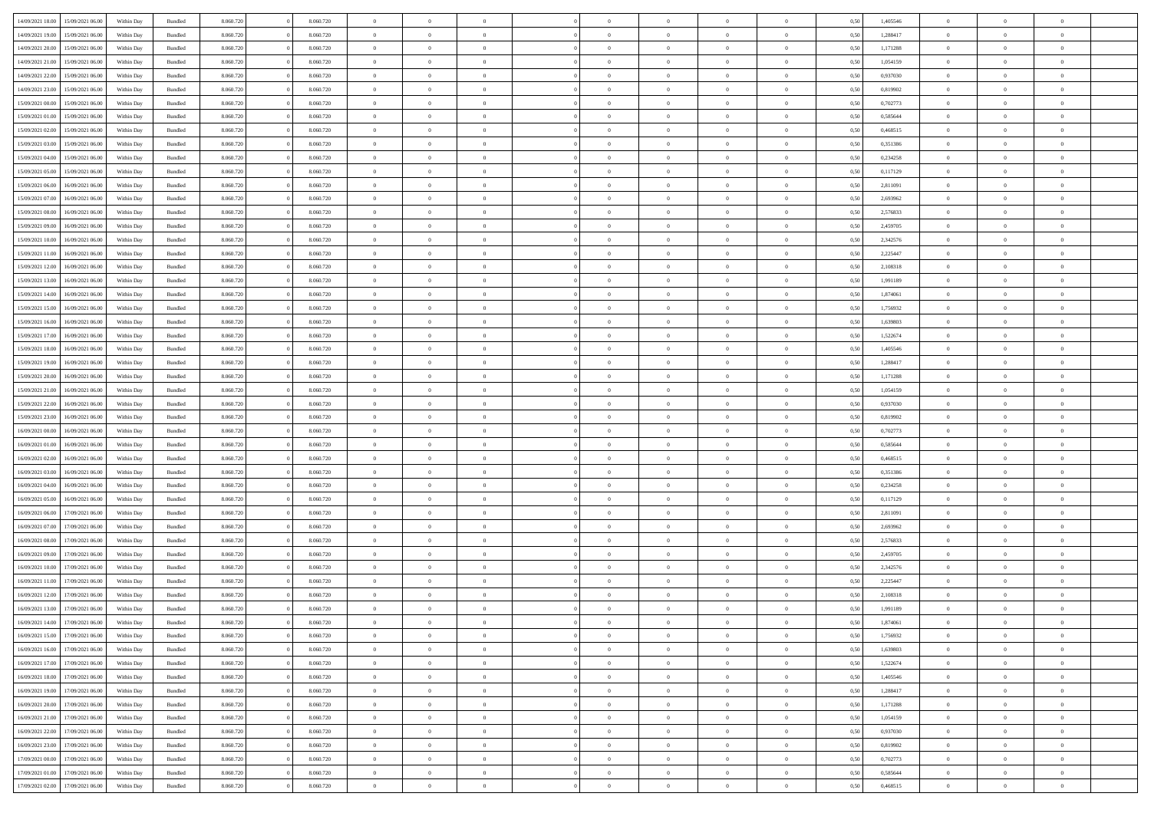| 14/09/2021 18:00 | 15/09/2021 06:00                  | Within Dav | Bundled            | 8.060.720 | 8.060.720 | $\overline{0}$ | $\Omega$       |                | $\Omega$       | $\Omega$       | $\Omega$       | $\Omega$       | 0.50 | 1,405546 | $\theta$       | $\theta$       | $\theta$       |  |
|------------------|-----------------------------------|------------|--------------------|-----------|-----------|----------------|----------------|----------------|----------------|----------------|----------------|----------------|------|----------|----------------|----------------|----------------|--|
| 14/09/2021 19:00 | 15/09/2021 06:00                  | Within Day | Bundled            | 8.060.720 | 8.060.720 | $\overline{0}$ | $\theta$       | $\overline{0}$ | $\overline{0}$ | $\bf{0}$       | $\overline{0}$ | $\overline{0}$ | 0,50 | 1,288417 | $\theta$       | $\theta$       | $\overline{0}$ |  |
| 14/09/2021 20:00 | 15/09/2021 06:00                  | Within Day | Bundled            | 8.060.720 | 8.060.720 | $\overline{0}$ | $\overline{0}$ | $\overline{0}$ | $\overline{0}$ | $\bf{0}$       | $\overline{0}$ | $\bf{0}$       | 0,50 | 1,171288 | $\overline{0}$ | $\overline{0}$ | $\overline{0}$ |  |
|                  |                                   |            |                    |           |           |                |                |                |                |                |                |                |      |          | $\theta$       |                |                |  |
| 14/09/2021 21:00 | 15/09/2021 06:00                  | Within Dav | Bundled            | 8.060.720 | 8.060.720 | $\overline{0}$ | $\overline{0}$ | $\overline{0}$ | $\overline{0}$ | $\bf{0}$       | $\overline{0}$ | $\overline{0}$ | 0.50 | 1.054159 |                | $\theta$       | $\overline{0}$ |  |
| 14/09/2021 22:00 | 15/09/2021 06:00                  | Within Day | Bundled            | 8.060.720 | 8.060.720 | $\overline{0}$ | $\theta$       | $\overline{0}$ | $\overline{0}$ | $\bf{0}$       | $\overline{0}$ | $\bf{0}$       | 0,50 | 0,937030 | $\theta$       | $\theta$       | $\overline{0}$ |  |
| 14/09/2021 23:00 | 15/09/2021 06:00                  | Within Day | Bundled            | 8.060.720 | 8.060.720 | $\overline{0}$ | $\bf{0}$       | $\overline{0}$ | $\overline{0}$ | $\overline{0}$ | $\overline{0}$ | $\mathbf{0}$   | 0,50 | 0,819902 | $\overline{0}$ | $\overline{0}$ | $\bf{0}$       |  |
| 15/09/2021 00:00 | 15/09/2021 06:00                  | Within Dav | Bundled            | 8.060.720 | 8.060.720 | $\overline{0}$ | $\overline{0}$ | $\overline{0}$ | $\overline{0}$ | $\overline{0}$ | $\overline{0}$ | $\overline{0}$ | 0.50 | 0,702773 | $\theta$       | $\theta$       | $\overline{0}$ |  |
|                  |                                   |            |                    |           |           |                |                |                |                |                |                |                |      |          |                |                |                |  |
| 15/09/2021 01:00 | 15/09/2021 06:00                  | Within Day | Bundled            | 8.060.720 | 8.060.720 | $\overline{0}$ | $\theta$       | $\overline{0}$ | $\overline{0}$ | $\bf{0}$       | $\overline{0}$ | $\bf{0}$       | 0,50 | 0,585644 | $\theta$       | $\theta$       | $\overline{0}$ |  |
| 15/09/2021 02:00 | 15/09/2021 06:00                  | Within Day | Bundled            | 8.060.720 | 8.060.720 | $\overline{0}$ | $\overline{0}$ | $\overline{0}$ | $\overline{0}$ | $\bf{0}$       | $\overline{0}$ | $\bf{0}$       | 0,50 | 0,468515 | $\,0\,$        | $\overline{0}$ | $\overline{0}$ |  |
| 15/09/2021 03:00 | 15/09/2021 06:00                  | Within Dav | Bundled            | 8.060.720 | 8.060.720 | $\overline{0}$ | $\overline{0}$ | $\overline{0}$ | $\overline{0}$ | $\overline{0}$ | $\overline{0}$ | $\overline{0}$ | 0.50 | 0,351386 | $\theta$       | $\overline{0}$ | $\overline{0}$ |  |
| 15/09/2021 04:00 | 15/09/2021 06:00                  |            | Bundled            | 8.060.720 | 8.060.720 | $\overline{0}$ | $\theta$       | $\overline{0}$ | $\overline{0}$ | $\bf{0}$       | $\overline{0}$ |                |      | 0,234258 | $\,$ 0 $\,$    | $\theta$       | $\overline{0}$ |  |
|                  |                                   | Within Day |                    |           |           |                |                |                |                |                |                | $\bf{0}$       | 0,50 |          |                |                |                |  |
| 15/09/2021 05:00 | 15/09/2021 06:00                  | Within Day | Bundled            | 8.060.720 | 8.060.720 | $\overline{0}$ | $\overline{0}$ | $\overline{0}$ | $\overline{0}$ | $\bf{0}$       | $\overline{0}$ | $\bf{0}$       | 0,50 | 0,117129 | $\overline{0}$ | $\overline{0}$ | $\overline{0}$ |  |
| 15/09/2021 06:00 | 16/09/2021 06:00                  | Within Day | Bundled            | 8.060.720 | 8.060.720 | $\overline{0}$ | $\overline{0}$ | $\overline{0}$ | $\overline{0}$ | $\bf{0}$       | $\overline{0}$ | $\overline{0}$ | 0.50 | 2,811091 | $\theta$       | $\theta$       | $\overline{0}$ |  |
| 15/09/2021 07:00 | 16/09/2021 06:00                  | Within Day | Bundled            | 8.060.720 | 8.060.720 | $\overline{0}$ | $\theta$       | $\overline{0}$ | $\overline{0}$ | $\bf{0}$       | $\overline{0}$ | $\overline{0}$ | 0,50 | 2,693962 | $\theta$       | $\theta$       | $\overline{0}$ |  |
|                  |                                   |            |                    |           |           |                |                |                |                |                |                |                |      |          |                |                |                |  |
| 15/09/2021 08:00 | 16/09/2021 06:00                  | Within Day | Bundled            | 8.060.720 | 8.060.720 | $\overline{0}$ | $\bf{0}$       | $\overline{0}$ | $\overline{0}$ | $\overline{0}$ | $\overline{0}$ | $\mathbf{0}$   | 0,50 | 2,576833 | $\overline{0}$ | $\overline{0}$ | $\bf{0}$       |  |
| 15/09/2021 09:00 | 16/09/2021 06:00                  | Within Dav | Bundled            | 8.060.720 | 8.060.720 | $\overline{0}$ | $\overline{0}$ | $\overline{0}$ | $\overline{0}$ | $\overline{0}$ | $\overline{0}$ | $\overline{0}$ | 0.50 | 2,459705 | $\theta$       | $\overline{0}$ | $\overline{0}$ |  |
| 15/09/2021 10:00 | 16/09/2021 06:00                  | Within Day | Bundled            | 8.060.720 | 8.060.720 | $\overline{0}$ | $\theta$       | $\overline{0}$ | $\overline{0}$ | $\bf{0}$       | $\overline{0}$ | $\bf{0}$       | 0,50 | 2,342576 | $\theta$       | $\theta$       | $\overline{0}$ |  |
| 15/09/2021 11:00 | 16/09/2021 06:00                  | Within Day | Bundled            | 8.060.720 | 8.060.720 | $\overline{0}$ | $\overline{0}$ | $\overline{0}$ | $\bf{0}$       | $\bf{0}$       | $\bf{0}$       | $\bf{0}$       | 0,50 | 2,225447 | $\,0\,$        | $\overline{0}$ | $\overline{0}$ |  |
| 15/09/2021 12:00 | 16/09/2021 06:00                  |            | Bundled            | 8.060.720 | 8.060.720 | $\overline{0}$ | $\overline{0}$ | $\overline{0}$ | $\overline{0}$ | $\overline{0}$ | $\overline{0}$ | $\overline{0}$ | 0.50 | 2,108318 | $\theta$       | $\overline{0}$ | $\overline{0}$ |  |
|                  |                                   | Within Day |                    |           |           |                |                |                |                |                |                |                |      |          |                |                |                |  |
| 15/09/2021 13:00 | 16/09/2021 06:00                  | Within Day | Bundled            | 8.060.720 | 8.060.720 | $\overline{0}$ | $\theta$       | $\overline{0}$ | $\overline{0}$ | $\bf{0}$       | $\overline{0}$ | $\bf{0}$       | 0,50 | 1,991189 | $\,$ 0 $\,$    | $\theta$       | $\overline{0}$ |  |
| 15/09/2021 14:00 | 16/09/2021 06:00                  | Within Day | Bundled            | 8.060.720 | 8.060.720 | $\overline{0}$ | $\overline{0}$ | $\overline{0}$ | $\bf{0}$       | $\bf{0}$       | $\bf{0}$       | $\bf{0}$       | 0,50 | 1,874061 | $\,0\,$        | $\overline{0}$ | $\overline{0}$ |  |
| 15/09/2021 15:00 | 16/09/2021 06:00                  | Within Day | Bundled            | 8.060.720 | 8.060.720 | $\overline{0}$ | $\overline{0}$ | $\overline{0}$ | $\overline{0}$ | $\bf{0}$       | $\overline{0}$ | $\overline{0}$ | 0.50 | 1,756932 | $\theta$       | $\theta$       | $\overline{0}$ |  |
|                  |                                   |            |                    |           |           | $\overline{0}$ | $\theta$       |                |                |                |                |                |      |          |                | $\overline{0}$ |                |  |
| 15/09/2021 16:00 | 16/09/2021 06:00                  | Within Day | Bundled            | 8.060.720 | 8.060.720 |                |                | $\overline{0}$ | $\overline{0}$ | $\bf{0}$       | $\overline{0}$ | $\bf{0}$       | 0,50 | 1,639803 | $\,$ 0 $\,$    |                | $\overline{0}$ |  |
| 15/09/2021 17:00 | 16/09/2021 06:00                  | Within Day | Bundled            | 8.060.720 | 8.060.720 | $\overline{0}$ | $\bf{0}$       | $\overline{0}$ | $\bf{0}$       | $\overline{0}$ | $\overline{0}$ | $\mathbf{0}$   | 0,50 | 1,522674 | $\overline{0}$ | $\overline{0}$ | $\bf{0}$       |  |
| 15/09/2021 18:00 | 16/09/2021 06:00                  | Within Dav | Bundled            | 8.060.720 | 8.060.720 | $\overline{0}$ | $\overline{0}$ | $\overline{0}$ | $\overline{0}$ | $\overline{0}$ | $\overline{0}$ | $\overline{0}$ | 0.50 | 1,405546 | $\theta$       | $\theta$       | $\overline{0}$ |  |
| 15/09/2021 19:00 | 16/09/2021 06:00                  | Within Day | Bundled            | 8.060.720 | 8.060.720 | $\overline{0}$ | $\theta$       | $\overline{0}$ | $\overline{0}$ | $\bf{0}$       | $\overline{0}$ | $\bf{0}$       | 0,50 | 1,288417 | $\theta$       | $\theta$       | $\overline{0}$ |  |
|                  |                                   |            |                    |           |           |                |                |                |                |                |                |                |      |          |                |                |                |  |
| 15/09/2021 20:00 | 16/09/2021 06:00                  | Within Day | Bundled            | 8.060.720 | 8.060.720 | $\overline{0}$ | $\overline{0}$ | $\overline{0}$ | $\bf{0}$       | $\bf{0}$       | $\bf{0}$       | $\bf{0}$       | 0,50 | 1,171288 | $\,0\,$        | $\overline{0}$ | $\overline{0}$ |  |
| 15/09/2021 21:00 | 16/09/2021 06:00                  | Within Day | Bundled            | 8.060.720 | 8.060.720 | $\overline{0}$ | $\overline{0}$ | $\overline{0}$ | $\overline{0}$ | $\overline{0}$ | $\overline{0}$ | $\overline{0}$ | 0.50 | 1,054159 | $\theta$       | $\overline{0}$ | $\overline{0}$ |  |
| 15/09/2021 22:00 | 16/09/2021 06:00                  | Within Day | Bundled            | 8.060.720 | 8.060.720 | $\overline{0}$ | $\theta$       | $\overline{0}$ | $\overline{0}$ | $\bf{0}$       | $\overline{0}$ | $\bf{0}$       | 0,50 | 0,937030 | $\,$ 0 $\,$    | $\overline{0}$ | $\overline{0}$ |  |
| 15/09/2021 23.00 | 16/09/2021 06:00                  | Within Day | Bundled            | 8.060.720 | 8.060.720 | $\overline{0}$ | $\overline{0}$ | $\overline{0}$ | $\bf{0}$       | $\bf{0}$       | $\bf{0}$       | $\bf{0}$       | 0,50 | 0,819902 | $\bf{0}$       | $\overline{0}$ | $\overline{0}$ |  |
|                  |                                   |            |                    |           |           |                |                |                |                |                |                |                |      |          |                |                |                |  |
| 16/09/2021 00:00 | 16/09/2021 06:00                  | Within Day | Bundled            | 8.060.720 | 8.060.720 | $\overline{0}$ | $\Omega$       | $\Omega$       | $\Omega$       | $\Omega$       | $\Omega$       | $\overline{0}$ | 0,50 | 0,702773 | $\,0\,$        | $\theta$       | $\theta$       |  |
| 16/09/2021 01:00 | 16/09/2021 06:00                  | Within Day | Bundled            | 8.060.720 | 8.060.720 | $\overline{0}$ | $\theta$       | $\overline{0}$ | $\overline{0}$ | $\bf{0}$       | $\overline{0}$ | $\bf{0}$       | 0,50 | 0,585644 | $\theta$       | $\theta$       | $\overline{0}$ |  |
| 16/09/2021 02:00 | 16/09/2021 06:00                  | Within Day | Bundled            | 8.060.720 | 8.060.720 | $\overline{0}$ | $\overline{0}$ | $\overline{0}$ | $\bf{0}$       | $\bf{0}$       | $\overline{0}$ | $\mathbf{0}$   | 0,50 | 0,468515 | $\overline{0}$ | $\overline{0}$ | $\bf{0}$       |  |
| 16/09/2021 03:00 | 16/09/2021 06:00                  | Within Day | Bundled            | 8.060.720 | 8.060.720 | $\overline{0}$ | $\Omega$       | $\Omega$       | $\Omega$       | $\bf{0}$       | $\overline{0}$ | $\overline{0}$ | 0.50 | 0,351386 | $\theta$       | $\theta$       | $\theta$       |  |
| 16/09/2021 04:00 | 16/09/2021 06:00                  |            |                    | 8.060.720 | 8.060.720 | $\overline{0}$ | $\theta$       | $\overline{0}$ | $\overline{0}$ | $\bf{0}$       | $\overline{0}$ |                |      | 0,234258 | $\,$ 0 $\,$    | $\theta$       | $\overline{0}$ |  |
|                  |                                   | Within Day | Bundled            |           |           |                |                |                |                |                |                | $\bf{0}$       | 0,50 |          |                |                |                |  |
| 16/09/2021 05:00 | 16/09/2021 06:00                  | Within Day | Bundled            | 8.060.720 | 8.060.720 | $\overline{0}$ | $\overline{0}$ | $\overline{0}$ | $\bf{0}$       | $\bf{0}$       | $\bf{0}$       | $\bf{0}$       | 0,50 | 0,117129 | $\,0\,$        | $\overline{0}$ | $\overline{0}$ |  |
| 16/09/2021 06:00 | 17/09/2021 06:00                  | Within Day | Bundled            | 8.060.720 | 8.060.720 | $\overline{0}$ | $\Omega$       | $\Omega$       | $\Omega$       | $\Omega$       | $\theta$       | $\overline{0}$ | 0.50 | 2,811091 | $\theta$       | $\theta$       | $\theta$       |  |
| 16/09/2021 07:00 | 17/09/2021 06:00                  | Within Day | Bundled            | 8.060.720 | 8.060.720 | $\overline{0}$ | $\theta$       | $\overline{0}$ | $\overline{0}$ | $\bf{0}$       | $\overline{0}$ | $\bf{0}$       | 0,50 | 2,693962 | $\,$ 0 $\,$    | $\overline{0}$ | $\overline{0}$ |  |
|                  |                                   |            |                    |           |           |                | $\overline{0}$ |                |                | $\bf{0}$       |                |                |      |          |                | $\overline{0}$ | $\overline{0}$ |  |
| 16/09/2021 08:00 | 17/09/2021 06:00                  | Within Day | Bundled            | 8.060.720 | 8.060.720 | $\overline{0}$ |                | $\overline{0}$ | $\bf{0}$       |                | $\bf{0}$       | $\bf{0}$       | 0,50 | 2,576833 | $\overline{0}$ |                |                |  |
| 16/09/2021 09:00 | 17/09/2021 06:00                  | Within Day | Bundled            | 8.060.720 | 8.060.720 | $\overline{0}$ | $\Omega$       | $\Omega$       | $\Omega$       | $\Omega$       | $\overline{0}$ | $\overline{0}$ | 0.50 | 2,459705 | $\,0\,$        | $\theta$       | $\theta$       |  |
| 16/09/2021 10:00 | 17/09/2021 06:00                  | Within Day | Bundled            | 8.060.720 | 8.060.720 | $\overline{0}$ | $\theta$       | $\overline{0}$ | $\overline{0}$ | $\bf{0}$       | $\overline{0}$ | $\bf{0}$       | 0,50 | 2,342576 | $\,$ 0 $\,$    | $\overline{0}$ | $\overline{0}$ |  |
| 16/09/2021 11:00 | 17/09/2021 06:00                  | Within Day | Bundled            | 8.060.720 | 8.060.720 | $\overline{0}$ | $\overline{0}$ | $\overline{0}$ | $\bf{0}$       | $\bf{0}$       | $\overline{0}$ | $\mathbf{0}$   | 0,50 | 2,225447 | $\overline{0}$ | $\overline{0}$ | $\bf{0}$       |  |
| 16/09/2021 12:00 | 17/09/2021 06.00                  | Within Day | Bundled            | 8.060.720 | 8.060.720 | $\overline{0}$ | $\Omega$       | $\Omega$       | $\Omega$       | $\Omega$       | $\Omega$       | $\overline{0}$ | 0.50 | 2,108318 | $\theta$       | $\theta$       | $\theta$       |  |
|                  |                                   |            |                    |           |           |                |                |                |                |                |                |                |      |          |                |                |                |  |
| 16/09/2021 13:00 | 17/09/2021 06:00                  | Within Day | Bundled            | 8.060.720 | 8.060.720 | $\overline{0}$ | $\overline{0}$ | $\overline{0}$ | $\bf{0}$       | $\,$ 0         | $\overline{0}$ | $\bf{0}$       | 0,50 | 1,991189 | $\,0\,$        | $\overline{0}$ | $\overline{0}$ |  |
|                  | 16/09/2021 14:00 17/09/2021 06:00 | Within Day | $\mathbf B$ undled | 8.060.720 | 8.060.720 | $\bf{0}$       | $\bf{0}$       |                |                | $\bf{0}$       |                |                | 0,50 | 1,874061 | $\bf{0}$       | $\overline{0}$ |                |  |
| 16/09/2021 15:00 | 17/09/2021 06:00                  | Within Day | Bundled            | 8.060.720 | 8.060.720 | $\overline{0}$ | $\overline{0}$ | $\overline{0}$ | $\Omega$       | $\overline{0}$ | $\overline{0}$ | $\overline{0}$ | 0.50 | 1,756932 | $\theta$       | $\theta$       | $\theta$       |  |
| 16/09/2021 16:00 | 17/09/2021 06:00                  | Within Day | Bundled            | 8.060.720 | 8.060.720 | $\overline{0}$ | $\,$ 0         | $\overline{0}$ | $\overline{0}$ | $\,$ 0 $\,$    | $\overline{0}$ | $\mathbf{0}$   | 0,50 | 1,639803 | $\,$ 0 $\,$    | $\,$ 0 $\,$    | $\,$ 0         |  |
|                  |                                   |            |                    |           |           |                |                |                |                |                |                |                |      |          |                |                |                |  |
| 16/09/2021 17:00 | 17/09/2021 06:00                  | Within Day | Bundled            | 8.060.720 | 8.060.720 | $\overline{0}$ | $\overline{0}$ | $\overline{0}$ | $\overline{0}$ | $\overline{0}$ | $\overline{0}$ | $\mathbf{0}$   | 0,50 | 1,522674 | $\overline{0}$ | $\bf{0}$       | $\overline{0}$ |  |
| 16/09/2021 18:00 | 17/09/2021 06:00                  | Within Day | Bundled            | 8.060.720 | 8.060.720 | $\overline{0}$ | $\overline{0}$ | $\overline{0}$ | $\Omega$       | $\overline{0}$ | $\overline{0}$ | $\overline{0}$ | 0,50 | 1,405546 | $\overline{0}$ | $\theta$       | $\overline{0}$ |  |
| 16/09/2021 19:00 | 17/09/2021 06:00                  | Within Day | Bundled            | 8.060.720 | 8.060.720 | $\overline{0}$ | $\,$ 0         | $\overline{0}$ | $\overline{0}$ | $\,$ 0 $\,$    | $\overline{0}$ | $\mathbf{0}$   | 0,50 | 1,288417 | $\,$ 0 $\,$    | $\overline{0}$ | $\overline{0}$ |  |
| 16/09/2021 20:00 | 17/09/2021 06:00                  | Within Day | Bundled            | 8.060.720 | 8.060.720 | $\overline{0}$ | $\overline{0}$ | $\overline{0}$ | $\overline{0}$ | $\overline{0}$ | $\overline{0}$ | $\mathbf{0}$   | 0,50 | 1,171288 | $\overline{0}$ | $\overline{0}$ | $\overline{0}$ |  |
|                  |                                   |            |                    |           |           |                |                |                |                |                |                |                |      |          |                |                |                |  |
| 16/09/2021 21:00 | 17/09/2021 06:00                  | Within Day | Bundled            | 8.060.720 | 8.060.720 | $\overline{0}$ | $\overline{0}$ | $\overline{0}$ | $\Omega$       | $\overline{0}$ | $\overline{0}$ | $\bf{0}$       | 0.50 | 1,054159 | $\overline{0}$ | $\theta$       | $\overline{0}$ |  |
| 16/09/2021 22:00 | 17/09/2021 06:00                  | Within Day | Bundled            | 8.060.720 | 8.060.720 | $\overline{0}$ | $\,$ 0         | $\overline{0}$ | $\overline{0}$ | $\bf{0}$       | $\overline{0}$ | $\bf{0}$       | 0,50 | 0,937030 | $\,$ 0 $\,$    | $\overline{0}$ | $\overline{0}$ |  |
| 16/09/2021 23:00 | 17/09/2021 06:00                  | Within Day | Bundled            | 8.060.720 | 8.060.720 | $\overline{0}$ | $\bf{0}$       | $\overline{0}$ | $\overline{0}$ | $\overline{0}$ | $\overline{0}$ | $\mathbf{0}$   | 0,50 | 0,819902 | $\overline{0}$ | $\overline{0}$ | $\bf{0}$       |  |
| 17/09/2021 00:00 | 17/09/2021 06:00                  | Within Day | Bundled            | 8.060.720 | 8.060.720 | $\overline{0}$ | $\overline{0}$ | $\overline{0}$ | $\Omega$       | $\overline{0}$ | $\overline{0}$ | $\overline{0}$ | 0.50 | 0,702773 | $\overline{0}$ | $\overline{0}$ | $\overline{0}$ |  |
|                  |                                   |            |                    |           |           |                |                |                |                |                |                |                |      |          |                |                |                |  |
| 17/09/2021 01:00 | 17/09/2021 06:00                  | Within Day | Bundled            | 8.060.720 | 8.060.720 | $\overline{0}$ | $\bf{0}$       | $\overline{0}$ | $\bf{0}$       | $\bf{0}$       | $\overline{0}$ | $\mathbf{0}$   | 0,50 | 0,585644 | $\,$ 0 $\,$    | $\,$ 0 $\,$    | $\bf{0}$       |  |
|                  | 17/09/2021 02:00 17/09/2021 06:00 | Within Day | Bundled            | 8.060.720 | 8.060.720 | $\overline{0}$ | $\overline{0}$ | $\overline{0}$ | $\overline{0}$ | $\overline{0}$ | $\overline{0}$ | $\mathbf{0}$   | 0,50 | 0,468515 | $\overline{0}$ | $\bf{0}$       | $\overline{0}$ |  |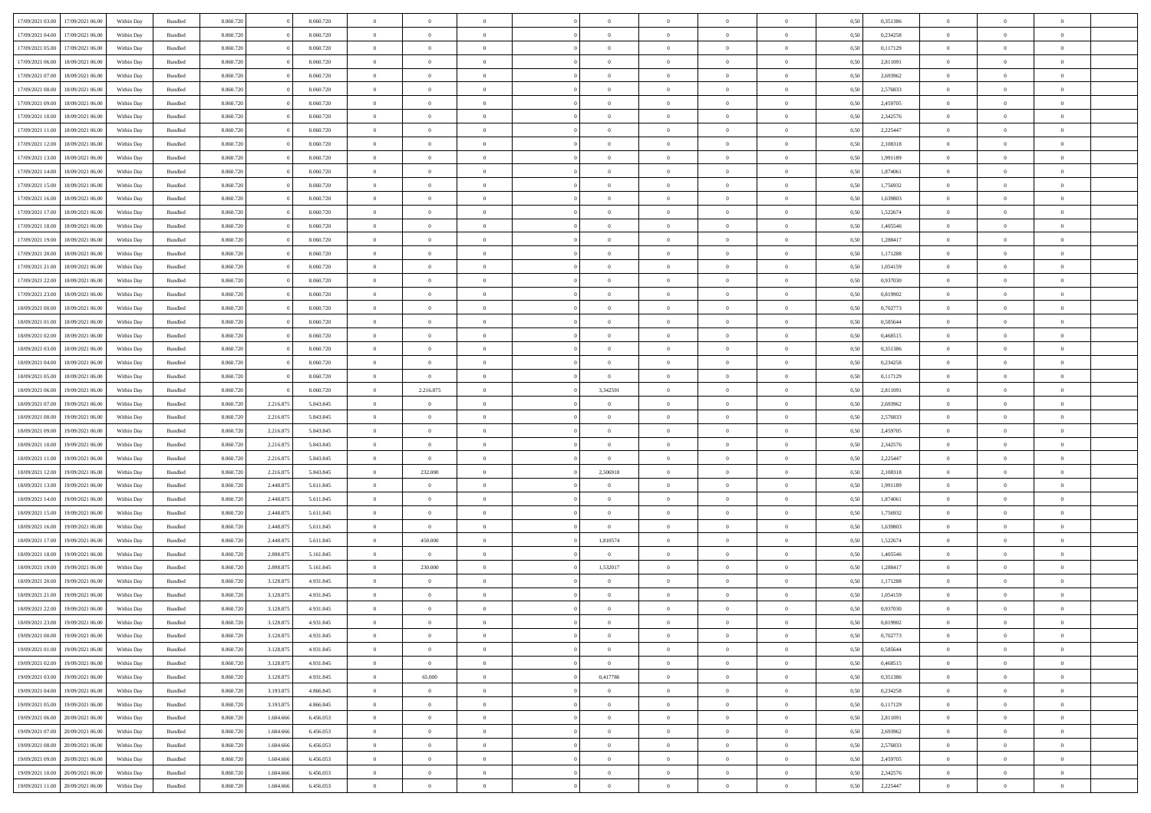| 17/09/2021 03:00 | 17/09/2021 06:00 | Within Day | Bundled            | 8.060.720 |           | 8.060.720 | $\overline{0}$ | $\Omega$       |                | $\Omega$       | $\Omega$       | $\theta$       | $\theta$       | 0.50 | 0,351386 | $\theta$       | $\theta$       | $\theta$       |  |
|------------------|------------------|------------|--------------------|-----------|-----------|-----------|----------------|----------------|----------------|----------------|----------------|----------------|----------------|------|----------|----------------|----------------|----------------|--|
|                  |                  |            |                    |           |           |           |                |                |                |                |                |                |                |      |          |                |                |                |  |
| 17/09/2021 04:00 | 17/09/2021 06:00 | Within Day | Bundled            | 8.060.720 |           | 8.060.720 | $\overline{0}$ | $\theta$       | $\overline{0}$ | $\overline{0}$ | $\bf{0}$       | $\overline{0}$ | $\overline{0}$ | 0,50 | 0,234258 | $\theta$       | $\theta$       | $\overline{0}$ |  |
| 17/09/2021 05:00 | 17/09/2021 06:00 | Within Day | Bundled            | 8.060.720 |           | 8.060.720 | $\overline{0}$ | $\overline{0}$ | $\overline{0}$ | $\bf{0}$       | $\bf{0}$       | $\overline{0}$ | $\bf{0}$       | 0,50 | 0,117129 | $\overline{0}$ | $\overline{0}$ | $\overline{0}$ |  |
| 17/09/2021 06:00 | 18/09/2021 06:00 | Within Dav | Bundled            | 8.060.720 |           | 8.060.720 | $\overline{0}$ | $\overline{0}$ | $\overline{0}$ | $\overline{0}$ | $\bf{0}$       | $\overline{0}$ | $\overline{0}$ | 0.50 | 2.811091 | $\theta$       | $\theta$       | $\overline{0}$ |  |
|                  |                  |            |                    |           |           |           |                |                |                |                |                |                |                |      |          |                |                |                |  |
| 17/09/2021 07:00 | 18/09/2021 06:00 | Within Day | Bundled            | 8.060.720 |           | 8.060.720 | $\overline{0}$ | $\theta$       | $\overline{0}$ | $\overline{0}$ | $\bf{0}$       | $\overline{0}$ | $\bf{0}$       | 0,50 | 2,693962 | $\theta$       | $\theta$       | $\overline{0}$ |  |
| 17/09/2021 08:00 | 18/09/2021 06:00 | Within Day | Bundled            | 8.060.720 |           | 8.060.720 | $\overline{0}$ | $\bf{0}$       | $\overline{0}$ | $\overline{0}$ | $\overline{0}$ | $\overline{0}$ | $\mathbf{0}$   | 0,50 | 2,576833 | $\overline{0}$ | $\overline{0}$ | $\bf{0}$       |  |
| 17/09/2021 09:00 | 18/09/2021 06:00 | Within Dav | Bundled            | 8.060.720 |           | 8.060.720 | $\overline{0}$ | $\overline{0}$ | $\overline{0}$ | $\overline{0}$ | $\overline{0}$ | $\overline{0}$ | $\overline{0}$ | 0.50 | 2,459705 | $\theta$       | $\overline{0}$ | $\overline{0}$ |  |
| 17/09/2021 10:00 | 18/09/2021 06:00 | Within Day | Bundled            | 8.060.720 |           | 8.060.720 | $\overline{0}$ | $\theta$       | $\overline{0}$ | $\overline{0}$ | $\bf{0}$       | $\overline{0}$ | $\bf{0}$       | 0,50 | 2,342576 | $\theta$       | $\theta$       | $\overline{0}$ |  |
|                  |                  |            |                    |           |           |           |                | $\overline{0}$ |                |                | $\bf{0}$       |                |                |      |          | $\,0\,$        | $\overline{0}$ | $\overline{0}$ |  |
| 17/09/2021 11:00 | 18/09/2021 06:00 | Within Day | Bundled            | 8.060.720 |           | 8.060.720 | $\overline{0}$ |                | $\overline{0}$ | $\bf{0}$       |                | $\bf{0}$       | $\bf{0}$       | 0,50 | 2,225447 |                |                |                |  |
| 17/09/2021 12:00 | 18/09/2021 06:00 | Within Dav | Bundled            | 8.060.720 |           | 8.060.720 | $\overline{0}$ | $\overline{0}$ | $\overline{0}$ | $\overline{0}$ | $\overline{0}$ | $\overline{0}$ | $\overline{0}$ | 0.50 | 2,108318 | $\theta$       | $\overline{0}$ | $\overline{0}$ |  |
| 17/09/2021 13:00 | 18/09/2021 06:00 | Within Day | Bundled            | 8.060.720 |           | 8.060.720 | $\overline{0}$ | $\theta$       | $\overline{0}$ | $\overline{0}$ | $\bf{0}$       | $\overline{0}$ | $\bf{0}$       | 0,50 | 1,991189 | $\theta$       | $\theta$       | $\overline{0}$ |  |
| 17/09/2021 14:00 | 18/09/2021 06:00 | Within Day | Bundled            | 8.060.720 |           | 8.060.720 | $\overline{0}$ | $\overline{0}$ | $\overline{0}$ | $\bf{0}$       | $\bf{0}$       | $\bf{0}$       | $\bf{0}$       | 0,50 | 1,874061 | $\bf{0}$       | $\overline{0}$ | $\overline{0}$ |  |
| 17/09/2021 15:00 | 18/09/2021 06:00 | Within Dav | Bundled            | 8.060.720 |           | 8.060.720 | $\overline{0}$ | $\overline{0}$ | $\overline{0}$ | $\overline{0}$ | $\bf{0}$       | $\overline{0}$ | $\overline{0}$ | 0.50 | 1.756932 | $\theta$       | $\theta$       | $\overline{0}$ |  |
|                  |                  |            |                    |           |           |           | $\overline{0}$ | $\theta$       | $\overline{0}$ |                | $\bf{0}$       | $\overline{0}$ | $\overline{0}$ |      |          | $\theta$       | $\theta$       | $\overline{0}$ |  |
| 17/09/2021 16:00 | 18/09/2021 06:00 | Within Day | Bundled            | 8.060.720 |           | 8.060.720 |                |                |                | $\overline{0}$ |                |                |                | 0,50 | 1,639803 |                |                |                |  |
| 17/09/2021 17:00 | 18/09/2021 06:00 | Within Day | Bundled            | 8.060.720 |           | 8.060.720 | $\overline{0}$ | $\bf{0}$       | $\overline{0}$ | $\bf{0}$       | $\overline{0}$ | $\overline{0}$ | $\mathbf{0}$   | 0,50 | 1,522674 | $\overline{0}$ | $\overline{0}$ | $\bf{0}$       |  |
| 17/09/2021 18:00 | 18/09/2021 06:00 | Within Dav | Bundled            | 8.060.720 |           | 8.060.720 | $\overline{0}$ | $\overline{0}$ | $\overline{0}$ | $\overline{0}$ | $\overline{0}$ | $\overline{0}$ | $\overline{0}$ | 0.50 | 1,405546 | $\theta$       | $\overline{0}$ | $\overline{0}$ |  |
| 17/09/2021 19:00 | 18/09/2021 06:00 | Within Day | Bundled            | 8.060.720 |           | 8.060.720 | $\overline{0}$ | $\theta$       | $\overline{0}$ | $\overline{0}$ | $\bf{0}$       | $\overline{0}$ | $\bf{0}$       | 0,50 | 1,288417 | $\theta$       | $\theta$       | $\overline{0}$ |  |
| 17/09/2021 20:00 | 18/09/2021 06:00 | Within Day | Bundled            | 8.060.720 |           | 8.060.720 | $\overline{0}$ | $\overline{0}$ | $\overline{0}$ | $\bf{0}$       | $\bf{0}$       | $\bf{0}$       | $\bf{0}$       | 0,50 | 1,171288 | $\,0\,$        | $\overline{0}$ | $\overline{0}$ |  |
|                  |                  |            |                    |           |           |           |                |                |                |                |                |                |                |      |          |                |                |                |  |
| 17/09/2021 21:00 | 18/09/2021 06:00 | Within Dav | Bundled            | 8.060.720 |           | 8.060.720 | $\overline{0}$ | $\overline{0}$ | $\overline{0}$ | $\overline{0}$ | $\overline{0}$ | $\overline{0}$ | $\overline{0}$ | 0.50 | 1,054159 | $\theta$       | $\overline{0}$ | $\overline{0}$ |  |
| 17/09/2021 22:00 | 18/09/2021 06:00 | Within Day | Bundled            | 8.060.720 |           | 8.060.720 | $\overline{0}$ | $\theta$       | $\overline{0}$ | $\overline{0}$ | $\bf{0}$       | $\overline{0}$ | $\bf{0}$       | 0,50 | 0,937030 | $\theta$       | $\theta$       | $\overline{0}$ |  |
| 17/09/2021 23:00 | 18/09/2021 06:00 | Within Day | Bundled            | 8.060.720 |           | 8.060.720 | $\overline{0}$ | $\overline{0}$ | $\overline{0}$ | $\bf{0}$       | $\bf{0}$       | $\bf{0}$       | $\bf{0}$       | 0,50 | 0,819902 | $\,0\,$        | $\overline{0}$ | $\overline{0}$ |  |
| 18/09/2021 00:00 | 18/09/2021 06:00 | Within Dav | Bundled            | 8.060.720 |           | 8.060.720 | $\overline{0}$ | $\overline{0}$ | $\overline{0}$ | $\overline{0}$ | $\bf{0}$       | $\overline{0}$ | $\overline{0}$ | 0.50 | 0,702773 | $\theta$       | $\theta$       | $\overline{0}$ |  |
| 18/09/2021 01:00 | 18/09/2021 06:00 | Within Day | Bundled            | 8.060.720 |           | 8.060.720 | $\overline{0}$ | $\theta$       | $\overline{0}$ | $\overline{0}$ | $\bf{0}$       | $\overline{0}$ | $\bf{0}$       | 0,50 | 0,585644 | $\theta$       | $\overline{0}$ | $\overline{0}$ |  |
|                  |                  |            |                    |           |           |           |                |                |                |                |                |                |                |      |          |                |                |                |  |
| 18/09/2021 02:00 | 18/09/2021 06:00 | Within Day | Bundled            | 8.060.720 |           | 8.060.720 | $\overline{0}$ | $\bf{0}$       | $\overline{0}$ | $\overline{0}$ | $\overline{0}$ | $\overline{0}$ | $\mathbf{0}$   | 0,50 | 0,468515 | $\bf{0}$       | $\overline{0}$ | $\bf{0}$       |  |
| 18/09/2021 03:00 | 18/09/2021 06:00 | Within Dav | Bundled            | 8.060.720 |           | 8.060.720 | $\overline{0}$ | $\overline{0}$ | $\overline{0}$ | $\overline{0}$ | $\overline{0}$ | $\overline{0}$ | $\overline{0}$ | 0.50 | 0,351386 | $\theta$       | $\overline{0}$ | $\overline{0}$ |  |
| 18/09/2021 04:00 | 18/09/2021 06:00 | Within Day | Bundled            | 8.060.720 |           | 8.060.720 | $\overline{0}$ | $\theta$       | $\overline{0}$ | $\overline{0}$ | $\bf{0}$       | $\overline{0}$ | $\bf{0}$       | 0,50 | 0,234258 | $\theta$       | $\theta$       | $\overline{0}$ |  |
| 18/09/2021 05:00 | 18/09/2021 06:00 | Within Day | Bundled            | 8.060.720 |           | 8.060.720 | $\overline{0}$ | $\overline{0}$ | $\overline{0}$ | $\overline{0}$ | $\bf{0}$       | $\overline{0}$ | $\bf{0}$       | 0,50 | 0,117129 | $\,0\,$        | $\overline{0}$ | $\overline{0}$ |  |
| 18/09/2021 06:00 | 19/09/2021 06:00 |            | Bundled            | 8.060.720 |           | 8.060.720 | $\overline{0}$ | 2.216.875      | $\overline{0}$ | 3,342591       | $\bf{0}$       | $\overline{0}$ | $\overline{0}$ | 0.50 | 2,811091 | $\theta$       | $\overline{0}$ | $\overline{0}$ |  |
|                  |                  | Within Day |                    |           |           |           |                |                |                |                |                |                |                |      |          |                |                |                |  |
| 18/09/2021 07:00 | 19/09/2021 06:00 | Within Day | Bundled            | 8.060.720 | 2.216.875 | 5.843.845 | $\overline{0}$ | $\theta$       | $\overline{0}$ | $\overline{0}$ | $\bf{0}$       | $\overline{0}$ | $\bf{0}$       | 0,50 | 2,693962 | $\,$ 0 $\,$    | $\theta$       | $\overline{0}$ |  |
| 18/09/2021 08:00 | 19/09/2021 06:00 | Within Day | Bundled            | 8.060.720 | 2.216.875 | 5.843.845 | $\overline{0}$ | $\overline{0}$ | $\overline{0}$ | $\overline{0}$ | $\bf{0}$       | $\overline{0}$ | $\bf{0}$       | 0,50 | 2,576833 | $\bf{0}$       | $\overline{0}$ | $\overline{0}$ |  |
| 18/09/2021 09:00 | 19/09/2021 06:00 | Within Day | Bundled            | 8.060.720 | 2.216.875 | 5.843.845 | $\overline{0}$ | $\Omega$       | $\Omega$       | $\Omega$       | $\Omega$       | $\Omega$       | $\overline{0}$ | 0.50 | 2,459705 | $\,0\,$        | $\theta$       | $\theta$       |  |
| 18/09/2021 10:00 | 19/09/2021 06:00 | Within Day | Bundled            | 8.060.720 | 2.216.875 | 5.843.845 | $\overline{0}$ | $\theta$       | $\overline{0}$ | $\overline{0}$ | $\bf{0}$       | $\overline{0}$ | $\bf{0}$       | 0,50 | 2,342576 | $\theta$       | $\theta$       | $\overline{0}$ |  |
|                  |                  |            |                    |           |           |           |                |                |                |                |                |                |                |      |          |                |                |                |  |
| 18/09/2021 11:00 | 19/09/2021 06:00 | Within Day | Bundled            | 8.060.720 | 2.216.875 | 5.843.845 | $\overline{0}$ | $\overline{0}$ | $\overline{0}$ | $\overline{0}$ | $\bf{0}$       | $\overline{0}$ | $\mathbf{0}$   | 0,50 | 2,225447 | $\bf{0}$       | $\overline{0}$ | $\bf{0}$       |  |
| 18/09/2021 12:00 | 19/09/2021 06:00 | Within Day | Bundled            | 8.060.720 | 2.216.875 | 5.843.845 | $\overline{0}$ | 232,000        | $\Omega$       | 2.506918       | $\Omega$       | $\Omega$       | $\overline{0}$ | 0.50 | 2,108318 | $\theta$       | $\theta$       | $\theta$       |  |
| 18/09/2021 13:00 | 19/09/2021 06:00 | Within Day | Bundled            | 8.060.720 | 2.448.875 | 5.611.845 | $\overline{0}$ | $\theta$       | $\overline{0}$ | $\overline{0}$ | $\bf{0}$       | $\overline{0}$ | $\bf{0}$       | 0,50 | 1,991189 | $\theta$       | $\theta$       | $\overline{0}$ |  |
| 18/09/2021 14:00 | 19/09/2021 06:00 | Within Day | Bundled            | 8.060.720 | 2.448.875 | 5.611.845 | $\overline{0}$ | $\overline{0}$ | $\overline{0}$ | $\bf{0}$       | $\bf{0}$       | $\overline{0}$ | $\bf{0}$       | 0,50 | 1,874061 | $\,0\,$        | $\overline{0}$ | $\overline{0}$ |  |
| 18/09/2021 15:00 | 19/09/2021 06:00 |            |                    | 8.060.72  |           |           | $\overline{0}$ | $\Omega$       | $\Omega$       | $\Omega$       | $\Omega$       | $\theta$       | $\overline{0}$ | 0.50 |          | $\theta$       | $\theta$       | $\theta$       |  |
|                  |                  | Within Day | Bundled            |           | 2.448.875 | 5.611.845 |                |                |                |                |                |                |                |      | 1,756932 |                |                |                |  |
| 18/09/2021 16:00 | 19/09/2021 06:00 | Within Day | Bundled            | 8.060.720 | 2.448.875 | 5.611.845 | $\overline{0}$ | $\overline{0}$ | $\overline{0}$ | $\overline{0}$ | $\bf{0}$       | $\overline{0}$ | $\bf{0}$       | 0,50 | 1,639803 | $\,$ 0 $\,$    | $\overline{0}$ | $\overline{0}$ |  |
| 18/09/2021 17:00 | 19/09/2021 06:00 | Within Day | Bundled            | 8.060.720 | 2.448.875 | 5.611.845 | $\overline{0}$ | 450.000        | $\overline{0}$ | 1,810574       | $\bf{0}$       | $\overline{0}$ | $\bf{0}$       | 0,50 | 1,522674 | $\bf{0}$       | $\overline{0}$ | $\overline{0}$ |  |
| 18/09/2021 18:00 | 19/09/2021 06:00 | Within Day | Bundled            | 8.060.720 | 2.898.875 | 5.161.845 | $\overline{0}$ | $\Omega$       | $\Omega$       | $\Omega$       | $\Omega$       | $\overline{0}$ | $\overline{0}$ | 0.50 | 1,405546 | $\,0\,$        | $\theta$       | $\theta$       |  |
| 18/09/2021 19:00 | 19/09/2021 06:00 | Within Day | Bundled            | 8.060.720 | 2.898.875 | 5.161.845 | $\overline{0}$ | 230.000        | $\overline{0}$ | 1,532017       | $\bf{0}$       | $\overline{0}$ | $\bf{0}$       | 0,50 | 1,288417 | $\,$ 0 $\,$    | $\overline{0}$ | $\overline{0}$ |  |
|                  |                  |            |                    |           |           |           |                |                |                |                |                |                |                |      |          |                |                |                |  |
| 18/09/2021 20:00 | 19/09/2021 06:00 | Within Day | Bundled            | 8.060.720 | 3.128.875 | 4.931.845 | $\overline{0}$ | $\overline{0}$ | $\overline{0}$ | $\overline{0}$ | $\bf{0}$       | $\overline{0}$ | $\mathbf{0}$   | 0,50 | 1,171288 | $\bf{0}$       | $\overline{0}$ | $\bf{0}$       |  |
| 18/09/2021 21:00 | 19/09/2021 06:00 | Within Day | Bundled            | 8.060.72  | 3.128.875 | 4.931.845 | $\overline{0}$ | $\Omega$       | $\Omega$       | $\Omega$       | $\Omega$       | $\Omega$       | $\overline{0}$ | 0.50 | 1,054159 | $\theta$       | $\theta$       | $\theta$       |  |
| 18/09/2021 22:00 | 19/09/2021 06:00 | Within Day | Bundled            | 8.060.720 | 3.128.875 | 4.931.845 | $\overline{0}$ | $\overline{0}$ | $\overline{0}$ | $\bf{0}$       | $\,$ 0         | $\overline{0}$ | $\bf{0}$       | 0,50 | 0,937030 | $\,0\,$        | $\overline{0}$ | $\overline{0}$ |  |
| 18/09/2021 23:00 | 19/09/2021 06:00 | Within Day | $\mathbf B$ undled | 8.060.720 | 3.128.875 | 4.931.845 | $\bf{0}$       | $\bf{0}$       |                |                |                |                |                | 0,50 | 0,819902 | $\bf{0}$       | $\overline{0}$ |                |  |
| 19/09/2021 00:00 | 19/09/2021 06:00 | Within Day | Bundled            | 8.060.720 | 3.128.875 | 4.931.845 | $\overline{0}$ | $\Omega$       | $\overline{0}$ | $\Omega$       | $\overline{0}$ | $\overline{0}$ | $\overline{0}$ | 0.50 | 0,702773 | $\theta$       | $\theta$       | $\theta$       |  |
|                  |                  |            |                    |           |           |           |                |                |                |                |                |                |                |      |          |                |                |                |  |
| 19/09/2021 01:00 | 19/09/2021 06:00 | Within Day | Bundled            | 8.060.720 | 3.128.875 | 4.931.845 | $\overline{0}$ | $\bf{0}$       | $\overline{0}$ | $\overline{0}$ | $\,$ 0 $\,$    | $\overline{0}$ | $\mathbf{0}$   | 0,50 | 0,585644 | $\,$ 0 $\,$    | $\,$ 0 $\,$    | $\,$ 0         |  |
| 19/09/2021 02:00 | 19/09/2021 06:00 | Within Day | Bundled            | 8.060.720 | 3.128.875 | 4.931.845 | $\overline{0}$ | $\overline{0}$ | $\overline{0}$ | $\overline{0}$ | $\overline{0}$ | $\overline{0}$ | $\mathbf{0}$   | 0,50 | 0,468515 | $\overline{0}$ | $\bf{0}$       | $\bf{0}$       |  |
| 19/09/2021 03:00 | 19/09/2021 06:00 | Within Day | Bundled            | 8.060.720 | 3.128.875 | 4.931.845 | $\overline{0}$ | 65,000         | $\overline{0}$ | 0,417786       | $\overline{0}$ | $\overline{0}$ | $\overline{0}$ | 0,50 | 0,351386 | $\bf{0}$       | $\theta$       | $\overline{0}$ |  |
| 19/09/2021 04:00 | 19/09/2021 06:00 | Within Day | Bundled            | 8.060.720 | 3.193.875 | 4.866.845 | $\overline{0}$ | $\bf{0}$       | $\overline{0}$ | $\overline{0}$ | $\,$ 0 $\,$    | $\overline{0}$ | $\mathbf{0}$   | 0,50 | 0,234258 | $\,$ 0 $\,$    | $\overline{0}$ | $\overline{0}$ |  |
| 19/09/2021 05:00 | 19/09/2021 06:00 | Within Day | Bundled            | 8.060.720 | 3.193.875 | 4.866.845 | $\overline{0}$ | $\overline{0}$ | $\overline{0}$ | $\overline{0}$ | $\overline{0}$ | $\overline{0}$ | $\mathbf{0}$   | 0,50 | 0,117129 | $\overline{0}$ | $\overline{0}$ | $\bf{0}$       |  |
|                  |                  |            |                    |           |           |           |                |                |                |                |                |                |                |      |          |                |                |                |  |
| 19/09/2021 06:00 | 20/09/2021 06:00 | Within Day | Bundled            | 8.060.720 | 1.604.666 | 6.456.053 | $\overline{0}$ | $\overline{0}$ | $\overline{0}$ | $\overline{0}$ | $\overline{0}$ | $\overline{0}$ | $\bf{0}$       | 0.50 | 2,811091 | $\overline{0}$ | $\theta$       | $\overline{0}$ |  |
| 19/09/2021 07:00 | 20/09/2021 06:00 | Within Day | Bundled            | 8.060.720 | 1.604.666 | 6.456.053 | $\overline{0}$ | $\,$ 0         | $\overline{0}$ | $\overline{0}$ | $\bf{0}$       | $\overline{0}$ | $\bf{0}$       | 0,50 | 2,693962 | $\,$ 0 $\,$    | $\overline{0}$ | $\overline{0}$ |  |
| 19/09/2021 08:00 | 20/09/2021 06:00 | Within Day | Bundled            | 8.060.720 | 1.604.666 | 6.456.053 | $\overline{0}$ | $\bf{0}$       | $\overline{0}$ | $\overline{0}$ | $\overline{0}$ | $\overline{0}$ | $\mathbf{0}$   | 0,50 | 2,576833 | $\overline{0}$ | $\overline{0}$ | $\bf{0}$       |  |
| 19/09/2021 09:00 | 20/09/2021 06:00 | Within Day | Bundled            | 8.060.720 | 1.604.666 | 6.456.053 | $\overline{0}$ | $\overline{0}$ | $\overline{0}$ | $\Omega$       | $\overline{0}$ | $\overline{0}$ | $\overline{0}$ | 0.50 | 2,459705 | $\overline{0}$ | $\theta$       | $\overline{0}$ |  |
| 19/09/2021 10:00 | 20/09/2021 06:00 | Within Day | Bundled            | 8.060.720 | 1.604.666 | 6.456.053 | $\overline{0}$ | $\bf{0}$       | $\overline{0}$ | $\overline{0}$ | $\bf{0}$       | $\bf{0}$       | $\mathbf{0}$   | 0,50 | 2,342576 | $\,$ 0 $\,$    | $\,$ 0 $\,$    | $\bf{0}$       |  |
|                  |                  |            |                    |           |           |           |                |                |                |                |                |                |                |      |          |                |                |                |  |
| 19/09/2021 11:00 | 20/09/2021 06:00 | Within Day | Bundled            | 8.060.720 | 1.604.666 | 6.456.053 | $\overline{0}$ | $\overline{0}$ | $\overline{0}$ | $\overline{0}$ | $\bf{0}$       | $\bf{0}$       | $\mathbf{0}$   | 0,50 | 2,225447 | $\overline{0}$ | $\bf{0}$       | $\bf{0}$       |  |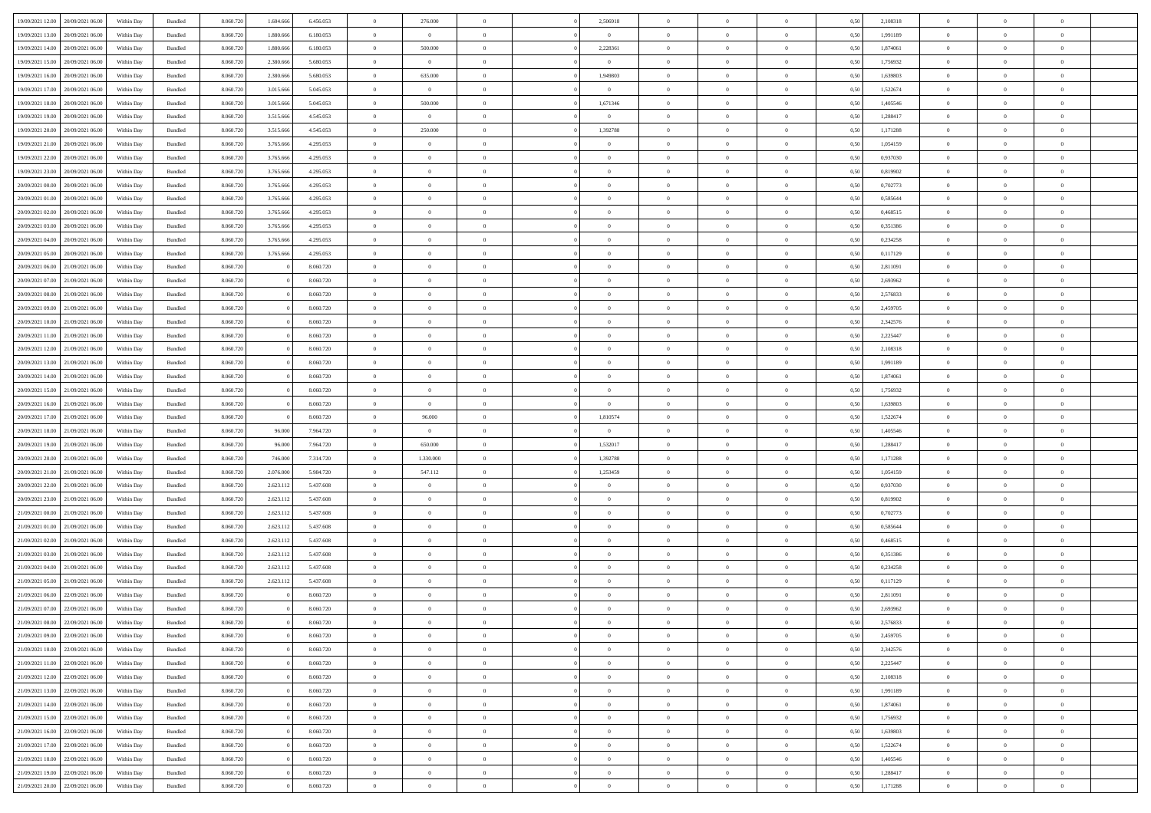| 19/09/2021 12:00                  | 20/09/2021 06:00 | Within Day | Bundled | 8.060.720 | 1.604.666 | 6.456.053 | $\overline{0}$ | 276.000        |                | 2,506918       | $\bf{0}$       | $\overline{0}$ | $\theta$       | 0,50 | 2,108318 | $\theta$       | $\theta$       | $\overline{0}$ |  |
|-----------------------------------|------------------|------------|---------|-----------|-----------|-----------|----------------|----------------|----------------|----------------|----------------|----------------|----------------|------|----------|----------------|----------------|----------------|--|
| 19/09/2021 13:00                  | 20/09/2021 06.00 | Within Day | Bundled | 8.060.72  | 1.880.666 | 6.180.053 | $\overline{0}$ | $\overline{0}$ | $\overline{0}$ | $\overline{0}$ | $\,$ 0         | $\bf{0}$       | $\bf{0}$       | 0,50 | 1,991189 | $\,$ 0 $\,$    | $\overline{0}$ | $\overline{0}$ |  |
|                                   |                  |            |         |           |           |           |                |                |                |                |                |                |                |      |          |                |                |                |  |
| 19/09/2021 14:00                  | 20/09/2021 06:00 | Within Day | Bundled | 8.060.720 | 1,880,666 | 6.180.053 | $\overline{0}$ | 500,000        | $\overline{0}$ | 2,228361       | $\bf{0}$       | $\overline{0}$ | $\mathbf{0}$   | 0.50 | 1.874061 | $\bf{0}$       | $\overline{0}$ | $\overline{0}$ |  |
| 19/09/2021 15:00                  | 20/09/2021 06:00 | Within Day | Bundled | 8.060.720 | 2.380.666 | 5.680.053 | $\overline{0}$ | $\overline{0}$ | $\overline{0}$ | $\overline{0}$ | $\bf{0}$       | $\overline{0}$ | $\overline{0}$ | 0,50 | 1,756932 | $\,$ 0 $\,$    | $\overline{0}$ | $\overline{0}$ |  |
| 19/09/2021 16:00                  | 20/09/2021 06.00 | Within Day | Bundled | 8.060.720 | 2.380.666 | 5.680.053 | $\overline{0}$ | 635.000        | $\overline{0}$ | 1,949803       | $\overline{0}$ | $\overline{0}$ | $\bf{0}$       | 0,50 | 1,639803 | $\,$ 0 $\,$    | $\overline{0}$ | $\overline{0}$ |  |
| 19/09/2021 17:00                  | 20/09/2021 06:00 | Within Day | Bundled | 8.060.720 | 3.015.666 | 5.045.053 | $\overline{0}$ | $\overline{0}$ | $\overline{0}$ | $\overline{0}$ | $\,$ 0         | $\overline{0}$ | $\overline{0}$ | 0.50 | 1.522674 | $\,0\,$        | $\theta$       | $\overline{0}$ |  |
| 19/09/2021 18:00                  | 20/09/2021 06:00 | Within Day | Bundled | 8.060.720 | 3.015.666 | 5.045.053 | $\overline{0}$ | 500.000        | $\overline{0}$ | 1,671346       | $\bf{0}$       | $\overline{0}$ | $\overline{0}$ | 0,50 | 1,405546 | $\,$ 0 $\,$    | $\theta$       | $\overline{0}$ |  |
| 19/09/2021 19:00                  | 20/09/2021 06.00 | Within Day | Bundled | 8.060.72  | 3.515.666 | 4.545.053 | $\overline{0}$ | $\overline{0}$ | $\overline{0}$ | $\overline{0}$ | $\bf{0}$       | $\overline{0}$ | $\bf{0}$       | 0,50 | 1,288417 | $\,$ 0 $\,$    | $\overline{0}$ | $\overline{0}$ |  |
| 19/09/2021 20:00                  | 20/09/2021 06:00 | Within Day | Bundled | 8.060.720 | 3.515.666 | 4.545.053 | $\overline{0}$ | 250,000        | $\overline{0}$ | 1,392788       | $\bf{0}$       | $\overline{0}$ | $\bf{0}$       | 0.50 | 1,171288 | $\,0\,$        | $\overline{0}$ | $\overline{0}$ |  |
| 19/09/2021 21:00                  | 20/09/2021 06:00 | Within Day | Bundled | 8.060.720 | 3.765.666 | 4.295.053 | $\overline{0}$ | $\overline{0}$ | $\overline{0}$ | $\overline{0}$ | $\,$ 0         | $\overline{0}$ | $\bf{0}$       | 0,50 | 1,054159 | $\,$ 0 $\,$    | $\overline{0}$ | $\overline{0}$ |  |
| 19/09/2021 22:00                  | 20/09/2021 06.00 | Within Day | Bundled | 8.060.720 | 3.765.666 | 4.295.053 | $\bf{0}$       | $\theta$       | $\overline{0}$ | $\overline{0}$ | $\,$ 0         | $\overline{0}$ | $\bf{0}$       | 0,50 | 0,937030 | $\,$ 0 $\,$    | $\overline{0}$ | $\overline{0}$ |  |
| 19/09/2021 23:00                  |                  |            | Bundled |           |           | 4.295.053 |                | $\overline{0}$ | $\overline{0}$ | $\overline{0}$ | $\bf{0}$       | $\overline{0}$ |                | 0.50 | 0.819902 | $\bf{0}$       | $\overline{0}$ | $\bf{0}$       |  |
|                                   | 20/09/2021 06:00 | Within Day |         | 8.060.720 | 3.765.666 |           | $\overline{0}$ |                |                |                |                |                | $\mathbf{0}$   |      |          |                |                |                |  |
| 20/09/2021 00:00                  | 20/09/2021 06:00 | Within Day | Bundled | 8.060.720 | 3.765.666 | 4.295.053 | $\overline{0}$ | $\overline{0}$ | $\overline{0}$ | $\overline{0}$ | $\bf{0}$       | $\overline{0}$ | $\overline{0}$ | 0,50 | 0,702773 | $\,$ 0 $\,$    | $\theta$       | $\overline{0}$ |  |
| 20/09/2021 01:00                  | 20/09/2021 06.00 | Within Day | Bundled | 8.060.72  | 3.765.666 | 4.295.053 | $\overline{0}$ | $\theta$       | $\overline{0}$ | $\overline{0}$ | $\overline{0}$ | $\overline{0}$ | $\bf{0}$       | 0,50 | 0,585644 | $\,$ 0 $\,$    | $\overline{0}$ | $\overline{0}$ |  |
| 20/09/2021 02:00                  | 20/09/2021 06:00 | Within Day | Bundled | 8.060.720 | 3.765.666 | 4.295.053 | $\overline{0}$ | $\overline{0}$ | $\overline{0}$ | $\overline{0}$ | $\,$ 0         | $\overline{0}$ | $\overline{0}$ | 0.50 | 0.468515 | $\theta$       | $\theta$       | $\overline{0}$ |  |
| 20/09/2021 03:00                  | 20/09/2021 06:00 | Within Day | Bundled | 8.060.720 | 3.765.666 | 4.295.053 | $\overline{0}$ | $\overline{0}$ | $\overline{0}$ | $\overline{0}$ | $\bf{0}$       | $\overline{0}$ | $\overline{0}$ | 0,50 | 0,351386 | $\,$ 0 $\,$    | $\theta$       | $\overline{0}$ |  |
| 20/09/2021 04:00                  | 20/09/2021 06.00 | Within Day | Bundled | 8.060.72  | 3.765.666 | 4.295.053 | $\overline{0}$ | $\theta$       | $\overline{0}$ |                | $\bf{0}$       | $\overline{0}$ | $\bf{0}$       | 0,50 | 0,234258 | $\,$ 0 $\,$    | $\overline{0}$ | $\overline{0}$ |  |
| 20/09/2021 05:00                  | 20/09/2021 06:00 | Within Day | Bundled | 8.060.720 | 3.765.666 | 4.295.053 | $\overline{0}$ | $\overline{0}$ | $\overline{0}$ | $\overline{0}$ | $\bf{0}$       | $\overline{0}$ | $\bf{0}$       | 0.50 | 0,117129 | $\,0\,$        | $\overline{0}$ | $\overline{0}$ |  |
| 20/09/2021 06:00                  | 21/09/2021 06:00 | Within Day | Bundled | 8.060.720 |           | 8.060.720 | $\overline{0}$ | $\overline{0}$ | $\overline{0}$ | $\overline{0}$ | $\,$ 0         | $\overline{0}$ | $\bf{0}$       | 0,50 | 2,811091 | $\,$ 0 $\,$    | $\overline{0}$ | $\overline{0}$ |  |
| 20/09/2021 07:00                  | 21/09/2021 06.00 | Within Day | Bundled | 8.060.720 |           | 8.060.720 | $\overline{0}$ | $\theta$       | $\overline{0}$ | $\overline{0}$ | $\,$ 0         | $\bf{0}$       | $\bf{0}$       | 0,50 | 2,693962 | $\,$ 0 $\,$    | $\overline{0}$ | $\overline{0}$ |  |
| 20/09/2021 08:00                  | 21/09/2021 06:00 | Within Day | Bundled | 8.060.720 |           | 8.060.720 | $\overline{0}$ | $\overline{0}$ | $\overline{0}$ | $\overline{0}$ | $\bf{0}$       | $\overline{0}$ | $\mathbf{0}$   | 0.50 | 2,576833 | $\bf{0}$       | $\overline{0}$ | $\overline{0}$ |  |
| 20/09/2021 09:00                  | 21/09/2021 06:00 | Within Day | Bundled | 8.060.720 |           | 8.060.720 | $\overline{0}$ | $\overline{0}$ | $\overline{0}$ | $\overline{0}$ | $\bf{0}$       | $\overline{0}$ | $\overline{0}$ | 0,50 | 2,459705 | $\,$ 0 $\,$    | $\overline{0}$ | $\overline{0}$ |  |
|                                   | 21/09/2021 06.00 | Within Day | Bundled | 8.060.720 |           | 8.060.720 | $\overline{0}$ | $\theta$       | $\overline{0}$ | $\overline{0}$ | $\,$ 0         | $\overline{0}$ | $\bf{0}$       | 0,50 | 2,342576 | $\,$ 0 $\,$    | $\overline{0}$ | $\overline{0}$ |  |
| 20/09/2021 10:00                  |                  |            |         |           |           |           |                |                |                |                |                |                |                |      |          |                |                |                |  |
| 20/09/2021 11:00                  | 21/09/2021 06:00 | Within Day | Bundled | 8.060.720 |           | 8.060.720 | $\overline{0}$ | $\overline{0}$ | $\overline{0}$ | $\overline{0}$ | $\bf{0}$       | $\overline{0}$ | $\overline{0}$ | 0.50 | 2.225447 | $\,0\,$        | $\theta$       | $\overline{0}$ |  |
| 20/09/2021 12:00                  | 21/09/2021 06:00 | Within Day | Bundled | 8.060.720 |           | 8.060.720 | $\overline{0}$ | $\theta$       | $\overline{0}$ | $\overline{0}$ | $\,$ 0         | $\overline{0}$ | $\overline{0}$ | 0,50 | 2,108318 | $\,0\,$        | $\theta$       | $\overline{0}$ |  |
| 20/09/2021 13:00                  | 21/09/2021 06.00 | Within Day | Bundled | 8.060.720 |           | 8.060.720 | $\overline{0}$ | $\theta$       | $\overline{0}$ |                | $\bf{0}$       | $\overline{0}$ | $\bf{0}$       | 0,50 | 1,991189 | $\,$ 0 $\,$    | $\overline{0}$ | $\overline{0}$ |  |
| 20/09/2021 14:00                  | 21/09/2021 06:00 | Within Day | Bundled | 8.060.720 |           | 8.060.720 | $\overline{0}$ | $\overline{0}$ | $\overline{0}$ | $\overline{0}$ | $\bf{0}$       | $\overline{0}$ | $\bf{0}$       | 0.50 | 1.874061 | $\,0\,$        | $\overline{0}$ | $\overline{0}$ |  |
| 20/09/2021 15:00                  | 21/09/2021 06:00 | Within Day | Bundled | 8.060.720 |           | 8.060.720 | $\overline{0}$ | $\overline{0}$ | $\overline{0}$ | $\overline{0}$ | $\,$ 0         | $\overline{0}$ | $\bf{0}$       | 0,50 | 1,756932 | $\,$ 0 $\,$    | $\overline{0}$ | $\overline{0}$ |  |
| 20/09/2021 16:00                  | 21/09/2021 06.00 | Within Day | Bundled | 8.060.720 |           | 8.060.720 | $\bf{0}$       | $\overline{0}$ | $\overline{0}$ | $\bf{0}$       | $\,$ 0         | $\overline{0}$ | $\bf{0}$       | 0,50 | 1,639803 | $\,$ 0 $\,$    | $\overline{0}$ | $\overline{0}$ |  |
| 20/09/2021 17:00                  | 21/09/2021 06:00 | Within Day | Bundled | 8.060.720 |           | 8.060.720 | $\overline{0}$ | 96.000         | $\overline{0}$ | 1,810574       | $\bf{0}$       | $\overline{0}$ | $\mathbf{0}$   | 0.50 | 1,522674 | $\,$ 0 $\,$    | $\overline{0}$ | $\bf{0}$       |  |
| 20/09/2021 18:00                  | 21/09/2021 06:00 | Within Dav | Bundled | 8.060.720 | 96,000    | 7.964.720 | $\overline{0}$ | $\overline{0}$ | $\overline{0}$ | $\overline{0}$ | $\bf{0}$       | $\overline{0}$ | $\overline{0}$ | 0.50 | 1,405546 | $\theta$       | $\overline{0}$ | $\overline{0}$ |  |
| 20/09/2021 19:00                  | 21/09/2021 06.00 | Within Day | Bundled | 8.060.720 | 96.000    | 7.964.720 | $\overline{0}$ | 650.000        | $\overline{0}$ | 1,532017       | $\bf{0}$       | $\overline{0}$ | $\bf{0}$       | 0,50 | 1,288417 | $\,$ 0 $\,$    | $\overline{0}$ | $\overline{0}$ |  |
| 20/09/2021 20:00                  | 21/09/2021 06:00 | Within Day | Bundled | 8.060.720 | 746,000   | 7.314.720 | $\overline{0}$ | 1.330,000      | $\overline{0}$ | 1,392788       | $\bf{0}$       | $\overline{0}$ | $\bf{0}$       | 0.50 | 1,171288 | $\,0\,$        | $\theta$       | $\overline{0}$ |  |
| 20/09/2021 21:00                  | 21/09/2021 06:00 | Within Dav | Bundled | 8.060.720 | 2.076.000 | 5.984.720 | $\overline{0}$ | 547.112        | $\Omega$       | 1,253459       | $\overline{0}$ | $\overline{0}$ | $\overline{0}$ | 0.50 | 1,054159 | $\theta$       | $\overline{0}$ | $\overline{0}$ |  |
|                                   |                  |            |         |           |           |           |                |                |                |                |                |                |                |      |          |                |                |                |  |
| 20/09/2021 22:00                  | 21/09/2021 06.00 | Within Day | Bundled | 8.060.720 | 2.623.112 | 5.437.608 | $\overline{0}$ | $\theta$       | $\overline{0}$ |                | $\,$ 0         | $\overline{0}$ | $\bf{0}$       | 0,50 | 0,937030 | $\,$ 0 $\,$    | $\overline{0}$ | $\overline{0}$ |  |
| 20/09/2021 23:00                  | 21/09/2021 06:00 | Within Day | Bundled | 8.060.720 | 2.623.112 | 5.437.608 | $\overline{0}$ | $\overline{0}$ | $\overline{0}$ | $\overline{0}$ | $\bf{0}$       | $\overline{0}$ | $\bf{0}$       | 0.50 | 0.819902 | $\,0\,$        | $\overline{0}$ | $\overline{0}$ |  |
| 21/09/2021 00:00                  | 21/09/2021 06:00 | Within Dav | Bundled | 8.060.720 | 2.623.112 | 5.437.608 | $\overline{0}$ | $\overline{0}$ | $\overline{0}$ | $\overline{0}$ | $\overline{0}$ | $\overline{0}$ | $\overline{0}$ | 0.50 | 0,702773 | $\theta$       | $\overline{0}$ | $\overline{0}$ |  |
| 21/09/2021 01:00                  | 21/09/2021 06.00 | Within Day | Bundled | 8.060.72  | 2.623.112 | 5.437.608 | $\bf{0}$       | $\overline{0}$ | $\overline{0}$ | $\overline{0}$ | $\bf{0}$       | $\overline{0}$ | $\bf{0}$       | 0,50 | 0,585644 | $\,$ 0 $\,$    | $\overline{0}$ | $\overline{0}$ |  |
| 21/09/2021 02:00                  | 21/09/2021 06:00 | Within Day | Bundled | 8.060.720 | 2.623.112 | 5.437.608 | $\overline{0}$ | $\overline{0}$ | $\overline{0}$ | $\overline{0}$ | $\bf{0}$       | $\overline{0}$ | $\mathbf{0}$   | 0.50 | 0.468515 | $\,$ 0 $\,$    | $\overline{0}$ | $\overline{0}$ |  |
| 21/09/2021 03:00                  | 21/09/2021 06:00 | Within Dav | Bundled | 8.060.720 | 2.623.112 | 5.437.608 | $\overline{0}$ | $\overline{0}$ | $\Omega$       | $\overline{0}$ | $\mathbf{0}$   | $\overline{0}$ | $\overline{0}$ | 0.50 | 0,351386 | $\theta$       | $\overline{0}$ | $\overline{0}$ |  |
| 21/09/2021 04:00                  | 21/09/2021 06.00 | Within Day | Bundled | 8.060.72  | 2.623.112 | 5.437.608 | $\overline{0}$ | $\overline{0}$ | $\overline{0}$ | $\overline{0}$ | $\,$ 0         | $\overline{0}$ | $\bf{0}$       | 0,50 | 0,234258 | $\,$ 0 $\,$    | $\overline{0}$ | $\overline{0}$ |  |
| 21/09/2021 05:00                  | 21/09/2021 06:00 | Within Day | Bundled | 8.060.720 | 2.623.112 | 5.437.608 | $\overline{0}$ | $\theta$       | $\overline{0}$ | $\overline{0}$ | $\bf{0}$       | $\Omega$       | $\overline{0}$ | 0.50 | 0,117129 | $\,0\,$        | $\theta$       | $\overline{0}$ |  |
| 21/09/2021 06:00                  | 22/09/2021 06:00 | Within Dav | Bundled | 8.060.720 |           | 8.060.720 | $\overline{0}$ | $\Omega$       | $\Omega$       | $\Omega$       | $\bf{0}$       | $\overline{0}$ | $\bf{0}$       | 0.50 | 2,811091 | $\theta$       | $\theta$       | $\overline{0}$ |  |
| 21/09/2021 07:00                  | 22/09/2021 06:00 | Within Day | Bundled | 8.060.720 |           | 8.060.720 | $\bf{0}$       | $\,$ 0 $\,$    | $\overline{0}$ | $\overline{0}$ | $\,$ 0         | $\overline{0}$ | $\bf{0}$       | 0,50 | 2,693962 | $\,$ 0 $\,$    | $\overline{0}$ | $\overline{0}$ |  |
| 21/09/2021 08:00                  | 22/09/2021 06:00 | Within Day | Bundled | 8.060.720 |           | 8.060.720 | $\bf{0}$       | $\theta$       |                |                |                |                |                | 0,50 | 2,576833 | $\bf{0}$       | $\theta$       |                |  |
| 21/09/2021 09:00 22/09/2021 06:00 |                  | Within Day | Bundled | 8.060.720 |           | 8.060.720 | $\overline{0}$ | $\overline{0}$ | $\overline{0}$ | $\overline{0}$ | $\overline{0}$ | $\overline{0}$ | $\overline{0}$ | 0,50 | 2,459705 | $\theta$       | $\overline{0}$ | $\overline{0}$ |  |
|                                   |                  |            |         |           |           |           |                |                |                |                |                |                |                |      |          |                |                |                |  |
| 21/09/2021 10:00                  | 22/09/2021 06:00 | Within Day | Bundled | 8.060.720 |           | 8.060.720 | $\overline{0}$ | $\overline{0}$ | $\overline{0}$ | $\bf{0}$       | $\overline{0}$ | $\overline{0}$ | $\mathbf{0}$   | 0,50 | 2,342576 | $\bf{0}$       | $\overline{0}$ | $\bf{0}$       |  |
| 21/09/2021 11:00                  | 22/09/2021 06:00 | Within Day | Bundled | 8.060.720 |           | 8.060.720 | $\overline{0}$ | $\overline{0}$ | $\overline{0}$ | $\overline{0}$ | $\overline{0}$ | $\overline{0}$ | $\mathbf{0}$   | 0.50 | 2,225447 | $\overline{0}$ | $\bf{0}$       | $\bf{0}$       |  |
| 21/09/2021 12:00                  | 22/09/2021 06:00 | Within Day | Bundled | 8.060.720 |           | 8.060.720 | $\overline{0}$ | $\overline{0}$ | $\overline{0}$ | $\overline{0}$ | $\overline{0}$ | $\overline{0}$ | $\mathbf{0}$   | 0,50 | 2,108318 | $\overline{0}$ | $\theta$       | $\overline{0}$ |  |
| 21/09/2021 13:00                  | 22/09/2021 06:00 | Within Day | Bundled | 8.060.720 |           | 8.060.720 | $\overline{0}$ | $\overline{0}$ | $\overline{0}$ | $\overline{0}$ | $\bf{0}$       | $\bf{0}$       | $\bf{0}$       | 0,50 | 1,991189 | $\bf{0}$       | $\overline{0}$ | $\overline{0}$ |  |
| 21/09/2021 14:00                  | 22/09/2021 06:00 | Within Day | Bundled | 8.060.720 |           | 8.060.720 | $\overline{0}$ | $\overline{0}$ | $\overline{0}$ | $\overline{0}$ | $\bf{0}$       | $\overline{0}$ | $\mathbf{0}$   | 0.50 | 1.874061 | $\,$ 0 $\,$    | $\theta$       | $\overline{0}$ |  |
| 21/09/2021 15:00                  | 22/09/2021 06:00 | Within Day | Bundled | 8.060.720 |           | 8.060.720 | $\overline{0}$ | $\overline{0}$ | $\overline{0}$ | $\overline{0}$ | $\overline{0}$ | $\overline{0}$ | $\overline{0}$ | 0,50 | 1,756932 | $\overline{0}$ | $\theta$       | $\overline{0}$ |  |
| 21/09/2021 16:00                  | 22/09/2021 06:00 | Within Day | Bundled | 8.060.720 |           | 8.060.720 | $\overline{0}$ | $\,$ 0         | $\overline{0}$ | $\bf{0}$       | $\,$ 0 $\,$    | $\overline{0}$ | $\bf{0}$       | 0,50 | 1,639803 | $\,$ 0 $\,$    | $\overline{0}$ | $\overline{0}$ |  |
| 21/09/2021 17:00                  | 22/09/2021 06:00 | Within Day | Bundled | 8.060.720 |           | 8.060.720 | $\overline{0}$ | $\overline{0}$ | $\overline{0}$ | $\overline{0}$ | $\bf{0}$       | $\overline{0}$ | $\mathbf{0}$   | 0.50 | 1.522674 | $\mathbf{0}$   | $\bf{0}$       | $\bf{0}$       |  |
| 21/09/2021 18:00                  | 22/09/2021 06:00 | Within Dav | Bundled | 8.060.720 |           | 8.060.720 | $\overline{0}$ | $\overline{0}$ | $\overline{0}$ | $\overline{0}$ | $\overline{0}$ | $\overline{0}$ | $\overline{0}$ | 0,50 | 1,405546 | $\overline{0}$ | $\theta$       | $\overline{0}$ |  |
| 21/09/2021 19:00                  | 22/09/2021 06:00 | Within Day | Bundled | 8.060.720 |           | 8.060.720 | $\overline{0}$ | $\overline{0}$ | $\overline{0}$ | $\bf{0}$       | $\bf{0}$       | $\bf{0}$       | $\bf{0}$       | 0,50 | 1,288417 | $\bf{0}$       | $\overline{0}$ | $\bf{0}$       |  |
|                                   |                  |            |         |           |           |           |                |                |                |                |                |                |                |      |          |                |                |                |  |
| 21/09/2021 20:00 22/09/2021 06:00 |                  | Within Day | Bundled | 8.060.720 |           | 8.060.720 | $\,$ 0 $\,$    | $\,$ 0 $\,$    | $\overline{0}$ | $\overline{0}$ | $\,$ 0 $\,$    | $\overline{0}$ | $\,$ 0 $\,$    | 0,50 | 1,171288 | $\overline{0}$ | $\,$ 0 $\,$    | $\,$ 0 $\,$    |  |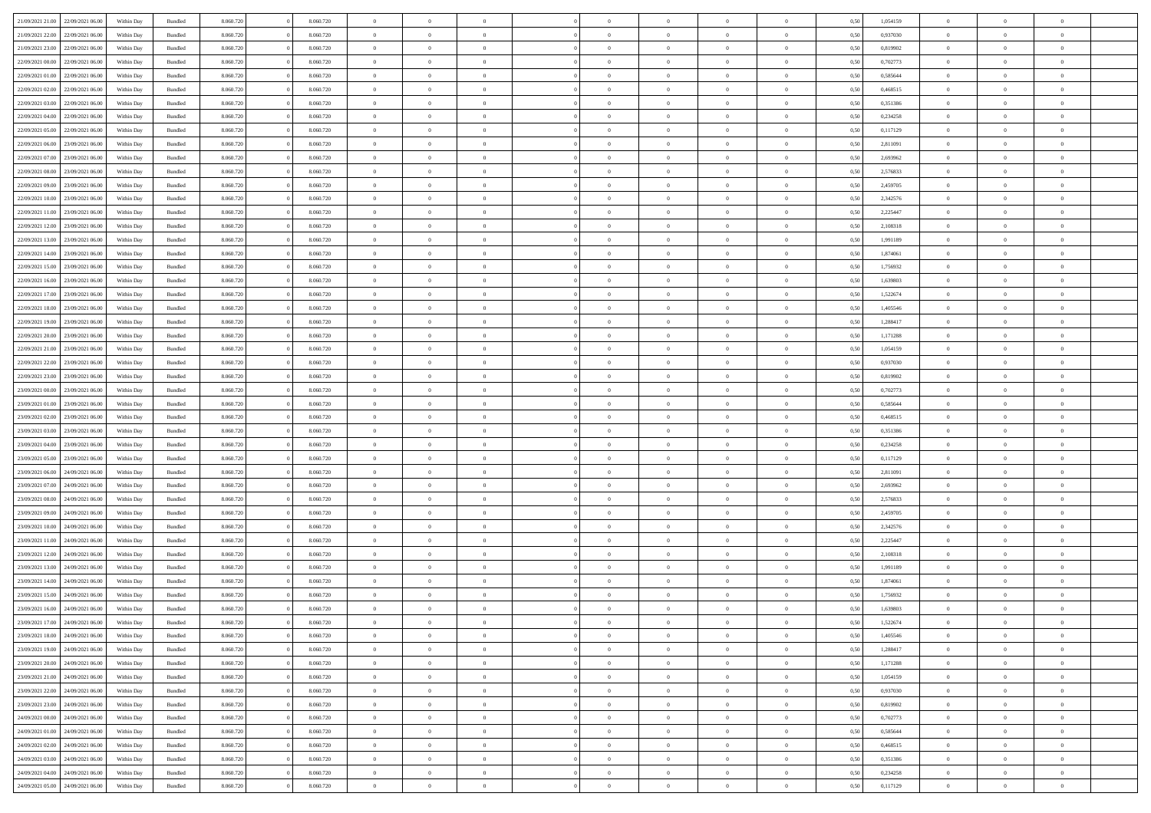| 21/09/2021 21:00                  | 22/09/2021 06:00                  | Within Dav | Bundled            | 8.060.720 | 8.060.720 | $\overline{0}$ | $\Omega$       |                | $\Omega$       | $\Omega$       | $\Omega$       | $\theta$       | 0.50 | 1,054159 | $\theta$       | $\theta$       | $\theta$       |  |
|-----------------------------------|-----------------------------------|------------|--------------------|-----------|-----------|----------------|----------------|----------------|----------------|----------------|----------------|----------------|------|----------|----------------|----------------|----------------|--|
| 21/09/2021 22:00                  | 22/09/2021 06:00                  | Within Day | Bundled            | 8.060.720 | 8.060.720 | $\overline{0}$ | $\theta$       | $\overline{0}$ | $\overline{0}$ | $\bf{0}$       | $\overline{0}$ | $\overline{0}$ | 0,50 | 0,937030 | $\theta$       | $\theta$       | $\overline{0}$ |  |
| 21/09/2021 23:00                  | 22/09/2021 06:00                  | Within Day | Bundled            | 8.060.720 | 8.060.720 | $\overline{0}$ | $\overline{0}$ | $\overline{0}$ | $\bf{0}$       | $\bf{0}$       | $\bf{0}$       | $\bf{0}$       | 0,50 | 0,819902 | $\overline{0}$ | $\overline{0}$ | $\overline{0}$ |  |
|                                   |                                   |            |                    |           |           |                |                |                |                |                |                |                |      |          | $\theta$       |                |                |  |
| 22/09/2021 00:00                  | 22/09/2021 06:00                  | Within Dav | Bundled            | 8.060.720 | 8.060.720 | $\overline{0}$ | $\overline{0}$ | $\overline{0}$ | $\overline{0}$ | $\bf{0}$       | $\overline{0}$ | $\overline{0}$ | 0.50 | 0,702773 |                | $\theta$       | $\overline{0}$ |  |
| 22/09/2021 01:00                  | 22/09/2021 06:00                  | Within Day | Bundled            | 8.060.720 | 8.060.720 | $\overline{0}$ | $\theta$       | $\overline{0}$ | $\overline{0}$ | $\bf{0}$       | $\overline{0}$ | $\bf{0}$       | 0,50 | 0,585644 | $\theta$       | $\theta$       | $\overline{0}$ |  |
| 22/09/2021 02:00                  | 22/09/2021 06:00                  | Within Day | Bundled            | 8.060.720 | 8.060.720 | $\overline{0}$ | $\bf{0}$       | $\overline{0}$ | $\bf{0}$       | $\overline{0}$ | $\overline{0}$ | $\mathbf{0}$   | 0,50 | 0,468515 | $\overline{0}$ | $\overline{0}$ | $\bf{0}$       |  |
| 22/09/2021 03:00                  | 22/09/2021 06:00                  | Within Dav | Bundled            | 8.060.720 | 8.060.720 | $\overline{0}$ | $\overline{0}$ | $\overline{0}$ | $\overline{0}$ | $\overline{0}$ | $\overline{0}$ | $\overline{0}$ | 0.50 | 0,351386 | $\theta$       | $\theta$       | $\overline{0}$ |  |
|                                   |                                   |            |                    |           |           |                |                |                |                |                |                |                |      |          |                |                |                |  |
| 22/09/2021 04:00                  | 22/09/2021 06:00                  | Within Day | Bundled            | 8.060.720 | 8.060.720 | $\overline{0}$ | $\theta$       | $\overline{0}$ | $\overline{0}$ | $\bf{0}$       | $\overline{0}$ | $\bf{0}$       | 0,50 | 0,234258 | $\theta$       | $\theta$       | $\overline{0}$ |  |
| 22/09/2021 05:00                  | 22/09/2021 06:00                  | Within Day | Bundled            | 8.060.720 | 8.060.720 | $\overline{0}$ | $\overline{0}$ | $\overline{0}$ | $\bf{0}$       | $\bf{0}$       | $\bf{0}$       | $\bf{0}$       | 0,50 | 0,117129 | $\,0\,$        | $\overline{0}$ | $\overline{0}$ |  |
| 22/09/2021 06:00                  | 23/09/2021 06:00                  | Within Dav | Bundled            | 8.060.720 | 8.060.720 | $\overline{0}$ | $\overline{0}$ | $\overline{0}$ | $\overline{0}$ | $\overline{0}$ | $\overline{0}$ | $\overline{0}$ | 0.50 | 2,811091 | $\theta$       | $\overline{0}$ | $\overline{0}$ |  |
| 22/09/2021 07:00                  | 23/09/2021 06:00                  |            | Bundled            | 8.060.720 | 8.060.720 | $\overline{0}$ | $\theta$       | $\overline{0}$ | $\overline{0}$ | $\bf{0}$       | $\overline{0}$ |                |      | 2,693962 | $\,$ 0 $\,$    | $\theta$       | $\overline{0}$ |  |
|                                   |                                   | Within Day |                    |           |           |                |                |                |                |                |                | $\bf{0}$       | 0,50 |          |                |                |                |  |
| 22/09/2021 08:00                  | 23/09/2021 06:00                  | Within Day | Bundled            | 8.060.720 | 8.060.720 | $\overline{0}$ | $\overline{0}$ | $\overline{0}$ | $\overline{0}$ | $\bf{0}$       | $\overline{0}$ | $\bf{0}$       | 0,50 | 2,576833 | $\bf{0}$       | $\overline{0}$ | $\overline{0}$ |  |
| 22/09/2021 09:00                  | 23/09/2021 06:00                  | Within Dav | Bundled            | 8.060.720 | 8.060.720 | $\overline{0}$ | $\overline{0}$ | $\overline{0}$ | $\overline{0}$ | $\bf{0}$       | $\overline{0}$ | $\overline{0}$ | 0.50 | 2,459705 | $\theta$       | $\theta$       | $\overline{0}$ |  |
| 22/09/2021 10:00                  | 23/09/2021 06:00                  | Within Day | Bundled            | 8.060.720 | 8.060.720 | $\overline{0}$ | $\theta$       | $\overline{0}$ | $\overline{0}$ | $\bf{0}$       | $\overline{0}$ | $\overline{0}$ | 0,50 | 2,342576 | $\theta$       | $\theta$       | $\overline{0}$ |  |
|                                   |                                   |            |                    |           |           |                |                |                |                |                |                |                |      |          |                |                |                |  |
| 22/09/2021 11:00                  | 23/09/2021 06:00                  | Within Day | Bundled            | 8.060.720 | 8.060.720 | $\overline{0}$ | $\bf{0}$       | $\overline{0}$ | $\overline{0}$ | $\overline{0}$ | $\overline{0}$ | $\mathbf{0}$   | 0,50 | 2,225447 | $\bf{0}$       | $\overline{0}$ | $\bf{0}$       |  |
| 22/09/2021 12:00                  | 23/09/2021 06:00                  | Within Dav | Bundled            | 8.060.720 | 8.060.720 | $\overline{0}$ | $\overline{0}$ | $\overline{0}$ | $\overline{0}$ | $\overline{0}$ | $\overline{0}$ | $\overline{0}$ | 0.50 | 2,108318 | $\theta$       | $\overline{0}$ | $\overline{0}$ |  |
| 22/09/2021 13:00                  | 23/09/2021 06:00                  | Within Day | Bundled            | 8.060.720 | 8.060.720 | $\overline{0}$ | $\theta$       | $\overline{0}$ | $\overline{0}$ | $\bf{0}$       | $\overline{0}$ | $\bf{0}$       | 0,50 | 1,991189 | $\theta$       | $\theta$       | $\overline{0}$ |  |
| 22/09/2021 14:00                  | 23/09/2021 06:00                  | Within Day | Bundled            | 8.060.720 | 8.060.720 | $\overline{0}$ | $\overline{0}$ | $\overline{0}$ | $\overline{0}$ | $\bf{0}$       | $\overline{0}$ | $\bf{0}$       | 0,50 | 1,874061 | $\,0\,$        | $\overline{0}$ | $\overline{0}$ |  |
|                                   | 23/09/2021 06:00                  | Within Dav | Bundled            | 8.060.720 | 8.060.720 | $\overline{0}$ | $\overline{0}$ | $\overline{0}$ | $\overline{0}$ | $\overline{0}$ | $\overline{0}$ | $\overline{0}$ | 0.50 | 1,756932 | $\theta$       | $\overline{0}$ | $\overline{0}$ |  |
| 22/09/2021 15:00                  |                                   |            |                    |           |           |                |                |                |                |                |                |                |      |          |                |                |                |  |
| 22/09/2021 16:00                  | 23/09/2021 06:00                  | Within Day | Bundled            | 8.060.720 | 8.060.720 | $\overline{0}$ | $\theta$       | $\overline{0}$ | $\overline{0}$ | $\bf{0}$       | $\overline{0}$ | $\bf{0}$       | 0,50 | 1,639803 | $\theta$       | $\theta$       | $\overline{0}$ |  |
| 22/09/2021 17:00                  | 23/09/2021 06:00                  | Within Day | Bundled            | 8.060.720 | 8.060.720 | $\overline{0}$ | $\overline{0}$ | $\overline{0}$ | $\overline{0}$ | $\bf{0}$       | $\overline{0}$ | $\bf{0}$       | 0,50 | 1,522674 | $\bf{0}$       | $\overline{0}$ | $\overline{0}$ |  |
| 22/09/2021 18:00                  | 23/09/2021 06:00                  | Within Day | Bundled            | 8.060.720 | 8.060.720 | $\overline{0}$ | $\overline{0}$ | $\overline{0}$ | $\overline{0}$ | $\bf{0}$       | $\overline{0}$ | $\overline{0}$ | 0.50 | 1,405546 | $\theta$       | $\theta$       | $\overline{0}$ |  |
|                                   |                                   |            |                    |           |           | $\overline{0}$ | $\theta$       | $\overline{0}$ | $\overline{0}$ | $\bf{0}$       | $\overline{0}$ |                |      |          | $\theta$       | $\overline{0}$ | $\overline{0}$ |  |
| 22/09/2021 19:00                  | 23/09/2021 06:00                  | Within Day | Bundled            | 8.060.720 | 8.060.720 |                |                |                |                |                |                | $\bf{0}$       | 0,50 | 1,288417 |                |                |                |  |
| 22/09/2021 20:00                  | 23/09/2021 06:00                  | Within Day | Bundled            | 8.060.720 | 8.060.720 | $\overline{0}$ | $\bf{0}$       | $\overline{0}$ | $\overline{0}$ | $\overline{0}$ | $\overline{0}$ | $\mathbf{0}$   | 0,50 | 1,171288 | $\bf{0}$       | $\overline{0}$ | $\bf{0}$       |  |
| 22/09/2021 21:00                  | 23/09/2021 06:00                  | Within Dav | Bundled            | 8.060.720 | 8.060.720 | $\overline{0}$ | $\overline{0}$ | $\overline{0}$ | $\overline{0}$ | $\overline{0}$ | $\overline{0}$ | $\overline{0}$ | 0.50 | 1,054159 | $\theta$       | $\theta$       | $\overline{0}$ |  |
| 22/09/2021 22:00                  | 23/09/2021 06:00                  | Within Day | Bundled            | 8.060.720 | 8.060.720 | $\overline{0}$ | $\theta$       | $\overline{0}$ | $\overline{0}$ | $\bf{0}$       | $\overline{0}$ | $\bf{0}$       | 0,50 | 0,937030 | $\theta$       | $\theta$       | $\overline{0}$ |  |
|                                   |                                   |            |                    |           |           |                |                |                |                |                |                |                |      |          |                |                |                |  |
| 22/09/2021 23:00                  | 23/09/2021 06:00                  | Within Day | Bundled            | 8.060.720 | 8.060.720 | $\overline{0}$ | $\overline{0}$ | $\overline{0}$ | $\overline{0}$ | $\bf{0}$       | $\overline{0}$ | $\bf{0}$       | 0,50 | 0,819902 | $\,0\,$        | $\overline{0}$ | $\overline{0}$ |  |
| 23/09/2021 00:00                  | 23/09/2021 06:00                  | Within Day | Bundled            | 8.060.720 | 8.060.720 | $\overline{0}$ | $\overline{0}$ | $\overline{0}$ | $\overline{0}$ | $\overline{0}$ | $\overline{0}$ | $\overline{0}$ | 0.50 | 0,702773 | $\theta$       | $\overline{0}$ | $\overline{0}$ |  |
| 23/09/2021 01:00                  | 23/09/2021 06:00                  | Within Day | Bundled            | 8.060.720 | 8.060.720 | $\overline{0}$ | $\theta$       | $\overline{0}$ | $\overline{0}$ | $\bf{0}$       | $\overline{0}$ | $\bf{0}$       | 0,50 | 0,585644 | $\,$ 0 $\,$    | $\theta$       | $\overline{0}$ |  |
| 23/09/2021 02:00                  | 23/09/2021 06:00                  | Within Day | Bundled            | 8.060.720 | 8.060.720 | $\overline{0}$ | $\overline{0}$ | $\overline{0}$ | $\overline{0}$ | $\bf{0}$       | $\overline{0}$ | $\bf{0}$       | 0,50 | 0,468515 | $\bf{0}$       | $\overline{0}$ | $\overline{0}$ |  |
|                                   |                                   |            |                    |           |           | $\overline{0}$ | $\Omega$       | $\Omega$       | $\Omega$       | $\Omega$       | $\Omega$       |                |      |          |                |                | $\theta$       |  |
| 23/09/2021 03:00                  | 23/09/2021 06:00                  | Within Day | Bundled            | 8.060.720 | 8.060.720 |                |                |                |                |                |                | $\overline{0}$ | 0.50 | 0,351386 | $\,0\,$        | $\theta$       |                |  |
| 23/09/2021 04:00                  | 23/09/2021 06:00                  | Within Day | Bundled            | 8.060.720 | 8.060.720 | $\overline{0}$ | $\theta$       | $\overline{0}$ | $\overline{0}$ | $\bf{0}$       | $\overline{0}$ | $\bf{0}$       | 0,50 | 0,234258 | $\theta$       | $\theta$       | $\overline{0}$ |  |
| 23/09/2021 05:00                  | 23/09/2021 06:00                  | Within Day | Bundled            | 8.060.720 | 8.060.720 | $\overline{0}$ | $\overline{0}$ | $\overline{0}$ | $\overline{0}$ | $\bf{0}$       | $\overline{0}$ | $\mathbf{0}$   | 0,50 | 0,117129 | $\bf{0}$       | $\overline{0}$ | $\bf{0}$       |  |
| 23/09/2021 06:00                  | 24/09/2021 06:00                  | Within Day | Bundled            | 8.060.720 | 8.060.720 | $\overline{0}$ | $\Omega$       | $\Omega$       | $\Omega$       | $\bf{0}$       | $\Omega$       | $\overline{0}$ | 0.50 | 2,811091 | $\,0\,$        | $\theta$       | $\theta$       |  |
| 23/09/2021 07:00                  | 24/09/2021 06.00                  |            |                    | 8.060.720 | 8.060.720 | $\overline{0}$ | $\theta$       | $\overline{0}$ | $\overline{0}$ | $\bf{0}$       | $\overline{0}$ |                |      | 2,693962 | $\theta$       | $\theta$       | $\overline{0}$ |  |
|                                   |                                   | Within Day | Bundled            |           |           |                |                |                |                |                |                | $\bf{0}$       | 0,50 |          |                |                |                |  |
| 23/09/2021 08:00                  | 24/09/2021 06:00                  | Within Day | Bundled            | 8.060.720 | 8.060.720 | $\overline{0}$ | $\overline{0}$ | $\overline{0}$ | $\overline{0}$ | $\bf{0}$       | $\bf{0}$       | $\bf{0}$       | 0,50 | 2,576833 | $\,0\,$        | $\overline{0}$ | $\overline{0}$ |  |
| 23/09/2021 09:00                  | 24/09/2021 06:00                  | Within Day | Bundled            | 8.060.720 | 8.060.720 | $\overline{0}$ | $\Omega$       | $\Omega$       | $\Omega$       | $\Omega$       | $\theta$       | $\overline{0}$ | 0.50 | 2,459705 | $\theta$       | $\theta$       | $\theta$       |  |
| 23/09/2021 10:00                  | 24/09/2021 06.00                  | Within Day | Bundled            | 8.060.720 | 8.060.720 | $\overline{0}$ | $\theta$       | $\overline{0}$ | $\overline{0}$ | $\bf{0}$       | $\overline{0}$ | $\bf{0}$       | 0,50 | 2,342576 | $\,$ 0 $\,$    | $\overline{0}$ | $\overline{0}$ |  |
|                                   |                                   |            |                    |           |           |                |                |                |                |                |                |                |      |          |                |                |                |  |
| 23/09/2021 11:00                  | 24/09/2021 06:00                  | Within Day | Bundled            | 8.060.720 | 8.060.720 | $\overline{0}$ | $\overline{0}$ | $\overline{0}$ | $\bf{0}$       | $\bf{0}$       | $\bf{0}$       | $\bf{0}$       | 0,50 | 2,225447 | $\overline{0}$ | $\overline{0}$ | $\overline{0}$ |  |
| 23/09/2021 12:00                  | 24/09/2021 06.00                  | Within Day | Bundled            | 8.060.720 | 8.060.720 | $\overline{0}$ | $\Omega$       | $\Omega$       | $\Omega$       | $\Omega$       | $\overline{0}$ | $\overline{0}$ | 0.50 | 2,108318 | $\,0\,$        | $\theta$       | $\theta$       |  |
| 23/09/2021 13:00                  | 24/09/2021 06.00                  | Within Day | Bundled            | 8.060.720 | 8.060.720 | $\overline{0}$ | $\theta$       | $\overline{0}$ | $\overline{0}$ | $\bf{0}$       | $\overline{0}$ | $\bf{0}$       | 0,50 | 1,991189 | $\,$ 0 $\,$    | $\overline{0}$ | $\overline{0}$ |  |
| 23/09/2021 14:00                  | 24/09/2021 06:00                  | Within Day | Bundled            | 8.060.720 | 8.060.720 | $\overline{0}$ | $\overline{0}$ | $\overline{0}$ | $\bf{0}$       | $\bf{0}$       | $\bf{0}$       | $\mathbf{0}$   | 0,50 | 1,874061 | $\overline{0}$ | $\overline{0}$ | $\bf{0}$       |  |
| 23/09/2021 15:00                  | 24/09/2021 06:00                  | Within Day | Bundled            | 8.060.720 | 8.060.720 | $\overline{0}$ | $\Omega$       | $\Omega$       | $\Omega$       | $\Omega$       | $\Omega$       | $\overline{0}$ | 0.50 | 1,756932 | $\theta$       | $\theta$       | $\theta$       |  |
|                                   |                                   |            |                    |           |           |                |                |                |                |                |                |                |      |          |                |                |                |  |
| 23/09/2021 16:00                  | 24/09/2021 06:00                  | Within Day | Bundled            | 8.060.720 | 8.060.720 | $\overline{0}$ | $\overline{0}$ | $\overline{0}$ | $\bf{0}$       | $\,$ 0         | $\bf{0}$       | $\bf{0}$       | 0,50 | 1,639803 | $\,0\,$        | $\overline{0}$ | $\overline{0}$ |  |
|                                   | 23/09/2021 17:00 24/09/2021 06:00 | Within Day | $\mathbf B$ undled | 8.060.720 | 8.060.720 | $\bf{0}$       | $\bf{0}$       |                |                | $\bf{0}$       |                |                | 0,50 | 1,522674 | $\bf{0}$       | $\overline{0}$ |                |  |
| 23/09/2021 18:00                  | 24/09/2021 06:00                  | Within Day | Bundled            | 8.060.720 | 8.060.720 | $\overline{0}$ | $\overline{0}$ | $\overline{0}$ | $\Omega$       | $\overline{0}$ | $\overline{0}$ | $\overline{0}$ | 0.50 | 1.405546 | $\theta$       | $\theta$       | $\theta$       |  |
| 23/09/2021 19:00                  | 24/09/2021 06.00                  | Within Day | Bundled            | 8.060.720 | 8.060.720 | $\overline{0}$ | $\,$ 0         | $\overline{0}$ | $\bf{0}$       | $\,$ 0 $\,$    | $\overline{0}$ | $\mathbf{0}$   | 0,50 | 1,288417 | $\,$ 0 $\,$    | $\,$ 0 $\,$    | $\,$ 0         |  |
|                                   |                                   |            |                    |           |           |                |                |                |                |                |                |                |      |          |                |                |                |  |
| 23/09/2021 20:00                  | 24/09/2021 06:00                  | Within Day | Bundled            | 8.060.720 | 8.060.720 | $\overline{0}$ | $\overline{0}$ | $\overline{0}$ | $\overline{0}$ | $\overline{0}$ | $\overline{0}$ | $\mathbf{0}$   | 0,50 | 1,171288 | $\overline{0}$ | $\bf{0}$       | $\overline{0}$ |  |
| 23/09/2021 21:00                  | 24/09/2021 06.00                  | Within Day | Bundled            | 8.060.720 | 8.060.720 | $\overline{0}$ | $\overline{0}$ | $\overline{0}$ | $\Omega$       | $\overline{0}$ | $\overline{0}$ | $\overline{0}$ | 0,50 | 1,054159 | $\overline{0}$ | $\theta$       | $\overline{0}$ |  |
| 23/09/2021 22.00                  | 24/09/2021 06.00                  | Within Day | Bundled            | 8.060.720 | 8.060.720 | $\overline{0}$ | $\,$ 0         | $\overline{0}$ | $\overline{0}$ | $\,$ 0 $\,$    | $\overline{0}$ | $\mathbf{0}$   | 0,50 | 0,937030 | $\,$ 0 $\,$    | $\overline{0}$ | $\overline{0}$ |  |
| 23/09/2021 23:00                  | 24/09/2021 06:00                  | Within Day | Bundled            | 8.060.720 | 8.060.720 | $\overline{0}$ | $\overline{0}$ | $\overline{0}$ | $\overline{0}$ | $\overline{0}$ | $\overline{0}$ | $\mathbf{0}$   | 0,50 | 0,819902 | $\overline{0}$ | $\overline{0}$ | $\bf{0}$       |  |
|                                   |                                   |            |                    |           |           |                |                |                |                |                |                |                |      |          |                |                |                |  |
| 24/09/2021 00:00                  | 24/09/2021 06:00                  | Within Day | Bundled            | 8.060.720 | 8.060.720 | $\overline{0}$ | $\overline{0}$ | $\overline{0}$ | $\Omega$       | $\overline{0}$ | $\overline{0}$ | $\bf{0}$       | 0.50 | 0,702773 | $\overline{0}$ | $\theta$       | $\overline{0}$ |  |
| 24/09/2021 01:00                  | 24/09/2021 06.00                  | Within Day | Bundled            | 8.060.720 | 8.060.720 | $\overline{0}$ | $\,$ 0         | $\overline{0}$ | $\bf{0}$       | $\bf{0}$       | $\bf{0}$       | $\bf{0}$       | 0,50 | 0,585644 | $\,$ 0 $\,$    | $\overline{0}$ | $\overline{0}$ |  |
| 24/09/2021 02.00                  | 24/09/2021 06:00                  | Within Day | Bundled            | 8.060.720 | 8.060.720 | $\overline{0}$ | $\bf{0}$       | $\overline{0}$ | $\overline{0}$ | $\overline{0}$ | $\overline{0}$ | $\mathbf{0}$   | 0,50 | 0,468515 | $\overline{0}$ | $\overline{0}$ | $\bf{0}$       |  |
| 24/09/2021 03:00                  | 24/09/2021 06:00                  | Within Day | Bundled            | 8.060.720 | 8.060.720 | $\overline{0}$ | $\overline{0}$ | $\overline{0}$ | $\Omega$       | $\overline{0}$ | $\overline{0}$ | $\overline{0}$ | 0.50 | 0,351386 | $\overline{0}$ | $\overline{0}$ | $\overline{0}$ |  |
|                                   |                                   |            |                    |           |           |                |                |                |                |                |                |                |      |          |                |                |                |  |
| 24/09/2021 04:00                  | 24/09/2021 06.00                  | Within Day | Bundled            | 8.060.720 | 8.060.720 | $\overline{0}$ | $\bf{0}$       | $\overline{0}$ | $\overline{0}$ | $\bf{0}$       | $\bf{0}$       | $\mathbf{0}$   | 0,50 | 0,234258 | $\,$ 0 $\,$    | $\,$ 0 $\,$    | $\bf{0}$       |  |
| 24/09/2021 05:00 24/09/2021 06:00 |                                   | Within Day | Bundled            | 8.060.720 | 8.060.720 | $\overline{0}$ | $\overline{0}$ | $\overline{0}$ | $\overline{0}$ | $\overline{0}$ | $\bf{0}$       | $\mathbf{0}$   | 0,50 | 0,117129 | $\overline{0}$ | $\bf{0}$       | $\overline{0}$ |  |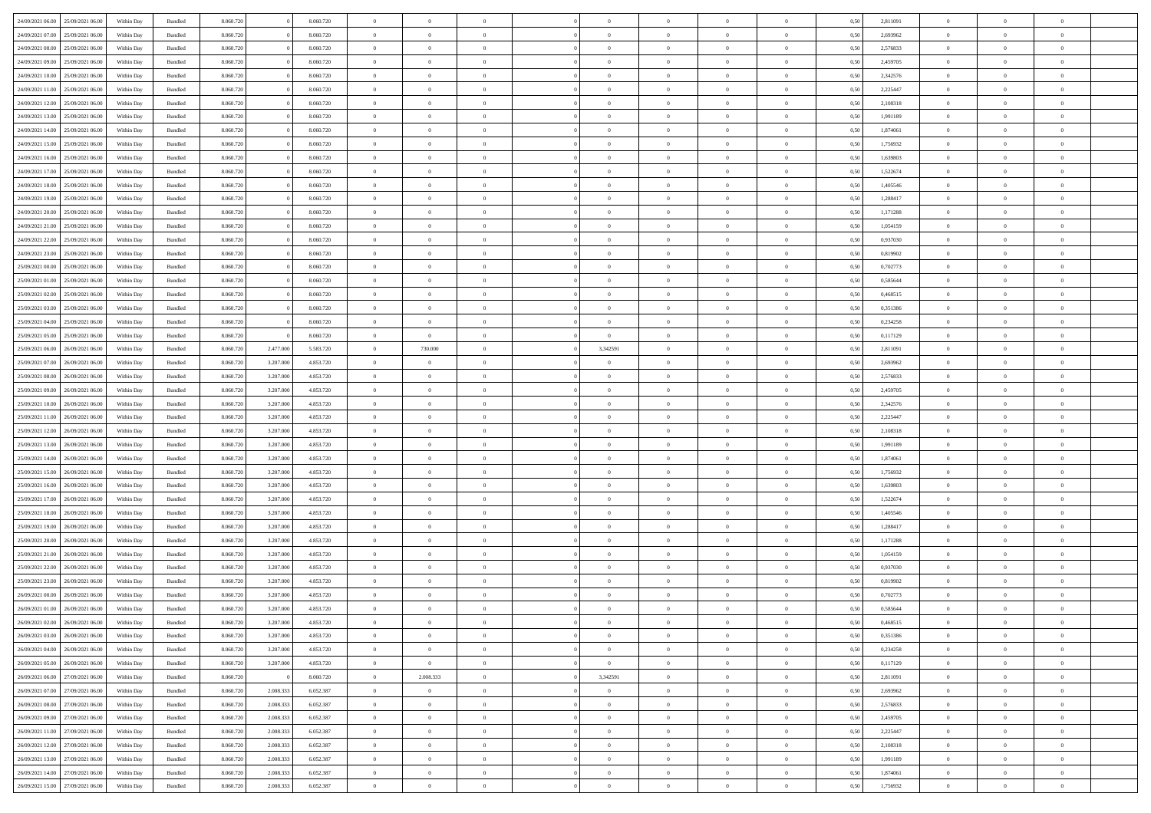| 24/09/2021 06:00                  | 25/09/2021 06:00 | Within Dav | Bundled            | 8.060.720 |           | 8.060.720 | $\overline{0}$ | $\Omega$       |                | $\Omega$       | $\Omega$       | $\Omega$       | $\theta$       | 0.50 | 2,811091 | $\theta$       | $\theta$       | $\theta$       |  |
|-----------------------------------|------------------|------------|--------------------|-----------|-----------|-----------|----------------|----------------|----------------|----------------|----------------|----------------|----------------|------|----------|----------------|----------------|----------------|--|
| 24/09/2021 07:00                  | 25/09/2021 06:00 | Within Day | Bundled            | 8.060.720 |           | 8.060.720 | $\overline{0}$ | $\theta$       | $\overline{0}$ | $\overline{0}$ | $\bf{0}$       | $\overline{0}$ | $\overline{0}$ | 0,50 | 2,693962 | $\theta$       | $\theta$       | $\overline{0}$ |  |
| 24/09/2021 08:00                  | 25/09/2021 06:00 | Within Day | Bundled            | 8.060.720 |           | 8.060.720 | $\overline{0}$ | $\overline{0}$ | $\overline{0}$ | $\bf{0}$       | $\bf{0}$       | $\bf{0}$       | $\bf{0}$       | 0,50 | 2,576833 | $\overline{0}$ | $\overline{0}$ | $\overline{0}$ |  |
|                                   |                  |            |                    |           |           |           |                |                |                |                |                |                |                |      |          | $\theta$       |                |                |  |
| 24/09/2021 09:00                  | 25/09/2021 06:00 | Within Dav | Bundled            | 8.060.720 |           | 8.060.720 | $\overline{0}$ | $\overline{0}$ | $\overline{0}$ | $\overline{0}$ | $\bf{0}$       | $\overline{0}$ | $\overline{0}$ | 0.50 | 2,459705 |                | $\theta$       | $\overline{0}$ |  |
| 24/09/2021 10:00                  | 25/09/2021 06:00 | Within Day | Bundled            | 8.060.720 |           | 8.060.720 | $\overline{0}$ | $\theta$       | $\overline{0}$ | $\overline{0}$ | $\bf{0}$       | $\overline{0}$ | $\bf{0}$       | 0,50 | 2,342576 | $\theta$       | $\theta$       | $\overline{0}$ |  |
| 24/09/2021 11:00                  | 25/09/2021 06:00 | Within Day | Bundled            | 8.060.720 |           | 8.060.720 | $\overline{0}$ | $\bf{0}$       | $\overline{0}$ | $\bf{0}$       | $\overline{0}$ | $\overline{0}$ | $\mathbf{0}$   | 0,50 | 2,225447 | $\overline{0}$ | $\overline{0}$ | $\bf{0}$       |  |
| 24/09/2021 12:00                  | 25/09/2021 06:00 | Within Dav | Bundled            | 8.060.720 |           | 8.060.720 | $\overline{0}$ | $\overline{0}$ | $\overline{0}$ | $\overline{0}$ | $\overline{0}$ | $\overline{0}$ | $\overline{0}$ | 0.50 | 2,108318 | $\theta$       | $\overline{0}$ | $\overline{0}$ |  |
|                                   |                  |            |                    |           |           |           |                |                |                |                |                |                |                |      |          |                |                |                |  |
| 24/09/2021 13:00                  | 25/09/2021 06:00 | Within Day | Bundled            | 8.060.720 |           | 8.060.720 | $\overline{0}$ | $\theta$       | $\overline{0}$ | $\overline{0}$ | $\bf{0}$       | $\overline{0}$ | $\bf{0}$       | 0,50 | 1,991189 | $\theta$       | $\theta$       | $\overline{0}$ |  |
| 24/09/2021 14:00                  | 25/09/2021 06:00 | Within Day | Bundled            | 8.060.720 |           | 8.060.720 | $\overline{0}$ | $\overline{0}$ | $\overline{0}$ | $\bf{0}$       | $\bf{0}$       | $\bf{0}$       | $\bf{0}$       | 0,50 | 1,874061 | $\,0\,$        | $\overline{0}$ | $\overline{0}$ |  |
| 24/09/2021 15:00                  | 25/09/2021 06:00 | Within Dav | Bundled            | 8.060.720 |           | 8.060.720 | $\overline{0}$ | $\overline{0}$ | $\overline{0}$ | $\overline{0}$ | $\overline{0}$ | $\overline{0}$ | $\overline{0}$ | 0.50 | 1,756932 | $\theta$       | $\overline{0}$ | $\overline{0}$ |  |
| 24/09/2021 16:00                  | 25/09/2021 06:00 |            | Bundled            | 8.060.720 |           | 8.060.720 | $\overline{0}$ | $\theta$       | $\overline{0}$ | $\overline{0}$ | $\bf{0}$       | $\overline{0}$ |                |      | 1,639803 | $\theta$       | $\theta$       | $\overline{0}$ |  |
|                                   |                  | Within Day |                    |           |           |           |                |                |                |                |                |                | $\bf{0}$       | 0,50 |          |                |                |                |  |
| 24/09/2021 17:00                  | 25/09/2021 06:00 | Within Day | Bundled            | 8.060.720 |           | 8.060.720 | $\overline{0}$ | $\overline{0}$ | $\overline{0}$ | $\bf{0}$       | $\bf{0}$       | $\bf{0}$       | $\bf{0}$       | 0,50 | 1,522674 | $\overline{0}$ | $\overline{0}$ | $\overline{0}$ |  |
| 24/09/2021 18:00                  | 25/09/2021 06:00 | Within Dav | Bundled            | 8.060.720 |           | 8.060.720 | $\overline{0}$ | $\overline{0}$ | $\overline{0}$ | $\overline{0}$ | $\bf{0}$       | $\overline{0}$ | $\overline{0}$ | 0.50 | 1,405546 | $\theta$       | $\theta$       | $\overline{0}$ |  |
| 24/09/2021 19:00                  | 25/09/2021 06:00 | Within Day | Bundled            | 8.060.720 |           | 8.060.720 | $\overline{0}$ | $\theta$       | $\overline{0}$ | $\overline{0}$ | $\bf{0}$       | $\overline{0}$ | $\overline{0}$ | 0,50 | 1,288417 | $\theta$       | $\theta$       | $\overline{0}$ |  |
|                                   |                  |            |                    |           |           |           |                |                |                |                |                |                |                |      |          |                |                |                |  |
| 24/09/2021 20:00                  | 25/09/2021 06:00 | Within Day | Bundled            | 8.060.720 |           | 8.060.720 | $\overline{0}$ | $\overline{0}$ | $\overline{0}$ | $\bf{0}$       | $\overline{0}$ | $\overline{0}$ | $\mathbf{0}$   | 0,50 | 1,171288 | $\overline{0}$ | $\overline{0}$ | $\bf{0}$       |  |
| 24/09/2021 21:00                  | 25/09/2021 06:00 | Within Dav | Bundled            | 8.060.720 |           | 8.060.720 | $\overline{0}$ | $\overline{0}$ | $\overline{0}$ | $\overline{0}$ | $\overline{0}$ | $\overline{0}$ | $\overline{0}$ | 0.50 | 1,054159 | $\theta$       | $\overline{0}$ | $\overline{0}$ |  |
| 24/09/2021 22.00                  | 25/09/2021 06:00 | Within Day | Bundled            | 8.060.720 |           | 8.060.720 | $\overline{0}$ | $\theta$       | $\overline{0}$ | $\overline{0}$ | $\bf{0}$       | $\overline{0}$ | $\bf{0}$       | 0,50 | 0,937030 | $\theta$       | $\theta$       | $\overline{0}$ |  |
| 24/09/2021 23:00                  | 25/09/2021 06:00 | Within Day | Bundled            | 8.060.720 |           | 8.060.720 | $\overline{0}$ | $\overline{0}$ | $\overline{0}$ | $\bf{0}$       | $\bf{0}$       | $\bf{0}$       | $\bf{0}$       | 0,50 | 0,819902 | $\,0\,$        | $\overline{0}$ | $\overline{0}$ |  |
| 25/09/2021 00:00                  | 25/09/2021 06:00 | Within Dav | Bundled            | 8.060.720 |           | 8.060.720 | $\overline{0}$ | $\overline{0}$ | $\overline{0}$ | $\overline{0}$ | $\overline{0}$ | $\overline{0}$ | $\overline{0}$ | 0.50 | 0,702773 | $\theta$       | $\overline{0}$ | $\overline{0}$ |  |
|                                   |                  |            |                    |           |           |           |                |                |                |                |                |                |                |      |          |                |                |                |  |
| 25/09/2021 01:00                  | 25/09/2021 06:00 | Within Day | Bundled            | 8.060.720 |           | 8.060.720 | $\overline{0}$ | $\theta$       | $\overline{0}$ | $\overline{0}$ | $\bf{0}$       | $\overline{0}$ | $\bf{0}$       | 0,50 | 0,585644 | $\theta$       | $\theta$       | $\overline{0}$ |  |
| 25/09/2021 02:00                  | 25/09/2021 06:00 | Within Day | Bundled            | 8.060.720 |           | 8.060.720 | $\overline{0}$ | $\overline{0}$ | $\overline{0}$ | $\bf{0}$       | $\bf{0}$       | $\bf{0}$       | $\bf{0}$       | 0,50 | 0,468515 | $\,0\,$        | $\overline{0}$ | $\overline{0}$ |  |
| 25/09/2021 03:00                  | 25/09/2021 06:00 | Within Dav | Bundled            | 8.060.720 |           | 8.060.720 | $\overline{0}$ | $\overline{0}$ | $\overline{0}$ | $\overline{0}$ | $\bf{0}$       | $\overline{0}$ | $\overline{0}$ | 0.50 | 0,351386 | $\theta$       | $\theta$       | $\overline{0}$ |  |
|                                   |                  |            |                    |           |           |           | $\overline{0}$ | $\theta$       |                |                |                |                |                |      |          | $\theta$       | $\overline{0}$ |                |  |
| 25/09/2021 04:00                  | 25/09/2021 06:00 | Within Day | Bundled            | 8.060.720 |           | 8.060.720 |                |                | $\overline{0}$ | $\overline{0}$ | $\bf{0}$       | $\overline{0}$ | $\bf{0}$       | 0,50 | 0,234258 |                |                | $\overline{0}$ |  |
| 25/09/2021 05:00                  | 25/09/2021 06:00 | Within Day | Bundled            | 8.060.720 |           | 8.060.720 | $\overline{0}$ | $\overline{0}$ | $\overline{0}$ | $\bf{0}$       | $\bf{0}$       | $\overline{0}$ | $\mathbf{0}$   | 0,50 | 0,117129 | $\overline{0}$ | $\overline{0}$ | $\bf{0}$       |  |
| 25/09/2021 06:00                  | 26/09/2021 06:00 | Within Dav | Bundled            | 8.060.720 | 2.477.000 | 5.583.720 | $\overline{0}$ | 730.000        | $\overline{0}$ | 3,342591       | $\overline{0}$ | $\overline{0}$ | $\overline{0}$ | 0.50 | 2,811091 | $\theta$       | $\overline{0}$ | $\overline{0}$ |  |
| 25/09/2021 07:00                  | 26/09/2021 06:00 | Within Day | Bundled            | 8.060.720 | 3.207.000 | 4.853.720 | $\overline{0}$ | $\theta$       | $\overline{0}$ | $\overline{0}$ | $\bf{0}$       | $\overline{0}$ | $\bf{0}$       | 0,50 | 2,693962 | $\theta$       | $\theta$       | $\overline{0}$ |  |
|                                   |                  |            |                    |           |           |           |                |                |                |                |                |                |                |      |          |                |                |                |  |
| 25/09/2021 08:00                  | 26/09/2021 06:00 | Within Day | Bundled            | 8.060.720 | 3.207.000 | 4.853.720 | $\overline{0}$ | $\overline{0}$ | $\overline{0}$ | $\bf{0}$       | $\bf{0}$       | $\bf{0}$       | $\bf{0}$       | 0,50 | 2,576833 | $\,0\,$        | $\overline{0}$ | $\overline{0}$ |  |
| 25/09/2021 09:00                  | 26/09/2021 06:00 | Within Day | Bundled            | 8.060.720 | 3.207.000 | 4.853.720 | $\overline{0}$ | $\overline{0}$ | $\overline{0}$ | $\overline{0}$ | $\overline{0}$ | $\overline{0}$ | $\overline{0}$ | 0.50 | 2,459705 | $\theta$       | $\overline{0}$ | $\overline{0}$ |  |
| 25/09/2021 10:00                  | 26/09/2021 06:00 | Within Day | Bundled            | 8.060.720 | 3.207.000 | 4.853.720 | $\overline{0}$ | $\theta$       | $\overline{0}$ | $\overline{0}$ | $\bf{0}$       | $\overline{0}$ | $\bf{0}$       | 0,50 | 2,342576 | $\,$ 0 $\,$    | $\theta$       | $\overline{0}$ |  |
| 25/09/2021 11:00                  | 26/09/2021 06:00 | Within Day | Bundled            | 8.060.720 | 3.207.000 | 4.853.720 | $\overline{0}$ | $\overline{0}$ | $\overline{0}$ | $\bf{0}$       | $\bf{0}$       | $\bf{0}$       | $\bf{0}$       | 0,50 | 2,225447 | $\bf{0}$       | $\overline{0}$ | $\overline{0}$ |  |
|                                   |                  |            |                    |           |           |           |                |                |                |                |                |                |                |      |          |                |                |                |  |
| 25/09/2021 12:00                  | 26/09/2021 06:00 | Within Day | Bundled            | 8.060.720 | 3.207.000 | 4.853.720 | $\overline{0}$ | $\Omega$       | $\Omega$       | $\Omega$       | $\Omega$       | $\Omega$       | $\overline{0}$ | 0.50 | 2,108318 | $\,0\,$        | $\theta$       | $\theta$       |  |
| 25/09/2021 13:00                  | 26/09/2021 06:00 | Within Day | Bundled            | 8.060.720 | 3.207.000 | 4.853.720 | $\overline{0}$ | $\theta$       | $\overline{0}$ | $\overline{0}$ | $\bf{0}$       | $\overline{0}$ | $\bf{0}$       | 0,50 | 1,991189 | $\theta$       | $\theta$       | $\overline{0}$ |  |
| 25/09/2021 14:00                  | 26/09/2021 06:00 | Within Day | Bundled            | 8.060.720 | 3.207.000 | 4.853.720 | $\overline{0}$ | $\overline{0}$ | $\overline{0}$ | $\bf{0}$       | $\bf{0}$       | $\overline{0}$ | $\mathbf{0}$   | 0,50 | 1,874061 | $\overline{0}$ | $\overline{0}$ | $\bf{0}$       |  |
| 25/09/2021 15:00                  | 26/09/2021 06:00 | Within Day | Bundled            | 8.060.720 | 3.207.000 | 4.853.720 | $\overline{0}$ | $\Omega$       | $\Omega$       | $\Omega$       | $\bf{0}$       | $\overline{0}$ | $\overline{0}$ | 0.50 | 1,756932 | $\,0\,$        | $\theta$       | $\theta$       |  |
|                                   |                  |            |                    |           |           |           | $\overline{0}$ | $\theta$       | $\overline{0}$ |                | $\bf{0}$       | $\overline{0}$ |                |      |          | $\theta$       | $\theta$       | $\overline{0}$ |  |
| 25/09/2021 16:00                  | 26/09/2021 06:00 | Within Day | Bundled            | 8.060.720 | 3.207.000 | 4.853.720 |                |                |                | $\overline{0}$ |                |                | $\bf{0}$       | 0,50 | 1,639803 |                |                |                |  |
| 25/09/2021 17:00                  | 26/09/2021 06:00 | Within Day | Bundled            | 8.060.720 | 3.207.000 | 4.853.720 | $\overline{0}$ | $\overline{0}$ | $\overline{0}$ | $\bf{0}$       | $\bf{0}$       | $\bf{0}$       | $\bf{0}$       | 0,50 | 1,522674 | $\,0\,$        | $\overline{0}$ | $\overline{0}$ |  |
| 25/09/2021 18:00                  | 26/09/2021 06:00 | Within Day | Bundled            | 8.060.72  | 3.207.000 | 4.853.720 | $\overline{0}$ | $\Omega$       | $\Omega$       | $\Omega$       | $\theta$       | $\theta$       | $\overline{0}$ | 0.50 | 1.405546 | $\theta$       | $\theta$       | $\theta$       |  |
| 25/09/2021 19:00                  | 26/09/2021 06:00 | Within Day | Bundled            | 8.060.720 | 3.207.000 | 4.853.720 | $\overline{0}$ | $\theta$       | $\overline{0}$ | $\overline{0}$ | $\bf{0}$       | $\overline{0}$ | $\bf{0}$       | 0,50 | 1,288417 | $\,$ 0 $\,$    | $\overline{0}$ | $\overline{0}$ |  |
|                                   |                  |            |                    |           |           |           |                |                |                |                |                |                |                |      |          |                |                |                |  |
| 25/09/2021 20:00                  | 26/09/2021 06:00 | Within Day | Bundled            | 8.060.720 | 3.207.000 | 4.853.720 | $\overline{0}$ | $\overline{0}$ | $\overline{0}$ | $\bf{0}$       | $\bf{0}$       | $\bf{0}$       | $\bf{0}$       | 0,50 | 1,171288 | $\bf{0}$       | $\overline{0}$ | $\overline{0}$ |  |
| 25/09/2021 21:00                  | 26/09/2021 06:00 | Within Day | Bundled            | 8.060.720 | 3.207.000 | 4.853.720 | $\overline{0}$ | $\Omega$       | $\overline{0}$ | $\Omega$       | $\Omega$       | $\overline{0}$ | $\overline{0}$ | 0.50 | 1,054159 | $\,0\,$        | $\theta$       | $\theta$       |  |
| 25/09/2021 22.00                  | 26/09/2021 06:00 | Within Day | Bundled            | 8.060.720 | 3.207.000 | 4.853.720 | $\overline{0}$ | $\theta$       | $\overline{0}$ | $\overline{0}$ | $\bf{0}$       | $\overline{0}$ | $\bf{0}$       | 0,50 | 0,937030 | $\,$ 0 $\,$    | $\overline{0}$ | $\overline{0}$ |  |
| 25/09/2021 23.00                  | 26/09/2021 06:00 | Within Day | Bundled            | 8.060.720 | 3.207.000 | 4.853.720 | $\overline{0}$ | $\overline{0}$ | $\overline{0}$ | $\bf{0}$       | $\bf{0}$       | $\bf{0}$       | $\mathbf{0}$   | 0,50 | 0,819902 | $\bf{0}$       | $\overline{0}$ | $\bf{0}$       |  |
|                                   | 26/09/2021 06:00 |            |                    |           |           | 4.853.720 | $\overline{0}$ | $\Omega$       | $\Omega$       | $\Omega$       | $\Omega$       | $\Omega$       | $\overline{0}$ | 0.50 | 0.702773 | $\theta$       | $\theta$       | $\theta$       |  |
| 26/09/2021 00:00                  |                  | Within Day | Bundled            | 8.060.720 | 3.207.000 |           |                |                |                |                |                |                |                |      |          |                |                |                |  |
| 26/09/2021 01:00                  | 26/09/2021 06:00 | Within Day | Bundled            | 8.060.720 | 3.207.000 | 4.853.720 | $\overline{0}$ | $\overline{0}$ | $\overline{0}$ | $\bf{0}$       | $\,$ 0         | $\bf{0}$       | $\bf{0}$       | 0,50 | 0,585644 | $\,0\,$        | $\,$ 0 $\,$    | $\overline{0}$ |  |
| 26/09/2021 02:00                  | 26/09/2021 06:00 | Within Day | $\mathbf B$ undled | 8.060.720 | 3.207.000 | 4.853.720 | $\bf{0}$       | $\bf{0}$       |                |                |                |                |                | 0,50 | 0,468515 | $\bf{0}$       | $\overline{0}$ |                |  |
| 26/09/2021 03:00                  | 26/09/2021 06:00 | Within Day | Bundled            | 8.060.720 | 3.207.000 | 4.853.720 | $\overline{0}$ | $\Omega$       | $\Omega$       | $\Omega$       | $\overline{0}$ | $\overline{0}$ | $\overline{0}$ | 0,50 | 0,351386 | $\theta$       | $\theta$       | $\theta$       |  |
| 26/09/2021 04:00                  | 26/09/2021 06:00 | Within Day | Bundled            | 8.060.720 | 3.207.000 | 4.853.720 | $\overline{0}$ | $\bf{0}$       | $\overline{0}$ | $\overline{0}$ | $\,$ 0 $\,$    | $\overline{0}$ | $\mathbf{0}$   | 0,50 | 0,234258 | $\,$ 0 $\,$    | $\,$ 0 $\,$    | $\,$ 0         |  |
|                                   |                  |            |                    |           |           |           |                |                |                |                |                |                |                |      |          |                |                |                |  |
| 26/09/2021 05:00                  | 26/09/2021 06:00 | Within Day | Bundled            | 8.060.720 | 3.207.000 | 4.853.720 | $\overline{0}$ | $\sim$ 0       | $\overline{0}$ | $\overline{0}$ | $\overline{0}$ | $\overline{0}$ | $\mathbf{0}$   | 0,50 | 0,117129 | $\overline{0}$ | $\bf{0}$       | $\bf{0}$       |  |
| 26/09/2021 06:00                  | 27/09/2021 06:00 | Within Day | Bundled            | 8.060.720 |           | 8.060.720 | $\overline{0}$ | 2.008.333      | $\overline{0}$ | 3,342591       | $\overline{0}$ | $\overline{0}$ | $\overline{0}$ | 0,50 | 2,811091 | $\bf{0}$       | $\theta$       | $\overline{0}$ |  |
| 26/09/2021 07:00                  | 27/09/2021 06.00 | Within Day | Bundled            | 8.060.720 | 2.008.333 | 6.052.387 | $\overline{0}$ | $\bf{0}$       | $\overline{0}$ | $\overline{0}$ | $\,$ 0 $\,$    | $\overline{0}$ | $\mathbf{0}$   | 0,50 | 2,693962 | $\,$ 0 $\,$    | $\overline{0}$ | $\overline{0}$ |  |
| 26/09/2021 08:00                  | 27/09/2021 06:00 | Within Day | Bundled            | 8.060.720 | 2.008.333 | 6.052.387 | $\overline{0}$ | $\overline{0}$ | $\overline{0}$ | $\overline{0}$ | $\overline{0}$ | $\overline{0}$ | $\mathbf{0}$   | 0,50 | 2,576833 | $\overline{0}$ | $\overline{0}$ | $\overline{0}$ |  |
|                                   |                  |            |                    |           |           |           |                |                |                |                |                |                |                |      |          |                |                |                |  |
| 26/09/2021 09:00                  | 27/09/2021 06:00 | Within Day | Bundled            | 8.060.720 | 2.008.333 | 6.052.387 | $\overline{0}$ | $\overline{0}$ | $\overline{0}$ | $\Omega$       | $\overline{0}$ | $\overline{0}$ | $\bf{0}$       | 0.50 | 2,459705 | $\overline{0}$ | $\theta$       | $\overline{0}$ |  |
| 26/09/2021 11:00                  | 27/09/2021 06.00 | Within Day | Bundled            | 8.060.720 | 2.008.333 | 6.052.387 | $\overline{0}$ | $\,$ 0         | $\overline{0}$ | $\overline{0}$ | $\bf{0}$       | $\overline{0}$ | $\bf{0}$       | 0,50 | 2,225447 | $\,$ 0 $\,$    | $\overline{0}$ | $\overline{0}$ |  |
| 26/09/2021 12:00                  | 27/09/2021 06:00 | Within Day | Bundled            | 8.060.720 | 2.008.333 | 6.052.387 | $\overline{0}$ | $\bf{0}$       | $\overline{0}$ | $\overline{0}$ | $\overline{0}$ | $\overline{0}$ | $\mathbf{0}$   | 0,50 | 2,108318 | $\overline{0}$ | $\overline{0}$ | $\bf{0}$       |  |
| 26/09/2021 13:00                  | 27/09/2021 06:00 | Within Day | Bundled            | 8.060.720 | 2.008.333 | 6.052.387 | $\overline{0}$ | $\overline{0}$ | $\overline{0}$ | $\Omega$       | $\overline{0}$ | $\overline{0}$ | $\overline{0}$ | 0.50 | 1,991189 | $\overline{0}$ | $\theta$       | $\overline{0}$ |  |
|                                   |                  |            |                    |           |           |           |                |                |                |                |                |                |                |      |          |                |                |                |  |
| 26/09/2021 14:00                  | 27/09/2021 06.00 | Within Day | Bundled            | 8.060.720 | 2.008.333 | 6.052.387 | $\overline{0}$ | $\bf{0}$       | $\overline{0}$ | $\overline{0}$ | $\bf{0}$       | $\bf{0}$       | $\mathbf{0}$   | 0,50 | 1,874061 | $\,$ 0 $\,$    | $\,$ 0 $\,$    | $\bf{0}$       |  |
| 26/09/2021 15:00 27/09/2021 06:00 |                  | Within Day | Bundled            | 8.060.720 | 2.008.333 | 6.052.387 | $\overline{0}$ | $\overline{0}$ | $\overline{0}$ | $\overline{0}$ | $\overline{0}$ | $\bf{0}$       | $\mathbf{0}$   | 0,50 | 1,756932 | $\overline{0}$ | $\bf{0}$       | $\overline{0}$ |  |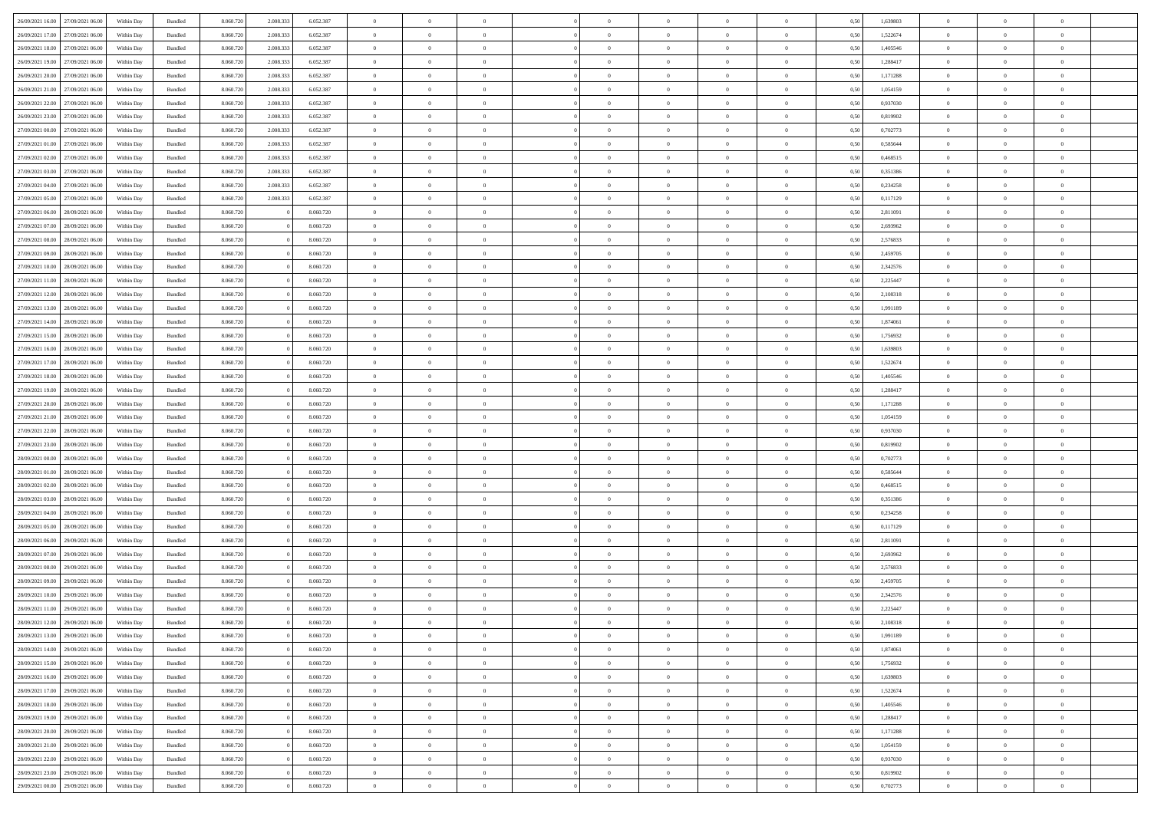|                  |                  |            |                    |           |           |           | $\Omega$       | $\Omega$       |                |                | $\Omega$       | $\Omega$       | $\theta$       |      |          | $\theta$       | $\theta$       | $\theta$       |  |
|------------------|------------------|------------|--------------------|-----------|-----------|-----------|----------------|----------------|----------------|----------------|----------------|----------------|----------------|------|----------|----------------|----------------|----------------|--|
| 26/09/2021 16:00 | 27/09/2021 06:00 | Within Day | Bundled            | 8.060.720 | 2.008.333 | 6.052.387 |                |                |                | $\Omega$       |                |                |                | 0.50 | 1,639803 |                |                |                |  |
| 26/09/2021 17:00 | 27/09/2021 06.00 | Within Day | Bundled            | 8.060.720 | 2.008.333 | 6.052.387 | $\overline{0}$ | $\theta$       | $\overline{0}$ | $\overline{0}$ | $\bf{0}$       | $\overline{0}$ | $\overline{0}$ | 0,50 | 1,522674 | $\theta$       | $\theta$       | $\overline{0}$ |  |
| 26/09/2021 18:00 | 27/09/2021 06:00 | Within Day | Bundled            | 8.060.720 | 2.008.333 | 6.052.387 | $\overline{0}$ | $\overline{0}$ | $\overline{0}$ | $\bf{0}$       | $\bf{0}$       | $\bf{0}$       | $\bf{0}$       | 0,50 | 1,405546 | $\bf{0}$       | $\overline{0}$ | $\overline{0}$ |  |
|                  |                  |            |                    |           |           |           |                |                |                |                |                |                |                |      |          | $\theta$       |                |                |  |
| 26/09/2021 19:00 | 27/09/2021 06:00 | Within Dav | Bundled            | 8.060.720 | 2,008,333 | 6.052.387 | $\overline{0}$ | $\overline{0}$ | $\overline{0}$ | $\overline{0}$ | $\bf{0}$       | $\overline{0}$ | $\overline{0}$ | 0.50 | 1.288417 |                | $\theta$       | $\overline{0}$ |  |
| 26/09/2021 20:00 | 27/09/2021 06.00 | Within Day | Bundled            | 8.060.720 | 2.008.333 | 6.052.387 | $\overline{0}$ | $\theta$       | $\overline{0}$ | $\overline{0}$ | $\bf{0}$       | $\overline{0}$ | $\bf{0}$       | 0,50 | 1,171288 | $\theta$       | $\theta$       | $\overline{0}$ |  |
| 26/09/2021 21:00 | 27/09/2021 06:00 | Within Day | Bundled            | 8.060.720 | 2.008.333 | 6.052.387 | $\overline{0}$ | $\bf{0}$       | $\overline{0}$ | $\bf{0}$       | $\overline{0}$ | $\overline{0}$ | $\mathbf{0}$   | 0,50 | 1,054159 | $\overline{0}$ | $\overline{0}$ | $\bf{0}$       |  |
| 26/09/2021 22:00 | 27/09/2021 06:00 | Within Dav | Bundled            | 8.060.720 | 2,008,333 | 6.052.387 | $\overline{0}$ | $\overline{0}$ | $\overline{0}$ | $\overline{0}$ | $\overline{0}$ | $\overline{0}$ | $\overline{0}$ | 0.50 | 0,937030 | $\theta$       | $\overline{0}$ | $\overline{0}$ |  |
|                  |                  |            |                    |           |           |           |                |                |                |                |                |                |                |      |          |                |                |                |  |
| 26/09/2021 23:00 | 27/09/2021 06.00 | Within Day | Bundled            | 8.060.720 | 2.008.333 | 6.052.387 | $\overline{0}$ | $\theta$       | $\overline{0}$ | $\overline{0}$ | $\bf{0}$       | $\overline{0}$ | $\bf{0}$       | 0,50 | 0,819902 | $\theta$       | $\theta$       | $\overline{0}$ |  |
| 27/09/2021 00:00 | 27/09/2021 06:00 | Within Day | Bundled            | 8.060.720 | 2.008.333 | 6.052.387 | $\overline{0}$ | $\overline{0}$ | $\overline{0}$ | $\bf{0}$       | $\bf{0}$       | $\bf{0}$       | $\bf{0}$       | 0,50 | 0,702773 | $\,0\,$        | $\overline{0}$ | $\overline{0}$ |  |
| 27/09/2021 01:00 | 27/09/2021 06:00 | Within Dav | Bundled            | 8.060.720 | 2.008.333 | 6.052.387 | $\overline{0}$ | $\overline{0}$ | $\overline{0}$ | $\overline{0}$ | $\overline{0}$ | $\overline{0}$ | $\overline{0}$ | 0.50 | 0,585644 | $\theta$       | $\overline{0}$ | $\overline{0}$ |  |
|                  |                  |            |                    |           |           |           |                |                |                |                |                |                |                |      |          |                |                |                |  |
| 27/09/2021 02:00 | 27/09/2021 06.00 | Within Day | Bundled            | 8.060.720 | 2.008.333 | 6.052.387 | $\overline{0}$ | $\theta$       | $\overline{0}$ | $\overline{0}$ | $\bf{0}$       | $\overline{0}$ | $\bf{0}$       | 0,50 | 0,468515 | $\theta$       | $\theta$       | $\overline{0}$ |  |
| 27/09/2021 03:00 | 27/09/2021 06:00 | Within Day | Bundled            | 8.060.720 | 2.008.333 | 6.052.387 | $\overline{0}$ | $\overline{0}$ | $\overline{0}$ | $\bf{0}$       | $\bf{0}$       | $\bf{0}$       | $\bf{0}$       | 0,50 | 0,351386 | $\overline{0}$ | $\overline{0}$ | $\overline{0}$ |  |
| 27/09/2021 04:00 | 27/09/2021 06:00 | Within Day | Bundled            | 8.060.720 | 2,008,333 | 6.052.387 | $\overline{0}$ | $\overline{0}$ | $\overline{0}$ | $\overline{0}$ | $\bf{0}$       | $\overline{0}$ | $\overline{0}$ | 0.50 | 0,234258 | $\theta$       | $\theta$       | $\overline{0}$ |  |
| 27/09/2021 05:00 | 27/09/2021 06.00 | Within Day | Bundled            | 8.060.720 | 2.008.333 | 6.052.387 | $\overline{0}$ | $\theta$       | $\overline{0}$ | $\overline{0}$ | $\bf{0}$       | $\overline{0}$ | $\bf{0}$       | 0,50 | 0,117129 | $\theta$       | $\overline{0}$ | $\overline{0}$ |  |
|                  |                  |            |                    |           |           |           |                |                |                |                |                |                |                |      |          |                |                |                |  |
| 27/09/2021 06:00 | 28/09/2021 06:00 | Within Day | Bundled            | 8.060.720 |           | 8.060.720 | $\overline{0}$ | $\overline{0}$ | $\overline{0}$ | $\bf{0}$       | $\overline{0}$ | $\overline{0}$ | $\mathbf{0}$   | 0,50 | 2,811091 | $\overline{0}$ | $\overline{0}$ | $\bf{0}$       |  |
| 27/09/2021 07:00 | 28/09/2021 06:00 | Within Dav | Bundled            | 8.060.720 |           | 8.060.720 | $\overline{0}$ | $\overline{0}$ | $\overline{0}$ | $\overline{0}$ | $\overline{0}$ | $\overline{0}$ | $\overline{0}$ | 0.50 | 2,693962 | $\theta$       | $\overline{0}$ | $\overline{0}$ |  |
| 27/09/2021 08:00 | 28/09/2021 06:00 | Within Day | Bundled            | 8.060.720 |           | 8.060.720 | $\overline{0}$ | $\theta$       | $\overline{0}$ | $\overline{0}$ | $\bf{0}$       | $\overline{0}$ | $\bf{0}$       | 0,50 | 2,576833 | $\theta$       | $\theta$       | $\overline{0}$ |  |
|                  |                  |            |                    |           |           |           |                |                |                |                |                |                |                |      |          |                |                |                |  |
| 27/09/2021 09:00 | 28/09/2021 06:00 | Within Day | Bundled            | 8.060.720 |           | 8.060.720 | $\overline{0}$ | $\overline{0}$ | $\overline{0}$ | $\bf{0}$       | $\bf{0}$       | $\bf{0}$       | $\bf{0}$       | 0,50 | 2,459705 | $\,0\,$        | $\overline{0}$ | $\overline{0}$ |  |
| 27/09/2021 10:00 | 28/09/2021 06:00 | Within Dav | Bundled            | 8.060.720 |           | 8.060.720 | $\overline{0}$ | $\overline{0}$ | $\overline{0}$ | $\overline{0}$ | $\overline{0}$ | $\overline{0}$ | $\overline{0}$ | 0.50 | 2,342576 | $\theta$       | $\overline{0}$ | $\overline{0}$ |  |
| 27/09/2021 11:00 | 28/09/2021 06:00 | Within Day | Bundled            | 8.060.720 |           | 8.060.720 | $\overline{0}$ | $\theta$       | $\overline{0}$ | $\overline{0}$ | $\bf{0}$       | $\overline{0}$ | $\bf{0}$       | 0,50 | 2,225447 | $\,$ 0 $\,$    | $\theta$       | $\overline{0}$ |  |
| 27/09/2021 12:00 | 28/09/2021 06:00 | Within Day | Bundled            | 8.060.720 |           | 8.060.720 | $\overline{0}$ | $\overline{0}$ | $\overline{0}$ | $\bf{0}$       | $\bf{0}$       | $\bf{0}$       | $\bf{0}$       | 0,50 | 2,108318 | $\,0\,$        | $\overline{0}$ | $\overline{0}$ |  |
|                  |                  |            |                    |           |           |           |                |                |                |                |                |                |                |      |          |                |                |                |  |
| 27/09/2021 13:00 | 28/09/2021 06:00 | Within Day | Bundled            | 8.060.720 |           | 8.060.720 | $\overline{0}$ | $\overline{0}$ | $\overline{0}$ | $\overline{0}$ | $\bf{0}$       | $\overline{0}$ | $\overline{0}$ | 0.50 | 1.991189 | $\theta$       | $\theta$       | $\overline{0}$ |  |
| 27/09/2021 14:00 | 28/09/2021 06:00 | Within Day | Bundled            | 8.060.720 |           | 8.060.720 | $\overline{0}$ | $\theta$       | $\overline{0}$ | $\overline{0}$ | $\bf{0}$       | $\overline{0}$ | $\bf{0}$       | 0,50 | 1,874061 | $\theta$       | $\overline{0}$ | $\overline{0}$ |  |
| 27/09/2021 15:00 | 28/09/2021 06:00 | Within Day | Bundled            | 8.060.720 |           | 8.060.720 | $\overline{0}$ | $\bf{0}$       | $\overline{0}$ | $\bf{0}$       | $\overline{0}$ | $\overline{0}$ | $\mathbf{0}$   | 0,50 | 1,756932 | $\overline{0}$ | $\overline{0}$ | $\bf{0}$       |  |
| 27/09/2021 16:00 | 28/09/2021 06:00 | Within Dav | Bundled            | 8.060.720 |           | 8.060.720 | $\overline{0}$ | $\overline{0}$ | $\overline{0}$ | $\overline{0}$ | $\overline{0}$ | $\overline{0}$ | $\overline{0}$ | 0.50 | 1,639803 | $\theta$       | $\overline{0}$ | $\overline{0}$ |  |
|                  |                  |            |                    |           |           |           |                |                |                |                |                |                |                |      |          |                |                |                |  |
| 27/09/2021 17:00 | 28/09/2021 06:00 | Within Day | Bundled            | 8.060.720 |           | 8.060.720 | $\overline{0}$ | $\theta$       | $\overline{0}$ | $\overline{0}$ | $\bf{0}$       | $\overline{0}$ | $\bf{0}$       | 0,50 | 1,522674 | $\theta$       | $\theta$       | $\overline{0}$ |  |
| 27/09/2021 18:00 | 28/09/2021 06:00 | Within Day | Bundled            | 8.060.720 |           | 8.060.720 | $\overline{0}$ | $\overline{0}$ | $\overline{0}$ | $\bf{0}$       | $\bf{0}$       | $\bf{0}$       | $\bf{0}$       | 0,50 | 1,405546 | $\,0\,$        | $\overline{0}$ | $\overline{0}$ |  |
| 27/09/2021 19:00 | 28/09/2021 06:00 | Within Day | Bundled            | 8.060.720 |           | 8.060.720 | $\overline{0}$ | $\overline{0}$ | $\overline{0}$ | $\overline{0}$ | $\overline{0}$ | $\overline{0}$ | $\overline{0}$ | 0.50 | 1,288417 | $\theta$       | $\overline{0}$ | $\overline{0}$ |  |
| 27/09/2021 20:00 | 28/09/2021 06:00 | Within Day | Bundled            | 8.060.720 |           | 8.060.720 | $\overline{0}$ | $\theta$       | $\overline{0}$ | $\overline{0}$ | $\bf{0}$       | $\overline{0}$ | $\bf{0}$       | 0,50 | 1,171288 | $\,$ 0 $\,$    | $\overline{0}$ | $\overline{0}$ |  |
|                  |                  |            |                    |           |           |           |                |                |                |                |                |                |                |      |          |                |                |                |  |
| 27/09/2021 21:00 | 28/09/2021 06:00 | Within Day | Bundled            | 8.060.720 |           | 8.060.720 | $\overline{0}$ | $\overline{0}$ | $\overline{0}$ | $\bf{0}$       | $\bf{0}$       | $\bf{0}$       | $\bf{0}$       | 0,50 | 1,054159 | $\overline{0}$ | $\overline{0}$ | $\overline{0}$ |  |
| 27/09/2021 22:00 | 28/09/2021 06:00 | Within Day | Bundled            | 8.060.720 |           | 8.060.720 | $\overline{0}$ | $\Omega$       | $\Omega$       | $\Omega$       | $\Omega$       | $\Omega$       | $\overline{0}$ | 0.50 | 0,937030 | $\,0\,$        | $\theta$       | $\theta$       |  |
| 27/09/2021 23:00 | 28/09/2021 06:00 | Within Day | Bundled            | 8.060.720 |           | 8.060.720 | $\overline{0}$ | $\theta$       | $\overline{0}$ | $\overline{0}$ | $\bf{0}$       | $\overline{0}$ | $\bf{0}$       | 0,50 | 0,819902 | $\theta$       | $\theta$       | $\overline{0}$ |  |
| 28/09/2021 00:00 | 28/09/2021 06:00 | Within Day | Bundled            | 8.060.720 |           | 8.060.720 | $\overline{0}$ | $\overline{0}$ | $\overline{0}$ | $\overline{0}$ | $\bf{0}$       | $\overline{0}$ | $\mathbf{0}$   | 0,50 | 0,702773 | $\overline{0}$ | $\overline{0}$ | $\bf{0}$       |  |
|                  |                  |            |                    |           |           |           |                |                |                |                |                |                |                |      |          |                |                |                |  |
| 28/09/2021 01:00 | 28/09/2021 06:00 | Within Day | Bundled            | 8.060.720 |           | 8.060.720 | $\overline{0}$ | $\Omega$       | $\Omega$       | $\Omega$       | $\bf{0}$       | $\overline{0}$ | $\overline{0}$ | 0.50 | 0.585644 | $\theta$       | $\theta$       | $\theta$       |  |
| 28/09/2021 02:00 | 28/09/2021 06:00 | Within Day | Bundled            | 8.060.720 |           | 8.060.720 | $\overline{0}$ | $\theta$       | $\overline{0}$ | $\overline{0}$ | $\bf{0}$       | $\overline{0}$ | $\bf{0}$       | 0,50 | 0,468515 | $\theta$       | $\theta$       | $\overline{0}$ |  |
| 28/09/2021 03:00 | 28/09/2021 06:00 | Within Day | Bundled            | 8.060.720 |           | 8.060.720 | $\overline{0}$ | $\overline{0}$ | $\overline{0}$ | $\overline{0}$ | $\bf{0}$       | $\overline{0}$ | $\bf{0}$       | 0,50 | 0,351386 | $\,0\,$        | $\overline{0}$ | $\overline{0}$ |  |
| 28/09/2021 04:00 | 28/09/2021 06:00 | Within Day | Bundled            | 8.060.720 |           | 8.060.720 | $\overline{0}$ | $\Omega$       | $\Omega$       | $\Omega$       | $\theta$       | $\theta$       | $\overline{0}$ | 0.50 | 0,234258 | $\theta$       | $\theta$       | $\theta$       |  |
|                  |                  |            |                    |           |           |           |                |                |                |                |                |                |                |      |          |                |                |                |  |
| 28/09/2021 05:00 | 28/09/2021 06:00 | Within Day | Bundled            | 8.060.720 |           | 8.060.720 | $\overline{0}$ | $\theta$       | $\overline{0}$ | $\overline{0}$ | $\bf{0}$       | $\overline{0}$ | $\bf{0}$       | 0,50 | 0,117129 | $\,$ 0 $\,$    | $\overline{0}$ | $\overline{0}$ |  |
| 28/09/2021 06:00 | 29/09/2021 06:00 | Within Day | Bundled            | 8.060.720 |           | 8.060.720 | $\overline{0}$ | $\overline{0}$ | $\overline{0}$ | $\overline{0}$ | $\bf{0}$       | $\overline{0}$ | $\bf{0}$       | 0,50 | 2,811091 | $\overline{0}$ | $\overline{0}$ | $\overline{0}$ |  |
| 28/09/2021 07:00 | 29/09/2021 06:00 | Within Day | Bundled            | 8.060.720 |           | 8.060.720 | $\overline{0}$ | $\Omega$       | $\overline{0}$ | $\Omega$       | $\overline{0}$ | $\overline{0}$ | $\overline{0}$ | 0.50 | 2,693962 | $\,0\,$        | $\theta$       | $\theta$       |  |
| 28/09/2021 08:00 | 29/09/2021 06:00 | Within Day | Bundled            | 8.060.720 |           | 8.060.720 | $\overline{0}$ | $\theta$       | $\overline{0}$ | $\overline{0}$ | $\bf{0}$       | $\overline{0}$ | $\bf{0}$       | 0,50 | 2,576833 | $\,$ 0 $\,$    | $\overline{0}$ | $\overline{0}$ |  |
|                  |                  |            |                    |           |           |           |                |                |                |                |                |                |                |      |          |                |                |                |  |
| 28/09/2021 09:00 | 29/09/2021 06:00 | Within Day | Bundled            | 8.060.720 |           | 8.060.720 | $\overline{0}$ | $\overline{0}$ | $\overline{0}$ | $\overline{0}$ | $\bf{0}$       | $\overline{0}$ | $\mathbf{0}$   | 0,50 | 2,459705 | $\overline{0}$ | $\overline{0}$ | $\bf{0}$       |  |
| 28/09/2021 10:00 | 29/09/2021 06:00 | Within Day | Bundled            | 8.060.720 |           | 8.060.720 | $\overline{0}$ | $\Omega$       | $\Omega$       | $\Omega$       | $\Omega$       | $\Omega$       | $\overline{0}$ | 0.50 | 2,342576 | $\theta$       | $\theta$       | $\theta$       |  |
| 28/09/2021 11:00 | 29/09/2021 06:00 | Within Day | Bundled            | 8.060.720 |           | 8.060.720 | $\overline{0}$ | $\overline{0}$ | $\overline{0}$ | $\bf{0}$       | $\,$ 0         | $\overline{0}$ | $\bf{0}$       | 0,50 | 2,225447 | $\,0\,$        | $\,0\,$        | $\overline{0}$ |  |
| 28/09/2021 12:00 | 29/09/2021 06:00 | Within Day | $\mathbf B$ undled | 8.060.720 |           | 8.060.720 | $\bf{0}$       | $\bf{0}$       |                |                | $\bf{0}$       |                |                | 0,50 | 2,108318 | $\bf{0}$       | $\overline{0}$ |                |  |
|                  |                  |            |                    |           |           |           |                |                |                |                |                |                |                |      |          |                |                |                |  |
| 28/09/2021 13:00 | 29/09/2021 06:00 | Within Day | Bundled            | 8.060.720 |           | 8.060.720 | $\overline{0}$ | $\overline{0}$ | $\overline{0}$ | $\Omega$       | $\overline{0}$ | $\overline{0}$ | $\overline{0}$ | 0.50 | 1,991189 | $\theta$       | $\theta$       | $\theta$       |  |
| 28/09/2021 14:00 | 29/09/2021 06.00 | Within Day | Bundled            | 8.060.720 |           | 8.060.720 | $\overline{0}$ | $\,$ 0         | $\overline{0}$ | $\overline{0}$ | $\,$ 0 $\,$    | $\overline{0}$ | $\mathbf{0}$   | 0,50 | 1,874061 | $\,$ 0 $\,$    | $\,$ 0 $\,$    | $\,$ 0         |  |
| 28/09/2021 15:00 | 29/09/2021 06:00 | Within Day | Bundled            | 8.060.720 |           | 8.060.720 | $\overline{0}$ | $\overline{0}$ | $\overline{0}$ | $\overline{0}$ | $\overline{0}$ | $\overline{0}$ | $\mathbf{0}$   | 0,50 | 1,756932 | $\overline{0}$ | $\bf{0}$       | $\bf{0}$       |  |
|                  |                  |            |                    |           |           |           |                |                |                |                |                |                |                |      |          |                |                |                |  |
| 28/09/2021 16:00 | 29/09/2021 06:00 | Within Day | Bundled            | 8.060.720 |           | 8.060.720 | $\overline{0}$ | $\overline{0}$ | $\overline{0}$ | $\Omega$       | $\overline{0}$ | $\overline{0}$ | $\overline{0}$ | 0,50 | 1,639803 | $\overline{0}$ | $\theta$       | $\overline{0}$ |  |
| 28/09/2021 17:00 | 29/09/2021 06.00 | Within Day | Bundled            | 8.060.720 |           | 8.060.720 | $\overline{0}$ | $\,$ 0         | $\overline{0}$ | $\overline{0}$ | $\,$ 0 $\,$    | $\overline{0}$ | $\mathbf{0}$   | 0,50 | 1,522674 | $\,$ 0 $\,$    | $\overline{0}$ | $\overline{0}$ |  |
| 28/09/2021 18:00 | 29/09/2021 06:00 | Within Day | Bundled            | 8.060.720 |           | 8.060.720 | $\overline{0}$ | $\overline{0}$ | $\overline{0}$ | $\overline{0}$ | $\overline{0}$ | $\overline{0}$ | $\mathbf{0}$   | 0,50 | 1,405546 | $\overline{0}$ | $\overline{0}$ | $\bf{0}$       |  |
| 28/09/2021 19:00 | 29/09/2021 06:00 | Within Day | Bundled            | 8.060.720 |           | 8.060.720 | $\overline{0}$ | $\overline{0}$ | $\overline{0}$ | $\Omega$       | $\overline{0}$ | $\overline{0}$ | $\bf{0}$       | 0.50 | 1,288417 | $\overline{0}$ | $\theta$       | $\overline{0}$ |  |
|                  |                  |            |                    |           |           |           |                |                |                |                |                |                |                |      |          |                |                |                |  |
| 28/09/2021 20:00 | 29/09/2021 06.00 | Within Day | Bundled            | 8.060.720 |           | 8.060.720 | $\overline{0}$ | $\,$ 0         | $\overline{0}$ | $\bf{0}$       | $\bf{0}$       | $\bf{0}$       | $\bf{0}$       | 0,50 | 1,171288 | $\,$ 0 $\,$    | $\overline{0}$ | $\overline{0}$ |  |
| 28/09/2021 21:00 | 29/09/2021 06:00 | Within Day | Bundled            | 8.060.720 |           | 8.060.720 | $\overline{0}$ | $\bf{0}$       | $\overline{0}$ | $\overline{0}$ | $\overline{0}$ | $\overline{0}$ | $\mathbf{0}$   | 0,50 | 1,054159 | $\overline{0}$ | $\overline{0}$ | $\bf{0}$       |  |
| 28/09/2021 22:00 | 29/09/2021 06:00 | Within Day | Bundled            | 8.060.720 |           | 8.060.720 | $\overline{0}$ | $\overline{0}$ | $\overline{0}$ | $\Omega$       | $\overline{0}$ | $\overline{0}$ | $\bf{0}$       | 0.50 | 0,937030 | $\overline{0}$ | $\overline{0}$ | $\overline{0}$ |  |
| 28/09/2021 23:00 | 29/09/2021 06.00 | Within Day | Bundled            | 8.060.720 |           | 8.060.720 | $\overline{0}$ | $\bf{0}$       | $\overline{0}$ | $\overline{0}$ | $\bf{0}$       | $\bf{0}$       | $\mathbf{0}$   | 0,50 | 0,819902 | $\,$ 0 $\,$    | $\,$ 0 $\,$    | $\bf{0}$       |  |
|                  |                  |            |                    |           |           |           |                |                |                |                |                |                |                |      |          |                |                |                |  |
| 29/09/2021 00:00 | 29/09/2021 06:00 | Within Day | Bundled            | 8.060.720 |           | 8.060.720 | $\overline{0}$ | $\overline{0}$ | $\overline{0}$ | $\overline{0}$ | $\overline{0}$ | $\bf{0}$       | $\mathbf{0}$   | 0,50 | 0,702773 | $\overline{0}$ | $\bf{0}$       | $\bf{0}$       |  |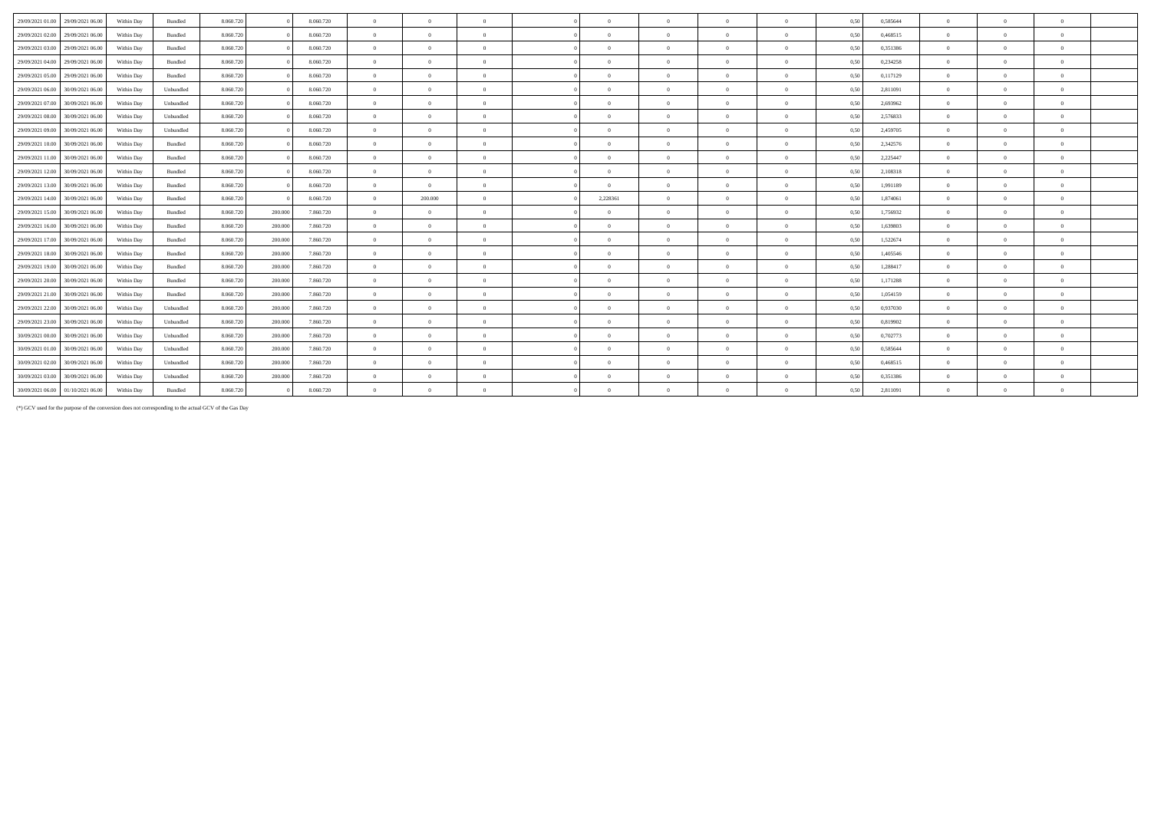| 29/09/2021 01:00<br>29/09/2021 06:00 |            | Bundled   | 8.060.720 |         | 8.060.720 | $\overline{0}$ | $\Omega$       | $\overline{0}$ | $\theta$       | $\theta$       | $\Omega$       | $\theta$       | 0,50 | 0,585644 | $\overline{0}$ | $\Omega$ |              |  |
|--------------------------------------|------------|-----------|-----------|---------|-----------|----------------|----------------|----------------|----------------|----------------|----------------|----------------|------|----------|----------------|----------|--------------|--|
|                                      | Within Day |           |           |         |           |                |                |                |                |                |                |                |      |          |                |          |              |  |
| 29/09/2021 02:00<br>29/09/2021 06:00 | Within Day | Bundled   | 8.060.720 |         | 8.060.720 | $\Omega$       | $\Omega$       | $\Omega$       | $\Omega$       | $\Omega$       | $\Omega$       | $\Omega$       | 0.50 | 0.468515 | $\Omega$       |          |              |  |
| 29/09/2021 03:00<br>29/09/2021 06:00 | Within Day | Bundled   | 8.060.720 |         | 8.060.720 | $\overline{0}$ | $\Omega$       | $\overline{0}$ | $\Omega$       | $\Omega$       | $\Omega$       | $\mathbf{a}$   | 0,50 | 0,351386 | $\Omega$       |          |              |  |
| 29/09/2021 04:00<br>29/09/2021 06:00 | Within Day | Bundled   | 8.060.720 |         | 8.060.720 | $\overline{0}$ | $\Omega$       | $\overline{0}$ | $\Omega$       | $\Omega$       | $\Omega$       | $\Omega$       | 0,50 | 0,234258 | $\Omega$       |          |              |  |
| 29/09/2021 05:00<br>29/09/2021 06:00 | Within Day | Bundled   | 8.060.720 |         | 8.060.720 | $\overline{0}$ | $\Omega$       | $\Omega$       | $\Omega$       | $\Omega$       | $\Omega$       | $\theta$       | 0,50 | 0,117129 | $\overline{0}$ |          | $\theta$     |  |
| 29/09/2021 06:00<br>30/09/2021 06:00 | Within Day | Unbundled | 8.060.720 |         | 8.060.720 | $\overline{0}$ | $\Omega$       | $\overline{0}$ | $\Omega$       | $\Omega$       | $\theta$       | $\theta$       | 0.50 | 2,811091 | $\Omega$       |          |              |  |
| 29/09/2021 07:00<br>30/09/2021 06:00 | Within Day | Unbundled | 8.060.720 |         | 8.060.720 | $\overline{0}$ | $\Omega$       | $\overline{0}$ | $\Omega$       | $\Omega$       | $\Omega$       | $\Omega$       | 0,50 | 2.693962 | $\Omega$       |          |              |  |
| 29/09/2021 08:00<br>30/09/2021 06:00 | Within Day | Unbundled | 8.060.720 |         | 8.060.720 | $\Omega$       | $\Omega$       | $\Omega$       | $\Omega$       | $\Omega$       | $\Omega$       | $\theta$       | 0,50 | 2,576833 | $\Omega$       |          |              |  |
| 29/09/2021 09:00<br>30/09/2021 06:00 | Within Day | Unbundled | 8.060.720 |         | 8.060.720 | $\overline{0}$ | $\Omega$       | $\overline{0}$ | $\Omega$       | $\Omega$       | $\Omega$       | $\theta$       | 0.50 | 2,459705 | $\overline{0}$ |          |              |  |
| 29/09/2021 10:00<br>30/09/2021 06:00 | Within Day | Bundled   | 8.060.720 |         | 8.060.720 | $\overline{0}$ | $\Omega$       | $\Omega$       | $\Omega$       | $\Omega$       | $\Omega$       | $\theta$       | 0,50 | 2,342576 | $\Omega$       |          |              |  |
| 29/09/2021 11:00<br>30/09/2021 06:00 | Within Day | Bundled   | 8.060.720 |         | 8.060.720 | $\overline{0}$ | $\Omega$       | $\overline{0}$ | $\Omega$       | $\Omega$       | $\Omega$       | $\theta$       | 0,50 | 2,225447 | $\overline{0}$ |          |              |  |
| 29/09/2021 12:00<br>30/09/2021 06:00 | Within Day | Bundled   | 8.060.720 |         | 8.060.720 | $\overline{0}$ | $\overline{0}$ | $\overline{0}$ | $\Omega$       | $\theta$       | $\overline{0}$ | $\theta$       | 0,50 | 2,108318 | $\overline{0}$ |          |              |  |
| 29/09/2021 13:00<br>30/09/2021 06:00 | Within Day | Bundled   | 8.060.720 |         | 8.060.720 | $\overline{0}$ | $\overline{0}$ | $\overline{0}$ | $\Omega$       | $\bf{0}$       | $\overline{0}$ | $\overline{0}$ | 0,50 | 1,991189 | $\overline{0}$ | $\Omega$ | $\theta$     |  |
| 29/09/2021 14:00 30/09/2021 06:00    | Within Day | Bundled   | 8.060.720 |         | 8.060.720 | $\overline{0}$ | 200,000        | $\Omega$       | 2,228361       | $\Omega$       | $\Omega$       | $\Omega$       | 0.50 | 1.874061 | $\Omega$       |          |              |  |
| 29/09/2021 15:00<br>30/09/2021 06:00 | Within Day | Bundled   | 8.060.720 | 200.000 | 7.860.720 | $\overline{0}$ | $\Omega$       | $\Omega$       | $\Omega$       | $\Omega$       | $\Omega$       | $\Omega$       | 0,50 | 1,756932 | $\Omega$       |          |              |  |
| 29/09/2021 16:00<br>30/09/2021 06:00 | Within Day | Bundled   | 8.060.720 | 200.000 | 7.860.720 | $\overline{0}$ | $\Omega$       | $\overline{0}$ | $\Omega$       | $\Omega$       | $\Omega$       | $\theta$       | 0,50 | 1,639803 | $\Omega$       |          | $\theta$     |  |
| 29/09/2021 17:00<br>30/09/2021 06:00 | Within Day | Bundled   | 8.060.720 | 200,000 | 7.860.720 | $\overline{0}$ | $\overline{0}$ | $\overline{0}$ | $\theta$       | $\bf{0}$       | $\overline{0}$ | $\overline{0}$ | 0.50 | 1,522674 | $\overline{0}$ | $\Omega$ | $\theta$     |  |
| 29/09/2021 18:00<br>30/09/2021 06:00 | Within Day | Bundled   | 8.060.720 | 200.000 | 7.860.720 | $\Omega$       | $\Omega$       | $\Omega$       | $\Omega$       | $\Omega$       | $\Omega$       | $\Omega$       | 0,50 | 1,405546 | $\Omega$       |          |              |  |
| 29/09/2021 19:00<br>30/09/2021 06:00 | Within Day | Bundled   | 8.060.720 | 200.000 | 7.860.720 | $\overline{0}$ | $\Omega$       | $\overline{0}$ | $\Omega$       | $\Omega$       | $\theta$       | $\overline{0}$ | 0,50 | 1,288417 | $\overline{0}$ |          |              |  |
| 29/09/2021 20:00<br>30/09/2021 06:00 | Within Day | Bundled   | 8.060.720 | 200.000 | 7.860.720 | $\Omega$       | $\Omega$       | $\Omega$       | $\Omega$       | $\Omega$       | $\Omega$       | $\theta$       | 0,50 | 1,171288 | $\Omega$       |          |              |  |
| 29/09/2021 21:00<br>30/09/2021 06:00 | Within Day | Bundled   | 8.060.720 | 200.000 | 7.860.720 | $\overline{0}$ | $\overline{0}$ | $\overline{0}$ | $\overline{0}$ | $\overline{0}$ | $\overline{0}$ | $\overline{0}$ | 0.50 | 1.054159 | $\overline{0}$ | $\Omega$ | $\theta$     |  |
| 29/09/2021 22:00<br>30/09/2021 06:00 | Within Day | Unbundled | 8.060.720 | 200,000 | 7.860.720 | $\overline{0}$ | $\overline{0}$ | $\overline{0}$ | $\overline{0}$ | $\overline{0}$ | $\overline{0}$ | $\overline{0}$ | 0.50 | 0.937030 | $\overline{0}$ | $\Omega$ | $\mathbf{a}$ |  |
| 29/09/2021 23:00<br>30/09/2021 06:00 | Within Day | Unbundled | 8.060.720 | 200.000 | 7.860.720 | $\overline{0}$ | $\Omega$       | $\Omega$       | $\Omega$       | $\Omega$       | $\Omega$       | $\Omega$       | 0,50 | 0,819902 | $\Omega$       |          |              |  |
| 30/09/2021 00:00<br>30/09/2021 06:00 | Within Day | Unbundled | 8.060.720 | 200.000 | 7.860.720 | $\overline{0}$ | $\Omega$       | $\Omega$       | $\Omega$       | $\Omega$       | $\Omega$       | $\theta$       | 0,50 | 0,702773 | $\overline{0}$ |          |              |  |
| 30/09/2021 01:00<br>30/09/2021 06:00 | Within Day | Unbundled | 8.060.720 | 200.000 | 7.860.720 | $\overline{0}$ | $\overline{0}$ | $\overline{0}$ | $\Omega$       | $\Omega$       | $\theta$       | $\theta$       | 0,50 | 0,585644 | $\overline{0}$ |          |              |  |
| 30/09/2021 02:00<br>30/09/2021 06:00 | Within Day | Unbundled | 8.060.720 | 200.000 | 7.860.720 | $\overline{0}$ | $\Omega$       | $\Omega$       | $\sqrt{2}$     | $\Omega$       | $\Omega$       | $\theta$       | 0,50 | 0.468515 | $\Omega$       |          | $\theta$     |  |
| 30/09/2021 03:00<br>30/09/2021 06:00 | Within Day | Unbundled | 8.060.720 | 200,000 | 7.860.720 | $\overline{0}$ | $\Omega$       | $\overline{0}$ | $\Omega$       | $\Omega$       | $\overline{0}$ | $\Omega$       | 0.50 | 0.351386 | $\overline{0}$ |          |              |  |
| 30/09/2021 06:00 01/10/2021 06:00    | Within Day | Bundled   | 8.060.720 |         | 8.060.720 | $\Omega$       | $\Omega$       | $\Omega$       | $\theta$       | $\Omega$       | $\Omega$       | $\Omega$       | 0,50 | 2,811091 | $\Omega$       |          | $\theta$     |  |

(\*) GCV used for the purpose of the conversion does not corresponding to the actual GCV of the Gas Day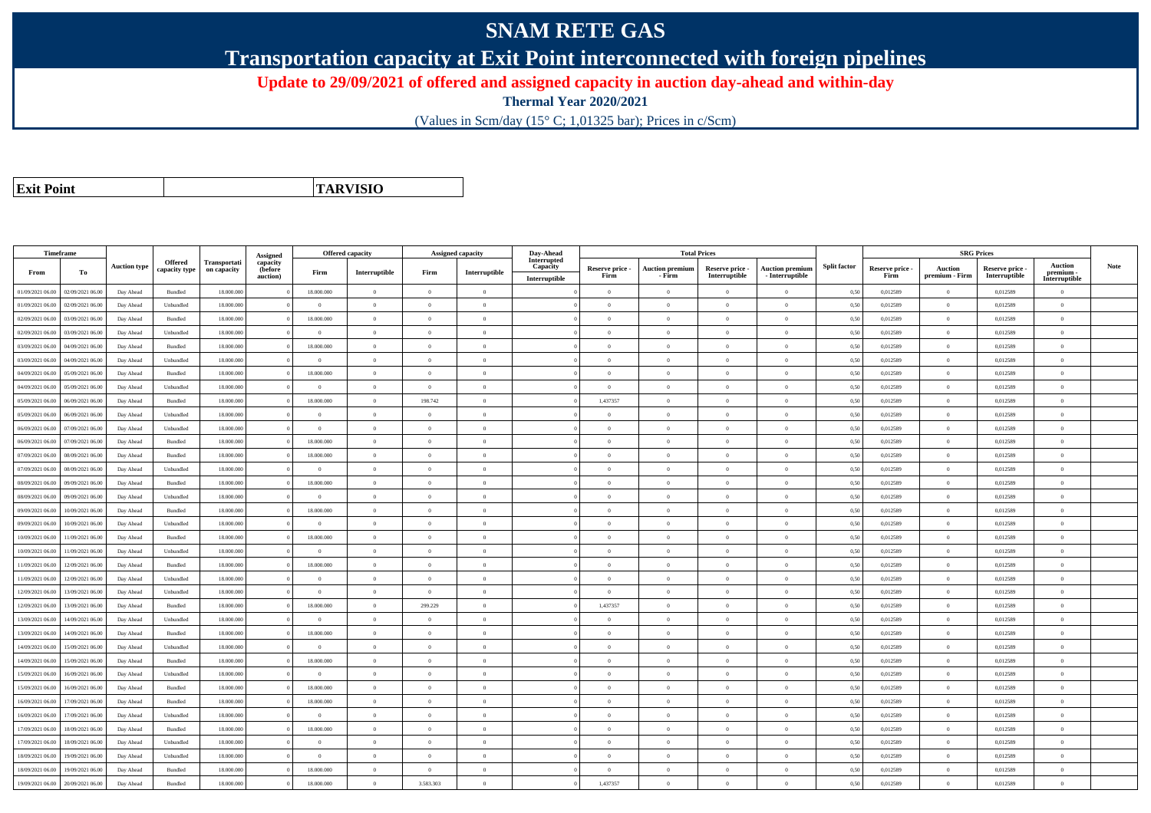## **SNAM RETE GAS**

**Transportation capacity at Exit Point interconnected with foreign pipelines**

**Update to 29/09/2021 of offered and assigned capacity in auction day-ahead and within-day**

**Thermal Year 2020/2021**

(Values in Scm/day (15° C; 1,01325 bar); Prices in c/Scm)

| <b>Exit Point</b> |
|-------------------|

**TARVISIO**

|                  | Timeframe        |                     |                |              |                      | Offered capacity |                |                | <b>Assigned capacity</b> | Day-Ahead               |                         | <b>Total Prices</b>              |                                  |                                           |                     |                         | <b>SRG Prices</b>                |                                  |                            |             |
|------------------|------------------|---------------------|----------------|--------------|----------------------|------------------|----------------|----------------|--------------------------|-------------------------|-------------------------|----------------------------------|----------------------------------|-------------------------------------------|---------------------|-------------------------|----------------------------------|----------------------------------|----------------------------|-------------|
|                  |                  | <b>Auction type</b> | Offered        | Transportati | Assigned<br>capacity |                  |                |                |                          | Interrupted<br>Capacity |                         |                                  |                                  |                                           | <b>Split factor</b> |                         |                                  |                                  | <b>Auction</b>             | <b>Note</b> |
| From             | To               |                     | capacity type  | on capacity  | (before<br>auction)  | Firm             | Interruptible  | Firm           | Interruptible            | Interruptible           | Reserve price -<br>Firm | <b>Auction premium</b><br>- Firm | Reserve price -<br>Interruptible | <b>Auction premium</b><br>- Interruptible |                     | Reserve price -<br>Firm | <b>Auction</b><br>premium - Firm | Reserve price -<br>Interruptible | premium -<br>Interruptible |             |
| 01/09/2021 06:00 | 02/09/2021 06:00 | Day Ahead           | Bundled        | 18.000.000   |                      | 18.000.000       | $\overline{0}$ | $\overline{0}$ | $\theta$                 |                         | $\Omega$                | $\theta$                         | $\Omega$                         | $\theta$                                  | 0,50                | 0,012589                | $\theta$                         | 0,012589                         | $\theta$                   |             |
| 01/09/2021 06:00 | 02/09/2021 06.0  | Day Ahead           | Unbundled      | 18.000.000   |                      | $\overline{0}$   | $\overline{0}$ | $\overline{0}$ | $\theta$                 |                         | $\theta$                | $\theta$                         | $\overline{0}$                   | $\mathbf{0}$                              | 0,50                | 0,012589                | $\overline{0}$                   | 0,012589                         | $\bf{0}$                   |             |
| 02/09/2021 06:00 | 03/09/2021 06:00 | Day Ahead           | Bundled        | 18,000,000   |                      | 18,000,000       | $\overline{0}$ | $\Omega$       | $\theta$                 |                         | $\theta$                | $\theta$                         | $\theta$                         | $\Omega$                                  | 0,50                | 0,012589                | $\overline{0}$                   | 0.012589                         | $\Omega$                   |             |
| 02/09/2021 06:00 | 03/09/2021 06.00 | Day Ahead           | Unbundled      | 18.000.000   |                      | $\theta$         | $\overline{0}$ | $\overline{0}$ | $\theta$                 |                         | $\theta$                | $\theta$                         | $\Omega$                         | $\theta$                                  | 0,50                | 0,012589                | $\theta$                         | 0,012589                         | $\Omega$                   |             |
| 03/09/2021 06:00 | 04/09/2021 06.00 | Day Ahead           | Bundled        | 18.000.000   |                      | 18.000.000       | $\overline{0}$ | $\overline{0}$ | $\theta$                 |                         | $\theta$                | $\theta$                         | $\overline{0}$                   | $\mathbf{0}$                              | 0,50                | 0,012589                | $\overline{0}$                   | 0,012589                         | $\Omega$                   |             |
| 03/09/2021 06:00 | 04/09/2021 06.00 | Day Ahead           | Unbundled      | 18,000,000   |                      | $\theta$         | $\,$ 0 $\,$    | $\Omega$       | $\Omega$                 |                         | $\Omega$                | $\theta$                         | $\overline{0}$                   | $\overline{0}$                            | 0.50                | 0,012589                | $\,$ 0 $\,$                      | 0.012589                         | $\theta$                   |             |
| 04/09/2021 06:00 | 05/09/2021 06.0  | Day Ahead           | Bundled        | 18.000.000   |                      | 18.000.000       | $\overline{0}$ | $\overline{0}$ | $\overline{0}$           |                         | $\theta$                | $\theta$                         | $\overline{0}$                   | $\,0\,$                                   | 0,50                | 0,012589                | $\bf{0}$                         | 0,012589                         | $\bf{0}$                   |             |
| 04/09/2021 06:00 | 05/09/2021 06.00 | Day Ahead           | Unbundled      | 18.000.000   |                      | $\overline{0}$   | $\overline{0}$ | $\overline{0}$ | $\theta$                 |                         | $\theta$                | $\theta$                         | $\overline{0}$                   | $\mathbf{0}$                              | 0,50                | 0,012589                | $\overline{0}$                   | 0,012589                         | $\bf{0}$                   |             |
| 05/09/2021 06:00 | 06/09/2021 06.00 | Day Ahead           | Bundled        | 18.000.000   |                      | 18.000.000       | $\overline{0}$ | 198.742        | $\Omega$                 |                         | 1,437357                | $\theta$                         | $\overline{0}$                   | $\mathbf{0}$                              | 0,50                | 0,012589                | $\overline{0}$                   | 0,012589                         | $\Omega$                   |             |
| 05/09/2021 06:00 | 06/09/2021 06:00 | Day Ahead           | Unbundled      | 18.000.000   |                      | $\theta$         | $\mathbf{0}$   | $\Omega$       | $\theta$                 |                         | $\Omega$                | $\theta$                         | $\overline{0}$                   | $\Omega$                                  | 0,50                | 0,012589                | $\mathbf{0}$                     | 0,012589                         | $\Omega$                   |             |
| 06/09/2021 06:00 | 07/09/2021 06:00 | Day Ahead           | Unbundled      | 18,000,000   |                      | $\theta$         | $\overline{0}$ | $\overline{0}$ | $\Omega$                 |                         | $\Omega$                | $\theta$                         | $\overline{0}$                   | $\theta$                                  | 0,50                | 0,012589                | $\overline{0}$                   | 0.012589                         | $\theta$                   |             |
| 06/09/2021 06:00 | 07/09/2021 06.00 | Day Ahead           | Bundled        | 18.000.000   |                      | 18.000.000       | $\overline{0}$ | $\overline{0}$ | $\theta$                 |                         | $\overline{0}$          | $\theta$                         | $\overline{0}$                   | $\mathbf{0}$                              | 0,50                | 0,012589                | $\overline{0}$                   | 0,012589                         | $\bf{0}$                   |             |
| 07/09/2021 06:00 | 08/09/2021 06:00 | Day Ahead           | <b>Bundled</b> | 18,000,000   |                      | 18,000,000       | $\overline{0}$ | $\Omega$       | $\theta$                 |                         | $\theta$                | $\theta$                         | $\theta$                         | $\theta$                                  | 0.50                | 0.012589                | $\Omega$                         | 0.012589                         | $\theta$                   |             |
| 07/09/2021 06:00 | 08/09/2021 06:00 | Day Ahead           | Unbundled      | 18,000,000   |                      | $\overline{0}$   | $\overline{0}$ | $\overline{0}$ | $\overline{0}$           |                         | $\theta$                | $\theta$                         | $\overline{0}$                   | $\overline{0}$                            | 0.50                | 0,012589                | $\overline{0}$                   | 0.012589                         | $\bf{0}$                   |             |
| 08/09/2021 06:00 | 09/09/2021 06.00 | Day Ahead           | Bundled        | 18.000.000   |                      | 18.000.000       | $\overline{0}$ | $\overline{0}$ | $\theta$                 |                         | $\theta$                | $\theta$                         | $\overline{0}$                   | $\mathbf{0}$                              | 0,50                | 0,012589                | $\overline{0}$                   | 0,012589                         | $\bf{0}$                   |             |
| 08/09/2021 06:00 | 09/09/2021 06:00 | Day Ahead           | Unbundled      | 18,000,000   |                      | $\Omega$         | $\overline{0}$ | $\theta$       | $\theta$                 |                         | $\theta$                | $\mathbf{a}$                     | $\Omega$                         | $\Omega$                                  | 0,50                | 0,012589                | $\overline{0}$                   | 0,012589                         | $\Omega$                   |             |
| 09/09/2021 06:00 | 10/09/2021 06:00 | Day Ahead           | Bundled        | 18.000.000   |                      | 18.000.000       | $\overline{0}$ | $\Omega$       | $\Omega$                 |                         | $\theta$                | $\theta$                         | $\theta$                         | $\theta$                                  | 0,50                | 0,012589                | $\overline{0}$                   | 0,012589                         | $\Omega$                   |             |
| 09/09/2021 06:00 | 10/09/2021 06:00 | Day Ahead           | Unbundled      | 18.000.000   |                      | $\overline{0}$   | $\overline{0}$ | $\overline{0}$ | $\theta$                 |                         | $\theta$                | $\theta$                         | $\overline{0}$                   | $\mathbf{0}$                              | 0,50                | 0,012589                | $\overline{0}$                   | 0,012589                         | $\Omega$                   |             |
| 10/09/2021 06:00 | 11/09/2021 06.00 | Day Ahead           | Bundled        | 18,000,000   |                      | 18,000,000       | $\overline{0}$ | $\Omega$       | $\Omega$                 |                         | $\theta$                | $\theta$                         | $\overline{0}$                   | $\overline{0}$                            | 0.50                | 0.012589                | $\overline{0}$                   | 0.012589                         | $\Omega$                   |             |
| 10/09/2021 06:00 | 1/09/2021 06.00  | Day Ahead           | Unbundled      | 18.000.000   |                      | $\Omega$         | $\overline{0}$ | $\overline{0}$ | $\theta$                 |                         | $\theta$                | $\theta$                         | $\overline{0}$                   | $\mathbf{0}$                              | 0,50                | 0,012589                | $\overline{0}$                   | 0,012589                         | $\Omega$                   |             |
| 11/09/2021 06:00 | 12/09/2021 06:00 | Day Ahead           | Bundled        | 18,000,000   |                      | 18,000,000       | $\overline{0}$ | $\overline{0}$ | $\theta$                 |                         | $\theta$                | $\theta$                         | $\overline{0}$                   | $\mathbf{0}$                              | 0.50                | 0.012589                | $\overline{0}$                   | 0.012589                         | $\bf{0}$                   |             |
| 11/09/2021 06:00 | 12/09/2021 06:00 | Day Ahead           | Unbundled      | 18.000.000   |                      | $\Omega$         | $\overline{0}$ | $\Omega$       | $\Omega$                 |                         | $\Omega$                | $\theta$                         | $\overline{0}$                   | $\bf{0}$                                  | 0,50                | 0,012589                | $\bf{0}$                         | 0,012589                         | $\Omega$                   |             |
| 12/09/2021 06.00 | 13/09/2021 06.0  | Day Ahead           | Unbundled      | 18.000.00    |                      | $\overline{0}$   | $\overline{0}$ | $\overline{0}$ | $\theta$                 |                         | $\overline{0}$          | $\theta$                         | $\overline{0}$                   | $\mathbf{0}$                              | 0,50                | 0,012589                | $\overline{0}$                   | 0,012589                         | $\bf{0}$                   |             |
| 12/09/2021 06:00 | 13/09/2021 06:00 | Day Ahead           | Bundled        | 18.000.000   |                      | 18.000.000       | $\overline{0}$ | 299.229        | $\Omega$                 |                         | 1,437357                | $\theta$                         | $\Omega$                         | $\overline{0}$                            | 0,50                | 0,012589                | $\overline{0}$                   | 0,012589                         | $\theta$                   |             |
| 13/09/2021 06:00 | 14/09/2021 06.00 | Day Ahead           | Unbundled      | 18.000.000   |                      | $\overline{0}$   | $\overline{0}$ | $\overline{0}$ | $\overline{0}$           |                         | $\overline{0}$          | $\theta$                         | $\overline{0}$                   | $\overline{0}$                            | 0,50                | 0,012589                | $\overline{0}$                   | 0,012589                         | $\bf{0}$                   |             |
| 13/09/2021 06:00 | 14/09/2021 06.0  | Day Ahead           | Bundled        | 18.000.000   |                      | 18.000.000       | $\overline{0}$ | $\Omega$       | $\Omega$                 |                         | $\theta$                | $\theta$                         | $\Omega$                         | $\theta$                                  | 0,50                | 0,012589                | $\overline{0}$                   | 0,012589                         | $\Omega$                   |             |
| 14/09/2021 06:00 | 15/09/2021 06:00 | Day Ahead           | Unbundled      | 18,000,000   |                      | $\theta$         | $\overline{0}$ | $\overline{0}$ | $\Omega$                 |                         | $\Omega$                | $\theta$                         | $\overline{0}$                   | $\theta$                                  | 0.50                | 0.012589                | $\overline{0}$                   | 0.012589                         | $\theta$                   |             |
| 14/09/2021 06:00 | 15/09/2021 06:00 | Day Ahead           | Bundled        | 18.000.000   |                      | 18.000.000       | $\overline{0}$ | $\overline{0}$ | $\theta$                 |                         | $\theta$                | $\theta$                         | $\overline{0}$                   | $\mathbf{0}$                              | 0,50                | 0,012589                | $\overline{0}$                   | 0,012589                         | $\bf{0}$                   |             |
| 15/09/2021 06:00 | 16/09/2021 06:00 | Day Ahead           | Unbundled      | 18.000.000   |                      | $\theta$         | $\overline{0}$ | $\Omega$       | $\Omega$                 |                         | $\Omega$                |                                  | $\overline{0}$                   | $\Omega$                                  | 0,50                | 0,012589                | $\overline{0}$                   | 0,012589                         | $\Omega$                   |             |
| 15/09/2021 06:00 | 16/09/2021 06.00 | Day Ahead           | Bundled        | 18.000.000   |                      | 18.000.000       | $\overline{0}$ | $\Omega$       | $\theta$                 |                         | $\Omega$                | $\theta$                         | $\overline{0}$                   | $\theta$                                  | 0,50                | 0,012589                | $\overline{0}$                   | 0,012589                         | $\Omega$                   |             |
| 16/09/2021 06:00 | 17/09/2021 06:00 | Day Ahead           | Bundled        | 18.000.000   |                      | 18.000.000       | $\overline{0}$ | $\overline{0}$ | $\theta$                 |                         | $\theta$                | $\theta$                         | $\overline{0}$                   | $\mathbf{0}$                              | 0,50                | 0,012589                | $\overline{0}$                   | 0,012589                         | $\Omega$                   |             |
| 16/09/2021 06:00 | 17/09/2021 06:00 | Day Ahead           | Unbundled      | 18,000,000   |                      | $\theta$         | $\overline{0}$ | $\overline{0}$ | $\Omega$                 |                         | $\Omega$                | $\theta$                         | $\overline{0}$                   | $\Omega$                                  | 0,50                | 0.012589                | $\overline{0}$                   | 0.012589                         | $\theta$                   |             |
| 17/09/2021 06:00 | 18/09/2021 06.0  | Day Ahead           | Bundled        | 18.000.000   |                      | 18.000.000       | $\overline{0}$ | $\overline{0}$ | $\theta$                 |                         | $\theta$                | $\theta$                         | $\overline{0}$                   | $\mathbf{0}$                              | 0,50                | 0,012589                | $\overline{0}$                   | 0,012589                         | $\Omega$                   |             |
| 17/09/2021 06:00 | 18/09/2021 06:00 | Day Ahead           | Unbundled      | 18,000,000   |                      | $\theta$         | $\theta$       | $\overline{0}$ | $\Omega$                 |                         | $\theta$                | $\theta$                         | $\overline{0}$                   | $\theta$                                  | 0,50                | 0,012589                | $\Omega$                         | 0.012589                         | $\theta$                   |             |
| 18/09/2021 06:00 | 19/09/2021 06:00 | Day Ahead           | Unbundled      | 18.000.000   |                      | $\Omega$         | $\overline{0}$ | $\Omega$       | $\theta$                 |                         | $\theta$                | $\theta$                         | $\overline{0}$                   | $\mathbf{0}$                              | 0,50                | 0,012589                | $\overline{0}$                   | 0,012589                         | $\Omega$                   |             |
| 18/09/2021 06:00 | 19/09/2021 06.0  | Day Ahead           | Bundled        | 18.000.00    |                      | 18.000.000       | $\overline{0}$ | $\overline{0}$ | $\theta$                 |                         | $\theta$                | $\theta$                         | $\theta$                         | $\mathbf{0}$                              | 0,50                | 0,012589                | $\overline{0}$                   | 0,012589                         | $\bf{0}$                   |             |
| 19/09/2021 06:00 | 20/09/2021 06:00 | Day Ahead           | Bundled        | 18,000,000   |                      | 18.000.000       | $\overline{0}$ | 3.583.303      | $\theta$                 |                         | 1,437357                | $\theta$                         | $\Omega$                         | $\theta$                                  | 0,50                | 0,012589                | $\overline{0}$                   | 0,012589                         | $\theta$                   |             |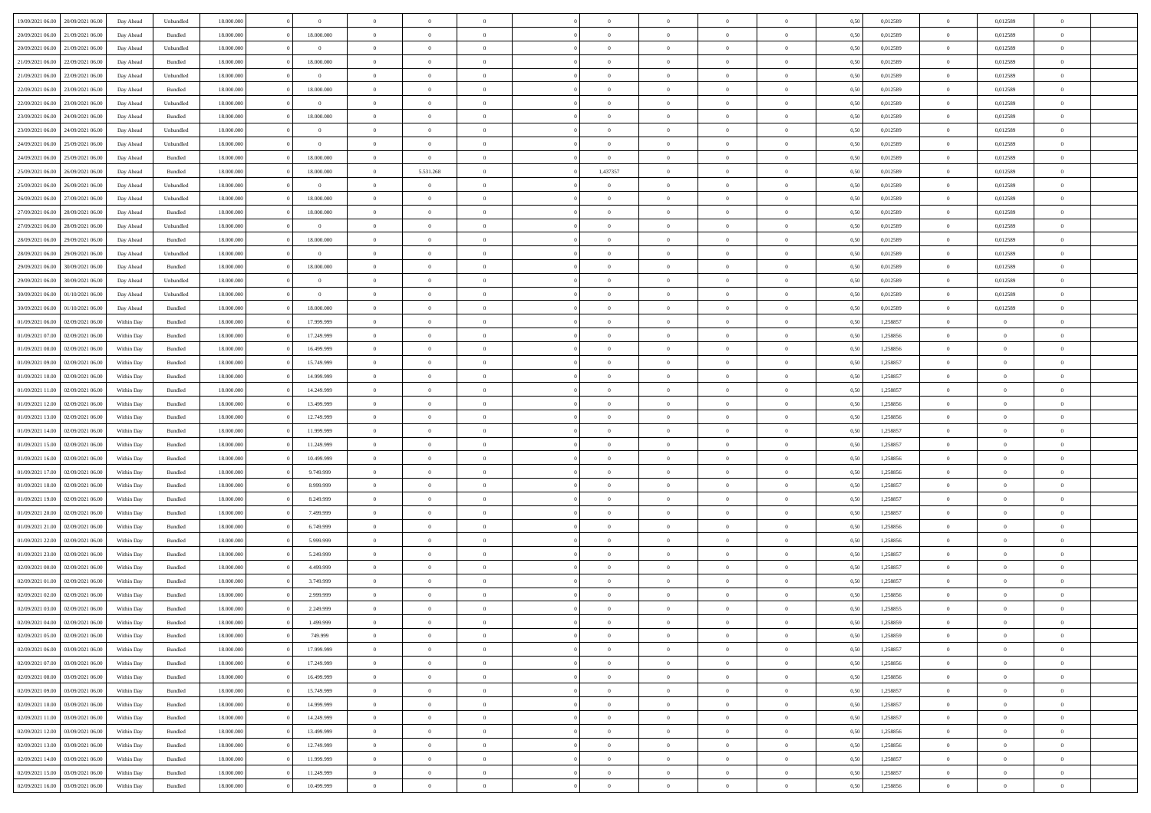|                                      |            |                    |            | $\theta$       | $\Omega$       | $\Omega$       |                |                | $\Omega$       | $\theta$       | $\theta$       |      |          | $\theta$       |                | $\theta$                 |  |
|--------------------------------------|------------|--------------------|------------|----------------|----------------|----------------|----------------|----------------|----------------|----------------|----------------|------|----------|----------------|----------------|--------------------------|--|
| 19/09/2021 06:00<br>20/09/2021 06:00 | Day Ahead  | Unbundled          | 18.000.000 |                |                |                |                | $\Omega$       |                |                |                | 0,50 | 0,012589 |                | 0,012589       |                          |  |
| 20/09/2021 06:00<br>21/09/2021 06:00 | Day Ahead  | Bundled            | 18.000.000 | 18.000.000     | $\overline{0}$ | $\theta$       | $\overline{0}$ | $\overline{0}$ | $\bf{0}$       | $\overline{0}$ | $\overline{0}$ | 0,50 | 0,012589 | $\theta$       | 0,012589       | $\overline{0}$           |  |
| 20/09/2021 06:00<br>21/09/2021 06:00 | Day Ahead  | Unbundled          | 18.000.000 | $\bf{0}$       | $\overline{0}$ | $\overline{0}$ | $\overline{0}$ | $\bf{0}$       | $\bf{0}$       | $\overline{0}$ | $\bf{0}$       | 0,50 | 0,012589 | $\overline{0}$ | 0,012589       | $\overline{0}$           |  |
| 21/09/2021 06:00<br>22/09/2021 06:00 | Day Ahead  | Bundled            | 18.000.000 | 18.000.000     | $\overline{0}$ | $\overline{0}$ | $\overline{0}$ | $\overline{0}$ | $\bf{0}$       | $\overline{0}$ | $\overline{0}$ | 0.50 | 0.012589 | $\overline{0}$ | 0.012589       | $\overline{0}$           |  |
| 21/09/2021 06:00<br>22/09/2021 06:00 | Day Ahead  | Unbundled          | 18.000.000 | $\overline{0}$ | $\overline{0}$ | $\theta$       | $\overline{0}$ | $\overline{0}$ | $\bf{0}$       | $\overline{0}$ | $\bf{0}$       | 0,50 | 0,012589 | $\,$ 0 $\,$    | 0,012589       | $\overline{0}$           |  |
|                                      |            |                    |            |                |                |                |                |                |                |                |                |      |          |                |                |                          |  |
| 22/09/2021 06:00<br>23/09/2021 06:00 | Day Ahead  | Bundled            | 18.000.000 | 18.000.000     | $\overline{0}$ | $\bf{0}$       | $\overline{0}$ | $\overline{0}$ | $\overline{0}$ | $\overline{0}$ | $\mathbf{0}$   | 0,50 | 0,012589 | $\overline{0}$ | 0,012589       | $\bf{0}$                 |  |
| 22/09/2021 06:00<br>23/09/2021 06:00 | Day Ahead  | Unbundled          | 18.000.000 | $\overline{0}$ | $\overline{0}$ | $\overline{0}$ | $\overline{0}$ | $\overline{0}$ | $\bf{0}$       | $\overline{0}$ | $\overline{0}$ | 0.50 | 0,012589 | $\theta$       | 0.012589       | $\overline{0}$           |  |
| 23/09/2021 06:00<br>24/09/2021 06.00 | Day Ahead  | Bundled            | 18.000.000 | 18.000.000     | $\overline{0}$ | $\theta$       | $\overline{0}$ | $\overline{0}$ | $\bf{0}$       | $\overline{0}$ | $\bf{0}$       | 0,50 | 0,012589 | $\,$ 0 $\,$    | 0,012589       | $\overline{0}$           |  |
| 23/09/2021 06:00<br>24/09/2021 06:00 | Day Ahead  | Unbundled          | 18.000.000 | $\bf{0}$       | $\overline{0}$ | $\overline{0}$ | $\overline{0}$ | $\overline{0}$ | $\bf{0}$       | $\overline{0}$ | $\bf{0}$       | 0,50 | 0,012589 | $\overline{0}$ | 0,012589       | $\overline{0}$           |  |
| 24/09/2021 06:00<br>25/09/2021 06:00 | Day Ahead  | Unbundled          | 18.000.000 | $\overline{0}$ | $\overline{0}$ | $\overline{0}$ | $\overline{0}$ | $\overline{0}$ | $\overline{0}$ | $\overline{0}$ | $\overline{0}$ | 0.50 | 0,012589 | $\overline{0}$ | 0,012589       | $\overline{0}$           |  |
| 24/09/2021 06:00<br>25/09/2021 06:00 | Day Ahead  | Bundled            | 18.000.000 | 18.000.000     | $\overline{0}$ | $\overline{0}$ | $\overline{0}$ | $\overline{0}$ | $\bf{0}$       | $\overline{0}$ | $\bf{0}$       | 0,50 | 0,012589 | $\,$ 0 $\,$    | 0,012589       | $\overline{0}$           |  |
| 25/09/2021 06:00<br>26/09/2021 06:00 | Day Ahead  | Bundled            | 18.000.000 | 18.000.000     | $\overline{0}$ | 5.531.268      | $\overline{0}$ | 1,437357       | $\bf{0}$       | $\overline{0}$ | $\bf{0}$       | 0,50 | 0,012589 | $\overline{0}$ | 0,012589       | $\overline{\phantom{a}}$ |  |
|                                      |            |                    |            |                |                |                |                |                |                |                |                |      |          | $\overline{0}$ |                |                          |  |
| 25/09/2021 06:00<br>26/09/2021 06:00 | Day Ahead  | Unbundled          | 18.000.000 | $\overline{0}$ | $\overline{0}$ | $\overline{0}$ | $\overline{0}$ | $\overline{0}$ | $\bf{0}$       | $\overline{0}$ | $\overline{0}$ | 0.50 | 0.012589 |                | 0.012589       | $\overline{0}$           |  |
| 26/09/2021 06:00<br>27/09/2021 06.00 | Day Ahead  | Unbundled          | 18.000.000 | 18.000.000     | $\overline{0}$ | $\theta$       | $\overline{0}$ | $\overline{0}$ | $\bf{0}$       | $\overline{0}$ | $\overline{0}$ | 0,50 | 0,012589 | $\,$ 0 $\,$    | 0,012589       | $\overline{0}$           |  |
| 27/09/2021 06:00<br>28/09/2021 06:00 | Day Ahead  | Bundled            | 18.000.000 | 18.000.000     | $\overline{0}$ | $\overline{0}$ | $\overline{0}$ | $\overline{0}$ | $\overline{0}$ | $\overline{0}$ | $\mathbf{0}$   | 0,50 | 0,012589 | $\overline{0}$ | 0,012589       | $\bf{0}$                 |  |
| 27/09/2021 06:00<br>28/09/2021 06:00 | Day Ahead  | Unbundled          | 18.000.000 | $\overline{0}$ | $\overline{0}$ | $\overline{0}$ | $\overline{0}$ | $\overline{0}$ | $\overline{0}$ | $\overline{0}$ | $\overline{0}$ | 0.50 | 0,012589 | $\overline{0}$ | 0.012589       | $\overline{0}$           |  |
| 28/09/2021 06:00<br>29/09/2021 06:00 | Day Ahead  | Bundled            | 18.000.000 | 18.000.000     | $\overline{0}$ | $\theta$       | $\overline{0}$ | $\overline{0}$ | $\bf{0}$       | $\overline{0}$ | $\bf{0}$       | 0,50 | 0,012589 | $\theta$       | 0,012589       | $\overline{0}$           |  |
| 28/09/2021 06:00<br>29/09/2021 06:00 | Day Ahead  | Unbundled          | 18.000.000 | $\bf{0}$       | $\overline{0}$ | $\overline{0}$ | $\overline{0}$ | $\overline{0}$ | $\bf{0}$       | $\bf{0}$       | $\bf{0}$       | 0,50 | 0,012589 | $\overline{0}$ | 0,012589       | $\overline{0}$           |  |
| 29/09/2021 06:00<br>30/09/2021 06:00 | Day Ahead  | Bundled            | 18.000.000 | 18.000.000     | $\overline{0}$ | $\overline{0}$ | $\overline{0}$ | $\overline{0}$ | $\overline{0}$ | $\overline{0}$ | $\overline{0}$ | 0.50 | 0,012589 | $\overline{0}$ | 0.012589       | $\overline{0}$           |  |
| 29/09/2021 06:00<br>30/09/2021 06:00 | Day Ahead  | Unbundled          | 18.000.000 | $\theta$       | $\overline{0}$ | $\theta$       | $\overline{0}$ | $\overline{0}$ | $\bf{0}$       | $\overline{0}$ | $\bf{0}$       | 0,50 | 0,012589 | $\,$ 0 $\,$    | 0,012589       | $\overline{0}$           |  |
|                                      |            |                    |            |                |                |                |                |                |                |                |                |      |          |                |                |                          |  |
| 30/09/2021 06:00<br>01/10/2021 06.00 | Day Ahead  | Unbundled          | 18.000.000 | $\bf{0}$       | $\overline{0}$ | $\overline{0}$ | $\overline{0}$ | $\bf{0}$       | $\bf{0}$       | $\bf{0}$       | $\bf{0}$       | 0,50 | 0,012589 | $\overline{0}$ | 0,012589       | $\overline{0}$           |  |
| 30/09/2021 06:00<br>01/10/2021 06:00 | Day Ahead  | Bundled            | 18.000.000 | 18.000.000     | $\overline{0}$ | $\overline{0}$ | $\overline{0}$ | $\overline{0}$ | $\bf{0}$       | $\overline{0}$ | $\overline{0}$ | 0.50 | 0.012589 | $\overline{0}$ | 0.012589       | $\overline{0}$           |  |
| 01/09/2021 06:00<br>02/09/2021 06:00 | Within Day | Bundled            | 18.000.000 | 17.999.999     | $\overline{0}$ | $\theta$       | $\overline{0}$ | $\overline{0}$ | $\bf{0}$       | $\overline{0}$ | $\bf{0}$       | 0,50 | 1,258857 | $\theta$       | $\theta$       | $\overline{0}$           |  |
| 01/09/2021 07:00<br>02/09/2021 06:00 | Within Day | Bundled            | 18.000.000 | 17.249.999     | $\overline{0}$ | $\bf{0}$       | $\overline{0}$ | $\bf{0}$       | $\overline{0}$ | $\bf{0}$       | $\mathbf{0}$   | 0,50 | 1,258856 | $\overline{0}$ | $\overline{0}$ | $\bf{0}$                 |  |
| 01/09/2021 08:00<br>02/09/2021 06:00 | Within Dav | Bundled            | 18.000.000 | 16.499.999     | $\overline{0}$ | $\overline{0}$ | $\overline{0}$ | $\overline{0}$ | $\overline{0}$ | $\overline{0}$ | $\overline{0}$ | 0.50 | 1,258856 | $\theta$       | $\overline{0}$ | $\overline{0}$           |  |
| 01/09/2021 09:00<br>02/09/2021 06:00 | Within Day | Bundled            | 18.000.000 | 15.749.999     | $\overline{0}$ | $\theta$       | $\overline{0}$ | $\overline{0}$ | $\bf{0}$       | $\overline{0}$ | $\bf{0}$       | 0,50 | 1,258857 | $\theta$       | $\theta$       | $\overline{0}$           |  |
| 01/09/2021 10:00<br>02/09/2021 06:00 | Within Day | Bundled            | 18.000.000 | 14.999.999     | $\overline{0}$ | $\overline{0}$ | $\overline{0}$ | $\bf{0}$       | $\bf{0}$       | $\bf{0}$       | $\bf{0}$       | 0,50 | 1,258857 | $\,0\,$        | $\overline{0}$ | $\overline{0}$           |  |
| 01/09/2021 11:00<br>02/09/2021 06:00 |            | Bundled            | 18.000.000 | 14.249.999     | $\overline{0}$ | $\overline{0}$ | $\overline{0}$ | $\overline{0}$ | $\overline{0}$ | $\overline{0}$ | $\overline{0}$ | 0.50 | 1,258857 | $\theta$       | $\overline{0}$ | $\overline{0}$           |  |
|                                      | Within Day |                    |            |                |                |                |                |                |                |                |                |      |          |                |                |                          |  |
| 01/09/2021 12:00<br>02/09/2021 06:00 | Within Day | Bundled            | 18.000.000 | 13.499.999     | $\overline{0}$ | $\theta$       | $\overline{0}$ | $\overline{0}$ | $\bf{0}$       | $\overline{0}$ | $\bf{0}$       | 0,50 | 1,258856 | $\,$ 0 $\,$    | $\theta$       | $\overline{0}$           |  |
| 01/09/2021 13:00<br>02/09/2021 06:00 | Within Day | Bundled            | 18.000.000 | 12.749.999     | $\overline{0}$ | $\overline{0}$ | $\overline{0}$ | $\bf{0}$       | $\bf{0}$       | $\bf{0}$       | $\bf{0}$       | 0,50 | 1,258856 | $\bf{0}$       | $\overline{0}$ | $\overline{0}$           |  |
| 01/09/2021 14:00<br>02/09/2021 06.00 | Within Day | Bundled            | 18,000,000 | 11.999.999     | $\overline{0}$ | $\Omega$       | $\Omega$       | $\Omega$       | $\Omega$       | $\Omega$       | $\overline{0}$ | 0.50 | 1,258857 | $\,0\,$        | $\Omega$       | $\theta$                 |  |
| 01/09/2021 15:00<br>02/09/2021 06:00 | Within Day | Bundled            | 18.000.000 | 11.249.999     | $\overline{0}$ | $\theta$       | $\overline{0}$ | $\overline{0}$ | $\bf{0}$       | $\overline{0}$ | $\bf{0}$       | 0,50 | 1,258857 | $\theta$       | $\theta$       | $\overline{0}$           |  |
| 01/09/2021 16:00<br>02/09/2021 06:00 | Within Day | Bundled            | 18.000.000 | 10.499.999     | $\overline{0}$ | $\bf{0}$       | $\overline{0}$ | $\bf{0}$       | $\bf{0}$       | $\overline{0}$ | $\mathbf{0}$   | 0,50 | 1,258856 | $\overline{0}$ | $\overline{0}$ | $\bf{0}$                 |  |
| 01/09/2021 17:00<br>02/09/2021 06:00 | Within Day | Bundled            | 18,000,000 | 9.749.999      | $\overline{0}$ | $\Omega$       | $\Omega$       | $\Omega$       | $\Omega$       | $\Omega$       | $\overline{0}$ | 0.50 | 1,258856 | $\theta$       | $\theta$       | $\theta$                 |  |
| 01/09/2021 18:00<br>02/09/2021 06:00 | Within Day | Bundled            | 18.000.000 | 8.999.999      | $\overline{0}$ | $\theta$       | $\overline{0}$ | $\overline{0}$ | $\bf{0}$       | $\overline{0}$ | $\bf{0}$       | 0,50 | 1,258857 | $\theta$       | $\theta$       | $\overline{0}$           |  |
|                                      |            |                    |            |                |                |                |                |                |                |                |                |      |          |                |                |                          |  |
| 01/09/2021 19:00<br>02/09/2021 06:00 | Within Day | Bundled            | 18.000.000 | 8.249.999      | $\overline{0}$ | $\overline{0}$ | $\overline{0}$ | $\bf{0}$       | $\bf{0}$       | $\bf{0}$       | $\bf{0}$       | 0,50 | 1,258857 | $\,0\,$        | $\overline{0}$ | $\overline{0}$           |  |
| 01/09/2021 20:00<br>02/09/2021 06:00 | Within Day | Bundled            | 18,000,000 | 7.499.999      | $\overline{0}$ | $\Omega$       | $\Omega$       | $\Omega$       | $\Omega$       | $\theta$       | $\overline{0}$ | 0.50 | 1,258857 | $\theta$       | $\theta$       | $\theta$                 |  |
| 01/09/2021 21:00<br>02/09/2021 06:00 | Within Day | Bundled            | 18.000.000 | 6.749.999      | $\overline{0}$ | $\theta$       | $\overline{0}$ | $\overline{0}$ | $\bf{0}$       | $\overline{0}$ | $\bf{0}$       | 0,50 | 1,258856 | $\,$ 0 $\,$    | $\theta$       | $\overline{0}$           |  |
| 01/09/2021 22.00<br>02/09/2021 06:00 | Within Day | Bundled            | 18.000.000 | 5.999.999      | $\overline{0}$ | $\overline{0}$ | $\overline{0}$ | $\bf{0}$       | $\bf{0}$       | $\bf{0}$       | $\bf{0}$       | 0,50 | 1,258856 | $\overline{0}$ | $\overline{0}$ | $\overline{0}$           |  |
| 01/09/2021 23:00<br>02/09/2021 06:00 | Within Day | Bundled            | 18,000,000 | 5.249.999      | $\overline{0}$ | $\Omega$       | $\Omega$       | $\Omega$       | $\Omega$       | $\Omega$       | $\overline{0}$ | 0.50 | 1,258857 | $\,0\,$        | $\Omega$       | $\theta$                 |  |
| 02/09/2021 00:00<br>02/09/2021 06:00 | Within Day | Bundled            | 18.000.000 | 4.499.999      | $\overline{0}$ | $\theta$       | $\overline{0}$ | $\overline{0}$ | $\bf{0}$       | $\overline{0}$ | $\bf{0}$       | 0,50 | 1,258857 | $\,$ 0 $\,$    | $\overline{0}$ | $\overline{0}$           |  |
| 02/09/2021 01:00<br>02/09/2021 06:00 | Within Day | Bundled            | 18.000.000 | 3.749.999      | $\overline{0}$ | $\overline{0}$ | $\overline{0}$ | $\overline{0}$ | $\bf{0}$       | $\overline{0}$ | $\mathbf{0}$   | 0,50 | 1,258857 | $\overline{0}$ | $\overline{0}$ | $\bf{0}$                 |  |
| 02/09/2021 02:00<br>02/09/2021 06:00 | Within Day | Bundled            | 18,000,000 | 2.999.999      | $\overline{0}$ | $\Omega$       | $\Omega$       | $\Omega$       | $\Omega$       | $\Omega$       | $\overline{0}$ | 0.50 | 1.258856 | $\theta$       | $\Omega$       | $\theta$                 |  |
| 02/09/2021 03:00<br>02/09/2021 06:00 | Within Day | Bundled            | 18.000.000 | 2.249.999      | $\overline{0}$ | $\overline{0}$ | $\overline{0}$ | $\bf{0}$       | $\,$ 0         | $\overline{0}$ | $\bf{0}$       | 0,50 | 1,258855 | $\,0\,$        | $\overline{0}$ | $\overline{0}$           |  |
| 02/09/2021 06:00                     |            |                    |            |                |                |                |                |                |                |                |                |      |          |                |                |                          |  |
| 02/09/2021 04:00                     | Within Day | $\mathbf B$ undled | 18.000.000 | 1.499.999      | $\bf{0}$       | $\bf{0}$       |                |                |                |                |                | 0,50 | 1,258859 | $\bf{0}$       | $\overline{0}$ |                          |  |
| 02/09/2021 05:00<br>02/09/2021 06:00 | Within Day | Bundled            | 18,000,000 | 749.999        | $\overline{0}$ | $\overline{0}$ | $\overline{0}$ | $\Omega$       | $\theta$       | $\overline{0}$ | $\overline{0}$ | 0.50 | 1,258859 | $\theta$       | $\theta$       | $\theta$                 |  |
| 02/09/2021 06:00<br>03/09/2021 06:00 | Within Day | Bundled            | 18.000.000 | 17.999.999     | $\overline{0}$ | $\,$ 0         | $\overline{0}$ | $\overline{0}$ | $\,$ 0 $\,$    | $\overline{0}$ | $\mathbf{0}$   | 0,50 | 1,258857 | $\,$ 0 $\,$    | $\overline{0}$ | $\,$ 0                   |  |
| 02/09/2021 07:00<br>03/09/2021 06:00 | Within Day | Bundled            | 18.000.000 | 17.249.999     | $\overline{0}$ | $\overline{0}$ | $\overline{0}$ | $\overline{0}$ | $\overline{0}$ | $\overline{0}$ | $\mathbf{0}$   | 0,50 | 1,258856 | $\overline{0}$ | $\bf{0}$       | $\bf{0}$                 |  |
| 02/09/2021 08:00<br>03/09/2021 06:00 | Within Day | Bundled            | 18,000,000 | 16.499.999     | $\overline{0}$ | $\theta$       | $\overline{0}$ | $\Omega$       | $\overline{0}$ | $\overline{0}$ | $\bf{0}$       | 0,50 | 1,258856 | $\overline{0}$ | $\theta$       | $\overline{0}$           |  |
| 02/09/2021 09:00<br>03/09/2021 06:00 | Within Day | Bundled            | 18.000.000 | 15.749.999     | $\overline{0}$ | $\,$ 0         | $\overline{0}$ | $\overline{0}$ | $\overline{0}$ | $\overline{0}$ | $\bf{0}$       | 0,50 | 1,258857 | $\,$ 0 $\,$    | $\overline{0}$ | $\overline{0}$           |  |
| 02/09/2021 10:00<br>03/09/2021 06:00 | Within Day | Bundled            | 18.000.000 | 14.999.999     | $\overline{0}$ | $\overline{0}$ | $\overline{0}$ | $\overline{0}$ | $\overline{0}$ | $\overline{0}$ | $\mathbf{0}$   | 0,50 | 1,258857 | $\overline{0}$ | $\bf{0}$       | $\bf{0}$                 |  |
|                                      |            |                    |            |                |                |                |                |                |                |                |                |      |          |                |                |                          |  |
| 02/09/2021 11:00<br>03/09/2021 06:00 | Within Day | Bundled            | 18,000,000 | 14.249.999     | $\overline{0}$ | $\overline{0}$ | $\overline{0}$ | $\Omega$       | $\overline{0}$ | $\overline{0}$ | $\bf{0}$       | 0.50 | 1,258857 | $\overline{0}$ | $\theta$       | $\overline{0}$           |  |
| 02/09/2021 12:00<br>03/09/2021 06:00 | Within Day | Bundled            | 18.000.000 | 13.499.999     | $\overline{0}$ | $\,$ 0         | $\overline{0}$ | $\overline{0}$ | $\bf{0}$       | $\overline{0}$ | $\bf{0}$       | 0,50 | 1,258856 | $\,$ 0 $\,$    | $\overline{0}$ | $\overline{0}$           |  |
| 02/09/2021 13:00<br>03/09/2021 06:00 | Within Day | Bundled            | 18.000.000 | 12.749.999     | $\overline{0}$ | $\bf{0}$       | $\overline{0}$ | $\overline{0}$ | $\overline{0}$ | $\overline{0}$ | $\mathbf{0}$   | 0,50 | 1,258856 | $\overline{0}$ | $\overline{0}$ | $\bf{0}$                 |  |
| 02/09/2021 14:00<br>03/09/2021 06:00 | Within Day | Bundled            | 18,000,000 | 11.999.999     | $\overline{0}$ | $\overline{0}$ | $\overline{0}$ | $\Omega$       | $\overline{0}$ | $\overline{0}$ | $\overline{0}$ | 0.50 | 1,258857 | $\overline{0}$ | $\overline{0}$ | $\overline{0}$           |  |
| 02/09/2021 15:00<br>03/09/2021 06:00 | Within Day | Bundled            | 18.000.000 | 11.249.999     | $\overline{0}$ | $\,$ 0 $\,$    | $\overline{0}$ | $\overline{0}$ | $\bf{0}$       | $\bf{0}$       | $\bf{0}$       | 0,50 | 1,258857 | $\,$ 0 $\,$    | $\,$ 0 $\,$    | $\overline{0}$           |  |
| 02/09/2021 16:00<br>03/09/2021 06:00 | Within Day | Bundled            | 18.000.000 | 10.499.999     | $\overline{0}$ | $\overline{0}$ | $\overline{0}$ | $\overline{0}$ | $\bf{0}$       | $\bf{0}$       | $\mathbf{0}$   | 0,50 | 1,258856 | $\overline{0}$ | $\bf{0}$       | $\bf{0}$                 |  |
|                                      |            |                    |            |                |                |                |                |                |                |                |                |      |          |                |                |                          |  |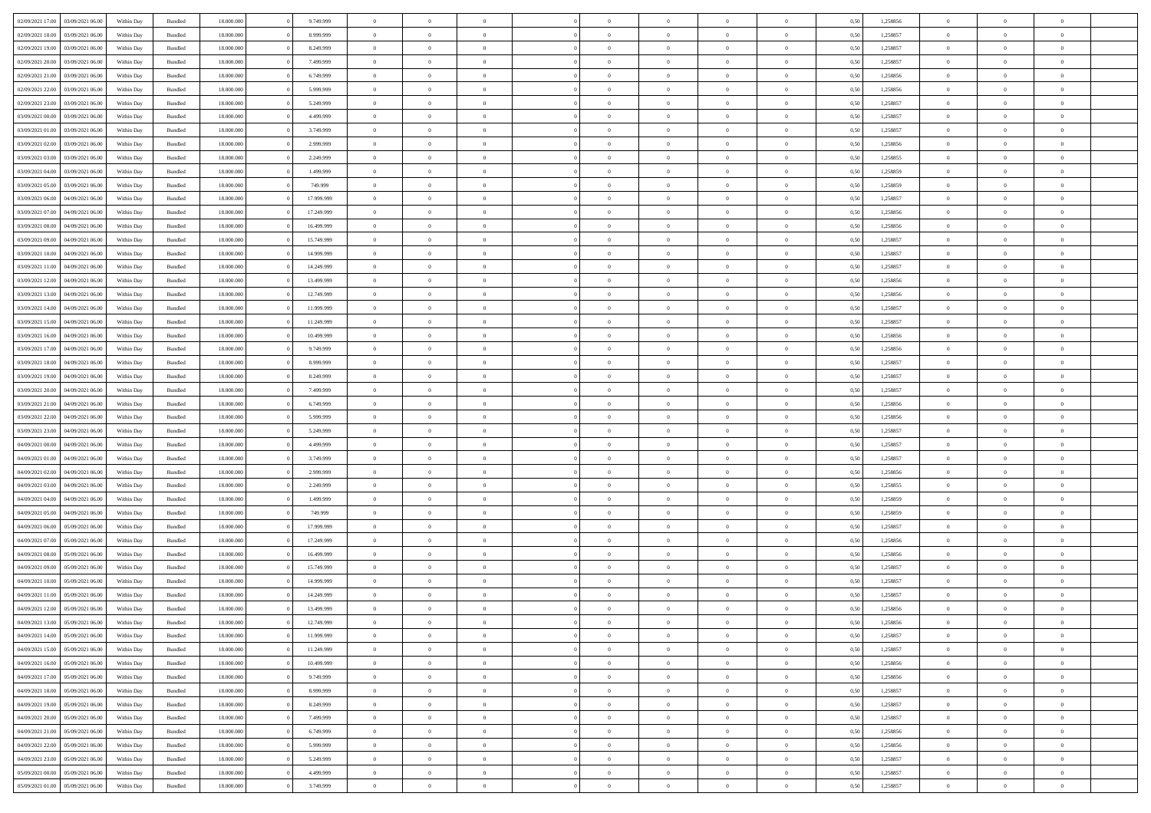| 02/09/2021 17:00                  | 03/09/2021 06:00 | Within Day | Bundled            | 18.000.000 | 9.749.999  | $\overline{0}$ | $\Omega$       |                | $\Omega$       | $\Omega$       | $\Omega$       | $\theta$       | 0.50 | 1,258856 | $\theta$       | $\theta$       | $\theta$       |  |
|-----------------------------------|------------------|------------|--------------------|------------|------------|----------------|----------------|----------------|----------------|----------------|----------------|----------------|------|----------|----------------|----------------|----------------|--|
| 02/09/2021 18:00                  | 03/09/2021 06:00 | Within Day | Bundled            | 18.000.000 | 8.999.999  | $\overline{0}$ | $\theta$       | $\overline{0}$ | $\overline{0}$ | $\bf{0}$       | $\overline{0}$ | $\overline{0}$ | 0,50 | 1,258857 | $\theta$       | $\theta$       | $\overline{0}$ |  |
| 02/09/2021 19:00                  | 03/09/2021 06:00 | Within Day | Bundled            | 18.000.000 | 8.249.999  | $\overline{0}$ | $\overline{0}$ | $\overline{0}$ | $\bf{0}$       | $\bf{0}$       | $\bf{0}$       | $\bf{0}$       | 0,50 | 1,258857 | $\overline{0}$ | $\overline{0}$ | $\overline{0}$ |  |
|                                   |                  |            |                    |            |            |                |                |                |                |                |                |                |      |          |                |                |                |  |
| 02/09/2021 20:00                  | 03/09/2021 06:00 | Within Dav | Bundled            | 18.000.000 | 7.499.999  | $\overline{0}$ | $\overline{0}$ | $\overline{0}$ | $\overline{0}$ | $\bf{0}$       | $\overline{0}$ | $\overline{0}$ | 0.50 | 1.258857 | $\theta$       | $\theta$       | $\overline{0}$ |  |
| 02/09/2021 21:00                  | 03/09/2021 06.00 | Within Day | Bundled            | 18.000.000 | 6.749.999  | $\overline{0}$ | $\theta$       | $\overline{0}$ | $\overline{0}$ | $\bf{0}$       | $\overline{0}$ | $\bf{0}$       | 0,50 | 1,258856 | $\theta$       | $\theta$       | $\overline{0}$ |  |
| 02/09/2021 22:00                  | 03/09/2021 06:00 | Within Day | Bundled            | 18.000.000 | 5.999.999  | $\overline{0}$ | $\bf{0}$       | $\overline{0}$ | $\bf{0}$       | $\overline{0}$ | $\overline{0}$ | $\mathbf{0}$   | 0,50 | 1,258856 | $\overline{0}$ | $\overline{0}$ | $\bf{0}$       |  |
| 02/09/2021 23:00                  | 03/09/2021 06:00 | Within Dav | Bundled            | 18.000.000 | 5.249.999  | $\overline{0}$ | $\overline{0}$ | $\overline{0}$ |                | $\bf{0}$       | $\overline{0}$ | $\overline{0}$ | 0.50 | 1,258857 | $\theta$       | $\overline{0}$ | $\overline{0}$ |  |
|                                   |                  |            |                    |            |            |                |                |                | $\overline{0}$ |                |                |                |      |          |                |                |                |  |
| 03/09/2021 00:00                  | 03/09/2021 06:00 | Within Day | Bundled            | 18.000.000 | 4.499.999  | $\overline{0}$ | $\theta$       | $\overline{0}$ | $\overline{0}$ | $\bf{0}$       | $\overline{0}$ | $\bf{0}$       | 0,50 | 1,258857 | $\theta$       | $\theta$       | $\overline{0}$ |  |
| 03/09/2021 01:00                  | 03/09/2021 06:00 | Within Day | Bundled            | 18.000.000 | 3.749.999  | $\overline{0}$ | $\overline{0}$ | $\overline{0}$ | $\bf{0}$       | $\bf{0}$       | $\bf{0}$       | $\bf{0}$       | 0,50 | 1,258857 | $\,0\,$        | $\overline{0}$ | $\overline{0}$ |  |
| 03/09/2021 02:00                  | 03/09/2021 06:00 | Within Dav | Bundled            | 18.000.000 | 2.999.999  | $\overline{0}$ | $\overline{0}$ | $\overline{0}$ | $\overline{0}$ | $\overline{0}$ | $\overline{0}$ | $\overline{0}$ | 0.50 | 1,258856 | $\theta$       | $\overline{0}$ | $\overline{0}$ |  |
|                                   |                  |            |                    |            |            |                |                |                |                |                |                |                |      |          |                |                |                |  |
| 03/09/2021 03:00                  | 03/09/2021 06:00 | Within Day | Bundled            | 18.000.000 | 2.249.999  | $\overline{0}$ | $\theta$       | $\overline{0}$ | $\overline{0}$ | $\bf{0}$       | $\overline{0}$ | $\bf{0}$       | 0,50 | 1,258855 | $\theta$       | $\theta$       | $\overline{0}$ |  |
| 03/09/2021 04:00                  | 03/09/2021 06:00 | Within Day | Bundled            | 18.000.000 | 1.499.999  | $\overline{0}$ | $\overline{0}$ | $\overline{0}$ | $\bf{0}$       | $\bf{0}$       | $\bf{0}$       | $\bf{0}$       | 0,50 | 1,258859 | $\overline{0}$ | $\overline{0}$ | $\overline{0}$ |  |
| 03/09/2021 05:00                  | 03/09/2021 06:00 | Within Dav | Bundled            | 18.000.000 | 749,999    | $\overline{0}$ | $\overline{0}$ | $\overline{0}$ | $\overline{0}$ | $\bf{0}$       | $\overline{0}$ | $\overline{0}$ | 0.50 | 1.258859 | $\theta$       | $\theta$       | $\overline{0}$ |  |
|                                   |                  |            |                    |            |            |                |                |                |                |                |                |                |      |          |                |                |                |  |
| 03/09/2021 06:00                  | 04/09/2021 06.00 | Within Day | Bundled            | 18.000.000 | 17.999.999 | $\overline{0}$ | $\theta$       | $\overline{0}$ | $\overline{0}$ | $\bf{0}$       | $\overline{0}$ | $\overline{0}$ | 0,50 | 1,258857 | $\theta$       | $\theta$       | $\overline{0}$ |  |
| 03/09/2021 07:00                  | 04/09/2021 06.00 | Within Day | Bundled            | 18.000.000 | 17.249.999 | $\overline{0}$ | $\bf{0}$       | $\overline{0}$ | $\bf{0}$       | $\overline{0}$ | $\overline{0}$ | $\mathbf{0}$   | 0,50 | 1,258856 | $\overline{0}$ | $\overline{0}$ | $\bf{0}$       |  |
| 03/09/2021 08:00                  | 04/09/2021 06:00 | Within Dav | Bundled            | 18.000.000 | 16.499.999 | $\overline{0}$ | $\overline{0}$ | $\overline{0}$ | $\overline{0}$ | $\overline{0}$ | $\overline{0}$ | $\overline{0}$ | 0.50 | 1.258856 | $\theta$       | $\overline{0}$ | $\overline{0}$ |  |
|                                   |                  |            |                    |            |            |                |                |                |                |                |                |                |      |          |                |                |                |  |
| 03/09/2021 09:00                  | 04/09/2021 06.00 | Within Day | Bundled            | 18.000.000 | 15.749.999 | $\overline{0}$ | $\theta$       | $\overline{0}$ | $\overline{0}$ | $\bf{0}$       | $\overline{0}$ | $\bf{0}$       | 0,50 | 1,258857 | $\theta$       | $\theta$       | $\overline{0}$ |  |
| 03/09/2021 10:00                  | 04/09/2021 06.00 | Within Day | Bundled            | 18.000.000 | 14.999.999 | $\overline{0}$ | $\overline{0}$ | $\overline{0}$ | $\bf{0}$       | $\bf{0}$       | $\bf{0}$       | $\bf{0}$       | 0,50 | 1,258857 | $\,0\,$        | $\overline{0}$ | $\overline{0}$ |  |
| 03/09/2021 11:00                  | 04/09/2021 06:00 | Within Dav | Bundled            | 18.000.000 | 14.249.999 | $\overline{0}$ | $\overline{0}$ | $\overline{0}$ | $\overline{0}$ | $\overline{0}$ | $\overline{0}$ | $\overline{0}$ | 0.50 | 1,258857 | $\theta$       | $\overline{0}$ | $\overline{0}$ |  |
|                                   |                  |            |                    |            |            | $\overline{0}$ | $\theta$       | $\overline{0}$ |                | $\bf{0}$       | $\overline{0}$ |                |      |          | $\theta$       | $\theta$       | $\overline{0}$ |  |
| 03/09/2021 12:00                  | 04/09/2021 06.00 | Within Day | Bundled            | 18.000.000 | 13.499.999 |                |                |                | $\overline{0}$ |                |                | $\bf{0}$       | 0,50 | 1,258856 |                |                |                |  |
| 03/09/2021 13:00                  | 04/09/2021 06.00 | Within Day | Bundled            | 18.000.000 | 12.749.999 | $\overline{0}$ | $\overline{0}$ | $\overline{0}$ | $\bf{0}$       | $\bf{0}$       | $\bf{0}$       | $\bf{0}$       | 0,50 | 1,258856 | $\,0\,$        | $\overline{0}$ | $\overline{0}$ |  |
| 03/09/2021 14:00                  | 04/09/2021 06:00 | Within Day | Bundled            | 18.000.000 | 11.999.999 | $\overline{0}$ | $\overline{0}$ | $\overline{0}$ | $\overline{0}$ | $\bf{0}$       | $\overline{0}$ | $\overline{0}$ | 0.50 | 1.258857 | $\theta$       | $\theta$       | $\overline{0}$ |  |
| 03/09/2021 15:00                  | 04/09/2021 06.00 | Within Day | Bundled            | 18.000.000 | 11.249.999 | $\overline{0}$ | $\theta$       | $\overline{0}$ | $\overline{0}$ | $\bf{0}$       | $\overline{0}$ | $\bf{0}$       | 0,50 | 1,258857 | $\theta$       | $\overline{0}$ | $\overline{0}$ |  |
|                                   |                  |            |                    |            |            |                |                |                |                |                |                |                |      |          |                |                |                |  |
| 03/09/2021 16:00                  | 04/09/2021 06.00 | Within Day | Bundled            | 18.000.000 | 10.499.999 | $\overline{0}$ | $\bf{0}$       | $\overline{0}$ | $\overline{0}$ | $\overline{0}$ | $\overline{0}$ | $\mathbf{0}$   | 0,50 | 1,258856 | $\bf{0}$       | $\overline{0}$ | $\bf{0}$       |  |
| 03/09/2021 17:00                  | 04/09/2021 06:00 | Within Dav | Bundled            | 18.000.000 | 9.749.999  | $\overline{0}$ | $\overline{0}$ | $\overline{0}$ | $\overline{0}$ | $\overline{0}$ | $\overline{0}$ | $\overline{0}$ | 0.50 | 1,258856 | $\theta$       | $\theta$       | $\overline{0}$ |  |
| 03/09/2021 18:00                  | 04/09/2021 06.00 | Within Day | Bundled            | 18.000.000 | 8.999.999  | $\overline{0}$ | $\theta$       | $\overline{0}$ | $\overline{0}$ | $\bf{0}$       | $\overline{0}$ | $\bf{0}$       | 0,50 | 1,258857 | $\theta$       | $\theta$       | $\overline{0}$ |  |
|                                   |                  |            |                    |            |            |                |                |                |                |                |                |                |      |          |                |                |                |  |
| 03/09/2021 19:00                  | 04/09/2021 06.00 | Within Day | Bundled            | 18.000.000 | 8.249.999  | $\overline{0}$ | $\overline{0}$ | $\overline{0}$ | $\overline{0}$ | $\bf{0}$       | $\overline{0}$ | $\bf{0}$       | 0,50 | 1,258857 | $\,0\,$        | $\overline{0}$ | $\overline{0}$ |  |
| 03/09/2021 20:00                  | 04/09/2021 06:00 | Within Day | Bundled            | 18.000.000 | 7.499.999  | $\overline{0}$ | $\overline{0}$ | $\overline{0}$ | $\overline{0}$ | $\overline{0}$ | $\overline{0}$ | $\overline{0}$ | 0.50 | 1,258857 | $\theta$       | $\overline{0}$ | $\overline{0}$ |  |
| 03/09/2021 21:00                  | 04/09/2021 06.00 | Within Day | Bundled            | 18.000.000 | 6.749.999  | $\overline{0}$ | $\theta$       | $\overline{0}$ | $\overline{0}$ | $\bf{0}$       | $\overline{0}$ | $\bf{0}$       | 0,50 | 1,258856 | $\,$ 0 $\,$    | $\theta$       | $\overline{0}$ |  |
|                                   |                  |            |                    |            |            |                |                |                |                |                |                |                |      |          |                |                |                |  |
| 03/09/2021 22.00                  | 04/09/2021 06.00 | Within Day | Bundled            | 18.000.000 | 5.999.999  | $\overline{0}$ | $\overline{0}$ | $\overline{0}$ | $\overline{0}$ | $\bf{0}$       | $\overline{0}$ | $\bf{0}$       | 0,50 | 1,258856 | $\bf{0}$       | $\overline{0}$ | $\overline{0}$ |  |
| 03/09/2021 23:00                  | 04/09/2021 06.00 | Within Day | Bundled            | 18.000.000 | 5.249.999  | $\overline{0}$ | $\Omega$       | $\Omega$       | $\Omega$       | $\Omega$       | $\Omega$       | $\overline{0}$ | 0.50 | 1,258857 | $\,0\,$        | $\theta$       | $\theta$       |  |
| 04/09/2021 00:00                  | 04/09/2021 06.00 | Within Day | Bundled            | 18.000.000 | 4.499.999  | $\overline{0}$ | $\theta$       | $\overline{0}$ | $\overline{0}$ | $\bf{0}$       | $\overline{0}$ | $\bf{0}$       | 0,50 | 1,258857 | $\theta$       | $\theta$       | $\overline{0}$ |  |
|                                   |                  |            |                    |            |            |                |                |                |                | $\bf{0}$       |                |                |      |          |                | $\overline{0}$ | $\bf{0}$       |  |
| 04/09/2021 01.00                  | 04/09/2021 06.00 | Within Day | Bundled            | 18.000.000 | 3.749.999  | $\overline{0}$ | $\overline{0}$ | $\overline{0}$ | $\overline{0}$ |                | $\overline{0}$ | $\mathbf{0}$   | 0,50 | 1,258857 | $\bf{0}$       |                |                |  |
| 04/09/2021 02:00                  | 04/09/2021 06:00 | Within Day | Bundled            | 18,000,000 | 2.999.999  | $\overline{0}$ | $\Omega$       | $\Omega$       | $\Omega$       | $\Omega$       | $\Omega$       | $\overline{0}$ | 0.50 | 1,258856 | $\theta$       | $\theta$       | $\theta$       |  |
| 04/09/2021 03:00                  | 04/09/2021 06.00 | Within Day | Bundled            | 18.000.000 | 2.249.999  | $\overline{0}$ | $\theta$       | $\overline{0}$ | $\overline{0}$ | $\bf{0}$       | $\overline{0}$ | $\bf{0}$       | 0,50 | 1,258855 | $\theta$       | $\theta$       | $\overline{0}$ |  |
| 04/09/2021 04:00                  | 04/09/2021 06.00 | Within Day | Bundled            | 18.000.000 | 1.499.999  | $\overline{0}$ | $\overline{0}$ | $\overline{0}$ | $\overline{0}$ | $\bf{0}$       | $\overline{0}$ | $\bf{0}$       | 0,50 | 1,258859 | $\,0\,$        | $\overline{0}$ | $\overline{0}$ |  |
|                                   |                  |            |                    |            |            |                |                |                |                |                |                |                |      |          |                |                |                |  |
| 04/09/2021 05:00                  | 04/09/2021 06:00 | Within Day | Bundled            | 18,000,000 | 749,999    | $\overline{0}$ | $\Omega$       | $\Omega$       | $\Omega$       | $\Omega$       | $\theta$       | $\overline{0}$ | 0.50 | 1,258859 | $\theta$       | $\theta$       | $\theta$       |  |
| 04/09/2021 06:00                  | 05/09/2021 06:00 | Within Day | Bundled            | 18.000.000 | 17.999.999 | $\overline{0}$ | $\theta$       | $\overline{0}$ | $\overline{0}$ | $\bf{0}$       | $\overline{0}$ | $\bf{0}$       | 0,50 | 1,258857 | $\,$ 0 $\,$    | $\overline{0}$ | $\overline{0}$ |  |
| 04/09/2021 07:00                  | 05/09/2021 06:00 | Within Day | Bundled            | 18.000.000 | 17.249.999 | $\overline{0}$ | $\overline{0}$ | $\overline{0}$ | $\overline{0}$ | $\bf{0}$       | $\overline{0}$ | $\bf{0}$       | 0,50 | 1,258856 | $\bf{0}$       | $\overline{0}$ | $\overline{0}$ |  |
|                                   |                  |            |                    |            |            |                |                |                |                |                |                |                |      |          |                |                |                |  |
| 04/09/2021 08:00                  | 05/09/2021 06:00 | Within Day | Bundled            | 18.000.000 | 16.499.999 | $\overline{0}$ | $\Omega$       | $\Omega$       | $\Omega$       | $\Omega$       | $\overline{0}$ | $\overline{0}$ | 0.50 | 1,258856 | $\,0\,$        | $\theta$       | $\theta$       |  |
| 04/09/2021 09:00                  | 05/09/2021 06:00 | Within Day | Bundled            | 18.000.000 | 15.749.999 | $\overline{0}$ | $\theta$       | $\overline{0}$ | $\overline{0}$ | $\bf{0}$       | $\overline{0}$ | $\bf{0}$       | 0,50 | 1,258857 | $\,$ 0 $\,$    | $\theta$       | $\overline{0}$ |  |
| 04/09/2021 10:00                  | 05/09/2021 06:00 | Within Day | Bundled            | 18.000.000 | 14.999.999 | $\overline{0}$ | $\overline{0}$ | $\overline{0}$ | $\overline{0}$ | $\bf{0}$       | $\overline{0}$ | $\mathbf{0}$   | 0,50 | 1,258857 | $\bf{0}$       | $\overline{0}$ | $\bf{0}$       |  |
| 04/09/2021 11:00                  | 05/09/2021 06:00 | Within Day | Bundled            | 18,000,000 | 14.249.999 | $\overline{0}$ | $\Omega$       | $\Omega$       | $\Omega$       | $\Omega$       | $\Omega$       | $\overline{0}$ | 0.50 | 1,258857 | $\theta$       | $\theta$       | $\theta$       |  |
|                                   |                  |            |                    |            |            |                |                |                |                |                |                |                |      |          |                |                |                |  |
| 04/09/2021 12:00                  | 05/09/2021 06:00 | Within Day | Bundled            | 18.000.000 | 13.499.999 | $\overline{0}$ | $\overline{0}$ | $\overline{0}$ | $\bf{0}$       | $\,$ 0         | $\overline{0}$ | $\bf{0}$       | 0,50 | 1,258856 | $\,0\,$        | $\,0\,$        | $\overline{0}$ |  |
| 04/09/2021 13:00 05/09/2021 06:00 |                  | Within Day | $\mathbf B$ undled | 18.000.000 | 12.749.999 | $\bf{0}$       | $\bf{0}$       |                |                | $\bf{0}$       |                |                | 0,50 | 1,258856 | $\bf{0}$       | $\overline{0}$ |                |  |
| 04/09/2021 14:00                  | 05/09/2021 06:00 | Within Day | Bundled            | 18,000,000 | 11.999.999 | $\overline{0}$ | $\overline{0}$ | $\overline{0}$ | $\Omega$       | $\overline{0}$ | $\overline{0}$ | $\overline{0}$ | 0.50 | 1,258857 | $\theta$       | $\theta$       | $\theta$       |  |
| 04/09/2021 15:00                  | 05/09/2021 06:00 |            | Bundled            | 18.000.000 | 11.249.999 | $\overline{0}$ | $\,$ 0         |                |                | $\,$ 0 $\,$    | $\overline{0}$ |                |      | 1,258857 | $\,$ 0 $\,$    | $\,$ 0 $\,$    | $\,$ 0         |  |
|                                   |                  | Within Day |                    |            |            |                |                | $\overline{0}$ | $\overline{0}$ |                |                | $\mathbf{0}$   | 0,50 |          |                |                |                |  |
| 04/09/2021 16:00                  | 05/09/2021 06:00 | Within Day | Bundled            | 18.000.000 | 10.499.999 | $\overline{0}$ | $\overline{0}$ | $\overline{0}$ | $\overline{0}$ | $\overline{0}$ | $\overline{0}$ | $\mathbf{0}$   | 0,50 | 1,258856 | $\overline{0}$ | $\bf{0}$       | $\bf{0}$       |  |
| 04/09/2021 17:00                  | 05/09/2021 06:00 | Within Day | Bundled            | 18,000,000 | 9.749.999  | $\overline{0}$ | $\overline{0}$ | $\overline{0}$ | $\Omega$       | $\overline{0}$ | $\overline{0}$ | $\overline{0}$ | 0,50 | 1,258856 | $\overline{0}$ | $\theta$       | $\overline{0}$ |  |
| 04/09/2021 18:00                  | 05/09/2021 06:00 | Within Day | Bundled            | 18.000.000 | 8.999.999  | $\overline{0}$ | $\,$ 0         | $\overline{0}$ | $\overline{0}$ | $\,$ 0 $\,$    | $\overline{0}$ | $\mathbf{0}$   | 0,50 | 1,258857 | $\,$ 0 $\,$    | $\overline{0}$ | $\overline{0}$ |  |
|                                   |                  |            |                    |            |            |                |                |                |                |                |                |                |      |          |                |                |                |  |
| 04/09/2021 19:00                  | 05/09/2021 06:00 | Within Day | Bundled            | 18.000.000 | 8.249.999  | $\overline{0}$ | $\overline{0}$ | $\overline{0}$ | $\overline{0}$ | $\overline{0}$ | $\overline{0}$ | $\mathbf{0}$   | 0,50 | 1,258857 | $\overline{0}$ | $\overline{0}$ | $\bf{0}$       |  |
| 04/09/2021 20:00                  | 05/09/2021 06:00 | Within Day | Bundled            | 18,000,000 | 7.499.999  | $\overline{0}$ | $\overline{0}$ | $\overline{0}$ | $\Omega$       | $\overline{0}$ | $\overline{0}$ | $\bf{0}$       | 0.50 | 1,258857 | $\overline{0}$ | $\theta$       | $\overline{0}$ |  |
| 04/09/2021 21:00                  | 05/09/2021 06:00 | Within Day | Bundled            | 18.000.000 | 6.749.999  | $\overline{0}$ | $\,$ 0         | $\overline{0}$ | $\overline{0}$ | $\bf{0}$       | $\bf{0}$       | $\bf{0}$       | 0,50 | 1,258856 | $\,$ 0 $\,$    | $\overline{0}$ | $\overline{0}$ |  |
|                                   |                  |            |                    |            |            |                |                |                |                |                |                |                |      |          |                |                |                |  |
| 04/09/2021 22.00                  | 05/09/2021 06:00 | Within Day | Bundled            | 18.000.000 | 5.999.999  | $\overline{0}$ | $\bf{0}$       | $\overline{0}$ | $\overline{0}$ | $\overline{0}$ | $\overline{0}$ | $\mathbf{0}$   | 0,50 | 1,258856 | $\overline{0}$ | $\overline{0}$ | $\bf{0}$       |  |
| 04/09/2021 23.00                  | 05/09/2021 06:00 | Within Day | Bundled            | 18,000,000 | 5.249.999  | $\overline{0}$ | $\overline{0}$ | $\overline{0}$ | $\Omega$       | $\overline{0}$ | $\overline{0}$ | $\bf{0}$       | 0.50 | 1,258857 | $\overline{0}$ | $\overline{0}$ | $\overline{0}$ |  |
| 05/09/2021 00:00                  | 05/09/2021 06:00 | Within Day | Bundled            | 18.000.000 | 4.499.999  | $\overline{0}$ | $\,$ 0 $\,$    | $\overline{0}$ | $\overline{0}$ | $\bf{0}$       | $\bf{0}$       | $\bf{0}$       | 0,50 | 1,258857 | $\,$ 0 $\,$    | $\,$ 0 $\,$    | $\bf{0}$       |  |
|                                   |                  |            |                    |            |            |                |                |                |                |                |                |                |      |          |                |                |                |  |
| 05/09/2021 01:00                  | 05/09/2021 06:00 | Within Day | Bundled            | 18.000.000 | 3.749.999  | $\overline{0}$ | $\bf{0}$       | $\overline{0}$ | $\bf{0}$       | $\bf{0}$       | $\bf{0}$       | $\bf{0}$       | 0,50 | 1,258857 | $\overline{0}$ | $\overline{0}$ | $\bf{0}$       |  |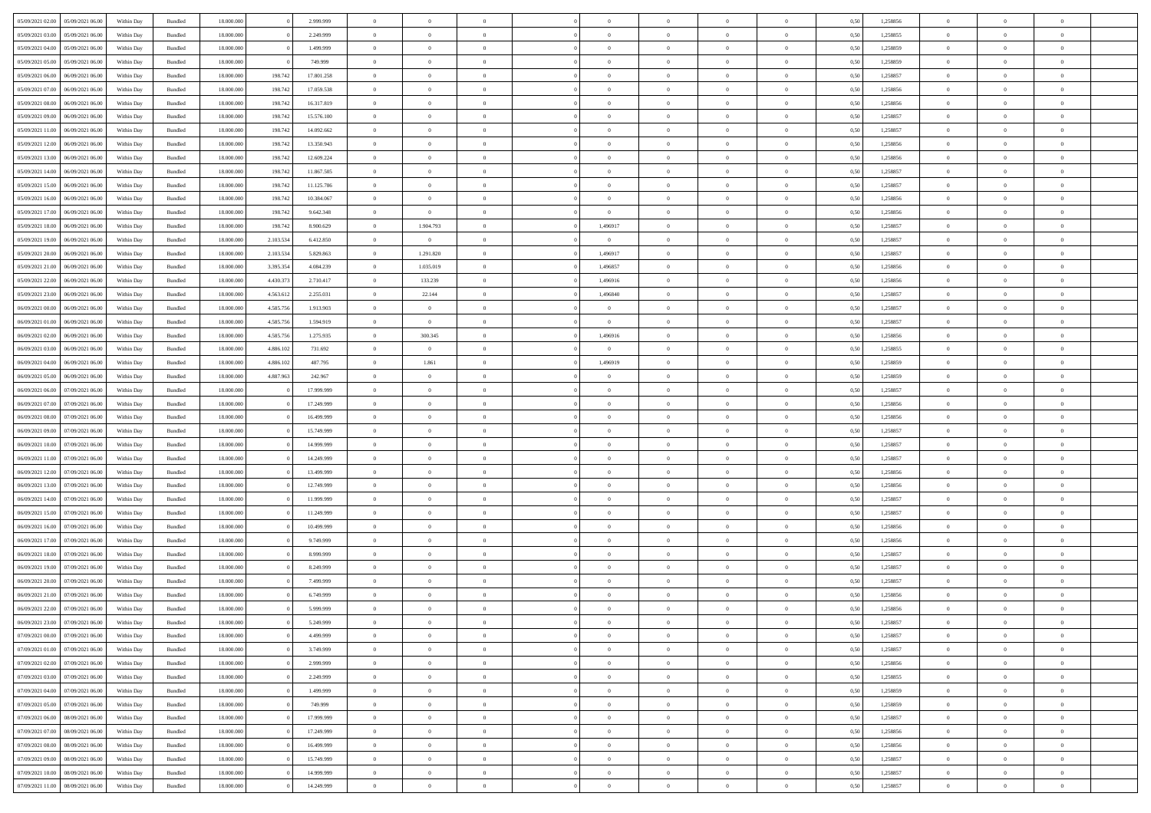| 05/09/2021 02:00 05/09/2021 06:00    | Within Day | Bundled | 18.000.000 |           | 2.999.999  | $\overline{0}$ | $\theta$       | $\Omega$       | $\Omega$       | $\theta$       | $\theta$       | $\theta$       | 0,50 | 1,258856 | $\theta$       | $\Omega$       | $\theta$       |  |
|--------------------------------------|------------|---------|------------|-----------|------------|----------------|----------------|----------------|----------------|----------------|----------------|----------------|------|----------|----------------|----------------|----------------|--|
| 05/09/2021 03:00<br>05/09/2021 06:00 | Within Day | Bundled | 18.000.000 |           | 2.249.999  | $\overline{0}$ | $\overline{0}$ | $\overline{0}$ | $\overline{0}$ | $\theta$       | $\overline{0}$ | $\bf{0}$       | 0,50 | 1,258855 | $\theta$       | $\theta$       | $\overline{0}$ |  |
| 05/09/2021 04:00<br>05/09/2021 06:00 | Within Day | Bundled | 18.000.000 |           | 1.499.999  | $\overline{0}$ | $\bf{0}$       | $\overline{0}$ | $\overline{0}$ | $\overline{0}$ | $\overline{0}$ | $\bf{0}$       | 0,50 | 1,258859 | $\bf{0}$       | $\overline{0}$ | $\overline{0}$ |  |
| 05/09/2021 05:00<br>05/09/2021 06:00 | Within Day | Bundled | 18.000.000 |           | 749,999    | $\overline{0}$ | $\overline{0}$ | $\overline{0}$ | $\overline{0}$ | $\theta$       | $\overline{0}$ | $\overline{0}$ | 0.50 | 1.258859 | $\theta$       | $\theta$       | $\overline{0}$ |  |
| 05/09/2021 06:00<br>06/09/2021 06:00 | Within Day | Bundled | 18.000.000 | 198.742   | 17.801.258 | $\overline{0}$ | $\overline{0}$ | $\overline{0}$ | $\overline{0}$ | $\theta$       | $\overline{0}$ | $\bf{0}$       | 0,50 | 1,258857 | $\theta$       | $\theta$       | $\overline{0}$ |  |
|                                      |            |         |            |           |            |                |                |                |                |                |                |                |      |          |                |                |                |  |
| 05/09/2021 07:00<br>06/09/2021 06:00 | Within Day | Bundled | 18.000.000 | 198.742   | 17.059.538 | $\overline{0}$ | $\bf{0}$       | $\overline{0}$ | $\overline{0}$ | $\overline{0}$ | $\overline{0}$ | $\bf{0}$       | 0,50 | 1,258856 | $\bf{0}$       | $\overline{0}$ | $\bf{0}$       |  |
| 05/09/2021 08:00<br>06/09/2021 06:00 | Within Dav | Bundled | 18.000.000 | 198.742   | 16.317.819 | $\overline{0}$ | $\overline{0}$ | $\overline{0}$ | $\overline{0}$ | $\overline{0}$ | $\overline{0}$ | $\overline{0}$ | 0.5( | 1.258856 | $\theta$       | $\theta$       | $\overline{0}$ |  |
| 05/09/2021 09:00<br>06/09/2021 06:00 | Within Day | Bundled | 18.000.000 | 198.742   | 15.576.100 | $\overline{0}$ | $\theta$       | $\overline{0}$ | $\overline{0}$ | $\theta$       | $\overline{0}$ | $\bf{0}$       | 0,50 | 1,258857 | $\theta$       | $\theta$       | $\overline{0}$ |  |
| 05/09/2021 11:00<br>06/09/2021 06:00 | Within Day | Bundled | 18.000.000 | 198.742   | 14.092.662 | $\overline{0}$ | $\bf{0}$       | $\overline{0}$ | $\overline{0}$ | $\overline{0}$ | $\bf{0}$       | $\bf{0}$       | 0,50 | 1,258857 | $\bf{0}$       | $\bf{0}$       | $\overline{0}$ |  |
| 05/09/2021 12:00<br>06/09/2021 06:00 | Within Day | Bundled | 18.000.000 | 198.742   | 13.350.943 | $\overline{0}$ | $\overline{0}$ | $\overline{0}$ | $\overline{0}$ | $\overline{0}$ | $\overline{0}$ | $\overline{0}$ | 0.5( | 1,258856 | $\theta$       | $\theta$       | $\overline{0}$ |  |
| 05/09/2021 13:00<br>06/09/2021 06:00 | Within Day | Bundled | 18.000.000 | 198.742   | 12.609.224 | $\bf{0}$       | $\overline{0}$ | $\overline{0}$ | $\overline{0}$ | $\theta$       | $\overline{0}$ | $\bf{0}$       | 0,50 | 1,258856 | $\theta$       | $\theta$       | $\overline{0}$ |  |
| 05/09/2021 14:00<br>06/09/2021 06:00 | Within Day | Bundled | 18.000.000 | 198.742   | 11.867.505 | $\overline{0}$ | $\bf{0}$       | $\overline{0}$ | $\overline{0}$ | $\overline{0}$ | $\overline{0}$ | $\bf{0}$       | 0,50 | 1,258857 | $\bf{0}$       | $\overline{0}$ | $\overline{0}$ |  |
| 05/09/2021 15:00<br>06/09/2021 06:00 | Within Day | Bundled | 18.000.000 | 198.742   | 11.125.786 | $\overline{0}$ | $\overline{0}$ | $\overline{0}$ | $\overline{0}$ | $\overline{0}$ | $\overline{0}$ | $\overline{0}$ | 0.5( | 1.258857 | $\theta$       | $\theta$       | $\overline{0}$ |  |
| 05/09/2021 16:00<br>06/09/2021 06:00 | Within Day | Bundled | 18.000.000 | 198.742   | 10.384.067 | $\overline{0}$ | $\overline{0}$ | $\overline{0}$ | $\overline{0}$ | $\theta$       | $\overline{0}$ | $\bf{0}$       | 0,50 | 1,258856 | $\theta$       | $\theta$       | $\overline{0}$ |  |
|                                      |            |         |            |           |            |                |                |                |                |                |                |                |      |          |                |                |                |  |
| 05/09/2021 17:00<br>06/09/2021 06:00 | Within Day | Bundled | 18.000.000 | 198.742   | 9.642.348  | $\overline{0}$ | $\overline{0}$ | $\overline{0}$ | $\overline{0}$ | $\bf{0}$       | $\overline{0}$ | $\bf{0}$       | 0,50 | 1,258856 | $\bf{0}$       | $\overline{0}$ | $\bf{0}$       |  |
| 05/09/2021 18:00<br>06/09/2021 06:00 | Within Day | Bundled | 18.000.000 | 198,742   | 8.900.629  | $\overline{0}$ | 1.904.793      | $\overline{0}$ | 1,496917       | $\theta$       | $\overline{0}$ | $\overline{0}$ | 0.5( | 1,258857 | $\theta$       | $\theta$       | $\overline{0}$ |  |
| 05/09/2021 19:00<br>06/09/2021 06:00 | Within Day | Bundled | 18.000.000 | 2.103.534 | 6.412.850  | $\bf{0}$       | $\overline{0}$ | $\overline{0}$ | $\overline{0}$ | $\theta$       | $\overline{0}$ | $\bf{0}$       | 0,50 | 1,258857 | $\theta$       | $\theta$       | $\overline{0}$ |  |
| 05/09/2021 20:00<br>06/09/2021 06:00 | Within Day | Bundled | 18.000.000 | 2.103.534 | 5.829.863  | $\overline{0}$ | 1.291.820      | $\bf{0}$       | 1,496917       | $\overline{0}$ | $\overline{0}$ | $\bf{0}$       | 0,50 | 1,258857 | $\bf{0}$       | $\overline{0}$ | $\overline{0}$ |  |
| 05/09/2021 21:00<br>06/09/2021 06:00 | Within Day | Bundled | 18.000.000 | 3.395.354 | 4.084.239  | $\overline{0}$ | 1.035.019      | $\overline{0}$ | 1,496857       | $\overline{0}$ | $\overline{0}$ | $\overline{0}$ | 0.5( | 1,258856 | $\theta$       | $\theta$       | $\overline{0}$ |  |
| 05/09/2021 22.00<br>06/09/2021 06:00 | Within Day | Bundled | 18.000.000 | 4.430.373 | 2.710.417  | $\bf{0}$       | 133.239        | $\overline{0}$ | 1,496916       | $\theta$       | $\overline{0}$ | $\bf{0}$       | 0,50 | 1,258856 | $\theta$       | $\theta$       | $\overline{0}$ |  |
| 05/09/2021 23:00<br>06/09/2021 06:00 | Within Day | Bundled | 18.000.000 | 4.563.612 | 2.255.031  | $\overline{0}$ | 22.144         | $\overline{0}$ | 1,496840       | $\overline{0}$ | $\overline{0}$ | $\bf{0}$       | 0,50 | 1,258857 | $\bf{0}$       | $\overline{0}$ | $\overline{0}$ |  |
| 06/09/2021 00:00<br>06/09/2021 06:00 | Within Day | Bundled | 18.000.000 | 4.585.756 | 1.913.903  | $\overline{0}$ | $\overline{0}$ | $\overline{0}$ | $\overline{0}$ | $\overline{0}$ | $\overline{0}$ | $\overline{0}$ | 0.50 | 1.258857 | $\theta$       | $\theta$       | $\overline{0}$ |  |
| 06/09/2021 01:00<br>06/09/2021 06:00 | Within Day | Bundled | 18.000.000 | 4.585.756 | 1.594.919  | $\overline{0}$ | $\theta$       | $\overline{0}$ | $\overline{0}$ | $\theta$       | $\overline{0}$ | $\bf{0}$       | 0,50 | 1,258857 | $\theta$       | $\theta$       | $\overline{0}$ |  |
| 06/09/2021 02:00<br>06/09/2021 06:00 | Within Day | Bundled | 18.000.000 | 4.585.756 | 1.275.935  | $\overline{0}$ | 300.345        | $\overline{0}$ | 1,496916       | $\overline{0}$ | $\overline{0}$ | $\bf{0}$       | 0,50 | 1,258856 | $\bf{0}$       | $\overline{0}$ | $\bf{0}$       |  |
| 06/09/2021 03:00<br>06/09/2021 06:00 | Within Day | Bundled | 18.000.000 | 4.886.102 | 731.692    | $\overline{0}$ | $\overline{0}$ | $\overline{0}$ | $\overline{0}$ | $\overline{0}$ | $\overline{0}$ | $\overline{0}$ | 0.5( | 1.258855 | $\theta$       | $\theta$       | $\overline{0}$ |  |
|                                      |            |         |            |           |            |                |                |                |                |                |                |                |      |          |                |                |                |  |
| 06/09/2021 04:00<br>06/09/2021 06:00 | Within Day | Bundled | 18.000.000 | 4.886.10  | 487.795    | $\overline{0}$ | 1.861          | $\overline{0}$ | 1,496919       | $\theta$       | $\overline{0}$ | $\bf{0}$       | 0,50 | 1,258859 | $\theta$       | $\theta$       | $\overline{0}$ |  |
| 06/09/2021 05:00<br>06/09/2021 06:00 | Within Day | Bundled | 18.000.000 | 4.887.963 | 242.967    | $\overline{0}$ | $\bf{0}$       | $\bf{0}$       | $\overline{0}$ | $\overline{0}$ | $\bf{0}$       | $\bf{0}$       | 0,50 | 1,258859 | $\bf{0}$       | $\bf{0}$       | $\overline{0}$ |  |
| 06/09/2021 06:00<br>07/09/2021 06:00 | Within Day | Bundled | 18.000.000 |           | 17.999.999 | $\overline{0}$ | $\overline{0}$ | $\overline{0}$ | $\overline{0}$ | $\overline{0}$ | $\overline{0}$ | $\overline{0}$ | 0.5( | 1,258857 | $\theta$       | $\theta$       | $\overline{0}$ |  |
| 06/09/2021 07:00<br>07/09/2021 06:00 | Within Day | Bundled | 18.000.000 |           | 17.249.999 | $\bf{0}$       | $\overline{0}$ | $\overline{0}$ | $\overline{0}$ | $\theta$       | $\overline{0}$ | $\bf{0}$       | 0,50 | 1,258856 | $\theta$       | $\theta$       | $\overline{0}$ |  |
| 06/09/2021 08:00<br>07/09/2021 06:00 | Within Day | Bundled | 18.000.000 |           | 16.499.999 | $\overline{0}$ | $\bf{0}$       | $\overline{0}$ | $\overline{0}$ | $\overline{0}$ | $\overline{0}$ | $\bf{0}$       | 0,50 | 1,258856 | $\bf{0}$       | $\overline{0}$ | $\overline{0}$ |  |
| 06/09/2021 09:00<br>07/09/2021 06:00 | Within Day | Bundled | 18,000,000 |           | 15.749.999 | $\overline{0}$ | $\overline{0}$ | $\Omega$       | $\Omega$       | $\Omega$       | $\theta$       | $\overline{0}$ | 0.50 | 1,258857 | $\,$ 0 $\,$    | $\Omega$       | $\theta$       |  |
| 06/09/2021 10:00<br>07/09/2021 06:00 | Within Day | Bundled | 18.000.000 |           | 14.999.999 | $\overline{0}$ | $\overline{0}$ | $\overline{0}$ | $\overline{0}$ | $\theta$       | $\overline{0}$ | $\bf{0}$       | 0,50 | 1,258857 | $\theta$       | $\theta$       | $\overline{0}$ |  |
| 06/09/2021 11:00<br>07/09/2021 06:00 | Within Day | Bundled | 18.000.000 |           | 14.249.999 | $\overline{0}$ | $\bf{0}$       | $\overline{0}$ | $\overline{0}$ | $\bf{0}$       | $\overline{0}$ | $\bf{0}$       | 0,50 | 1,258857 | $\bf{0}$       | $\overline{0}$ | $\bf{0}$       |  |
| 06/09/2021 12:00<br>07/09/2021 06:00 | Within Day | Bundled | 18,000,000 |           | 13.499.999 | $\overline{0}$ | $\Omega$       | $\Omega$       | $\Omega$       | $\overline{0}$ | $\theta$       | $\overline{0}$ | 0.50 | 1,258856 | $\overline{0}$ | $\Omega$       | $\theta$       |  |
| 06/09/2021 13:00<br>07/09/2021 06:00 | Within Day | Bundled | 18.000.000 |           | 12.749.999 | $\bf{0}$       | $\overline{0}$ | $\overline{0}$ | $\overline{0}$ | $\theta$       | $\overline{0}$ | $\bf{0}$       | 0,50 | 1,258856 | $\theta$       | $\theta$       | $\overline{0}$ |  |
|                                      |            |         |            |           |            |                |                |                |                |                | $\overline{0}$ |                |      |          |                |                |                |  |
| 06/09/2021 14:00<br>07/09/2021 06:00 | Within Day | Bundled | 18.000.000 |           | 11.999.999 | $\overline{0}$ | $\bf{0}$       | $\bf{0}$       | $\overline{0}$ | $\overline{0}$ |                | $\bf{0}$       | 0,50 | 1,258857 | $\bf{0}$       | $\bf{0}$       | $\overline{0}$ |  |
| 06/09/2021 15:00<br>07/09/2021 06:00 | Within Day | Bundled | 18,000,000 |           | 11.249.999 | $\overline{0}$ | $\theta$       | $\Omega$       | $\Omega$       | $\Omega$       | $\Omega$       | $\overline{0}$ | 0.50 | 1,258857 | $\theta$       | $\Omega$       | $\theta$       |  |
| 06/09/2021 16:00<br>07/09/2021 06:00 | Within Day | Bundled | 18.000.000 |           | 10.499.999 | $\bf{0}$       | $\overline{0}$ | $\overline{0}$ | $\overline{0}$ | $\theta$       | $\overline{0}$ | $\bf{0}$       | 0,50 | 1,258856 | $\theta$       | $\theta$       | $\overline{0}$ |  |
| 06/09/2021 17:00<br>07/09/2021 06:00 | Within Day | Bundled | 18.000.000 |           | 9.749.999  | $\overline{0}$ | $\bf{0}$       | $\overline{0}$ | $\overline{0}$ | $\overline{0}$ | $\overline{0}$ | $\bf{0}$       | 0,50 | 1,258856 | $\bf{0}$       | $\overline{0}$ | $\overline{0}$ |  |
| 06/09/2021 18:00<br>07/09/2021 06:00 | Within Day | Bundled | 18,000,000 |           | 8.999.999  | $\overline{0}$ | $\overline{0}$ | $\Omega$       | $\Omega$       | $\theta$       | $\theta$       | $\overline{0}$ | 0.50 | 1,258857 | $\,$ 0 $\,$    | $\Omega$       | $\theta$       |  |
| 06/09/2021 19:00<br>07/09/2021 06:00 | Within Day | Bundled | 18.000.000 |           | 8.249.999  | $\bf{0}$       | $\overline{0}$ | $\overline{0}$ | $\overline{0}$ | $\theta$       | $\overline{0}$ | $\bf{0}$       | 0,50 | 1,258857 | $\theta$       | $\theta$       | $\overline{0}$ |  |
| 06/09/2021 20:00<br>07/09/2021 06:00 | Within Day | Bundled | 18.000.000 |           | 7.499.999  | $\overline{0}$ | $\bf{0}$       | $\overline{0}$ | $\overline{0}$ | $\overline{0}$ | $\overline{0}$ | $\bf{0}$       | 0,50 | 1,258857 | $\overline{0}$ | $\overline{0}$ | $\bf{0}$       |  |
| 06/09/2021 21:00<br>07/09/2021 06:00 | Within Day | Bundled | 18,000,000 |           | 6.749.999  | $\overline{0}$ | $\Omega$       | $\Omega$       | $\Omega$       | $\Omega$       | $\theta$       | $\overline{0}$ | 0.50 | 1,258856 | $\theta$       | $\Omega$       | $\theta$       |  |
| 06/09/2021 22:00 07/09/2021 06:00    | Within Day | Bundled | 18.000.000 |           | 5.999.999  | $\overline{0}$ | $\bf{0}$       | $\overline{0}$ | $\overline{0}$ | $\bf{0}$       | $\overline{0}$ | $\bf{0}$       | 0,50 | 1,258856 | $\bf{0}$       | $\bf{0}$       | $\overline{0}$ |  |
| 06/09/2021 23:00 07/09/2021 06:00    | Within Day | Bundled | 18.000.000 |           | 5.249.999  |                |                |                |                |                |                |                | 0,50 | 1,258857 | $\bf{0}$       | $\bf{0}$       |                |  |
| 07/09/2021 00:00 07/09/2021 06:00    | Within Day | Bundled | 18,000,000 |           | 4.499.999  | $\Omega$       | $\overline{0}$ | $\Omega$       | $\theta$       | $\Omega$       | $\theta$       | $\overline{0}$ | 0.50 | 1,258857 | $\theta$       | $\theta$       | $\theta$       |  |
| 07/09/2021 01:00<br>07/09/2021 06:00 | Within Day | Bundled | 18.000.000 |           | 3.749.999  | $\bf{0}$       | $\,$ 0         |                |                | $\overline{0}$ |                | $\bf{0}$       |      | 1,258857 | $\,$ 0 $\,$    | $\,$ 0 $\,$    | $\overline{0}$ |  |
|                                      |            |         |            |           |            |                |                | $\overline{0}$ | $\overline{0}$ |                | $\bf{0}$       |                | 0,50 |          |                |                |                |  |
| 07/09/2021 02:00<br>07/09/2021 06:00 | Within Day | Bundled | 18.000.000 |           | 2.999.999  | $\overline{0}$ | $\overline{0}$ | $\overline{0}$ | $\overline{0}$ | $\overline{0}$ | $\overline{0}$ | $\bf{0}$       | 0,50 | 1,258856 | $\overline{0}$ | $\bf{0}$       | $\overline{0}$ |  |
| 07/09/2021 03:00<br>07/09/2021 06:00 | Within Day | Bundled | 18.000.000 |           | 2.249.999  | $\overline{0}$ | $\overline{0}$ | $\overline{0}$ | $\overline{0}$ | $\overline{0}$ | $\overline{0}$ | $\bf{0}$       | 0,50 | 1,258855 | $\bf{0}$       | $\theta$       | $\overline{0}$ |  |
| 07/09/2021 04:00<br>07/09/2021 06:00 | Within Day | Bundled | 18.000.000 |           | 1.499.999  | $\overline{0}$ | $\overline{0}$ | $\overline{0}$ | $\overline{0}$ | $\overline{0}$ | $\overline{0}$ | $\bf{0}$       | 0,50 | 1,258859 | $\,$ 0 $\,$    | $\,$ 0 $\,$    | $\overline{0}$ |  |
| 07/09/2021 05:00<br>07/09/2021 06:00 | Within Day | Bundled | 18.000.000 |           | 749.999    | $\overline{0}$ | $\overline{0}$ | $\overline{0}$ | $\overline{0}$ | $\mathbf{0}$   | $\overline{0}$ | $\bf{0}$       | 0,50 | 1,258859 | $\overline{0}$ | $\overline{0}$ | $\overline{0}$ |  |
| 07/09/2021 06:00<br>08/09/2021 06:00 | Within Day | Bundled | 18,000,000 |           | 17.999.999 | $\overline{0}$ | $\overline{0}$ | $\overline{0}$ | $\overline{0}$ | $\overline{0}$ | $\overline{0}$ | $\bf{0}$       | 0.50 | 1,258857 | $\overline{0}$ | $\theta$       | $\overline{0}$ |  |
| 07/09/2021 07:00<br>08/09/2021 06:00 | Within Day | Bundled | 18.000.000 |           | 17.249.999 | $\bf{0}$       | $\bf{0}$       | $\overline{0}$ | $\overline{0}$ | $\overline{0}$ | $\overline{0}$ | $\bf{0}$       | 0,50 | 1,258856 | $\,$ 0 $\,$    | $\bf{0}$       | $\overline{0}$ |  |
| 07/09/2021 08:00<br>08/09/2021 06:00 | Within Day | Bundled | 18.000.000 |           | 16.499.999 | $\overline{0}$ | $\bf{0}$       | $\overline{0}$ | $\overline{0}$ | $\overline{0}$ | $\overline{0}$ | $\bf{0}$       | 0,50 | 1,258856 | $\overline{0}$ | $\overline{0}$ | $\bf{0}$       |  |
| 07/09/2021 09:00<br>08/09/2021 06:00 | Within Day | Bundled | 18,000,000 |           | 15.749.999 | $\overline{0}$ | $\overline{0}$ | $\overline{0}$ | $\overline{0}$ | $\overline{0}$ | $\overline{0}$ | $\bf{0}$       | 0.50 | 1,258857 | $\overline{0}$ | $\theta$       | $\overline{0}$ |  |
|                                      |            |         |            |           |            |                |                |                |                |                |                |                |      |          |                |                |                |  |
| 07/09/2021 10:00<br>08/09/2021 06:00 | Within Day | Bundled | 18.000.000 |           | 14.999.999 | $\overline{0}$ | $\bf{0}$       | $\overline{0}$ | $\overline{0}$ | $\overline{0}$ | $\overline{0}$ | $\bf{0}$       | 0,50 | 1,258857 | $\,$ 0 $\,$    | $\,$ 0 $\,$    | $\overline{0}$ |  |
| 07/09/2021 11:00  08/09/2021 06:00   | Within Day | Bundled | 18.000.000 |           | 14.249.999 | $\overline{0}$ | $\bf{0}$       | $\overline{0}$ | $\overline{0}$ | $\bf{0}$       | $\overline{0}$ | $\bf{0}$       | 0,50 | 1,258857 | $\overline{0}$ | $\bf{0}$       | $\overline{0}$ |  |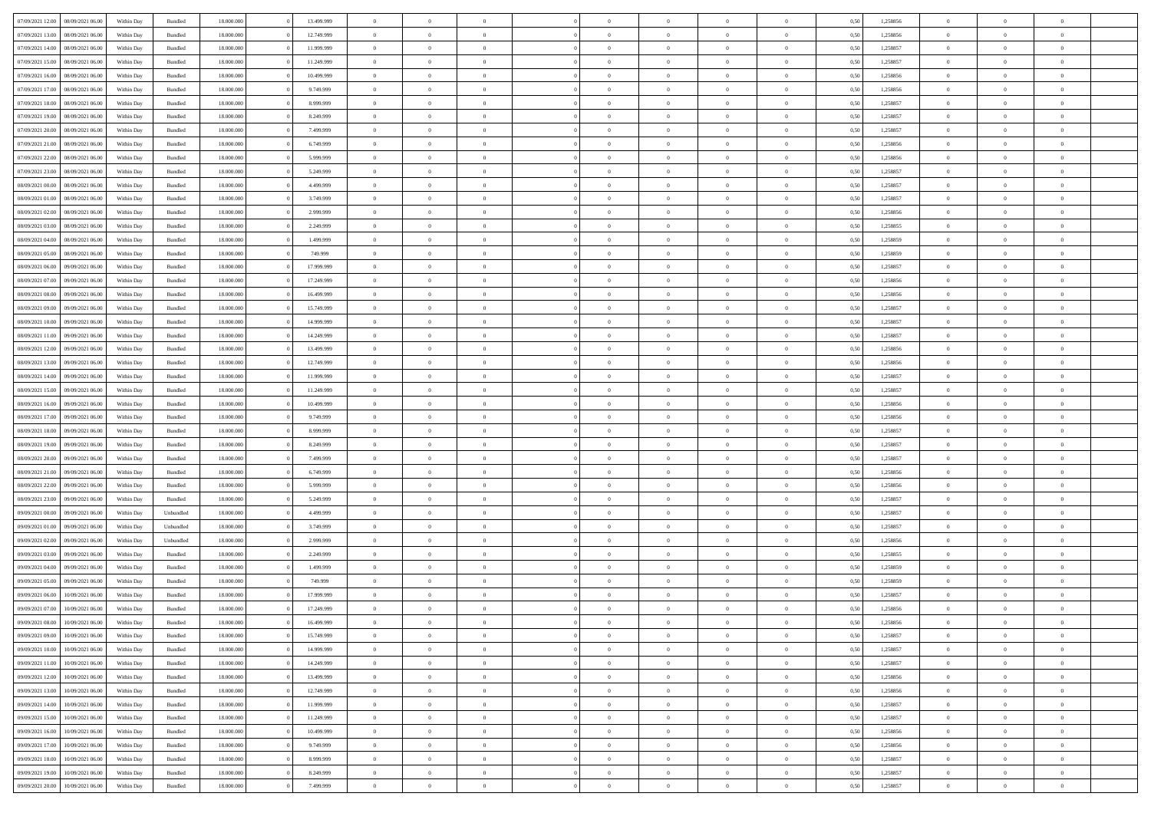| 07/09/2021 12:00                  | 08/09/2021 06:00 | Within Day | Bundled   | 18,000,000 | 13.499.999 | $\overline{0}$ | $\Omega$       |                |                | $\Omega$       | $\Omega$       | $\overline{0}$ | 0,50 | 1,258856 | $\theta$       | $\Omega$       | $\theta$       |  |
|-----------------------------------|------------------|------------|-----------|------------|------------|----------------|----------------|----------------|----------------|----------------|----------------|----------------|------|----------|----------------|----------------|----------------|--|
| 07/09/2021 13:00                  | 08/09/2021 06:00 | Within Dav | Bundled   | 18.000.000 | 12.749.999 | $\overline{0}$ | $\Omega$       |                | $\Omega$       | $\Omega$       | $\Omega$       | $\Omega$       | 0.50 | 1,258856 | $\theta$       | $\Omega$       | $\sqrt{ }$     |  |
| 07/09/2021 14:00                  | 08/09/2021 06:00 | Within Day | Bundled   | 18.000.000 | 11.999.999 | $\overline{0}$ | $\overline{0}$ | $\overline{0}$ | $\overline{0}$ | $\,$ 0 $\,$    | $\overline{0}$ | $\,$ 0 $\,$    | 0,50 | 1,258857 | $\,$ 0 $\,$    | $\overline{0}$ | $\overline{0}$ |  |
|                                   |                  |            |           |            |            | $\overline{0}$ | $\theta$       | $\overline{0}$ | $\overline{0}$ | $\overline{0}$ | $\overline{0}$ |                |      |          |                | $\theta$       | $\overline{0}$ |  |
| 07/09/2021 15:00                  | 08/09/2021 06:00 | Within Day | Bundled   | 18.000.000 | 11.249.999 |                |                |                |                |                |                | $\bf{0}$       | 0,50 | 1,258857 | $\bf{0}$       |                |                |  |
| 07/09/2021 16:00                  | 08/09/2021 06:00 | Within Day | Bundled   | 18.000.000 | 10.499.999 | $\overline{0}$ | $\Omega$       | $^{\circ}$     | $\Omega$       | $\overline{0}$ | $\Omega$       | $\bf{0}$       | 0.50 | 1,258856 | $\theta$       | $\Omega$       | -0             |  |
| 07/09/2021 17:00                  | 08/09/2021 06:00 | Within Day | Bundled   | 18.000.000 | 9.749.999  | $\overline{0}$ | $\overline{0}$ | $\overline{0}$ | $\overline{0}$ | $\,$ 0 $\,$    | $\overline{0}$ | $\,$ 0 $\,$    | 0,50 | 1,258856 | $\theta$       | $\overline{0}$ | $\overline{0}$ |  |
| 07/09/2021 18:00                  | 08/09/2021 06:00 | Within Day | Bundled   | 18.000.000 | 8.999.999  | $\overline{0}$ | $\overline{0}$ | $\overline{0}$ | $\Omega$       | $\overline{0}$ | $\overline{0}$ | $\overline{0}$ | 0.50 | 1,258857 | $\bf{0}$       | $\theta$       | $\overline{0}$ |  |
| 07/09/2021 19:00                  | 08/09/2021 06:00 | Within Day | Bundled   | 18.000.000 | 8.249.999  | $\overline{0}$ | $\Omega$       | $^{\circ}$     | $\Omega$       | $\overline{0}$ | $\Omega$       | $\bf{0}$       | 0.50 | 1,258857 | $\theta$       | $\theta$       | $\sqrt{ }$     |  |
|                                   |                  |            |           |            |            |                |                |                |                |                |                |                |      |          |                |                |                |  |
| 07/09/2021 20:00                  | 08/09/2021 06:00 | Within Day | Bundled   | 18.000.000 | 7.499.999  | $\overline{0}$ | $\overline{0}$ | $\overline{0}$ | $\overline{0}$ | $\overline{0}$ | $\overline{0}$ | $\,$ 0 $\,$    | 0,50 | 1,258857 | $\,$ 0 $\,$    | $\overline{0}$ | $\overline{0}$ |  |
| 07/09/2021 21.00                  | 08/09/2021 06:00 | Within Day | Bundled   | 18,000,000 | 6.749.999  | $\overline{0}$ | $\overline{0}$ | $\overline{0}$ | $\Omega$       | $\overline{0}$ | $\overline{0}$ | $\overline{0}$ | 0,50 | 1,258856 | $\bf{0}$       | $\theta$       | $\overline{0}$ |  |
| 07/09/2021 22.00                  | 08/09/2021 06:00 | Within Dav | Bundled   | 18.000.000 | 5.999.999  | $\overline{0}$ | $\Omega$       | $^{\circ}$     | $\Omega$       | $\overline{0}$ | $\Omega$       | $\bf{0}$       | 0.50 | 1,258856 | $\theta$       | $\Omega$       | $\sqrt{ }$     |  |
| 07/09/2021 23:00                  | 08/09/2021 06:00 | Within Day | Bundled   | 18.000.000 | 5.249.999  | $\overline{0}$ | $\overline{0}$ | $\overline{0}$ | $\overline{0}$ | $\,$ 0 $\,$    | $\overline{0}$ | $\,$ 0 $\,$    | 0,50 | 1,258857 | $\,$ 0 $\,$    | $\overline{0}$ | $\overline{0}$ |  |
| 08/09/2021 00:00                  | 08/09/2021 06:00 | Within Day | Bundled   | 18.000.000 | 4.499.999  | $\overline{0}$ | $\overline{0}$ | $\overline{0}$ | $\overline{0}$ | $\bf{0}$       | $\overline{0}$ | $\bf{0}$       | 0,50 | 1,258857 | $\bf{0}$       | $\overline{0}$ | $\overline{0}$ |  |
|                                   |                  |            |           |            |            |                |                |                |                |                |                |                |      |          |                |                |                |  |
| 08/09/2021 01:00                  | 08/09/2021 06:00 | Within Day | Bundled   | 18.000.000 | 3.749.999  | $\overline{0}$ | $\Omega$       | $^{\circ}$     | $\Omega$       | $\overline{0}$ | $\Omega$       | $\bf{0}$       | 0.50 | 1,258857 | $\theta$       | $\theta$       | $\sqrt{ }$     |  |
| 08/09/2021 02:00                  | 08/09/2021 06:00 | Within Day | Bundled   | 18.000.000 | 2.999.999  | $\overline{0}$ | $\theta$       | $\overline{0}$ | $\overline{0}$ | $\bf{0}$       | $\overline{0}$ | $\,$ 0 $\,$    | 0,50 | 1,258856 | $\theta$       | $\overline{0}$ | $\overline{0}$ |  |
| 08/09/2021 03:00                  | 08/09/2021 06:00 | Within Day | Bundled   | 18.000.000 | 2.249.999  | $\overline{0}$ | $\overline{0}$ | $\overline{0}$ | $\Omega$       | $\overline{0}$ | $\overline{0}$ | $\overline{0}$ | 0,50 | 1,258855 | $\theta$       | $\overline{0}$ | $\theta$       |  |
| 08/09/2021 04:00                  | 08/09/2021 06:00 | Within Day | Bundled   | 18.000.000 | 1.499.999  | $\overline{0}$ | $\Omega$       | $\Omega$       | $\Omega$       | $\overline{0}$ | $\Omega$       | $\bf{0}$       | 0.50 | 1,258859 | $\theta$       | $\Omega$       | -0             |  |
| 08/09/2021 05:00                  | 08/09/2021 06:00 | Within Day | Bundled   | 18.000.000 | 749.999    | $\overline{0}$ | $\overline{0}$ | $\overline{0}$ | $\overline{0}$ | $\,$ 0 $\,$    | $\overline{0}$ | $\,$ 0 $\,$    | 0,50 | 1,258859 | $\,$ 0 $\,$    | $\overline{0}$ | $\overline{0}$ |  |
| 08/09/2021 06:00                  | 09/09/2021 06:00 | Within Day | Bundled   | 18,000,000 | 17.999.999 | $\overline{0}$ | $\overline{0}$ | $\overline{0}$ | $\Omega$       | $\overline{0}$ | $\overline{0}$ | $\bf{0}$       | 0.50 | 1,258857 | $\bf{0}$       | $\theta$       | $\overline{0}$ |  |
|                                   |                  |            |           |            |            |                |                |                |                |                |                |                |      |          |                |                |                |  |
| 08/09/2021 07:00                  | 09/09/2021 06:00 | Within Dav | Bundled   | 18.000.000 | 17.249.999 | $\overline{0}$ | $\Omega$       | $^{\circ}$     | $\Omega$       | $\bf{0}$       | $\Omega$       | $\bf{0}$       | 0.50 | 1,258856 | $\theta$       | $\theta$       | $\sqrt{ }$     |  |
| 08/09/2021 08:00                  | 09/09/2021 06:00 | Within Day | Bundled   | 18.000.000 | 16.499.999 | $\overline{0}$ | $\theta$       | $\overline{0}$ | $\overline{0}$ | $\,$ 0 $\,$    | $\overline{0}$ | $\,$ 0 $\,$    | 0,50 | 1,258856 | $\,$ 0 $\,$    | $\overline{0}$ | $\overline{0}$ |  |
| 08/09/2021 09:00                  | 09/09/2021 06:00 | Within Day | Bundled   | 18.000.000 | 15.749.999 | $\overline{0}$ | $\overline{0}$ | $\overline{0}$ | $\overline{0}$ | $\bf{0}$       | $\overline{0}$ | $\bf{0}$       | 0,50 | 1,258857 | $\bf{0}$       | $\overline{0}$ | $\overline{0}$ |  |
| 08/09/2021 10:00                  | 09/09/2021 06:00 | Within Day | Bundled   | 18.000.000 | 14.999.999 | $\overline{0}$ | $\Omega$       | $^{\circ}$     | $\Omega$       | $\bf{0}$       | $\Omega$       | $\bf{0}$       | 0.50 | 1,258857 | $\theta$       | $\theta$       | $\sqrt{ }$     |  |
| 08/09/2021 11:00                  | 09/09/2021 06:00 | Within Day | Bundled   | 18.000.000 | 14.249.999 | $\overline{0}$ | $\theta$       | $\overline{0}$ | $\overline{0}$ | $\,$ 0 $\,$    | $\overline{0}$ | $\,$ 0 $\,$    | 0,50 | 1,258857 | $\,$ 0 $\,$    | $\overline{0}$ | $\overline{0}$ |  |
| 08/09/2021 12:00                  | 09/09/2021 06:00 | Within Day | Bundled   | 18.000.000 | 13.499.999 | $\overline{0}$ | $\overline{0}$ | $\overline{0}$ | $\Omega$       | $\overline{0}$ | $\overline{0}$ | $\overline{0}$ | 0.50 | 1,258856 | $\bf{0}$       | $\theta$       | $\overline{0}$ |  |
|                                   |                  |            |           |            |            |                |                |                |                |                |                |                |      |          |                |                |                |  |
| 08/09/2021 13:00                  | 09/09/2021 06:00 | Within Day | Bundled   | 18.000.000 | 12.749.999 | $\overline{0}$ | $\Omega$       | $^{\circ}$     | $\Omega$       | $\bf{0}$       | $\Omega$       | $\bf{0}$       | 0.50 | 1,258856 | $\theta$       | $\theta$       | $\sqrt{ }$     |  |
| 08/09/2021 14:00                  | 09/09/2021 06:00 | Within Day | Bundled   | 18.000.000 | 11.999.999 | $\overline{0}$ | $\overline{0}$ | $\overline{0}$ | $\overline{0}$ | $\overline{0}$ | $\overline{0}$ | $\,$ 0 $\,$    | 0,50 | 1,258857 | $\,$ 0 $\,$    | $\overline{0}$ | $\overline{0}$ |  |
| 08/09/2021 15:00                  | 09/09/2021 06:00 | Within Day | Bundled   | 18,000,000 | 11.249.999 | $\overline{0}$ | $\overline{0}$ | $\overline{0}$ | $\Omega$       | $\overline{0}$ | $\overline{0}$ | $\bf{0}$       | 0.50 | 1,258857 | $\theta$       | $\theta$       | $\overline{0}$ |  |
| 08/09/2021 16:00                  | 09/09/2021 06:00 | Within Dav | Bundled   | 18.000.000 | 10.499.999 | $\overline{0}$ | $\Omega$       | $^{\circ}$     | $\Omega$       | $\overline{0}$ | $\Omega$       | $\bf{0}$       | 0.50 | 1,258856 | $\theta$       | $\Omega$       | -0             |  |
| 08/09/2021 17:00                  | 09/09/2021 06:00 | Within Day | Bundled   | 18.000.000 | 9.749.999  | $\overline{0}$ | $\overline{0}$ | $\overline{0}$ | $\overline{0}$ | $\,$ 0 $\,$    | $\overline{0}$ | $\,$ 0 $\,$    | 0,50 | 1,258856 | $\,$ 0 $\,$    | $\overline{0}$ | $\overline{0}$ |  |
| 08/09/2021 18:00                  | 09/09/2021 06.00 | Within Day | Bundled   | 18.000.000 | 8.999.999  | $\bf{0}$       | $\overline{0}$ | $\overline{0}$ | $\bf{0}$       | $\,$ 0         | $\bf{0}$       | $\bf{0}$       | 0,50 | 1,258857 | $\,$ 0 $\,$    | $\overline{0}$ | $\overline{0}$ |  |
|                                   |                  |            |           |            |            |                |                |                |                |                |                |                |      |          |                |                |                |  |
| 08/09/2021 19:00                  | 09/09/2021 06:00 | Within Day | Bundled   | 18.000.000 | 8.249.999  | $\overline{0}$ | $\theta$       | $^{\circ}$     | $\Omega$       | $\overline{0}$ | $\Omega$       | $\bf{0}$       | 0.50 | 1,258857 | $\theta$       | $\theta$       | $\sqrt{ }$     |  |
| 08/09/2021 20:00                  | 09/09/2021 06:00 | Within Day | Bundled   | 18.000.000 | 7.499.999  | $\overline{0}$ | $\theta$       | $\overline{0}$ | $\overline{0}$ | $\overline{0}$ | $\overline{0}$ | $\,$ 0 $\,$    | 0,50 | 1,258857 | $\theta$       | $\overline{0}$ | $\overline{0}$ |  |
| 08/09/2021 21:00                  | 09/09/2021 06.00 | Within Day | Bundled   | 18.000.000 | 6.749.999  | $\overline{0}$ | $\theta$       | $\overline{0}$ | $\overline{0}$ | $\,$ 0         | $\bf{0}$       | $\bf{0}$       | 0,50 | 1,258856 | $\,$ 0 $\,$    | $\overline{0}$ | $\overline{0}$ |  |
| 08/09/2021 22:00                  | 09/09/2021 06:00 | Within Day | Bundled   | 18.000.000 | 5.999.999  | $\overline{0}$ | $\Omega$       |                | $\Omega$       | $\overline{0}$ | $\Omega$       | $\bf{0}$       | 0.50 | 1,258856 | $\theta$       | $\Omega$       | -0             |  |
| 08/09/2021 23:00                  | 09/09/2021 06:00 | Within Day | Bundled   | 18.000.000 | 5.249.999  | $\overline{0}$ | $\overline{0}$ | $\overline{0}$ | $\overline{0}$ | $\,$ 0 $\,$    | $\overline{0}$ | $\,$ 0 $\,$    | 0,50 | 1,258857 | $\,$ 0 $\,$    | $\overline{0}$ | $\overline{0}$ |  |
| 09/09/2021 00:00                  | 09/09/2021 06.00 | Within Day | Unbundled | 18.000.000 | 4.499.999  | $\bf{0}$       | $\,$ 0 $\,$    | $\overline{0}$ | $\bf{0}$       | $\bf{0}$       | $\bf{0}$       | $\bf{0}$       | 0,50 | 1,258857 | $\,$ 0 $\,$    | $\overline{0}$ | $\overline{0}$ |  |
|                                   |                  |            |           |            |            |                |                |                |                |                |                |                |      |          |                |                |                |  |
| 09/09/2021 01:00                  | 09/09/2021 06:00 | Within Day | Unbundled | 18.000.000 | 3.749.999  | $\overline{0}$ | $\Omega$       | $^{\circ}$     | $\Omega$       | $\overline{0}$ | $\Omega$       | $\bf{0}$       | 0.50 | 1,258857 | $\theta$       | $\theta$       | -0             |  |
| 09/09/2021 02:00                  | 09/09/2021 06:00 | Within Day | Unbundled | 18.000.000 | 2.999.999  | $\overline{0}$ | $\overline{0}$ | $\overline{0}$ | $\overline{0}$ | $\,$ 0 $\,$    | $\overline{0}$ | $\,$ 0 $\,$    | 0,50 | 1,258856 | $\,$ 0 $\,$    | $\overline{0}$ | $\overline{0}$ |  |
| 09/09/2021 03:00                  | 09/09/2021 06.00 | Within Day | Bundled   | 18.000.000 | 2.249.999  | $\bf{0}$       | $\,$ 0 $\,$    | $\overline{0}$ | $\bf{0}$       | $\,$ 0         | $\bf{0}$       | $\bf{0}$       | 0,50 | 1,258855 | $\,$ 0 $\,$    | $\overline{0}$ | $\overline{0}$ |  |
| 09/09/2021 04:00                  | 09/09/2021 06:00 | Within Day | Bundled   | 18.000.000 | 1.499.999  | $\overline{0}$ | $\Omega$       | $^{\circ}$     | $\Omega$       | $\bf{0}$       | $\Omega$       | $\bf{0}$       | 0.50 | 1,258859 | $\theta$       | $\theta$       | -0             |  |
| 09/09/2021 05:00                  | 09/09/2021 06:00 | Within Day | Bundled   | 18.000.000 | 749.999    | $\overline{0}$ | $\theta$       | $\overline{0}$ | $\overline{0}$ | $\bf{0}$       | $\overline{0}$ | $\,$ 0 $\,$    | 0,50 | 1,258859 | $\,$ 0 $\,$    | $\overline{0}$ | $\overline{0}$ |  |
| 09/09/2021 06:00                  | 10/09/2021 06.00 | Within Day | Bundled   | 18.000.000 | 17.999.999 | $\overline{0}$ | $\theta$       | $\overline{0}$ | $\overline{0}$ | $\overline{0}$ | $\overline{0}$ | $\bf{0}$       | 0,50 | 1,258857 | $\,$ 0 $\,$    | $\theta$       | $\overline{0}$ |  |
| 09/09/2021 07:00                  | 10/09/2021 06:00 | Within Day | Bundled   | 18.000.000 | 17.249.999 | $\overline{0}$ | $\overline{0}$ | $\Omega$       | $\overline{0}$ | $\bf{0}$       | $\overline{0}$ | $\overline{0}$ | 0,50 | 1,258856 | $\theta$       | $\theta$       | $\overline{0}$ |  |
|                                   |                  |            |           |            |            |                |                |                |                |                |                |                |      |          |                |                |                |  |
| 09/09/2021 08:00 10/09/2021 06:00 |                  | Within Day | Bundled   | 18.000.000 | 16.499.999 | $\overline{0}$ | $\theta$       |                |                |                |                |                | 0,50 | 1,258856 | $\theta$       | $\theta$       |                |  |
| 09/09/2021 09:00                  | 10/09/2021 06:00 | Within Day | Bundled   | 18.000.000 | 15.749.999 | $\bf{0}$       | $\overline{0}$ | $\bf{0}$       | $\bf{0}$       | $\bf{0}$       | $\bf{0}$       | $\bf{0}$       | 0,50 | 1,258857 | $\,$ 0 $\,$    | $\overline{0}$ | $\bf{0}$       |  |
| 09/09/2021 10:00                  | 10/09/2021 06:00 | Within Day | Bundled   | 18.000.000 | 14.999.999 | $\overline{0}$ | $\theta$       | $\overline{0}$ | $\overline{0}$ | $\bf{0}$       | $\overline{0}$ | $\overline{0}$ | 0,50 | 1,258857 | $\theta$       | $\overline{0}$ | $\overline{0}$ |  |
| 09/09/2021 11:00                  | 10/09/2021 06:00 | Within Day | Bundled   | 18.000.000 | 14.249.999 | $\overline{0}$ | $\bf{0}$       | $\overline{0}$ | $\overline{0}$ | $\bf{0}$       | $\overline{0}$ | $\,$ 0 $\,$    | 0,50 | 1,258857 | $\overline{0}$ | $\,$ 0 $\,$    | $\,$ 0 $\,$    |  |
| 09/09/2021 12:00                  | 10/09/2021 06:00 | Within Day | Bundled   | 18.000.000 | 13.499.999 | $\overline{0}$ | $\overline{0}$ | $\overline{0}$ | $\bf{0}$       | $\bf{0}$       | $\bf{0}$       | $\bf{0}$       | 0,50 | 1,258856 | $\bf{0}$       | $\overline{0}$ | $\overline{0}$ |  |
| 09/09/2021 13:00                  | 10/09/2021 06:00 | Within Day | Bundled   | 18.000.000 | 12.749.999 | $\overline{0}$ | $\overline{0}$ | $\overline{0}$ | $\overline{0}$ | $\overline{0}$ | $\overline{0}$ | $\overline{0}$ | 0,50 | 1,258856 | $\theta$       | $\overline{0}$ | $\overline{0}$ |  |
|                                   |                  |            |           |            |            | $\overline{0}$ | $\bf{0}$       |                | $\overline{0}$ |                | $\overline{0}$ |                |      |          | $\,$ 0 $\,$    | $\,$ 0 $\,$    | $\,$ 0         |  |
| 09/09/2021 14:00                  | 10/09/2021 06:00 | Within Day | Bundled   | 18.000.000 | 11.999.999 |                |                | $\overline{0}$ |                | $\bf{0}$       |                | $\,$ 0 $\,$    | 0,50 | 1,258857 |                |                |                |  |
| 09/09/2021 15:00                  | 10/09/2021 06:00 | Within Day | Bundled   | 18.000.000 | 11.249.999 | $\overline{0}$ | $\overline{0}$ | $\overline{0}$ | $\bf{0}$       | $\bf{0}$       | $\bf{0}$       | $\bf{0}$       | 0,50 | 1,258857 | $\bf{0}$       | $\overline{0}$ | $\overline{0}$ |  |
| 09/09/2021 16:00                  | 10/09/2021 06:00 | Within Day | Bundled   | 18.000.000 | 10.499.999 | $\overline{0}$ | $\overline{0}$ | $\overline{0}$ | $\overline{0}$ | $\overline{0}$ | $\overline{0}$ | $\overline{0}$ | 0,50 | 1,258856 | $\theta$       | $\overline{0}$ | $\overline{0}$ |  |
| 09/09/2021 17:00                  | 10/09/2021 06:00 | Within Day | Bundled   | 18.000.000 | 9.749.999  | $\overline{0}$ | $\,$ 0         | $\overline{0}$ | $\overline{0}$ | $\,$ 0 $\,$    | $\overline{0}$ | $\,$ 0 $\,$    | 0,50 | 1,258856 | $\overline{0}$ | $\,$ 0 $\,$    | $\,$ 0         |  |
| 09/09/2021 18:00                  | 10/09/2021 06:00 | Within Day | Bundled   | 18.000.000 | 8.999.999  | $\overline{0}$ | $\overline{0}$ | $\overline{0}$ | $\bf{0}$       | $\bf{0}$       | $\overline{0}$ | $\bf{0}$       | 0,50 | 1,258857 | $\bf{0}$       | $\overline{0}$ | $\overline{0}$ |  |
| 09/09/2021 19:00                  | 10/09/2021 06:00 | Within Day | Bundled   | 18.000.000 | 8.249.999  | $\overline{0}$ | $\theta$       | $\overline{0}$ | $\overline{0}$ | $\bf{0}$       | $\overline{0}$ | $\overline{0}$ | 0.50 | 1,258857 | $\overline{0}$ | $\overline{0}$ | $\overline{0}$ |  |
|                                   |                  |            |           |            |            |                |                |                | $\overline{0}$ |                |                |                |      |          |                |                |                |  |
| 09/09/2021 20:00                  | 10/09/2021 06:00 | Within Day | Bundled   | 18.000.000 | 7.499.999  | $\mathbf{0}$   | $\bf{0}$       | $\overline{0}$ |                | $\,$ 0 $\,$    | $\overline{0}$ | $\,$ 0 $\,$    | 0,50 | 1,258857 | $\mathbf{0}$   | $\,$ 0 $\,$    | $\,$ 0 $\,$    |  |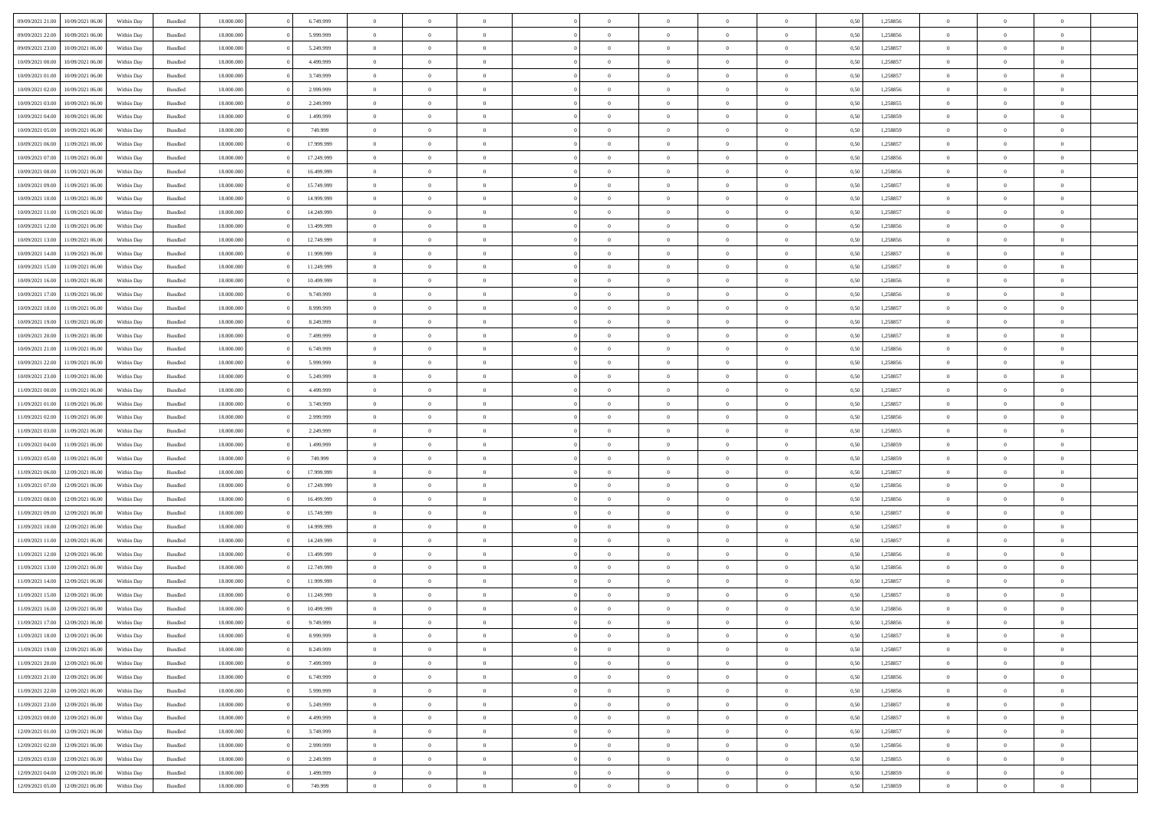|                  |                  |            |                    |            |            | $\Omega$       |                |                |                |                |                |                |      |          |                |                |                |  |
|------------------|------------------|------------|--------------------|------------|------------|----------------|----------------|----------------|----------------|----------------|----------------|----------------|------|----------|----------------|----------------|----------------|--|
| 09/09/2021 21:00 | 10/09/2021 06:00 | Within Dav | Bundled            | 18.000.000 | 6.749.999  |                | $\Omega$       |                | $\Omega$       | $\Omega$       | $\Omega$       | $\theta$       | 0.50 | 1,258856 | $\theta$       | $\theta$       | $\theta$       |  |
| 09/09/2021 22.00 | 10/09/2021 06:00 | Within Day | Bundled            | 18.000.000 | 5.999.999  | $\overline{0}$ | $\theta$       | $\overline{0}$ | $\overline{0}$ | $\bf{0}$       | $\overline{0}$ | $\overline{0}$ | 0,50 | 1,258856 | $\theta$       | $\theta$       | $\overline{0}$ |  |
| 09/09/2021 23.00 | 10/09/2021 06:00 | Within Day | Bundled            | 18.000.000 | 5.249.999  | $\overline{0}$ | $\overline{0}$ | $\overline{0}$ | $\bf{0}$       | $\bf{0}$       | $\overline{0}$ | $\bf{0}$       | 0,50 | 1,258857 | $\bf{0}$       | $\overline{0}$ | $\overline{0}$ |  |
| 10/09/2021 00:00 | 10/09/2021 06:00 | Within Dav | Bundled            | 18.000.000 | 4.499.999  | $\overline{0}$ | $\theta$       | $\overline{0}$ | $\overline{0}$ | $\bf{0}$       | $\overline{0}$ | $\overline{0}$ | 0.50 | 1.258857 | $\theta$       | $\theta$       | $\overline{0}$ |  |
| 10/09/2021 01:00 | 10/09/2021 06:00 | Within Day | Bundled            | 18.000.000 | 3.749.999  | $\overline{0}$ | $\theta$       | $\overline{0}$ | $\overline{0}$ | $\bf{0}$       | $\overline{0}$ | $\bf{0}$       | 0,50 | 1,258857 | $\theta$       | $\theta$       | $\overline{0}$ |  |
|                  |                  |            |                    |            |            |                |                |                |                |                |                |                |      |          |                |                |                |  |
| 10/09/2021 02:00 | 10/09/2021 06:00 | Within Day | Bundled            | 18.000.000 | 2.999.999  | $\overline{0}$ | $\bf{0}$       | $\overline{0}$ | $\overline{0}$ | $\overline{0}$ | $\overline{0}$ | $\mathbf{0}$   | 0,50 | 1,258856 | $\bf{0}$       | $\overline{0}$ | $\bf{0}$       |  |
| 10/09/2021 03:00 | 10/09/2021 06:00 | Within Dav | Bundled            | 18.000.000 | 2.249.999  | $\overline{0}$ | $\overline{0}$ | $\overline{0}$ | $\overline{0}$ | $\bf{0}$       | $\overline{0}$ | $\overline{0}$ | 0.50 | 1,258855 | $\theta$       | $\theta$       | $\overline{0}$ |  |
| 10/09/2021 04:00 | 10/09/2021 06:00 | Within Day | Bundled            | 18.000.000 | 1.499.999  | $\overline{0}$ | $\theta$       | $\overline{0}$ | $\overline{0}$ | $\bf{0}$       | $\overline{0}$ | $\bf{0}$       | 0,50 | 1,258859 | $\theta$       | $\theta$       | $\overline{0}$ |  |
| 10/09/2021 05:00 | 10/09/2021 06:00 | Within Day | Bundled            | 18.000.000 | 749.999    | $\overline{0}$ | $\overline{0}$ | $\overline{0}$ | $\overline{0}$ | $\bf{0}$       | $\overline{0}$ | $\bf{0}$       | 0,50 | 1,258859 | $\,0\,$        | $\overline{0}$ | $\overline{0}$ |  |
| 10/09/2021 06:00 | 11/09/2021 06:00 | Within Dav | Bundled            | 18.000.000 | 17.999.999 | $\overline{0}$ | $\overline{0}$ | $\overline{0}$ | $\overline{0}$ | $\overline{0}$ | $\overline{0}$ | $\overline{0}$ | 0.50 | 1,258857 | $\theta$       | $\overline{0}$ | $\overline{0}$ |  |
| 10/09/2021 07:00 | 11/09/2021 06:00 | Within Day | Bundled            | 18.000.000 | 17.249.999 | $\overline{0}$ | $\theta$       | $\overline{0}$ | $\overline{0}$ | $\bf{0}$       | $\overline{0}$ | $\bf{0}$       | 0,50 | 1,258856 | $\theta$       | $\theta$       | $\overline{0}$ |  |
| 10/09/2021 08:00 | 11/09/2021 06:00 | Within Day | Bundled            | 18.000.000 | 16.499.999 | $\overline{0}$ | $\overline{0}$ | $\overline{0}$ | $\overline{0}$ | $\bf{0}$       | $\overline{0}$ | $\bf{0}$       | 0,50 | 1,258856 | $\bf{0}$       | $\overline{0}$ | $\overline{0}$ |  |
|                  |                  |            |                    |            |            |                |                |                |                |                |                |                |      |          |                |                |                |  |
| 10/09/2021 09:00 | 11/09/2021 06:00 | Within Day | Bundled            | 18.000.000 | 15.749.999 | $\overline{0}$ | $\theta$       | $\overline{0}$ | $\overline{0}$ | $\bf{0}$       | $\overline{0}$ | $\overline{0}$ | 0.50 | 1.258857 | $\theta$       | $\theta$       | $\overline{0}$ |  |
| 10/09/2021 10:00 | 11/09/2021 06:00 | Within Day | Bundled            | 18.000.000 | 14.999.999 | $\overline{0}$ | $\theta$       | $\overline{0}$ | $\overline{0}$ | $\bf{0}$       | $\overline{0}$ | $\overline{0}$ | 0,50 | 1,258857 | $\theta$       | $\theta$       | $\overline{0}$ |  |
| 10/09/2021 11:00 | 11/09/2021 06:00 | Within Day | Bundled            | 18.000.000 | 14.249.999 | $\overline{0}$ | $\overline{0}$ | $\overline{0}$ | $\overline{0}$ | $\overline{0}$ | $\overline{0}$ | $\mathbf{0}$   | 0,50 | 1,258857 | $\bf{0}$       | $\overline{0}$ | $\bf{0}$       |  |
| 10/09/2021 12:00 | 11/09/2021 06:00 | Within Dav | Bundled            | 18.000.000 | 13.499.999 | $\overline{0}$ | $\overline{0}$ | $\overline{0}$ | $\overline{0}$ | $\bf{0}$       | $\overline{0}$ | $\overline{0}$ | 0.50 | 1,258856 | $\theta$       | $\overline{0}$ | $\overline{0}$ |  |
| 10/09/2021 13:00 | 11/09/2021 06:00 | Within Day | Bundled            | 18.000.000 | 12.749.999 | $\overline{0}$ | $\theta$       | $\overline{0}$ | $\overline{0}$ | $\bf{0}$       | $\overline{0}$ | $\bf{0}$       | 0,50 | 1,258856 | $\theta$       | $\theta$       | $\overline{0}$ |  |
| 10/09/2021 14:00 | 11/09/2021 06:00 | Within Day | Bundled            | 18.000.000 | 11.999.999 | $\overline{0}$ | $\overline{0}$ | $\overline{0}$ | $\overline{0}$ | $\bf{0}$       | $\overline{0}$ | $\bf{0}$       | 0,50 | 1,258857 | $\,0\,$        | $\overline{0}$ | $\overline{0}$ |  |
| 10/09/2021 15:00 | 11/09/2021 06:00 | Within Dav | Bundled            | 18.000.000 | 11.249.999 | $\overline{0}$ | $\overline{0}$ | $\overline{0}$ | $\overline{0}$ | $\overline{0}$ | $\overline{0}$ | $\overline{0}$ | 0.50 | 1,258857 | $\theta$       | $\overline{0}$ | $\overline{0}$ |  |
|                  |                  |            |                    |            |            |                |                |                |                |                |                |                |      |          |                |                |                |  |
| 10/09/2021 16:00 | 11/09/2021 06:00 | Within Day | Bundled            | 18.000.000 | 10.499.999 | $\overline{0}$ | $\theta$       | $\overline{0}$ | $\overline{0}$ | $\bf{0}$       | $\overline{0}$ | $\bf{0}$       | 0,50 | 1,258856 | $\theta$       | $\theta$       | $\overline{0}$ |  |
| 10/09/2021 17:00 | 11/09/2021 06:00 | Within Day | Bundled            | 18.000.000 | 9.749.999  | $\overline{0}$ | $\overline{0}$ | $\overline{0}$ | $\overline{0}$ | $\bf{0}$       | $\overline{0}$ | $\bf{0}$       | 0,50 | 1,258856 | $\,0\,$        | $\overline{0}$ | $\overline{0}$ |  |
| 10/09/2021 18:00 | 11/09/2021 06:00 | Within Day | Bundled            | 18.000.000 | 8.999.999  | $\overline{0}$ | $\overline{0}$ | $\overline{0}$ | $\overline{0}$ | $\bf{0}$       | $\overline{0}$ | $\overline{0}$ | 0.50 | 1.258857 | $\theta$       | $\theta$       | $\overline{0}$ |  |
| 10/09/2021 19:00 | 11/09/2021 06:00 | Within Day | Bundled            | 18.000.000 | 8.249.999  | $\overline{0}$ | $\theta$       | $\overline{0}$ | $\overline{0}$ | $\bf{0}$       | $\overline{0}$ | $\bf{0}$       | 0,50 | 1,258857 | $\theta$       | $\theta$       | $\overline{0}$ |  |
| 10/09/2021 20:00 | 11/09/2021 06:00 | Within Day | Bundled            | 18.000.000 | 7.499.999  | $\overline{0}$ | $\overline{0}$ | $\overline{0}$ | $\bf{0}$       | $\overline{0}$ | $\bf{0}$       | $\mathbf{0}$   | 0,50 | 1,258857 | $\overline{0}$ | $\overline{0}$ | $\bf{0}$       |  |
| 10/09/2021 21:00 | 11/09/2021 06:00 | Within Dav | Bundled            | 18.000.000 | 6.749.999  | $\overline{0}$ | $\overline{0}$ | $\overline{0}$ | $\overline{0}$ | $\overline{0}$ | $\overline{0}$ | $\overline{0}$ | 0.50 | 1.258856 | $\theta$       | $\theta$       | $\overline{0}$ |  |
| 10/09/2021 22:00 | 11/09/2021 06:00 | Within Day | Bundled            | 18.000.000 | 5.999.999  | $\overline{0}$ | $\theta$       | $\overline{0}$ | $\overline{0}$ | $\bf{0}$       | $\overline{0}$ | $\bf{0}$       | 0,50 | 1,258856 | $\theta$       | $\theta$       | $\overline{0}$ |  |
| 10/09/2021 23:00 | 11/09/2021 06:00 | Within Day | Bundled            | 18.000.000 | 5.249.999  | $\overline{0}$ | $\overline{0}$ | $\overline{0}$ | $\bf{0}$       | $\bf{0}$       | $\bf{0}$       | $\bf{0}$       | 0,50 | 1,258857 | $\,0\,$        | $\overline{0}$ | $\overline{0}$ |  |
|                  |                  |            |                    |            |            |                |                |                |                |                |                |                |      |          |                |                |                |  |
| 11/09/2021 00:00 | 11/09/2021 06:00 | Within Day | Bundled            | 18,000,000 | 4.499.999  | $\overline{0}$ | $\overline{0}$ | $\overline{0}$ | $\overline{0}$ | $\overline{0}$ | $\overline{0}$ | $\overline{0}$ | 0.50 | 1,258857 | $\theta$       | $\theta$       | $\overline{0}$ |  |
| 11/09/2021 01:00 | 11/09/2021 06:00 | Within Day | Bundled            | 18.000.000 | 3.749.999  | $\overline{0}$ | $\theta$       | $\overline{0}$ | $\overline{0}$ | $\bf{0}$       | $\overline{0}$ | $\bf{0}$       | 0,50 | 1,258857 | $\,$ 0 $\,$    | $\theta$       | $\overline{0}$ |  |
| 11/09/2021 02:00 | 11/09/2021 06:00 | Within Day | Bundled            | 18.000.000 | 2.999.999  | $\overline{0}$ | $\overline{0}$ | $\overline{0}$ | $\bf{0}$       | $\bf{0}$       | $\bf{0}$       | $\bf{0}$       | 0,50 | 1,258856 | $\bf{0}$       | $\overline{0}$ | $\overline{0}$ |  |
| 11/09/2021 03:00 | 11/09/2021 06.00 | Within Day | Bundled            | 18.000.000 | 2.249.999  | $\overline{0}$ | $\Omega$       | $\Omega$       | $\Omega$       | $\Omega$       | $\Omega$       | $\overline{0}$ | 0.50 | 1,258855 | $\,0\,$        | $\Omega$       | $\theta$       |  |
| 11/09/2021 04:00 | 11/09/2021 06:00 | Within Day | Bundled            | 18.000.000 | 1.499.999  | $\overline{0}$ | $\theta$       | $\overline{0}$ | $\overline{0}$ | $\bf{0}$       | $\overline{0}$ | $\bf{0}$       | 0,50 | 1,258859 | $\theta$       | $\theta$       | $\overline{0}$ |  |
| 11/09/2021 05:00 | 11/09/2021 06:00 | Within Day | Bundled            | 18.000.000 | 749.999    | $\overline{0}$ | $\bf{0}$       | $\overline{0}$ | $\bf{0}$       | $\bf{0}$       | $\bf{0}$       | $\mathbf{0}$   | 0,50 | 1,258859 | $\bf{0}$       | $\overline{0}$ | $\bf{0}$       |  |
| 11/09/2021 06:00 | 12/09/2021 06:00 | Within Day | Bundled            | 18,000,000 | 17.999.999 | $\overline{0}$ | $\Omega$       | $\Omega$       | $\Omega$       | $\Omega$       | $\Omega$       | $\overline{0}$ | 0.50 | 1,258857 | $\theta$       | $\theta$       | $\theta$       |  |
| 11/09/2021 07:00 | 12/09/2021 06:00 | Within Day | Bundled            | 18.000.000 | 17.249.999 | $\overline{0}$ | $\theta$       | $\overline{0}$ | $\overline{0}$ | $\bf{0}$       | $\overline{0}$ | $\bf{0}$       | 0,50 | 1,258856 | $\theta$       | $\theta$       | $\overline{0}$ |  |
|                  |                  |            |                    |            |            |                |                |                |                |                |                |                |      |          |                |                |                |  |
| 11/09/2021 08:00 | 12/09/2021 06:00 | Within Day | Bundled            | 18.000.000 | 16.499.999 | $\overline{0}$ | $\overline{0}$ | $\overline{0}$ | $\bf{0}$       | $\bf{0}$       | $\bf{0}$       | $\bf{0}$       | 0,50 | 1,258856 | $\,0\,$        | $\overline{0}$ | $\overline{0}$ |  |
| 11/09/2021 09:00 | 12/09/2021 06:00 | Within Day | Bundled            | 18,000,000 | 15.749.999 | $\overline{0}$ | $\Omega$       | $\Omega$       | $\Omega$       | $\Omega$       | $\theta$       | $\overline{0}$ | 0.50 | 1,258857 | $\theta$       | $\theta$       | $\theta$       |  |
| 11/09/2021 10:00 | 12/09/2021 06:00 | Within Day | Bundled            | 18.000.000 | 14.999.999 | $\overline{0}$ | $\theta$       | $\overline{0}$ | $\overline{0}$ | $\bf{0}$       | $\overline{0}$ | $\bf{0}$       | 0,50 | 1,258857 | $\theta$       | $\theta$       | $\overline{0}$ |  |
| 11/09/2021 11:00 | 12/09/2021 06:00 | Within Day | Bundled            | 18.000.000 | 14.249.999 | $\overline{0}$ | $\overline{0}$ | $\overline{0}$ | $\bf{0}$       | $\bf{0}$       | $\bf{0}$       | $\bf{0}$       | 0,50 | 1,258857 | $\bf{0}$       | $\overline{0}$ | $\overline{0}$ |  |
| 11/09/2021 12:00 | 12/09/2021 06:00 | Within Day | Bundled            | 18.000.000 | 13.499.999 | $\overline{0}$ | $\Omega$       | $\Omega$       | $\Omega$       | $\Omega$       | $\overline{0}$ | $\overline{0}$ | 0.50 | 1,258856 | $\,0\,$        | $\theta$       | $\theta$       |  |
| 11/09/2021 13:00 | 12/09/2021 06:00 | Within Day | Bundled            | 18.000.000 | 12.749.999 | $\overline{0}$ | $\theta$       | $\overline{0}$ | $\overline{0}$ | $\bf{0}$       | $\overline{0}$ | $\bf{0}$       | 0,50 | 1,258856 | $\,$ 0 $\,$    | $\theta$       | $\overline{0}$ |  |
| 11/09/2021 14:00 | 12/09/2021 06:00 | Within Day | Bundled            | 18.000.000 | 11.999.999 | $\overline{0}$ | $\overline{0}$ | $\overline{0}$ | $\overline{0}$ | $\bf{0}$       | $\overline{0}$ | $\mathbf{0}$   | 0,50 | 1,258857 | $\bf{0}$       | $\overline{0}$ | $\bf{0}$       |  |
| 11/09/2021 15:00 | 12/09/2021 06:00 | Within Day | Bundled            | 18,000,000 | 11.249.999 | $\overline{0}$ | $\Omega$       | $\Omega$       | $\Omega$       | $\Omega$       | $\Omega$       | $\overline{0}$ | 0.50 | 1,258857 | $\theta$       | $\theta$       | $\theta$       |  |
|                  |                  |            |                    |            |            |                |                |                |                |                |                |                |      |          |                |                |                |  |
| 11/09/2021 16:00 | 12/09/2021 06:00 | Within Day | Bundled            | 18.000.000 | 10.499.999 | $\overline{0}$ | $\overline{0}$ | $\overline{0}$ | $\bf{0}$       | $\,$ 0         | $\overline{0}$ | $\bf{0}$       | 0,50 | 1,258856 | $\,0\,$        | $\overline{0}$ | $\overline{0}$ |  |
| 11/09/2021 17:00 | 12/09/2021 06:00 | Within Day | $\mathbf B$ undled | 18.000.000 | 9.749.999  | $\bf{0}$       | $\bf{0}$       |                |                | $\bf{0}$       |                |                | 0,50 | 1,258856 | $\bf{0}$       | $\overline{0}$ |                |  |
| 11/09/2021 18:00 | 12/09/2021 06:00 | Within Day | Bundled            | 18,000,000 | 8.999.999  | $\overline{0}$ | $\overline{0}$ | $\overline{0}$ | $\Omega$       | $\overline{0}$ | $\overline{0}$ | $\overline{0}$ | 0.50 | 1,258857 | $\theta$       | $\theta$       | $\theta$       |  |
| 11/09/2021 19:00 | 12/09/2021 06:00 | Within Day | Bundled            | 18.000.000 | 8.249.999  | $\overline{0}$ | $\,$ 0         | $\overline{0}$ | $\overline{0}$ | $\,$ 0 $\,$    | $\overline{0}$ | $\mathbf{0}$   | 0,50 | 1,258857 | $\,$ 0 $\,$    | $\,$ 0 $\,$    | $\,$ 0         |  |
| 11/09/2021 20:00 | 12/09/2021 06:00 | Within Day | Bundled            | 18.000.000 | 7.499.999  | $\overline{0}$ | $\overline{0}$ | $\overline{0}$ | $\overline{0}$ | $\overline{0}$ | $\overline{0}$ | $\mathbf{0}$   | 0,50 | 1,258857 | $\overline{0}$ | $\bf{0}$       | $\bf{0}$       |  |
| 11/09/2021 21:00 | 12/09/2021 06:00 | Within Day | Bundled            | 18.000.000 | 6.749.999  | $\overline{0}$ | $\overline{0}$ | $\overline{0}$ | $\Omega$       | $\overline{0}$ | $\overline{0}$ | $\overline{0}$ | 0,50 | 1,258856 | $\overline{0}$ | $\theta$       | $\overline{0}$ |  |
| 11/09/2021 22:00 | 12/09/2021 06:00 | Within Day | Bundled            | 18.000.000 | 5.999.999  | $\overline{0}$ | $\,$ 0         | $\overline{0}$ | $\overline{0}$ | $\,$ 0 $\,$    | $\overline{0}$ | $\mathbf{0}$   | 0,50 | 1,258856 | $\,$ 0 $\,$    | $\overline{0}$ | $\overline{0}$ |  |
|                  |                  |            |                    |            |            |                |                |                |                |                |                |                |      |          |                |                |                |  |
| 11/09/2021 23:00 | 12/09/2021 06:00 | Within Day | Bundled            | 18.000.000 | 5.249.999  | $\overline{0}$ | $\overline{0}$ | $\overline{0}$ | $\overline{0}$ | $\overline{0}$ | $\overline{0}$ | $\mathbf{0}$   | 0,50 | 1,258857 | $\overline{0}$ | $\overline{0}$ | $\bf{0}$       |  |
| 12/09/2021 00:00 | 12/09/2021 06:00 | Within Day | Bundled            | 18.000.000 | 4.499.999  | $\overline{0}$ | $\overline{0}$ | $\overline{0}$ | $\Omega$       | $\overline{0}$ | $\overline{0}$ | $\bf{0}$       | 0.50 | 1,258857 | $\overline{0}$ | $\theta$       | $\overline{0}$ |  |
| 12/09/2021 01:00 | 12/09/2021 06:00 | Within Day | Bundled            | 18.000.000 | 3.749.999  | $\overline{0}$ | $\,$ 0         | $\overline{0}$ | $\bf{0}$       | $\bf{0}$       | $\bf{0}$       | $\bf{0}$       | 0,50 | 1,258857 | $\,$ 0 $\,$    | $\overline{0}$ | $\overline{0}$ |  |
| 12/09/2021 02:00 | 12/09/2021 06:00 | Within Day | Bundled            | 18.000.000 | 2.999.999  | $\overline{0}$ | $\bf{0}$       | $\overline{0}$ | $\overline{0}$ | $\overline{0}$ | $\overline{0}$ | $\mathbf{0}$   | 0,50 | 1,258856 | $\overline{0}$ | $\overline{0}$ | $\bf{0}$       |  |
| 12/09/2021 03:00 | 12/09/2021 06:00 | Within Day | Bundled            | 18,000,000 | 2.249.999  | $\overline{0}$ | $\overline{0}$ | $\overline{0}$ | $\Omega$       | $\overline{0}$ | $\overline{0}$ | $\overline{0}$ | 0.50 | 1,258855 | $\overline{0}$ | $\overline{0}$ | $\overline{0}$ |  |
| 12/09/2021 04:00 | 12/09/2021 06:00 | Within Day | Bundled            | 18.000.000 | 1.499.999  | $\overline{0}$ | $\bf{0}$       | $\overline{0}$ | $\overline{0}$ | $\bf{0}$       | $\bf{0}$       | $\bf{0}$       | 0,50 | 1,258859 | $\,$ 0 $\,$    | $\,$ 0 $\,$    | $\bf{0}$       |  |
| 12/09/2021 05:00 | 12/09/2021 06:00 | Within Day | Bundled            | 18.000.000 | 749.999    | $\overline{0}$ | $\bf{0}$       | $\overline{0}$ | $\bf{0}$       | $\bf{0}$       | $\bf{0}$       | $\bf{0}$       | 0,50 | 1,258859 | $\overline{0}$ | $\overline{0}$ | $\bf{0}$       |  |
|                  |                  |            |                    |            |            |                |                |                |                |                |                |                |      |          |                |                |                |  |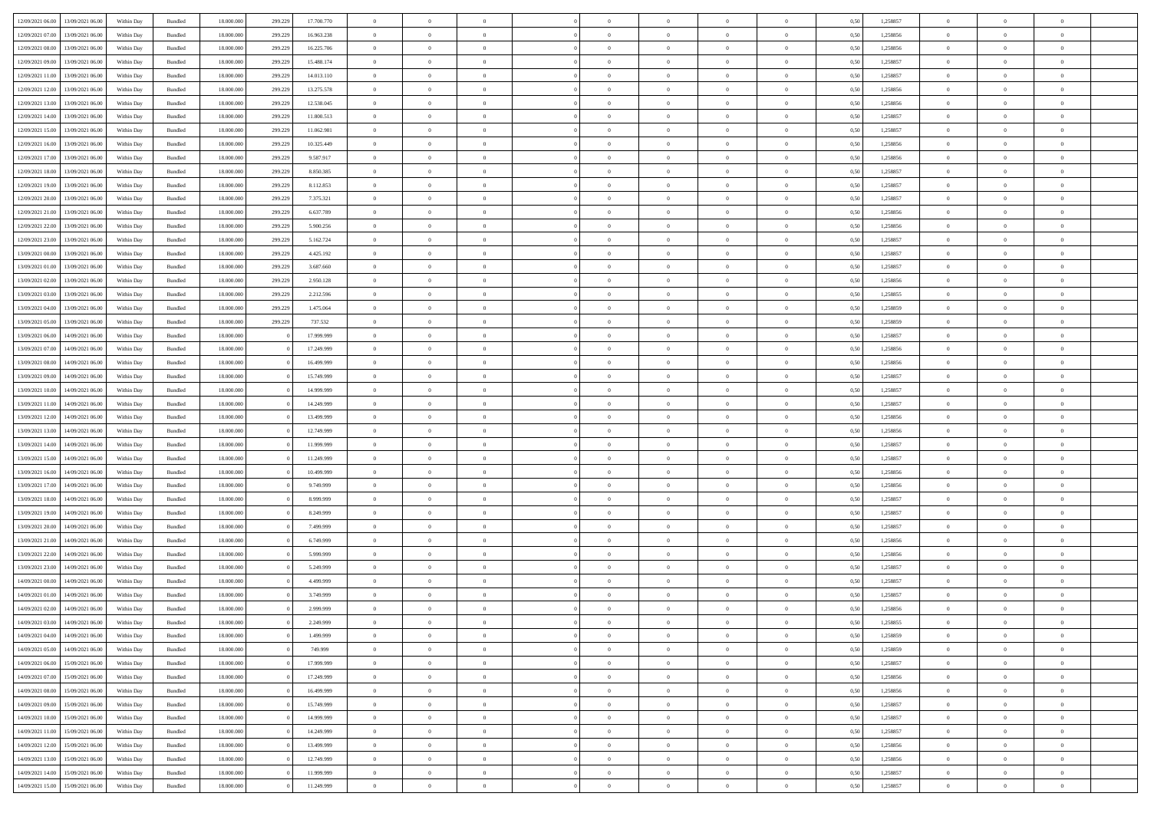| 12/09/2021 06:00 13/09/2021 06:00                        | Within Day | Bundled            | 18.000.000               | 299.229 | 17.700.770               | $\overline{0}$                   | $\overline{0}$ | $\Omega$                         | $\Omega$                         | $\theta$                         | $\Omega$                         | $\overline{0}$             | 0,50         | 1,258857             | $\theta$                         | $\theta$                         | $\overline{0}$             |  |
|----------------------------------------------------------|------------|--------------------|--------------------------|---------|--------------------------|----------------------------------|----------------|----------------------------------|----------------------------------|----------------------------------|----------------------------------|----------------------------|--------------|----------------------|----------------------------------|----------------------------------|----------------------------|--|
| 12/09/2021 07:00<br>13/09/2021 06:00                     | Within Day | Bundled            | 18.000.000               | 299.229 | 16.963.238               | $\overline{0}$                   | $\overline{0}$ | $\overline{0}$                   | $\overline{0}$                   | $\theta$                         | $\overline{0}$                   | $\bf{0}$                   | 0,50         | 1,258856             | $\theta$                         | $\theta$                         | $\overline{0}$             |  |
| 12/09/2021 08:00<br>13/09/2021 06:00                     | Within Day | Bundled            | 18.000.000               | 299.229 | 16.225.706               | $\overline{0}$                   | $\bf{0}$       | $\overline{0}$                   | $\overline{0}$                   | $\bf{0}$                         | $\overline{0}$                   | $\bf{0}$                   | 0,50         | 1,258856             | $\bf{0}$                         | $\overline{0}$                   | $\overline{0}$             |  |
| 12/09/2021 09:00<br>13/09/2021 06:00                     | Within Day | Bundled            | 18.000.000               | 299.229 | 15,488.174               | $\overline{0}$                   | $\overline{0}$ | $\overline{0}$                   | $\overline{0}$                   | $\overline{0}$                   | $\overline{0}$                   | $\overline{0}$             | 0.50         | 1.258857             | $\theta$                         | $\theta$                         | $\overline{0}$             |  |
| 12/09/2021 11:00<br>13/09/2021 06:00                     | Within Day | Bundled            | 18.000.000               | 299.229 | 14.013.110               | $\overline{0}$                   | $\overline{0}$ | $\overline{0}$                   | $\overline{0}$                   | $\theta$                         | $\overline{0}$                   | $\bf{0}$                   | 0,50         | 1,258857             | $\theta$                         | $\theta$                         | $\overline{0}$             |  |
|                                                          |            |                    |                          |         |                          |                                  | $\bf{0}$       |                                  |                                  |                                  |                                  |                            |              |                      |                                  | $\overline{0}$                   | $\bf{0}$                   |  |
| 12/09/2021 12:00<br>13/09/2021 06:00<br>13/09/2021 06:00 | Within Day | Bundled<br>Bundled | 18.000.000<br>18.000.000 | 299.229 | 13.275.578<br>12.538.045 | $\overline{0}$<br>$\overline{0}$ | $\overline{0}$ | $\overline{0}$<br>$\overline{0}$ | $\overline{0}$<br>$\overline{0}$ | $\overline{0}$<br>$\overline{0}$ | $\overline{0}$<br>$\overline{0}$ | $\bf{0}$<br>$\overline{0}$ | 0,50<br>0.5( | 1,258856<br>1.258856 | $\overline{0}$<br>$\theta$       | $\theta$                         | $\overline{0}$             |  |
| 12/09/2021 13:00                                         | Within Day |                    |                          | 299.229 |                          |                                  |                |                                  |                                  |                                  |                                  |                            |              |                      |                                  |                                  |                            |  |
| 12/09/2021 14:00<br>13/09/2021 06:00                     | Within Day | Bundled            | 18.000.000               | 299.229 | 11.800.513               | $\bf{0}$                         | $\overline{0}$ | $\overline{0}$                   | $\overline{0}$                   | $\theta$                         | $\overline{0}$                   | $\bf{0}$                   | 0,50         | 1,258857             | $\theta$                         | $\theta$                         | $\overline{0}$             |  |
| 12/09/2021 15:00<br>13/09/2021 06:00                     | Within Day | Bundled            | 18.000.000               | 299.229 | 11.062.981               | $\overline{0}$                   | $\bf{0}$       | $\overline{0}$                   | $\overline{0}$                   | $\overline{0}$                   | $\overline{0}$                   | $\bf{0}$                   | 0,50         | 1,258857             | $\bf{0}$                         | $\overline{0}$                   | $\overline{0}$             |  |
| 12/09/2021 16:00<br>13/09/2021 06:00                     | Within Day | Bundled            | 18.000.000               | 299.229 | 10.325.449               | $\overline{0}$                   | $\overline{0}$ | $\overline{0}$                   | $\overline{0}$                   | $\overline{0}$                   | $\overline{0}$                   | $\bf{0}$                   | 0.50         | 1,258856             | $\theta$                         | $\theta$                         | $\overline{0}$             |  |
| 12/09/2021 17:00<br>13/09/2021 06:00                     | Within Day | Bundled            | 18.000.000               | 299.229 | 9.587.917                | $\bf{0}$                         | $\overline{0}$ | $\overline{0}$                   | $\overline{0}$                   | $\theta$                         | $\overline{0}$                   | $\bf{0}$                   | 0,50         | 1,258856             | $\theta$                         | $\theta$                         | $\overline{0}$             |  |
| 12/09/2021 18:00<br>13/09/2021 06:00                     | Within Day | Bundled            | 18.000.000               | 299.229 | 8.850.385                | $\overline{0}$                   | $\bf{0}$       | $\overline{0}$                   | $\overline{0}$                   | $\bf{0}$                         | $\overline{0}$                   | $\bf{0}$                   | 0,50         | 1,258857             | $\bf{0}$                         | $\overline{0}$                   | $\overline{0}$             |  |
| 12/09/2021 19:00<br>13/09/2021 06:00                     | Within Day | Bundled            | 18.000.000               | 299.229 | 8.112.853                | $\overline{0}$                   | $\overline{0}$ | $\overline{0}$                   | $\overline{0}$                   | $\overline{0}$                   | $\overline{0}$                   | $\overline{0}$             | 0.50         | 1.258857             | $\theta$                         | $\theta$                         | $\overline{0}$             |  |
| 12/09/2021 20:00<br>13/09/2021 06:00                     | Within Day | Bundled            | 18.000.000               | 299.229 | 7.375.321                | $\bf{0}$                         | $\theta$       | $\overline{0}$                   | $\overline{0}$                   | $\theta$                         | $\overline{0}$                   | $\bf{0}$                   | 0,50         | 1,258857             | $\theta$                         | $\theta$                         | $\overline{0}$             |  |
| 12/09/2021 21:00<br>13/09/2021 06:00                     | Within Day | Bundled            | 18.000.000               | 299.229 | 6.637.789                | $\overline{0}$                   | $\bf{0}$       | $\overline{0}$                   | $\overline{0}$                   | $\overline{0}$                   | $\overline{0}$                   | $\bf{0}$                   | 0,50         | 1,258856             | $\bf{0}$                         | $\overline{0}$                   | $\bf{0}$                   |  |
| 12/09/2021 22:00<br>13/09/2021 06:00                     | Within Day | Bundled            | 18.000.000               | 299.229 | 5.900.256                | $\overline{0}$                   | $\overline{0}$ | $\overline{0}$                   | $\overline{0}$                   | $\overline{0}$                   | $\overline{0}$                   | $\overline{0}$             | 0.50         | 1.258856             | $\overline{0}$                   | $\overline{0}$                   | $\overline{0}$             |  |
| 12/09/2021 23:00<br>13/09/2021 06:00                     | Within Day | Bundled            | 18.000.000               | 299.229 | 5.162.724                | $\bf{0}$                         | $\overline{0}$ | $\overline{0}$                   | $\overline{0}$                   | $\theta$                         | $\overline{0}$                   | $\bf{0}$                   | 0,50         | 1,258857             | $\theta$                         | $\theta$                         | $\overline{0}$             |  |
| 13/09/2021 00:00<br>13/09/2021 06:00                     | Within Day | Bundled            | 18.000.000               | 299.229 | 4.425.192                | $\overline{0}$                   | $\bf{0}$       | $\overline{0}$                   | $\overline{0}$                   | $\overline{0}$                   | $\overline{0}$                   | $\bf{0}$                   | 0,50         | 1,258857             | $\bf{0}$                         | $\overline{0}$                   | $\overline{0}$             |  |
| 13/09/2021 01:00<br>13/09/2021 06:00                     | Within Day | Bundled            | 18.000.000               | 299.229 | 3.687.660                | $\overline{0}$                   | $\overline{0}$ | $\overline{0}$                   | $\overline{0}$                   | $\overline{0}$                   | $\overline{0}$                   | $\overline{0}$             | 0.50         | 1,258857             | $\theta$                         | $\theta$                         | $\overline{0}$             |  |
| 13/09/2021 02:00<br>13/09/2021 06:00                     | Within Day | Bundled            | 18.000.000               | 299.229 | 2.950.128                | $\bf{0}$                         | $\overline{0}$ | $\overline{0}$                   | $\overline{0}$                   | $\theta$                         | $\overline{0}$                   | $\bf{0}$                   | 0,50         | 1,258856             | $\theta$                         | $\theta$                         | $\overline{0}$             |  |
| 13/09/2021 03:00<br>13/09/2021 06:00                     | Within Day | Bundled            | 18.000.000               | 299.229 | 2.212.596                | $\overline{0}$                   | $\bf{0}$       | $\overline{0}$                   | $\overline{0}$                   | $\bf{0}$                         | $\overline{0}$                   | $\bf{0}$                   | 0,50         | 1,258855             | $\bf{0}$                         | $\overline{0}$                   | $\overline{0}$             |  |
| 13/09/2021 04:00<br>13/09/2021 06:00                     | Within Day | Bundled            | 18.000.000               | 299.229 | 1.475.064                | $\overline{0}$                   | $\overline{0}$ | $\overline{0}$                   | $\overline{0}$                   | $\overline{0}$                   | $\overline{0}$                   | $\overline{0}$             | 0.50         | 1.258859             | $\overline{0}$                   | $\theta$                         | $\overline{0}$             |  |
| 13/09/2021 05:00<br>13/09/2021 06:00                     | Within Day | Bundled            | 18.000.000               | 299.229 | 737.532                  | $\bf{0}$                         | $\overline{0}$ | $\overline{0}$                   | $\overline{0}$                   | $\theta$                         | $\overline{0}$                   | $\bf{0}$                   | 0,50         | 1,258859             | $\theta$                         | $\theta$                         | $\overline{0}$             |  |
|                                                          |            |                    |                          |         |                          |                                  |                |                                  |                                  |                                  |                                  |                            |              |                      |                                  |                                  |                            |  |
| 13/09/2021 06:00<br>14/09/2021 06.00                     | Within Day | Bundled            | 18.000.000               |         | 17.999.999               | $\overline{0}$                   | $\bf{0}$       | $\overline{0}$                   | $\overline{0}$                   | $\overline{0}$                   | $\overline{0}$                   | $\bf{0}$                   | 0,50         | 1,258857             | $\overline{0}$<br>$\overline{0}$ | $\overline{0}$<br>$\overline{0}$ | $\bf{0}$<br>$\overline{0}$ |  |
| 13/09/2021 07:00<br>14/09/2021 06:00                     | Within Day | Bundled            | 18.000.000               |         | 17.249.999               | $\overline{0}$                   | $\overline{0}$ | $\overline{0}$                   | $\overline{0}$                   | $\overline{0}$                   | $\overline{0}$                   | $\overline{0}$             | 0.5(         | 1.258856             |                                  |                                  |                            |  |
| 13/09/2021 08:00<br>14/09/2021 06:00                     | Within Day | Bundled            | 18.000.000               |         | 16.499.999               | $\bf{0}$                         | $\overline{0}$ | $\overline{0}$                   | $\overline{0}$                   | $\theta$                         | $\overline{0}$                   | $\bf{0}$                   | 0,50         | 1,258856             | $\theta$                         | $\theta$                         | $\overline{0}$             |  |
| 13/09/2021 09:00<br>14/09/2021 06.00                     | Within Day | Bundled            | 18.000.000               |         | 15.749.999               | $\overline{0}$                   | $\bf{0}$       | $\overline{0}$                   | $\overline{0}$                   | $\overline{0}$                   | $\overline{0}$                   | $\bf{0}$                   | 0,50         | 1,258857             | $\bf{0}$                         | $\overline{0}$                   | $\overline{0}$             |  |
| 13/09/2021 10:00<br>14/09/2021 06:00                     | Within Day | Bundled            | 18.000.000               |         | 14.999.999               | $\overline{0}$                   | $\overline{0}$ | $\overline{0}$                   | $\overline{0}$                   | $\overline{0}$                   | $\overline{0}$                   | $\overline{0}$             | 0.5(         | 1,258857             | $\theta$                         | $\theta$                         | $\overline{0}$             |  |
| 13/09/2021 11:00<br>14/09/2021 06:00                     | Within Day | Bundled            | 18.000.000               |         | 14.249.999               | $\bf{0}$                         | $\overline{0}$ | $\overline{0}$                   | $\overline{0}$                   | $\theta$                         | $\overline{0}$                   | $\bf{0}$                   | 0,50         | 1,258857             | $\,$ 0 $\,$                      | $\theta$                         | $\overline{0}$             |  |
| 13/09/2021 12:00<br>14/09/2021 06.00                     | Within Day | Bundled            | 18.000.000               |         | 13.499.999               | $\overline{0}$                   | $\bf{0}$       | $\overline{0}$                   | $\overline{0}$                   | $\bf{0}$                         | $\overline{0}$                   | $\bf{0}$                   | 0,50         | 1,258856             | $\bf{0}$                         | $\overline{0}$                   | $\overline{0}$             |  |
| 13/09/2021 13:00<br>14/09/2021 06.00                     | Within Day | Bundled            | 18,000,000               |         | 12.749.999               | $\overline{0}$                   | $\overline{0}$ | $\Omega$                         | $\Omega$                         | $\Omega$                         | $\Omega$                         | $\overline{0}$             | 0,50         | 1,258856             | $\,$ 0 $\,$                      | $\overline{0}$                   | $\theta$                   |  |
| 13/09/2021 14:00<br>14/09/2021 06:00                     | Within Day | Bundled            | 18.000.000               |         | 11.999.999               | $\bf{0}$                         | $\overline{0}$ | $\overline{0}$                   | $\overline{0}$                   | $\theta$                         | $\overline{0}$                   | $\bf{0}$                   | 0,50         | 1,258857             | $\theta$                         | $\theta$                         | $\overline{0}$             |  |
| 13/09/2021 15:00<br>14/09/2021 06.00                     | Within Day | Bundled            | 18.000.000               |         | 11.249.999               | $\overline{0}$                   | $\bf{0}$       | $\overline{0}$                   | $\overline{0}$                   | $\overline{0}$                   | $\overline{0}$                   | $\bf{0}$                   | 0,50         | 1,258857             | $\overline{0}$                   | $\overline{0}$                   | $\bf{0}$                   |  |
| 13/09/2021 16:00<br>14/09/2021 06.00                     | Within Day | Bundled            | 18,000,000               |         | 10.499.999               | $\overline{0}$                   | $\overline{0}$ | $\Omega$                         | $\Omega$                         | $\overline{0}$                   | $\Omega$                         | $\overline{0}$             | 0.50         | 1,258856             | $\bf{0}$                         | $\theta$                         | $\theta$                   |  |
| 13/09/2021 17:00<br>14/09/2021 06:00                     | Within Day | Bundled            | 18.000.000               |         | 9.749.999                | $\bf{0}$                         | $\overline{0}$ | $\overline{0}$                   | $\overline{0}$                   | $\theta$                         | $\overline{0}$                   | $\bf{0}$                   | 0,50         | 1,258856             | $\theta$                         | $\theta$                         | $\overline{0}$             |  |
| 13/09/2021 18:00<br>14/09/2021 06.00                     | Within Day | Bundled            | 18.000.000               |         | 8.999.999                | $\overline{0}$                   | $\bf{0}$       | $\overline{0}$                   | $\overline{0}$                   | $\overline{0}$                   | $\bf{0}$                         | $\bf{0}$                   | 0,50         | 1,258857             | $\bf{0}$                         | $\overline{0}$                   | $\overline{0}$             |  |
| 13/09/2021 19:00<br>14/09/2021 06.00                     | Within Day | Bundled            | 18,000,000               |         | 8.249.999                | $\overline{0}$                   | $\overline{0}$ | $\Omega$                         | $\Omega$                         | $\overline{0}$                   | $\theta$                         | $\overline{0}$             | 0.50         | 1,258857             | $\bf{0}$                         | $\theta$                         | $\theta$                   |  |
| 13/09/2021 20:00<br>14/09/2021 06:00                     | Within Day | Bundled            | 18.000.000               |         | 7.499.999                | $\bf{0}$                         | $\bf{0}$       | $\overline{0}$                   | $\overline{0}$                   | $\theta$                         | $\overline{0}$                   | $\bf{0}$                   | 0,50         | 1,258857             | $\,$ 0 $\,$                      | $\theta$                         | $\overline{0}$             |  |
| 13/09/2021 21:00<br>14/09/2021 06.00                     | Within Day | Bundled            | 18.000.000               |         | 6.749.999                | $\overline{0}$                   | $\bf{0}$       | $\overline{0}$                   | $\overline{0}$                   | $\bf{0}$                         | $\overline{0}$                   | $\bf{0}$                   | 0,50         | 1,258856             | $\bf{0}$                         | $\overline{0}$                   | $\overline{0}$             |  |
| 13/09/2021 22:00<br>14/09/2021 06.00                     | Within Day | Bundled            | 18,000,000               |         | 5.999.999                | $\overline{0}$                   | $\overline{0}$ | $\Omega$                         | $\Omega$                         | $\overline{0}$                   | $\Omega$                         | $\overline{0}$             | 0,50         | 1,258856             | $\bf{0}$                         | $\overline{0}$                   | $\theta$                   |  |
| 13/09/2021 23:00<br>14/09/2021 06:00                     | Within Day | Bundled            | 18.000.000               |         | 5.249.999                | $\bf{0}$                         | $\overline{0}$ | $\overline{0}$                   | $\overline{0}$                   | $\overline{0}$                   | $\overline{0}$                   | $\bf{0}$                   | 0,50         | 1,258857             | $\theta$                         | $\theta$                         | $\overline{0}$             |  |
| 14/09/2021 00:00<br>14/09/2021 06.00                     | Within Day | Bundled            | 18.000.000               |         | 4.499.999                | $\overline{0}$                   | $\bf{0}$       | $\overline{0}$                   | $\overline{0}$                   | $\overline{0}$                   | $\overline{0}$                   | $\bf{0}$                   | 0,50         | 1,258857             | $\overline{0}$                   | $\overline{0}$                   | $\bf{0}$                   |  |
| 14/09/2021 01:00<br>14/09/2021 06:00                     | Within Day | Bundled            | 18,000,000               |         | 3.749.999                | $\overline{0}$                   | $\overline{0}$ | $\Omega$                         | $\Omega$                         | $\overline{0}$                   | $\theta$                         | $\overline{0}$             | 0.50         | 1,258857             | $\theta$                         | $\overline{0}$                   | $\theta$                   |  |
| 14/09/2021 02:00<br>14/09/2021 06:00                     | Within Day | Bundled            | 18.000.000               |         | 2.999.999                | $\bf{0}$                         | $\bf{0}$       | $\overline{0}$                   | $\overline{0}$                   | $\overline{0}$                   | $\bf{0}$                         | $\bf{0}$                   | 0,50         | 1,258856             | $\bf{0}$                         | $\,$ 0 $\,$                      | $\overline{0}$             |  |
| 14/09/2021 03:00 14/09/2021 06:00                        | Within Day | Bundled            | 18.000.000               |         | 2.249.999                | $\bf{0}$                         | $\bf{0}$       |                                  |                                  |                                  |                                  |                            | 0,50         | 1,258855             | $\bf{0}$                         | $\bf{0}$                         |                            |  |
| 14/09/2021 04:00 14/09/2021 06:00                        | Within Day | Bundled            | 18,000,000               |         | 1.499.999                | $\Omega$                         | $\overline{0}$ | $\Omega$                         | $\theta$                         | $\Omega$                         | $\theta$                         | $\overline{0}$             | 0.50         | 1,258859             | $\theta$                         | $\theta$                         | $\theta$                   |  |
| 14/09/2021 05:00<br>14/09/2021 06:00                     | Within Day | Bundled            | 18.000.000               |         | 749.999                  | $\bf{0}$                         | $\,$ 0         | $\overline{0}$                   | $\overline{0}$                   | $\overline{0}$                   | $\bf{0}$                         | $\bf{0}$                   | 0,50         | 1,258859             | $\,$ 0 $\,$                      | $\,$ 0 $\,$                      | $\overline{0}$             |  |
| 14/09/2021 06:00<br>15/09/2021 06:00                     | Within Day | Bundled            | 18.000.000               |         | 17.999.999               | $\overline{0}$                   | $\overline{0}$ | $\overline{0}$                   | $\overline{0}$                   | $\overline{0}$                   | $\overline{0}$                   | $\bf{0}$                   | 0,50         | 1,258857             | $\overline{0}$                   | $\bf{0}$                         | $\bf{0}$                   |  |
| 14/09/2021 07:00<br>15/09/2021 06:00                     | Within Day | Bundled            | 18,000,000               |         | 17.249.999               | $\overline{0}$                   | $\overline{0}$ | $\overline{0}$                   | $\overline{0}$                   | $\overline{0}$                   | $\overline{0}$                   | $\bf{0}$                   | 0,50         | 1,258856             | $\bf{0}$                         | $\theta$                         | $\overline{0}$             |  |
| 14/09/2021 08:00<br>15/09/2021 06:00                     | Within Day | Bundled            | 18.000.000               |         | 16.499.999               | $\overline{0}$                   | $\overline{0}$ | $\overline{0}$                   | $\overline{0}$                   | $\overline{0}$                   | $\overline{0}$                   | $\bf{0}$                   | 0,50         | 1,258856             | $\,$ 0 $\,$                      | $\theta$                         | $\overline{0}$             |  |
| 14/09/2021 09:00<br>15/09/2021 06:00                     | Within Day | Bundled            | 18.000.000               |         | 15.749.999               | $\overline{0}$                   | $\overline{0}$ | $\overline{0}$                   | $\overline{0}$                   | $\overline{0}$                   | $\overline{0}$                   | $\bf{0}$                   | 0,50         | 1,258857             | $\overline{0}$                   | $\bf{0}$                         | $\bf{0}$                   |  |
| 14/09/2021 10:00<br>15/09/2021 06:00                     | Within Day | Bundled            | 18,000,000               |         | 14.999.999               | $\overline{0}$                   | $\overline{0}$ | $\overline{0}$                   | $\overline{0}$                   | $\overline{0}$                   | $\overline{0}$                   | $\bf{0}$                   | 0.50         | 1,258857             | $\overline{0}$                   | $\theta$                         | $\overline{0}$             |  |
| 14/09/2021 11:00<br>15/09/2021 06:00                     | Within Day | Bundled            | 18.000.000               |         | 14.249.999               | $\bf{0}$                         | $\bf{0}$       | $\overline{0}$                   | $\overline{0}$                   | $\overline{0}$                   | $\overline{0}$                   | $\bf{0}$                   | 0,50         | 1,258857             | $\,$ 0 $\,$                      | $\bf{0}$                         | $\overline{0}$             |  |
| 14/09/2021 12:00<br>15/09/2021 06:00                     | Within Day | Bundled            | 18.000.000               |         | 13.499.999               | $\overline{0}$                   | $\bf{0}$       | $\overline{0}$                   | $\overline{0}$                   | $\overline{0}$                   | $\overline{0}$                   | $\bf{0}$                   | 0,50         | 1,258856             | $\bf{0}$                         | $\overline{0}$                   | $\bf{0}$                   |  |
| 14/09/2021 13:00<br>15/09/2021 06:00                     | Within Day | Bundled            | 18,000,000               |         | 12.749.999               | $\overline{0}$                   | $\overline{0}$ | $\overline{0}$                   | $\overline{0}$                   | $\overline{0}$                   | $\overline{0}$                   | $\bf{0}$                   | 0.50         | 1,258856             | $\overline{0}$                   | $\theta$                         | $\overline{0}$             |  |
| 14/09/2021 14:00<br>15/09/2021 06:00                     | Within Day | Bundled            | 18.000.000               |         | 11.999.999               | $\overline{0}$                   | $\bf{0}$       | $\overline{0}$                   | $\overline{0}$                   | $\bf{0}$                         | $\bf{0}$                         | $\bf{0}$                   | 0,50         | 1,258857             | $\,$ 0 $\,$                      | $\,$ 0 $\,$                      | $\overline{0}$             |  |
| 14/09/2021 15:00 15/09/2021 06:00                        | Within Day | Bundled            | 18.000.000               |         | 11.249.999               | $\overline{0}$                   | $\bf{0}$       | $\overline{0}$                   | $\overline{0}$                   | $\bf{0}$                         | $\overline{0}$                   | $\bf{0}$                   | 0,50         | 1,258857             | $\bf{0}$                         | $\bf{0}$                         | $\overline{0}$             |  |
|                                                          |            |                    |                          |         |                          |                                  |                |                                  |                                  |                                  |                                  |                            |              |                      |                                  |                                  |                            |  |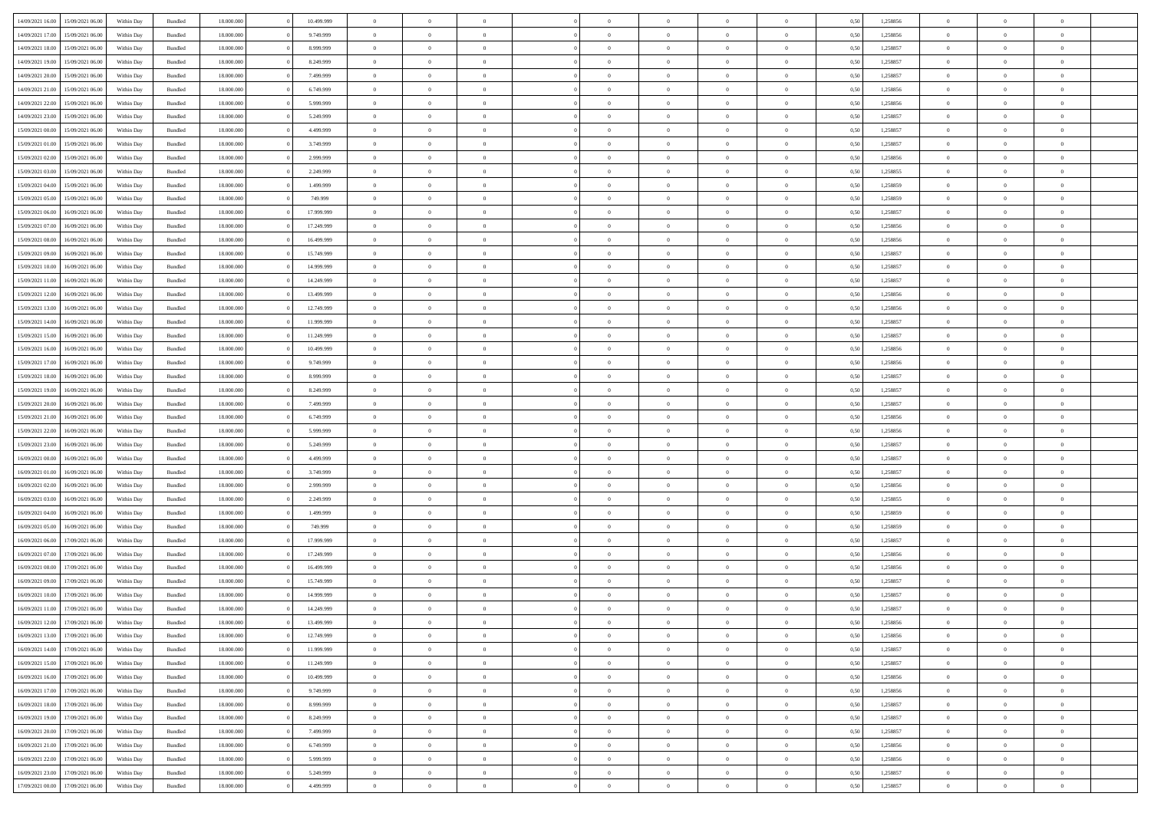| 14/09/2021 16:00 | 15/09/2021 06:00 | Within Dav | Bundled            | 18.000.000 | 10.499.999 | $\overline{0}$ | $\Omega$       |                | $\Omega$       | $\Omega$       | $\Omega$       | $\theta$       | 0.50 | 1,258856 | $\theta$       | $\theta$       | $\theta$       |  |
|------------------|------------------|------------|--------------------|------------|------------|----------------|----------------|----------------|----------------|----------------|----------------|----------------|------|----------|----------------|----------------|----------------|--|
|                  |                  |            |                    |            |            |                |                |                |                |                |                |                |      |          |                |                |                |  |
| 14/09/2021 17:00 | 15/09/2021 06:00 | Within Day | Bundled            | 18.000.000 | 9.749.999  | $\overline{0}$ | $\theta$       | $\overline{0}$ | $\overline{0}$ | $\bf{0}$       | $\overline{0}$ | $\overline{0}$ | 0,50 | 1,258856 | $\theta$       | $\theta$       | $\overline{0}$ |  |
| 14/09/2021 18:00 | 15/09/2021 06:00 | Within Day | Bundled            | 18.000.000 | 8.999.999  | $\overline{0}$ | $\overline{0}$ | $\overline{0}$ | $\bf{0}$       | $\bf{0}$       | $\bf{0}$       | $\bf{0}$       | 0,50 | 1,258857 | $\bf{0}$       | $\overline{0}$ | $\overline{0}$ |  |
| 14/09/2021 19:00 | 15/09/2021 06:00 | Within Dav | Bundled            | 18.000.000 | 8.249.999  | $\overline{0}$ | $\theta$       | $\overline{0}$ | $\overline{0}$ | $\bf{0}$       | $\overline{0}$ | $\overline{0}$ | 0.50 | 1.258857 | $\theta$       | $\theta$       | $\overline{0}$ |  |
| 14/09/2021 20:00 | 15/09/2021 06:00 | Within Day | Bundled            | 18.000.000 | 7.499.999  | $\overline{0}$ | $\theta$       | $\overline{0}$ | $\overline{0}$ | $\bf{0}$       | $\overline{0}$ | $\bf{0}$       | 0,50 | 1,258857 | $\theta$       | $\theta$       | $\overline{0}$ |  |
|                  |                  |            |                    |            |            |                |                |                |                |                |                |                |      |          |                |                |                |  |
| 14/09/2021 21:00 | 15/09/2021 06:00 | Within Day | Bundled            | 18.000.000 | 6.749.999  | $\overline{0}$ | $\bf{0}$       | $\overline{0}$ | $\bf{0}$       | $\overline{0}$ | $\overline{0}$ | $\mathbf{0}$   | 0,50 | 1,258856 | $\bf{0}$       | $\overline{0}$ | $\bf{0}$       |  |
| 14/09/2021 22:00 | 15/09/2021 06:00 | Within Dav | Bundled            | 18.000.000 | 5.999.999  | $\overline{0}$ | $\overline{0}$ | $\overline{0}$ | $\overline{0}$ | $\bf{0}$       | $\overline{0}$ | $\overline{0}$ | 0.50 | 1,258856 | $\theta$       | $\theta$       | $\overline{0}$ |  |
| 14/09/2021 23:00 | 15/09/2021 06:00 | Within Day | Bundled            | 18.000.000 | 5.249.999  | $\overline{0}$ | $\theta$       | $\overline{0}$ | $\overline{0}$ | $\bf{0}$       | $\overline{0}$ | $\bf{0}$       | 0,50 | 1,258857 | $\theta$       | $\theta$       | $\overline{0}$ |  |
| 15/09/2021 00:00 | 15/09/2021 06:00 | Within Day | Bundled            | 18.000.000 | 4.499.999  | $\overline{0}$ | $\overline{0}$ | $\overline{0}$ | $\bf{0}$       | $\bf{0}$       | $\bf{0}$       | $\bf{0}$       | 0,50 | 1,258857 | $\,0\,$        | $\overline{0}$ | $\overline{0}$ |  |
| 15/09/2021 01:00 | 15/09/2021 06:00 | Within Dav | Bundled            | 18.000.000 | 3.749.999  | $\overline{0}$ | $\overline{0}$ | $\overline{0}$ | $\overline{0}$ | $\overline{0}$ | $\overline{0}$ | $\overline{0}$ | 0.50 | 1,258857 | $\theta$       | $\overline{0}$ | $\overline{0}$ |  |
| 15/09/2021 02:00 | 15/09/2021 06:00 | Within Day | Bundled            | 18.000.000 | 2.999.999  | $\overline{0}$ | $\theta$       | $\overline{0}$ | $\overline{0}$ | $\bf{0}$       | $\overline{0}$ | $\bf{0}$       | 0,50 | 1,258856 | $\theta$       | $\theta$       | $\overline{0}$ |  |
| 15/09/2021 03:00 | 15/09/2021 06:00 | Within Day | Bundled            | 18.000.000 | 2.249.999  | $\overline{0}$ | $\overline{0}$ | $\overline{0}$ | $\bf{0}$       | $\bf{0}$       | $\bf{0}$       | $\bf{0}$       | 0,50 | 1,258855 | $\bf{0}$       | $\overline{0}$ | $\overline{0}$ |  |
|                  |                  |            |                    |            |            |                |                |                |                |                |                |                |      |          |                |                |                |  |
| 15/09/2021 04:00 | 15/09/2021 06:00 | Within Day | Bundled            | 18.000.000 | 1.499.999  | $\overline{0}$ | $\theta$       | $\overline{0}$ | $\overline{0}$ | $\bf{0}$       | $\overline{0}$ | $\overline{0}$ | 0.50 | 1.258859 | $\theta$       | $\theta$       | $\overline{0}$ |  |
| 15/09/2021 05:00 | 15/09/2021 06:00 | Within Day | Bundled            | 18.000.000 | 749.999    | $\overline{0}$ | $\theta$       | $\overline{0}$ | $\overline{0}$ | $\bf{0}$       | $\overline{0}$ | $\overline{0}$ | 0,50 | 1,258859 | $\theta$       | $\theta$       | $\overline{0}$ |  |
| 15/09/2021 06:00 | 16/09/2021 06:00 | Within Day | Bundled            | 18.000.000 | 17.999.999 | $\overline{0}$ | $\bf{0}$       | $\overline{0}$ | $\bf{0}$       | $\overline{0}$ | $\overline{0}$ | $\mathbf{0}$   | 0,50 | 1,258857 | $\overline{0}$ | $\overline{0}$ | $\bf{0}$       |  |
| 15/09/2021 07:00 | 16/09/2021 06:00 | Within Dav | Bundled            | 18.000.000 | 17.249.999 | $\overline{0}$ | $\overline{0}$ | $\overline{0}$ | $\overline{0}$ | $\bf{0}$       | $\overline{0}$ | $\overline{0}$ | 0.50 | 1,258856 | $\theta$       | $\overline{0}$ | $\overline{0}$ |  |
| 15/09/2021 08:00 | 16/09/2021 06:00 | Within Day | Bundled            | 18.000.000 | 16.499.999 | $\overline{0}$ | $\theta$       | $\overline{0}$ | $\overline{0}$ | $\bf{0}$       | $\overline{0}$ | $\bf{0}$       | 0,50 | 1,258856 | $\theta$       | $\theta$       | $\overline{0}$ |  |
| 15/09/2021 09:00 | 16/09/2021 06:00 | Within Day | Bundled            | 18.000.000 | 15.749.999 | $\overline{0}$ | $\overline{0}$ | $\overline{0}$ | $\bf{0}$       | $\bf{0}$       | $\bf{0}$       | $\bf{0}$       | 0,50 | 1,258857 | $\,0\,$        | $\overline{0}$ | $\overline{0}$ |  |
| 15/09/2021 10:00 | 16/09/2021 06:00 | Within Dav | Bundled            | 18.000.000 | 14.999.999 | $\overline{0}$ | $\overline{0}$ | $\overline{0}$ | $\overline{0}$ | $\overline{0}$ | $\overline{0}$ | $\overline{0}$ | 0.50 | 1,258857 | $\theta$       | $\overline{0}$ | $\overline{0}$ |  |
|                  |                  |            |                    |            |            |                |                |                |                |                |                |                |      |          |                |                |                |  |
| 15/09/2021 11:00 | 16/09/2021 06:00 | Within Day | Bundled            | 18.000.000 | 14.249.999 | $\overline{0}$ | $\theta$       | $\overline{0}$ | $\overline{0}$ | $\bf{0}$       | $\overline{0}$ | $\bf{0}$       | 0,50 | 1,258857 | $\theta$       | $\theta$       | $\overline{0}$ |  |
| 15/09/2021 12:00 | 16/09/2021 06:00 | Within Day | Bundled            | 18.000.000 | 13.499.999 | $\overline{0}$ | $\overline{0}$ | $\overline{0}$ | $\bf{0}$       | $\bf{0}$       | $\bf{0}$       | $\bf{0}$       | 0,50 | 1,258856 | $\,0\,$        | $\overline{0}$ | $\overline{0}$ |  |
| 15/09/2021 13:00 | 16/09/2021 06:00 | Within Day | Bundled            | 18.000.000 | 12.749.999 | $\overline{0}$ | $\overline{0}$ | $\overline{0}$ | $\overline{0}$ | $\bf{0}$       | $\overline{0}$ | $\overline{0}$ | 0.50 | 1.258856 | $\theta$       | $\theta$       | $\overline{0}$ |  |
| 15/09/2021 14:00 | 16/09/2021 06:00 | Within Day | Bundled            | 18.000.000 | 11.999.999 | $\overline{0}$ | $\theta$       | $\overline{0}$ | $\overline{0}$ | $\bf{0}$       | $\overline{0}$ | $\bf{0}$       | 0,50 | 1,258857 | $\theta$       | $\overline{0}$ | $\overline{0}$ |  |
| 15/09/2021 15:00 | 16/09/2021 06:00 | Within Day | Bundled            | 18.000.000 | 11.249.999 | $\overline{0}$ | $\bf{0}$       | $\overline{0}$ | $\bf{0}$       | $\overline{0}$ | $\bf{0}$       | $\mathbf{0}$   | 0,50 | 1,258857 | $\bf{0}$       | $\overline{0}$ | $\bf{0}$       |  |
| 15/09/2021 16:00 | 16/09/2021 06:00 | Within Dav | Bundled            | 18.000.000 | 10.499.999 | $\overline{0}$ | $\overline{0}$ | $\overline{0}$ | $\overline{0}$ | $\overline{0}$ | $\overline{0}$ | $\overline{0}$ | 0.50 | 1,258856 | $\theta$       | $\theta$       | $\overline{0}$ |  |
| 15/09/2021 17:00 | 16/09/2021 06:00 |            |                    | 18.000.000 | 9.749.999  | $\overline{0}$ | $\theta$       | $\overline{0}$ | $\overline{0}$ | $\bf{0}$       | $\overline{0}$ |                |      | 1,258856 | $\theta$       | $\theta$       | $\overline{0}$ |  |
|                  |                  | Within Day | Bundled            |            |            |                |                |                |                |                |                | $\bf{0}$       | 0,50 |          |                |                |                |  |
| 15/09/2021 18:00 | 16/09/2021 06:00 | Within Day | Bundled            | 18.000.000 | 8.999.999  | $\overline{0}$ | $\overline{0}$ | $\overline{0}$ | $\bf{0}$       | $\bf{0}$       | $\bf{0}$       | $\bf{0}$       | 0,50 | 1,258857 | $\,0\,$        | $\overline{0}$ | $\overline{0}$ |  |
| 15/09/2021 19:00 | 16/09/2021 06:00 | Within Day | Bundled            | 18,000,000 | 8.249.999  | $\overline{0}$ | $\overline{0}$ | $\overline{0}$ | $\overline{0}$ | $\overline{0}$ | $\overline{0}$ | $\overline{0}$ | 0.50 | 1,258857 | $\theta$       | $\theta$       | $\overline{0}$ |  |
| 15/09/2021 20:00 | 16/09/2021 06:00 | Within Day | Bundled            | 18.000.000 | 7.499.999  | $\overline{0}$ | $\theta$       | $\overline{0}$ | $\overline{0}$ | $\bf{0}$       | $\overline{0}$ | $\bf{0}$       | 0,50 | 1,258857 | $\,$ 0 $\,$    | $\theta$       | $\overline{0}$ |  |
| 15/09/2021 21.00 | 16/09/2021 06:00 | Within Day | Bundled            | 18.000.000 | 6.749.999  | $\overline{0}$ | $\overline{0}$ | $\overline{0}$ | $\bf{0}$       | $\bf{0}$       | $\bf{0}$       | $\bf{0}$       | 0,50 | 1,258856 | $\bf{0}$       | $\overline{0}$ | $\overline{0}$ |  |
| 15/09/2021 22:00 | 16/09/2021 06:00 | Within Day | Bundled            | 18.000.000 | 5.999.999  | $\overline{0}$ | $\Omega$       | $\Omega$       | $\Omega$       | $\Omega$       | $\Omega$       | $\overline{0}$ | 0.50 | 1,258856 | $\,0\,$        | $\Omega$       | $\theta$       |  |
| 15/09/2021 23:00 | 16/09/2021 06:00 | Within Day | Bundled            | 18.000.000 | 5.249.999  | $\overline{0}$ | $\theta$       | $\overline{0}$ | $\overline{0}$ | $\bf{0}$       | $\overline{0}$ | $\bf{0}$       | 0,50 | 1,258857 | $\theta$       | $\theta$       | $\overline{0}$ |  |
|                  |                  |            |                    |            |            |                |                |                |                |                |                |                |      |          |                |                |                |  |
| 16/09/2021 00:00 | 16/09/2021 06:00 | Within Day | Bundled            | 18.000.000 | 4.499.999  | $\overline{0}$ | $\bf{0}$       | $\overline{0}$ | $\bf{0}$       | $\bf{0}$       | $\overline{0}$ | $\mathbf{0}$   | 0,50 | 1,258857 | $\bf{0}$       | $\overline{0}$ | $\bf{0}$       |  |
| 16/09/2021 01:00 | 16/09/2021 06:00 | Within Day | Bundled            | 18,000,000 | 3.749.999  | $\overline{0}$ | $\Omega$       | $\Omega$       | $\Omega$       | $\Omega$       | $\Omega$       | $\overline{0}$ | 0.50 | 1,258857 | $\theta$       | $\theta$       | $\theta$       |  |
| 16/09/2021 02:00 | 16/09/2021 06:00 | Within Day | Bundled            | 18.000.000 | 2.999.999  | $\overline{0}$ | $\theta$       | $\overline{0}$ | $\overline{0}$ | $\bf{0}$       | $\overline{0}$ | $\bf{0}$       | 0,50 | 1,258856 | $\theta$       | $\theta$       | $\overline{0}$ |  |
| 16/09/2021 03:00 | 16/09/2021 06:00 | Within Day | Bundled            | 18.000.000 | 2.249.999  | $\overline{0}$ | $\overline{0}$ | $\overline{0}$ | $\overline{0}$ | $\bf{0}$       | $\overline{0}$ | $\bf{0}$       | 0,50 | 1,258855 | $\,0\,$        | $\overline{0}$ | $\overline{0}$ |  |
| 16/09/2021 04:00 | 16/09/2021 06:00 | Within Day | Bundled            | 18,000,000 | 1.499.999  | $\overline{0}$ | $\Omega$       | $\Omega$       | $\Omega$       | $\Omega$       | $\theta$       | $\overline{0}$ | 0.50 | 1,258859 | $\theta$       | $\theta$       | $\theta$       |  |
| 16/09/2021 05:00 | 16/09/2021 06:00 | Within Day | Bundled            | 18.000.000 | 749.999    | $\overline{0}$ | $\theta$       | $\overline{0}$ | $\overline{0}$ | $\bf{0}$       | $\overline{0}$ | $\bf{0}$       | 0,50 | 1,258859 | $\,$ 0 $\,$    | $\overline{0}$ | $\overline{0}$ |  |
| 16/09/2021 06:00 | 17/09/2021 06:00 | Within Day | Bundled            | 18.000.000 | 17.999.999 | $\overline{0}$ | $\overline{0}$ | $\overline{0}$ | $\overline{0}$ | $\bf{0}$       | $\overline{0}$ | $\bf{0}$       | 0,50 | 1,258857 | $\bf{0}$       | $\overline{0}$ | $\overline{0}$ |  |
|                  |                  |            |                    | 18.000.000 |            | $\overline{0}$ | $\Omega$       | $\Omega$       | $\Omega$       | $\Omega$       | $\overline{0}$ | $\overline{0}$ | 0.50 |          | $\,0\,$        | $\theta$       | $\theta$       |  |
| 16/09/2021 07:00 | 17/09/2021 06:00 | Within Day | Bundled            |            | 17.249.999 |                |                |                |                |                |                |                |      | 1,258856 |                |                |                |  |
| 16/09/2021 08:00 | 17/09/2021 06:00 | Within Day | Bundled            | 18.000.000 | 16.499.999 | $\overline{0}$ | $\theta$       | $\overline{0}$ | $\overline{0}$ | $\bf{0}$       | $\overline{0}$ | $\bf{0}$       | 0,50 | 1,258856 | $\,$ 0 $\,$    | $\theta$       | $\overline{0}$ |  |
| 16/09/2021 09:00 | 17/09/2021 06:00 | Within Day | Bundled            | 18.000.000 | 15.749.999 | $\overline{0}$ | $\overline{0}$ | $\overline{0}$ | $\overline{0}$ | $\bf{0}$       | $\overline{0}$ | $\mathbf{0}$   | 0,50 | 1,258857 | $\overline{0}$ | $\overline{0}$ | $\bf{0}$       |  |
| 16/09/2021 10:00 | 17/09/2021 06.00 | Within Day | Bundled            | 18,000,000 | 14.999.999 | $\overline{0}$ | $\Omega$       | $\Omega$       | $\Omega$       | $\Omega$       | $\Omega$       | $\overline{0}$ | 0.50 | 1,258857 | $\theta$       | $\Omega$       | $\theta$       |  |
| 16/09/2021 11:00 | 17/09/2021 06:00 | Within Day | Bundled            | 18.000.000 | 14.249.999 | $\overline{0}$ | $\overline{0}$ | $\overline{0}$ | $\bf{0}$       | $\,$ 0         | $\overline{0}$ | $\bf{0}$       | 0,50 | 1,258857 | $\,0\,$        | $\overline{0}$ | $\overline{0}$ |  |
| 16/09/2021 12:00 | 17/09/2021 06:00 | Within Day | $\mathbf B$ undled | 18.000.000 | 13.499.999 | $\bf{0}$       | $\bf{0}$       |                |                | $\bf{0}$       |                |                | 0,50 | 1,258856 | $\bf{0}$       | $\overline{0}$ |                |  |
| 16/09/2021 13:00 | 17/09/2021 06:00 | Within Day | Bundled            | 18,000,000 | 12.749.999 | $\overline{0}$ | $\overline{0}$ | $\overline{0}$ | $\Omega$       | $\overline{0}$ | $\overline{0}$ | $\overline{0}$ | 0.50 | 1,258856 | $\theta$       | $\theta$       | $\theta$       |  |
| 16/09/2021 14:00 | 17/09/2021 06:00 | Within Day | Bundled            | 18.000.000 | 11.999.999 | $\overline{0}$ | $\,$ 0         | $\overline{0}$ | $\overline{0}$ | $\,$ 0 $\,$    | $\overline{0}$ | $\mathbf{0}$   | 0,50 | 1,258857 | $\,$ 0 $\,$    | $\,$ 0 $\,$    | $\,$ 0         |  |
|                  |                  |            |                    |            |            |                |                |                |                |                |                |                |      |          |                |                |                |  |
| 16/09/2021 15:00 | 17/09/2021 06:00 | Within Day | Bundled            | 18.000.000 | 11.249.999 | $\overline{0}$ | $\overline{0}$ | $\overline{0}$ | $\overline{0}$ | $\overline{0}$ | $\overline{0}$ | $\mathbf{0}$   | 0,50 | 1,258857 | $\overline{0}$ | $\bf{0}$       | $\bf{0}$       |  |
| 16/09/2021 16:00 | 17/09/2021 06:00 | Within Day | Bundled            | 18,000,000 | 10.499.999 | $\overline{0}$ | $\theta$       | $\overline{0}$ | $\Omega$       | $\overline{0}$ | $\overline{0}$ | $\bf{0}$       | 0,50 | 1,258856 | $\overline{0}$ | $\theta$       | $\overline{0}$ |  |
| 16/09/2021 17:00 | 17/09/2021 06:00 | Within Day | Bundled            | 18.000.000 | 9.749.999  | $\overline{0}$ | $\,$ 0         | $\overline{0}$ | $\overline{0}$ | $\overline{0}$ | $\overline{0}$ | $\bf{0}$       | 0,50 | 1,258856 | $\,$ 0 $\,$    | $\overline{0}$ | $\overline{0}$ |  |
| 16/09/2021 18:00 | 17/09/2021 06:00 | Within Day | Bundled            | 18.000.000 | 8.999.999  | $\overline{0}$ | $\overline{0}$ | $\overline{0}$ | $\overline{0}$ | $\overline{0}$ | $\overline{0}$ | $\mathbf{0}$   | 0,50 | 1,258857 | $\overline{0}$ | $\overline{0}$ | $\bf{0}$       |  |
| 16/09/2021 19:00 | 17/09/2021 06:00 | Within Day | Bundled            | 18,000,000 | 8.249.999  | $\overline{0}$ | $\overline{0}$ | $\overline{0}$ | $\Omega$       | $\overline{0}$ | $\overline{0}$ | $\bf{0}$       | 0.50 | 1,258857 | $\overline{0}$ | $\theta$       | $\overline{0}$ |  |
| 16/09/2021 20:00 | 17/09/2021 06:00 | Within Day | Bundled            | 18.000.000 | 7.499.999  | $\overline{0}$ | $\,$ 0         | $\overline{0}$ | $\overline{0}$ | $\bf{0}$       | $\bf{0}$       | $\bf{0}$       | 0,50 | 1,258857 | $\,$ 0 $\,$    | $\overline{0}$ | $\overline{0}$ |  |
| 16/09/2021 21:00 | 17/09/2021 06:00 | Within Day | Bundled            | 18.000.000 | 6.749.999  | $\overline{0}$ | $\bf{0}$       | $\overline{0}$ | $\overline{0}$ | $\overline{0}$ | $\overline{0}$ | $\mathbf{0}$   | 0,50 | 1,258856 | $\overline{0}$ | $\overline{0}$ | $\bf{0}$       |  |
|                  |                  |            |                    |            |            |                |                |                |                |                |                |                |      |          |                |                |                |  |
| 16/09/2021 22:00 | 17/09/2021 06:00 | Within Day | Bundled            | 18,000,000 | 5.999.999  | $\overline{0}$ | $\overline{0}$ | $\overline{0}$ | $\Omega$       | $\overline{0}$ | $\overline{0}$ | $\bf{0}$       | 0.50 | 1,258856 | $\overline{0}$ | $\overline{0}$ | $\overline{0}$ |  |
| 16/09/2021 23:00 | 17/09/2021 06:00 | Within Day | Bundled            | 18.000.000 | 5.249.999  | $\overline{0}$ | $\,$ 0 $\,$    | $\overline{0}$ | $\overline{0}$ | $\bf{0}$       | $\bf{0}$       | $\bf{0}$       | 0,50 | 1,258857 | $\,$ 0 $\,$    | $\,$ 0 $\,$    | $\bf{0}$       |  |
| 17/09/2021 00:00 | 17/09/2021 06:00 | Within Day | Bundled            | 18.000.000 | 4.499.999  | $\overline{0}$ | $\bf{0}$       | $\overline{0}$ | $\bf{0}$       | $\bf{0}$       | $\bf{0}$       | $\bf{0}$       | 0,50 | 1,258857 | $\overline{0}$ | $\overline{0}$ | $\bf{0}$       |  |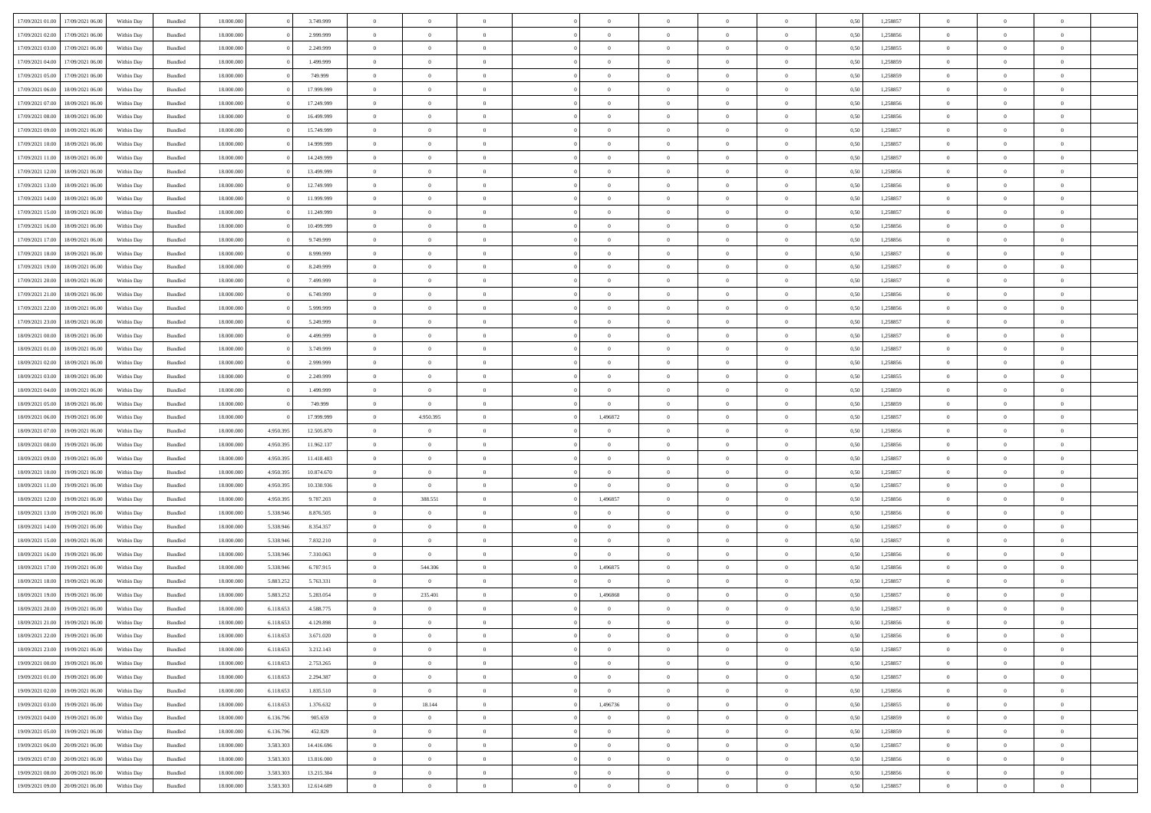| 17/09/2021 01:00 | 17/09/2021 06:00 | Within Dav | Bundled            | 18.000.000 |           | 3.749.999  | $\overline{0}$ | $\Omega$       |                | $\Omega$       | $\Omega$       | $\Omega$       | $\theta$       | 0.50 | 1,258857 | $\theta$       | $\theta$       | $\theta$       |  |
|------------------|------------------|------------|--------------------|------------|-----------|------------|----------------|----------------|----------------|----------------|----------------|----------------|----------------|------|----------|----------------|----------------|----------------|--|
|                  |                  |            |                    |            |           |            |                |                |                |                |                |                |                |      |          |                |                |                |  |
| 17/09/2021 02:00 | 17/09/2021 06:00 | Within Day | Bundled            | 18.000.000 |           | 2.999.999  | $\overline{0}$ | $\theta$       | $\overline{0}$ | $\overline{0}$ | $\bf{0}$       | $\overline{0}$ | $\overline{0}$ | 0,50 | 1,258856 | $\theta$       | $\theta$       | $\overline{0}$ |  |
| 17/09/2021 03:00 | 17/09/2021 06:00 | Within Day | Bundled            | 18.000.000 |           | 2.249.999  | $\overline{0}$ | $\overline{0}$ | $\overline{0}$ | $\bf{0}$       | $\bf{0}$       | $\bf{0}$       | $\bf{0}$       | 0,50 | 1,258855 | $\overline{0}$ | $\overline{0}$ | $\overline{0}$ |  |
| 17/09/2021 04:00 | 17/09/2021 06:00 | Within Dav | Bundled            | 18.000.000 |           | 1.499.999  | $\overline{0}$ | $\theta$       | $\overline{0}$ | $\overline{0}$ | $\bf{0}$       | $\overline{0}$ | $\overline{0}$ | 0.50 | 1.258859 | $\theta$       | $\theta$       | $\overline{0}$ |  |
| 17/09/2021 05:00 | 17/09/2021 06:00 |            |                    | 18.000.000 |           | 749.999    | $\overline{0}$ | $\theta$       | $\overline{0}$ | $\overline{0}$ | $\bf{0}$       | $\overline{0}$ |                |      | 1,258859 | $\theta$       | $\theta$       | $\overline{0}$ |  |
|                  |                  | Within Day | Bundled            |            |           |            |                |                |                |                |                |                | $\bf{0}$       | 0,50 |          |                |                |                |  |
| 17/09/2021 06:00 | 18/09/2021 06:00 | Within Day | Bundled            | 18.000.000 |           | 17.999.999 | $\overline{0}$ | $\bf{0}$       | $\overline{0}$ | $\bf{0}$       | $\overline{0}$ | $\bf{0}$       | $\mathbf{0}$   | 0,50 | 1,258857 | $\overline{0}$ | $\overline{0}$ | $\bf{0}$       |  |
| 17/09/2021 07:00 | 18/09/2021 06:00 | Within Dav | Bundled            | 18.000.000 |           | 17.249.999 | $\overline{0}$ | $\overline{0}$ | $\overline{0}$ | $\overline{0}$ | $\bf{0}$       | $\overline{0}$ | $\overline{0}$ | 0.50 | 1,258856 | $\theta$       | $\overline{0}$ | $\overline{0}$ |  |
| 17/09/2021 08:00 | 18/09/2021 06:00 | Within Day | Bundled            | 18.000.000 |           | 16.499.999 | $\overline{0}$ | $\theta$       | $\overline{0}$ | $\overline{0}$ | $\bf{0}$       | $\overline{0}$ | $\bf{0}$       | 0,50 | 1,258856 | $\theta$       | $\theta$       | $\overline{0}$ |  |
| 17/09/2021 09:00 | 18/09/2021 06:00 | Within Day | Bundled            | 18.000.000 |           | 15.749.999 | $\overline{0}$ | $\overline{0}$ | $\overline{0}$ | $\bf{0}$       | $\bf{0}$       | $\bf{0}$       | $\bf{0}$       | 0,50 | 1,258857 | $\,0\,$        | $\overline{0}$ | $\overline{0}$ |  |
|                  |                  |            |                    |            |           |            |                |                |                |                |                |                |                |      |          |                |                |                |  |
| 17/09/2021 10:00 | 18/09/2021 06:00 | Within Dav | Bundled            | 18.000.000 |           | 14.999.999 | $\overline{0}$ | $\overline{0}$ | $\overline{0}$ | $\overline{0}$ | $\overline{0}$ | $\overline{0}$ | $\overline{0}$ | 0.50 | 1,258857 | $\theta$       | $\overline{0}$ | $\overline{0}$ |  |
| 17/09/2021 11:00 | 18/09/2021 06:00 | Within Day | Bundled            | 18.000.000 |           | 14.249.999 | $\overline{0}$ | $\theta$       | $\overline{0}$ | $\overline{0}$ | $\bf{0}$       | $\overline{0}$ | $\bf{0}$       | 0,50 | 1,258857 | $\theta$       | $\theta$       | $\overline{0}$ |  |
| 17/09/2021 12:00 | 18/09/2021 06:00 | Within Day | Bundled            | 18.000.000 |           | 13.499.999 | $\overline{0}$ | $\overline{0}$ | $\overline{0}$ | $\bf{0}$       | $\bf{0}$       | $\bf{0}$       | $\bf{0}$       | 0,50 | 1,258856 | $\bf{0}$       | $\overline{0}$ | $\overline{0}$ |  |
| 17/09/2021 13:00 | 18/09/2021 06:00 | Within Dav | Bundled            | 18.000.000 |           | 12.749.999 | $\overline{0}$ | $\overline{0}$ | $\overline{0}$ | $\overline{0}$ | $\bf{0}$       | $\overline{0}$ | $\overline{0}$ | 0.50 | 1.258856 | $\theta$       | $\theta$       | $\overline{0}$ |  |
| 17/09/2021 14:00 | 18/09/2021 06:00 | Within Day | Bundled            | 18.000.000 |           | 11.999.999 | $\overline{0}$ | $\theta$       | $\overline{0}$ | $\overline{0}$ | $\bf{0}$       | $\overline{0}$ | $\overline{0}$ | 0,50 | 1,258857 | $\theta$       | $\theta$       | $\overline{0}$ |  |
|                  |                  |            |                    |            |           |            |                |                |                |                |                |                |                |      |          |                |                |                |  |
| 17/09/2021 15:00 | 18/09/2021 06:00 | Within Day | Bundled            | 18.000.000 |           | 11.249.999 | $\overline{0}$ | $\overline{0}$ | $\overline{0}$ | $\bf{0}$       | $\overline{0}$ | $\bf{0}$       | $\mathbf{0}$   | 0,50 | 1,258857 | $\overline{0}$ | $\overline{0}$ | $\bf{0}$       |  |
| 17/09/2021 16:00 | 18/09/2021 06:00 | Within Dav | Bundled            | 18.000.000 |           | 10.499.999 | $\overline{0}$ | $\overline{0}$ | $\overline{0}$ | $\overline{0}$ | $\overline{0}$ | $\overline{0}$ | $\overline{0}$ | 0.50 | 1,258856 | $\theta$       | $\overline{0}$ | $\overline{0}$ |  |
| 17/09/2021 17:00 | 18/09/2021 06:00 | Within Day | Bundled            | 18.000.000 |           | 9.749.999  | $\overline{0}$ | $\theta$       | $\overline{0}$ | $\overline{0}$ | $\bf{0}$       | $\overline{0}$ | $\bf{0}$       | 0,50 | 1,258856 | $\theta$       | $\theta$       | $\overline{0}$ |  |
| 17/09/2021 18:00 | 18/09/2021 06:00 | Within Day | Bundled            | 18.000.000 |           | 8.999.999  | $\overline{0}$ | $\overline{0}$ | $\overline{0}$ | $\bf{0}$       | $\bf{0}$       | $\bf{0}$       | $\bf{0}$       | 0,50 | 1,258857 | $\,0\,$        | $\overline{0}$ | $\overline{0}$ |  |
| 17/09/2021 19:00 | 18/09/2021 06:00 | Within Dav | Bundled            | 18.000.000 |           | 8.249.999  | $\overline{0}$ | $\overline{0}$ | $\overline{0}$ | $\overline{0}$ | $\overline{0}$ | $\overline{0}$ | $\overline{0}$ | 0.50 | 1,258857 | $\theta$       | $\overline{0}$ | $\overline{0}$ |  |
|                  |                  |            |                    |            |           |            |                |                |                |                |                |                |                |      |          |                |                |                |  |
| 17/09/2021 20:00 | 18/09/2021 06:00 | Within Day | Bundled            | 18.000.000 |           | 7.499.999  | $\overline{0}$ | $\theta$       | $\overline{0}$ | $\overline{0}$ | $\bf{0}$       | $\overline{0}$ | $\bf{0}$       | 0,50 | 1,258857 | $\theta$       | $\theta$       | $\overline{0}$ |  |
| 17/09/2021 21.00 | 18/09/2021 06:00 | Within Day | Bundled            | 18.000.000 |           | 6.749.999  | $\overline{0}$ | $\overline{0}$ | $\overline{0}$ | $\bf{0}$       | $\bf{0}$       | $\bf{0}$       | $\bf{0}$       | 0,50 | 1,258856 | $\,0\,$        | $\overline{0}$ | $\overline{0}$ |  |
| 17/09/2021 22:00 | 18/09/2021 06:00 | Within Dav | Bundled            | 18.000.000 |           | 5.999.999  | $\overline{0}$ | $\overline{0}$ | $\overline{0}$ | $\overline{0}$ | $\bf{0}$       | $\overline{0}$ | $\overline{0}$ | 0.50 | 1.258856 | $\theta$       | $\theta$       | $\overline{0}$ |  |
| 17/09/2021 23:00 | 18/09/2021 06:00 | Within Day | Bundled            | 18.000.000 |           | 5.249.999  | $\overline{0}$ | $\theta$       | $\overline{0}$ | $\overline{0}$ | $\bf{0}$       | $\overline{0}$ | $\bf{0}$       | 0,50 | 1,258857 | $\theta$       | $\overline{0}$ | $\overline{0}$ |  |
|                  |                  |            |                    |            |           |            |                |                |                |                |                |                |                |      |          |                |                |                |  |
| 18/09/2021 00:00 | 18/09/2021 06:00 | Within Day | Bundled            | 18.000.000 |           | 4.499.999  | $\overline{0}$ | $\bf{0}$       | $\overline{0}$ | $\overline{0}$ | $\overline{0}$ | $\overline{0}$ | $\mathbf{0}$   | 0,50 | 1,258857 | $\overline{0}$ | $\overline{0}$ | $\bf{0}$       |  |
| 18/09/2021 01:00 | 18/09/2021 06:00 | Within Dav | Bundled            | 18.000.000 |           | 3.749.999  | $\overline{0}$ | $\overline{0}$ | $\overline{0}$ | $\overline{0}$ | $\overline{0}$ | $\overline{0}$ | $\overline{0}$ | 0.50 | 1,258857 | $\theta$       | $\overline{0}$ | $\overline{0}$ |  |
| 18/09/2021 02:00 | 18/09/2021 06:00 | Within Day | Bundled            | 18.000.000 |           | 2.999.999  | $\overline{0}$ | $\theta$       | $\overline{0}$ | $\overline{0}$ | $\bf{0}$       | $\overline{0}$ | $\bf{0}$       | 0,50 | 1,258856 | $\theta$       | $\theta$       | $\overline{0}$ |  |
| 18/09/2021 03:00 | 18/09/2021 06:00 | Within Day | Bundled            | 18.000.000 |           | 2.249.999  | $\overline{0}$ | $\overline{0}$ | $\overline{0}$ | $\overline{0}$ | $\bf{0}$       | $\overline{0}$ | $\bf{0}$       | 0,50 | 1,258855 | $\,0\,$        | $\overline{0}$ | $\overline{0}$ |  |
| 18/09/2021 04:00 | 18/09/2021 06:00 | Within Day | Bundled            | 18.000.000 |           | 1.499.999  | $\overline{0}$ | $\overline{0}$ | $\overline{0}$ | $\overline{0}$ | $\bf{0}$       | $\overline{0}$ | $\overline{0}$ | 0.50 | 1,258859 | $\theta$       | $\overline{0}$ | $\overline{0}$ |  |
|                  |                  |            |                    |            |           |            |                |                |                |                |                |                |                |      |          |                |                |                |  |
| 18/09/2021 05:00 | 18/09/2021 06:00 | Within Day | Bundled            | 18.000.000 |           | 749.999    | $\overline{0}$ | $\overline{0}$ | $\overline{0}$ | $\overline{0}$ | $\bf{0}$       | $\overline{0}$ | $\bf{0}$       | 0,50 | 1,258859 | $\,$ 0 $\,$    | $\theta$       | $\overline{0}$ |  |
| 18/09/2021 06:00 | 19/09/2021 06:00 | Within Day | Bundled            | 18.000.000 |           | 17.999.999 | $\overline{0}$ | 4.950.395      | $\overline{0}$ | 1,496872       | $\bf{0}$       | $\overline{0}$ | $\bf{0}$       | 0,50 | 1,258857 | $\bf{0}$       | $\overline{0}$ | $\overline{0}$ |  |
| 18/09/2021 07:00 | 19/09/2021 06:00 | Within Day | Bundled            | 18.000.000 | 4.950.395 | 12.505.870 | $\overline{0}$ | $\Omega$       | $\Omega$       | $\Omega$       | $\Omega$       | $\Omega$       | $\overline{0}$ | 0.50 | 1,258856 | $\,0\,$        | $\theta$       | $\theta$       |  |
| 18/09/2021 08:00 | 19/09/2021 06:00 | Within Day | Bundled            | 18.000.000 | 4.950.395 | 11.962.137 | $\overline{0}$ | $\theta$       | $\overline{0}$ | $\overline{0}$ | $\bf{0}$       | $\overline{0}$ | $\bf{0}$       | 0,50 | 1,258856 | $\theta$       | $\theta$       | $\overline{0}$ |  |
| 18/09/2021 09:00 | 19/09/2021 06:00 | Within Day | Bundled            | 18.000.000 | 4.950.395 | 11.418.403 | $\overline{0}$ | $\overline{0}$ | $\overline{0}$ | $\overline{0}$ | $\bf{0}$       | $\overline{0}$ | $\mathbf{0}$   | 0,50 | 1,258857 | $\overline{0}$ | $\overline{0}$ | $\bf{0}$       |  |
|                  |                  |            |                    |            |           |            |                |                |                |                |                |                |                |      |          |                |                |                |  |
| 18/09/2021 10:00 | 19/09/2021 06:00 | Within Day | Bundled            | 18,000,000 | 4.950.395 | 10.874.670 | $\overline{0}$ | $\Omega$       | $\Omega$       | $\Omega$       | $\Omega$       | $\Omega$       | $\overline{0}$ | 0.50 | 1,258857 | $\theta$       | $\theta$       | $\theta$       |  |
| 18/09/2021 11:00 | 19/09/2021 06:00 | Within Day | Bundled            | 18.000.000 | 4.950.395 | 10.330.936 | $\overline{0}$ | $\overline{0}$ | $\overline{0}$ | $\overline{0}$ | $\bf{0}$       | $\overline{0}$ | $\bf{0}$       | 0,50 | 1,258857 | $\theta$       | $\theta$       | $\overline{0}$ |  |
| 18/09/2021 12:00 | 19/09/2021 06:00 | Within Day | Bundled            | 18.000.000 | 4.950.395 | 9.787.203  | $\overline{0}$ | 388.551        | $\overline{0}$ | 1,496857       | $\bf{0}$       | $\overline{0}$ | $\bf{0}$       | 0,50 | 1,258856 | $\,0\,$        | $\overline{0}$ | $\overline{0}$ |  |
| 18/09/2021 13:00 | 19/09/2021 06:00 | Within Day | Bundled            | 18,000,000 | 5.338.946 | 8.876.505  | $\overline{0}$ | $\Omega$       | $\Omega$       | $\Omega$       | $\Omega$       | $\theta$       | $\overline{0}$ | 0.50 | 1,258856 | $\theta$       | $\theta$       | $\theta$       |  |
| 18/09/2021 14:00 | 19/09/2021 06:00 | Within Day | Bundled            | 18.000.000 | 5.338.946 | 8.354.357  | $\overline{0}$ | $\theta$       | $\overline{0}$ | $\overline{0}$ | $\bf{0}$       | $\overline{0}$ | $\bf{0}$       | 0,50 | 1,258857 | $\,$ 0 $\,$    | $\theta$       | $\overline{0}$ |  |
|                  |                  |            |                    |            |           |            |                |                |                |                |                |                |                |      |          |                |                |                |  |
| 18/09/2021 15:00 | 19/09/2021 06:00 | Within Day | Bundled            | 18.000.000 | 5.338.946 | 7.832.210  | $\overline{0}$ | $\overline{0}$ | $\overline{0}$ | $\overline{0}$ | $\bf{0}$       | $\overline{0}$ | $\bf{0}$       | 0,50 | 1,258857 | $\bf{0}$       | $\overline{0}$ | $\overline{0}$ |  |
| 18/09/2021 16:00 | 19/09/2021 06:00 | Within Day | Bundled            | 18.000.000 | 5.338.946 | 7.310.063  | $\overline{0}$ | $\Omega$       | $\Omega$       | $\Omega$       | $\Omega$       | $\Omega$       | $\overline{0}$ | 0.50 | 1,258856 | $\,0\,$        | $\theta$       | $\theta$       |  |
| 18/09/2021 17:00 | 19/09/2021 06:00 | Within Day | Bundled            | 18.000.000 | 5.338.946 | 6.787.915  | $\overline{0}$ | 544.306        | $\overline{0}$ | 1,496875       | $\bf{0}$       | $\overline{0}$ | $\bf{0}$       | 0,50 | 1,258856 | $\,$ 0 $\,$    | $\theta$       | $\overline{0}$ |  |
| 18/09/2021 18:00 | 19/09/2021 06:00 | Within Day | Bundled            | 18.000.000 | 5.883.252 | 5.763.331  | $\overline{0}$ | $\bf{0}$       | $\overline{0}$ | $\overline{0}$ | $\bf{0}$       | $\overline{0}$ | $\mathbf{0}$   | 0,50 | 1,258857 | $\overline{0}$ | $\overline{0}$ | $\bf{0}$       |  |
| 18/09/2021 19:00 | 19/09/2021 06:00 | Within Day | Bundled            | 18,000,000 | 5.883.25  | 5.283.054  | $\overline{0}$ | 235.401        | $\Omega$       | 1,496868       | $\Omega$       | $\Omega$       | $\overline{0}$ | 0.50 | 1,258857 | $\theta$       | $\Omega$       | $\theta$       |  |
|                  |                  |            |                    |            |           |            |                |                |                |                |                |                |                |      |          |                |                |                |  |
| 18/09/2021 20:00 | 19/09/2021 06:00 | Within Day | Bundled            | 18.000.000 | 6.118.653 | 4.588.775  | $\overline{0}$ | $\,$ 0 $\,$    | $\overline{0}$ | $\overline{0}$ | $\,$ 0         | $\bf{0}$       | $\bf{0}$       | 0,50 | 1,258857 | $\,0\,$        | $\overline{0}$ | $\overline{0}$ |  |
| 18/09/2021 21:00 | 19/09/2021 06:00 | Within Day | $\mathbf B$ undled | 18.000.000 | 6.118.653 | 4.129.898  | $\bf{0}$       | $\bf{0}$       |                |                | $\bf{0}$       |                |                | 0,50 | 1,258856 | $\bf{0}$       | $\overline{0}$ |                |  |
| 18/09/2021 22:00 | 19/09/2021 06:00 | Within Day | Bundled            | 18,000,000 | 6.118.653 | 3.671.020  | $\overline{0}$ | $\overline{0}$ | $\overline{0}$ | $\Omega$       | $\theta$       | $\overline{0}$ | $\overline{0}$ | 0.50 | 1,258856 | $\theta$       | $\theta$       | $\theta$       |  |
| 18/09/2021 23:00 | 19/09/2021 06:00 | Within Day | Bundled            | 18.000.000 | 6.118.653 | 3.212.143  | $\overline{0}$ | $\,$ 0         | $\overline{0}$ | $\bf{0}$       | $\,$ 0 $\,$    | $\overline{0}$ | $\mathbf{0}$   | 0,50 | 1,258857 | $\,$ 0 $\,$    | $\,$ 0 $\,$    | $\,$ 0         |  |
| 19/09/2021 00:00 | 19/09/2021 06:00 | Within Day | Bundled            | 18.000.000 | 6.118.653 | 2.753.265  | $\overline{0}$ | $\overline{0}$ | $\overline{0}$ | $\overline{0}$ | $\overline{0}$ | $\overline{0}$ | $\mathbf{0}$   | 0,50 | 1,258857 | $\overline{0}$ | $\bf{0}$       | $\bf{0}$       |  |
|                  |                  |            |                    |            |           |            |                |                |                |                |                |                |                |      |          |                |                |                |  |
| 19/09/2021 01:00 | 19/09/2021 06:00 | Within Day | Bundled            | 18.000.000 | 6.118.653 | 2.294.387  | $\overline{0}$ | $\overline{0}$ | $\overline{0}$ | $\Omega$       | $\overline{0}$ | $\overline{0}$ | $\overline{0}$ | 0,50 | 1,258857 | $\overline{0}$ | $\theta$       | $\overline{0}$ |  |
| 19/09/2021 02:00 | 19/09/2021 06:00 | Within Day | Bundled            | 18.000.000 | 6.118.653 | 1.835.510  | $\overline{0}$ | $\overline{0}$ | $\overline{0}$ | $\bf{0}$       | $\,$ 0 $\,$    | $\overline{0}$ | $\mathbf{0}$   | 0,50 | 1,258856 | $\,$ 0 $\,$    | $\overline{0}$ | $\overline{0}$ |  |
| 19/09/2021 03:00 | 19/09/2021 06:00 | Within Day | Bundled            | 18.000.000 | 6.118.653 | 1.376.632  | $\overline{0}$ | 18.144         | $\overline{0}$ | 1,496736       | $\overline{0}$ | $\overline{0}$ | $\mathbf{0}$   | 0,50 | 1,258855 | $\overline{0}$ | $\overline{0}$ | $\bf{0}$       |  |
| 19/09/2021 04:00 | 19/09/2021 06:00 | Within Day | Bundled            | 18.000.000 | 6.136.796 | 905.659    | $\overline{0}$ | $\overline{0}$ | $\overline{0}$ | $\overline{0}$ | $\overline{0}$ | $\overline{0}$ | $\bf{0}$       | 0.50 | 1,258859 | $\overline{0}$ | $\theta$       | $\overline{0}$ |  |
| 19/09/2021 05:00 | 19/09/2021 06:00 | Within Day | Bundled            | 18.000.000 | 6.136.796 | 452.829    | $\overline{0}$ | $\overline{0}$ | $\overline{0}$ | $\bf{0}$       | $\bf{0}$       | $\bf{0}$       | $\bf{0}$       | 0,50 | 1,258859 | $\,$ 0 $\,$    | $\overline{0}$ | $\overline{0}$ |  |
|                  |                  |            |                    |            |           |            |                |                |                |                |                |                |                |      |          |                |                |                |  |
| 19/09/2021 06:00 | 20/09/2021 06:00 | Within Day | Bundled            | 18.000.000 | 3.583.303 | 14.416.696 | $\overline{0}$ | $\bf{0}$       | $\overline{0}$ | $\overline{0}$ | $\overline{0}$ | $\overline{0}$ | $\mathbf{0}$   | 0,50 | 1,258857 | $\overline{0}$ | $\overline{0}$ | $\bf{0}$       |  |
| 19/09/2021 07:00 | 20/09/2021 06:00 | Within Day | Bundled            | 18.000.000 | 3.583.303 | 13.816.000 | $\overline{0}$ | $\overline{0}$ | $\overline{0}$ | $\Omega$       | $\overline{0}$ | $\overline{0}$ | $\overline{0}$ | 0.50 | 1,258856 | $\overline{0}$ | $\theta$       | $\overline{0}$ |  |
| 19/09/2021 08:00 | 20/09/2021 06:00 | Within Day | Bundled            | 18.000.000 | 3.583.303 | 13.215.304 | $\overline{0}$ | $\bf{0}$       | $\overline{0}$ | $\overline{0}$ | $\bf{0}$       | $\bf{0}$       | $\mathbf{0}$   | 0,50 | 1,258856 | $\,$ 0 $\,$    | $\,$ 0 $\,$    | $\bf{0}$       |  |
| 19/09/2021 09:00 | 20/09/2021 06:00 | Within Day | Bundled            | 18.000.000 | 3.583.303 | 12.614.609 | $\overline{0}$ | $\overline{0}$ | $\overline{0}$ | $\overline{0}$ | $\bf{0}$       | $\bf{0}$       | $\mathbf{0}$   | 0,50 | 1,258857 | $\overline{0}$ | $\bf{0}$       | $\bf{0}$       |  |
|                  |                  |            |                    |            |           |            |                |                |                |                |                |                |                |      |          |                |                |                |  |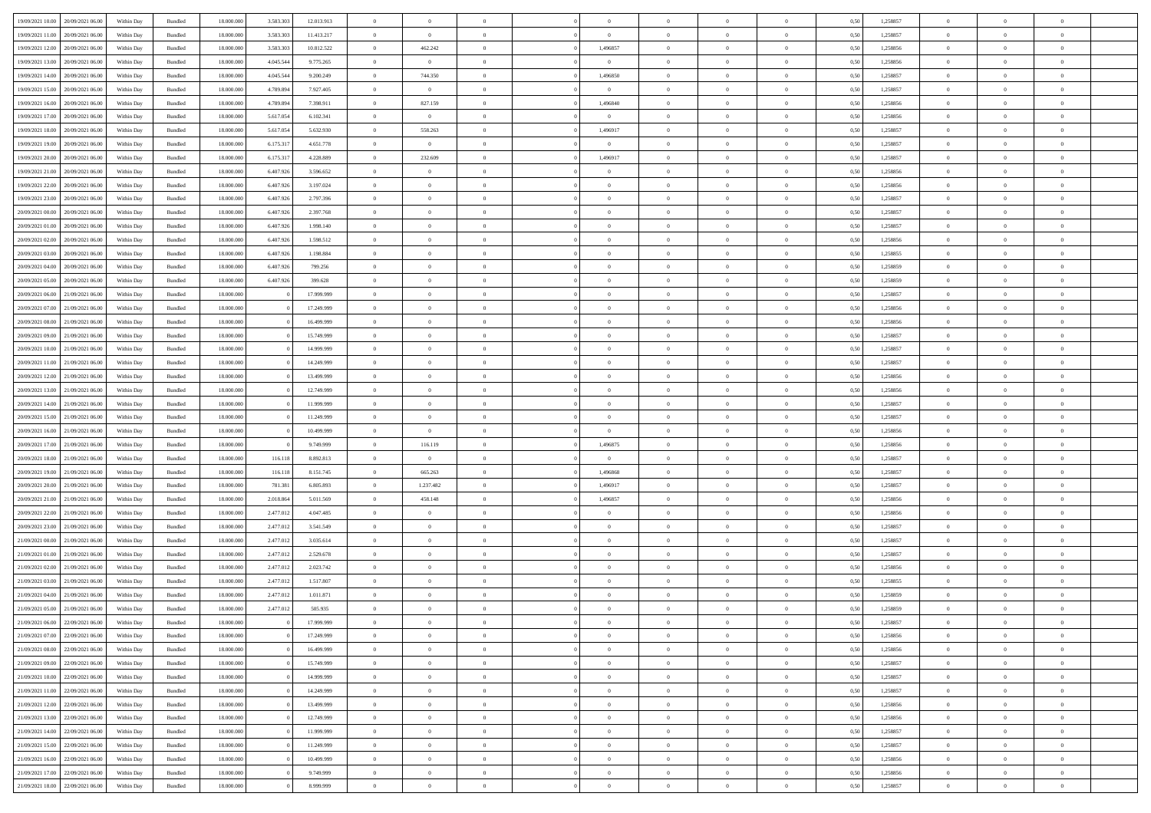|                                   |                  |            |                    |            |           |            | $\overline{0}$ | $\Omega$       |                |                | $\Omega$       | $\Omega$       | $\theta$       |      |          | $\theta$       | $\theta$       | $\theta$       |  |
|-----------------------------------|------------------|------------|--------------------|------------|-----------|------------|----------------|----------------|----------------|----------------|----------------|----------------|----------------|------|----------|----------------|----------------|----------------|--|
| 19/09/2021 10:00                  | 20/09/2021 06:00 | Within Day | Bundled            | 18.000.000 | 3.583.303 | 12.013.913 |                |                |                | $\Omega$       |                |                |                | 0.50 | 1,258857 |                |                |                |  |
| 19/09/2021 11:00                  | 20/09/2021 06:00 | Within Day | Bundled            | 18.000.000 | 3.583.303 | 11.413.217 | $\overline{0}$ | $\overline{0}$ | $\overline{0}$ | $\overline{0}$ | $\bf{0}$       | $\overline{0}$ | $\overline{0}$ | 0,50 | 1,258857 | $\theta$       | $\theta$       | $\overline{0}$ |  |
| 19/09/2021 12:00                  | 20/09/2021 06:00 | Within Day | Bundled            | 18.000.000 | 3.583.303 | 10.812.522 | $\overline{0}$ | 462.242        | $\overline{0}$ | 1,496857       | $\bf{0}$       | $\bf{0}$       | $\bf{0}$       | 0,50 | 1,258856 | $\overline{0}$ | $\overline{0}$ | $\overline{0}$ |  |
| 19/09/2021 13:00                  | 20/09/2021 06:00 | Within Dav | Bundled            | 18.000.000 | 4.045.544 | 9.775.265  | $\overline{0}$ | $\overline{0}$ | $\overline{0}$ | $\overline{0}$ | $\bf{0}$       | $\overline{0}$ | $\overline{0}$ | 0.50 | 1.258856 | $\theta$       | $\theta$       | $\overline{0}$ |  |
| 19/09/2021 14:00                  | 20/09/2021 06:00 | Within Day | Bundled            | 18.000.000 | 4.045.544 | 9.200.249  | $\overline{0}$ | 744.350        | $\overline{0}$ | 1,496850       | $\bf{0}$       | $\overline{0}$ | $\overline{0}$ | 0,50 | 1,258857 | $\theta$       | $\theta$       | $\overline{0}$ |  |
|                                   |                  |            |                    |            |           |            |                |                |                |                |                |                |                |      |          |                |                |                |  |
| 19/09/2021 15:00                  | 20/09/2021 06:00 | Within Day | Bundled            | 18.000.000 | 4.789.894 | 7.927.405  | $\overline{0}$ | $\overline{0}$ | $\overline{0}$ | $\overline{0}$ | $\bf{0}$       | $\bf{0}$       | $\mathbf{0}$   | 0,50 | 1,258857 | $\overline{0}$ | $\overline{0}$ | $\bf{0}$       |  |
| 19/09/2021 16:00                  | 20/09/2021 06:00 | Within Dav | Bundled            | 18.000.000 | 4.789.894 | 7.398.911  | $\overline{0}$ | 827.159        | $\overline{0}$ | 1,496840       | $\bf{0}$       | $\overline{0}$ | $\overline{0}$ | 0.50 | 1,258856 | $\theta$       | $\overline{0}$ | $\overline{0}$ |  |
| 19/09/2021 17:00                  | 20/09/2021 06:00 | Within Day | Bundled            | 18.000.000 | 5.617.054 | 6.102.341  | $\overline{0}$ | $\overline{0}$ | $\overline{0}$ | $\overline{0}$ | $\bf{0}$       | $\overline{0}$ | $\bf{0}$       | 0,50 | 1,258856 | $\theta$       | $\theta$       | $\overline{0}$ |  |
| 19/09/2021 18:00                  | 20/09/2021 06:00 | Within Day | Bundled            | 18.000.000 | 5.617.054 | 5.632.930  | $\overline{0}$ | 558.263        | $\overline{0}$ | 1,496917       | $\bf{0}$       | $\bf{0}$       | $\bf{0}$       | 0,50 | 1,258857 | $\,0\,$        | $\overline{0}$ | $\overline{0}$ |  |
| 19/09/2021 19:00                  | 20/09/2021 06:00 | Within Dav | Bundled            | 18.000.000 | 6.175.317 | 4.651.778  | $\overline{0}$ | $\overline{0}$ | $\overline{0}$ | $\overline{0}$ | $\overline{0}$ | $\overline{0}$ | $\overline{0}$ | 0.50 | 1,258857 | $\theta$       | $\overline{0}$ | $\overline{0}$ |  |
| 19/09/2021 20:00                  | 20/09/2021 06:00 | Within Day | Bundled            | 18.000.000 | 6.175.317 | 4.228.889  | $\overline{0}$ | 232.609        | $\overline{0}$ | 1,496917       | $\bf{0}$       | $\overline{0}$ | $\bf{0}$       | 0,50 | 1,258857 | $\theta$       | $\theta$       | $\overline{0}$ |  |
| 19/09/2021 21:00                  | 20/09/2021 06:00 | Within Day | Bundled            | 18.000.000 | 6.407.926 | 3.596.652  | $\overline{0}$ | $\bf{0}$       | $\overline{0}$ | $\overline{0}$ | $\bf{0}$       | $\overline{0}$ | $\bf{0}$       | 0,50 | 1,258856 | $\bf{0}$       | $\overline{0}$ | $\overline{0}$ |  |
|                                   |                  |            |                    |            |           |            |                |                |                |                |                |                |                |      |          |                |                |                |  |
| 19/09/2021 22:00                  | 20/09/2021 06:00 | Within Dav | Bundled            | 18.000.000 | 6.407.926 | 3.197.024  | $\overline{0}$ | $\theta$       | $\overline{0}$ | $\overline{0}$ | $\bf{0}$       | $\overline{0}$ | $\overline{0}$ | 0.50 | 1.258856 | $\theta$       | $\theta$       | $\overline{0}$ |  |
| 19/09/2021 23:00                  | 20/09/2021 06:00 | Within Day | Bundled            | 18.000.000 | 6.407.926 | 2.797.396  | $\overline{0}$ | $\theta$       | $\overline{0}$ | $\overline{0}$ | $\bf{0}$       | $\overline{0}$ | $\overline{0}$ | 0,50 | 1,258857 | $\theta$       | $\overline{0}$ | $\overline{0}$ |  |
| 20/09/2021 00:00                  | 20/09/2021 06:00 | Within Day | Bundled            | 18.000.000 | 6.407.926 | 2.397.768  | $\overline{0}$ | $\overline{0}$ | $\overline{0}$ | $\overline{0}$ | $\overline{0}$ | $\overline{0}$ | $\mathbf{0}$   | 0,50 | 1,258857 | $\bf{0}$       | $\overline{0}$ | $\bf{0}$       |  |
| 20/09/2021 01:00                  | 20/09/2021 06:00 | Within Dav | Bundled            | 18.000.000 | 6.407.926 | 1.998.140  | $\overline{0}$ | $\overline{0}$ | $\overline{0}$ | $\overline{0}$ | $\overline{0}$ | $\overline{0}$ | $\overline{0}$ | 0.50 | 1,258857 | $\theta$       | $\overline{0}$ | $\overline{0}$ |  |
| 20/09/2021 02:00                  | 20/09/2021 06:00 | Within Day | Bundled            | 18.000.000 | 6.407.926 | 1.598.512  | $\overline{0}$ | $\theta$       | $\overline{0}$ | $\overline{0}$ | $\bf{0}$       | $\overline{0}$ | $\bf{0}$       | 0,50 | 1,258856 | $\theta$       | $\theta$       | $\overline{0}$ |  |
| 20/09/2021 03:00                  | 20/09/2021 06:00 | Within Day | Bundled            | 18.000.000 | 6.407.926 | 1.198.884  | $\overline{0}$ | $\overline{0}$ | $\overline{0}$ | $\overline{0}$ | $\bf{0}$       | $\bf{0}$       | $\bf{0}$       | 0,50 | 1,258855 | $\,0\,$        | $\overline{0}$ | $\overline{0}$ |  |
| 20/09/2021 04:00                  | 20/09/2021 06:00 | Within Dav | Bundled            | 18.000.000 | 6.407.926 | 799.256    | $\overline{0}$ | $\overline{0}$ | $\overline{0}$ | $\overline{0}$ | $\overline{0}$ | $\overline{0}$ | $\overline{0}$ | 0.50 | 1,258859 | $\theta$       | $\overline{0}$ | $\overline{0}$ |  |
|                                   |                  |            |                    |            |           |            |                |                |                |                |                |                |                |      |          |                |                |                |  |
| 20/09/2021 05:00                  | 20/09/2021 06:00 | Within Day | Bundled            | 18.000.000 | 6.407.926 | 399.628    | $\overline{0}$ | $\theta$       | $\overline{0}$ | $\overline{0}$ | $\bf{0}$       | $\overline{0}$ | $\bf{0}$       | 0,50 | 1,258859 | $\theta$       | $\theta$       | $\overline{0}$ |  |
| 20/09/2021 06:00                  | 21/09/2021 06:00 | Within Day | Bundled            | 18.000.000 |           | 17.999.999 | $\overline{0}$ | $\overline{0}$ | $\overline{0}$ | $\bf{0}$       | $\bf{0}$       | $\bf{0}$       | $\bf{0}$       | 0,50 | 1,258857 | $\,0\,$        | $\overline{0}$ | $\overline{0}$ |  |
| 20/09/2021 07:00                  | 21/09/2021 06:00 | Within Day | Bundled            | 18.000.000 |           | 17.249.999 | $\overline{0}$ | $\overline{0}$ | $\overline{0}$ | $\overline{0}$ | $\bf{0}$       | $\overline{0}$ | $\overline{0}$ | 0.50 | 1.258856 | $\theta$       | $\theta$       | $\overline{0}$ |  |
| 20/09/2021 08:00                  | 21/09/2021 06:00 | Within Day | Bundled            | 18.000.000 |           | 16.499.999 | $\overline{0}$ | $\theta$       | $\overline{0}$ | $\overline{0}$ | $\bf{0}$       | $\overline{0}$ | $\bf{0}$       | 0,50 | 1,258856 | $\theta$       | $\overline{0}$ | $\overline{0}$ |  |
| 20/09/2021 09:00                  | 21/09/2021 06:00 | Within Day | Bundled            | 18.000.000 |           | 15.749.999 | $\overline{0}$ | $\overline{0}$ | $\overline{0}$ | $\bf{0}$       | $\overline{0}$ | $\bf{0}$       | $\mathbf{0}$   | 0,50 | 1,258857 | $\bf{0}$       | $\overline{0}$ | $\bf{0}$       |  |
| 20/09/2021 10:00                  | 21/09/2021 06:00 | Within Dav | Bundled            | 18.000.000 |           | 14.999.999 | $\overline{0}$ | $\overline{0}$ | $\overline{0}$ | $\overline{0}$ | $\overline{0}$ | $\overline{0}$ | $\overline{0}$ | 0.50 | 1,258857 | $\theta$       | $\overline{0}$ | $\overline{0}$ |  |
| 20/09/2021 11:00                  | 21/09/2021 06:00 |            |                    | 18.000.000 |           | 14.249.999 | $\overline{0}$ | $\theta$       | $\overline{0}$ | $\overline{0}$ | $\bf{0}$       | $\overline{0}$ |                |      | 1,258857 | $\theta$       | $\theta$       | $\overline{0}$ |  |
|                                   |                  | Within Day | Bundled            |            |           |            |                |                |                |                |                |                | $\bf{0}$       | 0,50 |          |                |                |                |  |
| 20/09/2021 12:00                  | 21/09/2021 06:00 | Within Day | Bundled            | 18.000.000 |           | 13.499.999 | $\overline{0}$ | $\overline{0}$ | $\overline{0}$ | $\bf{0}$       | $\bf{0}$       | $\bf{0}$       | $\bf{0}$       | 0,50 | 1,258856 | $\,0\,$        | $\overline{0}$ | $\overline{0}$ |  |
| 20/09/2021 13:00                  | 21/09/2021 06:00 | Within Day | Bundled            | 18.000.000 |           | 12.749.999 | $\overline{0}$ | $\overline{0}$ | $\overline{0}$ | $\overline{0}$ | $\overline{0}$ | $\overline{0}$ | $\overline{0}$ | 0.50 | 1,258856 | $\theta$       | $\overline{0}$ | $\overline{0}$ |  |
| 20/09/2021 14:00                  | 21/09/2021 06:00 | Within Day | Bundled            | 18.000.000 |           | 11.999.999 | $\overline{0}$ | $\theta$       | $\overline{0}$ | $\overline{0}$ | $\bf{0}$       | $\overline{0}$ | $\bf{0}$       | 0,50 | 1,258857 | $\,$ 0 $\,$    | $\theta$       | $\overline{0}$ |  |
| 20/09/2021 15:00                  | 21/09/2021 06:00 | Within Day | Bundled            | 18.000.000 |           | 11.249.999 | $\overline{0}$ | $\overline{0}$ | $\overline{0}$ | $\bf{0}$       | $\bf{0}$       | $\bf{0}$       | $\bf{0}$       | 0,50 | 1,258857 | $\bf{0}$       | $\overline{0}$ | $\overline{0}$ |  |
| 20/09/2021 16:00                  | 21/09/2021 06:00 | Within Day | Bundled            | 18,000,000 |           | 10.499.999 | $\overline{0}$ | $\overline{0}$ | $\Omega$       | $\Omega$       | $\Omega$       | $\Omega$       | $\overline{0}$ | 0.50 | 1,258856 | $\,0\,$        | $\theta$       | $\theta$       |  |
| 20/09/2021 17:00                  | 21/09/2021 06:00 | Within Day | Bundled            | 18.000.000 |           | 9.749.999  | $\overline{0}$ | 116.119        | $\overline{0}$ | 1,496875       | $\bf{0}$       | $\overline{0}$ | $\bf{0}$       | 0,50 | 1,258856 | $\theta$       | $\theta$       | $\overline{0}$ |  |
|                                   |                  |            |                    |            |           |            |                |                |                |                |                |                |                |      |          |                |                |                |  |
| 20/09/2021 18:00                  | 21/09/2021 06:00 | Within Day | Bundled            | 18.000.000 | 116.118   | 8.892.813  | $\overline{0}$ | $\overline{0}$ | $\overline{0}$ | $\bf{0}$       | $\bf{0}$       | $\overline{0}$ | $\mathbf{0}$   | 0,50 | 1,258857 | $\bf{0}$       | $\overline{0}$ | $\bf{0}$       |  |
| 20/09/2021 19:00                  | 21/09/2021 06:00 | Within Day | Bundled            | 18,000,000 | 116.118   | 8.151.745  | $\overline{0}$ | 665.263        | $\Omega$       | 1.496868       | $\Omega$       | $\Omega$       | $\overline{0}$ | 0.50 | 1,258857 | $\theta$       | $\theta$       | $\theta$       |  |
| 20/09/2021 20:00                  | 21/09/2021 06:00 | Within Day | Bundled            | 18.000.000 | 781.381   | 6.805.893  | $\overline{0}$ | 1.237.482      | $\overline{0}$ | 1,496917       | $\bf{0}$       | $\overline{0}$ | $\bf{0}$       | 0,50 | 1,258857 | $\theta$       | $\theta$       | $\overline{0}$ |  |
| 20/09/2021 21:00                  | 21/09/2021 06:00 | Within Day | Bundled            | 18.000.000 | 2.018.864 | 5.011.569  | $\overline{0}$ | 458.148        | $\overline{0}$ | 1,496857       | $\bf{0}$       | $\bf{0}$       | $\bf{0}$       | 0,50 | 1,258856 | $\,0\,$        | $\overline{0}$ | $\overline{0}$ |  |
| 20/09/2021 22:00                  | 21/09/2021 06:00 | Within Day | Bundled            | 18,000,000 | 2.477.012 | 4.047.485  | $\overline{0}$ | $\Omega$       | $\Omega$       | $\Omega$       | $\theta$       | $\theta$       | $\overline{0}$ | 0.50 | 1,258856 | $\theta$       | $\theta$       | $\theta$       |  |
| 20/09/2021 23:00                  | 21/09/2021 06:00 | Within Day | Bundled            | 18.000.000 | 2.477.012 | 3.541.549  | $\overline{0}$ | $\theta$       | $\overline{0}$ | $\overline{0}$ | $\bf{0}$       | $\overline{0}$ | $\bf{0}$       | 0,50 | 1,258857 | $\,$ 0 $\,$    | $\theta$       | $\overline{0}$ |  |
| 21/09/2021 00:00                  | 21/09/2021 06:00 | Within Day | Bundled            | 18.000.000 | 2.477.012 | 3.035.614  | $\overline{0}$ | $\overline{0}$ | $\overline{0}$ | $\bf{0}$       | $\bf{0}$       | $\bf{0}$       | $\bf{0}$       | 0,50 | 1,258857 | $\bf{0}$       | $\overline{0}$ | $\overline{0}$ |  |
|                                   | 21/09/2021 06:00 |            |                    | 18.000.000 | 2.477.012 |            | $\overline{0}$ | $\Omega$       | $\Omega$       | $\Omega$       | $\Omega$       | $\overline{0}$ | $\overline{0}$ | 0.50 | 1,258857 | $\,0\,$        | $\theta$       | $\theta$       |  |
| 21/09/2021 01:00                  |                  | Within Day | Bundled            |            |           | 2.529.678  |                |                |                |                |                |                |                |      |          |                |                |                |  |
| 21/09/2021 02:00                  | 21/09/2021 06:00 | Within Day | Bundled            | 18.000.000 | 2.477.012 | 2.023.742  | $\overline{0}$ | $\theta$       | $\overline{0}$ | $\overline{0}$ | $\bf{0}$       | $\overline{0}$ | $\bf{0}$       | 0,50 | 1,258856 | $\theta$       | $\overline{0}$ | $\overline{0}$ |  |
| 21/09/2021 03:00                  | 21/09/2021 06:00 | Within Day | Bundled            | 18.000.000 | 2.477.012 | 1.517.807  | $\overline{0}$ | $\overline{0}$ | $\overline{0}$ | $\bf{0}$       | $\bf{0}$       | $\bf{0}$       | $\mathbf{0}$   | 0,50 | 1,258855 | $\bf{0}$       | $\overline{0}$ | $\bf{0}$       |  |
| 21/09/2021 04:00                  | 21/09/2021 06:00 | Within Day | Bundled            | 18,000,000 | 2.477.012 | 1.011.871  | $\overline{0}$ | $\Omega$       | $\Omega$       | $\Omega$       | $\Omega$       | $\Omega$       | $\overline{0}$ | 0.50 | 1,258859 | $\theta$       | $\theta$       | $\theta$       |  |
| 21/09/2021 05:00                  | 21/09/2021 06:00 | Within Day | Bundled            | 18.000.000 | 2.477.012 | 505.935    | $\overline{0}$ | $\,$ 0 $\,$    | $\overline{0}$ | $\bf{0}$       | $\,$ 0         | $\bf{0}$       | $\bf{0}$       | 0,50 | 1,258859 | $\,0\,$        | $\overline{0}$ | $\overline{0}$ |  |
| 21/09/2021 06:00 22/09/2021 06:00 |                  | Within Day | $\mathbf B$ undled | 18.000.000 |           | 17.999.999 | $\bf{0}$       | $\bf{0}$       |                |                |                |                |                | 0,50 | 1,258857 | $\bf{0}$       | $\overline{0}$ |                |  |
| 21/09/2021 07:00                  | 22/09/2021 06:00 | Within Day | Bundled            | 18,000,000 |           | 17.249.999 | $\overline{0}$ | $\Omega$       | $\Omega$       | $\Omega$       | $\theta$       | $\overline{0}$ | $\overline{0}$ | 0.50 | 1,258856 | $\theta$       | $\theta$       | $\theta$       |  |
| 21/09/2021 08:00                  | 22/09/2021 06.00 | Within Day | Bundled            | 18.000.000 |           | 16.499.999 | $\overline{0}$ | $\,$ 0         | $\overline{0}$ | $\bf{0}$       | $\bf{0}$       | $\overline{0}$ | $\mathbf{0}$   | 0,50 | 1,258856 | $\,$ 0 $\,$    | $\overline{0}$ | $\overline{0}$ |  |
| 21/09/2021 09:00                  | 22/09/2021 06:00 | Within Day | Bundled            | 18.000.000 |           | 15.749.999 | $\overline{0}$ | $\overline{0}$ | $\overline{0}$ | $\overline{0}$ | $\overline{0}$ | $\overline{0}$ | $\mathbf{0}$   | 0,50 | 1,258857 | $\overline{0}$ | $\bf{0}$       | $\bf{0}$       |  |
|                                   |                  |            |                    |            |           |            |                |                |                |                |                |                |                |      |          |                |                |                |  |
| 21/09/2021 10:00                  | 22/09/2021 06:00 | Within Day | Bundled            | 18,000,000 |           | 14.999.999 | $\overline{0}$ | $\theta$       | $\overline{0}$ | $\Omega$       | $\overline{0}$ | $\overline{0}$ | $\bf{0}$       | 0.50 | 1,258857 | $\,$ 0 $\,$    | $\theta$       | $\overline{0}$ |  |
| 21/09/2021 11:00                  | 22/09/2021 06.00 | Within Day | Bundled            | 18.000.000 |           | 14.249.999 | $\overline{0}$ | $\,$ 0         | $\overline{0}$ | $\overline{0}$ | $\bf{0}$       | $\bf{0}$       | $\bf{0}$       | 0,50 | 1,258857 | $\,$ 0 $\,$    | $\overline{0}$ | $\overline{0}$ |  |
| 21/09/2021 12:00                  | 22/09/2021 06:00 | Within Day | Bundled            | 18.000.000 |           | 13.499.999 | $\overline{0}$ | $\overline{0}$ | $\overline{0}$ | $\overline{0}$ | $\overline{0}$ | $\overline{0}$ | $\mathbf{0}$   | 0,50 | 1,258856 | $\overline{0}$ | $\overline{0}$ | $\bf{0}$       |  |
| 21/09/2021 13:00                  | 22/09/2021 06:00 | Within Day | Bundled            | 18,000,000 |           | 12.749.999 | $\overline{0}$ | $\overline{0}$ | $\overline{0}$ | $\Omega$       | $\overline{0}$ | $\overline{0}$ | $\bf{0}$       | 0.50 | 1,258856 | $\overline{0}$ | $\theta$       | $\overline{0}$ |  |
| 21/09/2021 14:00                  | 22/09/2021 06.00 | Within Day | Bundled            | 18.000.000 |           | 11.999.999 | $\overline{0}$ | $\theta$       | $\overline{0}$ | $\overline{0}$ | $\bf{0}$       | $\bf{0}$       | $\bf{0}$       | 0,50 | 1,258857 | $\,$ 0 $\,$    | $\overline{0}$ | $\overline{0}$ |  |
| 21/09/2021 15:00                  | 22/09/2021 06:00 | Within Day | Bundled            | 18.000.000 |           | 11.249.999 | $\overline{0}$ | $\bf{0}$       | $\overline{0}$ | $\overline{0}$ | $\overline{0}$ | $\bf{0}$       | $\mathbf{0}$   | 0,50 | 1,258857 | $\overline{0}$ | $\overline{0}$ | $\bf{0}$       |  |
|                                   |                  |            |                    |            |           |            |                |                |                |                |                |                |                |      |          |                |                |                |  |
| 21/09/2021 16:00                  | 22/09/2021 06:00 | Within Day | Bundled            | 18,000,000 |           | 10.499.999 | $\overline{0}$ | $\overline{0}$ | $\overline{0}$ | $\Omega$       | $\overline{0}$ | $\overline{0}$ | $\overline{0}$ | 0.50 | 1,258856 | $\overline{0}$ | $\theta$       | $\overline{0}$ |  |
| 21/09/2021 17:00                  | 22/09/2021 06.00 | Within Day | Bundled            | 18.000.000 |           | 9.749.999  | $\overline{0}$ | $\,$ 0 $\,$    | $\overline{0}$ | $\overline{0}$ | $\bf{0}$       | $\bf{0}$       | $\bf{0}$       | 0,50 | 1,258856 | $\,$ 0 $\,$    | $\overline{0}$ | $\overline{0}$ |  |
| 21/09/2021 18:00 22/09/2021 06:00 |                  | Within Day | Bundled            | 18.000.000 |           | 8.999.999  | $\overline{0}$ | $\bf{0}$       | $\overline{0}$ | $\bf{0}$       | $\bf{0}$       | $\overline{0}$ | $\bf{0}$       | 0,50 | 1,258857 | $\overline{0}$ | $\overline{0}$ | $\bf{0}$       |  |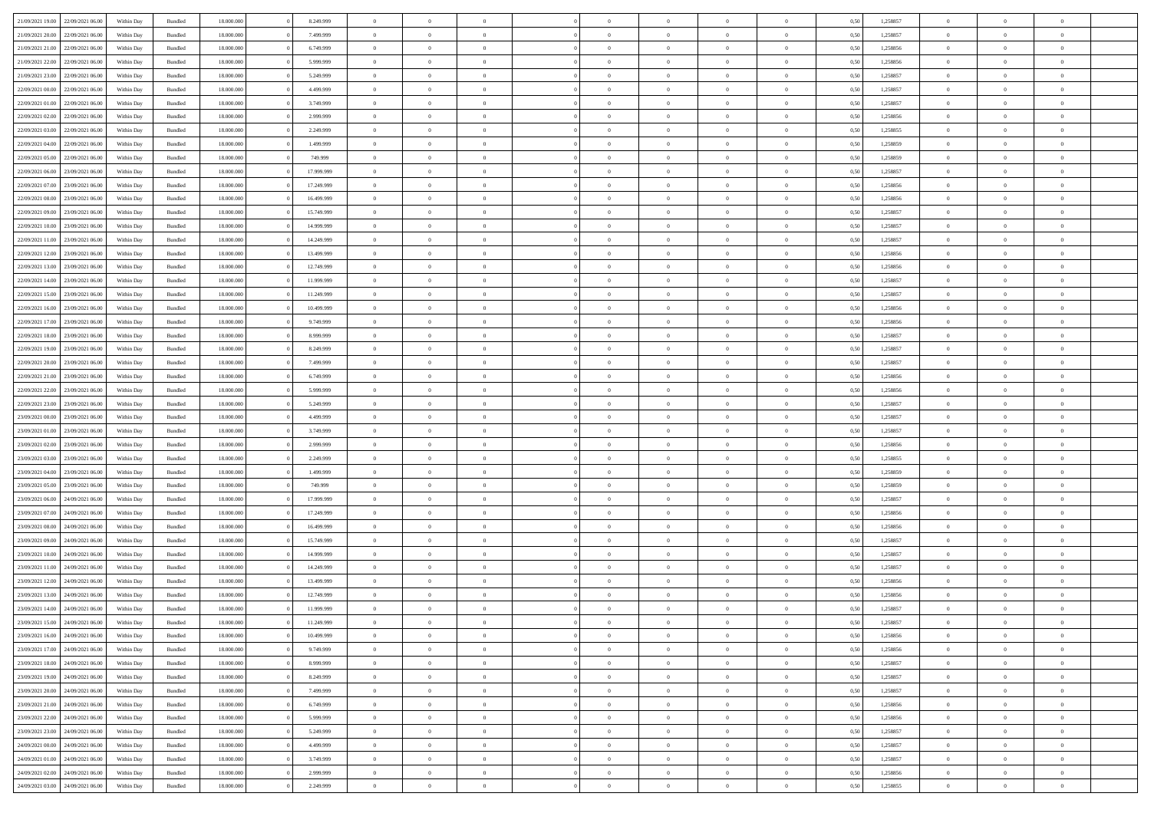|                                   |                  |            |                    |            |            | $\Omega$       |                |                |                |                |                |                |      |          |                |                |                |  |
|-----------------------------------|------------------|------------|--------------------|------------|------------|----------------|----------------|----------------|----------------|----------------|----------------|----------------|------|----------|----------------|----------------|----------------|--|
| 21/09/2021 19:00                  | 22/09/2021 06:00 | Within Dav | Bundled            | 18.000.000 | 8.249.999  |                | $\Omega$       |                | $\Omega$       | $\Omega$       | $\Omega$       | $\theta$       | 0.50 | 1,258857 | $\theta$       | $\theta$       | $\theta$       |  |
| 21/09/2021 20:00                  | 22/09/2021 06:00 | Within Day | Bundled            | 18.000.000 | 7.499.999  | $\overline{0}$ | $\theta$       | $\overline{0}$ | $\overline{0}$ | $\bf{0}$       | $\overline{0}$ | $\overline{0}$ | 0,50 | 1,258857 | $\theta$       | $\theta$       | $\overline{0}$ |  |
| 21/09/2021 21:00                  | 22/09/2021 06:00 | Within Day | Bundled            | 18.000.000 | 6.749.999  | $\overline{0}$ | $\overline{0}$ | $\overline{0}$ | $\bf{0}$       | $\bf{0}$       | $\bf{0}$       | $\bf{0}$       | 0,50 | 1,258856 | $\bf{0}$       | $\overline{0}$ | $\overline{0}$ |  |
| 21/09/2021 22:00                  | 22/09/2021 06:00 | Within Dav | Bundled            | 18.000.000 | 5.999.999  | $\overline{0}$ | $\theta$       | $\overline{0}$ | $\overline{0}$ | $\bf{0}$       | $\overline{0}$ | $\overline{0}$ | 0.50 | 1.258856 | $\theta$       | $\theta$       | $\overline{0}$ |  |
| 21/09/2021 23:00                  | 22/09/2021 06:00 | Within Day | Bundled            | 18.000.000 | 5.249.999  | $\overline{0}$ | $\theta$       | $\overline{0}$ | $\overline{0}$ | $\bf{0}$       | $\overline{0}$ | $\bf{0}$       | 0,50 | 1,258857 | $\theta$       | $\theta$       | $\overline{0}$ |  |
|                                   |                  |            |                    |            |            |                |                |                |                |                |                |                |      |          |                |                |                |  |
| 22/09/2021 00:00                  | 22/09/2021 06:00 | Within Day | Bundled            | 18.000.000 | 4.499.999  | $\overline{0}$ | $\bf{0}$       | $\overline{0}$ | $\bf{0}$       | $\overline{0}$ | $\bf{0}$       | $\mathbf{0}$   | 0,50 | 1,258857 | $\overline{0}$ | $\overline{0}$ | $\bf{0}$       |  |
| 22/09/2021 01:00                  | 22/09/2021 06:00 | Within Dav | Bundled            | 18.000.000 | 3.749.999  | $\overline{0}$ | $\overline{0}$ | $\overline{0}$ | $\overline{0}$ | $\bf{0}$       | $\overline{0}$ | $\overline{0}$ | 0.50 | 1,258857 | $\theta$       | $\theta$       | $\overline{0}$ |  |
| 22/09/2021 02:00                  | 22/09/2021 06:00 | Within Day | Bundled            | 18.000.000 | 2.999.999  | $\overline{0}$ | $\theta$       | $\overline{0}$ | $\overline{0}$ | $\bf{0}$       | $\overline{0}$ | $\bf{0}$       | 0,50 | 1,258856 | $\theta$       | $\theta$       | $\overline{0}$ |  |
| 22/09/2021 03:00                  | 22/09/2021 06:00 | Within Day | Bundled            | 18.000.000 | 2.249.999  | $\overline{0}$ | $\overline{0}$ | $\overline{0}$ | $\bf{0}$       | $\bf{0}$       | $\bf{0}$       | $\bf{0}$       | 0,50 | 1,258855 | $\,0\,$        | $\overline{0}$ | $\overline{0}$ |  |
| 22/09/2021 04:00                  | 22/09/2021 06:00 | Within Dav | Bundled            | 18.000.000 | 1.499.999  | $\overline{0}$ | $\overline{0}$ | $\overline{0}$ | $\overline{0}$ | $\overline{0}$ | $\overline{0}$ | $\overline{0}$ | 0.50 | 1,258859 | $\theta$       | $\overline{0}$ | $\overline{0}$ |  |
| 22/09/2021 05:00                  | 22/09/2021 06:00 | Within Day | Bundled            | 18.000.000 | 749.999    | $\overline{0}$ | $\theta$       | $\overline{0}$ | $\overline{0}$ | $\bf{0}$       | $\overline{0}$ | $\bf{0}$       | 0,50 | 1,258859 | $\theta$       | $\theta$       | $\overline{0}$ |  |
| 22/09/2021 06:00                  | 23/09/2021 06:00 | Within Day | Bundled            | 18.000.000 | 17.999.999 | $\overline{0}$ | $\overline{0}$ | $\overline{0}$ | $\bf{0}$       | $\bf{0}$       | $\bf{0}$       | $\bf{0}$       | 0,50 | 1,258857 | $\bf{0}$       | $\overline{0}$ | $\overline{0}$ |  |
|                                   |                  |            |                    |            |            |                |                |                |                |                |                |                |      |          |                |                |                |  |
| 22/09/2021 07:00                  | 23/09/2021 06:00 | Within Dav | Bundled            | 18.000.000 | 17.249.999 | $\overline{0}$ | $\theta$       | $\overline{0}$ | $\overline{0}$ | $\bf{0}$       | $\overline{0}$ | $\overline{0}$ | 0.50 | 1.258856 | $\theta$       | $\theta$       | $\overline{0}$ |  |
| 22/09/2021 08:00                  | 23/09/2021 06:00 | Within Day | Bundled            | 18.000.000 | 16.499.999 | $\overline{0}$ | $\theta$       | $\overline{0}$ | $\overline{0}$ | $\bf{0}$       | $\overline{0}$ | $\overline{0}$ | 0,50 | 1,258856 | $\theta$       | $\theta$       | $\overline{0}$ |  |
| 22/09/2021 09:00                  | 23/09/2021 06:00 | Within Day | Bundled            | 18.000.000 | 15.749.999 | $\overline{0}$ | $\overline{0}$ | $\overline{0}$ | $\bf{0}$       | $\overline{0}$ | $\bf{0}$       | $\mathbf{0}$   | 0,50 | 1,258857 | $\overline{0}$ | $\overline{0}$ | $\bf{0}$       |  |
| 22/09/2021 10:00                  | 23/09/2021 06:00 | Within Dav | Bundled            | 18.000.000 | 14.999.999 | $\overline{0}$ | $\overline{0}$ | $\overline{0}$ | $\overline{0}$ | $\bf{0}$       | $\overline{0}$ | $\overline{0}$ | 0.50 | 1,258857 | $\theta$       | $\overline{0}$ | $\overline{0}$ |  |
| 22/09/2021 11:00                  | 23/09/2021 06:00 | Within Day | Bundled            | 18.000.000 | 14.249.999 | $\overline{0}$ | $\theta$       | $\overline{0}$ | $\overline{0}$ | $\bf{0}$       | $\overline{0}$ | $\bf{0}$       | 0,50 | 1,258857 | $\theta$       | $\theta$       | $\overline{0}$ |  |
| 22/09/2021 12:00                  | 23/09/2021 06:00 | Within Day | Bundled            | 18.000.000 | 13.499.999 | $\overline{0}$ | $\overline{0}$ | $\overline{0}$ | $\bf{0}$       | $\bf{0}$       | $\bf{0}$       | $\bf{0}$       | 0,50 | 1,258856 | $\,0\,$        | $\overline{0}$ | $\overline{0}$ |  |
| 22/09/2021 13:00                  | 23/09/2021 06:00 | Within Dav | Bundled            | 18.000.000 | 12.749.999 | $\overline{0}$ | $\overline{0}$ | $\overline{0}$ | $\overline{0}$ | $\overline{0}$ | $\overline{0}$ | $\overline{0}$ | 0.50 | 1,258856 | $\theta$       | $\overline{0}$ | $\overline{0}$ |  |
|                                   |                  |            |                    |            |            | $\overline{0}$ | $\theta$       | $\overline{0}$ |                | $\bf{0}$       | $\overline{0}$ |                |      |          | $\theta$       | $\theta$       | $\overline{0}$ |  |
| 22/09/2021 14:00                  | 23/09/2021 06:00 | Within Day | Bundled            | 18.000.000 | 11.999.999 |                |                |                | $\overline{0}$ |                |                | $\bf{0}$       | 0,50 | 1,258857 |                |                |                |  |
| 22/09/2021 15:00                  | 23/09/2021 06:00 | Within Day | Bundled            | 18.000.000 | 11.249.999 | $\overline{0}$ | $\overline{0}$ | $\overline{0}$ | $\bf{0}$       | $\bf{0}$       | $\bf{0}$       | $\bf{0}$       | 0,50 | 1,258857 | $\,0\,$        | $\overline{0}$ | $\overline{0}$ |  |
| 22/09/2021 16:00                  | 23/09/2021 06:00 | Within Day | Bundled            | 18.000.000 | 10.499.999 | $\overline{0}$ | $\overline{0}$ | $\overline{0}$ | $\overline{0}$ | $\bf{0}$       | $\overline{0}$ | $\overline{0}$ | 0.50 | 1.258856 | $\theta$       | $\theta$       | $\overline{0}$ |  |
| 22/09/2021 17:00                  | 23/09/2021 06:00 | Within Day | Bundled            | 18.000.000 | 9.749.999  | $\overline{0}$ | $\theta$       | $\overline{0}$ | $\overline{0}$ | $\bf{0}$       | $\overline{0}$ | $\bf{0}$       | 0,50 | 1,258856 | $\theta$       | $\theta$       | $\overline{0}$ |  |
| 22/09/2021 18:00                  | 23/09/2021 06:00 | Within Day | Bundled            | 18.000.000 | 8.999.999  | $\overline{0}$ | $\bf{0}$       | $\overline{0}$ | $\bf{0}$       | $\overline{0}$ | $\bf{0}$       | $\mathbf{0}$   | 0,50 | 1,258857 | $\overline{0}$ | $\overline{0}$ | $\bf{0}$       |  |
| 22/09/2021 19:00                  | 23/09/2021 06:00 | Within Dav | Bundled            | 18.000.000 | 8.249.999  | $\overline{0}$ | $\overline{0}$ | $\overline{0}$ | $\overline{0}$ | $\overline{0}$ | $\overline{0}$ | $\overline{0}$ | 0.50 | 1,258857 | $\theta$       | $\theta$       | $\overline{0}$ |  |
| 22/09/2021 20:00                  | 23/09/2021 06:00 | Within Day | Bundled            | 18.000.000 | 7.499.999  | $\overline{0}$ | $\theta$       | $\overline{0}$ | $\overline{0}$ | $\bf{0}$       | $\overline{0}$ | $\bf{0}$       | 0,50 | 1,258857 | $\theta$       | $\theta$       | $\overline{0}$ |  |
|                                   |                  |            |                    |            |            |                |                |                |                |                |                |                |      |          |                |                |                |  |
| 22/09/2021 21:00                  | 23/09/2021 06:00 | Within Day | Bundled            | 18.000.000 | 6.749.999  | $\overline{0}$ | $\overline{0}$ | $\overline{0}$ | $\bf{0}$       | $\bf{0}$       | $\bf{0}$       | $\bf{0}$       | 0,50 | 1,258856 | $\,0\,$        | $\overline{0}$ | $\overline{0}$ |  |
| 22/09/2021 22:00                  | 23/09/2021 06:00 | Within Day | Bundled            | 18,000,000 | 5.999.999  | $\overline{0}$ | $\overline{0}$ | $\overline{0}$ | $\overline{0}$ | $\bf{0}$       | $\overline{0}$ | $\overline{0}$ | 0.50 | 1,258856 | $\theta$       | $\theta$       | $\overline{0}$ |  |
| 22/09/2021 23:00                  | 23/09/2021 06:00 | Within Day | Bundled            | 18.000.000 | 5.249.999  | $\overline{0}$ | $\theta$       | $\overline{0}$ | $\overline{0}$ | $\bf{0}$       | $\overline{0}$ | $\bf{0}$       | 0,50 | 1,258857 | $\,$ 0 $\,$    | $\theta$       | $\overline{0}$ |  |
| 23/09/2021 00:00                  | 23/09/2021 06:00 | Within Day | Bundled            | 18.000.000 | 4.499.999  | $\overline{0}$ | $\overline{0}$ | $\overline{0}$ | $\bf{0}$       | $\bf{0}$       | $\bf{0}$       | $\bf{0}$       | 0,50 | 1,258857 | $\bf{0}$       | $\overline{0}$ | $\overline{0}$ |  |
| 23/09/2021 01:00                  | 23/09/2021 06:00 | Within Day | Bundled            | 18.000.000 | 3.749.999  | $\overline{0}$ | $\Omega$       | $\Omega$       | $\Omega$       | $\Omega$       | $\Omega$       | $\overline{0}$ | 0.50 | 1,258857 | $\,0\,$        | $\Omega$       | $\theta$       |  |
| 23/09/2021 02:00                  | 23/09/2021 06:00 | Within Day | Bundled            | 18.000.000 | 2.999.999  | $\overline{0}$ | $\theta$       | $\overline{0}$ | $\overline{0}$ | $\bf{0}$       | $\overline{0}$ | $\bf{0}$       | 0,50 | 1,258856 | $\theta$       | $\theta$       | $\overline{0}$ |  |
| 23/09/2021 03:00                  | 23/09/2021 06:00 | Within Day | Bundled            | 18.000.000 | 2.249.999  | $\overline{0}$ | $\bf{0}$       | $\overline{0}$ | $\overline{0}$ | $\bf{0}$       | $\overline{0}$ | $\mathbf{0}$   | 0,50 | 1,258855 | $\overline{0}$ | $\overline{0}$ | $\bf{0}$       |  |
| 23/09/2021 04:00                  | 23/09/2021 06:00 |            | Bundled            | 18,000,000 | 1.499.999  | $\overline{0}$ | $\Omega$       | $\Omega$       | $\Omega$       | $\Omega$       | $\Omega$       | $\overline{0}$ | 0.50 | 1,258859 | $\theta$       | $\theta$       | $\theta$       |  |
|                                   |                  | Within Day |                    |            |            |                |                |                |                |                |                |                |      |          |                |                |                |  |
| 23/09/2021 05:00                  | 23/09/2021 06:00 | Within Day | Bundled            | 18.000.000 | 749.999    | $\overline{0}$ | $\theta$       | $\overline{0}$ | $\overline{0}$ | $\bf{0}$       | $\overline{0}$ | $\bf{0}$       | 0,50 | 1,258859 | $\theta$       | $\theta$       | $\overline{0}$ |  |
| 23/09/2021 06:00                  | 24/09/2021 06:00 | Within Day | Bundled            | 18.000.000 | 17.999.999 | $\overline{0}$ | $\overline{0}$ | $\overline{0}$ | $\overline{0}$ | $\bf{0}$       | $\overline{0}$ | $\bf{0}$       | 0,50 | 1,258857 | $\,0\,$        | $\overline{0}$ | $\overline{0}$ |  |
| 23/09/2021 07:00                  | 24/09/2021 06:00 | Within Day | Bundled            | 18,000,000 | 17.249.999 | $\overline{0}$ | $\Omega$       | $\Omega$       | $\Omega$       | $\Omega$       | $\Omega$       | $\overline{0}$ | 0.50 | 1,258856 | $\theta$       | $\theta$       | $\theta$       |  |
| 23/09/2021 08:00                  | 24/09/2021 06.00 | Within Day | Bundled            | 18.000.000 | 16.499.999 | $\overline{0}$ | $\theta$       | $\overline{0}$ | $\overline{0}$ | $\bf{0}$       | $\overline{0}$ | $\bf{0}$       | 0,50 | 1,258856 | $\,$ 0 $\,$    | $\theta$       | $\overline{0}$ |  |
| 23/09/2021 09:00                  | 24/09/2021 06:00 | Within Day | Bundled            | 18.000.000 | 15.749.999 | $\overline{0}$ | $\overline{0}$ | $\overline{0}$ | $\overline{0}$ | $\bf{0}$       | $\overline{0}$ | $\bf{0}$       | 0,50 | 1,258857 | $\overline{0}$ | $\overline{0}$ | $\overline{0}$ |  |
| 23/09/2021 10:00                  | 24/09/2021 06.00 | Within Day | Bundled            | 18.000.000 | 14.999.999 | $\overline{0}$ | $\Omega$       | $\Omega$       | $\Omega$       | $\Omega$       | $\overline{0}$ | $\overline{0}$ | 0.50 | 1,258857 | $\,0\,$        | $\theta$       | $\theta$       |  |
| 23/09/2021 11:00                  | 24/09/2021 06.00 | Within Day | Bundled            | 18.000.000 | 14.249.999 | $\overline{0}$ | $\theta$       | $\overline{0}$ | $\overline{0}$ | $\bf{0}$       | $\overline{0}$ | $\bf{0}$       | 0,50 | 1,258857 | $\,$ 0 $\,$    | $\theta$       | $\overline{0}$ |  |
| 23/09/2021 12:00                  | 24/09/2021 06:00 | Within Day | Bundled            | 18.000.000 | 13.499.999 | $\overline{0}$ | $\overline{0}$ | $\overline{0}$ | $\overline{0}$ | $\bf{0}$       | $\overline{0}$ | $\mathbf{0}$   | 0,50 | 1,258856 | $\overline{0}$ | $\overline{0}$ | $\bf{0}$       |  |
|                                   |                  |            |                    |            |            |                |                |                |                |                |                |                |      |          |                |                |                |  |
| 23/09/2021 13:00                  | 24/09/2021 06:00 | Within Day | Bundled            | 18,000,000 | 12.749.999 | $\overline{0}$ | $\Omega$       | $\Omega$       | $\Omega$       | $\Omega$       | $\Omega$       | $\overline{0}$ | 0.50 | 1,258856 | $\theta$       | $\Omega$       | $\theta$       |  |
| 23/09/2021 14:00                  | 24/09/2021 06:00 | Within Day | Bundled            | 18.000.000 | 11.999.999 | $\overline{0}$ | $\overline{0}$ | $\overline{0}$ | $\bf{0}$       | $\,$ 0         | $\overline{0}$ | $\bf{0}$       | 0,50 | 1,258857 | $\,0\,$        | $\overline{0}$ | $\overline{0}$ |  |
| 23/09/2021 15:00 24/09/2021 06:00 |                  | Within Day | $\mathbf B$ undled | 18.000.000 | 11.249.999 | $\bf{0}$       | $\bf{0}$       |                |                | $\bf{0}$       |                |                | 0,50 | 1,258857 | $\bf{0}$       | $\overline{0}$ |                |  |
| 23/09/2021 16:00                  | 24/09/2021 06:00 | Within Day | Bundled            | 18,000,000 | 10.499.999 | $\overline{0}$ | $\overline{0}$ | $\overline{0}$ | $\Omega$       | $\overline{0}$ | $\overline{0}$ | $\overline{0}$ | 0.50 | 1,258856 | $\theta$       | $\theta$       | $\theta$       |  |
| 23/09/2021 17:00                  | 24/09/2021 06.00 | Within Day | Bundled            | 18.000.000 | 9.749.999  | $\overline{0}$ | $\,$ 0         | $\overline{0}$ | $\overline{0}$ | $\,$ 0 $\,$    | $\overline{0}$ | $\mathbf{0}$   | 0,50 | 1,258856 | $\,$ 0 $\,$    | $\,$ 0 $\,$    | $\,$ 0         |  |
| 23/09/2021 18:00                  | 24/09/2021 06:00 | Within Day | Bundled            | 18.000.000 | 8.999.999  | $\overline{0}$ | $\overline{0}$ | $\overline{0}$ | $\overline{0}$ | $\overline{0}$ | $\overline{0}$ | $\mathbf{0}$   | 0,50 | 1,258857 | $\overline{0}$ | $\bf{0}$       | $\bf{0}$       |  |
| 23/09/2021 19:00                  | 24/09/2021 06.00 | Within Day | Bundled            | 18,000,000 | 8.249.999  | $\overline{0}$ | $\overline{0}$ | $\overline{0}$ | $\Omega$       | $\overline{0}$ | $\overline{0}$ | $\overline{0}$ | 0,50 | 1,258857 | $\overline{0}$ | $\theta$       | $\overline{0}$ |  |
| 23/09/2021 20:00                  | 24/09/2021 06.00 | Within Day | Bundled            | 18.000.000 | 7.499.999  | $\overline{0}$ | $\,$ 0         | $\overline{0}$ | $\overline{0}$ | $\,$ 0 $\,$    | $\overline{0}$ | $\mathbf{0}$   | 0,50 | 1,258857 | $\,$ 0 $\,$    | $\overline{0}$ | $\overline{0}$ |  |
|                                   |                  |            |                    |            |            |                |                |                |                |                |                |                |      |          |                |                |                |  |
| 23/09/2021 21:00                  | 24/09/2021 06:00 | Within Day | Bundled            | 18.000.000 | 6.749.999  | $\overline{0}$ | $\overline{0}$ | $\overline{0}$ | $\overline{0}$ | $\overline{0}$ | $\overline{0}$ | $\mathbf{0}$   | 0,50 | 1,258856 | $\overline{0}$ | $\overline{0}$ | $\bf{0}$       |  |
| 23/09/2021 22:00                  | 24/09/2021 06:00 | Within Day | Bundled            | 18,000,000 | 5.999.999  | $\overline{0}$ | $\overline{0}$ | $\overline{0}$ | $\Omega$       | $\overline{0}$ | $\overline{0}$ | $\bf{0}$       | 0.50 | 1,258856 | $\overline{0}$ | $\theta$       | $\overline{0}$ |  |
| 23/09/2021 23:00                  | 24/09/2021 06.00 | Within Day | Bundled            | 18.000.000 | 5.249.999  | $\overline{0}$ | $\,$ 0         | $\overline{0}$ | $\bf{0}$       | $\bf{0}$       | $\bf{0}$       | $\bf{0}$       | 0,50 | 1,258857 | $\,$ 0 $\,$    | $\overline{0}$ | $\overline{0}$ |  |
| 24/09/2021 00:00                  | 24/09/2021 06:00 | Within Day | Bundled            | 18.000.000 | 4.499.999  | $\overline{0}$ | $\bf{0}$       | $\overline{0}$ | $\overline{0}$ | $\overline{0}$ | $\overline{0}$ | $\mathbf{0}$   | 0,50 | 1,258857 | $\overline{0}$ | $\overline{0}$ | $\bf{0}$       |  |
| 24/09/2021 01:00                  | 24/09/2021 06:00 | Within Day | Bundled            | 18,000,000 | 3.749.999  | $\overline{0}$ | $\overline{0}$ | $\overline{0}$ | $\Omega$       | $\overline{0}$ | $\overline{0}$ | $\overline{0}$ | 0.50 | 1,258857 | $\overline{0}$ | $\overline{0}$ | $\overline{0}$ |  |
| 24/09/2021 02:00                  | 24/09/2021 06.00 | Within Day | Bundled            | 18.000.000 | 2.999.999  | $\overline{0}$ | $\bf{0}$       | $\overline{0}$ | $\overline{0}$ | $\bf{0}$       | $\bf{0}$       | $\bf{0}$       | 0,50 | 1,258856 | $\,$ 0 $\,$    | $\,$ 0 $\,$    | $\bf{0}$       |  |
|                                   |                  |            |                    |            |            |                | $\bf{0}$       |                | $\bf{0}$       | $\bf{0}$       |                |                |      |          |                | $\overline{0}$ |                |  |
| 24/09/2021 03:00 24/09/2021 06:00 |                  | Within Day | Bundled            | 18.000.000 | 2.249.999  | $\overline{0}$ |                | $\overline{0}$ |                |                | $\bf{0}$       | $\bf{0}$       | 0,50 | 1,258855 | $\overline{0}$ |                | $\bf{0}$       |  |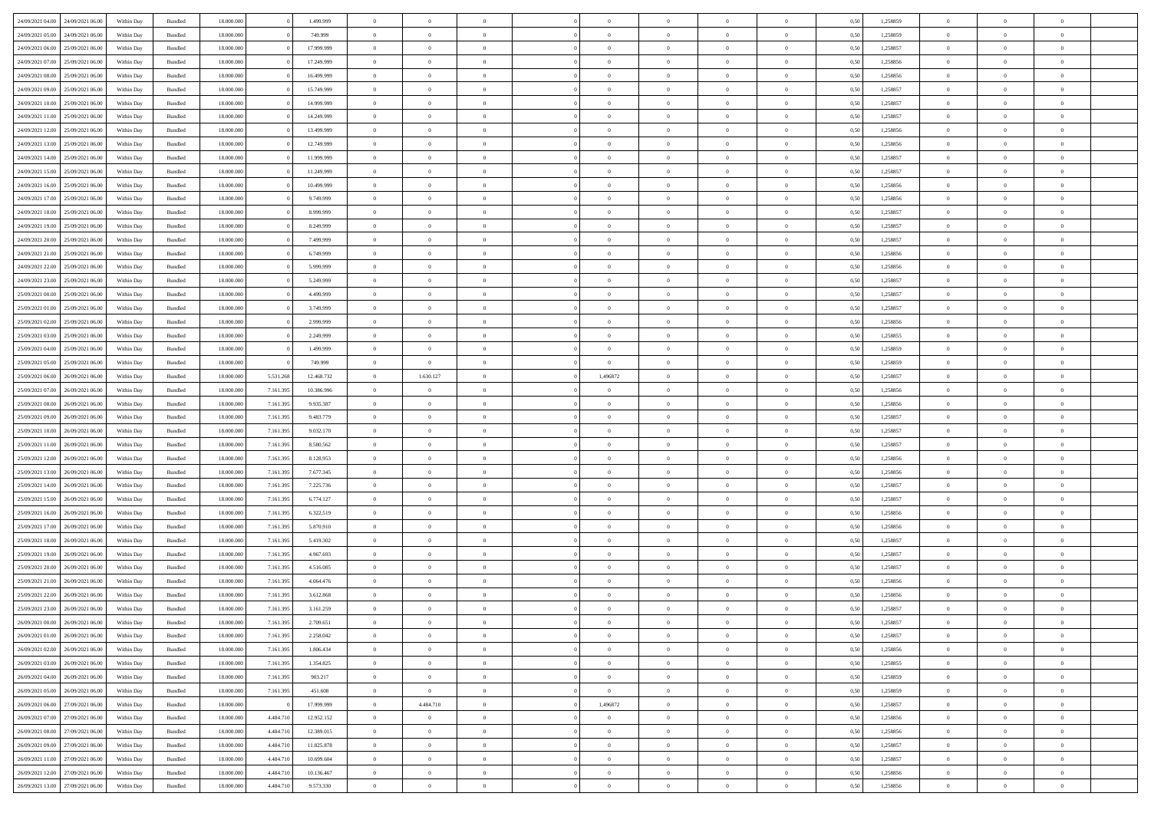|                  |                                   |            |                    |            |           |            | $\Omega$       | $\Omega$       |                |                | $\Omega$       | $\Omega$       |                |      |          | $\theta$       |                | $\theta$       |  |
|------------------|-----------------------------------|------------|--------------------|------------|-----------|------------|----------------|----------------|----------------|----------------|----------------|----------------|----------------|------|----------|----------------|----------------|----------------|--|
| 24/09/2021 04:00 | 24/09/2021 06:00                  | Within Dav | Bundled            | 18.000.000 |           | 1.499.999  |                |                |                | $\Omega$       |                |                | $\Omega$       | 0.50 | 1,258859 |                | $\theta$       |                |  |
| 24/09/2021 05:00 | 24/09/2021 06.00                  | Within Day | Bundled            | 18.000.000 |           | 749.999    | $\overline{0}$ | $\theta$       | $\overline{0}$ | $\overline{0}$ | $\bf{0}$       | $\overline{0}$ | $\overline{0}$ | 0,50 | 1,258859 | $\theta$       | $\theta$       | $\overline{0}$ |  |
| 24/09/2021 06:00 | 25/09/2021 06:00                  | Within Day | Bundled            | 18.000.000 |           | 17.999.999 | $\overline{0}$ | $\overline{0}$ | $\overline{0}$ | $\bf{0}$       | $\bf{0}$       | $\bf{0}$       | $\bf{0}$       | 0,50 | 1,258857 | $\bf{0}$       | $\overline{0}$ | $\overline{0}$ |  |
|                  |                                   |            |                    |            |           |            |                |                |                |                |                |                |                |      |          |                |                |                |  |
| 24/09/2021 07:00 | 25/09/2021 06:00                  | Within Dav | Bundled            | 18.000.000 |           | 17.249.999 | $\overline{0}$ | $\theta$       | $\overline{0}$ | $\overline{0}$ | $\bf{0}$       | $\overline{0}$ | $\overline{0}$ | 0.50 | 1.258856 | $\theta$       | $\theta$       | $\overline{0}$ |  |
| 24/09/2021 08:00 | 25/09/2021 06:00                  | Within Day | Bundled            | 18.000.000 |           | 16.499.999 | $\overline{0}$ | $\theta$       | $\overline{0}$ | $\overline{0}$ | $\bf{0}$       | $\overline{0}$ | $\bf{0}$       | 0,50 | 1,258856 | $\theta$       | $\theta$       | $\overline{0}$ |  |
| 24/09/2021 09:00 | 25/09/2021 06:00                  | Within Day | Bundled            | 18.000.000 |           | 15.749.999 | $\overline{0}$ | $\bf{0}$       | $\overline{0}$ | $\bf{0}$       | $\overline{0}$ | $\bf{0}$       | $\mathbf{0}$   | 0,50 | 1,258857 | $\overline{0}$ | $\overline{0}$ | $\bf{0}$       |  |
| 24/09/2021 10:00 | 25/09/2021 06:00                  | Within Dav | Bundled            | 18.000.000 |           | 14.999.999 | $\overline{0}$ | $\overline{0}$ | $\overline{0}$ | $\overline{0}$ | $\bf{0}$       | $\overline{0}$ | $\overline{0}$ | 0.50 | 1,258857 | $\theta$       | $\overline{0}$ | $\overline{0}$ |  |
|                  |                                   |            |                    |            |           |            |                |                |                |                |                |                |                |      |          |                |                |                |  |
| 24/09/2021 11:00 | 25/09/2021 06:00                  | Within Day | Bundled            | 18.000.000 |           | 14.249.999 | $\overline{0}$ | $\theta$       | $\overline{0}$ | $\overline{0}$ | $\bf{0}$       | $\overline{0}$ | $\bf{0}$       | 0,50 | 1,258857 | $\theta$       | $\theta$       | $\overline{0}$ |  |
| 24/09/2021 12:00 | 25/09/2021 06:00                  | Within Day | Bundled            | 18.000.000 |           | 13.499.999 | $\overline{0}$ | $\overline{0}$ | $\overline{0}$ | $\bf{0}$       | $\bf{0}$       | $\bf{0}$       | $\bf{0}$       | 0,50 | 1,258856 | $\,0\,$        | $\overline{0}$ | $\overline{0}$ |  |
| 24/09/2021 13:00 | 25/09/2021 06:00                  | Within Dav | Bundled            | 18.000.000 |           | 12.749.999 | $\overline{0}$ | $\overline{0}$ | $\overline{0}$ | $\overline{0}$ | $\overline{0}$ | $\overline{0}$ | $\overline{0}$ | 0.50 | 1,258856 | $\theta$       | $\overline{0}$ | $\overline{0}$ |  |
|                  |                                   |            |                    |            |           |            |                |                |                |                |                |                |                |      |          |                |                |                |  |
| 24/09/2021 14:00 | 25/09/2021 06:00                  | Within Day | Bundled            | 18.000.000 |           | 11.999.999 | $\overline{0}$ | $\theta$       | $\overline{0}$ | $\overline{0}$ | $\bf{0}$       | $\overline{0}$ | $\bf{0}$       | 0,50 | 1,258857 | $\theta$       | $\theta$       | $\overline{0}$ |  |
| 24/09/2021 15:00 | 25/09/2021 06:00                  | Within Day | Bundled            | 18.000.000 |           | 11.249.999 | $\overline{0}$ | $\overline{0}$ | $\overline{0}$ | $\bf{0}$       | $\bf{0}$       | $\bf{0}$       | $\bf{0}$       | 0,50 | 1,258857 | $\bf{0}$       | $\overline{0}$ | $\overline{0}$ |  |
| 24/09/2021 16:00 | 25/09/2021 06:00                  | Within Dav | Bundled            | 18.000.000 |           | 10.499.999 | $\overline{0}$ | $\theta$       | $\overline{0}$ | $\overline{0}$ | $\bf{0}$       | $\overline{0}$ | $\overline{0}$ | 0.50 | 1.258856 | $\theta$       | $\theta$       | $\overline{0}$ |  |
| 24/09/2021 17:00 | 25/09/2021 06:00                  | Within Day | Bundled            | 18.000.000 |           | 9.749.999  | $\overline{0}$ | $\theta$       | $\overline{0}$ | $\overline{0}$ | $\bf{0}$       | $\overline{0}$ | $\overline{0}$ | 0,50 | 1,258856 | $\theta$       | $\theta$       | $\overline{0}$ |  |
|                  |                                   |            |                    |            |           |            |                |                |                |                |                |                |                |      |          |                |                |                |  |
| 24/09/2021 18:00 | 25/09/2021 06:00                  | Within Day | Bundled            | 18.000.000 |           | 8.999.999  | $\overline{0}$ | $\overline{0}$ | $\overline{0}$ | $\bf{0}$       | $\overline{0}$ | $\bf{0}$       | $\mathbf{0}$   | 0,50 | 1,258857 | $\overline{0}$ | $\overline{0}$ | $\bf{0}$       |  |
| 24/09/2021 19:00 | 25/09/2021 06:00                  | Within Dav | Bundled            | 18.000.000 |           | 8.249.999  | $\overline{0}$ | $\overline{0}$ | $\overline{0}$ | $\overline{0}$ | $\overline{0}$ | $\overline{0}$ | $\overline{0}$ | 0.50 | 1,258857 | $\theta$       | $\overline{0}$ | $\overline{0}$ |  |
| 24/09/2021 20:00 | 25/09/2021 06:00                  | Within Day | Bundled            | 18.000.000 |           | 7.499.999  | $\overline{0}$ | $\theta$       | $\overline{0}$ | $\overline{0}$ | $\bf{0}$       | $\overline{0}$ | $\bf{0}$       | 0,50 | 1,258857 | $\theta$       | $\theta$       | $\overline{0}$ |  |
|                  |                                   |            |                    |            |           |            |                |                |                |                |                |                |                |      |          |                |                |                |  |
| 24/09/2021 21:00 | 25/09/2021 06:00                  | Within Day | Bundled            | 18.000.000 |           | 6.749.999  | $\overline{0}$ | $\overline{0}$ | $\overline{0}$ | $\bf{0}$       | $\bf{0}$       | $\bf{0}$       | $\bf{0}$       | 0,50 | 1,258856 | $\,0\,$        | $\overline{0}$ | $\overline{0}$ |  |
| 24/09/2021 22:00 | 25/09/2021 06:00                  | Within Dav | Bundled            | 18.000.000 |           | 5.999.999  | $\overline{0}$ | $\overline{0}$ | $\overline{0}$ | $\overline{0}$ | $\overline{0}$ | $\overline{0}$ | $\overline{0}$ | 0.50 | 1,258856 | $\theta$       | $\overline{0}$ | $\overline{0}$ |  |
| 24/09/2021 23:00 | 25/09/2021 06:00                  | Within Day | Bundled            | 18.000.000 |           | 5.249.999  | $\overline{0}$ | $\theta$       | $\overline{0}$ | $\overline{0}$ | $\bf{0}$       | $\overline{0}$ | $\bf{0}$       | 0,50 | 1,258857 | $\theta$       | $\theta$       | $\overline{0}$ |  |
| 25/09/2021 00:00 | 25/09/2021 06:00                  | Within Day | Bundled            | 18.000.000 |           | 4.499.999  | $\overline{0}$ | $\overline{0}$ | $\overline{0}$ | $\bf{0}$       | $\bf{0}$       | $\bf{0}$       | $\bf{0}$       | 0,50 | 1,258857 | $\,0\,$        | $\overline{0}$ | $\overline{0}$ |  |
|                  |                                   |            |                    |            |           |            |                |                |                |                |                |                |                |      |          |                |                |                |  |
| 25/09/2021 01:00 | 25/09/2021 06:00                  | Within Day | Bundled            | 18.000.000 |           | 3.749.999  | $\overline{0}$ | $\overline{0}$ | $\overline{0}$ | $\overline{0}$ | $\bf{0}$       | $\overline{0}$ | $\overline{0}$ | 0.50 | 1.258857 | $\theta$       | $\theta$       | $\overline{0}$ |  |
| 25/09/2021 02:00 | 25/09/2021 06:00                  | Within Day | Bundled            | 18.000.000 |           | 2.999.999  | $\overline{0}$ | $\theta$       | $\overline{0}$ | $\overline{0}$ | $\bf{0}$       | $\overline{0}$ | $\bf{0}$       | 0,50 | 1,258856 | $\theta$       | $\overline{0}$ | $\overline{0}$ |  |
| 25/09/2021 03:00 | 25/09/2021 06:00                  | Within Day | Bundled            | 18.000.000 |           | 2.249.999  | $\overline{0}$ | $\bf{0}$       | $\overline{0}$ | $\bf{0}$       | $\bf{0}$       | $\bf{0}$       | $\mathbf{0}$   | 0,50 | 1,258855 | $\overline{0}$ | $\overline{0}$ | $\bf{0}$       |  |
| 25/09/2021 04:00 | 25/09/2021 06:00                  | Within Dav | Bundled            | 18.000.000 |           | 1.499.999  | $\overline{0}$ | $\overline{0}$ | $\overline{0}$ | $\overline{0}$ | $\overline{0}$ | $\overline{0}$ | $\overline{0}$ | 0.50 | 1,258859 | $\theta$       | $\theta$       | $\overline{0}$ |  |
|                  |                                   |            |                    |            |           |            |                |                |                |                |                |                |                |      |          |                |                |                |  |
| 25/09/2021 05:00 | 25/09/2021 06:00                  | Within Day | Bundled            | 18.000.000 |           | 749.999    | $\overline{0}$ | $\overline{0}$ | $\overline{0}$ | $\overline{0}$ | $\bf{0}$       | $\overline{0}$ | $\bf{0}$       | 0,50 | 1,258859 | $\theta$       | $\theta$       | $\overline{0}$ |  |
| 25/09/2021 06:00 | 26/09/2021 06:00                  | Within Day | Bundled            | 18.000.000 | 5.531.268 | 12.468.732 | $\overline{0}$ | 1.630.127      | $\overline{0}$ | 1,496872       | $\bf{0}$       | $\bf{0}$       | $\bf{0}$       | 0,50 | 1,258857 | $\,0\,$        | $\overline{0}$ | $\overline{0}$ |  |
| 25/09/2021 07:00 | 26/09/2021 06:00                  | Within Day | Bundled            | 18.000.000 | 7.161.395 | 10.386.996 | $\overline{0}$ | $\overline{0}$ | $\overline{0}$ | $\overline{0}$ | $\overline{0}$ | $\overline{0}$ | $\overline{0}$ | 0.50 | 1,258856 | $\theta$       | $\overline{0}$ | $\overline{0}$ |  |
| 25/09/2021 08:00 | 26/09/2021 06:00                  | Within Day | Bundled            | 18.000.000 | 7.161.395 | 9.935.387  | $\overline{0}$ | $\theta$       | $\overline{0}$ | $\overline{0}$ | $\bf{0}$       | $\overline{0}$ | $\bf{0}$       | 0,50 | 1,258856 | $\,$ 0 $\,$    | $\theta$       | $\overline{0}$ |  |
|                  |                                   |            |                    |            |           |            |                |                |                |                |                |                |                |      |          |                |                |                |  |
| 25/09/2021 09:00 | 26/09/2021 06:00                  | Within Day | Bundled            | 18.000.000 | 7.161.395 | 9.483.779  | $\overline{0}$ | $\overline{0}$ | $\overline{0}$ | $\bf{0}$       | $\bf{0}$       | $\bf{0}$       | $\bf{0}$       | 0,50 | 1,258857 | $\bf{0}$       | $\overline{0}$ | $\overline{0}$ |  |
| 25/09/2021 10:00 | 26/09/2021 06:00                  | Within Day | Bundled            | 18.000.000 | 7.161.395 | 9.032.170  | $\overline{0}$ | $\Omega$       | $\Omega$       | $\Omega$       | $\Omega$       | $\Omega$       | $\overline{0}$ | 0.50 | 1,258857 | $\,0\,$        | $\theta$       | $\theta$       |  |
| 25/09/2021 11:00 | 26/09/2021 06:00                  | Within Day | Bundled            | 18.000.000 | 7.161.395 | 8.580.562  | $\overline{0}$ | $\theta$       | $\overline{0}$ | $\overline{0}$ | $\bf{0}$       | $\overline{0}$ | $\bf{0}$       | 0,50 | 1,258857 | $\theta$       | $\theta$       | $\overline{0}$ |  |
|                  |                                   |            |                    |            |           |            |                |                |                |                |                |                |                |      |          |                |                |                |  |
| 25/09/2021 12:00 | 26/09/2021 06:00                  | Within Day | Bundled            | 18.000.000 | 7.161.395 | 8.128.953  | $\overline{0}$ | $\bf{0}$       | $\overline{0}$ | $\bf{0}$       | $\bf{0}$       | $\bf{0}$       | $\mathbf{0}$   | 0,50 | 1,258856 | $\overline{0}$ | $\overline{0}$ | $\bf{0}$       |  |
| 25/09/2021 13:00 | 26/09/2021 06:00                  | Within Day | Bundled            | 18,000,000 | 7.161.395 | 7.677.345  | $\overline{0}$ | $\Omega$       | $\Omega$       | $\Omega$       | $\Omega$       | $\Omega$       | $\overline{0}$ | 0.50 | 1,258856 | $\theta$       | $\theta$       | $\theta$       |  |
| 25/09/2021 14:00 | 26/09/2021 06:00                  | Within Day | Bundled            | 18.000.000 | 7.161.395 | 7.225.736  | $\overline{0}$ | $\theta$       | $\overline{0}$ | $\overline{0}$ | $\bf{0}$       | $\overline{0}$ | $\bf{0}$       | 0,50 | 1,258857 | $\theta$       | $\theta$       | $\overline{0}$ |  |
| 25/09/2021 15:00 | 26/09/2021 06:00                  | Within Day | Bundled            | 18.000.000 | 7.161.395 | 6.774.127  | $\overline{0}$ | $\overline{0}$ | $\overline{0}$ | $\bf{0}$       | $\bf{0}$       | $\bf{0}$       | $\bf{0}$       | 0,50 | 1,258857 | $\,0\,$        | $\overline{0}$ | $\overline{0}$ |  |
|                  |                                   |            |                    |            |           |            |                |                |                |                |                |                |                |      |          |                |                |                |  |
| 25/09/2021 16:00 | 26/09/2021 06:00                  | Within Day | Bundled            | 18,000,000 | 7.161.395 | 6.322.519  | $\overline{0}$ | $\Omega$       | $\Omega$       | $\Omega$       | $\Omega$       | $\theta$       | $\overline{0}$ | 0.50 | 1,258856 | $\theta$       | $\theta$       | $\theta$       |  |
| 25/09/2021 17:00 | 26/09/2021 06:00                  | Within Day | Bundled            | 18.000.000 | 7.161.395 | 5.870.910  | $\overline{0}$ | $\theta$       | $\overline{0}$ | $\overline{0}$ | $\bf{0}$       | $\overline{0}$ | $\bf{0}$       | 0,50 | 1,258856 | $\,$ 0 $\,$    | $\theta$       | $\overline{0}$ |  |
| 25/09/2021 18:00 | 26/09/2021 06:00                  | Within Day | Bundled            | 18.000.000 | 7.161.395 | 5.419.302  | $\overline{0}$ | $\overline{0}$ | $\overline{0}$ | $\bf{0}$       | $\bf{0}$       | $\bf{0}$       | $\bf{0}$       | 0,50 | 1,258857 | $\bf{0}$       | $\overline{0}$ | $\overline{0}$ |  |
| 25/09/2021 19:00 | 26/09/2021 06:00                  |            |                    | 18.000.000 | 7.161.395 | 4.967.693  | $\overline{0}$ | $\Omega$       | $\Omega$       | $\Omega$       | $\Omega$       | $\overline{0}$ | $\overline{0}$ | 0.50 | 1,258857 | $\,0\,$        | $\theta$       | $\theta$       |  |
|                  |                                   | Within Day | Bundled            |            |           |            |                |                |                |                |                |                |                |      |          |                |                |                |  |
| 25/09/2021 20:00 | 26/09/2021 06:00                  | Within Day | Bundled            | 18.000.000 | 7.161.395 | 4.516.085  | $\overline{0}$ | $\theta$       | $\overline{0}$ | $\overline{0}$ | $\bf{0}$       | $\overline{0}$ | $\bf{0}$       | 0,50 | 1,258857 | $\theta$       | $\theta$       | $\overline{0}$ |  |
| 25/09/2021 21.00 | 26/09/2021 06:00                  | Within Day | Bundled            | 18.000.000 | 7.161.395 | 4.064.476  | $\overline{0}$ | $\overline{0}$ | $\overline{0}$ | $\bf{0}$       | $\bf{0}$       | $\bf{0}$       | $\mathbf{0}$   | 0,50 | 1,258856 | $\overline{0}$ | $\overline{0}$ | $\bf{0}$       |  |
| 25/09/2021 22.00 | 26/09/2021 06:00                  | Within Day | Bundled            | 18,000,000 | 7.161.39  | 3.612.868  | $\overline{0}$ | $\Omega$       | $\Omega$       | $\Omega$       | $\Omega$       | $\Omega$       | $\overline{0}$ | 0.50 | 1,258856 | $\theta$       | $\theta$       | $\theta$       |  |
| 25/09/2021 23:00 | 26/09/2021 06:00                  | Within Day | Bundled            | 18.000.000 | 7.161.395 | 3.161.259  | $\overline{0}$ | $\overline{0}$ | $\overline{0}$ | $\bf{0}$       | $\,$ 0         | $\bf{0}$       | $\bf{0}$       | 0,50 | 1,258857 | $\,0\,$        | $\overline{0}$ | $\overline{0}$ |  |
|                  |                                   |            |                    |            |           |            |                |                |                |                |                |                |                |      |          |                |                |                |  |
| 26/09/2021 00:00 | 26/09/2021 06:00                  | Within Day | $\mathbf B$ undled | 18.000.000 | 7.161.395 | 2.709.651  | $\bf{0}$       | $\bf{0}$       |                |                |                |                |                | 0,50 | 1,258857 | $\bf{0}$       | $\overline{0}$ |                |  |
| 26/09/2021 01:00 | 26/09/2021 06:00                  | Within Day | Bundled            | 18,000,000 | 7.161.395 | 2.258.042  | $\overline{0}$ | $\Omega$       | $\Omega$       | $\Omega$       | $\theta$       | $\overline{0}$ | $\overline{0}$ | 0.50 | 1,258857 | $\theta$       | $\theta$       | $\theta$       |  |
| 26/09/2021 02:00 | 26/09/2021 06:00                  | Within Day | Bundled            | 18.000.000 | 7.161.395 | 1.806.434  | $\overline{0}$ | $\,$ 0         | $\overline{0}$ | $\bf{0}$       | $\,$ 0 $\,$    | $\overline{0}$ | $\mathbf{0}$   | 0,50 | 1,258856 | $\,$ 0 $\,$    | $\,$ 0 $\,$    | $\bf{0}$       |  |
|                  |                                   |            |                    |            |           |            |                |                |                |                |                |                |                |      |          |                |                |                |  |
| 26/09/2021 03:00 | 26/09/2021 06:00                  | Within Day | Bundled            | 18.000.000 | 7.161.395 | 1.354.825  | $\overline{0}$ | $\overline{0}$ | $\overline{0}$ | $\overline{0}$ | $\overline{0}$ | $\overline{0}$ | $\mathbf{0}$   | 0,50 | 1,258855 | $\overline{0}$ | $\bf{0}$       | $\bf{0}$       |  |
| 26/09/2021 04:00 | 26/09/2021 06:00                  | Within Day | Bundled            | 18.000.000 | 7.161.395 | 903.217    | $\overline{0}$ | $\overline{0}$ | $\overline{0}$ | $\Omega$       | $\overline{0}$ | $\overline{0}$ | $\overline{0}$ | 0,50 | 1,258859 | $\overline{0}$ | $\theta$       | $\overline{0}$ |  |
| 26/09/2021 05:00 | 26/09/2021 06:00                  | Within Day | Bundled            | 18.000.000 | 7.161.395 | 451.608    | $\overline{0}$ | $\overline{0}$ | $\overline{0}$ | $\bf{0}$       | $\,$ 0 $\,$    | $\overline{0}$ | $\mathbf{0}$   | 0,50 | 1,258859 | $\,$ 0 $\,$    | $\overline{0}$ | $\overline{0}$ |  |
| 26/09/2021 06:00 | 27/09/2021 06:00                  | Within Day | Bundled            | 18.000.000 |           | 17.999.999 | $\overline{0}$ | 4.484.710      | $\overline{0}$ | 1,496872       | $\overline{0}$ | $\overline{0}$ | $\mathbf{0}$   | 0,50 | 1,258857 | $\overline{0}$ | $\overline{0}$ | $\bf{0}$       |  |
|                  |                                   |            |                    |            |           |            |                |                |                |                |                |                |                |      |          |                |                |                |  |
| 26/09/2021 07:00 | 27/09/2021 06:00                  | Within Day | Bundled            | 18.000.000 | 4.484.710 | 12.952.152 | $\overline{0}$ | $\overline{0}$ | $\overline{0}$ | $\overline{0}$ | $\overline{0}$ | $\overline{0}$ | $\bf{0}$       | 0.50 | 1,258856 | $\overline{0}$ | $\theta$       | $\overline{0}$ |  |
| 26/09/2021 08:00 | 27/09/2021 06.00                  | Within Day | Bundled            | 18.000.000 | 4.484.710 | 12.389.015 | $\overline{0}$ | $\overline{0}$ | $\overline{0}$ | $\bf{0}$       | $\bf{0}$       | $\bf{0}$       | $\bf{0}$       | 0,50 | 1,258856 | $\,$ 0 $\,$    | $\overline{0}$ | $\overline{0}$ |  |
| 26/09/2021 09:00 | 27/09/2021 06:00                  | Within Day | Bundled            | 18.000.000 | 4.484.710 | 11.825.878 | $\overline{0}$ | $\bf{0}$       | $\overline{0}$ | $\overline{0}$ | $\overline{0}$ | $\overline{0}$ | $\mathbf{0}$   | 0,50 | 1,258857 | $\overline{0}$ | $\overline{0}$ | $\bf{0}$       |  |
| 26/09/2021 11:00 | 27/09/2021 06:00                  | Within Day | Bundled            | 18,000,000 | 4.484.710 | 10.699.604 | $\overline{0}$ | $\overline{0}$ | $\overline{0}$ | $\Omega$       | $\overline{0}$ | $\overline{0}$ | $\bf{0}$       | 0.50 | 1,258857 | $\overline{0}$ | $\theta$       | $\overline{0}$ |  |
|                  |                                   |            |                    |            |           |            |                |                |                |                |                |                |                |      |          |                |                |                |  |
| 26/09/2021 12:00 | 27/09/2021 06.00                  | Within Day | Bundled            | 18.000.000 | 4.484.710 | 10.136.467 | $\overline{0}$ | $\bf{0}$       | $\overline{0}$ | $\overline{0}$ | $\bf{0}$       | $\bf{0}$       | $\mathbf{0}$   | 0,50 | 1,258856 | $\,$ 0 $\,$    | $\,$ 0 $\,$    | $\bf{0}$       |  |
|                  | 26/09/2021 13:00 27/09/2021 06:00 | Within Day | Bundled            | 18.000.000 | 4.484.710 | 9.573.330  | $\overline{0}$ | $\overline{0}$ | $\overline{0}$ | $\overline{0}$ | $\bf{0}$       | $\bf{0}$       | $\mathbf{0}$   | 0,50 | 1,258856 | $\overline{0}$ | $\bf{0}$       | $\bf{0}$       |  |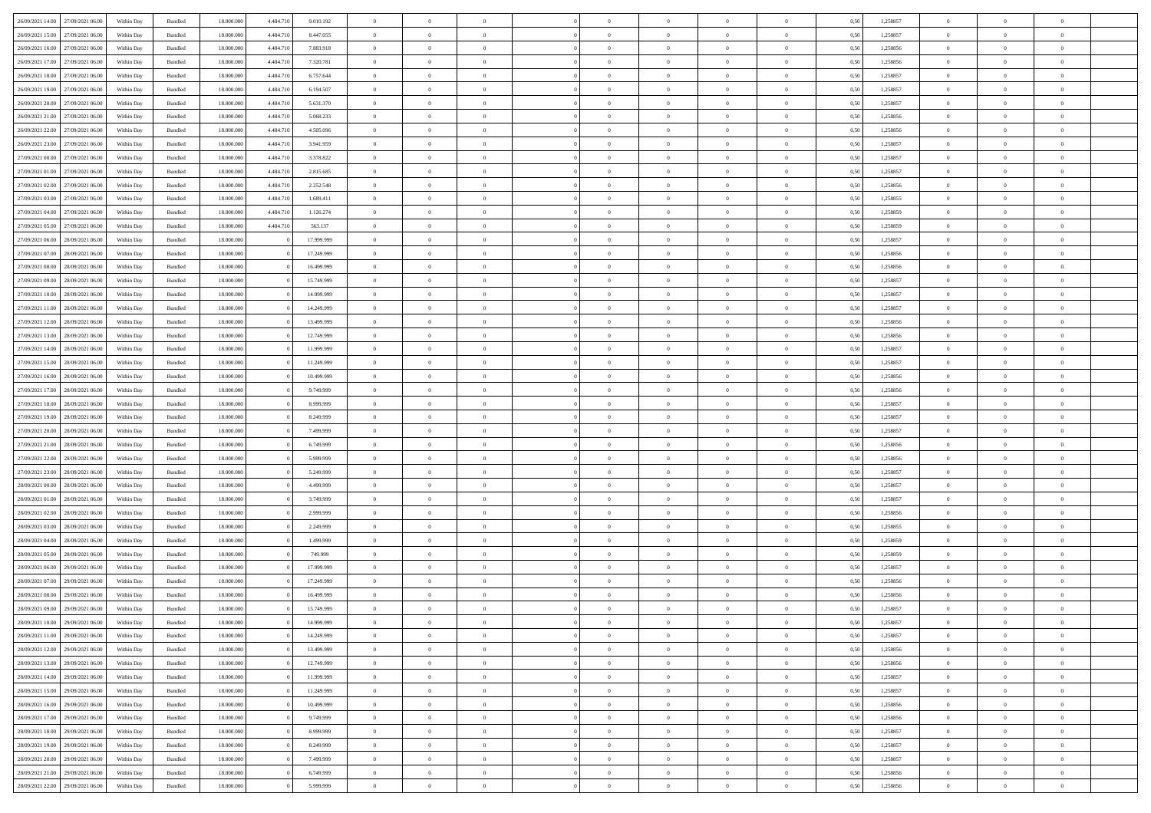| 26/09/2021 14:00 27/09/2021 06:00    | Within Day | Bundled | 18.000.000 | 4.484.710 | 9.010.192  | $\overline{0}$ | $\overline{0}$ | $^{\circ}$     | $\Omega$       | $\theta$       | $\Omega$       | $\overline{0}$ | 0,50 | 1,258857 | $\theta$       | $\theta$       | $\overline{0}$ |  |
|--------------------------------------|------------|---------|------------|-----------|------------|----------------|----------------|----------------|----------------|----------------|----------------|----------------|------|----------|----------------|----------------|----------------|--|
| 26/09/2021 15:00<br>27/09/2021 06:00 | Within Day | Bundled | 18.000.000 | 4.484.710 | 8.447.055  | $\overline{0}$ | $\overline{0}$ | $\overline{0}$ | $\overline{0}$ | $\theta$       | $\overline{0}$ | $\bf{0}$       | 0,50 | 1,258857 | $\theta$       | $\theta$       | $\overline{0}$ |  |
| 26/09/2021 16:00<br>27/09/2021 06:00 | Within Day | Bundled | 18.000.000 | 4.484.710 | 7.883.918  | $\overline{0}$ | $\bf{0}$       | $\overline{0}$ | $\overline{0}$ | $\overline{0}$ | $\overline{0}$ | $\bf{0}$       | 0,50 | 1,258856 | $\bf{0}$       | $\overline{0}$ | $\overline{0}$ |  |
| 26/09/2021 17:00<br>27/09/2021 06:00 | Within Day | Bundled | 18.000.000 | 4.484.710 | 7.320.781  | $\overline{0}$ | $\overline{0}$ | $\overline{0}$ | $\overline{0}$ | $\overline{0}$ | $\overline{0}$ | $\overline{0}$ | 0.50 | 1.258856 | $\theta$       | $\theta$       | $\overline{0}$ |  |
|                                      |            |         |            |           |            |                |                |                |                |                |                |                |      |          |                |                |                |  |
| 26/09/2021 18:00<br>27/09/2021 06:00 | Within Day | Bundled | 18.000.000 | 4.484.710 | 6.757.644  | $\overline{0}$ | $\overline{0}$ | $\overline{0}$ | $\overline{0}$ | $\theta$       | $\overline{0}$ | $\bf{0}$       | 0,50 | 1,258857 | $\theta$       | $\theta$       | $\overline{0}$ |  |
| 26/09/2021 19:00<br>27/09/2021 06:00 | Within Day | Bundled | 18.000.000 | 4.484.710 | 6.194.507  | $\overline{0}$ | $\bf{0}$       | $\overline{0}$ | $\overline{0}$ | $\overline{0}$ | $\overline{0}$ | $\bf{0}$       | 0,50 | 1,258857 | $\overline{0}$ | $\overline{0}$ | $\bf{0}$       |  |
| 26/09/2021 20:00<br>27/09/2021 06:00 | Within Day | Bundled | 18.000.000 | 4.484.710 | 5.631.370  | $\overline{0}$ | $\overline{0}$ | $\overline{0}$ | $\overline{0}$ | $\overline{0}$ | $\overline{0}$ | $\overline{0}$ | 0.5( | 1,258857 | $\theta$       | $\theta$       | $\overline{0}$ |  |
| 26/09/2021 21:00<br>27/09/2021 06:00 | Within Day | Bundled | 18.000.000 | 4.484.710 | 5.068.233  | $\bf{0}$       | $\overline{0}$ | $\overline{0}$ | $\overline{0}$ | $\theta$       | $\overline{0}$ | $\bf{0}$       | 0,50 | 1,258856 | $\theta$       | $\theta$       | $\overline{0}$ |  |
| 26/09/2021 22:00<br>27/09/2021 06.00 | Within Day | Bundled | 18.000.000 | 4.484.710 | 4.505.096  | $\overline{0}$ | $\bf{0}$       | $\overline{0}$ | $\overline{0}$ | $\overline{0}$ | $\bf{0}$       | $\bf{0}$       | 0,50 | 1,258856 | $\bf{0}$       | $\bf{0}$       | $\overline{0}$ |  |
| 26/09/2021 23:00<br>27/09/2021 06:00 | Within Day | Bundled | 18.000.000 | 4.484.710 | 3.941.959  | $\overline{0}$ | $\overline{0}$ | $\overline{0}$ | $\overline{0}$ | $\overline{0}$ | $\overline{0}$ | $\overline{0}$ | 0.50 | 1,258857 | $\theta$       | $\theta$       | $\overline{0}$ |  |
| 27/09/2021 00:00<br>27/09/2021 06:00 | Within Day | Bundled | 18.000.000 | 4.484.710 | 3.378.822  | $\bf{0}$       | $\overline{0}$ | $\overline{0}$ | $\overline{0}$ | $\theta$       | $\overline{0}$ | $\bf{0}$       | 0,50 | 1,258857 | $\theta$       | $\theta$       | $\overline{0}$ |  |
|                                      |            |         |            |           |            |                |                |                |                |                |                |                |      |          |                |                |                |  |
| 27/09/2021 01:00<br>27/09/2021 06:00 | Within Day | Bundled | 18.000.000 | 4.484.710 | 2.815.685  | $\overline{0}$ | $\bf{0}$       | $\overline{0}$ | $\overline{0}$ | $\bf{0}$       | $\overline{0}$ | $\bf{0}$       | 0,50 | 1,258857 | $\bf{0}$       | $\overline{0}$ | $\overline{0}$ |  |
| 27/09/2021 02:00<br>27/09/2021 06:00 | Within Day | Bundled | 18.000.000 | 4.484.710 | 2.252.548  | $\overline{0}$ | $\overline{0}$ | $\overline{0}$ | $\overline{0}$ | $\overline{0}$ | $\overline{0}$ | $\overline{0}$ | 0.5( | 1.258856 | $\theta$       | $\theta$       | $\overline{0}$ |  |
| 27/09/2021 03:00<br>27/09/2021 06:00 | Within Day | Bundled | 18.000.000 | 4.484.710 | 1.689.411  | $\overline{0}$ | $\overline{0}$ | $\overline{0}$ | $\overline{0}$ | $\theta$       | $\overline{0}$ | $\bf{0}$       | 0,50 | 1,258855 | $\theta$       | $\theta$       | $\overline{0}$ |  |
| 27/09/2021 04:00<br>27/09/2021 06:00 | Within Day | Bundled | 18.000.000 | 4,484.710 | 1.126.274  | $\overline{0}$ | $\bf{0}$       | $\overline{0}$ | $\overline{0}$ | $\bf{0}$       | $\overline{0}$ | $\bf{0}$       | 0,50 | 1,258859 | $\bf{0}$       | $\overline{0}$ | $\bf{0}$       |  |
| 27/09/2021 05:00<br>27/09/2021 06:00 | Within Day | Bundled | 18.000.000 | 4.484.710 | 563.137    | $\overline{0}$ | $\overline{0}$ | $\overline{0}$ | $\overline{0}$ | $\overline{0}$ | $\overline{0}$ | $\overline{0}$ | 0.50 | 1.258859 | $\theta$       | $\theta$       | $\overline{0}$ |  |
| 27/09/2021 06:00<br>28/09/2021 06:00 | Within Day | Bundled | 18.000.000 |           | 17.999.999 | $\bf{0}$       | $\overline{0}$ | $\overline{0}$ | $\overline{0}$ | $\theta$       | $\overline{0}$ | $\bf{0}$       | 0,50 | 1,258857 | $\theta$       | $\theta$       | $\overline{0}$ |  |
| 27/09/2021 07:00<br>28/09/2021 06:00 | Within Day | Bundled | 18.000.000 |           | 17.249.999 | $\overline{0}$ | $\bf{0}$       | $\bf{0}$       | $\overline{0}$ | $\overline{0}$ | $\bf{0}$       | $\bf{0}$       | 0,50 | 1,258856 | $\bf{0}$       | $\overline{0}$ | $\overline{0}$ |  |
| 27/09/2021 08:00<br>28/09/2021 06:00 | Within Day | Bundled | 18.000.000 |           | 16.499.999 | $\overline{0}$ | $\overline{0}$ | $\overline{0}$ | $\overline{0}$ | $\overline{0}$ | $\overline{0}$ | $\overline{0}$ | 0.50 | 1,258856 | $\theta$       | $\theta$       | $\overline{0}$ |  |
|                                      |            |         |            |           |            |                |                |                |                |                |                |                |      |          |                |                |                |  |
| 27/09/2021 09:00<br>28/09/2021 06:00 | Within Day | Bundled | 18.000.000 |           | 15.749.999 | $\bf{0}$       | $\overline{0}$ | $\overline{0}$ | $\overline{0}$ | $\theta$       | $\overline{0}$ | $\bf{0}$       | 0,50 | 1,258857 | $\theta$       | $\theta$       | $\overline{0}$ |  |
| 27/09/2021 10:00<br>28/09/2021 06:00 | Within Day | Bundled | 18.000.000 |           | 14.999.999 | $\overline{0}$ | $\bf{0}$       | $\overline{0}$ | $\overline{0}$ | $\bf{0}$       | $\overline{0}$ | $\bf{0}$       | 0,50 | 1,258857 | $\bf{0}$       | $\overline{0}$ | $\overline{0}$ |  |
| 27/09/2021 11:00<br>28/09/2021 06:00 | Within Day | Bundled | 18.000.000 |           | 14.249.999 | $\overline{0}$ | $\overline{0}$ | $\overline{0}$ | $\overline{0}$ | $\overline{0}$ | $\overline{0}$ | $\overline{0}$ | 0.50 | 1.258857 | $\theta$       | $\theta$       | $\overline{0}$ |  |
| 27/09/2021 12:00<br>28/09/2021 06:00 | Within Day | Bundled | 18.000.000 |           | 13.499.999 | $\overline{0}$ | $\overline{0}$ | $\overline{0}$ | $\overline{0}$ | $\theta$       | $\overline{0}$ | $\bf{0}$       | 0,50 | 1,258856 | $\theta$       | $\theta$       | $\overline{0}$ |  |
| 27/09/2021 13:00<br>28/09/2021 06:00 | Within Day | Bundled | 18.000.000 |           | 12.749.999 | $\overline{0}$ | $\bf{0}$       | $\overline{0}$ | $\overline{0}$ | $\overline{0}$ | $\overline{0}$ | $\bf{0}$       | 0,50 | 1,258856 | $\overline{0}$ | $\overline{0}$ | $\bf{0}$       |  |
| 27/09/2021 14:00<br>28/09/2021 06:00 | Within Day | Bundled | 18.000.000 |           | 11.999.999 | $\overline{0}$ | $\overline{0}$ | $\overline{0}$ | $\overline{0}$ | $\overline{0}$ | $\overline{0}$ | $\overline{0}$ | 0.5( | 1,258857 | $\theta$       | $\theta$       | $\overline{0}$ |  |
| 27/09/2021 15:00<br>28/09/2021 06:00 | Within Day | Bundled | 18.000.000 |           | 11.249.999 | $\bf{0}$       | $\overline{0}$ | $\overline{0}$ | $\overline{0}$ | $\theta$       | $\overline{0}$ | $\bf{0}$       | 0,50 | 1,258857 | $\theta$       | $\theta$       | $\overline{0}$ |  |
| 27/09/2021 16:00<br>28/09/2021 06:00 | Within Day | Bundled | 18.000.000 |           | 10.499.999 | $\overline{0}$ | $\bf{0}$       | $\overline{0}$ | $\overline{0}$ | $\overline{0}$ | $\bf{0}$       | $\bf{0}$       | 0,50 | 1,258856 | $\bf{0}$       | $\bf{0}$       | $\overline{0}$ |  |
| 27/09/2021 17:00<br>28/09/2021 06:00 | Within Day | Bundled | 18.000.000 |           | 9.749.999  | $\overline{0}$ | $\overline{0}$ | $\overline{0}$ | $\overline{0}$ | $\overline{0}$ | $\overline{0}$ | $\overline{0}$ | 0.50 | 1.258856 | $\theta$       | $\theta$       | $\overline{0}$ |  |
|                                      |            |         |            |           |            |                |                |                |                |                |                |                |      |          |                |                |                |  |
| 27/09/2021 18:00<br>28/09/2021 06:00 | Within Day | Bundled | 18.000.000 |           | 8.999.999  | $\bf{0}$       | $\overline{0}$ | $\overline{0}$ | $\overline{0}$ | $\theta$       | $\overline{0}$ | $\bf{0}$       | 0,50 | 1,258857 | $\theta$       | $\theta$       | $\overline{0}$ |  |
| 27/09/2021 19:00<br>28/09/2021 06:00 | Within Day | Bundled | 18.000.000 |           | 8.249.999  | $\overline{0}$ | $\bf{0}$       | $\overline{0}$ | $\overline{0}$ | $\bf{0}$       | $\overline{0}$ | $\bf{0}$       | 0,50 | 1,258857 | $\bf{0}$       | $\overline{0}$ | $\overline{0}$ |  |
| 27/09/2021 20:00<br>28/09/2021 06:00 | Within Day | Bundled | 18,000,000 |           | 7.499.999  | $\overline{0}$ | $\overline{0}$ | $\Omega$       | $\Omega$       | $\Omega$       | $\theta$       | $\overline{0}$ | 0,50 | 1,258857 | $\,$ 0 $\,$    | $\overline{0}$ | $\theta$       |  |
| 27/09/2021 21:00<br>28/09/2021 06:00 | Within Day | Bundled | 18.000.000 |           | 6.749.999  | $\overline{0}$ | $\overline{0}$ | $\overline{0}$ | $\overline{0}$ | $\theta$       | $\overline{0}$ | $\bf{0}$       | 0,50 | 1,258856 | $\theta$       | $\theta$       | $\overline{0}$ |  |
| 27/09/2021 22:00<br>28/09/2021 06:00 | Within Day | Bundled | 18.000.000 |           | 5.999.999  | $\overline{0}$ | $\bf{0}$       | $\overline{0}$ | $\overline{0}$ | $\bf{0}$       | $\overline{0}$ | $\bf{0}$       | 0,50 | 1,258856 | $\bf{0}$       | $\overline{0}$ | $\bf{0}$       |  |
| 27/09/2021 23:00<br>28/09/2021 06:00 | Within Day | Bundled | 18,000,000 |           | 5.249.999  | $\overline{0}$ | $\overline{0}$ | $\Omega$       | $\Omega$       | $\overline{0}$ | $\Omega$       | $\overline{0}$ | 0.50 | 1,258857 | $\bf{0}$       | $\overline{0}$ | $\theta$       |  |
| 28/09/2021 00:00<br>28/09/2021 06:00 | Within Day | Bundled | 18.000.000 |           | 4.499.999  | $\bf{0}$       | $\overline{0}$ | $\overline{0}$ | $\overline{0}$ | $\theta$       | $\overline{0}$ | $\bf{0}$       | 0,50 | 1,258857 | $\theta$       | $\theta$       | $\overline{0}$ |  |
| 28/09/2021 01:00<br>28/09/2021 06:00 | Within Day | Bundled | 18.000.000 |           | 3.749.999  | $\overline{0}$ | $\bf{0}$       | $\overline{0}$ | $\overline{0}$ | $\overline{0}$ | $\bf{0}$       | $\bf{0}$       | 0,50 | 1,258857 | $\bf{0}$       | $\overline{0}$ | $\overline{0}$ |  |
| 28/09/2021 02:00<br>28/09/2021 06:00 |            |         | 18,000,000 |           |            | $\overline{0}$ | $\overline{0}$ | $\Omega$       | $\Omega$       | $\Omega$       | $\Omega$       | $\overline{0}$ | 0.50 |          | $\theta$       | $\Omega$       | $\theta$       |  |
|                                      | Within Day | Bundled |            |           | 2.999.999  |                |                |                |                |                |                |                |      | 1,258856 |                |                |                |  |
| 28/09/2021 03:00<br>28/09/2021 06:00 | Within Day | Bundled | 18.000.000 |           | 2.249.999  | $\bf{0}$       | $\overline{0}$ | $\overline{0}$ | $\overline{0}$ | $\theta$       | $\overline{0}$ | $\bf{0}$       | 0,50 | 1,258855 | $\theta$       | $\theta$       | $\overline{0}$ |  |
| 28/09/2021 04:00<br>28/09/2021 06:00 | Within Day | Bundled | 18.000.000 |           | 1.499.999  | $\overline{0}$ | $\bf{0}$       | $\overline{0}$ | $\overline{0}$ | $\overline{0}$ | $\overline{0}$ | $\bf{0}$       | 0,50 | 1,258859 | $\bf{0}$       | $\overline{0}$ | $\overline{0}$ |  |
| 28/09/2021 05:00<br>28/09/2021 06:00 | Within Day | Bundled | 18,000,000 |           | 749.999    | $\overline{0}$ | $\overline{0}$ | $\Omega$       | $\Omega$       | $\theta$       | $\theta$       | $\overline{0}$ | 0.50 | 1,258859 | $\,$ 0 $\,$    | $\overline{0}$ | $\theta$       |  |
| 28/09/2021 06:00<br>29/09/2021 06:00 | Within Day | Bundled | 18.000.000 |           | 17.999.999 | $\bf{0}$       | $\overline{0}$ | $\overline{0}$ | $\overline{0}$ | $\theta$       | $\overline{0}$ | $\bf{0}$       | 0,50 | 1,258857 | $\theta$       | $\theta$       | $\overline{0}$ |  |
| 28/09/2021 07:00<br>29/09/2021 06.00 | Within Day | Bundled | 18.000.000 |           | 17.249.999 | $\overline{0}$ | $\bf{0}$       | $\overline{0}$ | $\overline{0}$ | $\bf{0}$       | $\overline{0}$ | $\bf{0}$       | 0,50 | 1,258856 | $\overline{0}$ | $\overline{0}$ | $\bf{0}$       |  |
| 28/09/2021 08:00<br>29/09/2021 06:00 | Within Day | Bundled | 18,000,000 |           | 16.499.999 | $\overline{0}$ | $\Omega$       | $\Omega$       | $\Omega$       | $\Omega$       | $\theta$       | $\overline{0}$ | 0.50 | 1,258856 | $\theta$       | $\overline{0}$ | $\theta$       |  |
| 28/09/2021 09:00<br>29/09/2021 06:00 | Within Day | Bundled | 18.000.000 |           | 15.749.999 | $\bf{0}$       | $\bf{0}$       | $\overline{0}$ | $\overline{0}$ | $\overline{0}$ | $\bf{0}$       | $\bf{0}$       | 0,50 | 1,258857 | $\bf{0}$       | $\,0\,$        | $\overline{0}$ |  |
| 28/09/2021 10:00 29/09/2021 06:00    | Within Day | Bundled | 18.000.000 |           | 14.999.999 | $\bf{0}$       | $\bf{0}$       |                |                |                |                |                | 0,50 | 1,258857 | $\bf{0}$       | $\bf{0}$       |                |  |
|                                      |            |         |            |           |            |                |                |                |                |                |                |                |      |          |                |                |                |  |
| 28/09/2021 11:00 29/09/2021 06:00    | Within Day | Bundled | 18,000,000 |           | 14.249.999 | $\Omega$       | $\overline{0}$ | $\Omega$       | $\theta$       | $\Omega$       | $\theta$       | $\overline{0}$ | 0.50 | 1,258857 | $\theta$       | $\theta$       | $\theta$       |  |
| 28/09/2021 12:00<br>29/09/2021 06:00 | Within Day | Bundled | 18.000.000 |           | 13.499.999 | $\bf{0}$       | $\,$ 0         | $\overline{0}$ | $\overline{0}$ | $\overline{0}$ | $\bf{0}$       | $\,$ 0 $\,$    | 0,50 | 1,258856 | $\,$ 0 $\,$    | $\,$ 0 $\,$    | $\,$ 0         |  |
| 28/09/2021 13:00<br>29/09/2021 06:00 | Within Day | Bundled | 18.000.000 |           | 12.749.999 | $\overline{0}$ | $\overline{0}$ | $\overline{0}$ | $\overline{0}$ | $\overline{0}$ | $\overline{0}$ | $\bf{0}$       | 0,50 | 1,258856 | $\overline{0}$ | $\bf{0}$       | $\bf{0}$       |  |
| 28/09/2021 14:00<br>29/09/2021 06:00 | Within Day | Bundled | 18.000.000 |           | 11.999.999 | $\overline{0}$ | $\overline{0}$ | $\overline{0}$ | $\overline{0}$ | $\overline{0}$ | $\overline{0}$ | $\bf{0}$       | 0,50 | 1,258857 | $\bf{0}$       | $\theta$       | $\overline{0}$ |  |
| 28/09/2021 15:00<br>29/09/2021 06:00 | Within Day | Bundled | 18.000.000 |           | 11.249.999 | $\overline{0}$ | $\overline{0}$ | $\overline{0}$ | $\overline{0}$ | $\overline{0}$ | $\overline{0}$ | $\bf{0}$       | 0,50 | 1,258857 | $\,$ 0 $\,$    | $\,$ 0 $\,$    | $\overline{0}$ |  |
| 28/09/2021 16:00<br>29/09/2021 06:00 | Within Day | Bundled | 18.000.000 |           | 10.499.999 | $\overline{0}$ | $\overline{0}$ | $\overline{0}$ | $\overline{0}$ | $\overline{0}$ | $\overline{0}$ | $\bf{0}$       | 0,50 | 1,258856 | $\overline{0}$ | $\overline{0}$ | $\overline{0}$ |  |
| 28/09/2021 17:00<br>29/09/2021 06:00 | Within Day | Bundled | 18,000,000 |           | 9.749.999  | $\overline{0}$ | $\overline{0}$ | $\overline{0}$ | $\overline{0}$ | $\overline{0}$ | $\overline{0}$ | $\bf{0}$       | 0.50 | 1,258856 | $\overline{0}$ | $\theta$       | $\overline{0}$ |  |
| 28/09/2021 18:00<br>29/09/2021 06:00 | Within Day | Bundled | 18.000.000 |           | 8.999.999  | $\overline{0}$ | $\,$ 0         | $\overline{0}$ | $\overline{0}$ | $\overline{0}$ | $\overline{0}$ | $\bf{0}$       | 0,50 | 1,258857 | $\,$ 0 $\,$    | $\bf{0}$       | $\overline{0}$ |  |
|                                      |            |         |            |           |            |                |                |                |                |                |                |                |      |          |                |                |                |  |
| 28/09/2021 19:00<br>29/09/2021 06:00 | Within Day | Bundled | 18.000.000 |           | 8.249.999  | $\overline{0}$ | $\bf{0}$       | $\overline{0}$ | $\overline{0}$ | $\overline{0}$ | $\overline{0}$ | $\bf{0}$       | 0,50 | 1,258857 | $\overline{0}$ | $\overline{0}$ | $\bf{0}$       |  |
| 28/09/2021 20:00<br>29/09/2021 06:00 | Within Day | Bundled | 18,000,000 |           | 7.499.999  | $\overline{0}$ | $\overline{0}$ | $\overline{0}$ | $\overline{0}$ | $\overline{0}$ | $\overline{0}$ | $\bf{0}$       | 0.50 | 1,258857 | $\overline{0}$ | $\theta$       | $\overline{0}$ |  |
| 28/09/2021 21:00<br>29/09/2021 06:00 | Within Day | Bundled | 18.000.000 |           | 6.749.999  | $\overline{0}$ | $\,$ 0         | $\overline{0}$ | $\overline{0}$ | $\overline{0}$ | $\bf{0}$       | $\bf{0}$       | 0,50 | 1,258856 | $\,$ 0 $\,$    | $\,$ 0 $\,$    | $\overline{0}$ |  |
| 28/09/2021 22:00 29/09/2021 06:00    | Within Day | Bundled | 18.000.000 |           | 5.999.999  | $\overline{0}$ | $\bf{0}$       | $\overline{0}$ | $\overline{0}$ | $\bf{0}$       | $\overline{0}$ | $\bf{0}$       | 0,50 | 1,258856 | $\overline{0}$ | $\bf{0}$       | $\overline{0}$ |  |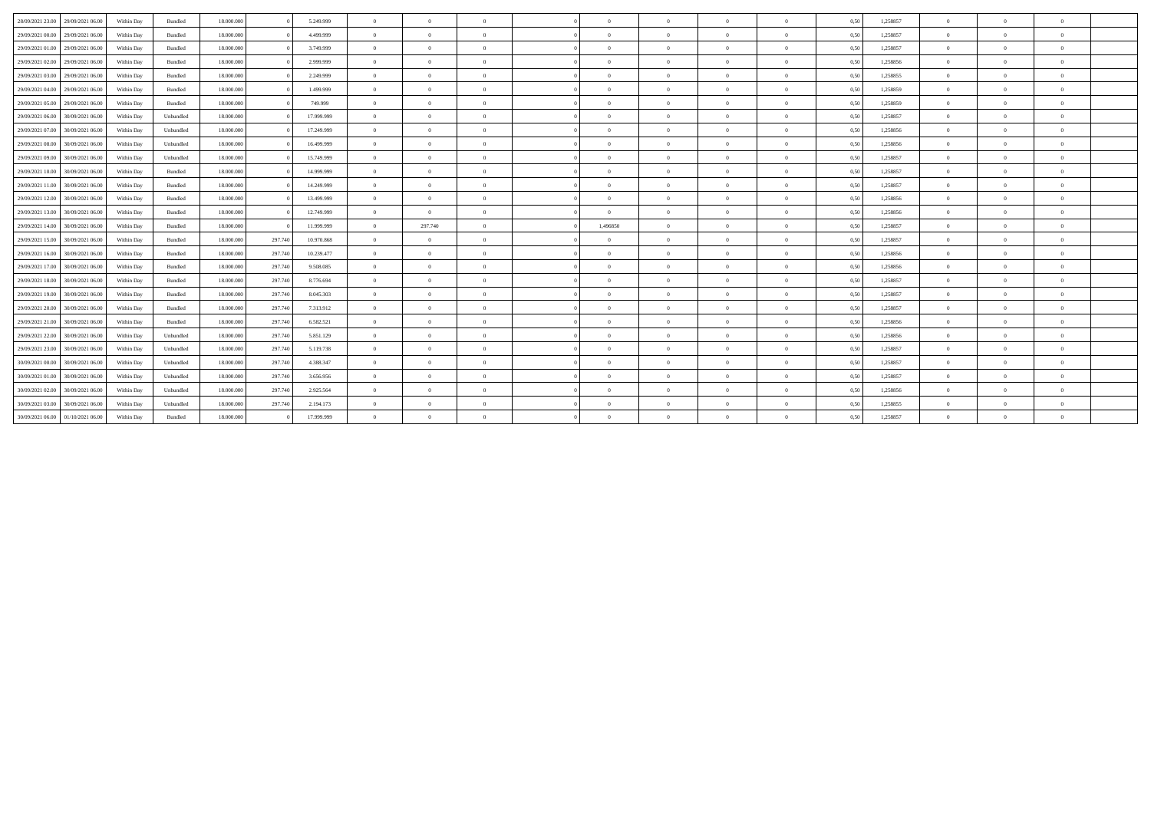| 28/09/2021 23:00<br>29/09/2021 06:00 | Within Day | Bundled   | 18,000,000 |         | 5.249.999  | $\overline{0}$ | $\Omega$       | $\sqrt{2}$     |            | $\Omega$       | $\overline{0}$ | $\Omega$       | 0,50 | 1.258857 | $\Omega$ | $\Omega$       | $\theta$       |  |
|--------------------------------------|------------|-----------|------------|---------|------------|----------------|----------------|----------------|------------|----------------|----------------|----------------|------|----------|----------|----------------|----------------|--|
| 29/09/2021 00:00<br>29/09/2021 06:00 | Within Day | Bundled   | 18,000,000 |         | 4.499.999  | $\overline{0}$ | $\theta$       | $\Omega$       |            | $\bf{0}$       | $\overline{0}$ | $\Omega$       | 0,50 | 1,258857 | $\Omega$ | $\Omega$       | $\theta$       |  |
| 29/09/2021 01:00<br>29/09/2021 06:00 | Within Day | Bundled   | 18,000,000 |         | 3.749.999  | $\overline{0}$ | $\theta$       | $\sqrt{2}$     |            | $\bf{0}$       | $\overline{0}$ | $\Omega$       | 0,50 | 1.258857 | $\Omega$ | $\Omega$       | $\theta$       |  |
| 29/09/2021 02:00<br>29/09/2021 06:00 | Within Day | Bundled   | 18,000,000 |         | 2.999.999  | $\overline{0}$ | $\theta$       | $\overline{0}$ |            | $\bf{0}$       | $\overline{0}$ | $\Omega$       | 0,50 | 1,258856 | $\Omega$ | $\Omega$       | $\overline{0}$ |  |
| 29/09/2021 03:00<br>29/09/2021 06.00 | Within Day | Bundled   | 18,000,000 |         | 2.249.999  | $\overline{0}$ | $\Omega$       | $\Omega$       |            | $\Omega$       | $\overline{0}$ | $\Omega$       | 0,50 | 1,258855 | $\Omega$ | $\Omega$       | $\theta$       |  |
| 29/09/2021 04:00<br>29/09/2021 06:00 | Within Day | Bundled   | 18,000,000 |         | 1.499.999  | $\overline{0}$ | $\theta$       | $\sqrt{2}$     |            | $\Omega$       | $\overline{0}$ | $\Omega$       | 0.50 | 1,258859 | $\Omega$ | $\Omega$       | $\theta$       |  |
| 29/09/2021 05:00<br>29/09/2021 06:00 | Within Day | Bundled   | 18.000.000 |         | 749.999    | $\overline{0}$ | $\theta$       | $\Omega$       | $\Omega$   | $\theta$       | $\overline{0}$ | $\overline{0}$ | 0,50 | 1,258859 | $\Omega$ | $\Omega$       | $\theta$       |  |
| 29/09/2021 06:00<br>30/09/2021 06:00 | Within Day | Unbundled | 18,000,000 |         | 17.999.999 | $\overline{0}$ | $\overline{0}$ | $\overline{0}$ | $^{\circ}$ | $\overline{0}$ | $\overline{0}$ | $\overline{0}$ | 0,50 | 1,258857 | $\theta$ | $\overline{0}$ | $\overline{0}$ |  |
| 29/09/2021 07:00<br>30/09/2021 06:00 | Within Day | Unbundled | 18,000,000 |         | 17.249.999 | $\overline{0}$ | $\overline{0}$ | $\theta$       |            | $\overline{0}$ | $\overline{0}$ | $\mathbf{0}$   | 0,50 | 1,258856 | $\theta$ | $\overline{0}$ | $\overline{0}$ |  |
| 29/09/2021 08:00<br>30/09/2021 06:00 | Within Day | Unbundled | 18,000,000 |         | 16.499.999 | $\theta$       | $\theta$       | $\Omega$       |            | $\Omega$       | $\overline{0}$ | $\Omega$       | 0,50 | 1,258856 | $\Omega$ | $\Omega$       | $\theta$       |  |
| 29/09/2021 09:00<br>30/09/2021 06:00 | Within Day | Unbundled | 18,000,000 |         | 15,749,999 | $\overline{0}$ | $\theta$       | $\sqrt{2}$     |            | $\Omega$       | $\overline{0}$ | $\theta$       | 0,50 | 1,258857 | $\Omega$ | $\Omega$       | $\theta$       |  |
| 29/09/2021 10:00<br>30/09/2021 06:00 | Within Day | Bundled   | 18,000,000 |         | 14,999,999 | $\overline{0}$ | $\theta$       | $\Omega$       |            | $\Omega$       | $\overline{0}$ | $\Omega$       | 0,50 | 1,258857 | $\Omega$ | $\Omega$       | $\theta$       |  |
| 29/09/2021 11:00<br>30/09/2021 06:00 | Within Day | Bundled   | 18.000.000 |         | 14.249.999 | $\overline{0}$ | $\theta$       | $\Omega$       | $\Omega$   | $\Omega$       | $\overline{0}$ | $\overline{0}$ | 0,50 | 1,258857 | $\Omega$ | $\Omega$       | $\theta$       |  |
| 29/09/2021 12:00<br>30/09/2021 06:00 | Within Day | Bundled   | 18.000.000 |         | 13.499.999 | $\theta$       | $\Omega$       | $\sqrt{2}$     |            | $\Omega$       | $\Omega$       | $\Omega$       | 0,50 | 1,258856 | $\Omega$ | $\Omega$       | $\theta$       |  |
| 29/09/2021 13:00<br>30/09/2021 06:00 | Within Day | Bundled   | 18,000,000 |         | 12.749.999 | $\overline{0}$ | $\overline{0}$ | $\overline{0}$ | $\Omega$   | $\bf{0}$       | $\overline{0}$ | $\Omega$       | 0,50 | 1,258856 | $\theta$ | $\Omega$       | $\theta$       |  |
| 29/09/2021 14:00<br>30/09/2021 06:00 | Within Day | Bundled   | 18,000,000 |         | 11.999.999 | $\overline{0}$ | 297.740        | $\Omega$       | 1,496850   | $\Omega$       | $\overline{0}$ | $\Omega$       | 0,50 | 1,258857 | $\Omega$ | $\Omega$       | $\theta$       |  |
| 29/09/2021 15:00<br>30/09/2021 06:00 | Within Day | Bundled   | 18,000,000 | 297.740 | 10.970.868 | $\overline{0}$ | $\theta$       | $\Omega$       |            | $\theta$       | $\overline{0}$ | $\Omega$       | 0,50 | 1,258857 | $\Omega$ | $\Omega$       | $\theta$       |  |
| 29/09/2021 16:00<br>30/09/2021 06:00 | Within Day | Bundled   | 18,000,000 | 297.740 | 10.239.477 | $\overline{0}$ | $\Omega$       | $\Omega$       |            | $\Omega$       | $\Omega$       | $\Omega$       | 0,50 | 1,258856 | $\Omega$ | $\Omega$       | $\theta$       |  |
| 29/09/2021 17:00<br>30/09/2021 06:00 | Within Day | Bundled   | 18.000.000 | 297.740 | 9.508.085  | $\overline{0}$ | $\theta$       | $\Omega$       | $\Omega$   | $\theta$       | $\overline{0}$ | $\Omega$       | 0,50 | 1,258856 | $\Omega$ | $\theta$       | $\theta$       |  |
| 29/09/2021 18:00<br>30/09/2021 06:00 | Within Day | Bundled   | 18.000.000 | 297.740 | 8.776.694  | $\overline{0}$ | $\overline{0}$ | $\theta$       | $^{\circ}$ | $\overline{0}$ | $\overline{0}$ | $\overline{0}$ | 0,50 | 1,258857 | $\Omega$ | $\theta$       | $\theta$       |  |
| 29/09/2021 19:00<br>30/09/2021 06:00 | Within Day | Bundled   | 18.000.000 | 297.740 | 8.045.303  | $\overline{0}$ | $\overline{0}$ | $\theta$       |            | $\overline{0}$ | $\overline{0}$ | $\Omega$       | 0,50 | 1,258857 | $\theta$ | $\Omega$       | $\overline{0}$ |  |
| 29/09/2021 20:00<br>30/09/2021 06:00 | Within Day | Bundled   | 18.000.000 | 297.740 | 7.313.912  | $\overline{0}$ | $\overline{0}$ | $\theta$       |            | $\overline{0}$ | $\overline{0}$ | $\overline{0}$ | 0,5  | 1,258857 | $\theta$ | $\Omega$       | $\overline{0}$ |  |
| 29/09/2021 21:00<br>30/09/2021 06:00 | Within Day | Bundled   | 18.000.000 | 297.740 | 6.582.521  | $\theta$       | $\theta$       | $\Omega$       |            | $\Omega$       | $\Omega$       | $\Omega$       | 0,50 | 1,258856 | $\Omega$ | $\Omega$       | $\theta$       |  |
| 29/09/2021 22:00<br>30/09/2021 06:00 | Within Day | Unbundled | 18,000,000 | 297.740 | 5.851.129  | $\theta$       | $\theta$       | $\theta$       |            | $\Omega$       | $\overline{0}$ | $\Omega$       | 0,50 | 1,258856 | $\Omega$ | $\Omega$       | $\theta$       |  |
| 29/09/2021 23:00<br>30/09/2021 06:00 | Within Day | Unbundled | 18.000.000 | 297.740 | 5.119.738  | $\overline{0}$ | $\theta$       | $\sqrt{2}$     |            | $\Omega$       | $\Omega$       | $\Omega$       | 0,50 | 1,258857 | $\Omega$ | $\Omega$       | $\theta$       |  |
| 30/09/2021 00:00<br>30/09/2021 06:00 | Within Day | Unbundled | 18.000.000 | 297.740 | 4.388.347  | $\overline{0}$ | $\Omega$       | $\Omega$       |            | $\Omega$       | $\overline{0}$ | $\Omega$       | 0,50 | 1,258857 | $\Omega$ | $\Omega$       | $\theta$       |  |
| 30/09/2021 01:00<br>30/09/2021 06:00 | Within Day | Unbundled | 18.000.000 | 297.740 | 3.656.956  | $\Omega$       | $\Omega$       | $\sqrt{2}$     |            | $\Omega$       | $\overline{0}$ | $\Omega$       | 0,50 | 1,258857 | $\Omega$ | $\Omega$       | $\theta$       |  |
| 30/09/2021 02:00<br>30/09/2021 06:00 | Within Day | Unbundled | 18,000,000 | 297.740 | 2.925.564  | $\overline{0}$ | $\theta$       | $\Omega$       |            | $\Omega$       | $\overline{0}$ | $\Omega$       | 0,50 | 1,258856 | $\theta$ | $\Omega$       | $\theta$       |  |
| 30/09/2021 03:00<br>30/09/2021 06:00 | Within Day | Unbundled | 18.000.000 | 297.740 | 2.194.173  | $\overline{0}$ | $\Omega$       | $\Omega$       |            | $\Omega$       | $\overline{0}$ | $\Omega$       | 0,50 | 1,258855 | $\Omega$ | $\Omega$       | $\theta$       |  |
| 30/09/2021 06:00 01/10/2021 06:00    | Within Day | Bundled   | 18,000,000 |         | 17.999.999 | $\Omega$       | $\Omega$       |                |            | $\Omega$       | $\Omega$       |                | 0,50 | 1,258857 | $\theta$ | $\Omega$       | $\theta$       |  |
|                                      |            |           |            |         |            |                |                |                |            |                |                |                |      |          |          |                |                |  |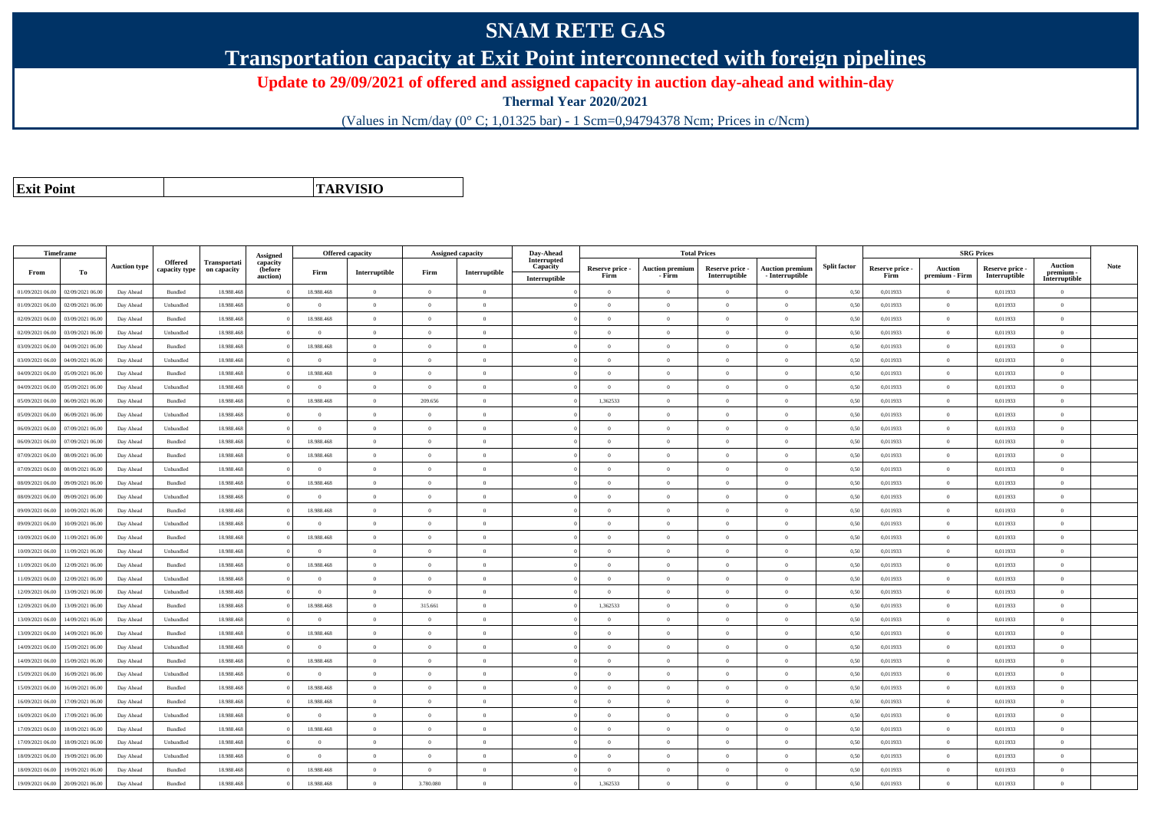## **SNAM RETE GAS**

**Transportation capacity at Exit Point interconnected with foreign pipelines**

**Update to 29/09/2021 of offered and assigned capacity in auction day-ahead and within-day**

**Thermal Year 2020/2021**

(Values in Ncm/day (0° C; 1,01325 bar) - 1 Scm=0,94794378 Ncm; Prices in c/Ncm)

**Exit Point**

**TARVISIO**

|                  | Timeframe        |                     |               |              |                      | Offered capacity |                |                | <b>Assigned capacity</b> | Day-Ahead               |                         | <b>Total Prices</b>              |                                  |                                           |                     |                         | <b>SRG Prices</b>                |                                  |                            |      |
|------------------|------------------|---------------------|---------------|--------------|----------------------|------------------|----------------|----------------|--------------------------|-------------------------|-------------------------|----------------------------------|----------------------------------|-------------------------------------------|---------------------|-------------------------|----------------------------------|----------------------------------|----------------------------|------|
|                  |                  | <b>Auction type</b> | Offered       | Transportati | Assigned<br>capacity |                  |                |                |                          | Interrupted<br>Capacity |                         |                                  |                                  |                                           | <b>Split factor</b> |                         |                                  |                                  | <b>Auction</b>             | Note |
| From             | To               |                     | capacity type | on capacity  | (before<br>auction)  | Firm             | Interruptible  | Firm           | Interruptible            | Interruptible           | Reserve price -<br>Firm | <b>Auction premium</b><br>- Firm | Reserve price -<br>Interruptible | <b>Auction premium</b><br>- Interruptible |                     | Reserve price -<br>Firm | <b>Auction</b><br>premium - Firm | Reserve price -<br>Interruptible | premium -<br>Interruptible |      |
| 01/09/2021 06:00 | 02/09/2021 06:00 | Day Ahead           | Bundled       | 18.988.468   |                      | 18.988.468       | $\overline{0}$ | $\overline{0}$ | $\theta$                 |                         | $\theta$                | $\theta$                         | $\Omega$                         | $\theta$                                  | 0.50                | 0,011933                | $\Omega$                         | 0,011933                         | $\theta$                   |      |
| 01/09/2021 06:00 | 02/09/2021 06.00 | Day Ahead           | Unbundled     | 18.988.468   |                      | $\Omega$         | $\overline{0}$ | $\Omega$       | $\theta$                 |                         | $\theta$                | $\theta$                         | $\overline{0}$                   | $\mathbf{0}$                              | 0,50                | 0,011933                | $\overline{0}$                   | 0,011933                         | $\bf{0}$                   |      |
| 02/09/2021 06:00 | 03/09/2021 06:00 | Day Ahead           | Bundled       | 18,988,468   |                      | 18,988,468       | $\overline{0}$ | $\Omega$       | $\theta$                 |                         | $\theta$                | $\theta$                         | $\theta$                         | $\theta$                                  | 0,50                | 0.011933                | $\overline{0}$                   | 0.011933                         | $\theta$                   |      |
| 02/09/2021 06:00 | 03/09/2021 06:00 | Day Ahead           | Unbundled     | 18,988,468   |                      | $\overline{0}$   | $\overline{0}$ | $\overline{0}$ | $\Omega$                 |                         | $\theta$                | $\theta$                         | $\overline{0}$                   | $\overline{0}$                            | 0,50                | 0,011933                | $\overline{0}$                   | 0.011933                         | $\Omega$                   |      |
| 03/09/2021 06:00 | 04/09/2021 06.00 | Day Ahead           | Bundled       | 18.988.468   |                      | 18.988.468       | $\overline{0}$ | $\overline{0}$ | $\theta$                 |                         | $\theta$                | $\overline{0}$                   | $\overline{0}$                   | $\mathbf{0}$                              | 0,50                | 0,011933                | $\overline{0}$                   | 0,011933                         | $\bf{0}$                   |      |
| 03/09/2021 06:00 | 04/09/2021 06.00 | Day Ahead           | Unbundled     | 18,988,468   |                      | $\theta$         | $\overline{0}$ | $\Omega$       | $\theta$                 |                         | $\theta$                | $\theta$                         | $\overline{0}$                   | $\mathbf{0}$                              | 0,50                | 0,011933                | $\overline{0}$                   | 0.011933                         | $\Omega$                   |      |
| 04/09/2021 06.00 | 05/09/2021 06.00 | Day Ahead           | Bundled       | 18.988.468   |                      | 18.988.468       | $\overline{0}$ | $\Omega$       | $\theta$                 |                         | $\theta$                | $\mathbf{a}$                     | $\theta$                         | $\theta$                                  | 0,50                | 0,011933                | $\theta$                         | 0,011933                         | $\theta$                   |      |
| 04/09/2021 06:00 | 05/09/2021 06:00 | Day Ahead           | Unbundled     | 18.988.468   |                      | $\theta$         | $\overline{0}$ | $\Omega$       | $\theta$                 |                         | $\theta$                | $\theta$                         | $\Omega$                         | $\theta$                                  | 0,50                | 0,011933                | $\overline{0}$                   | 0,011933                         | $\Omega$                   |      |
| 05/09/2021 06:00 | 06/09/2021 06:00 | Day Ahead           | Bundled       | 18,988,468   |                      | 18,988,468       | $\overline{0}$ | 209,656        | $\theta$                 |                         | 1.362533                | $\theta$                         | $\Omega$                         | $\theta$                                  | 0.50                | 0.011933                | $\overline{0}$                   | 0.011933                         | $\theta$                   |      |
| 05/09/2021 06.00 | 06/09/2021 06.00 | Day Ahead           | Unbundled     | 18.988.468   |                      | $\overline{0}$   | $\overline{0}$ | $\theta$       | $\theta$                 |                         | $\theta$                | $\theta$                         | $\overline{0}$                   | $\mathbf{0}$                              | 0,50                | 0,011933                | $\overline{0}$                   | 0,011933                         | $\bf{0}$                   |      |
| 06/09/2021 06:00 | 07/09/2021 06:00 | Day Ahead           | Unbundled     | 18.988.468   |                      | $\overline{0}$   | $\overline{0}$ | $\overline{0}$ | $\theta$                 |                         | $\overline{0}$          | $\theta$                         | $\overline{0}$                   | $\overline{0}$                            | 0,50                | 0,011933                | $\overline{0}$                   | 0,011933                         | $\bf{0}$                   |      |
| 06/09/2021 06:00 | 07/09/2021 06.00 | Day Ahead           | Bundled       | 18.988.468   |                      | 18,988,468       | $\,$ 0 $\,$    | $\Omega$       | $\Omega$                 |                         | $\overline{0}$          | $\theta$                         | $\overline{0}$                   | $\overline{0}$                            | 0,50                | 0,011933                | $\overline{0}$                   | 0,011933                         | $\Omega$                   |      |
| 07/09/2021 06:00 | 08/09/2021 06:00 | Day Ahead           | Bundled       | 18.988.468   |                      | 18.988.468       | $\overline{0}$ | $\Omega$       | $\theta$                 |                         | $\theta$                | $\theta$                         | $\theta$                         | $\theta$                                  | 0,50                | 0,011933                | $\overline{0}$                   | 0,011933                         | $\Omega$                   |      |
| 07/09/2021 06:00 | 08/09/2021 06:00 | Day Ahead           | Unbundled     | 18,988,468   |                      | $\overline{0}$   | $\overline{0}$ | $\overline{0}$ | $\theta$                 |                         | $\theta$                | $\theta$                         | $\overline{0}$                   | $\mathbf{0}$                              | 0,50                | 0.011933                | $\overline{0}$                   | 0.011933                         | $\bf{0}$                   |      |
| 08/09/2021 06:00 | 09/09/2021 06.00 | Day Ahead           | Bundled       | 18.988.468   |                      | 18.988.468       | $\overline{0}$ | $\Omega$       | $\Omega$                 |                         | $\theta$                | $\theta$                         | $\overline{0}$                   | $\mathbf{0}$                              | 0,50                | 0,011933                | $\overline{0}$                   | 0,011933                         | $\overline{0}$             |      |
| 08/09/2021 06.00 | 09/09/2021 06.00 | Day Ahead           | Unbundled     | 18.988.468   |                      | $\theta$         | $\overline{0}$ | $\Omega$       | $\Omega$                 |                         | $\Omega$                |                                  | $\overline{0}$                   | $\Omega$                                  | 0,50                | 0,011933                | $\overline{0}$                   | 0,011933                         | $\Omega$                   |      |
| 09/09/2021 06:00 | 10/09/2021 06:00 | Day Ahead           | Bundled       | 18.988.468   |                      | 18.988.468       | $\overline{0}$ | $\overline{0}$ | $\Omega$                 |                         | $\Omega$                | $\overline{0}$                   | $\overline{0}$                   | $\overline{0}$                            | 0,50                | 0,011933                | $\overline{0}$                   | 0,011933                         | $\theta$                   |      |
| 09/09/2021 06:00 | 10/09/2021 06:00 | Day Ahead           | Unbundled     | 18.988.468   |                      | $\overline{0}$   | $\overline{0}$ | $\overline{0}$ | $\theta$                 |                         | $\theta$                | $\theta$                         | $\overline{0}$                   | $\mathbf{0}$                              | 0,50                | 0,011933                | $\overline{0}$                   | 0,011933                         | $\bf{0}$                   |      |
| 10/09/2021 06:00 | 11/09/2021 06:00 | Day Ahead           | Bundled       | 18,988,468   |                      | 18,988,468       | $\theta$       | $\Omega$       | $\theta$                 |                         | $\theta$                | $\theta$                         | $\Omega$                         | $\theta$                                  | 0.50                | 0.011933                | $\Omega$                         | 0.011933                         | $\theta$                   |      |
| 10/09/2021 06:00 | 11/09/2021 06.00 | Day Ahead           | Unbundled     | 18.988.468   |                      | $\theta$         | $\overline{0}$ | $\overline{0}$ | $\theta$                 |                         | $\theta$                | $\theta$                         | $\overline{0}$                   | $\overline{0}$                            | 0,50                | 0,011933                | $\overline{0}$                   | 0,011933                         | $\Omega$                   |      |
| 11/09/2021 06:00 | 12/09/2021 06.00 | Day Ahead           | Bundled       | 18.988.468   |                      | 18.988.468       | $\overline{0}$ | $\theta$       | $\theta$                 |                         | $\theta$                | $\theta$                         | $\overline{0}$                   | $\mathbf{0}$                              | 0,50                | 0,011933                | $\overline{0}$                   | 0,011933                         | $\bf{0}$                   |      |
| 11/09/2021 06:00 | 12/09/2021 06:00 | Day Ahead           | Unbundled     | 18,988,468   |                      | $\Omega$         | $\theta$       | $\Omega$       | $\theta$                 |                         | $\Omega$                |                                  | $\Omega$                         | $\Omega$                                  | 0,50                | 0.011933                | $\Omega$                         | 0.011933                         | $\Omega$                   |      |
| 12/09/2021 06:00 | 13/09/2021 06:00 | Day Ahead           | Unbundled     | 18.988.468   |                      | $\overline{0}$   | $\overline{0}$ | $\Omega$       | $\Omega$                 |                         | $\overline{0}$          | $\theta$                         | $\overline{0}$                   | $\overline{0}$                            | 0,50                | 0,011933                | $\overline{0}$                   | 0,011933                         | $\Omega$                   |      |
| 12/09/2021 06:00 | 13/09/2021 06:00 | Day Ahead           | Bundled       | 18.988.468   |                      | 18.988.468       | $\overline{0}$ | 315.661        | $\theta$                 |                         | 1,362533                | $\overline{0}$                   | $\overline{0}$                   | $\mathbf{0}$                              | 0,50                | 0,011933                | $\overline{0}$                   | 0,011933                         | $\bf{0}$                   |      |
| 13/09/2021 06:00 | 14/09/2021 06.00 | Day Ahead           | Unbundled     | 18 988 468   |                      | $\overline{0}$   | $\overline{0}$ | $\Omega$       | $\Omega$                 |                         | $\overline{0}$          | $\theta$                         | $\overline{0}$                   | $\overline{0}$                            | 0.50                | 0,011933                | $\overline{0}$                   | 0,011933                         | $\Omega$                   |      |
| 13/09/2021 06:00 | 14/09/2021 06.00 | Day Ahead           | Bundled       | 18.988.468   |                      | 18.988.468       | $\overline{0}$ | $\overline{0}$ | $\theta$                 |                         | $\overline{0}$          | $\mathbf{a}$                     | $\Omega$                         | $\mathbf{0}$                              | 0,50                | 0,011933                | $\,$ 0 $\,$                      | 0,011933                         | $\Omega$                   |      |
| 14/09/2021 06:00 | 15/09/2021 06:00 | Day Ahead           | Unbundled     | 18.988.468   |                      | $\theta$         | $\overline{0}$ | $\Omega$       | $\theta$                 |                         | $\theta$                | $\theta$                         | $\overline{0}$                   | $\Omega$                                  | 0,50                | 0,011933                | $\overline{0}$                   | 0,011933                         | $\Omega$                   |      |
| 14/09/2021 06:00 | 15/09/2021 06:00 | Day Ahead           | Bundled       | 18.988.468   |                      | 18,988,468       | $\overline{0}$ | $\Omega$       | $\Omega$                 |                         | $\theta$                | $\mathbf{a}$                     | $\theta$                         | $\theta$                                  | 0,50                | 0,011933                | $\theta$                         | 0,011933                         | $\Omega$                   |      |
| 15/09/2021 06:00 | 16/09/2021 06:00 | Day Ahead           | Unbundled     | 18.988.468   |                      | $\overline{0}$   | $\overline{0}$ | $\overline{0}$ | $\theta$                 |                         | $\theta$                | $\theta$                         | $\overline{0}$                   | $\mathbf{0}$                              | 0,50                | 0,011933                | $\overline{0}$                   | 0,011933                         | $\bf{0}$                   |      |
| 15/09/2021 06:00 | 16/09/2021 06:00 | Day Ahead           | Bundled       | 18.988.468   |                      | 18.988.468       | $\overline{0}$ | $\overline{0}$ | $\overline{0}$           |                         | $\overline{0}$          | $\overline{0}$                   | $\overline{0}$                   | $\overline{0}$                            | 0,50                | 0,011933                | $\overline{0}$                   | 0,011933                         | $\bf{0}$                   |      |
| 16/09/2021 06:00 | 17/09/2021 06:00 | Day Ahead           | Bundled       | 18.988.468   |                      | 18.988.468       | $\,$ 0 $\,$    | $\overline{0}$ | $\overline{0}$           |                         | $\overline{0}$          | $\theta$                         | $\bf{0}$                         | $\overline{0}$                            | 0,50                | 0,011933                | $\overline{0}$                   | 0,011933                         | $\bf{0}$                   |      |
| 16/09/2021 06:00 | 17/09/2021 06.0  | Day Ahead           | Unbundled     | 18.988.468   |                      | $\overline{0}$   | $\overline{0}$ | $\overline{0}$ | $\theta$                 |                         | $\theta$                | $\theta$                         | $\overline{0}$                   | $\mathbf{0}$                              | 0,50                | 0,011933                | $\overline{0}$                   | 0,011933                         | $\bf{0}$                   |      |
| 17/09/2021 06:00 | 18/09/2021 06:00 | Day Ahead           | Bundled       | 18,988,468   |                      | 18,988,468       | $\theta$       | $\overline{0}$ | $\theta$                 |                         | $\theta$                | $\theta$                         | $\Omega$                         | $\theta$                                  | 0.50                | 0,011933                | $\Omega$                         | 0.011933                         | $\theta$                   |      |
| 17/09/2021 06:00 | 18/09/2021 06:00 | Day Ahead           | Unbundled     | 18.988.468   |                      | $\theta$         | $\overline{0}$ | $\Omega$       | $\theta$                 |                         | $\theta$                | $\theta$                         | $\overline{0}$                   | $\Omega$                                  | 0,50                | 0,011933                | $\overline{0}$                   | 0,011933                         | $\Omega$                   |      |
| 18/09/2021 06.00 | 19/09/2021 06.0  | Day Ahead           | Unbundled     | 18.988.468   |                      | $\overline{0}$   | $\overline{0}$ | $\overline{0}$ | $\theta$                 |                         | $\theta$                | $\theta$                         | $\overline{0}$                   | $\mathbf{0}$                              | 0,50                | 0,011933                | $\overline{0}$                   | 0,011933                         | $\bf{0}$                   |      |
| 18/09/2021 06:00 | 19/09/2021 06.00 | Day Ahead           | Bundled       | 18.988.468   |                      | 18.988.468       | $\overline{0}$ | $\Omega$       | $\Omega$                 |                         | $\Omega$                | $\theta$                         | $\theta$                         | $\theta$                                  | 0,50                | 0,011933                | $\overline{0}$                   | 0,011933                         | $\Omega$                   |      |
| 19/09/2021 06:00 | 20/09/2021 06:00 | Day Ahead           | Bundled       | 18.988.468   |                      | 18.988.468       | $\overline{0}$ | 3.780.080      | $\theta$                 |                         | 1,362533                | $\theta$                         | $\theta$                         | $\Omega$                                  | 0,50                | 0,011933                | $\overline{0}$                   | 0,011933                         | $\bf{0}$                   |      |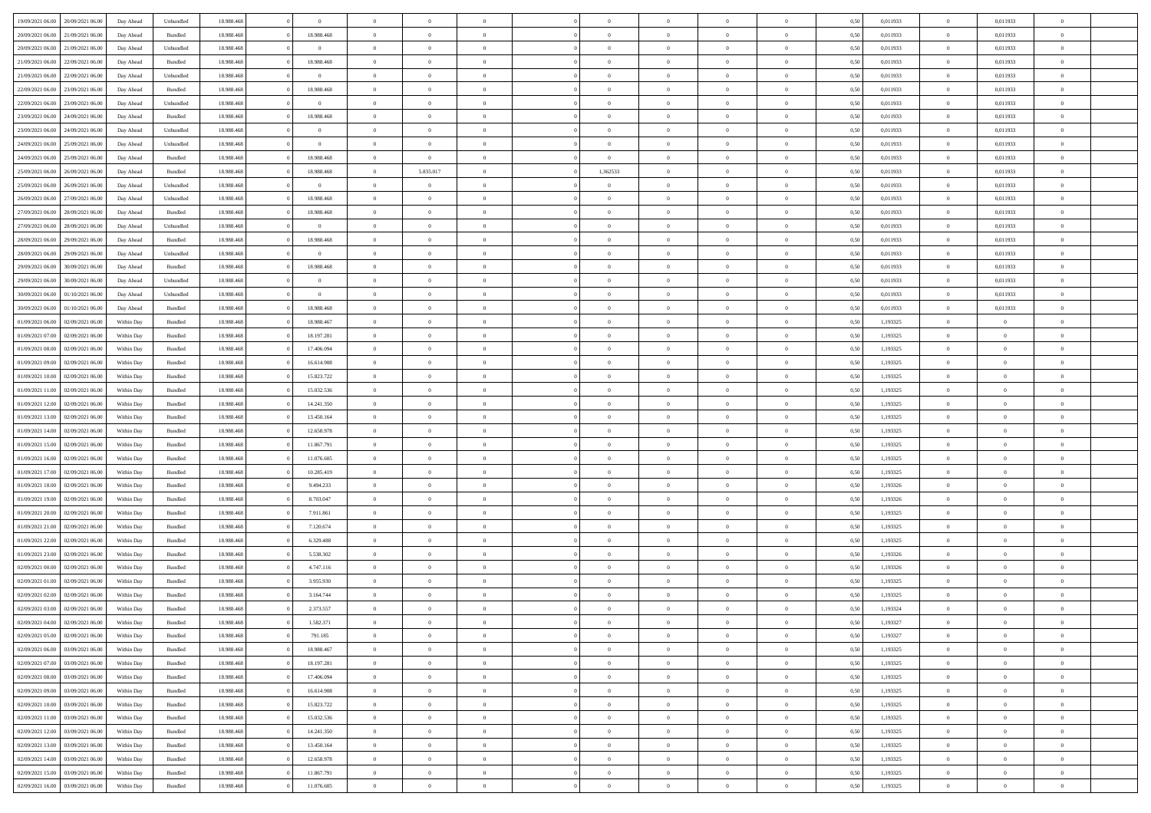|                  |                  |            |                    |            |                | $\Omega$       |                |                |                |                |                |                |      |          |                |                |                |  |
|------------------|------------------|------------|--------------------|------------|----------------|----------------|----------------|----------------|----------------|----------------|----------------|----------------|------|----------|----------------|----------------|----------------|--|
| 19/09/2021 06:00 | 20/09/2021 06:00 | Day Ahead  | Unbundled          | 18.988.468 | $\theta$       |                | $\Omega$       |                | $\Omega$       | $\Omega$       | $\Omega$       | $\theta$       | 0.50 | 0,011933 | $\theta$       | 0,011933       | $\theta$       |  |
| 20/09/2021 06:00 | 21/09/2021 06:00 | Day Ahead  | Bundled            | 18.988.468 | 18.988.468     | $\overline{0}$ | $\theta$       | $\overline{0}$ | $\overline{0}$ | $\bf{0}$       | $\overline{0}$ | $\overline{0}$ | 0,50 | 0,011933 | $\theta$       | 0,011933       | $\overline{0}$ |  |
| 20/09/2021 06:00 | 21/09/2021 06:00 | Day Ahead  | Unbundled          | 18.988.468 | $\bf{0}$       | $\overline{0}$ | $\overline{0}$ | $\overline{0}$ | $\overline{0}$ | $\bf{0}$       | $\overline{0}$ | $\bf{0}$       | 0,50 | 0,011933 | $\overline{0}$ | 0,011933       | $\overline{0}$ |  |
| 21/09/2021 06:00 | 22/09/2021 06:00 | Day Ahead  | Bundled            | 18.988.468 | 18.988.468     | $\overline{0}$ | $\overline{0}$ | $\overline{0}$ | $\overline{0}$ | $\bf{0}$       | $\overline{0}$ | $\overline{0}$ | 0.50 | 0,011933 | $\overline{0}$ | 0,011933       | $\overline{0}$ |  |
| 21/09/2021 06:00 | 22/09/2021 06:00 |            |                    | 18.988.468 | $\theta$       | $\overline{0}$ | $\theta$       | $\overline{0}$ | $\overline{0}$ | $\bf{0}$       | $\overline{0}$ |                |      | 0,011933 | $\,$ 0 $\,$    | 0,011933       | $\overline{0}$ |  |
|                  |                  | Day Ahead  | Unbundled          |            |                |                |                |                |                |                |                | $\bf{0}$       | 0,50 |          |                |                |                |  |
| 22/09/2021 06:00 | 23/09/2021 06:00 | Day Ahead  | Bundled            | 18.988.468 | 18.988.468     | $\overline{0}$ | $\bf{0}$       | $\overline{0}$ | $\overline{0}$ | $\overline{0}$ | $\overline{0}$ | $\mathbf{0}$   | 0,50 | 0,011933 | $\overline{0}$ | 0,011933       | $\bf{0}$       |  |
| 22/09/2021 06:00 | 23/09/2021 06:00 | Day Ahead  | Unbundled          | 18.988.468 | $\overline{0}$ | $\overline{0}$ | $\overline{0}$ | $\overline{0}$ | $\overline{0}$ | $\bf{0}$       | $\overline{0}$ | $\overline{0}$ | 0.50 | 0,011933 | $\theta$       | 0,011933       | $\overline{0}$ |  |
| 23/09/2021 06:00 | 24/09/2021 06.00 | Day Ahead  | Bundled            | 18.988.468 | 18.988.468     | $\overline{0}$ | $\theta$       | $\overline{0}$ | $\overline{0}$ | $\bf{0}$       | $\overline{0}$ | $\bf{0}$       | 0,50 | 0,011933 | $\,$ 0 $\,$    | 0,011933       | $\overline{0}$ |  |
| 23/09/2021 06:00 | 24/09/2021 06:00 | Day Ahead  | Unbundled          | 18.988.468 | $\bf{0}$       | $\overline{0}$ | $\overline{0}$ | $\overline{0}$ | $\overline{0}$ | $\bf{0}$       | $\overline{0}$ | $\bf{0}$       | 0,50 | 0,011933 | $\bf{0}$       | 0,011933       | $\overline{0}$ |  |
| 24/09/2021 06:00 | 25/09/2021 06:00 | Day Ahead  | Unbundled          | 18.988.468 | $\theta$       | $\overline{0}$ | $\overline{0}$ | $\overline{0}$ | $\overline{0}$ | $\overline{0}$ | $\overline{0}$ | $\overline{0}$ | 0.50 | 0,011933 | $\overline{0}$ | 0,011933       | $\overline{0}$ |  |
|                  |                  |            |                    |            |                |                |                |                |                |                |                |                |      |          |                |                |                |  |
| 24/09/2021 06:00 | 25/09/2021 06:00 | Day Ahead  | Bundled            | 18.988.468 | 18.988.468     | $\overline{0}$ | $\overline{0}$ | $\overline{0}$ | $\overline{0}$ | $\bf{0}$       | $\overline{0}$ | $\bf{0}$       | 0,50 | 0,011933 | $\,$ 0 $\,$    | 0,011933       | $\overline{0}$ |  |
| 25/09/2021 06:00 | 26/09/2021 06:00 | Day Ahead  | Bundled            | 18.988.468 | 18.988.468     | $\overline{0}$ | 5.835.017      | $\overline{0}$ | 1,362533       | $\bf{0}$       | $\bf{0}$       | $\bf{0}$       | 0,50 | 0,011933 | $\bf{0}$       | 0,011933       | $\overline{0}$ |  |
| 25/09/2021 06:00 | 26/09/2021 06:00 | Day Ahead  | Unbundled          | 18.988.468 | $\overline{0}$ | $\overline{0}$ | $\overline{0}$ | $\overline{0}$ | $\overline{0}$ | $\bf{0}$       | $\overline{0}$ | $\overline{0}$ | 0.50 | 0,011933 | $\overline{0}$ | 0.011933       | $\overline{0}$ |  |
| 26/09/2021 06:00 | 27/09/2021 06.00 | Day Ahead  | Unbundled          | 18.988.468 | 18.988.468     | $\overline{0}$ | $\theta$       | $\overline{0}$ | $\overline{0}$ | $\bf{0}$       | $\overline{0}$ | $\overline{0}$ | 0,50 | 0,011933 | $\,$ 0 $\,$    | 0,011933       | $\overline{0}$ |  |
| 27/09/2021 06:00 | 28/09/2021 06:00 | Day Ahead  | Bundled            | 18.988.468 | 18.988.468     | $\overline{0}$ | $\overline{0}$ | $\overline{0}$ | $\bf{0}$       | $\overline{0}$ | $\overline{0}$ | $\mathbf{0}$   | 0,50 | 0,011933 | $\overline{0}$ | 0,011933       | $\bf{0}$       |  |
|                  |                  |            |                    |            |                |                |                |                |                |                |                |                |      |          |                |                |                |  |
| 27/09/2021 06:00 | 28/09/2021 06:00 | Day Ahead  | Unbundled          | 18.988.468 | $\overline{0}$ | $\overline{0}$ | $\overline{0}$ | $\overline{0}$ | $\overline{0}$ | $\overline{0}$ | $\overline{0}$ | $\overline{0}$ | 0.50 | 0,011933 | $\overline{0}$ | 0,011933       | $\overline{0}$ |  |
| 28/09/2021 06:00 | 29/09/2021 06:00 | Day Ahead  | Bundled            | 18.988.468 | 18.988.468     | $\overline{0}$ | $\theta$       | $\overline{0}$ | $\overline{0}$ | $\bf{0}$       | $\overline{0}$ | $\bf{0}$       | 0,50 | 0,011933 | $\,$ 0 $\,$    | 0,011933       | $\overline{0}$ |  |
| 28/09/2021 06:00 | 29/09/2021 06:00 | Day Ahead  | Unbundled          | 18.988.468 | $\overline{0}$ | $\overline{0}$ | $\overline{0}$ | $\overline{0}$ | $\bf{0}$       | $\bf{0}$       | $\bf{0}$       | $\bf{0}$       | 0,50 | 0,011933 | $\bf{0}$       | 0,011933       | $\overline{0}$ |  |
| 29/09/2021 06:00 | 30/09/2021 06:00 | Day Ahead  | Bundled            | 18.988.468 | 18.988.468     | $\overline{0}$ | $\overline{0}$ | $\overline{0}$ | $\overline{0}$ | $\overline{0}$ | $\overline{0}$ | $\overline{0}$ | 0.50 | 0,011933 | $\overline{0}$ | 0,011933       | $\overline{0}$ |  |
| 29/09/2021 06:00 | 30/09/2021 06:00 | Day Ahead  | Unbundled          | 18.988.468 | $\theta$       | $\overline{0}$ | $\theta$       | $\overline{0}$ | $\overline{0}$ | $\bf{0}$       | $\overline{0}$ | $\bf{0}$       | 0,50 | 0,011933 | $\,$ 0 $\,$    | 0,011933       | $\overline{0}$ |  |
| 30/09/2021 06:00 | 01/10/2021 06.00 | Day Ahead  | Unbundled          | 18.988.468 | $\bf{0}$       | $\overline{0}$ | $\overline{0}$ | $\overline{0}$ | $\bf{0}$       | $\bf{0}$       | $\bf{0}$       | $\bf{0}$       | 0,50 | 0,011933 | $\overline{0}$ | 0,011933       | $\overline{0}$ |  |
|                  |                  |            |                    |            |                |                |                |                |                |                |                |                |      |          |                |                |                |  |
| 30/09/2021 06:00 | 01/10/2021 06:00 | Day Ahead  | Bundled            | 18.988.468 | 18.988.468     | $\overline{0}$ | $\overline{0}$ | $\overline{0}$ | $\overline{0}$ | $\bf{0}$       | $\overline{0}$ | $\overline{0}$ | 0.50 | 0,011933 | $\overline{0}$ | 0,011933       | $\overline{0}$ |  |
| 01/09/2021 06:00 | 02/09/2021 06:00 | Within Day | Bundled            | 18.988.468 | 18.988.467     | $\overline{0}$ | $\theta$       | $\overline{0}$ | $\overline{0}$ | $\bf{0}$       | $\overline{0}$ | $\bf{0}$       | 0,50 | 1,193325 | $\theta$       | $\theta$       | $\overline{0}$ |  |
| 01/09/2021 07:00 | 02/09/2021 06:00 | Within Day | Bundled            | 18.988.468 | 18.197.281     | $\overline{0}$ | $\bf{0}$       | $\overline{0}$ | $\bf{0}$       | $\overline{0}$ | $\overline{0}$ | $\mathbf{0}$   | 0,50 | 1,193325 | $\bf{0}$       | $\overline{0}$ | $\bf{0}$       |  |
| 01/09/2021 08:00 | 02/09/2021 06:00 | Within Dav | Bundled            | 18.988.468 | 17.406.094     | $\overline{0}$ | $\overline{0}$ | $\overline{0}$ | $\overline{0}$ | $\overline{0}$ | $\overline{0}$ | $\overline{0}$ | 0.50 | 1,193325 | $\theta$       | $\overline{0}$ | $\overline{0}$ |  |
| 01/09/2021 09:00 | 02/09/2021 06:00 | Within Day | Bundled            | 18.988.468 | 16.614.908     | $\overline{0}$ | $\theta$       | $\overline{0}$ | $\overline{0}$ | $\bf{0}$       | $\overline{0}$ | $\bf{0}$       | 0,50 | 1,193325 | $\theta$       | $\theta$       | $\overline{0}$ |  |
| 01/09/2021 10:00 | 02/09/2021 06:00 | Within Day | Bundled            | 18.988.468 | 15.823.722     | $\overline{0}$ | $\overline{0}$ | $\overline{0}$ | $\bf{0}$       | $\bf{0}$       | $\bf{0}$       | $\bf{0}$       | 0,50 | 1,193325 | $\,0\,$        | $\overline{0}$ | $\overline{0}$ |  |
| 01/09/2021 11:00 | 02/09/2021 06:00 |            | Bundled            | 18.988.468 | 15.032.536     | $\overline{0}$ | $\overline{0}$ | $\overline{0}$ | $\overline{0}$ | $\overline{0}$ | $\overline{0}$ | $\overline{0}$ | 0.50 | 1,193325 | $\theta$       | $\overline{0}$ | $\overline{0}$ |  |
|                  |                  | Within Day |                    |            |                |                |                |                |                |                |                |                |      |          |                |                |                |  |
| 01/09/2021 12:00 | 02/09/2021 06:00 | Within Day | Bundled            | 18.988.468 | 14.241.350     | $\overline{0}$ | $\theta$       | $\overline{0}$ | $\overline{0}$ | $\bf{0}$       | $\overline{0}$ | $\bf{0}$       | 0,50 | 1,193325 | $\,$ 0 $\,$    | $\theta$       | $\overline{0}$ |  |
| 01/09/2021 13:00 | 02/09/2021 06:00 | Within Day | Bundled            | 18.988.468 | 13.450.164     | $\overline{0}$ | $\overline{0}$ | $\overline{0}$ | $\bf{0}$       | $\bf{0}$       | $\bf{0}$       | $\bf{0}$       | 0,50 | 1,193325 | $\bf{0}$       | $\overline{0}$ | $\overline{0}$ |  |
| 01/09/2021 14:00 | 02/09/2021 06.00 | Within Day | Bundled            | 18.988.468 | 12.658.978     | $\overline{0}$ | $\Omega$       | $\Omega$       | $\Omega$       | $\Omega$       | $\Omega$       | $\overline{0}$ | 0.50 | 1,193325 | $\,0\,$        | $\Omega$       | $\theta$       |  |
| 01/09/2021 15:00 | 02/09/2021 06:00 | Within Day | Bundled            | 18.988.468 | 11.867.791     | $\overline{0}$ | $\theta$       | $\overline{0}$ | $\overline{0}$ | $\bf{0}$       | $\overline{0}$ | $\bf{0}$       | 0,50 | 1,193325 | $\theta$       | $\theta$       | $\overline{0}$ |  |
| 01/09/2021 16:00 | 02/09/2021 06:00 | Within Day | Bundled            | 18.988.468 | 11.076.605     | $\overline{0}$ | $\bf{0}$       | $\overline{0}$ | $\overline{0}$ | $\bf{0}$       | $\overline{0}$ | $\mathbf{0}$   | 0,50 | 1,193325 | $\bf{0}$       | $\overline{0}$ | $\bf{0}$       |  |
| 01/09/2021 17:00 | 02/09/2021 06:00 | Within Day | Bundled            | 18.988.468 | 10.285.419     | $\overline{0}$ | $\Omega$       | $\Omega$       | $\Omega$       | $\Omega$       | $\Omega$       | $\overline{0}$ | 0.50 | 1,193325 | $\theta$       | $\theta$       | $\theta$       |  |
|                  |                  |            |                    |            |                |                |                |                |                |                |                |                |      |          |                |                |                |  |
| 01/09/2021 18:00 | 02/09/2021 06:00 | Within Day | Bundled            | 18.988.468 | 9.494.233      | $\overline{0}$ | $\theta$       | $\overline{0}$ | $\overline{0}$ | $\bf{0}$       | $\overline{0}$ | $\bf{0}$       | 0,50 | 1,193326 | $\theta$       | $\theta$       | $\overline{0}$ |  |
| 01/09/2021 19:00 | 02/09/2021 06:00 | Within Day | Bundled            | 18.988.468 | 8.703.047      | $\overline{0}$ | $\overline{0}$ | $\overline{0}$ | $\overline{0}$ | $\bf{0}$       | $\overline{0}$ | $\bf{0}$       | 0,50 | 1,193326 | $\,0\,$        | $\overline{0}$ | $\overline{0}$ |  |
| 01/09/2021 20:00 | 02/09/2021 06:00 | Within Day | Bundled            | 18.988.468 | 7.911.861      | $\overline{0}$ | $\Omega$       | $\Omega$       | $\Omega$       | $\Omega$       | $\theta$       | $\overline{0}$ | 0.50 | 1,193325 | $\theta$       | $\theta$       | $\theta$       |  |
| 01/09/2021 21:00 | 02/09/2021 06:00 | Within Day | Bundled            | 18.988.468 | 7.120.674      | $\overline{0}$ | $\theta$       | $\overline{0}$ | $\overline{0}$ | $\bf{0}$       | $\overline{0}$ | $\bf{0}$       | 0,50 | 1,193325 | $\,$ 0 $\,$    | $\theta$       | $\overline{0}$ |  |
| 01/09/2021 22.00 | 02/09/2021 06:00 | Within Day | Bundled            | 18.988.468 | 6.329.488      | $\overline{0}$ | $\overline{0}$ | $\overline{0}$ | $\overline{0}$ | $\bf{0}$       | $\overline{0}$ | $\bf{0}$       | 0,50 | 1,193325 | $\bf{0}$       | $\overline{0}$ | $\overline{0}$ |  |
| 01/09/2021 23:00 | 02/09/2021 06:00 | Within Day | Bundled            | 18.988.468 | 5.538.302      | $\overline{0}$ | $\Omega$       | $\Omega$       | $\Omega$       | $\Omega$       | $\overline{0}$ | $\overline{0}$ | 0.50 | 1,193326 | $\,0\,$        | $\theta$       | $\theta$       |  |
| 02/09/2021 00:00 | 02/09/2021 06:00 | Within Day | Bundled            | 18.988.468 | 4.747.116      | $\overline{0}$ | $\theta$       | $\overline{0}$ | $\overline{0}$ | $\bf{0}$       | $\overline{0}$ | $\bf{0}$       | 0,50 | 1,193326 | $\,$ 0 $\,$    | $\overline{0}$ | $\overline{0}$ |  |
|                  |                  |            |                    |            |                |                |                |                |                |                |                |                |      |          |                |                |                |  |
| 02/09/2021 01:00 | 02/09/2021 06:00 | Within Day | Bundled            | 18.988.468 | 3.955.930      | $\overline{0}$ | $\overline{0}$ | $\overline{0}$ | $\overline{0}$ | $\bf{0}$       | $\overline{0}$ | $\mathbf{0}$   | 0,50 | 1,193325 | $\bf{0}$       | $\overline{0}$ | $\bf{0}$       |  |
| 02/09/2021 02:00 | 02/09/2021 06:00 | Within Day | Bundled            | 18.988.468 | 3.164.744      | $\overline{0}$ | $\Omega$       | $\Omega$       | $\Omega$       | $\Omega$       | $\Omega$       | $\overline{0}$ | 0.50 | 1,193325 | $\theta$       | $\Omega$       | $\theta$       |  |
| 02/09/2021 03:00 | 02/09/2021 06:00 | Within Day | Bundled            | 18.988.468 | 2.373.557      | $\overline{0}$ | $\overline{0}$ | $\overline{0}$ | $\bf{0}$       | $\,$ 0         | $\overline{0}$ | $\bf{0}$       | 0,50 | 1,193324 | $\,0\,$        | $\overline{0}$ | $\overline{0}$ |  |
| 02/09/2021 04:00 | 02/09/2021 06:00 | Within Day | $\mathbf B$ undled | 18.988.468 | 1.582.371      | $\bf{0}$       | $\bf{0}$       |                |                |                |                |                | 0,50 | 1,193327 | $\bf{0}$       | $\overline{0}$ |                |  |
| 02/09/2021 05:00 | 02/09/2021 06:00 | Within Day | Bundled            | 18,988,468 | 791.185        | $\overline{0}$ | $\overline{0}$ | $\overline{0}$ | $\Omega$       | $\theta$       | $\overline{0}$ | $\overline{0}$ | 0,50 | 1,193327 | $\theta$       | $\theta$       | $\theta$       |  |
| 02/09/2021 06:00 | 03/09/2021 06:00 | Within Day | Bundled            | 18.988.468 | 18.988.467     | $\overline{0}$ | $\,$ 0         | $\overline{0}$ | $\overline{0}$ | $\,$ 0 $\,$    | $\overline{0}$ | $\mathbf{0}$   | 0,50 | 1,193325 | $\,$ 0 $\,$    | $\overline{0}$ | $\,$ 0         |  |
|                  |                  |            |                    |            |                |                |                |                |                |                |                |                |      |          |                |                |                |  |
| 02/09/2021 07:00 | 03/09/2021 06:00 | Within Day | Bundled            | 18.988.468 | 18.197.281     | $\overline{0}$ | $\overline{0}$ | $\overline{0}$ | $\overline{0}$ | $\overline{0}$ | $\overline{0}$ | $\mathbf{0}$   | 0,50 | 1,193325 | $\overline{0}$ | $\bf{0}$       | $\bf{0}$       |  |
| 02/09/2021 08:00 | 03/09/2021 06:00 | Within Day | Bundled            | 18.988.468 | 17.406.094     | $\overline{0}$ | $\theta$       | $\overline{0}$ | $\Omega$       | $\overline{0}$ | $\overline{0}$ | $\bf{0}$       | 0,50 | 1,193325 | $\bf{0}$       | $\theta$       | $\overline{0}$ |  |
| 02/09/2021 09:00 | 03/09/2021 06:00 | Within Day | Bundled            | 18.988.468 | 16.614.908     | $\overline{0}$ | $\,$ 0         | $\overline{0}$ | $\overline{0}$ | $\overline{0}$ | $\overline{0}$ | $\bf{0}$       | 0,50 | 1,193325 | $\,$ 0 $\,$    | $\overline{0}$ | $\overline{0}$ |  |
| 02/09/2021 10:00 | 03/09/2021 06:00 | Within Day | Bundled            | 18.988.468 | 15.823.722     | $\overline{0}$ | $\overline{0}$ | $\overline{0}$ | $\overline{0}$ | $\overline{0}$ | $\overline{0}$ | $\mathbf{0}$   | 0,50 | 1,193325 | $\overline{0}$ | $\bf{0}$       | $\bf{0}$       |  |
| 02/09/2021 11:00 | 03/09/2021 06:00 | Within Day | Bundled            | 18.988.468 | 15.032.536     | $\overline{0}$ | $\overline{0}$ | $\overline{0}$ | $\Omega$       | $\overline{0}$ | $\overline{0}$ | $\bf{0}$       | 0.50 | 1,193325 | $\overline{0}$ | $\theta$       | $\overline{0}$ |  |
| 02/09/2021 12:00 | 03/09/2021 06:00 | Within Day | Bundled            | 18.988.468 | 14.241.350     | $\overline{0}$ | $\,$ 0         | $\overline{0}$ | $\overline{0}$ | $\bf{0}$       | $\overline{0}$ | $\bf{0}$       | 0,50 | 1,193325 | $\,$ 0 $\,$    | $\overline{0}$ | $\overline{0}$ |  |
|                  |                  |            |                    |            |                |                |                |                |                |                |                |                |      |          |                |                |                |  |
| 02/09/2021 13:00 | 03/09/2021 06:00 | Within Day | Bundled            | 18.988.468 | 13.450.164     | $\overline{0}$ | $\bf{0}$       | $\overline{0}$ | $\overline{0}$ | $\overline{0}$ | $\overline{0}$ | $\mathbf{0}$   | 0,50 | 1,193325 | $\overline{0}$ | $\overline{0}$ | $\bf{0}$       |  |
| 02/09/2021 14:00 | 03/09/2021 06:00 | Within Day | Bundled            | 18,988,468 | 12.658.978     | $\overline{0}$ | $\overline{0}$ | $\overline{0}$ | $\Omega$       | $\overline{0}$ | $\overline{0}$ | $\overline{0}$ | 0.50 | 1,193325 | $\overline{0}$ | $\theta$       | $\overline{0}$ |  |
| 02/09/2021 15:00 | 03/09/2021 06:00 | Within Day | Bundled            | 18.988.468 | 11.867.791     | $\overline{0}$ | $\,$ 0 $\,$    | $\overline{0}$ | $\overline{0}$ | $\bf{0}$       | $\overline{0}$ | $\bf{0}$       | 0,50 | 1,193325 | $\,$ 0 $\,$    | $\,$ 0 $\,$    | $\overline{0}$ |  |
| 02/09/2021 16:00 | 03/09/2021 06:00 | Within Day | Bundled            | 18.988.468 | 11.076.605     | $\overline{0}$ | $\overline{0}$ | $\overline{0}$ | $\overline{0}$ | $\bf{0}$       | $\overline{0}$ | $\mathbf{0}$   | 0,50 | 1,193325 | $\overline{0}$ | $\bf{0}$       | $\bf{0}$       |  |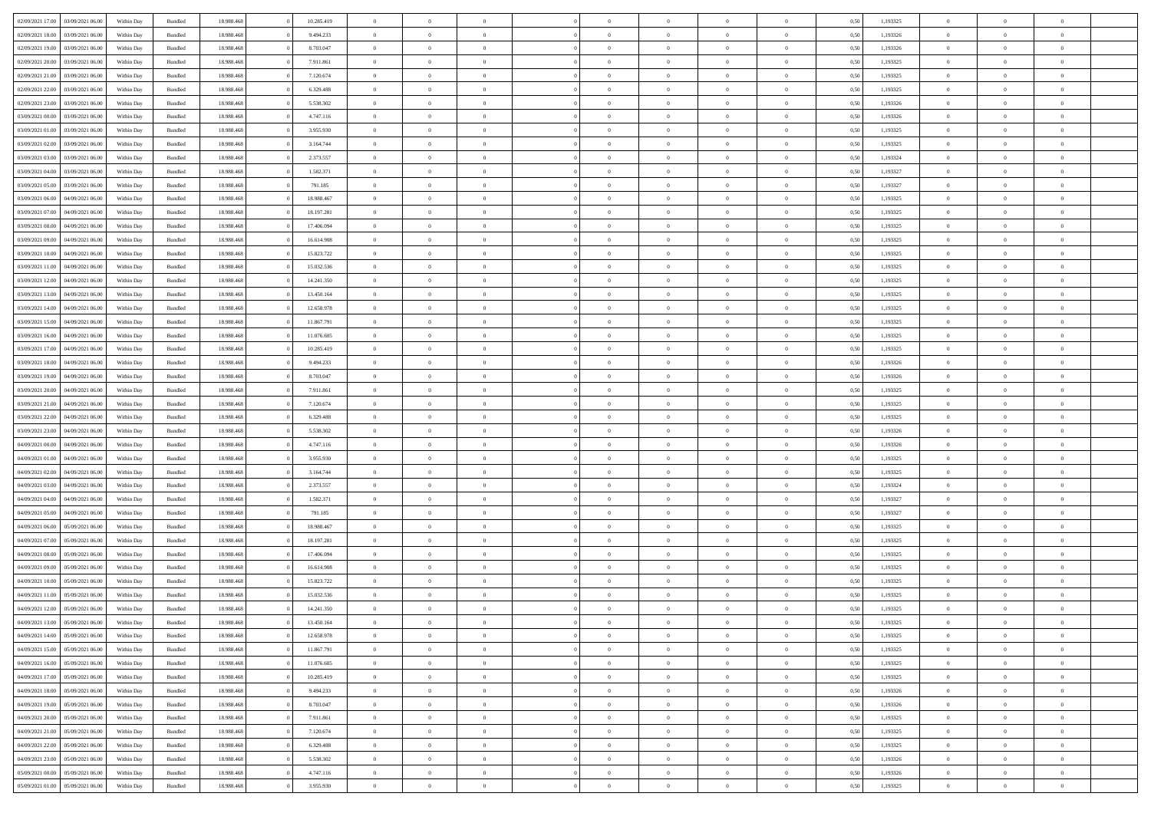|                                   |                  |            |                    |            |            | $\overline{0}$ | $\Omega$       |                |                | $\Omega$       | $\Omega$       | $\theta$       |      |          | $\theta$       |                |                |  |
|-----------------------------------|------------------|------------|--------------------|------------|------------|----------------|----------------|----------------|----------------|----------------|----------------|----------------|------|----------|----------------|----------------|----------------|--|
| 02/09/2021 17:00                  | 03/09/2021 06:00 | Within Day | Bundled            | 18.988.468 | 10.285.419 |                |                |                | $\Omega$       |                |                |                | 0.50 | 1,193325 |                | $\theta$       | $\theta$       |  |
| 02/09/2021 18:00                  | 03/09/2021 06:00 | Within Day | Bundled            | 18.988.468 | 9.494.233  | $\overline{0}$ | $\theta$       | $\overline{0}$ | $\overline{0}$ | $\bf{0}$       | $\overline{0}$ | $\overline{0}$ | 0,50 | 1,193326 | $\theta$       | $\theta$       | $\overline{0}$ |  |
| 02/09/2021 19:00                  | 03/09/2021 06:00 | Within Day | Bundled            | 18.988.468 | 8.703.047  | $\overline{0}$ | $\overline{0}$ | $\overline{0}$ | $\bf{0}$       | $\bf{0}$       | $\overline{0}$ | $\bf{0}$       | 0,50 | 1,193326 | $\bf{0}$       | $\overline{0}$ | $\overline{0}$ |  |
| 02/09/2021 20:00                  | 03/09/2021 06:00 | Within Dav | Bundled            | 18.988.468 | 7.911.861  | $\overline{0}$ | $\theta$       |                |                | $\bf{0}$       | $\overline{0}$ |                | 0.50 | 1,193325 | $\theta$       | $\theta$       | $\overline{0}$ |  |
|                                   |                  |            |                    |            |            |                |                | $\overline{0}$ | $\overline{0}$ |                |                | $\overline{0}$ |      |          |                |                |                |  |
| 02/09/2021 21:00                  | 03/09/2021 06.00 | Within Day | Bundled            | 18.988.468 | 7.120.674  | $\overline{0}$ | $\theta$       | $\overline{0}$ | $\overline{0}$ | $\bf{0}$       | $\overline{0}$ | $\bf{0}$       | 0,50 | 1,193325 | $\theta$       | $\theta$       | $\overline{0}$ |  |
| 02/09/2021 22:00                  | 03/09/2021 06:00 | Within Day | Bundled            | 18.988.468 | 6.329.488  | $\overline{0}$ | $\bf{0}$       | $\overline{0}$ | $\overline{0}$ | $\overline{0}$ | $\overline{0}$ | $\mathbf{0}$   | 0,50 | 1,193325 | $\bf{0}$       | $\overline{0}$ | $\bf{0}$       |  |
| 02/09/2021 23:00                  | 03/09/2021 06:00 | Within Dav | Bundled            | 18.988.468 | 5.538.302  | $\overline{0}$ | $\overline{0}$ | $\overline{0}$ | $\overline{0}$ | $\bf{0}$       | $\overline{0}$ | $\overline{0}$ | 0.50 | 1,193326 | $\theta$       | $\overline{0}$ | $\overline{0}$ |  |
|                                   |                  |            |                    |            |            |                |                |                |                |                |                |                |      |          |                |                |                |  |
| 03/09/2021 00:00                  | 03/09/2021 06:00 | Within Day | Bundled            | 18.988.468 | 4.747.116  | $\overline{0}$ | $\theta$       | $\overline{0}$ | $\overline{0}$ | $\bf{0}$       | $\overline{0}$ | $\bf{0}$       | 0,50 | 1,193326 | $\theta$       | $\theta$       | $\overline{0}$ |  |
| 03/09/2021 01:00                  | 03/09/2021 06:00 | Within Day | Bundled            | 18.988.468 | 3.955.930  | $\overline{0}$ | $\overline{0}$ | $\overline{0}$ | $\overline{0}$ | $\bf{0}$       | $\overline{0}$ | $\bf{0}$       | 0,50 | 1,193325 | $\,0\,$        | $\overline{0}$ | $\overline{0}$ |  |
| 03/09/2021 02:00                  | 03/09/2021 06:00 | Within Dav | Bundled            | 18.988.468 | 3.164.744  | $\overline{0}$ | $\overline{0}$ | $\overline{0}$ | $\overline{0}$ | $\overline{0}$ | $\overline{0}$ | $\overline{0}$ | 0.50 | 1,193325 | $\theta$       | $\overline{0}$ | $\overline{0}$ |  |
| 03/09/2021 03:00                  | 03/09/2021 06:00 | Within Day | Bundled            | 18.988.468 | 2.373.557  | $\overline{0}$ | $\theta$       | $\overline{0}$ | $\overline{0}$ | $\bf{0}$       | $\overline{0}$ | $\bf{0}$       | 0,50 | 1,193324 | $\theta$       | $\theta$       | $\overline{0}$ |  |
|                                   |                  |            |                    |            |            |                |                |                |                |                |                |                |      |          |                |                |                |  |
| 03/09/2021 04:00                  | 03/09/2021 06:00 | Within Day | Bundled            | 18.988.468 | 1.582.371  | $\overline{0}$ | $\overline{0}$ | $\overline{0}$ | $\overline{0}$ | $\bf{0}$       | $\overline{0}$ | $\bf{0}$       | 0,50 | 1,193327 | $\,0\,$        | $\overline{0}$ | $\overline{0}$ |  |
| 03/09/2021 05:00                  | 03/09/2021 06:00 | Within Dav | Bundled            | 18.988.468 | 791.185    | $\overline{0}$ | $\overline{0}$ | $\overline{0}$ | $\overline{0}$ | $\bf{0}$       | $\overline{0}$ | $\overline{0}$ | 0.50 | 1,193327 | $\theta$       | $\theta$       | $\overline{0}$ |  |
| 03/09/2021 06:00                  | 04/09/2021 06.00 | Within Day | Bundled            | 18.988.468 | 18.988.467 | $\overline{0}$ | $\theta$       | $\overline{0}$ | $\overline{0}$ | $\bf{0}$       | $\overline{0}$ | $\overline{0}$ | 0,50 | 1,193325 | $\theta$       | $\theta$       | $\overline{0}$ |  |
|                                   |                  |            |                    |            |            |                | $\overline{0}$ |                |                |                |                |                |      |          |                | $\overline{0}$ | $\bf{0}$       |  |
| 03/09/2021 07:00                  | 04/09/2021 06.00 | Within Day | Bundled            | 18.988.468 | 18.197.281 | $\overline{0}$ |                | $\overline{0}$ | $\bf{0}$       | $\overline{0}$ | $\overline{0}$ | $\mathbf{0}$   | 0,50 | 1,193325 | $\overline{0}$ |                |                |  |
| 03/09/2021 08:00                  | 04/09/2021 06:00 | Within Dav | Bundled            | 18.988.468 | 17.406.094 | $\overline{0}$ | $\overline{0}$ | $\overline{0}$ | $\overline{0}$ | $\overline{0}$ | $\overline{0}$ | $\overline{0}$ | 0.50 | 1,193325 | $\theta$       | $\overline{0}$ | $\overline{0}$ |  |
| 03/09/2021 09:00                  | 04/09/2021 06.00 | Within Day | Bundled            | 18.988.468 | 16.614.908 | $\overline{0}$ | $\theta$       | $\overline{0}$ | $\overline{0}$ | $\bf{0}$       | $\overline{0}$ | $\bf{0}$       | 0,50 | 1,193325 | $\theta$       | $\theta$       | $\overline{0}$ |  |
| 03/09/2021 10:00                  | 04/09/2021 06.00 | Within Day | Bundled            | 18.988.468 | 15.823.722 | $\overline{0}$ | $\overline{0}$ | $\overline{0}$ | $\bf{0}$       | $\bf{0}$       | $\bf{0}$       | $\bf{0}$       | 0,50 | 1,193325 | $\,0\,$        | $\overline{0}$ | $\overline{0}$ |  |
| 03/09/2021 11:00                  | 04/09/2021 06:00 | Within Dav | Bundled            | 18.988.468 | 15.032.536 | $\overline{0}$ | $\overline{0}$ | $\overline{0}$ | $\overline{0}$ | $\overline{0}$ | $\overline{0}$ | $\overline{0}$ | 0.50 | 1,193325 | $\theta$       | $\overline{0}$ | $\overline{0}$ |  |
|                                   |                  |            |                    |            |            |                |                |                |                |                |                |                |      |          |                |                |                |  |
| 03/09/2021 12:00                  | 04/09/2021 06.00 | Within Day | Bundled            | 18.988.468 | 14.241.350 | $\overline{0}$ | $\theta$       | $\overline{0}$ | $\overline{0}$ | $\bf{0}$       | $\overline{0}$ | $\bf{0}$       | 0,50 | 1,193325 | $\theta$       | $\theta$       | $\overline{0}$ |  |
| 03/09/2021 13:00                  | 04/09/2021 06.00 | Within Day | Bundled            | 18.988.468 | 13.450.164 | $\overline{0}$ | $\overline{0}$ | $\overline{0}$ | $\bf{0}$       | $\bf{0}$       | $\bf{0}$       | $\bf{0}$       | 0,50 | 1,193325 | $\,0\,$        | $\overline{0}$ | $\overline{0}$ |  |
| 03/09/2021 14:00                  | 04/09/2021 06:00 | Within Day | Bundled            | 18.988.468 | 12.658.978 | $\overline{0}$ | $\overline{0}$ | $\overline{0}$ | $\overline{0}$ | $\bf{0}$       | $\overline{0}$ | $\overline{0}$ | 0.50 | 1,193325 | $\theta$       | $\theta$       | $\overline{0}$ |  |
| 03/09/2021 15:00                  | 04/09/2021 06.00 | Within Day | Bundled            | 18.988.468 | 11.867.791 | $\overline{0}$ | $\theta$       | $\overline{0}$ | $\overline{0}$ | $\bf{0}$       | $\overline{0}$ | $\bf{0}$       | 0,50 | 1,193325 | $\theta$       | $\overline{0}$ | $\overline{0}$ |  |
|                                   |                  |            |                    |            |            |                |                |                |                |                |                |                |      |          |                |                |                |  |
| 03/09/2021 16:00                  | 04/09/2021 06.00 | Within Day | Bundled            | 18.988.468 | 11.076.605 | $\overline{0}$ | $\overline{0}$ | $\overline{0}$ | $\bf{0}$       | $\overline{0}$ | $\overline{0}$ | $\mathbf{0}$   | 0,50 | 1,193325 | $\overline{0}$ | $\overline{0}$ | $\bf{0}$       |  |
| 03/09/2021 17:00                  | 04/09/2021 06:00 | Within Dav | Bundled            | 18.988.468 | 10.285.419 | $\overline{0}$ | $\overline{0}$ | $\overline{0}$ | $\overline{0}$ | $\overline{0}$ | $\overline{0}$ | $\overline{0}$ | 0.50 | 1,193325 | $\theta$       | $\theta$       | $\overline{0}$ |  |
| 03/09/2021 18:00                  | 04/09/2021 06.00 | Within Day | Bundled            | 18.988.468 | 9.494.233  | $\overline{0}$ | $\theta$       | $\overline{0}$ | $\overline{0}$ | $\bf{0}$       | $\overline{0}$ | $\bf{0}$       | 0,50 | 1,193326 | $\theta$       | $\theta$       | $\overline{0}$ |  |
| 03/09/2021 19:00                  | 04/09/2021 06.00 | Within Day | Bundled            | 18.988.468 | 8.703.047  | $\overline{0}$ | $\overline{0}$ | $\overline{0}$ | $\bf{0}$       | $\bf{0}$       | $\bf{0}$       | $\bf{0}$       | 0,50 | 1,193326 | $\,0\,$        | $\overline{0}$ | $\overline{0}$ |  |
|                                   |                  |            |                    |            |            |                |                |                |                | $\overline{0}$ |                |                |      |          | $\theta$       | $\overline{0}$ |                |  |
| 03/09/2021 20:00                  | 04/09/2021 06:00 | Within Day | Bundled            | 18.988.468 | 7.911.861  | $\overline{0}$ | $\overline{0}$ | $\overline{0}$ | $\overline{0}$ |                | $\overline{0}$ | $\overline{0}$ | 0.50 | 1,193325 |                |                | $\overline{0}$ |  |
| 03/09/2021 21:00                  | 04/09/2021 06.00 | Within Day | Bundled            | 18.988.468 | 7.120.674  | $\overline{0}$ | $\theta$       | $\overline{0}$ | $\overline{0}$ | $\bf{0}$       | $\overline{0}$ | $\bf{0}$       | 0,50 | 1,193325 | $\,$ 0 $\,$    | $\theta$       | $\overline{0}$ |  |
| 03/09/2021 22.00                  | 04/09/2021 06.00 | Within Day | Bundled            | 18.988.468 | 6.329.488  | $\overline{0}$ | $\overline{0}$ | $\overline{0}$ | $\overline{0}$ | $\bf{0}$       | $\overline{0}$ | $\bf{0}$       | 0,50 | 1,193325 | $\bf{0}$       | $\overline{0}$ | $\overline{0}$ |  |
| 03/09/2021 23:00                  | 04/09/2021 06.00 | Within Day | Bundled            | 18.988.468 | 5.538.302  | $\overline{0}$ | $\Omega$       | $\Omega$       | $\Omega$       | $\Omega$       | $\Omega$       | $\overline{0}$ | 0.50 | 1,193326 | $\,0\,$        | $\Omega$       | $\theta$       |  |
| 04/09/2021 00:00                  | 04/09/2021 06.00 | Within Day | Bundled            | 18.988.468 | 4.747.116  | $\overline{0}$ | $\theta$       | $\overline{0}$ | $\overline{0}$ | $\bf{0}$       | $\overline{0}$ | $\bf{0}$       | 0,50 | 1,193326 | $\theta$       | $\theta$       | $\overline{0}$ |  |
|                                   |                  |            |                    |            |            |                |                |                |                |                |                |                |      |          |                |                |                |  |
| 04/09/2021 01.00                  | 04/09/2021 06.00 | Within Day | Bundled            | 18.988.468 | 3.955.930  | $\overline{0}$ | $\overline{0}$ | $\overline{0}$ | $\overline{0}$ | $\bf{0}$       | $\overline{0}$ | $\mathbf{0}$   | 0,50 | 1,193325 | $\bf{0}$       | $\overline{0}$ | $\bf{0}$       |  |
| 04/09/2021 02:00                  | 04/09/2021 06:00 | Within Day | Bundled            | 18.988.468 | 3.164.744  | $\overline{0}$ | $\Omega$       | $\Omega$       | $\Omega$       | $\Omega$       | $\Omega$       | $\overline{0}$ | 0.50 | 1,193325 | $\theta$       | $\theta$       | $\theta$       |  |
| 04/09/2021 03:00                  | 04/09/2021 06.00 | Within Day | Bundled            | 18.988.468 | 2.373.557  | $\overline{0}$ | $\theta$       | $\overline{0}$ | $\overline{0}$ | $\bf{0}$       | $\overline{0}$ | $\bf{0}$       | 0,50 | 1,193324 | $\theta$       | $\theta$       | $\overline{0}$ |  |
| 04/09/2021 04:00                  | 04/09/2021 06.00 | Within Day | Bundled            | 18.988.468 | 1.582.371  | $\overline{0}$ | $\overline{0}$ | $\overline{0}$ | $\overline{0}$ | $\bf{0}$       | $\overline{0}$ | $\bf{0}$       | 0,50 | 1,193327 | $\,0\,$        | $\overline{0}$ | $\overline{0}$ |  |
|                                   |                  |            |                    |            |            |                |                |                |                |                |                |                |      |          |                |                |                |  |
| 04/09/2021 05:00                  | 04/09/2021 06:00 | Within Day | Bundled            | 18.988.468 | 791.185    | $\overline{0}$ | $\Omega$       | $\Omega$       | $\Omega$       | $\Omega$       | $\theta$       | $\overline{0}$ | 0.50 | 1,193327 | $\theta$       | $\theta$       | $\theta$       |  |
| 04/09/2021 06:00                  | 05/09/2021 06:00 | Within Day | Bundled            | 18.988.468 | 18.988.467 | $\overline{0}$ | $\theta$       | $\overline{0}$ | $\overline{0}$ | $\bf{0}$       | $\overline{0}$ | $\bf{0}$       | 0,50 | 1,193325 | $\,$ 0 $\,$    | $\theta$       | $\overline{0}$ |  |
| 04/09/2021 07:00                  | 05/09/2021 06:00 | Within Day | Bundled            | 18.988.468 | 18.197.281 | $\overline{0}$ | $\overline{0}$ | $\overline{0}$ | $\overline{0}$ | $\bf{0}$       | $\overline{0}$ | $\bf{0}$       | 0,50 | 1,193325 | $\bf{0}$       | $\overline{0}$ | $\overline{0}$ |  |
| 04/09/2021 08:00                  | 05/09/2021 06:00 | Within Day | Bundled            | 18.988.468 | 17,406,094 | $\overline{0}$ | $\Omega$       | $\Omega$       | $\Omega$       | $\Omega$       | $\overline{0}$ | $\overline{0}$ | 0.50 | 1,193325 | $\,0\,$        | $\theta$       | $\theta$       |  |
|                                   |                  |            |                    |            |            | $\overline{0}$ | $\theta$       | $\overline{0}$ | $\overline{0}$ | $\bf{0}$       | $\overline{0}$ |                |      |          | $\,$ 0 $\,$    | $\theta$       | $\overline{0}$ |  |
| 04/09/2021 09:00                  | 05/09/2021 06:00 | Within Day | Bundled            | 18.988.468 | 16.614.908 |                |                |                |                |                |                | $\bf{0}$       | 0,50 | 1,193325 |                |                |                |  |
| 04/09/2021 10:00                  | 05/09/2021 06:00 | Within Day | Bundled            | 18.988.468 | 15.823.722 | $\overline{0}$ | $\overline{0}$ | $\overline{0}$ | $\overline{0}$ | $\bf{0}$       | $\overline{0}$ | $\mathbf{0}$   | 0,50 | 1,193325 | $\bf{0}$       | $\overline{0}$ | $\bf{0}$       |  |
| 04/09/2021 11:00                  | 05/09/2021 06:00 | Within Day | Bundled            | 18.988.468 | 15.032.536 | $\Omega$       | $\Omega$       | $\Omega$       | $\Omega$       | $\Omega$       | $\Omega$       | $\overline{0}$ | 0.50 | 1,193325 | $\theta$       | $\Omega$       | $\theta$       |  |
| 04/09/2021 12:00                  | 05/09/2021 06:00 | Within Day | Bundled            | 18.988.468 | 14.241.350 | $\overline{0}$ | $\overline{0}$ | $\overline{0}$ | $\bf{0}$       | $\,$ 0         | $\overline{0}$ | $\bf{0}$       | 0,50 | 1,193325 | $\,0\,$        | $\overline{0}$ | $\overline{0}$ |  |
| 04/09/2021 13:00 05/09/2021 06:00 |                  | Within Day | $\mathbf B$ undled | 18.988.468 | 13.450.164 | $\bf{0}$       | $\bf{0}$       |                |                |                |                |                | 0,50 | 1,193325 | $\bf{0}$       | $\overline{0}$ |                |  |
|                                   |                  |            |                    |            |            |                |                |                |                |                |                |                |      |          |                |                |                |  |
| 04/09/2021 14:00                  | 05/09/2021 06:00 | Within Day | Bundled            | 18,988,468 | 12.658.978 | $\overline{0}$ | $\Omega$       | $\overline{0}$ | $\Omega$       | $\theta$       | $\overline{0}$ | $\overline{0}$ | 0,50 | 1,193325 | $\theta$       | $\theta$       | $\theta$       |  |
| 04/09/2021 15:00                  | 05/09/2021 06:00 | Within Day | Bundled            | 18.988.468 | 11.867.791 | $\overline{0}$ | $\,$ 0         | $\overline{0}$ | $\bf{0}$       | $\,$ 0 $\,$    | $\overline{0}$ | $\mathbf{0}$   | 0,50 | 1,193325 | $\,$ 0 $\,$    | $\,$ 0 $\,$    | $\,$ 0         |  |
| 04/09/2021 16:00                  | 05/09/2021 06:00 | Within Day | Bundled            | 18.988.468 | 11.076.605 | $\overline{0}$ | $\overline{0}$ | $\overline{0}$ | $\overline{0}$ | $\overline{0}$ | $\overline{0}$ | $\mathbf{0}$   | 0,50 | 1,193325 | $\overline{0}$ | $\bf{0}$       | $\bf{0}$       |  |
| 04/09/2021 17:00                  | 05/09/2021 06:00 | Within Day | Bundled            | 18.988.468 | 10.285.419 | $\overline{0}$ | $\overline{0}$ | $\overline{0}$ | $\Omega$       | $\overline{0}$ | $\overline{0}$ | $\bf{0}$       | 0,50 | 1,193325 | $\overline{0}$ | $\theta$       | $\overline{0}$ |  |
|                                   |                  |            |                    |            |            |                |                |                |                |                |                |                |      |          |                |                |                |  |
| 04/09/2021 18:00                  | 05/09/2021 06:00 | Within Day | Bundled            | 18.988.468 | 9.494.233  | $\overline{0}$ | $\,$ 0         | $\overline{0}$ | $\overline{0}$ | $\overline{0}$ | $\overline{0}$ | $\bf{0}$       | 0,50 | 1,193326 | $\,$ 0 $\,$    | $\overline{0}$ | $\overline{0}$ |  |
| 04/09/2021 19:00                  | 05/09/2021 06:00 | Within Day | Bundled            | 18.988.468 | 8.703.047  | $\overline{0}$ | $\overline{0}$ | $\overline{0}$ | $\overline{0}$ | $\overline{0}$ | $\overline{0}$ | $\mathbf{0}$   | 0,50 | 1,193326 | $\overline{0}$ | $\overline{0}$ | $\bf{0}$       |  |
| 04/09/2021 20:00                  | 05/09/2021 06:00 | Within Day | Bundled            | 18.988.468 | 7.911.861  | $\overline{0}$ | $\overline{0}$ | $\overline{0}$ | $\Omega$       | $\overline{0}$ | $\overline{0}$ | $\bf{0}$       | 0.50 | 1,193325 | $\overline{0}$ | $\theta$       | $\overline{0}$ |  |
| 04/09/2021 21:00                  | 05/09/2021 06:00 | Within Day | Bundled            | 18.988.468 | 7.120.674  | $\overline{0}$ | $\,$ 0         | $\overline{0}$ | $\bf{0}$       | $\bf{0}$       | $\bf{0}$       | $\bf{0}$       | 0,50 | 1,193325 | $\,$ 0 $\,$    | $\overline{0}$ | $\overline{0}$ |  |
|                                   |                  |            |                    |            |            |                |                |                |                |                |                |                |      |          |                |                |                |  |
| 04/09/2021 22.00                  | 05/09/2021 06:00 | Within Day | Bundled            | 18.988.468 | 6.329.488  | $\overline{0}$ | $\bf{0}$       | $\overline{0}$ | $\overline{0}$ | $\overline{0}$ | $\overline{0}$ | $\mathbf{0}$   | 0,50 | 1,193325 | $\overline{0}$ | $\overline{0}$ | $\bf{0}$       |  |
| 04/09/2021 23.00                  | 05/09/2021 06:00 | Within Day | Bundled            | 18,988,468 | 5.538.302  | $\overline{0}$ | $\overline{0}$ | $\overline{0}$ | $\Omega$       | $\overline{0}$ | $\overline{0}$ | $\bf{0}$       | 0.50 | 1,193326 | $\overline{0}$ | $\overline{0}$ | $\overline{0}$ |  |
| 05/09/2021 00:00                  | 05/09/2021 06:00 | Within Day | Bundled            | 18.988.468 | 4.747.116  | $\overline{0}$ | $\bf{0}$       | $\overline{0}$ | $\overline{0}$ | $\bf{0}$       | $\bf{0}$       | $\mathbf{0}$   | 0,50 | 1,193326 | $\,$ 0 $\,$    | $\,$ 0 $\,$    | $\bf{0}$       |  |
| 05/09/2021 01:00                  | 05/09/2021 06:00 | Within Day | Bundled            | 18.988.468 | 3.955.930  | $\overline{0}$ | $\overline{0}$ | $\overline{0}$ | $\overline{0}$ | $\bf{0}$       | $\bf{0}$       | $\mathbf{0}$   | 0,50 | 1,193325 | $\overline{0}$ | $\bf{0}$       | $\bf{0}$       |  |
|                                   |                  |            |                    |            |            |                |                |                |                |                |                |                |      |          |                |                |                |  |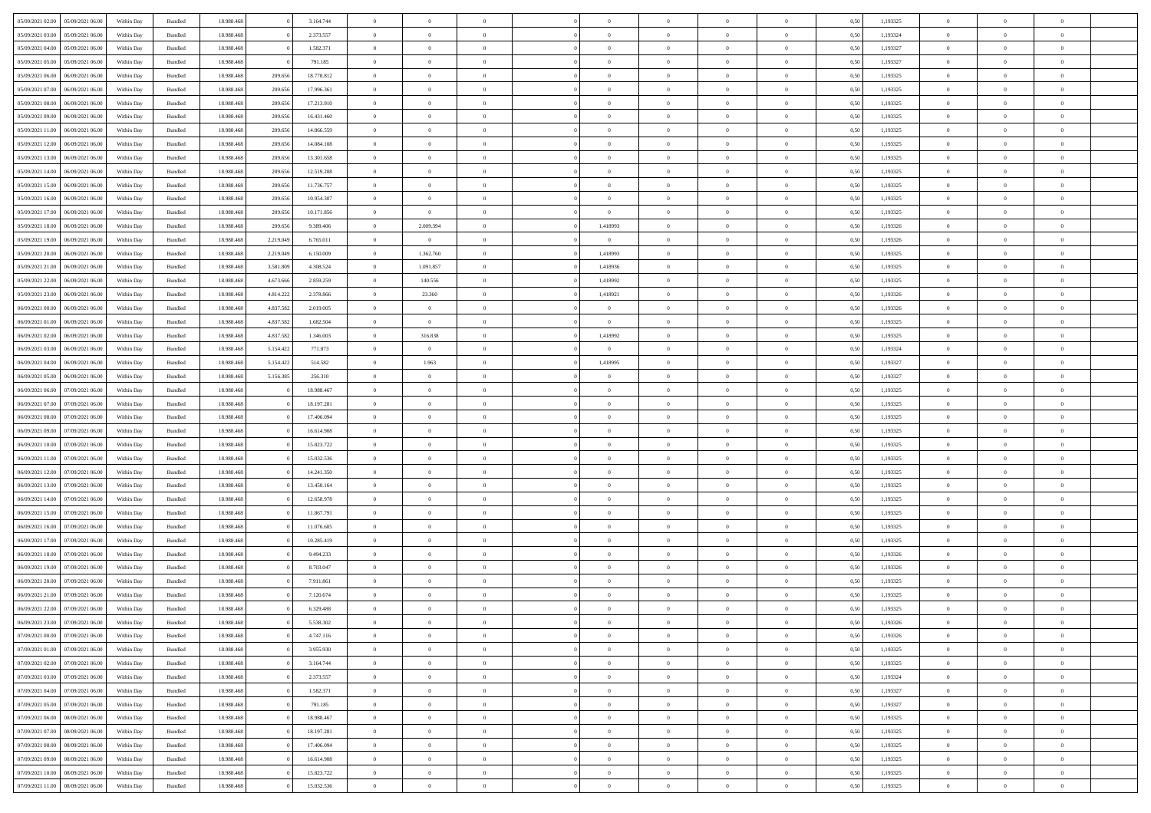| 05/09/2021 02:00 05/09/2021 06:00    | Within Day | Bundled | 18.988.468 |           | 3.164.744  | $\overline{0}$ | $\theta$       | $\Omega$       | $\Omega$       | $\theta$       | $\Omega$       | $\theta$       | 0,50 | 1,193325 | $\theta$       | $\Omega$       | $\theta$       |  |
|--------------------------------------|------------|---------|------------|-----------|------------|----------------|----------------|----------------|----------------|----------------|----------------|----------------|------|----------|----------------|----------------|----------------|--|
| 05/09/2021 03:00<br>05/09/2021 06:00 | Within Day | Bundled | 18.988.46  |           | 2.373.557  | $\overline{0}$ | $\overline{0}$ | $\overline{0}$ | $\overline{0}$ | $\theta$       | $\overline{0}$ | $\bf{0}$       | 0,50 | 1,193324 | $\theta$       | $\theta$       | $\overline{0}$ |  |
| 05/09/2021 04:00<br>05/09/2021 06:00 | Within Day | Bundled | 18.988.468 |           | 1.582.371  | $\overline{0}$ | $\bf{0}$       | $\overline{0}$ | $\overline{0}$ | $\overline{0}$ | $\overline{0}$ | $\bf{0}$       | 0,50 | 1,193327 | $\bf{0}$       | $\overline{0}$ | $\overline{0}$ |  |
| 05/09/2021 05:00<br>05/09/2021 06:00 | Within Day | Bundled | 18.988.468 |           | 791.185    | $\overline{0}$ | $\overline{0}$ | $\overline{0}$ | $\overline{0}$ | $\theta$       | $\overline{0}$ | $\overline{0}$ | 0.5( | 1,193327 | $\theta$       | $\theta$       | $\overline{0}$ |  |
| 05/09/2021 06:00<br>06/09/2021 06:00 | Within Day | Bundled | 18.988.46  | 209.656   | 18.778.812 | $\overline{0}$ | $\overline{0}$ | $\overline{0}$ | $\overline{0}$ | $\theta$       | $\overline{0}$ | $\bf{0}$       | 0,50 | 1,193325 | $\theta$       | $\theta$       | $\overline{0}$ |  |
| 05/09/2021 07:00<br>06/09/2021 06:00 | Within Day | Bundled | 18.988.468 | 209.656   | 17.996.361 | $\overline{0}$ | $\bf{0}$       | $\overline{0}$ | $\overline{0}$ | $\bf{0}$       | $\overline{0}$ | $\bf{0}$       | 0,50 | 1,193325 | $\bf{0}$       | $\overline{0}$ | $\bf{0}$       |  |
| 05/09/2021 08:00<br>06/09/2021 06:00 | Within Dav | Bundled | 18.988.468 | 209.65    | 17.213.910 | $\overline{0}$ | $\overline{0}$ | $\overline{0}$ | $\overline{0}$ | $\overline{0}$ | $\overline{0}$ | $\overline{0}$ | 0.5( | 1,193325 | $\theta$       | $\theta$       | $\overline{0}$ |  |
|                                      |            |         |            |           |            |                |                |                |                |                |                |                |      |          |                |                |                |  |
| 05/09/2021 09:00<br>06/09/2021 06:00 | Within Day | Bundled | 18.988.46  | 209.656   | 16.431.460 | $\bf{0}$       | $\overline{0}$ | $\overline{0}$ | $\overline{0}$ | $\theta$       | $\overline{0}$ | $\bf{0}$       | 0,50 | 1,193325 | $\theta$       | $\theta$       | $\overline{0}$ |  |
| 05/09/2021 11:00<br>06/09/2021 06:00 | Within Day | Bundled | 18.988.468 | 209.656   | 14.866.559 | $\overline{0}$ | $\bf{0}$       | $\overline{0}$ | $\overline{0}$ | $\overline{0}$ | $\bf{0}$       | $\bf{0}$       | 0,50 | 1,193325 | $\bf{0}$       | $\bf{0}$       | $\overline{0}$ |  |
| 05/09/2021 12:00<br>06/09/2021 06:00 | Within Day | Bundled | 18.988.468 | 209,656   | 14,084.108 | $\overline{0}$ | $\overline{0}$ | $\overline{0}$ | $\overline{0}$ | $\overline{0}$ | $\overline{0}$ | $\overline{0}$ | 0.5( | 1,193325 | $\theta$       | $\theta$       | $\overline{0}$ |  |
| 05/09/2021 13:00<br>06/09/2021 06:00 | Within Day | Bundled | 18.988.46  | 209.656   | 13.301.658 | $\bf{0}$       | $\overline{0}$ | $\overline{0}$ | $\overline{0}$ | $\theta$       | $\overline{0}$ | $\bf{0}$       | 0,50 | 1,193325 | $\theta$       | $\theta$       | $\overline{0}$ |  |
| 05/09/2021 14:00<br>06/09/2021 06:00 | Within Day | Bundled | 18.988.468 | 209.656   | 12.519.208 | $\overline{0}$ | $\bf{0}$       | $\overline{0}$ | $\overline{0}$ | $\overline{0}$ | $\overline{0}$ | $\bf{0}$       | 0,50 | 1,193325 | $\bf{0}$       | $\overline{0}$ | $\overline{0}$ |  |
| 05/09/2021 15:00<br>06/09/2021 06:00 | Within Day | Bundled | 18.988.468 | 209,656   | 11.736.757 | $\overline{0}$ | $\overline{0}$ | $\overline{0}$ | $\overline{0}$ | $\overline{0}$ | $\overline{0}$ | $\overline{0}$ | 0.5( | 1,193325 | $\theta$       | $\theta$       | $\overline{0}$ |  |
| 05/09/2021 16:00<br>06/09/2021 06:00 | Within Day | Bundled | 18.988.46  | 209.656   | 10.954.307 | $\overline{0}$ | $\overline{0}$ | $\overline{0}$ | $\overline{0}$ | $\theta$       | $\overline{0}$ | $\bf{0}$       | 0,50 | 1,193325 | $\theta$       | $\theta$       | $\overline{0}$ |  |
| 05/09/2021 17:00<br>06/09/2021 06:00 | Within Day | Bundled | 18.988.468 | 209.656   | 10.171.856 | $\overline{0}$ | $\overline{0}$ | $\overline{0}$ | $\overline{0}$ | $\bf{0}$       | $\overline{0}$ | $\bf{0}$       | 0,50 | 1,193325 | $\bf{0}$       | $\overline{0}$ | $\bf{0}$       |  |
| 05/09/2021 18:00<br>06/09/2021 06:00 | Within Day | Bundled | 18.988.468 | 209,656   | 9.389.406  | $\overline{0}$ | 2.009.394      | $\overline{0}$ | 1,418993       | $\theta$       | $\overline{0}$ | $\overline{0}$ | 0.5( | 1,193326 | $\theta$       | $\theta$       | $\overline{0}$ |  |
| 05/09/2021 19:00<br>06/09/2021 06:00 | Within Day | Bundled | 18.988.46  | 2.219.049 | 6.765.011  | $\overline{0}$ | $\overline{0}$ | $\overline{0}$ | $\overline{0}$ | $\theta$       | $\overline{0}$ | $\bf{0}$       | 0,50 | 1,193326 | $\theta$       | $\theta$       | $\overline{0}$ |  |
| 05/09/2021 20:00<br>06/09/2021 06:00 | Within Day | Bundled | 18.988.468 | 2.219.049 | 6.150.009  | $\overline{0}$ | 1.362.760      | $\bf{0}$       | 1,418993       | $\overline{0}$ | $\overline{0}$ | $\bf{0}$       | 0,50 | 1,193325 | $\bf{0}$       | $\overline{0}$ | $\overline{0}$ |  |
| 05/09/2021 21:00<br>06/09/2021 06:00 | Within Day | Bundled | 18.988.468 | 3.581.809 | 4.308.524  | $\overline{0}$ | 1.091.857      | $\overline{0}$ | 1,418936       | $\overline{0}$ | $\overline{0}$ | $\overline{0}$ | 0.5( | 1,193325 | $\theta$       | $\theta$       | $\overline{0}$ |  |
| 05/09/2021 22.00<br>06/09/2021 06:00 | Within Day | Bundled | 18.988.46  | 4.673.666 | 2.859.259  | $\bf{0}$       | 140.556        | $\overline{0}$ | 1,418992       | $\theta$       | $\overline{0}$ | $\bf{0}$       | 0,50 | 1,193325 | $\theta$       | $\theta$       | $\overline{0}$ |  |
| 05/09/2021 23:00<br>06/09/2021 06:00 | Within Day | Bundled | 18.988.46  | 4.814.222 | 2.378.866  | $\overline{0}$ | 23.360         | $\overline{0}$ | 1,418921       | $\overline{0}$ | $\overline{0}$ | $\bf{0}$       | 0,50 | 1,193326 | $\bf{0}$       | $\overline{0}$ | $\overline{0}$ |  |
| 06/09/2021 00:00<br>06/09/2021 06:00 | Within Day | Bundled | 18.988.468 | 4.837.582 | 2.019.005  | $\overline{0}$ | $\overline{0}$ | $\overline{0}$ | $\overline{0}$ | $\overline{0}$ | $\overline{0}$ | $\overline{0}$ | 0.5( | 1,193326 | $\overline{0}$ | $\theta$       | $\overline{0}$ |  |
| 06/09/2021 01:00<br>06/09/2021 06:00 | Within Day | Bundled | 18.988.46  | 4.837.582 | 1.682.504  | $\overline{0}$ | $\overline{0}$ | $\overline{0}$ | $\overline{0}$ | $\theta$       | $\overline{0}$ | $\bf{0}$       | 0,50 | 1,193325 | $\theta$       | $\theta$       | $\overline{0}$ |  |
| 06/09/2021 02:00<br>06/09/2021 06:00 | Within Day | Bundled | 18.988.468 | 4.837.582 | 1.346.003  | $\overline{0}$ | 316.838        | $\overline{0}$ | 1,418992       | $\overline{0}$ | $\overline{0}$ | $\bf{0}$       | 0,50 | 1,193325 | $\bf{0}$       | $\overline{0}$ | $\bf{0}$       |  |
| 06/09/2021 03:00<br>06/09/2021 06:00 | Within Day | Bundled | 18.988.468 | 5.154.42  | 771.873    | $\overline{0}$ | $\overline{0}$ | $\overline{0}$ | $\overline{0}$ | $\overline{0}$ | $\overline{0}$ | $\overline{0}$ | 0.5( | 1,193324 | $\theta$       | $\theta$       | $\overline{0}$ |  |
| 06/09/2021 04:00<br>06/09/2021 06:00 | Within Day | Bundled | 18.988.46  | 5.154.422 | 514.582    | $\overline{0}$ | 1.963          | $\overline{0}$ | 1,418995       | $\theta$       | $\overline{0}$ | $\bf{0}$       | 0,50 | 1,193327 | $\theta$       | $\theta$       | $\overline{0}$ |  |
| 06/09/2021 05:00<br>06/09/2021 06:00 | Within Day | Bundled | 18.988.468 | 5.156.385 | 256.310    | $\overline{0}$ | $\bf{0}$       | $\bf{0}$       | $\overline{0}$ | $\overline{0}$ | $\bf{0}$       | $\bf{0}$       | 0,50 | 1,193327 | $\bf{0}$       | $\bf{0}$       | $\overline{0}$ |  |
| 06/09/2021 06:00<br>07/09/2021 06:00 | Within Day | Bundled | 18.988.468 |           | 18.988.467 | $\overline{0}$ | $\overline{0}$ | $\overline{0}$ | $\overline{0}$ | $\overline{0}$ | $\overline{0}$ | $\overline{0}$ | 0.5( | 1,193325 | $\theta$       | $\theta$       | $\overline{0}$ |  |
| 06/09/2021 07:00<br>07/09/2021 06:00 | Within Day | Bundled | 18.988.468 |           | 18.197.281 | $\bf{0}$       | $\overline{0}$ | $\overline{0}$ | $\overline{0}$ | $\theta$       | $\overline{0}$ | $\bf{0}$       | 0,50 | 1,193325 | $\theta$       | $\theta$       | $\overline{0}$ |  |
| 06/09/2021 08:00<br>07/09/2021 06:00 | Within Day | Bundled | 18.988.468 |           | 17.406.094 | $\overline{0}$ | $\bf{0}$       | $\overline{0}$ | $\overline{0}$ | $\overline{0}$ | $\overline{0}$ | $\bf{0}$       | 0,50 | 1,193325 | $\bf{0}$       | $\overline{0}$ | $\overline{0}$ |  |
| 06/09/2021 09:00<br>07/09/2021 06:00 | Within Day | Bundled | 18.988.468 |           | 16.614.908 | $\overline{0}$ | $\overline{0}$ | $\Omega$       | $\Omega$       | $\Omega$       | $\theta$       | $\overline{0}$ | 0,50 | 1,193325 | $\,$ 0 $\,$    | $\overline{0}$ | $\theta$       |  |
| 06/09/2021 10:00<br>07/09/2021 06:00 | Within Day | Bundled | 18.988.468 |           | 15.823.722 | $\bf{0}$       | $\overline{0}$ | $\overline{0}$ | $\overline{0}$ | $\theta$       | $\overline{0}$ | $\bf{0}$       | 0,50 | 1,193325 | $\theta$       | $\theta$       | $\overline{0}$ |  |
| 06/09/2021 11:00<br>07/09/2021 06:00 | Within Day | Bundled | 18.988.468 |           | 15.032.536 | $\overline{0}$ | $\bf{0}$       | $\overline{0}$ | $\overline{0}$ | $\bf{0}$       | $\overline{0}$ | $\bf{0}$       | 0,50 | 1,193325 | $\bf{0}$       | $\overline{0}$ | $\bf{0}$       |  |
| 06/09/2021 12:00<br>07/09/2021 06:00 | Within Day | Bundled | 18,988,468 |           | 14.241.350 | $\overline{0}$ | $\overline{0}$ | $\Omega$       | $\Omega$       | $\overline{0}$ | $\theta$       | $\overline{0}$ | 0.50 | 1,193325 | $\bf{0}$       | $\Omega$       | $\theta$       |  |
| 06/09/2021 13:00<br>07/09/2021 06:00 | Within Day | Bundled | 18.988.468 |           | 13.450.164 | $\bf{0}$       | $\overline{0}$ | $\overline{0}$ | $\overline{0}$ | $\theta$       | $\overline{0}$ | $\bf{0}$       | 0,50 | 1,193325 | $\theta$       | $\theta$       | $\overline{0}$ |  |
| 06/09/2021 14:00<br>07/09/2021 06:00 | Within Day | Bundled | 18.988.468 |           | 12.658.978 | $\overline{0}$ | $\bf{0}$       | $\bf{0}$       | $\overline{0}$ | $\overline{0}$ | $\bf{0}$       | $\bf{0}$       | 0,50 | 1,193325 | $\bf{0}$       | $\bf{0}$       | $\overline{0}$ |  |
| 06/09/2021 15:00<br>07/09/2021 06:00 | Within Day | Bundled | 18,988,46  |           | 11.867.791 | $\overline{0}$ | $\theta$       | $\Omega$       | $\Omega$       | $\Omega$       | $\Omega$       | $\overline{0}$ | 0.50 | 1,193325 | $\theta$       | $\Omega$       | $\theta$       |  |
| 06/09/2021 16:00<br>07/09/2021 06:00 | Within Day | Bundled | 18.988.468 |           | 11.076.605 | $\bf{0}$       | $\overline{0}$ | $\overline{0}$ | $\overline{0}$ | $\theta$       | $\overline{0}$ | $\bf{0}$       | 0,50 | 1,193325 | $\theta$       | $\theta$       | $\overline{0}$ |  |
| 06/09/2021 17:00<br>07/09/2021 06:00 | Within Day | Bundled | 18.988.468 |           | 10.285.419 | $\overline{0}$ | $\bf{0}$       | $\overline{0}$ | $\overline{0}$ | $\overline{0}$ | $\overline{0}$ | $\bf{0}$       | 0,50 | 1,193325 | $\bf{0}$       | $\overline{0}$ | $\overline{0}$ |  |
| 06/09/2021 18:00<br>07/09/2021 06.00 | Within Day | Bundled | 18.988.468 |           | 9.494.233  | $\overline{0}$ | $\overline{0}$ | $\Omega$       | $\Omega$       | $\theta$       | $\theta$       | $\overline{0}$ | 0.50 | 1,193326 | $\,$ 0 $\,$    | $\Omega$       | $\theta$       |  |
| 06/09/2021 19:00<br>07/09/2021 06:00 | Within Day | Bundled | 18.988.46  |           | 8.703.047  | $\bf{0}$       | $\overline{0}$ | $\overline{0}$ | $\overline{0}$ | $\theta$       | $\overline{0}$ | $\bf{0}$       | 0,50 | 1,193326 | $\theta$       | $\theta$       | $\overline{0}$ |  |
| 06/09/2021 20:00<br>07/09/2021 06:00 | Within Day | Bundled | 18.988.468 |           | 7.911.861  | $\overline{0}$ | $\bf{0}$       | $\overline{0}$ | $\overline{0}$ | $\overline{0}$ | $\overline{0}$ | $\bf{0}$       | 0,50 | 1,193325 | $\bf{0}$       | $\overline{0}$ | $\bf{0}$       |  |
| 06/09/2021 21:00<br>07/09/2021 06:00 | Within Day | Bundled | 18,988,46  |           | 7.120.674  | $\overline{0}$ | $\Omega$       | $\Omega$       | $\Omega$       | $\Omega$       | $\theta$       | $\overline{0}$ | 0.50 | 1,193325 | $\theta$       | $\Omega$       | $\theta$       |  |
| 06/09/2021 22:00 07/09/2021 06:00    | Within Day | Bundled | 18.988.468 |           | 6.329.488  | $\overline{0}$ | $\bf{0}$       | $\overline{0}$ | $\overline{0}$ | $\bf{0}$       | $\overline{0}$ | $\bf{0}$       | 0,50 | 1,193325 | $\bf{0}$       | $\bf{0}$       | $\overline{0}$ |  |
| 06/09/2021 23:00 07/09/2021 06:00    | Within Day | Bundled | 18.988.468 |           | 5.538.302  |                |                |                |                |                |                |                | 0,50 | 1,193326 | $\bf{0}$       | $\bf{0}$       |                |  |
| 07/09/2021 00:00 07/09/2021 06:00    | Within Day | Bundled | 18,988,468 |           | 4.747.116  | $\Omega$       | $\overline{0}$ | $\Omega$       | $\theta$       | $\Omega$       | $\theta$       | $\overline{0}$ | 0.50 | 1,193326 | $\theta$       | $\theta$       | $\theta$       |  |
| 07/09/2021 01:00<br>07/09/2021 06:00 | Within Day | Bundled | 18.988.468 |           | 3.955.930  | $\bf{0}$       | $\,$ 0         | $\overline{0}$ | $\overline{0}$ | $\overline{0}$ | $\bf{0}$       | $\bf{0}$       | 0,50 | 1,193325 | $\,$ 0 $\,$    | $\,$ 0 $\,$    | $\overline{0}$ |  |
| 07/09/2021 02:00<br>07/09/2021 06:00 | Within Day | Bundled | 18.988.468 |           | 3.164.744  | $\overline{0}$ | $\overline{0}$ | $\overline{0}$ | $\overline{0}$ | $\overline{0}$ | $\overline{0}$ | $\bf{0}$       | 0,50 | 1,193325 | $\bf{0}$       | $\bf{0}$       | $\bf{0}$       |  |
| 07/09/2021 03:00<br>07/09/2021 06:00 | Within Day | Bundled | 18,988,468 |           | 2.373.557  | $\overline{0}$ | $\bf{0}$       | $\overline{0}$ | $\overline{0}$ | $\overline{0}$ | $\overline{0}$ | $\bf{0}$       | 0,50 | 1,193324 | $\bf{0}$       | $\theta$       | $\overline{0}$ |  |
| 07/09/2021 04:00<br>07/09/2021 06:00 | Within Day | Bundled | 18.988.468 |           | 1.582.371  | $\overline{0}$ | $\,$ 0         | $\overline{0}$ | $\overline{0}$ | $\overline{0}$ | $\overline{0}$ | $\bf{0}$       | 0,50 | 1,193327 | $\,$ 0 $\,$    | $\,$ 0 $\,$    | $\overline{0}$ |  |
| 07/09/2021 05:00<br>07/09/2021 06:00 | Within Day | Bundled | 18.988.468 |           | 791.185    | $\overline{0}$ | $\overline{0}$ | $\overline{0}$ | $\overline{0}$ | $\overline{0}$ | $\overline{0}$ | $\bf{0}$       | 0,50 | 1,193327 | $\overline{0}$ | $\overline{0}$ | $\overline{0}$ |  |
| 07/09/2021 06:00<br>08/09/2021 06:00 | Within Day | Bundled | 18.988.468 |           | 18.988.467 | $\overline{0}$ | $\overline{0}$ | $\overline{0}$ | $\overline{0}$ | $\overline{0}$ | $\overline{0}$ | $\bf{0}$       | 0.50 | 1,193325 | $\overline{0}$ | $\theta$       | $\overline{0}$ |  |
| 07/09/2021 07:00<br>08/09/2021 06:00 | Within Day | Bundled | 18.988.468 |           | 18.197.281 | $\bf{0}$       | $\bf{0}$       | $\overline{0}$ | $\overline{0}$ | $\overline{0}$ | $\overline{0}$ | $\bf{0}$       | 0,50 | 1,193325 | $\,$ 0 $\,$    | $\bf{0}$       | $\overline{0}$ |  |
| 07/09/2021 08:00<br>08/09/2021 06:00 | Within Day | Bundled | 18.988.468 |           | 17.406.094 | $\overline{0}$ | $\bf{0}$       | $\overline{0}$ | $\overline{0}$ | $\overline{0}$ | $\overline{0}$ | $\bf{0}$       | 0,50 | 1,193325 | $\bf{0}$       | $\overline{0}$ | $\bf{0}$       |  |
| 07/09/2021 09:00<br>08/09/2021 06:00 | Within Day | Bundled | 18,988,468 |           | 16.614.908 | $\overline{0}$ | $\overline{0}$ | $\overline{0}$ | $\overline{0}$ | $\overline{0}$ | $\overline{0}$ | $\bf{0}$       | 0.50 | 1,193325 | $\overline{0}$ | $\theta$       | $\overline{0}$ |  |
| 07/09/2021 10:00<br>08/09/2021 06:00 | Within Day | Bundled | 18.988.468 |           | 15.823.722 | $\overline{0}$ | $\,$ 0         | $\overline{0}$ | $\overline{0}$ | $\overline{0}$ | $\bf{0}$       | $\bf{0}$       | 0,50 | 1,193325 | $\,$ 0 $\,$    | $\,$ 0 $\,$    | $\overline{0}$ |  |
| 07/09/2021 11:00  08/09/2021 06:00   | Within Day | Bundled | 18.988.468 |           | 15.032.536 | $\overline{0}$ | $\bf{0}$       | $\overline{0}$ | $\overline{0}$ | $\bf{0}$       | $\overline{0}$ | $\bf{0}$       | 0,50 | 1,193325 | $\overline{0}$ | $\bf{0}$       | $\overline{0}$ |  |
|                                      |            |         |            |           |            |                |                |                |                |                |                |                |      |          |                |                |                |  |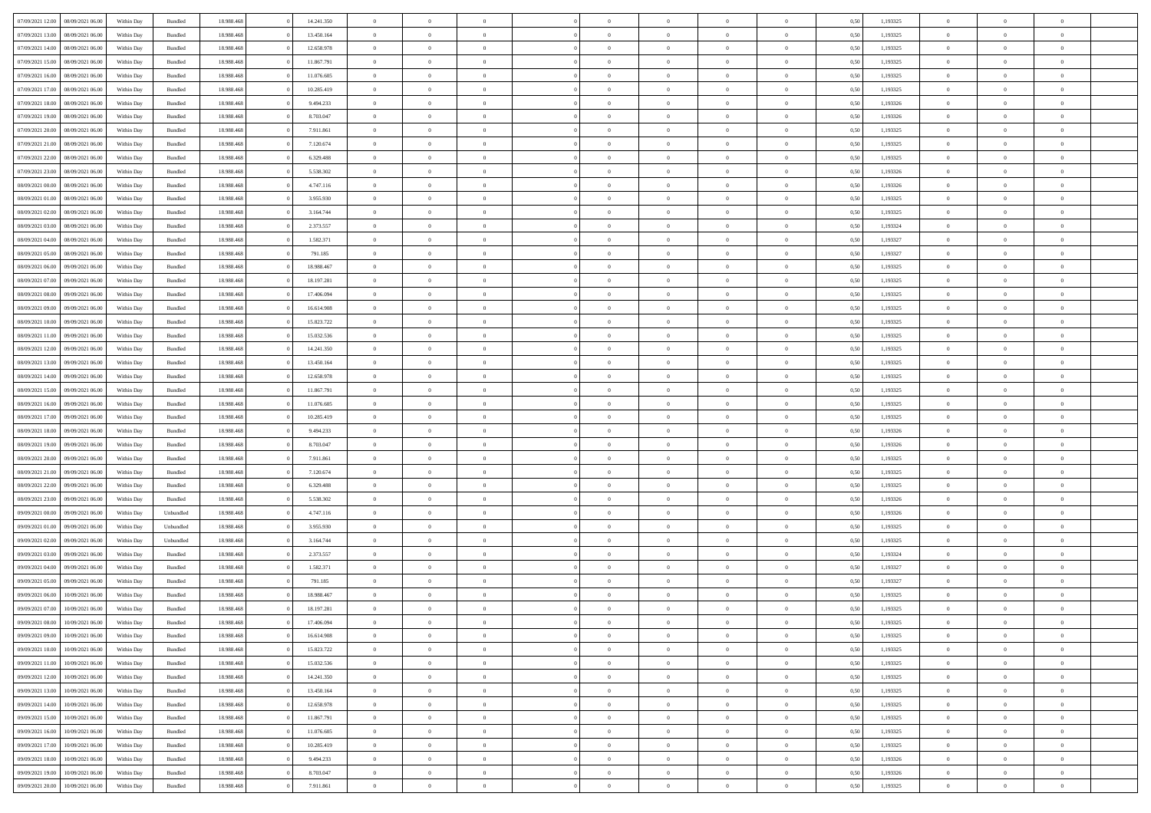| 07/09/2021 12:00 | 08/09/2021 06:00 | Within Day | Bundled            | 18.988.468 | 14.241.350 | $\overline{0}$ | $\theta$       |                | $\Omega$       | $\Omega$       | $\Omega$       | $\theta$       | 0.50 | 1,193325 | $\theta$       | $\overline{0}$ | $\theta$       |  |
|------------------|------------------|------------|--------------------|------------|------------|----------------|----------------|----------------|----------------|----------------|----------------|----------------|------|----------|----------------|----------------|----------------|--|
| 07/09/2021 13:00 | 08/09/2021 06:00 | Within Day | Bundled            | 18.988.468 | 13.450.164 | $\overline{0}$ | $\theta$       | $\overline{0}$ | $\overline{0}$ | $\bf{0}$       | $\overline{0}$ | $\overline{0}$ | 0,50 | 1,193325 | $\theta$       | $\overline{0}$ | $\overline{0}$ |  |
| 07/09/2021 14:00 | 08/09/2021 06:00 | Within Day | Bundled            | 18.988.468 | 12.658.978 | $\overline{0}$ | $\overline{0}$ | $\overline{0}$ | $\bf{0}$       | $\bf{0}$       | $\bf{0}$       | $\bf{0}$       | 0,50 | 1,193325 | $\bf{0}$       | $\overline{0}$ | $\overline{0}$ |  |
| 07/09/2021 15:00 | 08/09/2021 06:00 | Within Dav | Bundled            | 18.988.468 | 11.867.791 | $\overline{0}$ | $\theta$       | $\overline{0}$ | $\overline{0}$ | $\bf{0}$       | $\overline{0}$ | $\overline{0}$ | 0.50 | 1,193325 | $\theta$       | $\theta$       | $\overline{0}$ |  |
| 07/09/2021 16:00 | 08/09/2021 06:00 | Within Day | Bundled            | 18.988.468 | 11.076.605 | $\overline{0}$ | $\theta$       | $\overline{0}$ | $\overline{0}$ | $\bf{0}$       | $\overline{0}$ | $\bf{0}$       | 0,50 | 1,193325 | $\theta$       | $\theta$       | $\overline{0}$ |  |
|                  |                  |            |                    |            |            |                |                |                |                |                |                |                |      |          |                |                |                |  |
| 07/09/2021 17:00 | 08/09/2021 06:00 | Within Day | Bundled            | 18.988.468 | 10.285.419 | $\overline{0}$ | $\bf{0}$       | $\overline{0}$ | $\bf{0}$       | $\overline{0}$ | $\overline{0}$ | $\mathbf{0}$   | 0,50 | 1,193325 | $\overline{0}$ | $\overline{0}$ | $\bf{0}$       |  |
| 07/09/2021 18:00 | 08/09/2021 06:00 | Within Dav | Bundled            | 18.988.468 | 9.494.233  | $\overline{0}$ | $\overline{0}$ | $\overline{0}$ | $\overline{0}$ | $\bf{0}$       | $\overline{0}$ | $\overline{0}$ | 0.50 | 1,193326 | $\theta$       | $\overline{0}$ | $\overline{0}$ |  |
| 07/09/2021 19:00 | 08/09/2021 06:00 | Within Day | Bundled            | 18.988.468 | 8.703.047  | $\overline{0}$ | $\theta$       | $\overline{0}$ | $\overline{0}$ | $\bf{0}$       | $\overline{0}$ | $\bf{0}$       | 0,50 | 1,193326 | $\theta$       | $\theta$       | $\overline{0}$ |  |
| 07/09/2021 20:00 | 08/09/2021 06:00 | Within Day | Bundled            | 18.988.468 | 7.911.861  | $\overline{0}$ | $\overline{0}$ | $\overline{0}$ | $\bf{0}$       | $\bf{0}$       | $\bf{0}$       | $\bf{0}$       | 0,50 | 1,193325 | $\,0\,$        | $\overline{0}$ | $\overline{0}$ |  |
| 07/09/2021 21:00 | 08/09/2021 06:00 | Within Dav | Bundled            | 18.988.468 | 7.120.674  | $\overline{0}$ | $\overline{0}$ | $\overline{0}$ | $\overline{0}$ | $\overline{0}$ | $\overline{0}$ | $\overline{0}$ | 0.50 | 1,193325 | $\theta$       | $\overline{0}$ | $\overline{0}$ |  |
| 07/09/2021 22.00 | 08/09/2021 06:00 | Within Day | Bundled            | 18.988.468 | 6.329.488  | $\overline{0}$ | $\theta$       | $\overline{0}$ | $\overline{0}$ | $\bf{0}$       | $\overline{0}$ | $\bf{0}$       | 0,50 | 1,193325 | $\theta$       | $\theta$       | $\overline{0}$ |  |
| 07/09/2021 23.00 | 08/09/2021 06:00 | Within Day | Bundled            | 18.988.468 | 5.538.302  | $\overline{0}$ | $\overline{0}$ | $\overline{0}$ | $\bf{0}$       | $\bf{0}$       | $\bf{0}$       | $\bf{0}$       | 0,50 | 1,193326 | $\bf{0}$       | $\overline{0}$ | $\overline{0}$ |  |
| 08/09/2021 00:00 | 08/09/2021 06:00 | Within Day | Bundled            | 18.988.468 | 4.747.116  | $\overline{0}$ | $\theta$       | $\overline{0}$ | $\overline{0}$ | $\bf{0}$       | $\overline{0}$ | $\overline{0}$ | 0.50 | 1,193326 | $\theta$       | $\theta$       | $\overline{0}$ |  |
|                  |                  |            |                    |            |            |                |                |                |                |                |                |                |      |          |                |                |                |  |
| 08/09/2021 01:00 | 08/09/2021 06:00 | Within Day | Bundled            | 18.988.468 | 3.955.930  | $\overline{0}$ | $\theta$       | $\overline{0}$ | $\overline{0}$ | $\bf{0}$       | $\overline{0}$ | $\overline{0}$ | 0,50 | 1,193325 | $\theta$       | $\theta$       | $\overline{0}$ |  |
| 08/09/2021 02:00 | 08/09/2021 06:00 | Within Day | Bundled            | 18.988.468 | 3.164.744  | $\overline{0}$ | $\overline{0}$ | $\overline{0}$ | $\bf{0}$       | $\overline{0}$ | $\overline{0}$ | $\mathbf{0}$   | 0,50 | 1,193325 | $\overline{0}$ | $\overline{0}$ | $\bf{0}$       |  |
| 08/09/2021 03:00 | 08/09/2021 06:00 | Within Dav | Bundled            | 18.988.468 | 2.373.557  | $\overline{0}$ | $\overline{0}$ | $\overline{0}$ | $\overline{0}$ | $\bf{0}$       | $\overline{0}$ | $\overline{0}$ | 0.50 | 1,193324 | $\theta$       | $\overline{0}$ | $\overline{0}$ |  |
| 08/09/2021 04:00 | 08/09/2021 06:00 | Within Day | Bundled            | 18.988.468 | 1.582.371  | $\overline{0}$ | $\theta$       | $\overline{0}$ | $\overline{0}$ | $\bf{0}$       | $\overline{0}$ | $\bf{0}$       | 0,50 | 1,193327 | $\theta$       | $\theta$       | $\overline{0}$ |  |
| 08/09/2021 05:00 | 08/09/2021 06:00 | Within Day | Bundled            | 18.988.468 | 791.185    | $\overline{0}$ | $\overline{0}$ | $\overline{0}$ | $\bf{0}$       | $\bf{0}$       | $\bf{0}$       | $\bf{0}$       | 0,50 | 1,193327 | $\,0\,$        | $\overline{0}$ | $\overline{0}$ |  |
| 08/09/2021 06:00 | 09/09/2021 06:00 | Within Day | Bundled            | 18.988.468 | 18.988.467 | $\overline{0}$ | $\overline{0}$ | $\overline{0}$ | $\overline{0}$ | $\overline{0}$ | $\overline{0}$ | $\overline{0}$ | 0.50 | 1,193325 | $\theta$       | $\overline{0}$ | $\overline{0}$ |  |
| 08/09/2021 07:00 | 09/09/2021 06:00 | Within Day | Bundled            | 18.988.468 | 18.197.281 | $\overline{0}$ | $\theta$       | $\overline{0}$ | $\overline{0}$ | $\bf{0}$       | $\overline{0}$ | $\bf{0}$       | 0,50 | 1,193325 | $\theta$       | $\theta$       | $\overline{0}$ |  |
|                  |                  |            |                    |            |            |                |                |                |                |                |                |                |      |          |                |                |                |  |
| 08/09/2021 08:00 | 09/09/2021 06:00 | Within Day | Bundled            | 18.988.468 | 17.406.094 | $\overline{0}$ | $\overline{0}$ | $\overline{0}$ | $\bf{0}$       | $\bf{0}$       | $\bf{0}$       | $\bf{0}$       | 0,50 | 1,193325 | $\,0\,$        | $\overline{0}$ | $\overline{0}$ |  |
| 08/09/2021 09:00 | 09/09/2021 06:00 | Within Day | Bundled            | 18.988.468 | 16.614.908 | $\overline{0}$ | $\overline{0}$ | $\overline{0}$ | $\overline{0}$ | $\bf{0}$       | $\overline{0}$ | $\overline{0}$ | 0.50 | 1,193325 | $\theta$       | $\theta$       | $\overline{0}$ |  |
| 08/09/2021 10:00 | 09/09/2021 06:00 | Within Day | Bundled            | 18.988.468 | 15.823.722 | $\overline{0}$ | $\theta$       | $\overline{0}$ | $\overline{0}$ | $\bf{0}$       | $\overline{0}$ | $\bf{0}$       | 0,50 | 1,193325 | $\theta$       | $\overline{0}$ | $\overline{0}$ |  |
| 08/09/2021 11:00 | 09/09/2021 06:00 | Within Day | Bundled            | 18.988.468 | 15.032.536 | $\overline{0}$ | $\overline{0}$ | $\overline{0}$ | $\bf{0}$       | $\overline{0}$ | $\overline{0}$ | $\mathbf{0}$   | 0,50 | 1,193325 | $\overline{0}$ | $\overline{0}$ | $\bf{0}$       |  |
| 08/09/2021 12:00 | 09/09/2021 06:00 | Within Dav | Bundled            | 18.988.468 | 14.241.350 | $\overline{0}$ | $\overline{0}$ | $\overline{0}$ | $\overline{0}$ | $\overline{0}$ | $\overline{0}$ | $\overline{0}$ | 0.50 | 1,193325 | $\theta$       | $\theta$       | $\overline{0}$ |  |
| 08/09/2021 13:00 | 09/09/2021 06:00 | Within Day | Bundled            | 18.988.468 | 13.450.164 | $\overline{0}$ | $\theta$       | $\overline{0}$ | $\overline{0}$ | $\bf{0}$       | $\overline{0}$ | $\bf{0}$       | 0,50 | 1,193325 | $\theta$       | $\theta$       | $\overline{0}$ |  |
| 08/09/2021 14:00 | 09/09/2021 06:00 | Within Day | Bundled            | 18.988.468 | 12.658.978 | $\overline{0}$ | $\overline{0}$ | $\overline{0}$ | $\bf{0}$       | $\bf{0}$       | $\bf{0}$       | $\bf{0}$       | 0,50 | 1,193325 | $\,0\,$        | $\overline{0}$ | $\overline{0}$ |  |
| 08/09/2021 15:00 | 09/09/2021 06:00 | Within Day | Bundled            | 18.988.468 | 11.867.791 | $\overline{0}$ | $\overline{0}$ | $\overline{0}$ | $\overline{0}$ | $\overline{0}$ | $\overline{0}$ | $\overline{0}$ | 0.50 | 1,193325 | $\theta$       | $\overline{0}$ | $\overline{0}$ |  |
|                  |                  |            |                    |            |            |                |                |                |                |                |                |                |      |          |                |                |                |  |
| 08/09/2021 16:00 | 09/09/2021 06:00 | Within Day | Bundled            | 18.988.468 | 11.076.605 | $\overline{0}$ | $\theta$       | $\overline{0}$ | $\overline{0}$ | $\bf{0}$       | $\overline{0}$ | $\bf{0}$       | 0,50 | 1,193325 | $\,$ 0 $\,$    | $\theta$       | $\overline{0}$ |  |
| 08/09/2021 17:00 | 09/09/2021 06:00 | Within Day | Bundled            | 18.988.468 | 10.285.419 | $\overline{0}$ | $\overline{0}$ | $\overline{0}$ | $\bf{0}$       | $\bf{0}$       | $\bf{0}$       | $\bf{0}$       | 0,50 | 1,193325 | $\bf{0}$       | $\overline{0}$ | $\overline{0}$ |  |
| 08/09/2021 18:00 | 09/09/2021 06:00 | Within Day | Bundled            | 18.988.468 | 9.494.233  | $\overline{0}$ | $\Omega$       | $\Omega$       | $\Omega$       | $\Omega$       | $\overline{0}$ | $\overline{0}$ | 0.50 | 1,193326 | $\,0\,$        | $\theta$       | $\theta$       |  |
| 08/09/2021 19:00 | 09/09/2021 06:00 | Within Day | Bundled            | 18.988.468 | 8.703.047  | $\overline{0}$ | $\theta$       | $\overline{0}$ | $\overline{0}$ | $\bf{0}$       | $\overline{0}$ | $\bf{0}$       | 0,50 | 1,193326 | $\theta$       | $\theta$       | $\overline{0}$ |  |
| 08/09/2021 20:00 | 09/09/2021 06:00 | Within Day | Bundled            | 18.988.468 | 7.911.861  | $\overline{0}$ | $\bf{0}$       | $\overline{0}$ | $\bf{0}$       | $\bf{0}$       | $\overline{0}$ | $\mathbf{0}$   | 0,50 | 1,193325 | $\overline{0}$ | $\overline{0}$ | $\bf{0}$       |  |
| 08/09/2021 21:00 | 09/09/2021 06:00 | Within Day | Bundled            | 18.988.468 | 7.120.674  | $\overline{0}$ | $\Omega$       | $\Omega$       | $\Omega$       | $\Omega$       | $\Omega$       | $\overline{0}$ | 0.50 | 1,193325 | $\theta$       | $\theta$       | $\theta$       |  |
| 08/09/2021 22:00 | 09/09/2021 06:00 | Within Day | Bundled            | 18.988.468 | 6.329.488  | $\overline{0}$ | $\theta$       | $\overline{0}$ | $\overline{0}$ | $\bf{0}$       | $\overline{0}$ | $\bf{0}$       | 0,50 | 1,193325 | $\theta$       | $\theta$       | $\overline{0}$ |  |
|                  |                  |            |                    |            |            |                | $\overline{0}$ |                |                | $\bf{0}$       |                |                |      |          | $\,0\,$        | $\overline{0}$ | $\overline{0}$ |  |
| 08/09/2021 23.00 | 09/09/2021 06:00 | Within Day | Bundled            | 18.988.468 | 5.538.302  | $\overline{0}$ |                | $\overline{0}$ | $\bf{0}$       |                | $\bf{0}$       | $\bf{0}$       | 0,50 | 1,193326 |                |                |                |  |
| 09/09/2021 00:00 | 09/09/2021 06:00 | Within Day | Unbundled          | 18.988.468 | 4.747.116  | $\overline{0}$ | $\Omega$       | $\Omega$       | $\Omega$       | $\Omega$       | $\theta$       | $\overline{0}$ | 0.50 | 1,193326 | $\theta$       | $\theta$       | $\theta$       |  |
| 09/09/2021 01:00 | 09/09/2021 06:00 | Within Day | Unbundled          | 18.988.468 | 3.955.930  | $\overline{0}$ | $\theta$       | $\overline{0}$ | $\overline{0}$ | $\bf{0}$       | $\overline{0}$ | $\bf{0}$       | 0,50 | 1,193325 | $\,$ 0 $\,$    | $\theta$       | $\overline{0}$ |  |
| 09/09/2021 02:00 | 09/09/2021 06:00 | Within Day | Unbundled          | 18.988.468 | 3.164.744  | $\overline{0}$ | $\overline{0}$ | $\overline{0}$ | $\bf{0}$       | $\bf{0}$       | $\bf{0}$       | $\bf{0}$       | 0,50 | 1,193325 | $\bf{0}$       | $\overline{0}$ | $\overline{0}$ |  |
| 09/09/2021 03:00 | 09/09/2021 06:00 | Within Day | Bundled            | 18.988.468 | 2.373.557  | $\overline{0}$ | $\Omega$       | $\Omega$       | $\Omega$       | $\Omega$       | $\overline{0}$ | $\overline{0}$ | 0.50 | 1,193324 | $\,0\,$        | $\theta$       | $\theta$       |  |
| 09/09/2021 04:00 | 09/09/2021 06:00 | Within Day | Bundled            | 18.988.468 | 1.582.371  | $\overline{0}$ | $\theta$       | $\overline{0}$ | $\overline{0}$ | $\bf{0}$       | $\overline{0}$ | $\bf{0}$       | 0,50 | 1,193327 | $\,$ 0 $\,$    | $\theta$       | $\overline{0}$ |  |
| 09/09/2021 05:00 | 09/09/2021 06:00 | Within Day | Bundled            | 18.988.468 | 791.185    | $\overline{0}$ | $\overline{0}$ | $\overline{0}$ | $\overline{0}$ | $\bf{0}$       | $\overline{0}$ | $\mathbf{0}$   | 0,50 | 1,193327 | $\overline{0}$ | $\overline{0}$ | $\bf{0}$       |  |
| 09/09/2021 06:00 | 10/09/2021 06:00 | Within Day | Bundled            | 18.988.468 | 18.988.467 | $\overline{0}$ | $\Omega$       | $\Omega$       | $\Omega$       | $\Omega$       | $\Omega$       | $\overline{0}$ | 0.50 | 1,193325 | $\theta$       | $\theta$       | $\theta$       |  |
| 09/09/2021 07:00 | 10/09/2021 06:00 | Within Day | Bundled            | 18.988.468 | 18.197.281 | $\overline{0}$ | $\overline{0}$ | $\overline{0}$ | $\bf{0}$       | $\,$ 0         | $\overline{0}$ | $\bf{0}$       | 0,50 | 1,193325 | $\,0\,$        | $\overline{0}$ | $\overline{0}$ |  |
|                  |                  |            |                    |            |            |                |                |                |                |                |                |                |      |          |                |                |                |  |
| 09/09/2021 08:00 | 10/09/2021 06:00 | Within Day | $\mathbf B$ undled | 18.988.468 | 17.406.094 | $\bf{0}$       | $\bf{0}$       |                |                |                |                |                | 0,50 | 1,193325 | $\bf{0}$       | $\overline{0}$ |                |  |
| 09/09/2021 09:00 | 10/09/2021 06:00 | Within Day | Bundled            | 18,988,468 | 16.614.908 | $\overline{0}$ | $\Omega$       | $\overline{0}$ | $\Omega$       | $\theta$       | $\overline{0}$ | $\overline{0}$ | 0,50 | 1,193325 | $\theta$       | $\theta$       | $\theta$       |  |
| 09/09/2021 10:00 | 10/09/2021 06:00 | Within Day | Bundled            | 18.988.468 | 15.823.722 | $\overline{0}$ | $\,$ 0         | $\overline{0}$ | $\overline{0}$ | $\,$ 0 $\,$    | $\overline{0}$ | $\mathbf{0}$   | 0,50 | 1,193325 | $\,$ 0 $\,$    | $\overline{0}$ | $\,$ 0         |  |
| 09/09/2021 11:00 | 10/09/2021 06:00 | Within Day | Bundled            | 18.988.468 | 15.032.536 | $\overline{0}$ | $\overline{0}$ | $\overline{0}$ | $\overline{0}$ | $\overline{0}$ | $\overline{0}$ | $\mathbf{0}$   | 0,50 | 1,193325 | $\overline{0}$ | $\bf{0}$       | $\bf{0}$       |  |
| 09/09/2021 12:00 | 10/09/2021 06:00 | Within Day | Bundled            | 18.988.468 | 14.241.350 | $\overline{0}$ | $\theta$       | $\overline{0}$ | $\Omega$       | $\overline{0}$ | $\overline{0}$ | $\bf{0}$       | 0,50 | 1,193325 | $\overline{0}$ | $\theta$       | $\overline{0}$ |  |
| 09/09/2021 13:00 | 10/09/2021 06:00 | Within Day | Bundled            | 18.988.468 | 13.450.164 | $\overline{0}$ | $\,$ 0         | $\overline{0}$ | $\overline{0}$ | $\overline{0}$ | $\overline{0}$ | $\bf{0}$       | 0,50 | 1,193325 | $\,$ 0 $\,$    | $\overline{0}$ | $\overline{0}$ |  |
| 09/09/2021 14:00 | 10/09/2021 06:00 | Within Day | Bundled            | 18.988.468 | 12.658.978 | $\overline{0}$ | $\overline{0}$ | $\overline{0}$ | $\overline{0}$ | $\overline{0}$ | $\overline{0}$ | $\mathbf{0}$   | 0,50 | 1,193325 | $\overline{0}$ | $\bf{0}$       | $\bf{0}$       |  |
|                  | 10/09/2021 06:00 |            |                    |            |            | $\overline{0}$ | $\overline{0}$ | $\overline{0}$ | $\Omega$       | $\overline{0}$ | $\overline{0}$ |                | 0.50 |          |                | $\theta$       | $\overline{0}$ |  |
| 09/09/2021 15:00 |                  | Within Day | Bundled            | 18.988.468 | 11.867.791 |                |                |                |                |                |                | $\bf{0}$       |      | 1,193325 | $\overline{0}$ |                |                |  |
| 09/09/2021 16:00 | 10/09/2021 06:00 | Within Day | Bundled            | 18.988.468 | 11.076.605 | $\overline{0}$ | $\,$ 0         | $\overline{0}$ | $\overline{0}$ | $\bf{0}$       | $\overline{0}$ | $\bf{0}$       | 0,50 | 1,193325 | $\,$ 0 $\,$    | $\overline{0}$ | $\overline{0}$ |  |
| 09/09/2021 17:00 | 10/09/2021 06:00 | Within Day | Bundled            | 18.988.468 | 10.285.419 | $\overline{0}$ | $\bf{0}$       | $\overline{0}$ | $\overline{0}$ | $\overline{0}$ | $\overline{0}$ | $\mathbf{0}$   | 0,50 | 1,193325 | $\overline{0}$ | $\overline{0}$ | $\bf{0}$       |  |
| 09/09/2021 18:00 | 10/09/2021 06:00 | Within Day | Bundled            | 18,988,468 | 9.494.233  | $\overline{0}$ | $\overline{0}$ | $\overline{0}$ | $\Omega$       | $\overline{0}$ | $\overline{0}$ | $\bf{0}$       | 0.50 | 1,193326 | $\overline{0}$ | $\theta$       | $\overline{0}$ |  |
| 09/09/2021 19:00 | 10/09/2021 06:00 | Within Day | Bundled            | 18.988.468 | 8.703.047  | $\overline{0}$ | $\,$ 0 $\,$    | $\overline{0}$ | $\overline{0}$ | $\bf{0}$       | $\bf{0}$       | $\bf{0}$       | 0,50 | 1,193326 | $\,$ 0 $\,$    | $\,$ 0 $\,$    | $\bf{0}$       |  |
| 09/09/2021 20:00 | 10/09/2021 06:00 | Within Day | Bundled            | 18.988.468 | 7.911.861  | $\overline{0}$ | $\overline{0}$ | $\overline{0}$ | $\overline{0}$ | $\bf{0}$       | $\bf{0}$       | $\mathbf{0}$   | 0,50 | 1,193325 | $\overline{0}$ | $\bf{0}$       | $\bf{0}$       |  |
|                  |                  |            |                    |            |            |                |                |                |                |                |                |                |      |          |                |                |                |  |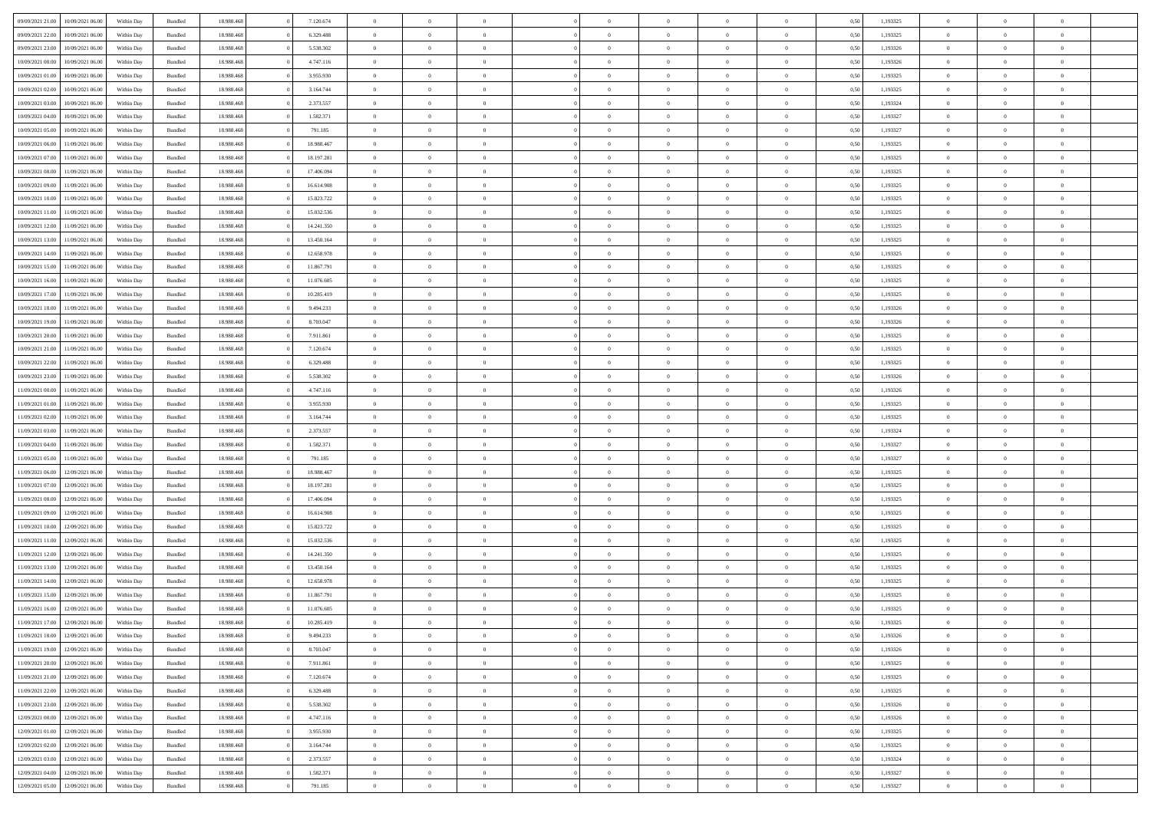| 09/09/2021 21:00                  | 10/09/2021 06:00 | Within Day | Bundled            | 18.988.468 | 7.120.674  | $\overline{0}$ | $\theta$       |                | $\Omega$       | $\Omega$       | $\Omega$       | $\theta$       | 0.50 | 1,193325 | $\theta$       | $\overline{0}$ | $\theta$       |  |
|-----------------------------------|------------------|------------|--------------------|------------|------------|----------------|----------------|----------------|----------------|----------------|----------------|----------------|------|----------|----------------|----------------|----------------|--|
| 09/09/2021 22.00                  | 10/09/2021 06:00 | Within Day | Bundled            | 18.988.468 | 6.329.488  | $\overline{0}$ | $\theta$       | $\overline{0}$ | $\overline{0}$ | $\bf{0}$       | $\overline{0}$ | $\overline{0}$ | 0,50 | 1,193325 | $\theta$       | $\overline{0}$ | $\overline{0}$ |  |
| 09/09/2021 23.00                  | 10/09/2021 06:00 | Within Day | Bundled            | 18.988.468 | 5.538.302  | $\overline{0}$ | $\overline{0}$ | $\overline{0}$ | $\bf{0}$       | $\bf{0}$       | $\bf{0}$       | $\bf{0}$       | 0,50 | 1,193326 | $\bf{0}$       | $\overline{0}$ | $\overline{0}$ |  |
|                                   |                  |            |                    |            |            |                |                |                |                |                |                |                |      |          | $\theta$       |                |                |  |
| 10/09/2021 00:00                  | 10/09/2021 06:00 | Within Dav | Bundled            | 18.988.468 | 4.747.116  | $\overline{0}$ | $\theta$       | $\overline{0}$ | $\overline{0}$ | $\bf{0}$       | $\overline{0}$ | $\overline{0}$ | 0.50 | 1,193326 |                | $\theta$       | $\overline{0}$ |  |
| 10/09/2021 01:00                  | 10/09/2021 06:00 | Within Day | Bundled            | 18.988.468 | 3.955.930  | $\overline{0}$ | $\theta$       | $\overline{0}$ | $\overline{0}$ | $\bf{0}$       | $\overline{0}$ | $\bf{0}$       | 0,50 | 1,193325 | $\theta$       | $\theta$       | $\overline{0}$ |  |
| 10/09/2021 02:00                  | 10/09/2021 06:00 | Within Day | Bundled            | 18.988.468 | 3.164.744  | $\overline{0}$ | $\bf{0}$       | $\overline{0}$ | $\bf{0}$       | $\overline{0}$ | $\overline{0}$ | $\mathbf{0}$   | 0,50 | 1,193325 | $\overline{0}$ | $\overline{0}$ | $\bf{0}$       |  |
| 10/09/2021 03:00                  | 10/09/2021 06:00 | Within Dav | Bundled            | 18.988.468 | 2.373.557  | $\overline{0}$ | $\overline{0}$ | $\overline{0}$ | $\overline{0}$ | $\bf{0}$       | $\overline{0}$ | $\overline{0}$ | 0.50 | 1,193324 | $\theta$       | $\overline{0}$ | $\overline{0}$ |  |
|                                   |                  |            |                    |            |            |                |                |                |                |                |                |                |      |          |                |                |                |  |
| 10/09/2021 04:00                  | 10/09/2021 06:00 | Within Day | Bundled            | 18.988.468 | 1.582.371  | $\overline{0}$ | $\theta$       | $\overline{0}$ | $\overline{0}$ | $\bf{0}$       | $\overline{0}$ | $\bf{0}$       | 0,50 | 1,193327 | $\theta$       | $\theta$       | $\overline{0}$ |  |
| 10/09/2021 05:00                  | 10/09/2021 06:00 | Within Day | Bundled            | 18.988.468 | 791.185    | $\overline{0}$ | $\overline{0}$ | $\overline{0}$ | $\bf{0}$       | $\bf{0}$       | $\bf{0}$       | $\bf{0}$       | 0,50 | 1,193327 | $\,0\,$        | $\overline{0}$ | $\overline{0}$ |  |
| 10/09/2021 06:00                  | 11/09/2021 06:00 | Within Dav | Bundled            | 18.988.468 | 18.988.467 | $\overline{0}$ | $\overline{0}$ | $\overline{0}$ | $\overline{0}$ | $\overline{0}$ | $\overline{0}$ | $\overline{0}$ | 0.50 | 1,193325 | $\theta$       | $\overline{0}$ | $\overline{0}$ |  |
| 10/09/2021 07:00                  | 11/09/2021 06:00 |            | Bundled            | 18.988.468 | 18.197.281 | $\overline{0}$ | $\theta$       | $\overline{0}$ | $\overline{0}$ | $\bf{0}$       | $\overline{0}$ |                |      | 1,193325 | $\theta$       | $\theta$       | $\overline{0}$ |  |
|                                   |                  | Within Day |                    |            |            |                |                |                |                |                |                | $\bf{0}$       | 0,50 |          |                |                |                |  |
| 10/09/2021 08:00                  | 11/09/2021 06:00 | Within Day | Bundled            | 18.988.468 | 17.406.094 | $\overline{0}$ | $\overline{0}$ | $\overline{0}$ | $\bf{0}$       | $\bf{0}$       | $\bf{0}$       | $\bf{0}$       | 0,50 | 1,193325 | $\bf{0}$       | $\overline{0}$ | $\overline{0}$ |  |
| 10/09/2021 09:00                  | 11/09/2021 06:00 | Within Dav | Bundled            | 18.988.468 | 16.614.908 | $\overline{0}$ | $\theta$       | $\overline{0}$ | $\overline{0}$ | $\bf{0}$       | $\overline{0}$ | $\overline{0}$ | 0.50 | 1,193325 | $\theta$       | $\theta$       | $\overline{0}$ |  |
| 10/09/2021 10:00                  | 11/09/2021 06:00 | Within Day | Bundled            | 18.988.468 | 15.823.722 | $\overline{0}$ | $\theta$       | $\overline{0}$ | $\overline{0}$ | $\bf{0}$       | $\overline{0}$ | $\overline{0}$ | 0,50 | 1,193325 | $\theta$       | $\theta$       | $\overline{0}$ |  |
|                                   |                  |            |                    |            |            |                |                |                |                |                |                |                |      |          |                |                |                |  |
| 10/09/2021 11:00                  | 11/09/2021 06:00 | Within Day | Bundled            | 18.988.468 | 15.032.536 | $\overline{0}$ | $\overline{0}$ | $\overline{0}$ | $\bf{0}$       | $\overline{0}$ | $\overline{0}$ | $\mathbf{0}$   | 0,50 | 1,193325 | $\overline{0}$ | $\overline{0}$ | $\bf{0}$       |  |
| 10/09/2021 12:00                  | 11/09/2021 06:00 | Within Dav | Bundled            | 18.988.468 | 14.241.350 | $\overline{0}$ | $\overline{0}$ | $\overline{0}$ | $\overline{0}$ | $\bf{0}$       | $\overline{0}$ | $\overline{0}$ | 0.50 | 1,193325 | $\theta$       | $\overline{0}$ | $\overline{0}$ |  |
| 10/09/2021 13:00                  | 11/09/2021 06:00 | Within Day | Bundled            | 18.988.468 | 13.450.164 | $\overline{0}$ | $\theta$       | $\overline{0}$ | $\overline{0}$ | $\bf{0}$       | $\overline{0}$ | $\bf{0}$       | 0,50 | 1,193325 | $\theta$       | $\theta$       | $\overline{0}$ |  |
| 10/09/2021 14:00                  | 11/09/2021 06:00 | Within Day | Bundled            | 18.988.468 | 12.658.978 | $\overline{0}$ | $\overline{0}$ | $\overline{0}$ | $\bf{0}$       | $\bf{0}$       | $\bf{0}$       | $\bf{0}$       | 0,50 | 1,193325 | $\,0\,$        | $\overline{0}$ | $\overline{0}$ |  |
|                                   |                  |            |                    |            |            |                |                |                |                |                |                |                |      |          |                |                |                |  |
| 10/09/2021 15:00                  | 11/09/2021 06:00 | Within Day | Bundled            | 18.988.468 | 11.867.791 | $\overline{0}$ | $\overline{0}$ | $\overline{0}$ | $\overline{0}$ | $\overline{0}$ | $\overline{0}$ | $\overline{0}$ | 0.50 | 1,193325 | $\theta$       | $\overline{0}$ | $\overline{0}$ |  |
| 10/09/2021 16:00                  | 11/09/2021 06:00 | Within Day | Bundled            | 18.988.468 | 11.076.605 | $\overline{0}$ | $\theta$       | $\overline{0}$ | $\overline{0}$ | $\bf{0}$       | $\overline{0}$ | $\bf{0}$       | 0,50 | 1,193325 | $\theta$       | $\theta$       | $\overline{0}$ |  |
| 10/09/2021 17:00                  | 11/09/2021 06:00 | Within Day | Bundled            | 18.988.468 | 10.285.419 | $\overline{0}$ | $\overline{0}$ | $\overline{0}$ | $\bf{0}$       | $\bf{0}$       | $\bf{0}$       | $\bf{0}$       | 0,50 | 1,193325 | $\,0\,$        | $\overline{0}$ | $\overline{0}$ |  |
| 10/09/2021 18:00                  | 11/09/2021 06:00 | Within Day | Bundled            | 18.988.468 | 9.494.233  | $\overline{0}$ | $\overline{0}$ | $\overline{0}$ | $\overline{0}$ | $\bf{0}$       | $\overline{0}$ | $\overline{0}$ | 0.50 | 1,193326 | $\theta$       | $\theta$       | $\overline{0}$ |  |
|                                   |                  |            |                    |            |            |                |                |                |                |                |                |                |      |          |                |                |                |  |
| 10/09/2021 19:00                  | 11/09/2021 06:00 | Within Day | Bundled            | 18.988.468 | 8.703.047  | $\overline{0}$ | $\theta$       | $\overline{0}$ | $\overline{0}$ | $\bf{0}$       | $\overline{0}$ | $\bf{0}$       | 0,50 | 1,193326 | $\theta$       | $\overline{0}$ | $\overline{0}$ |  |
| 10/09/2021 20:00                  | 11/09/2021 06:00 | Within Day | Bundled            | 18.988.468 | 7.911.861  | $\overline{0}$ | $\overline{0}$ | $\overline{0}$ | $\bf{0}$       | $\overline{0}$ | $\overline{0}$ | $\mathbf{0}$   | 0,50 | 1,193325 | $\overline{0}$ | $\overline{0}$ | $\bf{0}$       |  |
| 10/09/2021 21:00                  | 11/09/2021 06:00 | Within Dav | Bundled            | 18.988.468 | 7.120.674  | $\overline{0}$ | $\overline{0}$ | $\overline{0}$ | $\overline{0}$ | $\overline{0}$ | $\overline{0}$ | $\overline{0}$ | 0.50 | 1,193325 | $\theta$       | $\overline{0}$ | $\overline{0}$ |  |
| 10/09/2021 22.00                  | 11/09/2021 06:00 | Within Day | Bundled            | 18.988.468 | 6.329.488  | $\overline{0}$ | $\theta$       | $\overline{0}$ | $\overline{0}$ | $\bf{0}$       | $\overline{0}$ | $\bf{0}$       | 0,50 | 1,193325 | $\theta$       | $\theta$       | $\overline{0}$ |  |
|                                   |                  |            |                    |            |            |                |                |                |                |                |                |                |      |          |                |                |                |  |
| 10/09/2021 23:00                  | 11/09/2021 06:00 | Within Day | Bundled            | 18.988.468 | 5.538.302  | $\overline{0}$ | $\overline{0}$ | $\overline{0}$ | $\overline{0}$ | $\bf{0}$       | $\overline{0}$ | $\bf{0}$       | 0,50 | 1,193326 | $\,0\,$        | $\overline{0}$ | $\overline{0}$ |  |
| 11/09/2021 00:00                  | 11/09/2021 06:00 | Within Day | Bundled            | 18.988.468 | 4.747.116  | $\overline{0}$ | $\overline{0}$ | $\overline{0}$ | $\overline{0}$ | $\bf{0}$       | $\overline{0}$ | $\overline{0}$ | 0.50 | 1,193326 | $\theta$       | $\overline{0}$ | $\overline{0}$ |  |
| 11/09/2021 01:00                  | 11/09/2021 06:00 | Within Day | Bundled            | 18.988.468 | 3.955.930  | $\overline{0}$ | $\theta$       | $\overline{0}$ | $\overline{0}$ | $\bf{0}$       | $\overline{0}$ | $\bf{0}$       | 0,50 | 1,193325 | $\,$ 0 $\,$    | $\theta$       | $\overline{0}$ |  |
| 11/09/2021 02:00                  | 11/09/2021 06:00 | Within Day | Bundled            | 18.988.468 | 3.164.744  | $\overline{0}$ | $\overline{0}$ | $\overline{0}$ | $\overline{0}$ | $\bf{0}$       | $\overline{0}$ | $\bf{0}$       | 0,50 | 1,193325 | $\bf{0}$       | $\overline{0}$ | $\overline{0}$ |  |
|                                   |                  |            |                    |            |            |                |                |                |                |                |                |                |      |          |                |                |                |  |
| 11/09/2021 03:00                  | 11/09/2021 06.00 | Within Day | Bundled            | 18.988.468 | 2.373.557  | $\overline{0}$ | $\Omega$       | $\Omega$       | $\Omega$       | $\Omega$       | $\Omega$       | $\overline{0}$ | 0.50 | 1,193324 | $\,0\,$        | $\Omega$       | $\theta$       |  |
| 11/09/2021 04:00                  | 11/09/2021 06:00 | Within Day | Bundled            | 18.988.468 | 1.582.371  | $\overline{0}$ | $\theta$       | $\overline{0}$ | $\overline{0}$ | $\bf{0}$       | $\overline{0}$ | $\bf{0}$       | 0,50 | 1,193327 | $\theta$       | $\theta$       | $\overline{0}$ |  |
| 11/09/2021 05:00                  | 11/09/2021 06:00 | Within Day | Bundled            | 18.988.468 | 791.185    | $\overline{0}$ | $\bf{0}$       | $\overline{0}$ | $\overline{0}$ | $\bf{0}$       | $\overline{0}$ | $\mathbf{0}$   | 0,50 | 1,193327 | $\overline{0}$ | $\overline{0}$ | $\bf{0}$       |  |
| 11/09/2021 06:00                  | 12/09/2021 06:00 | Within Day | Bundled            | 18.988.468 | 18.988.467 | $\overline{0}$ | $\Omega$       | $\Omega$       | $\Omega$       | $\Omega$       | $\Omega$       | $\overline{0}$ | 0.50 | 1,193325 | $\theta$       | $\theta$       | $\theta$       |  |
|                                   |                  |            |                    |            |            |                |                |                |                |                |                |                |      |          |                |                |                |  |
| 11/09/2021 07:00                  | 12/09/2021 06:00 | Within Day | Bundled            | 18.988.468 | 18.197.281 | $\overline{0}$ | $\theta$       | $\overline{0}$ | $\overline{0}$ | $\bf{0}$       | $\overline{0}$ | $\bf{0}$       | 0,50 | 1,193325 | $\theta$       | $\theta$       | $\overline{0}$ |  |
| 11/09/2021 08:00                  | 12/09/2021 06:00 | Within Day | Bundled            | 18.988.468 | 17.406.094 | $\overline{0}$ | $\overline{0}$ | $\overline{0}$ | $\overline{0}$ | $\bf{0}$       | $\overline{0}$ | $\bf{0}$       | 0,50 | 1,193325 | $\,0\,$        | $\overline{0}$ | $\overline{0}$ |  |
| 11/09/2021 09:00                  | 12/09/2021 06:00 | Within Day | Bundled            | 18.988.468 | 16.614.908 | $\overline{0}$ | $\Omega$       | $\Omega$       | $\Omega$       | $\Omega$       | $\theta$       | $\overline{0}$ | 0.50 | 1,193325 | $\theta$       | $\theta$       | $\theta$       |  |
| 11/09/2021 10:00                  | 12/09/2021 06:00 | Within Day | Bundled            | 18.988.468 | 15.823.722 | $\overline{0}$ | $\theta$       | $\overline{0}$ | $\overline{0}$ | $\bf{0}$       | $\overline{0}$ | $\bf{0}$       | 0,50 | 1,193325 | $\theta$       | $\theta$       | $\overline{0}$ |  |
|                                   |                  |            |                    |            |            |                |                |                |                |                |                |                |      |          |                |                |                |  |
| 11/09/2021 11:00                  | 12/09/2021 06:00 | Within Day | Bundled            | 18.988.468 | 15.032.536 | $\overline{0}$ | $\overline{0}$ | $\overline{0}$ | $\overline{0}$ | $\bf{0}$       | $\overline{0}$ | $\bf{0}$       | 0,50 | 1,193325 | $\,0\,$        | $\overline{0}$ | $\overline{0}$ |  |
| 11/09/2021 12:00                  | 12/09/2021 06:00 | Within Day | Bundled            | 18.988.468 | 14.241.350 | $\overline{0}$ | $\Omega$       | $\Omega$       | $\Omega$       | $\Omega$       | $\overline{0}$ | $\overline{0}$ | 0.50 | 1,193325 | $\,0\,$        | $\theta$       | $\theta$       |  |
| 11/09/2021 13:00                  | 12/09/2021 06:00 | Within Day | Bundled            | 18.988.468 | 13.450.164 | $\overline{0}$ | $\theta$       | $\overline{0}$ | $\overline{0}$ | $\bf{0}$       | $\overline{0}$ | $\bf{0}$       | 0,50 | 1,193325 | $\,$ 0 $\,$    | $\theta$       | $\overline{0}$ |  |
| 11/09/2021 14:00                  | 12/09/2021 06:00 | Within Day | Bundled            | 18.988.468 | 12.658.978 | $\overline{0}$ | $\overline{0}$ | $\overline{0}$ | $\overline{0}$ | $\bf{0}$       | $\overline{0}$ | $\mathbf{0}$   | 0,50 | 1,193325 | $\overline{0}$ | $\overline{0}$ | $\bf{0}$       |  |
|                                   |                  |            |                    |            |            |                |                |                |                |                |                |                |      |          |                |                |                |  |
| 11/09/2021 15:00                  | 12/09/2021 06:00 | Within Day | Bundled            | 18.988.468 | 11.867.791 | $\overline{0}$ | $\Omega$       | $\Omega$       | $\Omega$       | $\Omega$       | $\Omega$       | $\overline{0}$ | 0.50 | 1,193325 | $\theta$       | $\theta$       | $\theta$       |  |
| 11/09/2021 16:00                  | 12/09/2021 06:00 | Within Day | Bundled            | 18.988.468 | 11.076.605 | $\overline{0}$ | $\,$ 0 $\,$    | $\overline{0}$ | $\bf{0}$       | $\,$ 0         | $\overline{0}$ | $\bf{0}$       | 0,50 | 1,193325 | $\,0\,$        | $\overline{0}$ | $\overline{0}$ |  |
| 11/09/2021 17:00                  | 12/09/2021 06:00 | Within Day | $\mathbf B$ undled | 18.988.468 | 10.285.419 | $\bf{0}$       | $\bf{0}$       |                |                |                |                |                | 0,50 | 1,193325 | $\bf{0}$       | $\overline{0}$ |                |  |
| 11/09/2021 18:00                  | 12/09/2021 06:00 | Within Day | Bundled            | 18,988,468 | 9.494.233  | $\overline{0}$ | $\overline{0}$ | $\overline{0}$ | $\Omega$       | $\overline{0}$ | $\overline{0}$ | $\overline{0}$ | 0,50 | 1,193326 | $\theta$       | $\theta$       | $\theta$       |  |
|                                   |                  |            |                    |            |            |                |                |                |                |                |                |                |      |          |                |                |                |  |
| 11/09/2021 19:00                  | 12/09/2021 06:00 | Within Day | Bundled            | 18.988.468 | 8.703.047  | $\overline{0}$ | $\,$ 0         | $\overline{0}$ | $\bf{0}$       | $\,$ 0 $\,$    | $\overline{0}$ | $\mathbf{0}$   | 0,50 | 1,193326 | $\,$ 0 $\,$    | $\,$ 0 $\,$    | $\,$ 0         |  |
| 11/09/2021 20:00                  | 12/09/2021 06:00 | Within Day | Bundled            | 18.988.468 | 7.911.861  | $\overline{0}$ | $\overline{0}$ | $\overline{0}$ | $\overline{0}$ | $\overline{0}$ | $\overline{0}$ | $\mathbf{0}$   | 0,50 | 1,193325 | $\overline{0}$ | $\bf{0}$       | $\bf{0}$       |  |
| 11/09/2021 21:00                  | 12/09/2021 06:00 | Within Day | Bundled            | 18.988.468 | 7.120.674  | $\overline{0}$ | $\overline{0}$ | $\overline{0}$ | $\Omega$       | $\overline{0}$ | $\overline{0}$ | $\overline{0}$ | 0,50 | 1,193325 | $\overline{0}$ | $\theta$       | $\overline{0}$ |  |
| 11/09/2021 22:00                  | 12/09/2021 06:00 | Within Day | Bundled            | 18.988.468 | 6.329.488  | $\overline{0}$ | $\,$ 0         | $\overline{0}$ | $\overline{0}$ | $\,$ 0 $\,$    | $\overline{0}$ | $\mathbf{0}$   | 0,50 | 1,193325 | $\,$ 0 $\,$    | $\overline{0}$ | $\overline{0}$ |  |
|                                   |                  |            |                    |            |            |                |                |                |                |                |                |                |      |          |                |                |                |  |
| 11/09/2021 23:00                  | 12/09/2021 06:00 | Within Day | Bundled            | 18.988.468 | 5.538.302  | $\overline{0}$ | $\overline{0}$ | $\overline{0}$ | $\overline{0}$ | $\overline{0}$ | $\overline{0}$ | $\mathbf{0}$   | 0,50 | 1,193326 | $\overline{0}$ | $\overline{0}$ | $\bf{0}$       |  |
| 12/09/2021 00:00                  | 12/09/2021 06:00 | Within Day | Bundled            | 18.988.468 | 4.747.116  | $\overline{0}$ | $\overline{0}$ | $\overline{0}$ | $\Omega$       | $\overline{0}$ | $\overline{0}$ | $\bf{0}$       | 0.50 | 1,193326 | $\overline{0}$ | $\theta$       | $\overline{0}$ |  |
| 12/09/2021 01:00                  | 12/09/2021 06:00 | Within Day | Bundled            | 18.988.468 | 3.955.930  | $\overline{0}$ | $\,$ 0         | $\overline{0}$ | $\bf{0}$       | $\bf{0}$       | $\bf{0}$       | $\bf{0}$       | 0,50 | 1,193325 | $\,$ 0 $\,$    | $\overline{0}$ | $\overline{0}$ |  |
| 12/09/2021 02:00                  | 12/09/2021 06:00 | Within Day | Bundled            | 18.988.468 | 3.164.744  | $\overline{0}$ | $\bf{0}$       | $\overline{0}$ | $\overline{0}$ | $\overline{0}$ | $\overline{0}$ | $\mathbf{0}$   | 0,50 | 1,193325 | $\overline{0}$ | $\overline{0}$ | $\bf{0}$       |  |
|                                   |                  |            |                    |            |            |                |                |                |                |                |                |                |      |          |                |                |                |  |
| 12/09/2021 03:00                  | 12/09/2021 06:00 | Within Day | Bundled            | 18,988,468 | 2.373.557  | $\overline{0}$ | $\overline{0}$ | $\overline{0}$ | $\Omega$       | $\overline{0}$ | $\overline{0}$ | $\bf{0}$       | 0.50 | 1,193324 | $\overline{0}$ | $\overline{0}$ | $\overline{0}$ |  |
| 12/09/2021 04:00                  | 12/09/2021 06:00 | Within Day | Bundled            | 18.988.468 | 1.582.371  | $\overline{0}$ | $\bf{0}$       | $\overline{0}$ | $\overline{0}$ | $\bf{0}$       | $\bf{0}$       | $\mathbf{0}$   | 0,50 | 1,193327 | $\,$ 0 $\,$    | $\,$ 0 $\,$    | $\bf{0}$       |  |
| 12/09/2021 05:00 12/09/2021 06:00 |                  | Within Day | Bundled            | 18.988.468 | 791.185    | $\overline{0}$ | $\overline{0}$ | $\overline{0}$ | $\overline{0}$ | $\bf{0}$       | $\bf{0}$       | $\mathbf{0}$   | 0,50 | 1,193327 | $\overline{0}$ | $\bf{0}$       | $\bf{0}$       |  |
|                                   |                  |            |                    |            |            |                |                |                |                |                |                |                |      |          |                |                |                |  |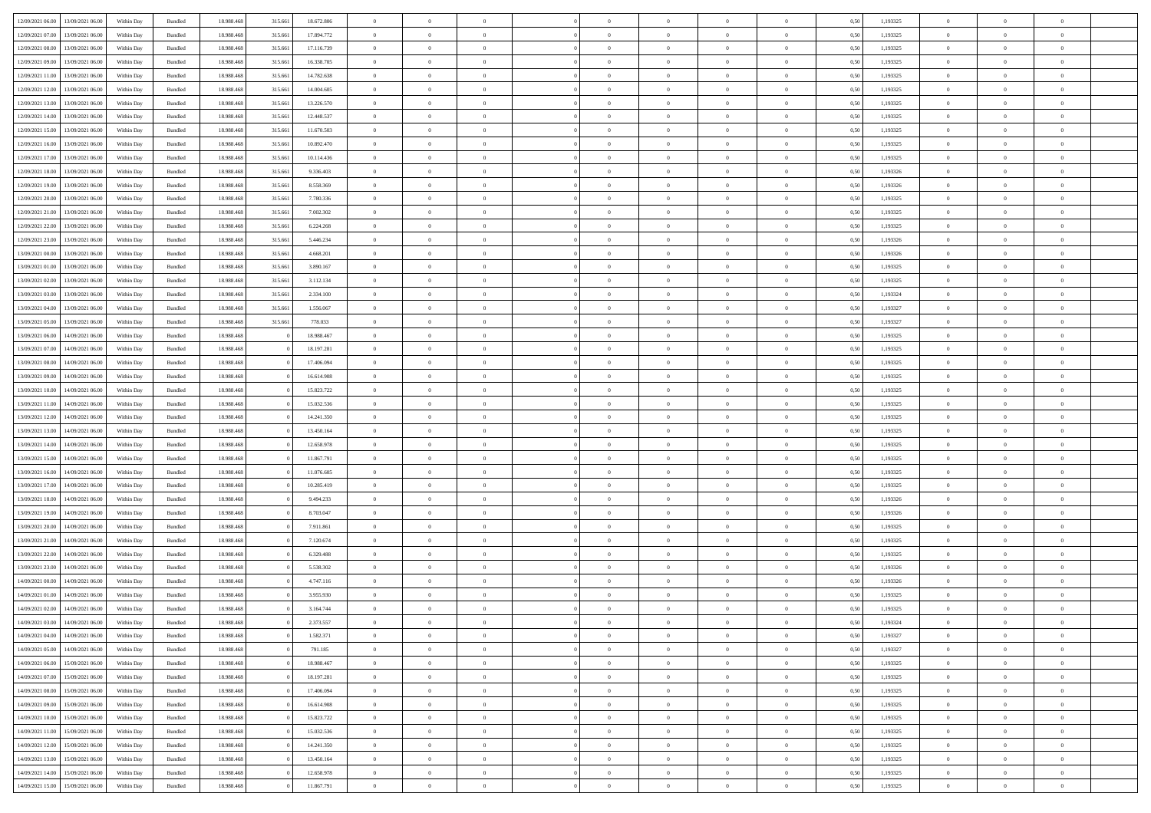| 12/09/2021 06:00 13/09/2021 06:00              | Within Day | Bundled            | 18.988.468 | 315.661 | 18.672.806 | $\overline{0}$ | $\overline{0}$ |                | $\overline{0}$ | $\theta$       |                | $\theta$       | 0,50 | 1,193325 | $\theta$       | $\theta$       | $\overline{0}$ |  |
|------------------------------------------------|------------|--------------------|------------|---------|------------|----------------|----------------|----------------|----------------|----------------|----------------|----------------|------|----------|----------------|----------------|----------------|--|
| 12/09/2021 07:00<br>13/09/2021 06:00           | Within Day | Bundled            | 18.988.46  | 315.66  | 17.894.772 | $\bf{0}$       | $\bf{0}$       | $\bf{0}$       | $\overline{0}$ | $\overline{0}$ | $\overline{0}$ | $\bf{0}$       | 0,50 | 1,193325 | $\,$ 0 $\,$    | $\bf{0}$       | $\overline{0}$ |  |
| 12/09/2021 08:00<br>13/09/2021 06:00           | Within Day | Bundled            | 18,988,468 | 315.661 | 17.116.739 | $\overline{0}$ | $\bf{0}$       | $\overline{0}$ | $\bf{0}$       | $\bf{0}$       | $\overline{0}$ | $\bf{0}$       | 0.50 | 1,193325 | $\bf{0}$       | $\overline{0}$ | $\overline{0}$ |  |
| 12/09/2021 09:00<br>13/09/2021 06:00           | Within Day | Bundled            | 18.988.468 | 315.661 | 16.338.705 | $\overline{0}$ | $\overline{0}$ | $\overline{0}$ | $\overline{0}$ | $\theta$       | $\overline{0}$ | $\bf{0}$       | 0,50 | 1,193325 | $\,$ 0 $\,$    | $\,$ 0 $\,$    | $\overline{0}$ |  |
|                                                |            |                    |            |         |            |                |                |                |                |                |                |                |      |          |                |                |                |  |
| 12/09/2021 11:00<br>13/09/2021 06:00           | Within Day | Bundled            | 18.988.46  | 315.66  | 14.782.638 | $\bf{0}$       | $\overline{0}$ | $\bf{0}$       | $\overline{0}$ | $\bf{0}$       | $\overline{0}$ | $\bf{0}$       | 0,50 | 1,193325 | $\,$ 0 $\,$    | $\bf{0}$       | $\overline{0}$ |  |
| 12/09/2021 12:00<br>13/09/2021 06:00           | Within Day | Bundled            | 18,988,468 | 315.661 | 14,004,605 | $\overline{0}$ | $\overline{0}$ | $\overline{0}$ | $\bf{0}$       | $\overline{0}$ | $\theta$       | $\bf{0}$       | 0.50 | 1,193325 | $\bf{0}$       | $\theta$       | $\overline{0}$ |  |
| 12/09/2021 13:00<br>13/09/2021 06:00           | Within Day | Bundled            | 18.988.468 | 315.661 | 13.226.570 | $\bf{0}$       | $\overline{0}$ | $\overline{0}$ | $\overline{0}$ | $\overline{0}$ | $\overline{0}$ | $\bf{0}$       | 0,50 | 1,193325 | $\,$ 0 $\,$    | $\theta$       | $\overline{0}$ |  |
| 12/09/2021 14:00<br>13/09/2021 06:00           | Within Day | Bundled            | 18.988.46  | 315.66  | 12.448.537 | $\bf{0}$       | $\overline{0}$ | $\bf{0}$       | $\overline{0}$ | $\overline{0}$ | $\overline{0}$ | $\bf{0}$       | 0,50 | 1,193325 | $\,$ 0 $\,$    | $\bf{0}$       | $\overline{0}$ |  |
|                                                |            |                    |            |         |            |                |                |                |                |                |                |                |      |          |                |                |                |  |
| 12/09/2021 15:00<br>13/09/2021 06:00           | Within Day | Bundled            | 18,988,468 | 315.661 | 11.670.503 | $\overline{0}$ | $\bf{0}$       | $\overline{0}$ | $\bf{0}$       | $\overline{0}$ | $\overline{0}$ | $\bf{0}$       | 0.50 | 1.193325 | $\bf{0}$       | $\overline{0}$ | $\overline{0}$ |  |
| 12/09/2021 16:00<br>13/09/2021 06:00           | Within Day | Bundled            | 18.988.468 | 315.661 | 10.892.470 | $\bf{0}$       | $\bf{0}$       | $\overline{0}$ | $\overline{0}$ | $\overline{0}$ | $\overline{0}$ | $\bf{0}$       | 0,50 | 1,193325 | $\,$ 0 $\,$    | $\bf{0}$       | $\overline{0}$ |  |
| 12/09/2021 17:00<br>13/09/2021 06:00           | Within Day | Bundled            | 18.988.46  | 315.66  | 10.114.436 | $\bf{0}$       | $\overline{0}$ | $\bf{0}$       | $\bf{0}$       | $\bf{0}$       | $\overline{0}$ | $\bf{0}$       | 0,50 | 1,193325 | $\,$ 0 $\,$    | $\bf{0}$       | $\overline{0}$ |  |
| 12/09/2021 18:00<br>13/09/2021 06:00           | Within Day | $\mathbf B$ undled | 18,988,468 | 315.661 | 9.336.403  | $\overline{0}$ | $\bf{0}$       | $\overline{0}$ | $\overline{0}$ | $\bf{0}$       | $\overline{0}$ | $\bf{0}$       | 0.50 | 1,193326 | $\bf{0}$       | $\overline{0}$ | $\bf{0}$       |  |
| 12/09/2021 19:00<br>13/09/2021 06:00           | Within Day | Bundled            | 18.988.468 | 315.661 | 8.558.369  | $\overline{0}$ | $\overline{0}$ | $\overline{0}$ | $\overline{0}$ | $\theta$       | $\overline{0}$ | $\bf{0}$       | 0,50 | 1,193326 | $\,$ 0 $\,$    | $\theta$       | $\overline{0}$ |  |
|                                                |            |                    |            |         |            |                |                |                |                |                |                |                |      |          |                |                |                |  |
| 12/09/2021 20:00<br>13/09/2021 06:00           | Within Day | Bundled            | 18.988.46  | 315.66  | 7.780.336  | $\bf{0}$       | $\overline{0}$ | $\bf{0}$       | $\bf{0}$       | $\bf{0}$       | $\overline{0}$ | $\bf{0}$       | 0,50 | 1,193325 | $\,$ 0 $\,$    | $\bf{0}$       | $\overline{0}$ |  |
| 12/09/2021 21:00<br>13/09/2021 06:00           | Within Day | Bundled            | 18,988,468 | 315.661 | 7.002.302  | $\overline{0}$ | $\overline{0}$ | $\overline{0}$ | $\bf{0}$       | $\bf{0}$       | $\Omega$       | $\bf{0}$       | 0.50 | 1,193325 | $\theta$       | $\theta$       | $\overline{0}$ |  |
| 12/09/2021 22:00<br>13/09/2021 06:00           | Within Day | Bundled            | 18.988.468 | 315.661 | 6.224.268  | $\bf{0}$       | $\overline{0}$ | $\overline{0}$ | $\overline{0}$ | $\overline{0}$ | $\overline{0}$ | $\bf{0}$       | 0,50 | 1,193325 | $\,$ 0 $\,$    | $\theta$       | $\overline{0}$ |  |
| 12/09/2021 23:00<br>13/09/2021 06:00           | Within Day | Bundled            | 18.988.46  | 315.66  | 5.446.234  | $\bf{0}$       | $\overline{0}$ | $\bf{0}$       | $\overline{0}$ | $\bf{0}$       | $\overline{0}$ | $\bf{0}$       | 0,50 | 1,193326 | $\,$ 0 $\,$    | $\bf{0}$       | $\overline{0}$ |  |
|                                                |            |                    |            |         |            |                |                |                |                |                |                |                |      |          |                |                |                |  |
| 13/09/2021 00:00<br>13/09/2021 06:00           | Within Day | Bundled            | 18,988,468 | 315.661 | 4.668.201  | $\overline{0}$ | $\bf{0}$       | $\overline{0}$ | $\bf{0}$       | $\overline{0}$ | $\overline{0}$ | $\bf{0}$       | 0.50 | 1.193326 | $\bf{0}$       | $\overline{0}$ | $\overline{0}$ |  |
| 13/09/2021 01:00<br>13/09/2021 06:00           | Within Day | Bundled            | 18.988.468 | 315.661 | 3.890.167  | $\bf{0}$       | $\bf{0}$       | $\overline{0}$ | $\overline{0}$ | $\overline{0}$ | $\overline{0}$ | $\bf{0}$       | 0,50 | 1,193325 | $\,$ 0 $\,$    | $\bf{0}$       | $\overline{0}$ |  |
| 13/09/2021 02:00<br>13/09/2021 06:00           | Within Day | Bundled            | 18.988.46  | 315.66  | 3.112.134  | $\bf{0}$       | $\bf{0}$       | $\bf{0}$       | $\bf{0}$       | $\overline{0}$ | $\overline{0}$ | $\bf{0}$       | 0,50 | 1,193325 | $\,$ 0 $\,$    | $\bf{0}$       | $\overline{0}$ |  |
| 13/09/2021 03:00<br>13/09/2021 06:00           | Within Day | Bundled            | 18,988,468 | 315.661 | 2.334.100  | $\overline{0}$ | $\bf{0}$       | $\overline{0}$ | $\overline{0}$ | $\bf{0}$       | $\overline{0}$ | $\bf{0}$       | 0.50 | 1,193324 | $\bf{0}$       | $\overline{0}$ | $\overline{0}$ |  |
| 13/09/2021 04:00<br>13/09/2021 06:00           | Within Day | Bundled            | 18.988.468 | 315.661 | 1.556.067  | $\overline{0}$ | $\overline{0}$ | $\overline{0}$ | $\overline{0}$ | $\theta$       | $\overline{0}$ | $\bf{0}$       | 0,50 | 1,193327 | $\,$ 0 $\,$    | $\theta$       | $\overline{0}$ |  |
|                                                |            |                    |            |         |            |                | $\overline{0}$ |                |                |                |                |                |      |          |                |                |                |  |
| 13/09/2021 05:00<br>13/09/2021 06:00           | Within Day | Bundled            | 18.988.46  | 315.66  | 778.033    | $\bf{0}$       |                | $\bf{0}$       | $\bf{0}$       | $\overline{0}$ | $\overline{0}$ | $\bf{0}$       | 0,50 | 1,193327 | $\,$ 0 $\,$    | $\bf{0}$       | $\overline{0}$ |  |
| 13/09/2021 06:00<br>14/09/2021 06:00           | Within Day | Bundled            | 18,988,468 |         | 18,988,467 | $\overline{0}$ | $\overline{0}$ | $\overline{0}$ | $\overline{0}$ | $\overline{0}$ | $\Omega$       | $\bf{0}$       | 0.50 | 1,193325 | $\bf{0}$       | $\theta$       | $\overline{0}$ |  |
| 13/09/2021 07:00<br>14/09/2021 06.00           | Within Day | Bundled            | 18.988.468 |         | 18.197.281 | $\bf{0}$       | $\overline{0}$ | $\overline{0}$ | $\overline{0}$ | $\overline{0}$ | $\overline{0}$ | $\bf{0}$       | 0,50 | 1,193325 | $\,$ 0 $\,$    | $\theta$       | $\overline{0}$ |  |
| 13/09/2021 08:00<br>14/09/2021 06.00           | Within Day | Bundled            | 18.988.46  |         | 17.406.094 | $\bf{0}$       | $\overline{0}$ | $\bf{0}$       | $\overline{0}$ | $\bf{0}$       | $\overline{0}$ | $\bf{0}$       | 0,50 | 1,193325 | $\,$ 0 $\,$    | $\bf{0}$       | $\overline{0}$ |  |
| 13/09/2021 09:00<br>14/09/2021 06:00           | Within Day | Bundled            | 18.988.468 |         | 16.614.908 | $\overline{0}$ | $\bf{0}$       | $\overline{0}$ | $\bf{0}$       | $\overline{0}$ | $\overline{0}$ | $\bf{0}$       | 0.50 | 1.193325 | $\bf{0}$       | $\overline{0}$ | $\overline{0}$ |  |
| 13/09/2021 10:00<br>14/09/2021 06:00           | Within Day | Bundled            | 18.988.468 |         | 15.823.722 | $\bf{0}$       | $\bf{0}$       | $\overline{0}$ | $\overline{0}$ | $\overline{0}$ | $\overline{0}$ | $\bf{0}$       | 0,50 | 1,193325 | $\,$ 0 $\,$    | $\bf{0}$       | $\overline{0}$ |  |
|                                                |            |                    |            |         |            |                |                |                |                |                |                |                |      |          |                |                |                |  |
| 13/09/2021 11:00<br>14/09/2021 06.00           | Within Day | Bundled            | 18.988.46  |         | 15.032.536 | $\bf{0}$       | $\bf{0}$       | $\bf{0}$       | $\bf{0}$       | $\overline{0}$ | $\overline{0}$ | $\bf{0}$       | 0,50 | 1,193325 | $\,$ 0 $\,$    | $\bf{0}$       | $\overline{0}$ |  |
| 13/09/2021 12:00<br>14/09/2021 06:00           | Within Day | Bundled            | 18,988,468 |         | 14.241.350 | $\overline{0}$ | $\bf{0}$       | $\overline{0}$ | $\bf{0}$       | $\bf{0}$       | $\overline{0}$ | $\bf{0}$       | 0.50 | 1,193325 | $\bf{0}$       | $\overline{0}$ | $\overline{0}$ |  |
| 13/09/2021 13:00<br>14/09/2021 06:00           | Within Day | Bundled            | 18.988.468 |         | 13.450.164 | $\overline{0}$ | $\overline{0}$ | $\overline{0}$ | $\overline{0}$ | $\overline{0}$ | $\overline{0}$ | $\bf{0}$       | 0.50 | 1,193325 | $\theta$       | $\theta$       | $\overline{0}$ |  |
| 13/09/2021 14:00<br>14/09/2021 06.00           | Within Day | Bundled            | 18.988.46  |         | 12.658.978 | $\bf{0}$       | $\overline{0}$ | $\bf{0}$       | $\bf{0}$       | $\overline{0}$ | $\overline{0}$ | $\bf{0}$       | 0,50 | 1,193325 | $\,$ 0 $\,$    | $\bf{0}$       | $\overline{0}$ |  |
| 13/09/2021 15:00<br>14/09/2021 06:00           |            | Bundled            | 18.988.468 |         | 11.867.791 | $\overline{0}$ | $\overline{0}$ | $\overline{0}$ | $\bf{0}$       | $\bf{0}$       | $\Omega$       | $\bf{0}$       | 0.50 | 1,193325 | $\,$ 0 $\,$    | $\theta$       | $\overline{0}$ |  |
|                                                | Within Day |                    |            |         |            |                |                |                |                |                |                |                |      |          |                |                |                |  |
| 13/09/2021 16:00<br>14/09/2021 06:00           | Within Dav | Bundled            | 18.988.468 |         | 11.076.605 | $\overline{0}$ | $\overline{0}$ | $\overline{0}$ | $\overline{0}$ | $\overline{0}$ | $\overline{0}$ | $\overline{0}$ | 0.50 | 1,193325 | $\theta$       | $\theta$       | $\overline{0}$ |  |
| 13/09/2021 17:00<br>14/09/2021 06.00           | Within Day | Bundled            | 18.988.46  |         | 10.285.419 | $\bf{0}$       | $\bf{0}$       | $\bf{0}$       | $\bf{0}$       | $\bf{0}$       | $\overline{0}$ | $\bf{0}$       | 0,50 | 1,193325 | $\,$ 0 $\,$    | $\bf{0}$       | $\overline{0}$ |  |
| 13/09/2021 18:00<br>14/09/2021 06:00           | Within Day | Bundled            | 18,988,468 |         | 9.494.233  | $\overline{0}$ | $\bf{0}$       | $\overline{0}$ | $\bf{0}$       | $\overline{0}$ | $\overline{0}$ | $\bf{0}$       | 0.50 | 1.193326 | $\bf{0}$       | $\overline{0}$ | $\overline{0}$ |  |
| 13/09/2021 19:00<br>14/09/2021 06:00           | Within Day | Bundled            | 18.988.468 |         | 8.703.047  | $\overline{0}$ | $\overline{0}$ | $\overline{0}$ | $\overline{0}$ | $\overline{0}$ | $\overline{0}$ | $\overline{0}$ | 0.50 | 1,193326 | $\theta$       | $\theta$       | $\overline{0}$ |  |
| 13/09/2021 20:00<br>14/09/2021 06.00           | Within Day | Bundled            | 18.988.46  |         | 7.911.861  | $\bf{0}$       | $\bf{0}$       | $\bf{0}$       | $\bf{0}$       | $\overline{0}$ | $\overline{0}$ | $\bf{0}$       | 0,50 | 1,193325 | $\,$ 0 $\,$    | $\bf{0}$       | $\overline{0}$ |  |
|                                                |            |                    |            |         |            |                |                |                |                |                |                |                |      |          |                |                |                |  |
| 13/09/2021 21:00<br>14/09/2021 06:00           | Within Day | Bundled            | 18,988,468 |         | 7.120.674  | $\overline{0}$ | $\bf{0}$       | $\overline{0}$ | $\overline{0}$ | $\bf{0}$       | $\overline{0}$ | $\bf{0}$       | 0.50 | 1,193325 | $\bf{0}$       | $\overline{0}$ | $\overline{0}$ |  |
| 13/09/2021 22:00<br>14/09/2021 06:00           | Within Day | Bundled            | 18.988.468 |         | 6.329.488  | $\overline{0}$ | $\overline{0}$ | $\overline{0}$ | $\overline{0}$ | $\overline{0}$ | $\overline{0}$ | $\overline{0}$ | 0.50 | 1,193325 | $\theta$       | $\theta$       | $\overline{0}$ |  |
| 13/09/2021 23:00<br>14/09/2021 06.00           | Within Day | Bundled            | 18.988.46  |         | 5.538.302  | $\bf{0}$       | $\bf{0}$       | $\bf{0}$       | $\bf{0}$       | $\overline{0}$ | $\overline{0}$ | $\bf{0}$       | 0,50 | 1,193326 | $\,$ 0 $\,$    | $\bf{0}$       | $\overline{0}$ |  |
| 14/09/2021 00:00<br>14/09/2021 06:00           | Within Day | Bundled            | 18,988,468 |         | 4.747.116  | $\overline{0}$ | $\overline{0}$ | $\overline{0}$ | $\overline{0}$ | $\overline{0}$ | $\Omega$       | $\bf{0}$       | 0.50 | 1,193326 | $\bf{0}$       | $\theta$       | $\overline{0}$ |  |
| 14/09/2021 01:00<br>14/09/2021 06:00           | Within Dav | Bundled            | 18.988.468 |         | 3.955.930  | $\overline{0}$ | $\overline{0}$ | $\overline{0}$ | $\overline{0}$ | $\theta$       | $\overline{0}$ | $\overline{0}$ | 0.50 | 1,193325 | $\theta$       | $\theta$       | $\overline{0}$ |  |
|                                                |            |                    |            |         |            |                |                |                |                |                |                |                |      |          |                |                |                |  |
| 14/09/2021 02:00<br>14/09/2021 06.00           | Within Day | Bundled            | 18.988.46  |         | 3.164.744  | $\bf{0}$       | $\bf{0}$       | $\bf{0}$       | $\bf{0}$       | $\bf{0}$       | $\overline{0}$ | $\bf{0}$       | 0,50 | 1,193325 | $\,$ 0 $\,$    | $\bf{0}$       | $\overline{0}$ |  |
| $14/09/2021\; 03.00 \qquad 14/09/2021\; 06.00$ | Within Day | Bundled            | 18.988.468 |         | 2.373.557  | $\bf{0}$       | $\theta$       |                | $\Omega$       | $\bf{0}$       |                | $\bf{0}$       | 0,50 | 1,193324 | $\bf{0}$       | $\bf{0}$       |                |  |
| 14/09/2021 04:00 14/09/2021 06:00              | Within Day | Bundled            | 18.988.468 |         | 1.582.371  | $\overline{0}$ | $\overline{0}$ | $\overline{0}$ | $\overline{0}$ | $\overline{0}$ | $\overline{0}$ | $\bf{0}$       | 0,50 | 1,193327 | $\theta$       | $\overline{0}$ | $\overline{0}$ |  |
| 14/09/2021 05:00<br>14/09/2021 06.00           | Within Day | Bundled            | 18.988.468 |         | 791.185    | $\overline{0}$ | $\bf{0}$       | $\overline{0}$ | $\overline{0}$ | $\bf{0}$       | $\overline{0}$ | $\bf{0}$       | 0,50 | 1,193327 | $\bf{0}$       | $\overline{0}$ | $\bf{0}$       |  |
| 14/09/2021 06:00 15/09/2021 06:00              | Within Day | Bundled            | 18.988.468 |         | 18.988.467 | $\overline{0}$ | $\bf{0}$       | $\overline{0}$ | $\overline{0}$ | $\overline{0}$ | $\overline{0}$ | $\,$ 0 $\,$    | 0.50 | 1,193325 | $\overline{0}$ | $\bf{0}$       | $\,$ 0 $\,$    |  |
|                                                |            |                    |            |         |            |                |                |                |                |                |                |                |      |          |                |                |                |  |
| 14/09/2021 07:00 15/09/2021 06:00              | Within Day | Bundled            | 18.988.468 |         | 18.197.281 | $\overline{0}$ | $\overline{0}$ | $\overline{0}$ | $\overline{0}$ | $\overline{0}$ | $\overline{0}$ | $\bf{0}$       | 0,50 | 1,193325 | $\overline{0}$ | $\theta$       | $\overline{0}$ |  |
| 14/09/2021 08:00<br>15/09/2021 06:00           | Within Day | Bundled            | 18.988.468 |         | 17.406.094 | $\overline{0}$ | $\bf{0}$       | $\overline{0}$ | $\overline{0}$ | $\bf{0}$       | $\bf{0}$       | $\bf{0}$       | 0,50 | 1,193325 | $\,$ 0         | $\bf{0}$       | $\overline{0}$ |  |
| 14/09/2021 09:00<br>15/09/2021 06:00           | Within Day | Bundled            | 18.988.468 |         | 16.614.908 | $\overline{0}$ | $\bf{0}$       | $\overline{0}$ | $\overline{0}$ | $\bf{0}$       | $\overline{0}$ | $\bf{0}$       | 0.50 | 1,193325 | $\,$ 0 $\,$    | $\theta$       | $\,$ 0         |  |
| 14/09/2021 10:00<br>15/09/2021 06:00           | Within Day | Bundled            | 18.988.468 |         | 15.823.722 | $\overline{0}$ | $\overline{0}$ | $\overline{0}$ | $\overline{0}$ | $\overline{0}$ | $\overline{0}$ | $\bf{0}$       | 0,50 | 1,193325 | $\overline{0}$ | $\theta$       | $\overline{0}$ |  |
| 15/09/2021 06:00<br>14/09/2021 11:00           | Within Day | Bundled            | 18.988.468 |         | 15.032.536 | $\overline{0}$ | $\overline{0}$ | $\overline{0}$ | $\overline{0}$ | $\overline{0}$ | $\overline{0}$ | $\bf{0}$       | 0,50 | 1,193325 | $\bf{0}$       | $\,$ 0 $\,$    | $\,$ 0         |  |
|                                                |            |                    |            |         |            |                |                |                |                |                |                |                |      |          |                |                |                |  |
| 14/09/2021 12:00<br>15/09/2021 06:00           | Within Day | Bundled            | 18,988,468 |         | 14.241.350 | $\overline{0}$ | $\overline{0}$ | $\overline{0}$ | $\overline{0}$ | $\bf{0}$       | $\overline{0}$ | $\bf{0}$       | 0.50 | 1.193325 | $\overline{0}$ | $\,$ 0 $\,$    | $\,$ 0         |  |
| 14/09/2021 13:00<br>15/09/2021 06:00           | Within Day | Bundled            | 18.988.468 |         | 13.450.164 | $\overline{0}$ | $\overline{0}$ | $\overline{0}$ | $\overline{0}$ | $\overline{0}$ | $\overline{0}$ | $\bf{0}$       | 0,50 | 1,193325 | $\overline{0}$ | $\theta$       | $\overline{0}$ |  |
| 14/09/2021 14:00<br>15/09/2021 06:00           | Within Day | Bundled            | 18.988.468 |         | 12.658.978 | $\overline{0}$ | $\bf{0}$       | $\overline{0}$ | $\overline{0}$ | $\overline{0}$ | $\bf{0}$       | $\bf{0}$       | 0,50 | 1,193325 | $\bf{0}$       | $\bf{0}$       | $\overline{0}$ |  |
| 14/09/2021 15:00 15/09/2021 06:00              | Within Day | Bundled            | 18.988.468 |         | 11.867.791 | $\overline{0}$ | $\bf{0}$       | $\overline{0}$ | $\overline{0}$ | $\,$ 0 $\,$    | $\overline{0}$ | $\bf{0}$       | 0,50 | 1,193325 | $\overline{0}$ | $\,$ 0 $\,$    | $\,$ 0 $\,$    |  |
|                                                |            |                    |            |         |            |                |                |                |                |                |                |                |      |          |                |                |                |  |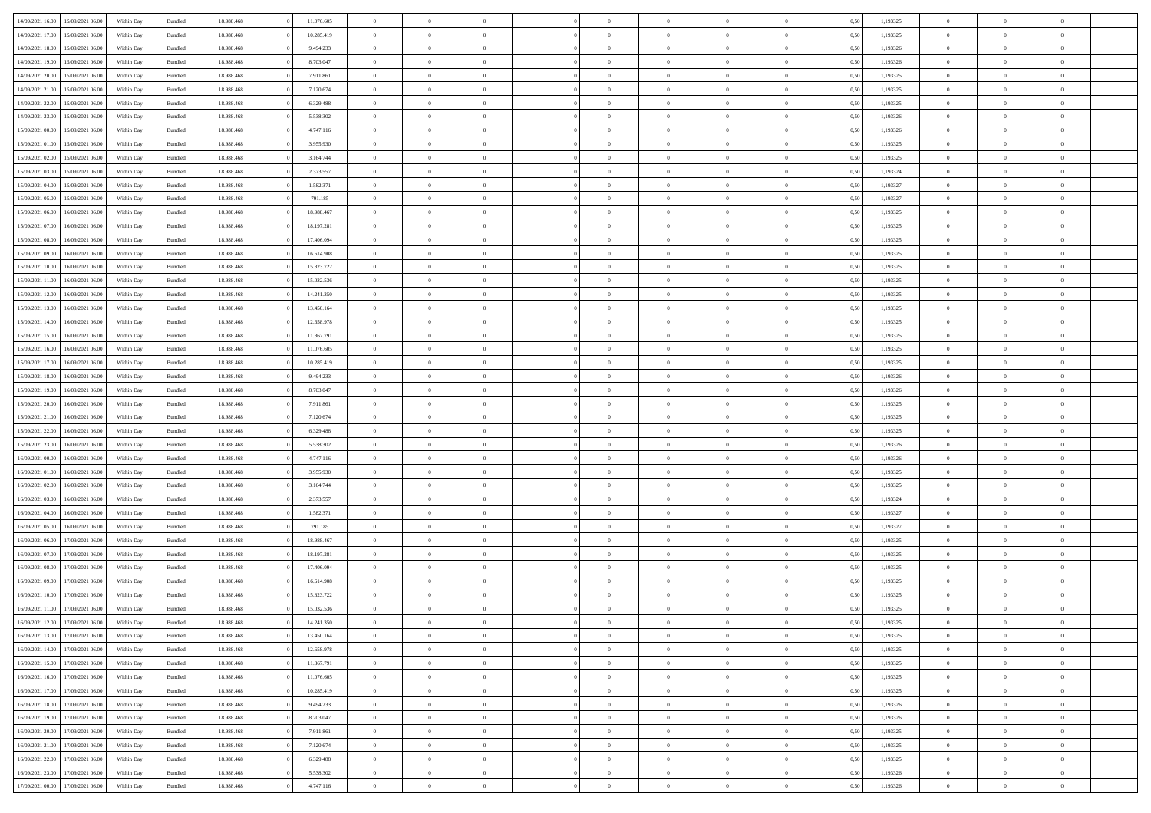|                  |                  |            |                    |            |            | $\overline{0}$ |                |                |                | $\Omega$       | $\Omega$       | $\theta$       |      |          | $\theta$       | $\overline{0}$ | $\theta$       |  |
|------------------|------------------|------------|--------------------|------------|------------|----------------|----------------|----------------|----------------|----------------|----------------|----------------|------|----------|----------------|----------------|----------------|--|
| 14/09/2021 16:00 | 15/09/2021 06:00 | Within Dav | Bundled            | 18.988.468 | 11.076.605 |                | $\theta$       |                | $\Omega$       |                |                |                | 0.50 | 1,193325 |                |                |                |  |
| 14/09/2021 17:00 | 15/09/2021 06:00 | Within Day | Bundled            | 18.988.468 | 10.285.419 | $\overline{0}$ | $\theta$       | $\overline{0}$ | $\overline{0}$ | $\bf{0}$       | $\overline{0}$ | $\overline{0}$ | 0,50 | 1,193325 | $\theta$       | $\overline{0}$ | $\overline{0}$ |  |
| 14/09/2021 18:00 | 15/09/2021 06:00 | Within Day | Bundled            | 18.988.468 | 9.494.233  | $\overline{0}$ | $\overline{0}$ | $\overline{0}$ | $\bf{0}$       | $\bf{0}$       | $\bf{0}$       | $\bf{0}$       | 0,50 | 1,193326 | $\bf{0}$       | $\overline{0}$ | $\overline{0}$ |  |
| 14/09/2021 19:00 | 15/09/2021 06:00 | Within Dav | Bundled            | 18.988.468 | 8.703.047  | $\overline{0}$ | $\theta$       | $\overline{0}$ | $\overline{0}$ | $\bf{0}$       | $\overline{0}$ | $\overline{0}$ | 0.50 | 1,193326 | $\theta$       | $\theta$       | $\overline{0}$ |  |
| 14/09/2021 20:00 | 15/09/2021 06:00 |            |                    | 18.988.468 | 7.911.861  | $\overline{0}$ | $\theta$       | $\overline{0}$ | $\overline{0}$ | $\bf{0}$       | $\overline{0}$ |                |      | 1,193325 | $\theta$       | $\theta$       | $\overline{0}$ |  |
|                  |                  | Within Day | Bundled            |            |            |                |                |                |                |                |                | $\bf{0}$       | 0,50 |          |                |                |                |  |
| 14/09/2021 21.00 | 15/09/2021 06:00 | Within Day | Bundled            | 18.988.468 | 7.120.674  | $\overline{0}$ | $\bf{0}$       | $\overline{0}$ | $\bf{0}$       | $\overline{0}$ | $\overline{0}$ | $\mathbf{0}$   | 0,50 | 1,193325 | $\bf{0}$       | $\overline{0}$ | $\bf{0}$       |  |
| 14/09/2021 22:00 | 15/09/2021 06:00 | Within Dav | Bundled            | 18.988.468 | 6.329.488  | $\overline{0}$ | $\overline{0}$ | $\overline{0}$ | $\overline{0}$ | $\bf{0}$       | $\overline{0}$ | $\overline{0}$ | 0.50 | 1,193325 | $\theta$       | $\overline{0}$ | $\overline{0}$ |  |
| 14/09/2021 23:00 | 15/09/2021 06:00 | Within Day | Bundled            | 18.988.468 | 5.538.302  | $\overline{0}$ | $\theta$       | $\overline{0}$ | $\overline{0}$ | $\bf{0}$       | $\overline{0}$ | $\bf{0}$       | 0,50 | 1,193326 | $\theta$       | $\theta$       | $\overline{0}$ |  |
| 15/09/2021 00:00 | 15/09/2021 06:00 | Within Day | Bundled            | 18.988.468 | 4.747.116  | $\overline{0}$ | $\overline{0}$ | $\overline{0}$ | $\bf{0}$       | $\bf{0}$       | $\bf{0}$       | $\bf{0}$       | 0,50 | 1,193326 | $\,0\,$        | $\overline{0}$ | $\overline{0}$ |  |
| 15/09/2021 01:00 | 15/09/2021 06:00 | Within Dav | Bundled            | 18.988.468 | 3.955.930  | $\overline{0}$ | $\overline{0}$ | $\overline{0}$ | $\overline{0}$ | $\overline{0}$ | $\overline{0}$ | $\overline{0}$ | 0.50 | 1,193325 | $\theta$       | $\overline{0}$ | $\overline{0}$ |  |
|                  |                  |            |                    |            |            |                |                |                |                |                |                |                |      |          |                |                |                |  |
| 15/09/2021 02:00 | 15/09/2021 06:00 | Within Day | Bundled            | 18.988.468 | 3.164.744  | $\overline{0}$ | $\theta$       | $\overline{0}$ | $\overline{0}$ | $\bf{0}$       | $\overline{0}$ | $\bf{0}$       | 0,50 | 1,193325 | $\theta$       | $\theta$       | $\overline{0}$ |  |
| 15/09/2021 03:00 | 15/09/2021 06:00 | Within Day | Bundled            | 18.988.468 | 2.373.557  | $\overline{0}$ | $\overline{0}$ | $\overline{0}$ | $\bf{0}$       | $\bf{0}$       | $\bf{0}$       | $\bf{0}$       | 0,50 | 1,193324 | $\bf{0}$       | $\overline{0}$ | $\overline{0}$ |  |
| 15/09/2021 04:00 | 15/09/2021 06:00 | Within Day | Bundled            | 18.988.468 | 1.582.371  | $\overline{0}$ | $\theta$       | $\overline{0}$ | $\overline{0}$ | $\bf{0}$       | $\overline{0}$ | $\overline{0}$ | 0.50 | 1,193327 | $\theta$       | $\theta$       | $\overline{0}$ |  |
| 15/09/2021 05:00 | 15/09/2021 06:00 | Within Day | Bundled            | 18.988.468 | 791.185    | $\overline{0}$ | $\theta$       | $\overline{0}$ | $\overline{0}$ | $\bf{0}$       | $\overline{0}$ | $\overline{0}$ | 0,50 | 1,193327 | $\theta$       | $\theta$       | $\overline{0}$ |  |
| 15/09/2021 06:00 | 16/09/2021 06:00 | Within Day | Bundled            | 18.988.468 | 18.988.467 | $\overline{0}$ | $\overline{0}$ | $\overline{0}$ | $\bf{0}$       | $\overline{0}$ | $\overline{0}$ | $\mathbf{0}$   | 0,50 | 1,193325 | $\bf{0}$       | $\overline{0}$ | $\bf{0}$       |  |
|                  |                  |            |                    |            |            |                |                |                |                |                |                |                |      |          |                |                |                |  |
| 15/09/2021 07:00 | 16/09/2021 06:00 | Within Dav | Bundled            | 18.988.468 | 18.197.281 | $\overline{0}$ | $\overline{0}$ | $\overline{0}$ | $\overline{0}$ | $\bf{0}$       | $\overline{0}$ | $\overline{0}$ | 0.50 | 1,193325 | $\theta$       | $\overline{0}$ | $\overline{0}$ |  |
| 15/09/2021 08:00 | 16/09/2021 06:00 | Within Day | Bundled            | 18.988.468 | 17.406.094 | $\overline{0}$ | $\theta$       | $\overline{0}$ | $\overline{0}$ | $\bf{0}$       | $\overline{0}$ | $\bf{0}$       | 0,50 | 1,193325 | $\theta$       | $\theta$       | $\overline{0}$ |  |
| 15/09/2021 09:00 | 16/09/2021 06:00 | Within Day | Bundled            | 18.988.468 | 16.614.908 | $\overline{0}$ | $\overline{0}$ | $\overline{0}$ | $\bf{0}$       | $\bf{0}$       | $\bf{0}$       | $\bf{0}$       | 0,50 | 1,193325 | $\,0\,$        | $\overline{0}$ | $\overline{0}$ |  |
| 15/09/2021 10:00 | 16/09/2021 06:00 | Within Dav | Bundled            | 18.988.468 | 15.823.722 | $\overline{0}$ | $\overline{0}$ | $\overline{0}$ | $\overline{0}$ | $\overline{0}$ | $\overline{0}$ | $\overline{0}$ | 0.50 | 1,193325 | $\theta$       | $\overline{0}$ | $\overline{0}$ |  |
| 15/09/2021 11:00 | 16/09/2021 06:00 | Within Day | Bundled            | 18.988.468 | 15.032.536 | $\overline{0}$ | $\theta$       | $\overline{0}$ | $\overline{0}$ | $\bf{0}$       | $\overline{0}$ | $\bf{0}$       | 0,50 | 1,193325 | $\theta$       | $\theta$       | $\overline{0}$ |  |
| 15/09/2021 12:00 | 16/09/2021 06:00 | Within Day | Bundled            | 18.988.468 | 14.241.350 | $\overline{0}$ | $\overline{0}$ | $\overline{0}$ | $\bf{0}$       | $\bf{0}$       | $\bf{0}$       | $\bf{0}$       | 0,50 | 1,193325 | $\,0\,$        | $\overline{0}$ | $\overline{0}$ |  |
|                  |                  |            |                    |            |            |                |                |                |                |                |                |                |      |          |                |                |                |  |
| 15/09/2021 13:00 | 16/09/2021 06:00 | Within Day | Bundled            | 18.988.468 | 13.450.164 | $\overline{0}$ | $\overline{0}$ | $\overline{0}$ | $\overline{0}$ | $\bf{0}$       | $\overline{0}$ | $\overline{0}$ | 0.50 | 1,193325 | $\theta$       | $\theta$       | $\overline{0}$ |  |
| 15/09/2021 14:00 | 16/09/2021 06:00 | Within Day | Bundled            | 18.988.468 | 12.658.978 | $\overline{0}$ | $\theta$       | $\overline{0}$ | $\overline{0}$ | $\bf{0}$       | $\overline{0}$ | $\bf{0}$       | 0,50 | 1,193325 | $\theta$       | $\overline{0}$ | $\overline{0}$ |  |
| 15/09/2021 15:00 | 16/09/2021 06:00 | Within Day | Bundled            | 18.988.468 | 11.867.791 | $\overline{0}$ | $\overline{0}$ | $\overline{0}$ | $\bf{0}$       | $\overline{0}$ | $\overline{0}$ | $\mathbf{0}$   | 0,50 | 1,193325 | $\overline{0}$ | $\overline{0}$ | $\bf{0}$       |  |
| 15/09/2021 16:00 | 16/09/2021 06:00 | Within Dav | Bundled            | 18.988.468 | 11.076.605 | $\overline{0}$ | $\overline{0}$ | $\overline{0}$ | $\overline{0}$ | $\overline{0}$ | $\overline{0}$ | $\overline{0}$ | 0.50 | 1,193325 | $\theta$       | $\theta$       | $\overline{0}$ |  |
| 15/09/2021 17:00 | 16/09/2021 06:00 | Within Day | Bundled            | 18.988.468 | 10.285.419 | $\overline{0}$ | $\theta$       | $\overline{0}$ | $\overline{0}$ | $\bf{0}$       | $\overline{0}$ | $\bf{0}$       | 0,50 | 1,193325 | $\theta$       | $\theta$       | $\overline{0}$ |  |
| 15/09/2021 18:00 | 16/09/2021 06:00 | Within Day | Bundled            | 18.988.468 | 9.494.233  | $\overline{0}$ | $\overline{0}$ | $\overline{0}$ | $\bf{0}$       | $\bf{0}$       | $\bf{0}$       | $\bf{0}$       | 0,50 | 1,193326 | $\,0\,$        | $\overline{0}$ | $\overline{0}$ |  |
| 15/09/2021 19:00 | 16/09/2021 06:00 |            | Bundled            | 18.988.468 | 8.703.047  | $\overline{0}$ | $\overline{0}$ | $\overline{0}$ | $\overline{0}$ | $\bf{0}$       | $\overline{0}$ | $\overline{0}$ | 0.50 | 1,193326 | $\theta$       | $\overline{0}$ | $\overline{0}$ |  |
|                  |                  | Within Day |                    |            |            |                |                |                |                |                |                |                |      |          |                |                |                |  |
| 15/09/2021 20:00 | 16/09/2021 06:00 | Within Day | Bundled            | 18.988.468 | 7.911.861  | $\overline{0}$ | $\theta$       | $\overline{0}$ | $\overline{0}$ | $\bf{0}$       | $\overline{0}$ | $\bf{0}$       | 0,50 | 1,193325 | $\,$ 0 $\,$    | $\theta$       | $\overline{0}$ |  |
| 15/09/2021 21.00 | 16/09/2021 06:00 | Within Day | Bundled            | 18.988.468 | 7.120.674  | $\overline{0}$ | $\overline{0}$ | $\overline{0}$ | $\bf{0}$       | $\bf{0}$       | $\bf{0}$       | $\bf{0}$       | 0,50 | 1,193325 | $\bf{0}$       | $\overline{0}$ | $\overline{0}$ |  |
| 15/09/2021 22:00 | 16/09/2021 06:00 | Within Day | Bundled            | 18.988.468 | 6.329.488  | $\overline{0}$ | $\Omega$       | $\Omega$       | $\Omega$       | $\Omega$       | $\Omega$       | $\overline{0}$ | 0.50 | 1,193325 | $\,0\,$        | $\Omega$       | $\theta$       |  |
| 15/09/2021 23:00 | 16/09/2021 06:00 | Within Day | Bundled            | 18.988.468 | 5.538.302  | $\overline{0}$ | $\theta$       | $\overline{0}$ | $\overline{0}$ | $\bf{0}$       | $\overline{0}$ | $\bf{0}$       | 0,50 | 1,193326 | $\theta$       | $\theta$       | $\overline{0}$ |  |
| 16/09/2021 00:00 | 16/09/2021 06:00 | Within Day | Bundled            | 18.988.468 | 4.747.116  | $\overline{0}$ | $\bf{0}$       | $\overline{0}$ | $\bf{0}$       | $\bf{0}$       | $\overline{0}$ | $\mathbf{0}$   | 0,50 | 1,193326 | $\bf{0}$       | $\overline{0}$ | $\bf{0}$       |  |
| 16/09/2021 01:00 | 16/09/2021 06:00 | Within Day | Bundled            | 18.988.468 | 3.955.930  | $\overline{0}$ | $\Omega$       | $\Omega$       | $\Omega$       | $\Omega$       | $\Omega$       | $\overline{0}$ | 0.50 | 1,193325 | $\theta$       | $\theta$       | $\theta$       |  |
|                  |                  |            |                    |            |            |                |                |                |                |                |                |                |      |          |                |                |                |  |
| 16/09/2021 02:00 | 16/09/2021 06:00 | Within Day | Bundled            | 18.988.468 | 3.164.744  | $\overline{0}$ | $\theta$       | $\overline{0}$ | $\overline{0}$ | $\bf{0}$       | $\overline{0}$ | $\bf{0}$       | 0,50 | 1,193325 | $\theta$       | $\theta$       | $\overline{0}$ |  |
| 16/09/2021 03:00 | 16/09/2021 06:00 | Within Day | Bundled            | 18.988.468 | 2.373.557  | $\overline{0}$ | $\overline{0}$ | $\overline{0}$ | $\bf{0}$       | $\bf{0}$       | $\bf{0}$       | $\bf{0}$       | 0,50 | 1,193324 | $\,0\,$        | $\overline{0}$ | $\overline{0}$ |  |
| 16/09/2021 04:00 | 16/09/2021 06:00 | Within Day | Bundled            | 18.988.468 | 1.582.371  | $\overline{0}$ | $\Omega$       | $\Omega$       | $\Omega$       | $\Omega$       | $\theta$       | $\overline{0}$ | 0.50 | 1,193327 | $\theta$       | $\theta$       | $\theta$       |  |
| 16/09/2021 05:00 | 16/09/2021 06:00 | Within Day | Bundled            | 18.988.468 | 791.185    | $\overline{0}$ | $\theta$       | $\overline{0}$ | $\overline{0}$ | $\bf{0}$       | $\overline{0}$ | $\bf{0}$       | 0,50 | 1,193327 | $\theta$       | $\theta$       | $\overline{0}$ |  |
| 16/09/2021 06:00 | 17/09/2021 06:00 | Within Day | Bundled            | 18.988.468 | 18.988.467 | $\overline{0}$ | $\overline{0}$ | $\overline{0}$ | $\bf{0}$       | $\bf{0}$       | $\bf{0}$       | $\bf{0}$       | 0,50 | 1,193325 | $\,0\,$        | $\overline{0}$ | $\overline{0}$ |  |
| 16/09/2021 07:00 | 17/09/2021 06:00 | Within Day | Bundled            | 18.988.468 | 18.197.281 | $\overline{0}$ | $\Omega$       | $\Omega$       | $\Omega$       | $\Omega$       | $\overline{0}$ | $\overline{0}$ | 0.50 | 1,193325 | $\,0\,$        | $\theta$       | $\theta$       |  |
| 16/09/2021 08:00 | 17/09/2021 06:00 | Within Day | Bundled            | 18.988.468 | 17.406.094 | $\overline{0}$ | $\theta$       | $\overline{0}$ | $\overline{0}$ | $\bf{0}$       | $\overline{0}$ | $\bf{0}$       | 0,50 | 1,193325 | $\,$ 0 $\,$    | $\theta$       | $\overline{0}$ |  |
|                  |                  |            |                    |            |            |                |                |                |                |                |                |                |      |          |                |                |                |  |
| 16/09/2021 09:00 | 17/09/2021 06:00 | Within Day | Bundled            | 18.988.468 | 16.614.908 | $\overline{0}$ | $\overline{0}$ | $\overline{0}$ | $\bf{0}$       | $\bf{0}$       | $\bf{0}$       | $\mathbf{0}$   | 0,50 | 1,193325 | $\bf{0}$       | $\overline{0}$ | $\bf{0}$       |  |
| 16/09/2021 10:00 | 17/09/2021 06.00 | Within Day | Bundled            | 18.988.468 | 15.823.722 | $\overline{0}$ | $\Omega$       | $\Omega$       | $\Omega$       | $\Omega$       | $\Omega$       | $\overline{0}$ | 0.50 | 1,193325 | $\theta$       | $\theta$       | $\theta$       |  |
| 16/09/2021 11:00 | 17/09/2021 06:00 | Within Day | Bundled            | 18.988.468 | 15.032.536 | $\overline{0}$ | $\,$ 0 $\,$    | $\overline{0}$ | $\bf{0}$       | $\,$ 0         | $\bf{0}$       | $\bf{0}$       | 0,50 | 1,193325 | $\,0\,$        | $\overline{0}$ | $\overline{0}$ |  |
| 16/09/2021 12:00 | 17/09/2021 06:00 | Within Day | $\mathbf B$ undled | 18.988.468 | 14.241.350 | $\bf{0}$       | $\bf{0}$       |                |                |                |                |                | 0,50 | 1,193325 | $\bf{0}$       | $\overline{0}$ |                |  |
| 16/09/2021 13:00 | 17/09/2021 06:00 | Within Day | Bundled            | 18,988,468 | 13.450.164 | $\overline{0}$ | $\Omega$       | $\overline{0}$ | $\Omega$       | $\theta$       | $\overline{0}$ | $\overline{0}$ | 0,50 | 1,193325 | $\theta$       | $\theta$       | $\theta$       |  |
| 16/09/2021 14:00 | 17/09/2021 06:00 | Within Day | Bundled            | 18.988.468 | 12.658.978 | $\overline{0}$ | $\,$ 0         | $\overline{0}$ | $\bf{0}$       | $\,$ 0 $\,$    | $\overline{0}$ | $\mathbf{0}$   | 0,50 | 1,193325 | $\,$ 0 $\,$    | $\,$ 0 $\,$    | $\,$ 0         |  |
| 16/09/2021 15:00 | 17/09/2021 06:00 | Within Day | Bundled            | 18.988.468 | 11.867.791 | $\overline{0}$ | $\overline{0}$ | $\overline{0}$ | $\overline{0}$ | $\overline{0}$ | $\overline{0}$ | $\mathbf{0}$   | 0,50 | 1,193325 | $\overline{0}$ | $\bf{0}$       | $\bf{0}$       |  |
|                  |                  |            |                    |            |            |                |                |                |                |                |                |                |      |          |                |                |                |  |
| 16/09/2021 16:00 | 17/09/2021 06:00 | Within Day | Bundled            | 18.988.468 | 11.076.605 | $\overline{0}$ | $\theta$       | $\overline{0}$ | $\Omega$       | $\overline{0}$ | $\overline{0}$ | $\bf{0}$       | 0,50 | 1,193325 | $\overline{0}$ | $\theta$       | $\overline{0}$ |  |
| 16/09/2021 17:00 | 17/09/2021 06:00 | Within Day | Bundled            | 18.988.468 | 10.285.419 | $\overline{0}$ | $\,$ 0         | $\overline{0}$ | $\overline{0}$ | $\overline{0}$ | $\overline{0}$ | $\bf{0}$       | 0,50 | 1,193325 | $\,$ 0 $\,$    | $\overline{0}$ | $\overline{0}$ |  |
| 16/09/2021 18:00 | 17/09/2021 06:00 | Within Day | Bundled            | 18.988.468 | 9.494.233  | $\overline{0}$ | $\overline{0}$ | $\overline{0}$ | $\overline{0}$ | $\overline{0}$ | $\overline{0}$ | $\mathbf{0}$   | 0,50 | 1,193326 | $\overline{0}$ | $\bf{0}$       | $\bf{0}$       |  |
| 16/09/2021 19:00 | 17/09/2021 06:00 | Within Day | Bundled            | 18.988.468 | 8.703.047  | $\overline{0}$ | $\overline{0}$ | $\overline{0}$ | $\Omega$       | $\overline{0}$ | $\overline{0}$ | $\bf{0}$       | 0.50 | 1,193326 | $\overline{0}$ | $\theta$       | $\overline{0}$ |  |
| 16/09/2021 20:00 | 17/09/2021 06:00 | Within Day | Bundled            | 18.988.468 | 7.911.861  | $\overline{0}$ | $\,$ 0         | $\overline{0}$ | $\bf{0}$       | $\bf{0}$       | $\bf{0}$       | $\bf{0}$       | 0,50 | 1,193325 | $\,$ 0 $\,$    | $\overline{0}$ | $\overline{0}$ |  |
| 16/09/2021 21:00 | 17/09/2021 06:00 | Within Day | Bundled            | 18.988.468 | 7.120.674  | $\overline{0}$ | $\bf{0}$       | $\overline{0}$ | $\overline{0}$ | $\overline{0}$ | $\bf{0}$       | $\mathbf{0}$   | 0,50 | 1,193325 | $\overline{0}$ | $\overline{0}$ | $\bf{0}$       |  |
|                  |                  |            |                    |            |            |                |                |                |                |                |                |                |      |          |                |                |                |  |
| 16/09/2021 22:00 | 17/09/2021 06:00 | Within Day | Bundled            | 18,988,468 | 6.329.488  | $\overline{0}$ | $\overline{0}$ | $\overline{0}$ | $\Omega$       | $\overline{0}$ | $\overline{0}$ | $\bf{0}$       | 0.50 | 1,193325 | $\overline{0}$ | $\overline{0}$ | $\overline{0}$ |  |
| 16/09/2021 23:00 | 17/09/2021 06:00 | Within Day | Bundled            | 18.988.468 | 5.538.302  | $\overline{0}$ | $\bf{0}$       | $\overline{0}$ | $\overline{0}$ | $\bf{0}$       | $\bf{0}$       | $\mathbf{0}$   | 0,50 | 1,193326 | $\,$ 0 $\,$    | $\,$ 0 $\,$    | $\bf{0}$       |  |
| 17/09/2021 00:00 | 17/09/2021 06:00 | Within Day | Bundled            | 18.988.468 | 4.747.116  | $\overline{0}$ | $\overline{0}$ | $\overline{0}$ | $\overline{0}$ | $\bf{0}$       | $\bf{0}$       | $\mathbf{0}$   | 0,50 | 1,193326 | $\overline{0}$ | $\bf{0}$       | $\bf{0}$       |  |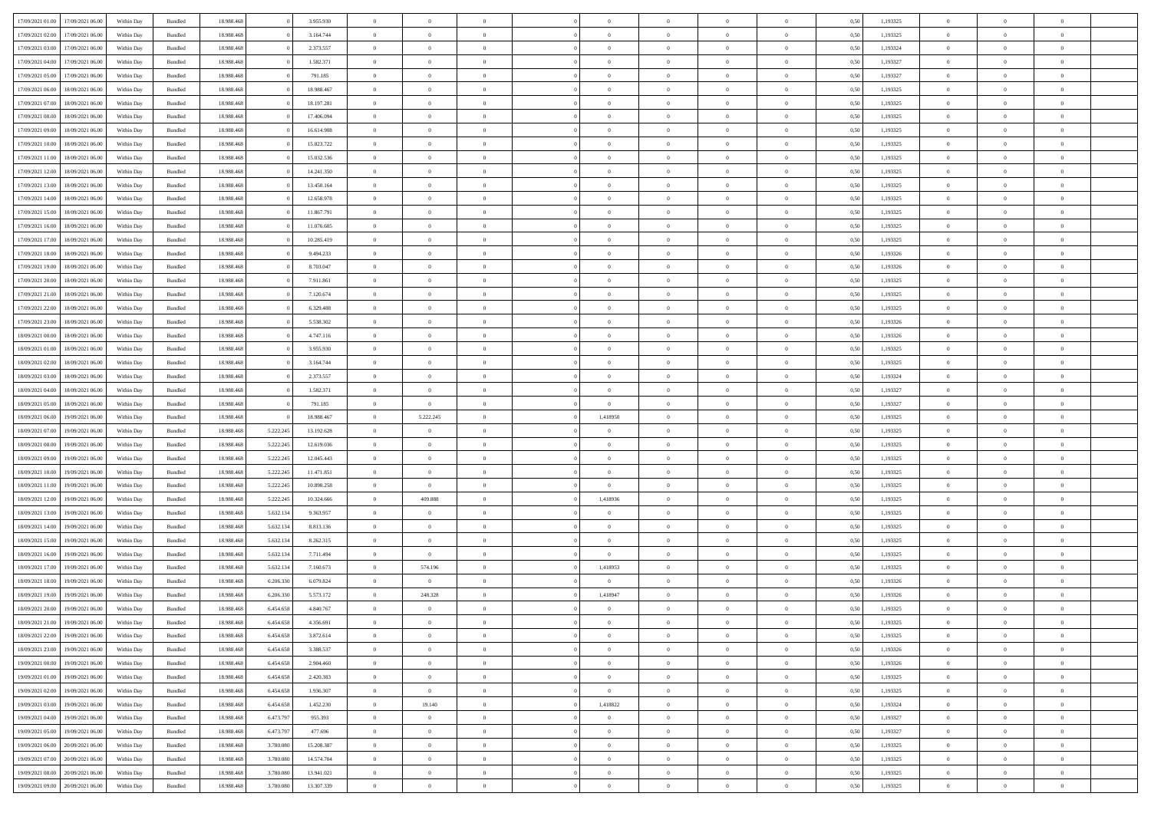| 17/09/2021 01:00 | 17/09/2021 06:00 | Within Dav | Bundled            | 18.988.468 |           | 3.955.930  | $\overline{0}$ | $\Omega$       |                | $\Omega$       | $\Omega$       | $\Omega$       | $\theta$       | 0.50 | 1,193325 | $\theta$       | $\theta$       | $\theta$       |  |
|------------------|------------------|------------|--------------------|------------|-----------|------------|----------------|----------------|----------------|----------------|----------------|----------------|----------------|------|----------|----------------|----------------|----------------|--|
| 17/09/2021 02:00 | 17/09/2021 06:00 | Within Day | Bundled            | 18.988.468 |           | 3.164.744  | $\overline{0}$ | $\theta$       | $\overline{0}$ | $\overline{0}$ | $\bf{0}$       | $\overline{0}$ | $\overline{0}$ | 0,50 | 1,193325 | $\theta$       | $\theta$       | $\overline{0}$ |  |
| 17/09/2021 03:00 | 17/09/2021 06:00 | Within Day | Bundled            | 18.988.468 |           | 2.373.557  | $\overline{0}$ | $\overline{0}$ | $\overline{0}$ | $\bf{0}$       | $\bf{0}$       | $\bf{0}$       | $\bf{0}$       | 0,50 | 1,193324 | $\bf{0}$       | $\overline{0}$ | $\overline{0}$ |  |
|                  |                  |            |                    |            |           |            |                |                |                |                |                |                |                |      |          | $\theta$       |                |                |  |
| 17/09/2021 04:00 | 17/09/2021 06:00 | Within Dav | Bundled            | 18.988.468 |           | 1.582.371  | $\overline{0}$ | $\theta$       | $\overline{0}$ | $\overline{0}$ | $\bf{0}$       | $\overline{0}$ | $\overline{0}$ | 0.50 | 1,193327 |                | $\theta$       | $\overline{0}$ |  |
| 17/09/2021 05:00 | 17/09/2021 06:00 | Within Day | Bundled            | 18.988.468 |           | 791.185    | $\overline{0}$ | $\theta$       | $\overline{0}$ | $\overline{0}$ | $\bf{0}$       | $\overline{0}$ | $\bf{0}$       | 0,50 | 1,193327 | $\theta$       | $\theta$       | $\overline{0}$ |  |
| 17/09/2021 06:00 | 18/09/2021 06:00 | Within Day | Bundled            | 18.988.468 |           | 18.988.467 | $\overline{0}$ | $\bf{0}$       | $\overline{0}$ | $\bf{0}$       | $\overline{0}$ | $\bf{0}$       | $\mathbf{0}$   | 0,50 | 1,193325 | $\overline{0}$ | $\overline{0}$ | $\bf{0}$       |  |
| 17/09/2021 07:00 | 18/09/2021 06:00 | Within Dav | Bundled            | 18.988.468 |           | 18.197.281 | $\overline{0}$ | $\overline{0}$ | $\overline{0}$ | $\overline{0}$ | $\bf{0}$       | $\overline{0}$ | $\overline{0}$ | 0.50 | 1,193325 | $\theta$       | $\overline{0}$ | $\overline{0}$ |  |
|                  |                  |            |                    |            |           |            |                |                |                |                |                |                |                |      |          |                |                |                |  |
| 17/09/2021 08:00 | 18/09/2021 06:00 | Within Day | Bundled            | 18.988.468 |           | 17.406.094 | $\overline{0}$ | $\theta$       | $\overline{0}$ | $\overline{0}$ | $\bf{0}$       | $\overline{0}$ | $\bf{0}$       | 0,50 | 1,193325 | $\theta$       | $\theta$       | $\overline{0}$ |  |
| 17/09/2021 09:00 | 18/09/2021 06:00 | Within Day | Bundled            | 18.988.468 |           | 16.614.908 | $\overline{0}$ | $\overline{0}$ | $\overline{0}$ | $\bf{0}$       | $\bf{0}$       | $\bf{0}$       | $\bf{0}$       | 0,50 | 1,193325 | $\,0\,$        | $\overline{0}$ | $\overline{0}$ |  |
| 17/09/2021 10:00 | 18/09/2021 06:00 | Within Dav | Bundled            | 18.988.468 |           | 15.823.722 | $\overline{0}$ | $\overline{0}$ | $\overline{0}$ | $\overline{0}$ | $\overline{0}$ | $\overline{0}$ | $\overline{0}$ | 0.50 | 1,193325 | $\theta$       | $\overline{0}$ | $\overline{0}$ |  |
| 17/09/2021 11:00 | 18/09/2021 06:00 |            | Bundled            | 18.988.468 |           | 15.032.536 | $\overline{0}$ | $\theta$       | $\overline{0}$ | $\overline{0}$ | $\bf{0}$       | $\overline{0}$ |                |      | 1,193325 | $\theta$       | $\theta$       | $\overline{0}$ |  |
|                  |                  | Within Day |                    |            |           |            |                |                |                |                |                |                | $\bf{0}$       | 0,50 |          |                |                |                |  |
| 17/09/2021 12:00 | 18/09/2021 06:00 | Within Day | Bundled            | 18.988.468 |           | 14.241.350 | $\overline{0}$ | $\overline{0}$ | $\overline{0}$ | $\bf{0}$       | $\bf{0}$       | $\bf{0}$       | $\bf{0}$       | 0,50 | 1,193325 | $\bf{0}$       | $\overline{0}$ | $\overline{0}$ |  |
| 17/09/2021 13:00 | 18/09/2021 06:00 | Within Dav | Bundled            | 18.988.468 |           | 13.450.164 | $\overline{0}$ | $\theta$       | $\overline{0}$ | $\overline{0}$ | $\bf{0}$       | $\overline{0}$ | $\overline{0}$ | 0.50 | 1,193325 | $\theta$       | $\theta$       | $\overline{0}$ |  |
| 17/09/2021 14:00 | 18/09/2021 06:00 | Within Day | Bundled            | 18.988.468 |           | 12.658.978 | $\overline{0}$ | $\theta$       | $\overline{0}$ | $\overline{0}$ | $\bf{0}$       | $\overline{0}$ | $\overline{0}$ | 0,50 | 1,193325 | $\theta$       | $\theta$       | $\overline{0}$ |  |
|                  |                  |            |                    |            |           |            |                |                |                |                |                |                |                |      |          |                |                |                |  |
| 17/09/2021 15:00 | 18/09/2021 06:00 | Within Day | Bundled            | 18.988.468 |           | 11.867.791 | $\overline{0}$ | $\overline{0}$ | $\overline{0}$ | $\bf{0}$       | $\overline{0}$ | $\overline{0}$ | $\mathbf{0}$   | 0,50 | 1,193325 | $\bf{0}$       | $\overline{0}$ | $\bf{0}$       |  |
| 17/09/2021 16:00 | 18/09/2021 06:00 | Within Dav | Bundled            | 18.988.468 |           | 11.076.605 | $\overline{0}$ | $\overline{0}$ | $\overline{0}$ | $\overline{0}$ | $\bf{0}$       | $\overline{0}$ | $\overline{0}$ | 0.50 | 1,193325 | $\theta$       | $\overline{0}$ | $\overline{0}$ |  |
| 17/09/2021 17:00 | 18/09/2021 06:00 | Within Day | Bundled            | 18.988.468 |           | 10.285.419 | $\overline{0}$ | $\theta$       | $\overline{0}$ | $\overline{0}$ | $\bf{0}$       | $\overline{0}$ | $\bf{0}$       | 0,50 | 1,193325 | $\theta$       | $\theta$       | $\overline{0}$ |  |
| 17/09/2021 18:00 | 18/09/2021 06:00 | Within Day | Bundled            | 18.988.468 |           | 9.494.233  | $\overline{0}$ | $\overline{0}$ | $\overline{0}$ | $\bf{0}$       | $\bf{0}$       | $\bf{0}$       | $\bf{0}$       | 0,50 | 1,193326 | $\,0\,$        | $\overline{0}$ | $\overline{0}$ |  |
| 17/09/2021 19:00 | 18/09/2021 06:00 | Within Dav | Bundled            | 18.988.468 |           | 8.703.047  | $\overline{0}$ | $\overline{0}$ | $\overline{0}$ | $\overline{0}$ | $\overline{0}$ | $\overline{0}$ | $\overline{0}$ | 0.50 | 1,193326 | $\theta$       | $\overline{0}$ | $\overline{0}$ |  |
|                  |                  |            |                    |            |           |            |                |                |                |                |                |                |                |      |          |                |                |                |  |
| 17/09/2021 20:00 | 18/09/2021 06:00 | Within Day | Bundled            | 18.988.468 |           | 7.911.861  | $\overline{0}$ | $\theta$       | $\overline{0}$ | $\overline{0}$ | $\bf{0}$       | $\overline{0}$ | $\bf{0}$       | 0,50 | 1,193325 | $\theta$       | $\theta$       | $\overline{0}$ |  |
| 17/09/2021 21.00 | 18/09/2021 06:00 | Within Day | Bundled            | 18.988.468 |           | 7.120.674  | $\overline{0}$ | $\overline{0}$ | $\overline{0}$ | $\bf{0}$       | $\bf{0}$       | $\bf{0}$       | $\bf{0}$       | 0,50 | 1,193325 | $\,0\,$        | $\overline{0}$ | $\overline{0}$ |  |
| 17/09/2021 22:00 | 18/09/2021 06:00 | Within Dav | Bundled            | 18.988.468 |           | 6.329.488  | $\overline{0}$ | $\overline{0}$ | $\overline{0}$ | $\overline{0}$ | $\bf{0}$       | $\overline{0}$ | $\overline{0}$ | 0.50 | 1,193325 | $\theta$       | $\theta$       | $\overline{0}$ |  |
|                  |                  |            |                    |            |           |            | $\overline{0}$ | $\theta$       | $\overline{0}$ | $\overline{0}$ | $\bf{0}$       | $\overline{0}$ |                |      |          | $\theta$       | $\overline{0}$ | $\overline{0}$ |  |
| 17/09/2021 23:00 | 18/09/2021 06:00 | Within Day | Bundled            | 18.988.468 |           | 5.538.302  |                |                |                |                |                |                | $\bf{0}$       | 0,50 | 1,193326 |                |                |                |  |
| 18/09/2021 00:00 | 18/09/2021 06:00 | Within Day | Bundled            | 18.988.468 |           | 4.747.116  | $\overline{0}$ | $\overline{0}$ | $\overline{0}$ | $\bf{0}$       | $\overline{0}$ | $\bf{0}$       | $\mathbf{0}$   | 0,50 | 1,193326 | $\bf{0}$       | $\overline{0}$ | $\bf{0}$       |  |
| 18/09/2021 01:00 | 18/09/2021 06:00 | Within Dav | Bundled            | 18.988.468 |           | 3.955.930  | $\overline{0}$ | $\overline{0}$ | $\overline{0}$ | $\overline{0}$ | $\overline{0}$ | $\overline{0}$ | $\overline{0}$ | 0.50 | 1,193325 | $\theta$       | $\overline{0}$ | $\overline{0}$ |  |
| 18/09/2021 02:00 | 18/09/2021 06:00 | Within Day | Bundled            | 18.988.468 |           | 3.164.744  | $\overline{0}$ | $\theta$       | $\overline{0}$ | $\overline{0}$ | $\bf{0}$       | $\overline{0}$ | $\bf{0}$       | 0,50 | 1,193325 | $\theta$       | $\theta$       | $\overline{0}$ |  |
|                  |                  |            |                    |            |           |            |                |                |                |                |                |                |                |      |          |                |                |                |  |
| 18/09/2021 03:00 | 18/09/2021 06:00 | Within Day | Bundled            | 18.988.468 |           | 2.373.557  | $\overline{0}$ | $\overline{0}$ | $\overline{0}$ | $\bf{0}$       | $\bf{0}$       | $\bf{0}$       | $\bf{0}$       | 0,50 | 1,193324 | $\,0\,$        | $\overline{0}$ | $\overline{0}$ |  |
| 18/09/2021 04:00 | 18/09/2021 06:00 | Within Day | Bundled            | 18.988.468 |           | 1.582.371  | $\overline{0}$ | $\overline{0}$ | $\overline{0}$ | $\overline{0}$ | $\bf{0}$       | $\overline{0}$ | $\overline{0}$ | 0.50 | 1,193327 | $\theta$       | $\overline{0}$ | $\overline{0}$ |  |
| 18/09/2021 05:00 | 18/09/2021 06:00 | Within Day | Bundled            | 18.988.468 |           | 791.185    | $\overline{0}$ | $\overline{0}$ | $\overline{0}$ | $\overline{0}$ | $\bf{0}$       | $\overline{0}$ | $\bf{0}$       | 0,50 | 1,193327 | $\theta$       | $\theta$       | $\overline{0}$ |  |
| 18/09/2021 06:00 | 19/09/2021 06:00 | Within Day | Bundled            | 18.988.468 |           | 18.988.467 | $\overline{0}$ | 5.222.245      | $\overline{0}$ | 1,418950       | $\bf{0}$       | $\bf{0}$       | $\bf{0}$       | 0,50 | 1,193325 | $\bf{0}$       | $\overline{0}$ | $\overline{0}$ |  |
|                  |                  |            |                    |            |           |            |                |                |                |                |                |                |                |      |          |                |                |                |  |
| 18/09/2021 07:00 | 19/09/2021 06.00 | Within Day | Bundled            | 18.988.468 | 5.222.245 | 13.192.628 | $\overline{0}$ | $\Omega$       | $\Omega$       | $\Omega$       | $\Omega$       | $\Omega$       | $\overline{0}$ | 0.50 | 1,193325 | $\,0\,$        | $\theta$       | $\theta$       |  |
| 18/09/2021 08:00 | 19/09/2021 06:00 | Within Day | Bundled            | 18.988.468 | 5.222.245 | 12.619.036 | $\overline{0}$ | $\theta$       | $\overline{0}$ | $\overline{0}$ | $\bf{0}$       | $\overline{0}$ | $\bf{0}$       | 0,50 | 1,193325 | $\theta$       | $\theta$       | $\overline{0}$ |  |
| 18/09/2021 09:00 | 19/09/2021 06:00 | Within Day | Bundled            | 18.988.468 | 5.222.245 | 12.045.443 | $\overline{0}$ | $\overline{0}$ | $\overline{0}$ | $\bf{0}$       | $\bf{0}$       | $\bf{0}$       | $\mathbf{0}$   | 0,50 | 1,193325 | $\bf{0}$       | $\overline{0}$ | $\bf{0}$       |  |
| 18/09/2021 10:00 | 19/09/2021 06:00 | Within Day | Bundled            | 18.988.468 | 5.222.245 | 11.471.851 | $\overline{0}$ | $\Omega$       | $\Omega$       | $\Omega$       | $\Omega$       | $\Omega$       | $\overline{0}$ | 0.50 | 1,193325 | $\theta$       | $\theta$       | $\theta$       |  |
|                  |                  |            |                    |            |           |            | $\overline{0}$ | $\overline{0}$ | $\overline{0}$ | $\overline{0}$ | $\bf{0}$       | $\overline{0}$ |                |      |          | $\theta$       | $\theta$       | $\overline{0}$ |  |
| 18/09/2021 11:00 | 19/09/2021 06:00 | Within Day | Bundled            | 18.988.468 | 5.222.245 | 10.898.258 |                |                |                |                |                |                | $\bf{0}$       | 0,50 | 1,193325 |                |                |                |  |
| 18/09/2021 12:00 | 19/09/2021 06:00 | Within Day | Bundled            | 18.988.468 | 5.222.245 | 10.324.666 | $\overline{0}$ | 409.888        | $\overline{0}$ | 1,418936       | $\bf{0}$       | $\bf{0}$       | $\bf{0}$       | 0,50 | 1,193325 | $\,0\,$        | $\overline{0}$ | $\overline{0}$ |  |
| 18/09/2021 13:00 | 19/09/2021 06:00 | Within Day | Bundled            | 18.988.468 | 5.632.134 | 9.363.957  | $\overline{0}$ | $\Omega$       | $\Omega$       | $\Omega$       | $\Omega$       | $\theta$       | $\overline{0}$ | 0.50 | 1,193325 | $\theta$       | $\theta$       | $\theta$       |  |
| 18/09/2021 14:00 | 19/09/2021 06:00 | Within Day | Bundled            | 18.988.468 | 5.632.134 | 8.813.136  | $\overline{0}$ | $\theta$       | $\overline{0}$ | $\overline{0}$ | $\bf{0}$       | $\overline{0}$ | $\bf{0}$       | 0,50 | 1,193325 | $\theta$       | $\theta$       | $\overline{0}$ |  |
|                  |                  |            |                    |            |           |            |                |                |                |                |                |                |                |      |          |                |                |                |  |
| 18/09/2021 15:00 | 19/09/2021 06:00 | Within Day | Bundled            | 18.988.468 | 5.632.134 | 8.262.315  | $\overline{0}$ | $\overline{0}$ | $\overline{0}$ | $\bf{0}$       | $\bf{0}$       | $\bf{0}$       | $\bf{0}$       | 0,50 | 1,193325 | $\bf{0}$       | $\overline{0}$ | $\overline{0}$ |  |
| 18/09/2021 16:00 | 19/09/2021 06:00 | Within Day | Bundled            | 18.988.468 | 5.632.134 | 7.711.494  | $\overline{0}$ | $\Omega$       | $\Omega$       | $\Omega$       | $\Omega$       | $\overline{0}$ | $\overline{0}$ | 0.50 | 1,193325 | $\,0\,$        | $\theta$       | $\theta$       |  |
| 18/09/2021 17:00 | 19/09/2021 06:00 | Within Day | Bundled            | 18.988.468 | 5.632.134 | 7.160.673  | $\overline{0}$ | 574.196        | $\overline{0}$ | 1,418953       | $\bf{0}$       | $\overline{0}$ | $\bf{0}$       | 0,50 | 1,193325 | $\theta$       | $\theta$       | $\overline{0}$ |  |
| 18/09/2021 18:00 | 19/09/2021 06:00 | Within Day | Bundled            | 18.988.468 | 6.206.330 | 6.079.824  | $\overline{0}$ | $\bf{0}$       | $\overline{0}$ | $\bf{0}$       | $\bf{0}$       | $\bf{0}$       | $\mathbf{0}$   | 0,50 | 1,193326 | $\bf{0}$       | $\overline{0}$ | $\bf{0}$       |  |
| 18/09/2021 19:00 | 19/09/2021 06:00 | Within Day | Bundled            | 18.988.468 | 6.206.330 | 5.573.172  | $\overline{0}$ | 248.328        | $\Omega$       | 1,418947       | $\Omega$       | $\Omega$       | $\overline{0}$ | 0.50 | 1,193326 | $\theta$       | $\theta$       | $\theta$       |  |
|                  |                  |            |                    |            |           |            |                |                |                |                |                |                |                |      |          |                |                |                |  |
| 18/09/2021 20:00 | 19/09/2021 06:00 | Within Day | Bundled            | 18.988.468 | 6.454.658 | 4.840.767  | $\overline{0}$ | $\theta$       | $\overline{0}$ | $\overline{0}$ | $\,$ 0         | $\bf{0}$       | $\bf{0}$       | 0,50 | 1,193325 | $\,0\,$        | $\overline{0}$ | $\overline{0}$ |  |
| 18/09/2021 21:00 | 19/09/2021 06:00 | Within Day | $\mathbf B$ undled | 18.988.468 | 6.454.658 | 4.356.691  | $\bf{0}$       | $\bf{0}$       |                |                |                |                |                | 0,50 | 1,193325 | $\bf{0}$       | $\overline{0}$ |                |  |
| 18/09/2021 22:00 | 19/09/2021 06:00 | Within Day | Bundled            | 18,988,468 | 6.454.658 | 3.872.614  | $\overline{0}$ | $\overline{0}$ | $\overline{0}$ | $\Omega$       | $\theta$       | $\overline{0}$ | $\overline{0}$ | 0.50 | 1,193325 | $\theta$       | $\theta$       | $\theta$       |  |
| 18/09/2021 23:00 |                  |            | Bundled            | 18.988.468 | 6.454.658 | 3.388.537  | $\overline{0}$ | $\,$ 0         | $\overline{0}$ | $\bf{0}$       | $\,$ 0 $\,$    | $\overline{0}$ | $\mathbf{0}$   | 0,50 | 1,193326 | $\,$ 0 $\,$    | $\,$ 0 $\,$    | $\,$ 0         |  |
|                  |                  |            |                    |            |           |            |                |                |                |                |                |                |                |      |          |                |                |                |  |
|                  | 19/09/2021 06:00 | Within Day |                    |            |           |            |                |                |                |                |                |                |                |      |          |                |                |                |  |
| 19/09/2021 00:00 | 19/09/2021 06:00 | Within Day | Bundled            | 18.988.468 | 6.454.658 | 2.904.460  | $\overline{0}$ | $\overline{0}$ | $\overline{0}$ | $\overline{0}$ | $\overline{0}$ | $\overline{0}$ | $\mathbf{0}$   | 0,50 | 1,193326 | $\overline{0}$ | $\bf{0}$       | $\bf{0}$       |  |
| 19/09/2021 01:00 | 19/09/2021 06:00 | Within Day | Bundled            | 18.988.468 | 6.454.658 | 2.420.383  | $\overline{0}$ | $\overline{0}$ | $\overline{0}$ | $\Omega$       | $\overline{0}$ | $\overline{0}$ | $\overline{0}$ | 0,50 | 1,193325 | $\overline{0}$ | $\theta$       | $\overline{0}$ |  |
| 19/09/2021 02:00 | 19/09/2021 06:00 | Within Day | Bundled            | 18.988.468 | 6.454.658 | 1.936.307  | $\overline{0}$ | $\overline{0}$ | $\overline{0}$ | $\bf{0}$       | $\,$ 0 $\,$    | $\overline{0}$ | $\mathbf{0}$   | 0,50 | 1,193325 | $\,$ 0 $\,$    | $\overline{0}$ | $\overline{0}$ |  |
|                  |                  |            |                    |            |           |            |                |                |                |                |                |                |                |      |          |                |                |                |  |
| 19/09/2021 03:00 | 19/09/2021 06:00 | Within Day | Bundled            | 18.988.468 | 6.454.658 | 1.452.230  | $\overline{0}$ | 19.140         | $\overline{0}$ | 1,418822       | $\overline{0}$ | $\overline{0}$ | $\mathbf{0}$   | 0,50 | 1,193324 | $\overline{0}$ | $\overline{0}$ | $\bf{0}$       |  |
| 19/09/2021 04:00 | 19/09/2021 06:00 | Within Day | Bundled            | 18.988.468 | 6.473.797 | 955.393    | $\overline{0}$ | $\overline{0}$ | $\overline{0}$ | $\overline{0}$ | $\overline{0}$ | $\overline{0}$ | $\bf{0}$       | 0.50 | 1,193327 | $\overline{0}$ | $\theta$       | $\overline{0}$ |  |
| 19/09/2021 05:00 | 19/09/2021 06:00 | Within Day | Bundled            | 18.988.468 | 6.473.797 | 477.696    | $\overline{0}$ | $\overline{0}$ | $\overline{0}$ | $\bf{0}$       | $\bf{0}$       | $\bf{0}$       | $\bf{0}$       | 0,50 | 1,193327 | $\,$ 0 $\,$    | $\overline{0}$ | $\overline{0}$ |  |
| 19/09/2021 06:00 | 20/09/2021 06:00 | Within Day | Bundled            | 18.988.468 | 3.780.080 | 15.208.387 | $\overline{0}$ | $\bf{0}$       | $\overline{0}$ | $\overline{0}$ | $\overline{0}$ | $\overline{0}$ | $\mathbf{0}$   | 0,50 | 1,193325 | $\overline{0}$ | $\overline{0}$ | $\bf{0}$       |  |
|                  |                  |            |                    |            |           |            |                |                |                | $\Omega$       |                |                |                |      |          |                |                |                |  |
| 19/09/2021 07:00 | 20/09/2021 06:00 | Within Day | Bundled            | 18.988.468 | 3,780,080 | 14.574.704 | $\overline{0}$ | $\overline{0}$ | $\overline{0}$ |                | $\overline{0}$ | $\overline{0}$ | $\bf{0}$       | 0.50 | 1,193325 | $\overline{0}$ | $\theta$       | $\overline{0}$ |  |
| 19/09/2021 08:00 | 20/09/2021 06:00 | Within Day | Bundled            | 18.988.468 | 3.780.080 | 13.941.021 | $\overline{0}$ | $\bf{0}$       | $\overline{0}$ | $\overline{0}$ | $\bf{0}$       | $\bf{0}$       | $\mathbf{0}$   | 0,50 | 1,193325 | $\,$ 0 $\,$    | $\,$ 0 $\,$    | $\bf{0}$       |  |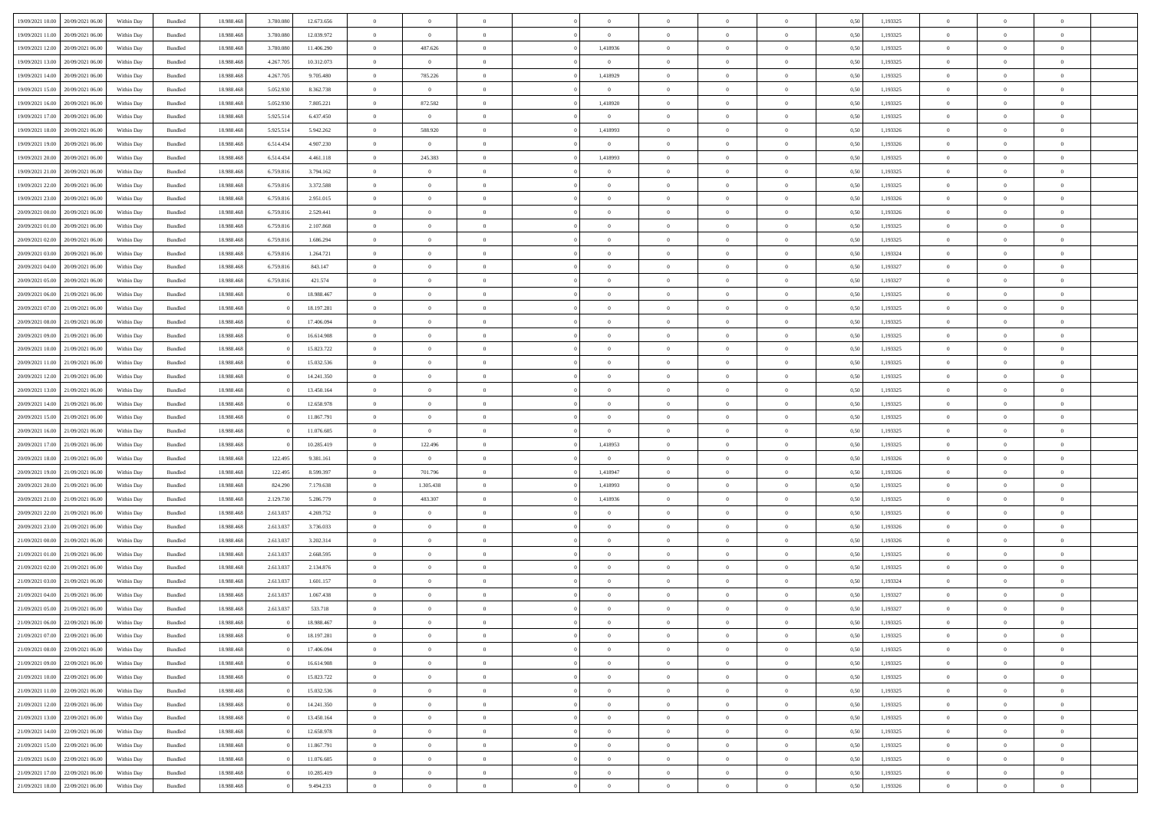| 19/09/2021 10:00 20/09/2021 06:00    | Within Day | Bundled            | 18.988.468 | 3.780.080 | 12.673.656 | $\theta$       | $\Omega$       | $\Omega$       | $\Omega$       | $\Omega$       |                | $\overline{0}$ | 0,50 | 1,193325 | $\mathbf{0}$   | $\Omega$       | $\Omega$       |  |
|--------------------------------------|------------|--------------------|------------|-----------|------------|----------------|----------------|----------------|----------------|----------------|----------------|----------------|------|----------|----------------|----------------|----------------|--|
| 19/09/2021 11:00<br>20/09/2021 06:00 | Within Day | Bundled            | 18.988.468 | 3.780.080 | 12.039.972 | $\overline{0}$ | $\overline{0}$ | $\theta$       | $\overline{0}$ | $\overline{0}$ | $\overline{0}$ | $\overline{0}$ | 0,50 | 1,193325 | $\overline{0}$ | $\theta$       | $\bf{0}$       |  |
| 19/09/2021 12:00<br>20/09/2021 06:00 | Within Day | Bundled            | 18.988.468 | 3.780.080 | 11.406.290 | $\overline{0}$ | 487.626        | $\bf{0}$       | 1,418936       | $\bf{0}$       | $\overline{0}$ | $\mathbf{0}$   | 0,50 | 1,193325 | $\bf{0}$       | $\bf{0}$       | $\bf{0}$       |  |
|                                      |            |                    |            |           |            |                |                |                |                |                |                |                |      |          |                |                |                |  |
| 19/09/2021 13:00<br>20/09/2021 06:00 | Within Day | Bundled            | 18.988.468 | 4.267.705 | 10.312.073 | $\overline{0}$ | $\overline{0}$ | $\overline{0}$ | $\overline{0}$ | $\overline{0}$ | $\Omega$       | $\overline{0}$ | 0.50 | 1,193325 | $\mathbf{0}$   | $\overline{0}$ | $\bf{0}$       |  |
| 19/09/2021 14:00<br>20/09/2021 06:00 | Within Day | Bundled            | 18.988.468 | 4.267.705 | 9.705.480  | $\bf{0}$       | 785.226        | $\overline{0}$ | 1,418929       | $\mathbf{0}$   | $\overline{0}$ | $\bf{0}$       | 0,50 | 1,193325 | $\theta$       | $\theta$       | $\overline{0}$ |  |
| 19/09/2021 15:00<br>20/09/2021 06:00 | Within Day | Bundled            | 18.988.468 | 5.052.930 | 8.362.738  | $\overline{0}$ | $\overline{0}$ | $\bf{0}$       | $\bf{0}$       | $\bf{0}$       | $\overline{0}$ | $\overline{0}$ | 0,50 | 1,193325 | $\bf{0}$       | $\bf{0}$       | $\overline{0}$ |  |
| 19/09/2021 16:00<br>20/09/2021 06:00 | Within Dav | Bundled            | 18.988.468 | 5.052.930 | 7,805.221  | $\overline{0}$ | 872.582        | $\overline{0}$ | 1,418920       | $\overline{0}$ | $\overline{0}$ | $\mathbf{0}$   | 0.50 | 1,193325 | $\mathbf{0}$   | $\theta$       | $\overline{0}$ |  |
| 19/09/2021 17:00<br>20/09/2021 06:00 | Within Day | Bundled            | 18.988.468 | 5.925.514 | 6.437.450  | $\bf{0}$       | $\overline{0}$ | $\overline{0}$ | $\overline{0}$ | $\overline{0}$ | $\overline{0}$ | $\bf{0}$       | 0,50 | 1,193325 | $\theta$       | $\theta$       | $\bf{0}$       |  |
|                                      |            |                    |            |           |            |                |                |                |                |                |                |                |      |          |                |                |                |  |
| 19/09/2021 18:00<br>20/09/2021 06:00 | Within Day | Bundled            | 18.988.468 | 5.925.514 | 5.942.262  | $\overline{0}$ | 588.920        | $\bf{0}$       | 1,418993       | $\bf{0}$       | $\overline{0}$ | $\mathbf{0}$   | 0,50 | 1,193326 | $\bf{0}$       | $\bf{0}$       | $\bf{0}$       |  |
| 19/09/2021 19:00<br>20/09/2021 06:00 | Within Day | Bundled            | 18.988.468 | 6.514.434 | 4.907.230  | $\overline{0}$ | $\overline{0}$ | $\overline{0}$ | $\overline{0}$ | $\overline{0}$ | $\overline{0}$ | $\overline{0}$ | 0.50 | 1,193326 | $\overline{0}$ | $\theta$       | $\overline{0}$ |  |
| 19/09/2021 20:00<br>20/09/2021 06:00 | Within Day | $\mathbf B$ undled | 18.988.468 | 6.514.434 | 4.461.118  | $\bf{0}$       | 245.383        | $\overline{0}$ | 1,418993       | $\mathbf{0}$   | $\overline{0}$ | $\,$ 0         | 0,50 | 1,193325 | $\theta$       | $\theta$       | $\bf{0}$       |  |
| 19/09/2021 21:00<br>20/09/2021 06:00 | Within Day | Bundled            | 18.988.468 | 6.759.816 | 3.794.162  | $\overline{0}$ | $\overline{0}$ | $\bf{0}$       | $\bf{0}$       | $\bf{0}$       | $\overline{0}$ | $\mathbf{0}$   | 0,50 | 1,193325 | $\bf{0}$       | $\bf{0}$       | $\bf{0}$       |  |
| 19/09/2021 22:00<br>20/09/2021 06:00 |            | Bundled            | 18.988.468 | 6.759.816 | 3.372.588  | $\overline{0}$ | $\overline{0}$ | $\overline{0}$ | $\overline{0}$ | $\overline{0}$ |                | $\overline{0}$ | 0.50 | 1,193325 | $\mathbf{0}$   | $\overline{0}$ | $\bf{0}$       |  |
|                                      | Within Day |                    |            |           |            |                |                |                |                |                | $\overline{0}$ |                |      |          |                |                |                |  |
| 19/09/2021 23:00<br>20/09/2021 06:00 | Within Day | Bundled            | 18.988.468 | 6.759.816 | 2.951.015  | $\bf{0}$       | $\overline{0}$ | $\theta$       | $\theta$       | $\overline{0}$ | $\overline{0}$ | $\overline{0}$ | 0,50 | 1,193326 | $\theta$       | $\theta$       | $\bf{0}$       |  |
| 20/09/2021 00:00<br>20/09/2021 06:00 | Within Day | Bundled            | 18.988.468 | 6.759.816 | 2.529.441  | $\overline{0}$ | $\overline{0}$ | $\overline{0}$ | $\bf{0}$       | $\overline{0}$ | $\overline{0}$ | $\overline{0}$ | 0,50 | 1,193326 | $\overline{0}$ | $\overline{0}$ | $\overline{0}$ |  |
| 20/09/2021 01:00<br>20/09/2021 06:00 | Within Day | Bundled            | 18.988.468 | 6.759.816 | 2.107.868  | $\overline{0}$ | $\overline{0}$ | $\overline{0}$ | $\overline{0}$ | $\overline{0}$ | $\overline{0}$ | $\mathbf{0}$   | 0.50 | 1,193325 | $\overline{0}$ | $\overline{0}$ | $\overline{0}$ |  |
| 20/09/2021 02:00<br>20/09/2021 06:00 | Within Day | Bundled            | 18.988.468 | 6.759.816 | 1.686.294  | $\bf{0}$       | $\overline{0}$ | $\overline{0}$ | $\theta$       | $\overline{0}$ | $\overline{0}$ | $\bf{0}$       | 0,50 | 1,193325 | $\theta$       | $\theta$       | $\bf{0}$       |  |
|                                      |            |                    |            |           |            |                |                |                |                |                |                |                |      |          |                |                |                |  |
| 20/09/2021 03:00<br>20/09/2021 06:00 | Within Day | Bundled            | 18.988.468 | 6.759.816 | 1.264.721  | $\overline{0}$ | $\overline{0}$ | $\bf{0}$       | $\bf{0}$       | $\bf{0}$       | $\overline{0}$ | $\mathbf{0}$   | 0,50 | 1,193324 | $\bf{0}$       | $\bf{0}$       | $\bf{0}$       |  |
| 20/09/2021 04:00<br>20/09/2021 06:00 | Within Day | Bundled            | 18.988.468 | 6.759.816 | 843.147    | $\overline{0}$ | $\overline{0}$ | $\overline{0}$ | $\overline{0}$ | $\overline{0}$ | $\overline{0}$ | $\overline{0}$ | 0.50 | 1,193327 | $\overline{0}$ | $\theta$       | $\overline{0}$ |  |
| 20/09/2021 05:00<br>20/09/2021 06:00 | Within Day | Bundled            | 18.988.468 | 6.759.816 | 421.574    | $\bf{0}$       | $\overline{0}$ | $\overline{0}$ | $\theta$       | $\overline{0}$ | $\overline{0}$ | $\,$ 0         | 0,50 | 1,193327 | $\theta$       | $\theta$       | $\bf{0}$       |  |
| 20/09/2021 06:00<br>21/09/2021 06:00 | Within Day | Bundled            | 18.988.468 |           | 18.988.467 | $\overline{0}$ | $\overline{0}$ | $\overline{0}$ | $\bf{0}$       | $\bf{0}$       | $\overline{0}$ | $\mathbf{0}$   | 0,50 | 1,193325 | $\bf{0}$       | $\bf{0}$       | $\bf{0}$       |  |
| 20/09/2021 07:00<br>21/09/2021 06:00 | Within Day | Bundled            | 18.988.468 |           | 18.197.281 | $\overline{0}$ | $\overline{0}$ | $\overline{0}$ | $\overline{0}$ | $\overline{0}$ | $\overline{0}$ | $\overline{0}$ | 0.50 | 1,193325 | $\overline{0}$ | $\overline{0}$ | $\bf{0}$       |  |
|                                      |            |                    |            |           |            |                |                |                |                |                |                |                |      |          |                |                |                |  |
| 20/09/2021 08:00<br>21/09/2021 06:00 | Within Day | Bundled            | 18.988.468 |           | 17.406.094 | $\bf{0}$       | $\overline{0}$ | $\theta$       | $\theta$       | $\overline{0}$ | $\overline{0}$ | $\,$ 0         | 0,50 | 1,193325 | $\mathbf{0}$   | $\theta$       | $\bf{0}$       |  |
| 20/09/2021 09:00<br>21/09/2021 06:00 | Within Day | Bundled            | 18.988.468 |           | 16.614.908 | $\overline{0}$ | $\overline{0}$ | $\overline{0}$ | $\bf{0}$       | $\overline{0}$ | $\overline{0}$ | $\overline{0}$ | 0,50 | 1,193325 | $\bf{0}$       | $\bf{0}$       | $\overline{0}$ |  |
| 20/09/2021 10:00<br>21/09/2021 06:00 | Within Day | Bundled            | 18.988.468 |           | 15.823.722 | $\overline{0}$ | $\overline{0}$ | $\overline{0}$ | $\overline{0}$ | $\overline{0}$ | $\overline{0}$ | $\overline{0}$ | 0.50 | 1,193325 | $\overline{0}$ | $\overline{0}$ | $\overline{0}$ |  |
| 20/09/2021 11:00<br>21/09/2021 06:00 | Within Day | Bundled            | 18.988.468 |           | 15.032.536 | $\bf{0}$       | $\overline{0}$ | $\overline{0}$ | $\theta$       | $\overline{0}$ | $\overline{0}$ | $\bf{0}$       | 0,50 | 1,193325 | $\theta$       | $\theta$       | $\bf{0}$       |  |
| 20/09/2021 12:00<br>21/09/2021 06:00 | Within Day | Bundled            | 18.988.468 |           | 14.241.350 | $\overline{0}$ | $\overline{0}$ | $\bf{0}$       | $\bf{0}$       | $\bf{0}$       | $\overline{0}$ | $\bf{0}$       | 0,50 | 1,193325 | $\bf{0}$       | $\bf{0}$       | $\bf{0}$       |  |
|                                      |            |                    |            |           |            |                |                |                |                |                |                |                |      |          |                |                |                |  |
| 20/09/2021 13:00<br>21/09/2021 06:00 | Within Day | Bundled            | 18.988.468 |           | 13.450.164 | $\overline{0}$ | $\overline{0}$ | $\overline{0}$ | $\overline{0}$ | $\overline{0}$ | $\overline{0}$ | $\overline{0}$ | 0.50 | 1,193325 | $\overline{0}$ | $\overline{0}$ | $\bf{0}$       |  |
| 20/09/2021 14:00<br>21/09/2021 06:00 | Within Day | Bundled            | 18.988.468 |           | 12.658.978 | $\bf{0}$       | $\overline{0}$ | $\overline{0}$ | $\overline{0}$ | $\overline{0}$ | $\overline{0}$ | $\,$ 0         | 0,50 | 1,193325 | $\theta$       | $\theta$       | $\bf{0}$       |  |
| 20/09/2021 15:00<br>21/09/2021 06:00 | Within Day | Bundled            | 18.988.468 |           | 11.867.791 | $\overline{0}$ | $\overline{0}$ | $\bf{0}$       | $\bf{0}$       | $\bf{0}$       | $\overline{0}$ | $\mathbf{0}$   | 0,50 | 1,193325 | $\bf{0}$       | $\bf{0}$       | $\bf{0}$       |  |
| 20/09/2021 16:00<br>21/09/2021 06:00 | Within Day | Bundled            | 18.988.468 |           | 11.076.605 | $\bf{0}$       | $\overline{0}$ | $\overline{0}$ | $\overline{0}$ | $\overline{0}$ | $\Omega$       | $\overline{0}$ | 0,50 | 1,193325 | $\bf{0}$       | $\theta$       | $\Omega$       |  |
| 20/09/2021 17:00<br>21/09/2021 06:00 | Within Day | Bundled            | 18.988.468 |           | 10.285.419 | $\bf{0}$       | 122.496        | $\overline{0}$ | 1,418953       | $\overline{0}$ | $\overline{0}$ | $\,$ 0         | 0,50 | 1,193325 | $\theta$       | $\theta$       | $\bf{0}$       |  |
|                                      |            |                    |            |           |            |                |                |                |                |                |                |                |      |          |                |                |                |  |
| 20/09/2021 18:00<br>21/09/2021 06:00 | Within Day | Bundled            | 18.988.468 | 122.495   | 9.381.161  | $\overline{0}$ | $\overline{0}$ | $\overline{0}$ | $\bf{0}$       | $\bf{0}$       | $\overline{0}$ | $\overline{0}$ | 0,50 | 1,193326 | $\overline{0}$ | $\bf{0}$       | $\overline{0}$ |  |
| 20/09/2021 19:00<br>21/09/2021 06:00 | Within Day | Bundled            | 18,988,468 | 122.495   | 8.599.397  | $\overline{0}$ | 701.796        | $\overline{0}$ | 1,418947       | $\overline{0}$ | $\Omega$       | $\overline{0}$ | 0.50 | 1,193326 | $\overline{0}$ | $\Omega$       | $\Omega$       |  |
| 20/09/2021 20:00<br>21/09/2021 06:00 | Within Day | Bundled            | 18.988.468 | 824.290   | 7.179.638  | $\bf{0}$       | 1.305.438      | $\overline{0}$ | 1,418993       | $\overline{0}$ | $\overline{0}$ | $\bf{0}$       | 0,50 | 1,193325 | $\theta$       | $\theta$       | $\bf{0}$       |  |
| 20/09/2021 21:00<br>21/09/2021 06:00 | Within Day | Bundled            | 18.988.468 | 2.129.730 | 5.286.779  | $\overline{0}$ | 483.307        | $\bf{0}$       | 1,418936       | $\bf{0}$       | $\overline{0}$ | $\bf{0}$       | 0,50 | 1,193325 | $\bf{0}$       | $\bf{0}$       | $\bf{0}$       |  |
| 21/09/2021 06:00                     |            |                    | 18,988,468 | 2.613.03  |            | $\overline{0}$ | $\overline{0}$ | $\Omega$       | $\overline{0}$ | $\overline{0}$ | $\Omega$       | $\theta$       | 0.50 |          | $\overline{0}$ | $\Omega$       | $\theta$       |  |
| 20/09/2021 22:00                     | Within Day | Bundled            |            |           | 4.269.752  |                |                |                |                |                |                |                |      | 1,193325 |                |                |                |  |
| 20/09/2021 23:00<br>21/09/2021 06:00 | Within Day | Bundled            | 18.988.468 | 2.613.037 | 3.736.033  | $\bf{0}$       | $\overline{0}$ | $\overline{0}$ | $\theta$       | $\overline{0}$ | $\overline{0}$ | $\,$ 0         | 0,50 | 1,193326 | $\theta$       | $\theta$       | $\bf{0}$       |  |
| 21/09/2021 00:00<br>21/09/2021 06:00 | Within Day | Bundled            | 18.988.468 | 2.613.037 | 3.202.314  | $\overline{0}$ | $\overline{0}$ | $\bf{0}$       | $\bf{0}$       | $\bf{0}$       | $\overline{0}$ | $\mathbf{0}$   | 0,50 | 1,193326 | $\bf{0}$       | $\bf{0}$       | $\bf{0}$       |  |
| 21/09/2021 01:00<br>21/09/2021 06:00 | Within Day | Bundled            | 18.988.468 | 2.613.037 | 2.668.595  | $\overline{0}$ | $\overline{0}$ | $\overline{0}$ | $\overline{0}$ | $\bf{0}$       | $\Omega$       | $\overline{0}$ | 0,50 | 1,193325 | $\bf{0}$       | $\Omega$       | $\Omega$       |  |
| 21/09/2021 02:00<br>21/09/2021 06:00 | Within Day | Bundled            | 18.988.468 | 2.613.037 | 2.134.876  | $\bf{0}$       | $\overline{0}$ | $\overline{0}$ | $\theta$       | $\overline{0}$ | $\overline{0}$ | $\,$ 0         | 0,50 | 1,193325 | $\overline{0}$ | $\theta$       | $\bf{0}$       |  |
| 21/09/2021 03:00<br>21/09/2021 06:00 | Within Day | Bundled            | 18.988.468 | 2.613.037 | 1.601.157  | $\overline{0}$ | $\overline{0}$ | $\bf{0}$       | $\bf{0}$       | $\overline{0}$ | $\overline{0}$ | $\overline{0}$ | 0,50 | 1,193324 | $\overline{0}$ | $\bf{0}$       | $\bf{0}$       |  |
|                                      |            |                    |            |           |            |                |                |                |                |                |                |                |      |          |                |                |                |  |
| 21/09/2021 04:00<br>21/09/2021 06:00 | Within Day | Bundled            | 18.988.468 | 2.613.03  | 1.067.438  | $\overline{0}$ | $\theta$       | $\Omega$       | $\overline{0}$ | $\overline{0}$ | $\Omega$       | $\overline{0}$ | 0.50 | 1,193327 | $\overline{0}$ | $\Omega$       | $\Omega$       |  |
| 21/09/2021 05:00 21/09/2021 06:00    | Within Day | Bundled            | 18.988.468 | 2.613.037 | 533.718    | $\bf{0}$       | $\overline{0}$ | $\bf{0}$       | $\overline{0}$ | $\bf{0}$       | $\overline{0}$ | $\bf{0}$       | 0,50 | 1,193327 | $\bf{0}$       | $\,$ 0         | $\bf{0}$       |  |
| 21/09/2021 06:00 22/09/2021 06:00    | Within Day | Bundled            | 18.988.468 |           | 18.988.467 |                |                |                |                |                |                |                | 0,50 | 1,193325 |                |                |                |  |
| 21/09/2021 07:00 22/09/2021 06:00    | Within Day | Bundled            | 18,988,468 |           | 18.197.281 | $\theta$       | $\overline{0}$ | $\theta$       | $\overline{0}$ | $\overline{0}$ | $\theta$       | $\mathbf{0}$   | 0,50 | 1,193325 | $\overline{0}$ | $\overline{0}$ | $\Omega$       |  |
| 21/09/2021 08:00<br>22/09/2021 06:00 | Within Day | Bundled            | 18.988.468 |           | 17.406.094 | $\bf{0}$       | $\overline{0}$ | $\overline{0}$ | $\bf{0}$       | $\overline{0}$ | $\overline{0}$ | $\mathbf{0}$   | 0,50 | 1,193325 | $\,$ 0 $\,$    | $\theta$       | $\bf{0}$       |  |
|                                      |            |                    |            |           |            |                |                |                |                |                |                |                |      |          |                |                |                |  |
| 21/09/2021 09:00<br>22/09/2021 06:00 | Within Day | Bundled            | 18.988.468 |           | 16.614.908 | $\overline{0}$ | $\overline{0}$ | $\overline{0}$ | $\bf{0}$       | $\overline{0}$ | $\overline{0}$ | $\overline{0}$ | 0,50 | 1,193325 | $\bf{0}$       | $\overline{0}$ | $\overline{0}$ |  |
| 22/09/2021 06:00<br>21/09/2021 10:00 | Within Day | Bundled            | 18,988,468 |           | 15.823.722 | $\overline{0}$ | $\overline{0}$ | $\overline{0}$ | $\overline{0}$ | $\overline{0}$ | $\overline{0}$ | $\bf{0}$       | 0,50 | 1,193325 | $\overline{0}$ | $\overline{0}$ | $\overline{0}$ |  |
| 21/09/2021 11:00<br>22/09/2021 06:00 | Within Day | Bundled            | 18.988.468 |           | 15.032.536 | $\overline{0}$ | $\overline{0}$ | $\overline{0}$ | $\overline{0}$ | $\overline{0}$ | $\overline{0}$ | $\,$ 0 $\,$    | 0,50 | 1,193325 | $\,$ 0 $\,$    | $\theta$       | $\bf{0}$       |  |
| 21/09/2021 12:00<br>22/09/2021 06:00 | Within Day | Bundled            | 18.988.468 |           | 14.241.350 | $\overline{0}$ | $\overline{0}$ | $\overline{0}$ | $\bf{0}$       | $\overline{0}$ | $\overline{0}$ | $\overline{0}$ | 0,50 | 1,193325 | $\bf{0}$       | $\overline{0}$ | $\overline{0}$ |  |
| 21/09/2021 13:00<br>22/09/2021 06:00 | Within Day | Bundled            | 18.988.468 |           | 13.450.164 | $\overline{0}$ | $\overline{0}$ | $\overline{0}$ | $\overline{0}$ | $\overline{0}$ | $\overline{0}$ | $\bf{0}$       | 0.50 | 1,193325 | $\overline{0}$ | $\overline{0}$ | $\overline{0}$ |  |
|                                      |            |                    |            |           |            |                |                |                |                |                |                |                |      |          |                |                |                |  |
| 21/09/2021 14:00<br>22/09/2021 06:00 | Within Day | Bundled            | 18.988.468 |           | 12.658.978 | $\bf{0}$       | $\overline{0}$ | $\overline{0}$ | $\overline{0}$ | $\bf{0}$       | $\overline{0}$ | $\,$ 0 $\,$    | 0,50 | 1,193325 | $\,$ 0 $\,$    | $\theta$       | $\bf{0}$       |  |
| 22/09/2021 06:00<br>21/09/2021 15:00 | Within Day | Bundled            | 18.988.468 |           | 11.867.791 | $\overline{0}$ | $\overline{0}$ | $\overline{0}$ | $\bf{0}$       | $\overline{0}$ | $\overline{0}$ | $\mathbf{0}$   | 0,50 | 1,193325 | $\overline{0}$ | $\bf{0}$       | $\overline{0}$ |  |
| 22/09/2021 06:00<br>21/09/2021 16:00 | Within Day | Bundled            | 18,988,468 |           | 11.076.605 | $\overline{0}$ | $\overline{0}$ | $\overline{0}$ | $\overline{0}$ | $\overline{0}$ | $\overline{0}$ | $\bf{0}$       | 0.50 | 1,193325 | $\overline{0}$ | $\overline{0}$ | $\overline{0}$ |  |
| 21/09/2021 17:00<br>22/09/2021 06:00 | Within Day | Bundled            | 18.988.468 |           | 10.285.419 | $\overline{0}$ | $\overline{0}$ | $\overline{0}$ | $\overline{0}$ | $\bf{0}$       | $\overline{0}$ | $\,$ 0 $\,$    | 0,50 | 1,193325 | $\,$ 0 $\,$    | $\,$ 0         | $\,$ 0         |  |
|                                      |            |                    |            |           |            |                |                |                |                |                |                |                |      |          |                |                |                |  |
| 21/09/2021 18:00 22/09/2021 06:00    | Within Day | Bundled            | 18.988.468 |           | 9.494.233  | $\overline{0}$ | $\overline{0}$ | $\overline{0}$ | $\bf{0}$       | $\bf{0}$       | $\overline{0}$ | $\mathbf{0}$   | 0,50 | 1,193326 | $\bf{0}$       | $\bf{0}$       | $\overline{0}$ |  |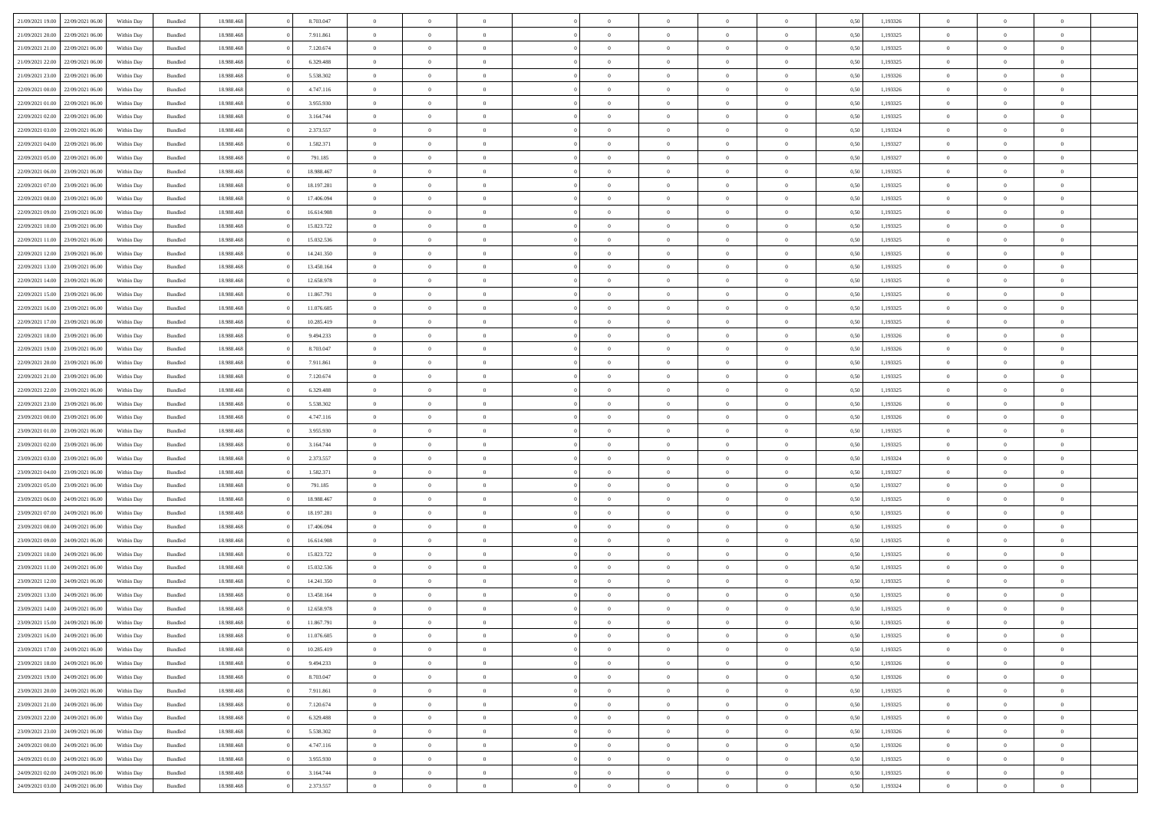| 21/09/2021 19:00                  | 22/09/2021 06:00                  | Within Dav | Bundled            | 18.988.468 | 8.703.047  | $\overline{0}$ | $\Omega$       |                | $\Omega$       | $\Omega$       | $\Omega$       | $\theta$       | 0.50 | 1,193326 | $\theta$       | $\theta$       | $\theta$       |  |
|-----------------------------------|-----------------------------------|------------|--------------------|------------|------------|----------------|----------------|----------------|----------------|----------------|----------------|----------------|------|----------|----------------|----------------|----------------|--|
| 21/09/2021 20:00                  | 22/09/2021 06:00                  | Within Day | Bundled            | 18.988.468 | 7.911.861  | $\overline{0}$ | $\theta$       | $\overline{0}$ | $\overline{0}$ | $\bf{0}$       | $\overline{0}$ | $\overline{0}$ | 0,50 | 1,193325 | $\theta$       | $\theta$       | $\overline{0}$ |  |
| 21/09/2021 21:00                  | 22/09/2021 06:00                  | Within Day | Bundled            | 18.988.468 | 7.120.674  | $\overline{0}$ | $\overline{0}$ | $\overline{0}$ | $\bf{0}$       | $\bf{0}$       | $\bf{0}$       | $\bf{0}$       | 0,50 | 1,193325 | $\bf{0}$       | $\overline{0}$ | $\overline{0}$ |  |
|                                   |                                   |            |                    |            |            |                |                |                |                |                |                |                |      |          | $\theta$       |                |                |  |
| 21/09/2021 22:00                  | 22/09/2021 06:00                  | Within Dav | Bundled            | 18.988.468 | 6.329.488  | $\overline{0}$ | $\theta$       | $\overline{0}$ | $\overline{0}$ | $\bf{0}$       | $\overline{0}$ | $\overline{0}$ | 0.50 | 1,193325 |                | $\theta$       | $\overline{0}$ |  |
| 21/09/2021 23:00                  | 22/09/2021 06:00                  | Within Day | Bundled            | 18.988.468 | 5.538.302  | $\overline{0}$ | $\theta$       | $\overline{0}$ | $\overline{0}$ | $\bf{0}$       | $\overline{0}$ | $\bf{0}$       | 0,50 | 1,193326 | $\theta$       | $\theta$       | $\overline{0}$ |  |
| 22/09/2021 00:00                  | 22/09/2021 06:00                  | Within Day | Bundled            | 18.988.468 | 4.747.116  | $\overline{0}$ | $\bf{0}$       | $\overline{0}$ | $\bf{0}$       | $\overline{0}$ | $\overline{0}$ | $\mathbf{0}$   | 0,50 | 1,193326 | $\bf{0}$       | $\overline{0}$ | $\bf{0}$       |  |
| 22/09/2021 01:00                  | 22/09/2021 06:00                  | Within Dav | Bundled            | 18.988.468 | 3.955.930  | $\overline{0}$ | $\overline{0}$ | $\overline{0}$ | $\overline{0}$ | $\bf{0}$       | $\overline{0}$ | $\overline{0}$ | 0.50 | 1,193325 | $\theta$       | $\overline{0}$ | $\overline{0}$ |  |
|                                   |                                   |            |                    |            |            |                |                |                |                |                |                |                |      |          |                |                |                |  |
| 22/09/2021 02:00                  | 22/09/2021 06:00                  | Within Day | Bundled            | 18.988.468 | 3.164.744  | $\overline{0}$ | $\theta$       | $\overline{0}$ | $\overline{0}$ | $\bf{0}$       | $\overline{0}$ | $\bf{0}$       | 0,50 | 1,193325 | $\theta$       | $\theta$       | $\overline{0}$ |  |
| 22/09/2021 03:00                  | 22/09/2021 06:00                  | Within Day | Bundled            | 18.988.468 | 2.373.557  | $\overline{0}$ | $\overline{0}$ | $\overline{0}$ | $\bf{0}$       | $\bf{0}$       | $\bf{0}$       | $\bf{0}$       | 0,50 | 1,193324 | $\,0\,$        | $\overline{0}$ | $\overline{0}$ |  |
| 22/09/2021 04:00                  | 22/09/2021 06:00                  | Within Dav | Bundled            | 18.988.468 | 1.582.371  | $\overline{0}$ | $\overline{0}$ | $\overline{0}$ | $\overline{0}$ | $\overline{0}$ | $\overline{0}$ | $\overline{0}$ | 0.50 | 1,193327 | $\theta$       | $\overline{0}$ | $\overline{0}$ |  |
| 22/09/2021 05:00                  | 22/09/2021 06:00                  |            | Bundled            | 18.988.468 | 791.185    | $\overline{0}$ | $\theta$       | $\overline{0}$ | $\overline{0}$ | $\bf{0}$       | $\overline{0}$ |                |      | 1,193327 | $\theta$       | $\theta$       | $\overline{0}$ |  |
|                                   |                                   | Within Day |                    |            |            |                |                |                |                |                |                | $\bf{0}$       | 0,50 |          |                |                |                |  |
| 22/09/2021 06:00                  | 23/09/2021 06:00                  | Within Day | Bundled            | 18.988.468 | 18.988.467 | $\overline{0}$ | $\overline{0}$ | $\overline{0}$ | $\bf{0}$       | $\bf{0}$       | $\bf{0}$       | $\bf{0}$       | 0,50 | 1,193325 | $\bf{0}$       | $\overline{0}$ | $\overline{0}$ |  |
| 22/09/2021 07:00                  | 23/09/2021 06:00                  | Within Dav | Bundled            | 18.988.468 | 18.197.281 | $\overline{0}$ | $\theta$       | $\overline{0}$ | $\overline{0}$ | $\bf{0}$       | $\overline{0}$ | $\overline{0}$ | 0.50 | 1,193325 | $\theta$       | $\theta$       | $\overline{0}$ |  |
| 22/09/2021 08:00                  | 23/09/2021 06:00                  | Within Day | Bundled            | 18.988.468 | 17.406.094 | $\overline{0}$ | $\theta$       | $\overline{0}$ | $\overline{0}$ | $\bf{0}$       | $\overline{0}$ | $\overline{0}$ | 0,50 | 1,193325 | $\theta$       | $\theta$       | $\overline{0}$ |  |
|                                   |                                   |            |                    |            |            |                |                |                |                |                |                |                |      |          |                |                |                |  |
| 22/09/2021 09:00                  | 23/09/2021 06:00                  | Within Day | Bundled            | 18.988.468 | 16.614.908 | $\overline{0}$ | $\overline{0}$ | $\overline{0}$ | $\bf{0}$       | $\overline{0}$ | $\bf{0}$       | $\mathbf{0}$   | 0,50 | 1,193325 | $\overline{0}$ | $\overline{0}$ | $\bf{0}$       |  |
| 22/09/2021 10:00                  | 23/09/2021 06:00                  | Within Dav | Bundled            | 18.988.468 | 15.823.722 | $\overline{0}$ | $\overline{0}$ | $\overline{0}$ | $\overline{0}$ | $\bf{0}$       | $\overline{0}$ | $\overline{0}$ | 0.50 | 1,193325 | $\theta$       | $\overline{0}$ | $\overline{0}$ |  |
| 22/09/2021 11:00                  | 23/09/2021 06:00                  | Within Day | Bundled            | 18.988.468 | 15.032.536 | $\overline{0}$ | $\theta$       | $\overline{0}$ | $\overline{0}$ | $\bf{0}$       | $\overline{0}$ | $\bf{0}$       | 0,50 | 1,193325 | $\theta$       | $\theta$       | $\overline{0}$ |  |
| 22/09/2021 12:00                  | 23/09/2021 06:00                  | Within Day | Bundled            | 18.988.468 | 14.241.350 | $\overline{0}$ | $\overline{0}$ | $\overline{0}$ | $\bf{0}$       | $\bf{0}$       | $\bf{0}$       | $\bf{0}$       | 0,50 | 1,193325 | $\,0\,$        | $\overline{0}$ | $\overline{0}$ |  |
|                                   |                                   |            |                    |            |            |                |                |                |                |                |                |                |      |          |                |                |                |  |
| 22/09/2021 13:00                  | 23/09/2021 06:00                  | Within Dav | Bundled            | 18.988.468 | 13.450.164 | $\overline{0}$ | $\overline{0}$ | $\overline{0}$ | $\overline{0}$ | $\overline{0}$ | $\overline{0}$ | $\overline{0}$ | 0.50 | 1,193325 | $\theta$       | $\overline{0}$ | $\overline{0}$ |  |
| 22/09/2021 14:00                  | 23/09/2021 06:00                  | Within Day | Bundled            | 18.988.468 | 12.658.978 | $\overline{0}$ | $\theta$       | $\overline{0}$ | $\overline{0}$ | $\bf{0}$       | $\overline{0}$ | $\bf{0}$       | 0,50 | 1,193325 | $\theta$       | $\theta$       | $\overline{0}$ |  |
| 22/09/2021 15:00                  | 23/09/2021 06:00                  | Within Day | Bundled            | 18.988.468 | 11.867.791 | $\overline{0}$ | $\overline{0}$ | $\overline{0}$ | $\bf{0}$       | $\bf{0}$       | $\bf{0}$       | $\bf{0}$       | 0,50 | 1,193325 | $\,0\,$        | $\overline{0}$ | $\overline{0}$ |  |
| 22/09/2021 16:00                  | 23/09/2021 06:00                  | Within Day | Bundled            | 18.988.468 | 11.076.605 | $\overline{0}$ | $\overline{0}$ | $\overline{0}$ | $\overline{0}$ | $\bf{0}$       | $\overline{0}$ | $\overline{0}$ | 0.50 | 1,193325 | $\theta$       | $\theta$       | $\overline{0}$ |  |
|                                   |                                   |            |                    |            |            |                |                |                |                |                |                |                |      |          |                |                |                |  |
| 22/09/2021 17:00                  | 23/09/2021 06:00                  | Within Day | Bundled            | 18.988.468 | 10.285.419 | $\overline{0}$ | $\theta$       | $\overline{0}$ | $\overline{0}$ | $\bf{0}$       | $\overline{0}$ | $\bf{0}$       | 0,50 | 1,193325 | $\theta$       | $\overline{0}$ | $\overline{0}$ |  |
| 22/09/2021 18:00                  | 23/09/2021 06:00                  | Within Day | Bundled            | 18.988.468 | 9.494.233  | $\overline{0}$ | $\overline{0}$ | $\overline{0}$ | $\bf{0}$       | $\overline{0}$ | $\bf{0}$       | $\mathbf{0}$   | 0,50 | 1,193326 | $\overline{0}$ | $\overline{0}$ | $\bf{0}$       |  |
| 22/09/2021 19:00                  | 23/09/2021 06:00                  | Within Dav | Bundled            | 18.988.468 | 8.703.047  | $\overline{0}$ | $\overline{0}$ | $\overline{0}$ | $\overline{0}$ | $\overline{0}$ | $\overline{0}$ | $\overline{0}$ | 0.50 | 1,193326 | $\theta$       | $\theta$       | $\overline{0}$ |  |
| 22/09/2021 20:00                  | 23/09/2021 06:00                  | Within Day | Bundled            | 18.988.468 | 7.911.861  | $\overline{0}$ | $\theta$       | $\overline{0}$ | $\overline{0}$ | $\bf{0}$       | $\overline{0}$ | $\bf{0}$       | 0,50 | 1,193325 | $\theta$       | $\theta$       | $\overline{0}$ |  |
|                                   |                                   |            |                    |            |            |                |                |                |                |                |                |                |      |          |                |                |                |  |
| 22/09/2021 21:00                  | 23/09/2021 06:00                  | Within Day | Bundled            | 18.988.468 | 7.120.674  | $\overline{0}$ | $\overline{0}$ | $\overline{0}$ | $\bf{0}$       | $\bf{0}$       | $\bf{0}$       | $\bf{0}$       | 0,50 | 1,193325 | $\,0\,$        | $\overline{0}$ | $\overline{0}$ |  |
| 22/09/2021 22:00                  | 23/09/2021 06:00                  | Within Day | Bundled            | 18.988.468 | 6.329.488  | $\overline{0}$ | $\overline{0}$ | $\overline{0}$ | $\overline{0}$ | $\bf{0}$       | $\overline{0}$ | $\overline{0}$ | 0.50 | 1,193325 | $\theta$       | $\overline{0}$ | $\overline{0}$ |  |
| 22/09/2021 23:00                  | 23/09/2021 06:00                  | Within Day | Bundled            | 18.988.468 | 5.538.302  | $\overline{0}$ | $\theta$       | $\overline{0}$ | $\overline{0}$ | $\bf{0}$       | $\overline{0}$ | $\bf{0}$       | 0,50 | 1,193326 | $\,$ 0 $\,$    | $\theta$       | $\overline{0}$ |  |
| 23/09/2021 00:00                  | 23/09/2021 06:00                  | Within Day | Bundled            | 18.988.468 | 4.747.116  | $\overline{0}$ | $\overline{0}$ | $\overline{0}$ | $\bf{0}$       | $\bf{0}$       | $\bf{0}$       | $\bf{0}$       | 0,50 | 1,193326 | $\bf{0}$       | $\overline{0}$ | $\overline{0}$ |  |
|                                   |                                   |            |                    |            |            | $\overline{0}$ | $\Omega$       | $\Omega$       | $\Omega$       | $\Omega$       | $\Omega$       |                |      |          |                | $\Omega$       | $\theta$       |  |
| 23/09/2021 01:00                  | 23/09/2021 06:00                  | Within Day | Bundled            | 18.988.468 | 3.955.930  |                |                |                |                |                |                | $\overline{0}$ | 0.50 | 1,193325 | $\,0\,$        |                |                |  |
| 23/09/2021 02:00                  | 23/09/2021 06:00                  | Within Day | Bundled            | 18.988.468 | 3.164.744  | $\overline{0}$ | $\theta$       | $\overline{0}$ | $\overline{0}$ | $\bf{0}$       | $\overline{0}$ | $\bf{0}$       | 0,50 | 1,193325 | $\theta$       | $\theta$       | $\overline{0}$ |  |
| 23/09/2021 03:00                  | 23/09/2021 06:00                  | Within Day | Bundled            | 18.988.468 | 2.373.557  | $\overline{0}$ | $\bf{0}$       | $\overline{0}$ | $\bf{0}$       | $\bf{0}$       | $\bf{0}$       | $\mathbf{0}$   | 0,50 | 1,193324 | $\overline{0}$ | $\overline{0}$ | $\bf{0}$       |  |
| 23/09/2021 04:00                  | 23/09/2021 06:00                  | Within Day | Bundled            | 18.988.468 | 1.582.371  | $\overline{0}$ | $\Omega$       | $\Omega$       | $\Omega$       | $\Omega$       | $\Omega$       | $\overline{0}$ | 0.50 | 1,193327 | $\theta$       | $\theta$       | $\theta$       |  |
| 23/09/2021 05:00                  | 23/09/2021 06:00                  |            |                    | 18.988.468 | 791.185    | $\overline{0}$ | $\theta$       | $\overline{0}$ | $\overline{0}$ | $\bf{0}$       | $\overline{0}$ |                |      | 1,193327 | $\theta$       | $\theta$       | $\overline{0}$ |  |
|                                   |                                   | Within Day | Bundled            |            |            |                |                |                |                |                |                | $\bf{0}$       | 0,50 |          |                |                |                |  |
| 23/09/2021 06:00                  | 24/09/2021 06:00                  | Within Day | Bundled            | 18.988.468 | 18.988.467 | $\overline{0}$ | $\overline{0}$ | $\overline{0}$ | $\bf{0}$       | $\bf{0}$       | $\bf{0}$       | $\bf{0}$       | 0,50 | 1,193325 | $\,0\,$        | $\overline{0}$ | $\overline{0}$ |  |
| 23/09/2021 07:00                  | 24/09/2021 06:00                  | Within Day | Bundled            | 18.988.468 | 18.197.281 | $\overline{0}$ | $\Omega$       | $\Omega$       | $\Omega$       | $\Omega$       | $\theta$       | $\overline{0}$ | 0.50 | 1,193325 | $\theta$       | $\theta$       | $\theta$       |  |
| 23/09/2021 08:00                  | 24/09/2021 06.00                  | Within Day | Bundled            | 18.988.468 | 17.406.094 | $\overline{0}$ | $\theta$       | $\overline{0}$ | $\overline{0}$ | $\bf{0}$       | $\overline{0}$ | $\bf{0}$       | 0,50 | 1,193325 | $\theta$       | $\theta$       | $\overline{0}$ |  |
|                                   |                                   |            |                    |            |            |                |                |                |                |                |                |                |      |          |                |                |                |  |
| 23/09/2021 09:00                  | 24/09/2021 06:00                  | Within Day | Bundled            | 18.988.468 | 16.614.908 | $\overline{0}$ | $\overline{0}$ | $\overline{0}$ | $\bf{0}$       | $\bf{0}$       | $\bf{0}$       | $\bf{0}$       | 0,50 | 1,193325 | $\,0\,$        | $\overline{0}$ | $\overline{0}$ |  |
| 23/09/2021 10:00                  | 24/09/2021 06.00                  | Within Day | Bundled            | 18.988.468 | 15.823.722 | $\overline{0}$ | $\Omega$       | $\Omega$       | $\Omega$       | $\Omega$       | $\overline{0}$ | $\overline{0}$ | 0.50 | 1,193325 | $\,0\,$        | $\theta$       | $\theta$       |  |
| 23/09/2021 11:00                  | 24/09/2021 06.00                  | Within Day | Bundled            | 18.988.468 | 15.032.536 | $\overline{0}$ | $\theta$       | $\overline{0}$ | $\overline{0}$ | $\bf{0}$       | $\overline{0}$ | $\bf{0}$       | 0,50 | 1,193325 | $\,$ 0 $\,$    | $\theta$       | $\overline{0}$ |  |
| 23/09/2021 12:00                  | 24/09/2021 06:00                  | Within Day | Bundled            | 18.988.468 | 14.241.350 | $\overline{0}$ | $\overline{0}$ | $\overline{0}$ | $\bf{0}$       | $\bf{0}$       | $\bf{0}$       | $\mathbf{0}$   | 0,50 | 1,193325 | $\overline{0}$ | $\overline{0}$ | $\bf{0}$       |  |
| 23/09/2021 13:00                  | 24/09/2021 06:00                  | Within Day | Bundled            | 18.988.468 | 13.450.164 | $\overline{0}$ | $\Omega$       | $\Omega$       | $\Omega$       | $\Omega$       | $\Omega$       | $\overline{0}$ | 0.50 | 1,193325 | $\theta$       | $\Omega$       | $\theta$       |  |
|                                   |                                   |            |                    |            |            |                |                |                |                |                |                |                |      |          |                |                |                |  |
| 23/09/2021 14:00                  | 24/09/2021 06:00                  | Within Day | Bundled            | 18.988.468 | 12.658.978 | $\overline{0}$ | $\,$ 0 $\,$    | $\overline{0}$ | $\bf{0}$       | $\,$ 0         | $\bf{0}$       | $\bf{0}$       | 0,50 | 1,193325 | $\,0\,$        | $\overline{0}$ | $\overline{0}$ |  |
|                                   | 23/09/2021 15:00 24/09/2021 06:00 | Within Day | $\mathbf B$ undled | 18.988.468 | 11.867.791 | $\bf{0}$       | $\bf{0}$       |                |                |                |                |                | 0,50 | 1,193325 | $\bf{0}$       | $\overline{0}$ |                |  |
| 23/09/2021 16:00                  | 24/09/2021 06:00                  | Within Day | Bundled            | 18,988,468 | 11.076.605 | $\overline{0}$ | $\overline{0}$ | $\overline{0}$ | $\Omega$       | $\theta$       | $\overline{0}$ | $\overline{0}$ | 0,50 | 1,193325 | $\theta$       | $\theta$       | $\theta$       |  |
| 23/09/2021 17:00                  | 24/09/2021 06.00                  | Within Day | Bundled            | 18.988.468 | 10.285.419 | $\overline{0}$ | $\,$ 0         | $\overline{0}$ | $\bf{0}$       | $\,$ 0 $\,$    | $\overline{0}$ | $\mathbf{0}$   | 0,50 | 1,193325 | $\,$ 0 $\,$    | $\,$ 0 $\,$    | $\,$ 0         |  |
|                                   |                                   |            |                    |            |            |                |                |                |                |                |                |                |      |          |                |                |                |  |
| 23/09/2021 18:00                  | 24/09/2021 06:00                  | Within Day | Bundled            | 18.988.468 | 9.494.233  | $\overline{0}$ | $\overline{0}$ | $\overline{0}$ | $\overline{0}$ | $\overline{0}$ | $\overline{0}$ | $\mathbf{0}$   | 0,50 | 1,193326 | $\overline{0}$ | $\bf{0}$       | $\bf{0}$       |  |
| 23/09/2021 19:00                  | 24/09/2021 06.00                  | Within Day | Bundled            | 18.988.468 | 8.703.047  | $\overline{0}$ | $\overline{0}$ | $\overline{0}$ | $\Omega$       | $\overline{0}$ | $\overline{0}$ | $\bf{0}$       | 0,50 | 1,193326 | $\overline{0}$ | $\theta$       | $\overline{0}$ |  |
| 23/09/2021 20:00                  | 24/09/2021 06.00                  | Within Day | Bundled            | 18.988.468 | 7.911.861  | $\overline{0}$ | $\,$ 0         | $\overline{0}$ | $\overline{0}$ | $\overline{0}$ | $\overline{0}$ | $\bf{0}$       | 0,50 | 1,193325 | $\,$ 0 $\,$    | $\overline{0}$ | $\overline{0}$ |  |
| 23/09/2021 21:00                  | 24/09/2021 06.00                  | Within Day | Bundled            | 18.988.468 | 7.120.674  | $\overline{0}$ | $\overline{0}$ | $\overline{0}$ | $\overline{0}$ | $\overline{0}$ | $\overline{0}$ | $\mathbf{0}$   | 0,50 | 1,193325 | $\overline{0}$ | $\overline{0}$ | $\bf{0}$       |  |
|                                   |                                   |            |                    |            |            |                |                |                |                |                |                |                |      |          |                |                |                |  |
| 23/09/2021 22:00                  | 24/09/2021 06:00                  | Within Day | Bundled            | 18.988.468 | 6.329.488  | $\overline{0}$ | $\overline{0}$ | $\overline{0}$ | $\Omega$       | $\overline{0}$ | $\overline{0}$ | $\bf{0}$       | 0.50 | 1,193325 | $\overline{0}$ | $\theta$       | $\overline{0}$ |  |
| 23/09/2021 23:00                  | 24/09/2021 06.00                  | Within Day | Bundled            | 18.988.468 | 5.538.302  | $\overline{0}$ | $\,$ 0         | $\overline{0}$ | $\overline{0}$ | $\bf{0}$       | $\overline{0}$ | $\bf{0}$       | 0,50 | 1,193326 | $\,$ 0 $\,$    | $\overline{0}$ | $\overline{0}$ |  |
| 24/09/2021 00:00                  | 24/09/2021 06.00                  | Within Day | Bundled            | 18.988.468 | 4.747.116  | $\overline{0}$ | $\bf{0}$       | $\overline{0}$ | $\overline{0}$ | $\overline{0}$ | $\overline{0}$ | $\mathbf{0}$   | 0,50 | 1,193326 | $\overline{0}$ | $\overline{0}$ | $\bf{0}$       |  |
| 24/09/2021 01:00                  | 24/09/2021 06:00                  | Within Day | Bundled            | 18,988,468 | 3.955.930  | $\overline{0}$ | $\overline{0}$ | $\overline{0}$ | $\Omega$       | $\overline{0}$ | $\overline{0}$ | $\bf{0}$       | 0.50 | 1,193325 | $\overline{0}$ | $\overline{0}$ | $\overline{0}$ |  |
|                                   |                                   |            |                    |            |            |                |                |                |                |                |                |                |      |          |                |                |                |  |
| 24/09/2021 02:00                  | 24/09/2021 06.00                  | Within Day | Bundled            | 18.988.468 | 3.164.744  | $\overline{0}$ | $\bf{0}$       | $\overline{0}$ | $\overline{0}$ | $\bf{0}$       | $\overline{0}$ | $\mathbf{0}$   | 0,50 | 1,193325 | $\,$ 0 $\,$    | $\,$ 0 $\,$    | $\bf{0}$       |  |
| 24/09/2021 03:00 24/09/2021 06:00 |                                   | Within Day | Bundled            | 18.988.468 | 2.373.557  | $\overline{0}$ | $\overline{0}$ | $\overline{0}$ | $\overline{0}$ | $\bf{0}$       | $\overline{0}$ | $\mathbf{0}$   | 0,50 | 1,193324 | $\overline{0}$ | $\bf{0}$       | $\bf{0}$       |  |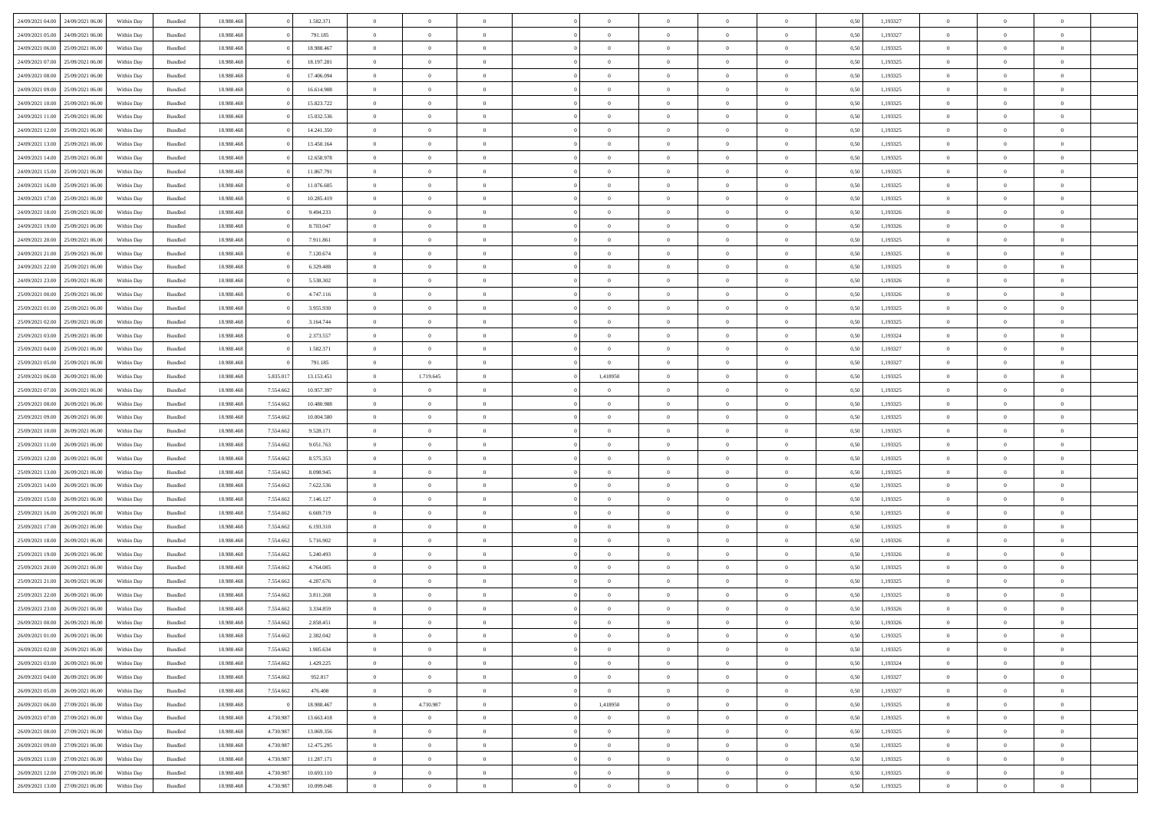| 24/09/2021 04:00 | 24/09/2021 06:00                  | Within Dav | Bundled            | 18.988.468 |           | 1.582.371  | $\overline{0}$ | $\Omega$       |                | $\Omega$       | $\Omega$       | $\Omega$       | $\theta$       | 0.50 | 1,193327 | $\theta$       | $\theta$       | $\theta$       |  |
|------------------|-----------------------------------|------------|--------------------|------------|-----------|------------|----------------|----------------|----------------|----------------|----------------|----------------|----------------|------|----------|----------------|----------------|----------------|--|
| 24/09/2021 05:00 | 24/09/2021 06.00                  | Within Day | Bundled            | 18.988.468 |           | 791.185    | $\overline{0}$ | $\theta$       | $\overline{0}$ | $\overline{0}$ | $\bf{0}$       | $\overline{0}$ | $\overline{0}$ | 0,50 | 1,193327 | $\theta$       | $\theta$       | $\overline{0}$ |  |
| 24/09/2021 06:00 | 25/09/2021 06:00                  | Within Day | Bundled            | 18.988.468 |           | 18.988.467 | $\overline{0}$ | $\overline{0}$ | $\overline{0}$ | $\bf{0}$       | $\bf{0}$       | $\overline{0}$ | $\bf{0}$       | 0,50 | 1,193325 | $\bf{0}$       | $\overline{0}$ | $\overline{0}$ |  |
|                  |                                   |            |                    |            |           |            |                |                |                |                |                |                |                |      |          | $\theta$       |                |                |  |
| 24/09/2021 07:00 | 25/09/2021 06:00                  | Within Dav | Bundled            | 18.988.468 |           | 18.197.281 | $\overline{0}$ | $\theta$       | $\overline{0}$ | $\overline{0}$ | $\bf{0}$       | $\overline{0}$ | $\overline{0}$ | 0.50 | 1,193325 |                | $\theta$       | $\overline{0}$ |  |
| 24/09/2021 08:00 | 25/09/2021 06:00                  | Within Day | Bundled            | 18.988.468 |           | 17.406.094 | $\overline{0}$ | $\theta$       | $\overline{0}$ | $\overline{0}$ | $\bf{0}$       | $\overline{0}$ | $\bf{0}$       | 0,50 | 1,193325 | $\theta$       | $\theta$       | $\overline{0}$ |  |
| 24/09/2021 09:00 | 25/09/2021 06:00                  | Within Day | Bundled            | 18.988.468 |           | 16.614.908 | $\overline{0}$ | $\overline{0}$ | $\overline{0}$ | $\overline{0}$ | $\overline{0}$ | $\overline{0}$ | $\mathbf{0}$   | 0,50 | 1,193325 | $\overline{0}$ | $\overline{0}$ | $\bf{0}$       |  |
| 24/09/2021 10:00 | 25/09/2021 06:00                  | Within Dav | Bundled            | 18.988.468 |           | 15.823.722 | $\overline{0}$ | $\overline{0}$ | $\overline{0}$ | $\overline{0}$ | $\bf{0}$       | $\overline{0}$ | $\overline{0}$ | 0.50 | 1,193325 | $\theta$       | $\overline{0}$ | $\overline{0}$ |  |
|                  |                                   |            |                    |            |           |            |                |                |                |                |                |                |                |      |          |                |                |                |  |
| 24/09/2021 11:00 | 25/09/2021 06:00                  | Within Day | Bundled            | 18.988.468 |           | 15.032.536 | $\overline{0}$ | $\theta$       | $\overline{0}$ | $\overline{0}$ | $\bf{0}$       | $\overline{0}$ | $\bf{0}$       | 0,50 | 1,193325 | $\theta$       | $\theta$       | $\overline{0}$ |  |
| 24/09/2021 12:00 | 25/09/2021 06:00                  | Within Day | Bundled            | 18.988.468 |           | 14.241.350 | $\overline{0}$ | $\overline{0}$ | $\overline{0}$ | $\bf{0}$       | $\bf{0}$       | $\overline{0}$ | $\bf{0}$       | 0,50 | 1,193325 | $\,0\,$        | $\overline{0}$ | $\overline{0}$ |  |
| 24/09/2021 13:00 | 25/09/2021 06:00                  | Within Dav | Bundled            | 18.988.468 |           | 13.450.164 | $\overline{0}$ | $\overline{0}$ | $\overline{0}$ | $\overline{0}$ | $\overline{0}$ | $\overline{0}$ | $\overline{0}$ | 0.50 | 1,193325 | $\theta$       | $\overline{0}$ | $\overline{0}$ |  |
| 24/09/2021 14:00 | 25/09/2021 06:00                  |            | Bundled            | 18.988.468 |           | 12.658.978 | $\overline{0}$ | $\theta$       | $\overline{0}$ | $\overline{0}$ | $\bf{0}$       | $\overline{0}$ |                |      | 1,193325 | $\theta$       | $\theta$       | $\overline{0}$ |  |
|                  |                                   | Within Day |                    |            |           |            |                |                |                |                |                |                | $\bf{0}$       | 0,50 |          |                |                |                |  |
| 24/09/2021 15:00 | 25/09/2021 06:00                  | Within Day | Bundled            | 18.988.468 |           | 11.867.791 | $\overline{0}$ | $\overline{0}$ | $\overline{0}$ | $\bf{0}$       | $\bf{0}$       | $\bf{0}$       | $\bf{0}$       | 0,50 | 1,193325 | $\,0\,$        | $\overline{0}$ | $\overline{0}$ |  |
| 24/09/2021 16:00 | 25/09/2021 06:00                  | Within Dav | Bundled            | 18.988.468 |           | 11.076.605 | $\overline{0}$ | $\theta$       | $\overline{0}$ | $\overline{0}$ | $\bf{0}$       | $\overline{0}$ | $\overline{0}$ | 0.50 | 1,193325 | $\theta$       | $\theta$       | $\overline{0}$ |  |
| 24/09/2021 17:00 | 25/09/2021 06:00                  | Within Day | Bundled            | 18.988.468 |           | 10.285.419 | $\overline{0}$ | $\theta$       | $\overline{0}$ | $\overline{0}$ | $\bf{0}$       | $\overline{0}$ | $\overline{0}$ | 0,50 | 1,193325 | $\theta$       | $\theta$       | $\overline{0}$ |  |
|                  |                                   |            |                    |            |           |            |                |                |                |                |                |                |                |      |          |                |                |                |  |
| 24/09/2021 18:00 | 25/09/2021 06:00                  | Within Day | Bundled            | 18.988.468 |           | 9.494.233  | $\overline{0}$ | $\overline{0}$ | $\overline{0}$ | $\bf{0}$       | $\overline{0}$ | $\overline{0}$ | $\mathbf{0}$   | 0,50 | 1,193326 | $\overline{0}$ | $\overline{0}$ | $\bf{0}$       |  |
| 24/09/2021 19:00 | 25/09/2021 06:00                  | Within Dav | Bundled            | 18.988.468 |           | 8.703.047  | $\overline{0}$ | $\overline{0}$ | $\overline{0}$ | $\overline{0}$ | $\overline{0}$ | $\overline{0}$ | $\overline{0}$ | 0.50 | 1,193326 | $\theta$       | $\overline{0}$ | $\overline{0}$ |  |
| 24/09/2021 20:00 | 25/09/2021 06:00                  | Within Day | Bundled            | 18.988.468 |           | 7.911.861  | $\overline{0}$ | $\theta$       | $\overline{0}$ | $\overline{0}$ | $\bf{0}$       | $\overline{0}$ | $\bf{0}$       | 0,50 | 1,193325 | $\theta$       | $\theta$       | $\overline{0}$ |  |
| 24/09/2021 21:00 | 25/09/2021 06:00                  | Within Day | Bundled            | 18.988.468 |           | 7.120.674  | $\overline{0}$ | $\overline{0}$ | $\overline{0}$ | $\bf{0}$       | $\bf{0}$       | $\bf{0}$       | $\bf{0}$       | 0,50 | 1,193325 | $\,0\,$        | $\overline{0}$ | $\overline{0}$ |  |
|                  |                                   |            |                    |            |           |            |                |                |                |                |                |                |                |      |          |                |                |                |  |
| 24/09/2021 22:00 | 25/09/2021 06:00                  | Within Dav | Bundled            | 18.988.468 |           | 6.329.488  | $\overline{0}$ | $\overline{0}$ | $\overline{0}$ | $\overline{0}$ | $\overline{0}$ | $\overline{0}$ | $\overline{0}$ | 0.50 | 1,193325 | $\theta$       | $\overline{0}$ | $\overline{0}$ |  |
| 24/09/2021 23:00 | 25/09/2021 06:00                  | Within Day | Bundled            | 18.988.468 |           | 5.538.302  | $\overline{0}$ | $\theta$       | $\overline{0}$ | $\overline{0}$ | $\bf{0}$       | $\overline{0}$ | $\bf{0}$       | 0,50 | 1,193326 | $\theta$       | $\theta$       | $\overline{0}$ |  |
| 25/09/2021 00:00 | 25/09/2021 06:00                  | Within Day | Bundled            | 18.988.468 |           | 4.747.116  | $\overline{0}$ | $\overline{0}$ | $\overline{0}$ | $\bf{0}$       | $\bf{0}$       | $\bf{0}$       | $\bf{0}$       | 0,50 | 1,193326 | $\,0\,$        | $\overline{0}$ | $\overline{0}$ |  |
| 25/09/2021 01:00 | 25/09/2021 06:00                  | Within Day | Bundled            | 18.988.468 |           | 3.955.930  | $\overline{0}$ | $\overline{0}$ | $\overline{0}$ | $\overline{0}$ | $\bf{0}$       | $\overline{0}$ | $\overline{0}$ | 0.50 | 1,193325 | $\theta$       | $\theta$       | $\overline{0}$ |  |
|                  |                                   |            |                    |            |           |            |                |                |                |                |                |                |                |      |          |                |                |                |  |
| 25/09/2021 02:00 | 25/09/2021 06:00                  | Within Day | Bundled            | 18.988.468 |           | 3.164.744  | $\overline{0}$ | $\theta$       | $\overline{0}$ | $\overline{0}$ | $\bf{0}$       | $\overline{0}$ | $\bf{0}$       | 0,50 | 1,193325 | $\theta$       | $\overline{0}$ | $\overline{0}$ |  |
| 25/09/2021 03:00 | 25/09/2021 06:00                  | Within Day | Bundled            | 18.988.468 |           | 2.373.557  | $\overline{0}$ | $\bf{0}$       | $\overline{0}$ | $\bf{0}$       | $\bf{0}$       | $\bf{0}$       | $\mathbf{0}$   | 0,50 | 1,193324 | $\bf{0}$       | $\overline{0}$ | $\bf{0}$       |  |
| 25/09/2021 04:00 | 25/09/2021 06:00                  | Within Dav | Bundled            | 18.988.468 |           | 1.582.371  | $\overline{0}$ | $\overline{0}$ | $\overline{0}$ | $\overline{0}$ | $\overline{0}$ | $\overline{0}$ | $\overline{0}$ | 0.50 | 1,193327 | $\theta$       | $\overline{0}$ | $\overline{0}$ |  |
| 25/09/2021 05:00 | 25/09/2021 06:00                  | Within Day | Bundled            | 18.988.468 |           | 791.185    | $\overline{0}$ | $\theta$       | $\overline{0}$ | $\overline{0}$ | $\bf{0}$       | $\overline{0}$ | $\bf{0}$       | 0,50 | 1,193327 | $\theta$       | $\theta$       | $\overline{0}$ |  |
|                  |                                   |            |                    |            |           |            |                |                |                |                |                |                |                |      |          |                |                |                |  |
| 25/09/2021 06:00 | 26/09/2021 06:00                  | Within Day | Bundled            | 18.988.468 | 5.835.017 | 13.153.451 | $\overline{0}$ | 1.719.645      | $\overline{0}$ | 1,418950       | $\bf{0}$       | $\bf{0}$       | $\bf{0}$       | 0,50 | 1,193325 | $\,0\,$        | $\overline{0}$ | $\overline{0}$ |  |
| 25/09/2021 07:00 | 26/09/2021 06:00                  | Within Day | Bundled            | 18.988.468 | 7.554.662 | 10.957.397 | $\overline{0}$ | $\overline{0}$ | $\overline{0}$ | $\overline{0}$ | $\overline{0}$ | $\overline{0}$ | $\overline{0}$ | 0.50 | 1,193325 | $\theta$       | $\overline{0}$ | $\overline{0}$ |  |
| 25/09/2021 08:00 | 26/09/2021 06:00                  | Within Day | Bundled            | 18.988.468 | 7.554.662 | 10.480.988 | $\overline{0}$ | $\theta$       | $\overline{0}$ | $\overline{0}$ | $\bf{0}$       | $\overline{0}$ | $\bf{0}$       | 0,50 | 1,193325 | $\theta$       | $\theta$       | $\overline{0}$ |  |
| 25/09/2021 09:00 | 26/09/2021 06:00                  | Within Day | Bundled            | 18.988.468 | 7.554.662 | 10.004.580 | $\overline{0}$ | $\overline{0}$ | $\overline{0}$ | $\bf{0}$       | $\bf{0}$       | $\bf{0}$       | $\bf{0}$       | 0,50 | 1,193325 | $\,0\,$        | $\overline{0}$ | $\overline{0}$ |  |
|                  |                                   |            |                    |            |           |            |                |                |                |                |                |                |                |      |          |                |                |                |  |
| 25/09/2021 10:00 | 26/09/2021 06:00                  | Within Day | Bundled            | 18.988.468 | 7.554.662 | 9.528.171  | $\overline{0}$ | $\Omega$       | $\Omega$       | $\Omega$       | $\Omega$       | $\Omega$       | $\overline{0}$ | 0.50 | 1,193325 | $\,0\,$        | $\theta$       | $\theta$       |  |
| 25/09/2021 11:00 | 26/09/2021 06:00                  | Within Day | Bundled            | 18.988.468 | 7.554.662 | 9.051.763  | $\overline{0}$ | $\theta$       | $\overline{0}$ | $\overline{0}$ | $\bf{0}$       | $\overline{0}$ | $\bf{0}$       | 0,50 | 1,193325 | $\theta$       | $\theta$       | $\overline{0}$ |  |
| 25/09/2021 12:00 | 26/09/2021 06:00                  | Within Day | Bundled            | 18.988.468 | 7.554.662 | 8.575.353  | $\overline{0}$ | $\bf{0}$       | $\overline{0}$ | $\bf{0}$       | $\bf{0}$       | $\overline{0}$ | $\mathbf{0}$   | 0,50 | 1,193325 | $\overline{0}$ | $\overline{0}$ | $\bf{0}$       |  |
| 25/09/2021 13:00 | 26/09/2021 06:00                  |            | Bundled            | 18.988.468 | 7.554.662 | 8.098.945  | $\overline{0}$ | $\Omega$       | $\Omega$       | $\Omega$       | $\bf{0}$       | $\Omega$       | $\overline{0}$ | 0.50 | 1,193325 | $\theta$       | $\theta$       | $\theta$       |  |
|                  |                                   | Within Day |                    |            |           |            |                |                |                |                |                |                |                |      |          |                |                |                |  |
| 25/09/2021 14:00 | 26/09/2021 06:00                  | Within Day | Bundled            | 18.988.468 | 7.554.662 | 7.622.536  | $\overline{0}$ | $\theta$       | $\overline{0}$ | $\overline{0}$ | $\bf{0}$       | $\overline{0}$ | $\bf{0}$       | 0,50 | 1,193325 | $\theta$       | $\theta$       | $\overline{0}$ |  |
| 25/09/2021 15:00 | 26/09/2021 06:00                  | Within Day | Bundled            | 18.988.468 | 7.554.662 | 7.146.127  | $\overline{0}$ | $\overline{0}$ | $\overline{0}$ | $\bf{0}$       | $\bf{0}$       | $\bf{0}$       | $\bf{0}$       | 0,50 | 1,193325 | $\,0\,$        | $\overline{0}$ | $\overline{0}$ |  |
| 25/09/2021 16:00 | 26/09/2021 06:00                  | Within Day | Bundled            | 18.988.468 | 7.554.662 | 6.669.719  | $\overline{0}$ | $\Omega$       | $\Omega$       | $\Omega$       | $\Omega$       | $\theta$       | $\overline{0}$ | 0.50 | 1,193325 | $\theta$       | $\theta$       | $\theta$       |  |
| 25/09/2021 17:00 | 26/09/2021 06:00                  |            |                    | 18.988.468 | 7.554.662 | 6.193.310  | $\overline{0}$ | $\theta$       | $\overline{0}$ | $\overline{0}$ | $\bf{0}$       | $\overline{0}$ |                |      | 1,193325 | $\theta$       | $\theta$       | $\overline{0}$ |  |
|                  |                                   | Within Day | Bundled            |            |           |            |                |                |                |                |                |                | $\bf{0}$       | 0,50 |          |                |                |                |  |
| 25/09/2021 18:00 | 26/09/2021 06:00                  | Within Day | Bundled            | 18.988.468 | 7.554.662 | 5.716.902  | $\overline{0}$ | $\overline{0}$ | $\overline{0}$ | $\bf{0}$       | $\bf{0}$       | $\bf{0}$       | $\bf{0}$       | 0,50 | 1,193326 | $\,0\,$        | $\overline{0}$ | $\overline{0}$ |  |
| 25/09/2021 19:00 | 26/09/2021 06:00                  | Within Day | Bundled            | 18.988.468 | 7.554.662 | 5.240.493  | $\overline{0}$ | $\Omega$       | $\Omega$       | $\Omega$       | $\Omega$       | $\overline{0}$ | $\overline{0}$ | 0.50 | 1,193326 | $\,0\,$        | $\theta$       | $\theta$       |  |
| 25/09/2021 20:00 | 26/09/2021 06:00                  | Within Day | Bundled            | 18.988.468 | 7.554.662 | 4.764.085  | $\overline{0}$ | $\theta$       | $\overline{0}$ | $\overline{0}$ | $\bf{0}$       | $\overline{0}$ | $\bf{0}$       | 0,50 | 1,193325 | $\theta$       | $\theta$       | $\overline{0}$ |  |
|                  |                                   |            |                    |            |           |            |                | $\overline{0}$ |                |                | $\bf{0}$       |                |                |      |          |                | $\overline{0}$ | $\bf{0}$       |  |
| 25/09/2021 21.00 | 26/09/2021 06:00                  | Within Day | Bundled            | 18.988.468 | 7.554.662 | 4.287.676  | $\overline{0}$ |                | $\overline{0}$ | $\bf{0}$       |                | $\bf{0}$       | $\mathbf{0}$   | 0,50 | 1,193325 | $\overline{0}$ |                |                |  |
| 25/09/2021 22.00 | 26/09/2021 06:00                  | Within Day | Bundled            | 18.988.468 | 7.554.662 | 3.811.268  | $\overline{0}$ | $\Omega$       | $\Omega$       | $\Omega$       | $\Omega$       | $\Omega$       | $\overline{0}$ | 0.50 | 1,193325 | $\theta$       | $\theta$       | $\theta$       |  |
| 25/09/2021 23:00 | 26/09/2021 06:00                  | Within Day | Bundled            | 18.988.468 | 7.554.662 | 3.334.859  | $\overline{0}$ | $\,$ 0 $\,$    | $\overline{0}$ | $\bf{0}$       | $\,$ 0         | $\bf{0}$       | $\bf{0}$       | 0,50 | 1,193326 | $\,0\,$        | $\overline{0}$ | $\overline{0}$ |  |
| 26/09/2021 00:00 | 26/09/2021 06:00                  | Within Day | $\mathbf B$ undled | 18.988.468 | 7.554.662 | 2.858.451  | $\bf{0}$       | $\bf{0}$       |                |                |                |                |                | 0,50 | 1,193326 | $\bf{0}$       | $\bf{0}$       |                |  |
|                  | 26/09/2021 06:00                  |            |                    | 18,988,468 |           | 2.382.042  | $\overline{0}$ | $\Omega$       | $\Omega$       | $\Omega$       | $\theta$       | $\overline{0}$ |                | 0.50 |          | $\theta$       | $\theta$       | $\theta$       |  |
| 26/09/2021 01:00 |                                   | Within Day | Bundled            |            | 7.554.662 |            |                |                |                |                |                |                | $\overline{0}$ |      | 1,193325 |                |                |                |  |
| 26/09/2021 02:00 | 26/09/2021 06:00                  | Within Day | Bundled            | 18.988.468 | 7.554.662 | 1.905.634  | $\overline{0}$ | $\,$ 0         | $\overline{0}$ | $\overline{0}$ | $\,$ 0 $\,$    | $\overline{0}$ | $\mathbf{0}$   | 0,50 | 1,193325 | $\,$ 0 $\,$    | $\,$ 0 $\,$    | $\bf{0}$       |  |
| 26/09/2021 03:00 | 26/09/2021 06:00                  | Within Day | Bundled            | 18.988.468 | 7.554.662 | 1.429.225  | $\overline{0}$ | $\overline{0}$ | $\overline{0}$ | $\overline{0}$ | $\overline{0}$ | $\overline{0}$ | $\mathbf{0}$   | 0,50 | 1,193324 | $\overline{0}$ | $\bf{0}$       | $\bf{0}$       |  |
| 26/09/2021 04:00 | 26/09/2021 06:00                  | Within Day | Bundled            | 18.988.468 | 7.554.662 | 952.817    | $\overline{0}$ | $\overline{0}$ | $\overline{0}$ | $\Omega$       | $\overline{0}$ | $\overline{0}$ | $\overline{0}$ | 0,50 | 1,193327 | $\bf{0}$       | $\theta$       | $\overline{0}$ |  |
| 26/09/2021 05:00 | 26/09/2021 06:00                  | Within Day | Bundled            | 18.988.468 | 7.554.662 | 476.408    | $\overline{0}$ | $\overline{0}$ | $\overline{0}$ | $\overline{0}$ | $\overline{0}$ | $\overline{0}$ | $\mathbf{0}$   | 0,50 | 1,193327 | $\,$ 0 $\,$    | $\overline{0}$ | $\overline{0}$ |  |
|                  |                                   |            |                    |            |           |            |                |                |                |                |                |                |                |      |          |                |                |                |  |
| 26/09/2021 06:00 | 27/09/2021 06:00                  | Within Day | Bundled            | 18.988.468 |           | 18.988.467 | $\overline{0}$ | 4.730.987      | $\overline{0}$ | 1,418950       | $\overline{0}$ | $\overline{0}$ | $\mathbf{0}$   | 0,50 | 1,193325 | $\overline{0}$ | $\overline{0}$ | $\bf{0}$       |  |
| 26/09/2021 07:00 | 27/09/2021 06:00                  | Within Day | Bundled            | 18.988.468 | 4.730.987 | 13.663.418 | $\overline{0}$ | $\overline{0}$ | $\overline{0}$ | $\overline{0}$ | $\overline{0}$ | $\overline{0}$ | $\bf{0}$       | 0.50 | 1,193325 | $\overline{0}$ | $\theta$       | $\overline{0}$ |  |
| 26/09/2021 08:00 | 27/09/2021 06.00                  | Within Day | Bundled            | 18.988.468 | 4.730.987 | 13.069.356 | $\overline{0}$ | $\overline{0}$ | $\overline{0}$ | $\overline{0}$ | $\bf{0}$       | $\overline{0}$ | $\bf{0}$       | 0,50 | 1,193325 | $\,$ 0 $\,$    | $\overline{0}$ | $\overline{0}$ |  |
|                  |                                   |            |                    |            |           |            |                | $\bf{0}$       |                |                |                |                |                |      |          |                | $\overline{0}$ | $\bf{0}$       |  |
| 26/09/2021 09:00 | 27/09/2021 06:00                  | Within Day | Bundled            | 18.988.468 | 4.730.987 | 12.475.295 | $\overline{0}$ |                | $\overline{0}$ | $\overline{0}$ | $\overline{0}$ | $\overline{0}$ | $\mathbf{0}$   | 0,50 | 1,193325 | $\overline{0}$ |                |                |  |
| 26/09/2021 11:00 | 27/09/2021 06:00                  | Within Day | Bundled            | 18.988.468 | 4.730.987 | 11.287.171 | $\overline{0}$ | $\overline{0}$ | $\overline{0}$ | $\Omega$       | $\overline{0}$ | $\overline{0}$ | $\bf{0}$       | 0.50 | 1,193325 | $\overline{0}$ | $\theta$       | $\overline{0}$ |  |
| 26/09/2021 12:00 | 27/09/2021 06.00                  | Within Day | Bundled            | 18.988.468 | 4.730.987 | 10.693.110 | $\overline{0}$ | $\bf{0}$       | $\overline{0}$ | $\overline{0}$ | $\bf{0}$       | $\overline{0}$ | $\mathbf{0}$   | 0,50 | 1,193325 | $\,$ 0 $\,$    | $\,$ 0 $\,$    | $\bf{0}$       |  |
|                  | 26/09/2021 13:00 27/09/2021 06:00 | Within Day | Bundled            | 18.988.468 | 4.730.987 | 10.099.048 | $\overline{0}$ | $\overline{0}$ | $\overline{0}$ | $\overline{0}$ | $\bf{0}$       | $\overline{0}$ | $\mathbf{0}$   | 0,50 | 1,193325 | $\overline{0}$ | $\bf{0}$       | $\bf{0}$       |  |
|                  |                                   |            |                    |            |           |            |                |                |                |                |                |                |                |      |          |                |                |                |  |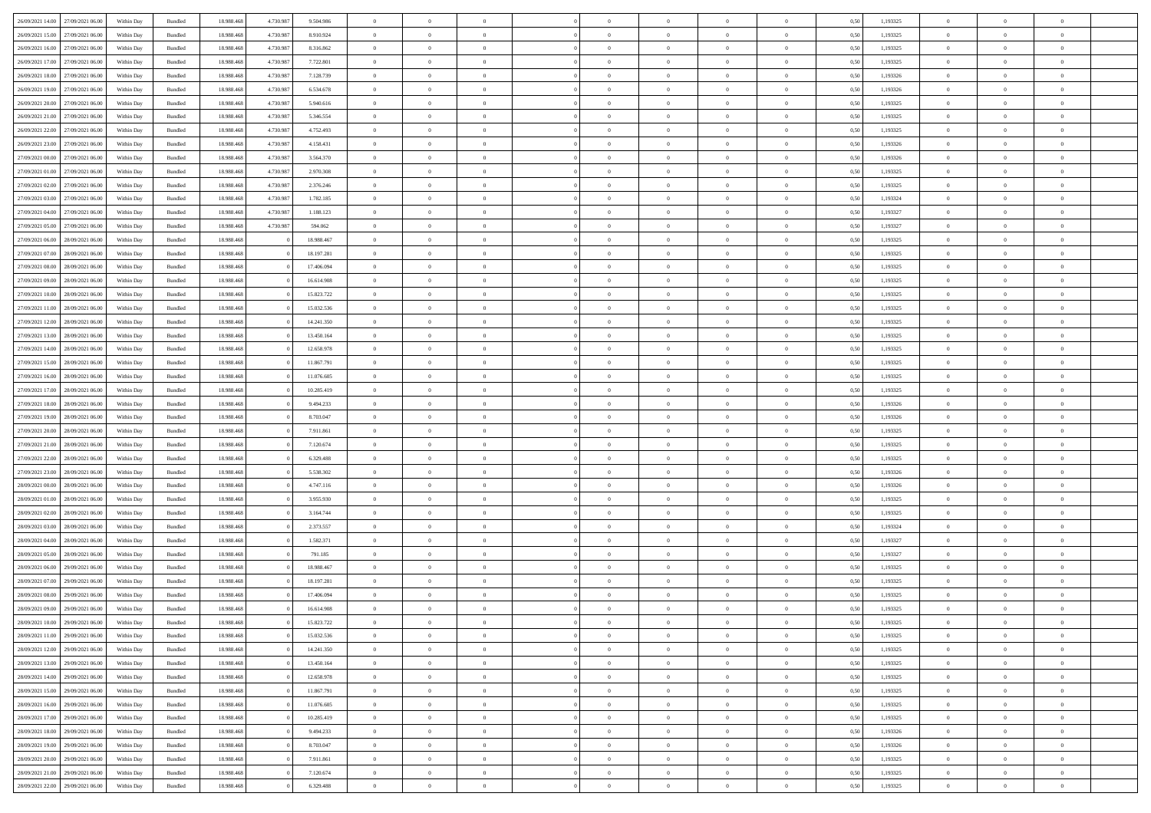| 26/09/2021 14:00 27/09/2021 06:00    |            |                    | 18.988.468 |           |            | $\overline{0}$ | $\overline{0}$ |                | $\overline{0}$ | $\theta$       |                | $\theta$       | 0,50 | 1,193325 | $\theta$       | $\theta$       | $\overline{0}$ |  |
|--------------------------------------|------------|--------------------|------------|-----------|------------|----------------|----------------|----------------|----------------|----------------|----------------|----------------|------|----------|----------------|----------------|----------------|--|
|                                      | Within Day | Bundled            |            | 4.730.987 | 9.504.986  |                |                |                |                |                |                |                |      |          |                |                |                |  |
| 26/09/2021 15:00<br>27/09/2021 06.00 | Within Day | Bundled            | 18.988.46  | 4.730.98  | 8.910.924  | $\bf{0}$       | $\bf{0}$       | $\bf{0}$       | $\overline{0}$ | $\bf{0}$       | $\overline{0}$ | $\bf{0}$       | 0,50 | 1,193325 | $\,$ 0 $\,$    | $\bf{0}$       | $\overline{0}$ |  |
| 26/09/2021 16:00<br>27/09/2021 06:00 | Within Day | Bundled            | 18,988,468 | 4.730.987 | 8.316.862  | $\overline{0}$ | $\bf{0}$       | $\overline{0}$ | $\bf{0}$       | $\bf{0}$       | $\overline{0}$ | $\bf{0}$       | 0.50 | 1,193325 | $\bf{0}$       | $\overline{0}$ | $\overline{0}$ |  |
| 26/09/2021 17:00<br>27/09/2021 06:00 | Within Day | Bundled            | 18.988.468 | 4.730.987 | 7.722.801  | $\overline{0}$ | $\,$ 0         | $\overline{0}$ | $\overline{0}$ | $\theta$       | $\overline{0}$ | $\bf{0}$       | 0,50 | 1,193325 | $\theta$       | $\theta$       | $\overline{0}$ |  |
|                                      |            |                    |            |           |            |                |                |                |                |                |                |                |      |          |                |                |                |  |
| 26/09/2021 18:00<br>27/09/2021 06.00 | Within Day | Bundled            | 18.988.46  | 4.730.987 | 7.128.739  | $\bf{0}$       | $\overline{0}$ | $\overline{0}$ | $\overline{0}$ | $\theta$       | $\overline{0}$ | $\bf{0}$       | 0,50 | 1,193326 | $\,$ 0 $\,$    | $\bf{0}$       | $\overline{0}$ |  |
| 26/09/2021 19:00<br>27/09/2021 06:00 | Within Day | Bundled            | 18,988,468 | 4.730.98  | 6.534.678  | $\overline{0}$ | $\overline{0}$ | $\overline{0}$ | $\bf{0}$       | $\overline{0}$ | $\Omega$       | $\bf{0}$       | 0.50 | 1,193326 | $\bf{0}$       | $\theta$       | $\overline{0}$ |  |
| 26/09/2021 20:00<br>27/09/2021 06:00 | Within Day | Bundled            | 18.988.468 | 4.730.987 | 5.940.616  | $\bf{0}$       | $\overline{0}$ | $\overline{0}$ | $\overline{0}$ | $\overline{0}$ | $\overline{0}$ | $\bf{0}$       | 0,50 | 1,193325 | $\,$ 0 $\,$    | $\theta$       | $\overline{0}$ |  |
| 26/09/2021 21:00<br>27/09/2021 06.00 | Within Day | Bundled            | 18.988.46  | 4.730.987 | 5.346.554  | $\bf{0}$       | $\overline{0}$ | $\overline{0}$ | $\overline{0}$ | $\bf{0}$       | $\overline{0}$ | $\bf{0}$       | 0,50 | 1,193325 | $\,$ 0 $\,$    | $\bf{0}$       | $\overline{0}$ |  |
| 27/09/2021 06:00                     |            |                    | 18,988,46  | 4.730.98  |            |                | $\overline{0}$ |                |                |                | $\overline{0}$ |                |      | 1.193325 |                | $\theta$       | $\overline{0}$ |  |
| 26/09/2021 22:00                     | Within Day | Bundled            |            |           | 4.752.493  | $\overline{0}$ |                | $\overline{0}$ | $\bf{0}$       | $\overline{0}$ |                | $\bf{0}$       | 0.50 |          | $\bf{0}$       |                |                |  |
| 26/09/2021 23:00<br>27/09/2021 06:00 | Within Day | Bundled            | 18.988.468 | 4.730.987 | 4.158.431  | $\bf{0}$       | $\bf{0}$       | $\overline{0}$ | $\overline{0}$ | $\overline{0}$ | $\overline{0}$ | $\bf{0}$       | 0,50 | 1,193326 | $\,$ 0 $\,$    | $\bf{0}$       | $\overline{0}$ |  |
| 27/09/2021 00:00<br>27/09/2021 06.00 | Within Day | Bundled            | 18.988.46  | 4.730.987 | 3.564.370  | $\bf{0}$       | $\overline{0}$ | $\bf{0}$       | $\bf{0}$       | $\bf{0}$       | $\overline{0}$ | $\bf{0}$       | 0,50 | 1,193326 | $\,$ 0 $\,$    | $\bf{0}$       | $\overline{0}$ |  |
| 27/09/2021 01:00<br>27/09/2021 06:00 | Within Day | Bundled            | 18,988,468 | 4.730.987 | 2.970.308  | $\overline{0}$ | $\bf{0}$       | $\overline{0}$ | $\bf{0}$       | $\bf{0}$       | $\overline{0}$ | $\bf{0}$       | 0.50 | 1,193325 | $\bf{0}$       | $\overline{0}$ | $\overline{0}$ |  |
| 27/09/2021 02:00<br>27/09/2021 06:00 | Within Day | Bundled            | 18.988.46  | 4.730.987 | 2.376.246  | $\bf{0}$       | $\overline{0}$ | $\overline{0}$ | $\overline{0}$ | $\theta$       | $\overline{0}$ | $\bf{0}$       | 0,50 | 1,193325 | $\,$ 0 $\,$    | $\theta$       | $\overline{0}$ |  |
|                                      |            |                    |            |           |            |                |                |                |                |                |                |                |      |          |                |                |                |  |
| 27/09/2021 03:00<br>27/09/2021 06.00 | Within Day | Bundled            | 18.988.46  | 4.730.98  | 1.782.185  | $\bf{0}$       | $\overline{0}$ | $\bf{0}$       | $\overline{0}$ | $\bf{0}$       | $\overline{0}$ | $\bf{0}$       | 0,50 | 1,193324 | $\bf{0}$       | $\bf{0}$       | $\overline{0}$ |  |
| 27/09/2021 04:00<br>27/09/2021 06:00 | Within Day | Bundled            | 18,988,468 | 4.730.98  | 1.188.123  | $\overline{0}$ | $\overline{0}$ | $\overline{0}$ | $\bf{0}$       | $\theta$       | $\Omega$       | $\bf{0}$       | 0.50 | 1,193327 | $\theta$       | $\overline{0}$ | $\overline{0}$ |  |
| 27/09/2021 05:00<br>27/09/2021 06:00 | Within Day | Bundled            | 18.988.468 | 4.730.987 | 594.062    | $\bf{0}$       | $\overline{0}$ | $\overline{0}$ | $\overline{0}$ | $\overline{0}$ | $\overline{0}$ | $\bf{0}$       | 0,50 | 1,193327 | $\theta$       | $\theta$       | $\overline{0}$ |  |
| 27/09/2021 06:00<br>28/09/2021 06:00 | Within Day | Bundled            | 18.988.46  |           | 18.988.467 | $\bf{0}$       | $\overline{0}$ | $\overline{0}$ | $\overline{0}$ | $\theta$       | $\overline{0}$ | $\bf{0}$       | 0,50 | 1,193325 | $\,$ 0 $\,$    | $\bf{0}$       | $\overline{0}$ |  |
| 28/09/2021 06:00                     |            | Bundled            | 18,988,468 |           | 18.197.281 |                | $\overline{0}$ | $\overline{0}$ |                | $\overline{0}$ | $\overline{0}$ |                | 0.50 | 1.193325 | $\bf{0}$       | $\overline{0}$ | $\overline{0}$ |  |
| 27/09/2021 07:00                     | Within Day |                    |            |           |            | $\overline{0}$ |                |                | $\bf{0}$       |                |                | $\bf{0}$       |      |          |                |                |                |  |
| 27/09/2021 08:00<br>28/09/2021 06:00 | Within Day | Bundled            | 18.988.468 |           | 17.406.094 | $\bf{0}$       | $\bf{0}$       | $\overline{0}$ | $\overline{0}$ | $\overline{0}$ | $\overline{0}$ | $\bf{0}$       | 0,50 | 1,193325 | $\,$ 0 $\,$    | $\bf{0}$       | $\overline{0}$ |  |
| 27/09/2021 09:00<br>28/09/2021 06:00 | Within Day | Bundled            | 18.988.46  |           | 16.614.908 | $\bf{0}$       | $\overline{0}$ | $\bf{0}$       | $\bf{0}$       | $\overline{0}$ | $\overline{0}$ | $\bf{0}$       | 0,50 | 1,193325 | $\,$ 0 $\,$    | $\bf{0}$       | $\overline{0}$ |  |
| 27/09/2021 10:00<br>28/09/2021 06:00 | Within Day | Bundled            | 18,988,468 |           | 15.823.722 | $\overline{0}$ | $\bf{0}$       | $\overline{0}$ | $\bf{0}$       | $\overline{0}$ | $\overline{0}$ | $\bf{0}$       | 0.50 | 1,193325 | $\bf{0}$       | $\overline{0}$ | $\overline{0}$ |  |
| 27/09/2021 11:00<br>28/09/2021 06:00 | Within Day | Bundled            | 18.988.468 |           | 15.032.536 | $\overline{0}$ | $\overline{0}$ | $\overline{0}$ | $\overline{0}$ | $\theta$       | $\overline{0}$ | $\bf{0}$       | 0,50 | 1,193325 | $\theta$       | $\theta$       | $\overline{0}$ |  |
|                                      |            |                    |            |           |            |                |                |                |                |                |                |                |      |          |                |                |                |  |
| 27/09/2021 12:00<br>28/09/2021 06:00 | Within Day | Bundled            | 18.988.46  |           | 14.241.350 | $\bf{0}$       | $\overline{0}$ | $\bf{0}$       | $\bf{0}$       | $\bf{0}$       | $\overline{0}$ | $\bf{0}$       | 0,50 | 1,193325 | $\,$ 0 $\,$    | $\bf{0}$       | $\overline{0}$ |  |
| 27/09/2021 13:00<br>28/09/2021 06:00 | Within Day | Bundled            | 18,988,468 |           | 13.450.164 | $\overline{0}$ | $\overline{0}$ | $\overline{0}$ | $\bf{0}$       | $\overline{0}$ | $\Omega$       | $\bf{0}$       | 0.50 | 1,193325 | $\bf{0}$       | $\theta$       | $\overline{0}$ |  |
| 27/09/2021 14:00<br>28/09/2021 06:00 | Within Day | Bundled            | 18.988.468 |           | 12.658.978 | $\bf{0}$       | $\overline{0}$ | $\overline{0}$ | $\overline{0}$ | $\overline{0}$ | $\overline{0}$ | $\bf{0}$       | 0,50 | 1,193325 | $\,$ 0 $\,$    | $\theta$       | $\overline{0}$ |  |
| 27/09/2021 15:00<br>28/09/2021 06:00 | Within Day | Bundled            | 18.988.46  |           | 11.867.791 | $\bf{0}$       | $\theta$       | $\bf{0}$       | $\overline{0}$ | $\bf{0}$       | $\overline{0}$ | $\bf{0}$       | 0,50 | 1,193325 | $\,$ 0 $\,$    | $\theta$       | $\overline{0}$ |  |
| 27/09/2021 16:00<br>28/09/2021 06:00 | Within Day | Bundled            | 18.988.468 |           | 11.076.605 | $\overline{0}$ | $\bf{0}$       | $\overline{0}$ | $\bf{0}$       | $\overline{0}$ | $\overline{0}$ | $\bf{0}$       | 0.50 | 1.193325 | $\bf{0}$       | $\theta$       | $\overline{0}$ |  |
|                                      |            |                    |            |           |            |                |                |                |                |                |                |                |      |          |                |                |                |  |
| 27/09/2021 17:00<br>28/09/2021 06:00 | Within Day | Bundled            | 18.988.468 |           | 10.285.419 | $\bf{0}$       | $\bf{0}$       | $\overline{0}$ | $\overline{0}$ | $\overline{0}$ | $\overline{0}$ | $\bf{0}$       | 0,50 | 1,193325 | $\,$ 0 $\,$    | $\theta$       | $\overline{0}$ |  |
| 27/09/2021 18:00<br>28/09/2021 06:00 | Within Day | Bundled            | 18.988.46  |           | 9.494.233  | $\bf{0}$       | $\bf{0}$       | $\bf{0}$       | $\bf{0}$       | $\overline{0}$ | $\overline{0}$ | $\bf{0}$       | 0,50 | 1,193326 | $\,$ 0 $\,$    | $\bf{0}$       | $\overline{0}$ |  |
| 27/09/2021 19:00<br>28/09/2021 06:00 | Within Day | Bundled            | 18,988,468 |           | 8.703.047  | $\overline{0}$ | $\bf{0}$       | $\overline{0}$ | $\bf{0}$       | $\bf{0}$       | $\overline{0}$ | $\bf{0}$       | 0.50 | 1,193326 | $\bf{0}$       | $\overline{0}$ | $\overline{0}$ |  |
| 27/09/2021 20:00<br>28/09/2021 06:00 | Within Day | Bundled            | 18.988.468 |           | 7.911.861  | $\overline{0}$ | $\overline{0}$ | $\overline{0}$ | $\overline{0}$ | $\overline{0}$ | $\overline{0}$ | $\bf{0}$       | 0.50 | 1,193325 | $\theta$       | $\theta$       | $\overline{0}$ |  |
| 27/09/2021 21:00<br>28/09/2021 06:00 | Within Day | Bundled            | 18.988.46  |           | 7.120.674  | $\bf{0}$       | $\overline{0}$ | $\bf{0}$       | $\bf{0}$       | $\overline{0}$ | $\overline{0}$ | $\bf{0}$       | 0,50 | 1,193325 | $\,$ 0 $\,$    | $\bf{0}$       | $\overline{0}$ |  |
|                                      |            |                    |            |           |            |                |                |                |                |                |                |                |      |          |                |                |                |  |
| 27/09/2021 22.00<br>28/09/2021 06:00 | Within Day | Bundled            | 18.988.468 |           | 6.329.488  | $\overline{0}$ | $\overline{0}$ | $\overline{0}$ | $\bf{0}$       | $\bf{0}$       | $\Omega$       | $\bf{0}$       | 0.50 | 1,193325 | $\theta$       | $\overline{0}$ | $\overline{0}$ |  |
| 27/09/2021 23:00<br>28/09/2021 06:00 | Within Day | Bundled            | 18.988.468 |           | 5.538.302  | $\overline{0}$ | $\overline{0}$ | $\overline{0}$ | $\overline{0}$ | $\overline{0}$ | $\overline{0}$ | $\overline{0}$ | 0.50 | 1,193326 | $\theta$       | $\theta$       | $\overline{0}$ |  |
| 28/09/2021 00:00<br>28/09/2021 06:00 | Within Day | Bundled            | 18.988.46  |           | 4.747.116  | $\bf{0}$       | $\overline{0}$ | $\overline{0}$ | $\overline{0}$ | $\bf{0}$       | $\overline{0}$ | $\bf{0}$       | 0,50 | 1,193326 | $\,$ 0 $\,$    | $\bf{0}$       | $\overline{0}$ |  |
| 28/09/2021 01:00<br>28/09/2021 06:00 | Within Day | Bundled            | 18,988,468 |           | 3.955.930  | $\overline{0}$ | $\bf{0}$       | $\overline{0}$ | $\bf{0}$       | $\overline{0}$ | $\overline{0}$ | $\bf{0}$       | 0.50 | 1,193325 | $\bf{0}$       | $\overline{0}$ | $\overline{0}$ |  |
| 28/09/2021 02:00<br>28/09/2021 06:00 | Within Day | Bundled            | 18.988.468 |           | 3.164.744  | $\overline{0}$ | $\overline{0}$ | $\overline{0}$ | $\overline{0}$ | $\overline{0}$ | $\overline{0}$ | $\overline{0}$ | 0.50 | 1,193325 | $\theta$       | $\theta$       | $\overline{0}$ |  |
|                                      |            |                    |            |           |            |                |                |                |                |                |                |                |      |          |                |                |                |  |
| 28/09/2021 03:00<br>28/09/2021 06:00 | Within Day | Bundled            | 18.988.46  |           | 2.373.557  | $\bf{0}$       | $\bf{0}$       | $\bf{0}$       | $\bf{0}$       | $\overline{0}$ | $\overline{0}$ | $\bf{0}$       | 0,50 | 1,193324 | $\,$ 0 $\,$    | $\bf{0}$       | $\overline{0}$ |  |
| 28/09/2021 04:00<br>28/09/2021 06:00 | Within Day | Bundled            | 18,988,468 |           | 1.582.371  | $\overline{0}$ | $\bf{0}$       | $\overline{0}$ | $\bf{0}$       | $\bf{0}$       | $\overline{0}$ | $\bf{0}$       | 0.50 | 1,193327 | $\bf{0}$       | $\overline{0}$ | $\overline{0}$ |  |
| 28/09/2021 05:00<br>28/09/2021 06:00 | Within Day | Bundled            | 18.988.468 |           | 791.185    | $\overline{0}$ | $\overline{0}$ | $\overline{0}$ | $\overline{0}$ | $\overline{0}$ | $\overline{0}$ | $\overline{0}$ | 0.50 | 1,193327 | $\theta$       | $\theta$       | $\overline{0}$ |  |
| 28/09/2021 06:00<br>29/09/2021 06.00 | Within Day | Bundled            | 18.988.46  |           | 18.988.467 | $\bf{0}$       | $\overline{0}$ | $\bf{0}$       | $\bf{0}$       | $\,$ 0 $\,$    | $\overline{0}$ | $\bf{0}$       | 0,50 | 1,193325 | $\,$ 0 $\,$    | $\bf{0}$       | $\overline{0}$ |  |
| 28/09/2021 07:00<br>29/09/2021 06:00 | Within Day | Bundled            | 18,988,468 |           | 18.197.281 | $\overline{0}$ | $\overline{0}$ | $\Omega$       | $\overline{0}$ | $\overline{0}$ | $\theta$       | $\bf{0}$       | 0.50 | 1,193325 | $\bf{0}$       | $\overline{0}$ | $\overline{0}$ |  |
|                                      |            |                    |            |           |            |                |                |                |                |                |                |                |      |          |                |                |                |  |
| 28/09/2021 08:00<br>29/09/2021 06:00 | Within Day | Bundled            | 18.988.468 |           | 17.406.094 | $\overline{0}$ | $\overline{0}$ | $\Omega$       | $\overline{0}$ | $\theta$       | $\Omega$       | $\overline{0}$ | 0.50 | 1,193325 | $\theta$       | $\theta$       | $\overline{0}$ |  |
| 28/09/2021 09:00<br>29/09/2021 06.00 | Within Day | Bundled            | 18.988.46  |           | 16.614.908 | $\bf{0}$       | $\bf{0}$       | $\overline{0}$ | $\bf{0}$       | $\bf{0}$       | $\overline{0}$ | $\bf{0}$       | 0,50 | 1,193325 | $\,$ 0 $\,$    | $\bf{0}$       | $\overline{0}$ |  |
| 28/09/2021 10:00 29/09/2021 06:00    | Within Day | $\mathbf B$ undled | 18.988.468 |           | 15.823.722 | $\overline{0}$ | $\Omega$       |                | $\Omega$       |                |                |                | 0,50 | 1,193325 | $\theta$       | $\overline{0}$ |                |  |
| 28/09/2021 11:00 29/09/2021 06:00    | Within Day | Bundled            | 18.988.468 |           | 15.032.536 | $\overline{0}$ | $\overline{0}$ | $\overline{0}$ | $\overline{0}$ | $\overline{0}$ | $\overline{0}$ | $\bf{0}$       | 0,50 | 1,193325 | $\theta$       | $\overline{0}$ | $\overline{0}$ |  |
| 28/09/2021 12:00<br>29/09/2021 06.00 | Within Day | Bundled            | 18.988.468 |           | 14.241.350 | $\overline{0}$ | $\bf{0}$       | $\overline{0}$ | $\overline{0}$ | $\bf{0}$       | $\overline{0}$ | $\bf{0}$       | 0,50 | 1,193325 | $\bf{0}$       | $\overline{0}$ | $\bf{0}$       |  |
|                                      |            |                    |            |           |            |                |                |                |                |                |                |                |      |          |                |                |                |  |
| 28/09/2021 13:00 29/09/2021 06:00    | Within Day | Bundled            | 18.988.468 |           | 13.450.164 | $\overline{0}$ | $\bf{0}$       | $\overline{0}$ | $\overline{0}$ | $\overline{0}$ | $\overline{0}$ | $\,$ 0 $\,$    | 0.50 | 1,193325 | $\overline{0}$ | $\bf{0}$       | $\,$ 0 $\,$    |  |
| 28/09/2021 14:00 29/09/2021 06:00    | Within Day | Bundled            | 18.988.468 |           | 12.658.978 | $\overline{0}$ | $\overline{0}$ | $\overline{0}$ | $\overline{0}$ | $\overline{0}$ | $\overline{0}$ | $\bf{0}$       | 0,50 | 1,193325 | $\overline{0}$ | $\theta$       | $\overline{0}$ |  |
| 28/09/2021 15:00<br>29/09/2021 06.00 | Within Day | Bundled            | 18.988.468 |           | 11.867.791 | $\overline{0}$ | $\bf{0}$       | $\overline{0}$ | $\overline{0}$ | $\bf{0}$       | $\bf{0}$       | $\bf{0}$       | 0,50 | 1,193325 | $\bf{0}$       | $\bf{0}$       | $\overline{0}$ |  |
| 29/09/2021 06:00<br>28/09/2021 16:00 | Within Day | Bundled            | 18.988.468 |           | 11.076.605 | $\overline{0}$ | $\bf{0}$       | $\overline{0}$ | $\overline{0}$ | $\bf{0}$       | $\overline{0}$ | $\bf{0}$       | 0.50 | 1,193325 | $\,$ 0 $\,$    | $\theta$       | $\,$ 0         |  |
|                                      |            |                    |            |           |            |                |                |                |                |                |                |                |      |          |                |                |                |  |
| 28/09/2021 17:00<br>29/09/2021 06:00 | Within Day | Bundled            | 18.988.468 |           | 10.285.419 | $\overline{0}$ | $\overline{0}$ | $\overline{0}$ | $\overline{0}$ | $\overline{0}$ | $\overline{0}$ | $\bf{0}$       | 0,50 | 1,193325 | $\overline{0}$ | $\theta$       | $\overline{0}$ |  |
| 28/09/2021 18:00<br>29/09/2021 06.00 | Within Day | Bundled            | 18.988.468 |           | 9.494.233  | $\overline{0}$ | $\overline{0}$ | $\overline{0}$ | $\overline{0}$ | $\overline{0}$ | $\overline{0}$ | $\bf{0}$       | 0,50 | 1,193326 | $\bf{0}$       | $\,$ 0 $\,$    | $\,$ 0         |  |
| 29/09/2021 06:00<br>28/09/2021 19:00 | Within Day | Bundled            | 18,988,468 |           | 8.703.047  | $\overline{0}$ | $\overline{0}$ | $\overline{0}$ | $\overline{0}$ | $\overline{0}$ | $\overline{0}$ | $\bf{0}$       | 0.50 | 1.193326 | $\overline{0}$ | $\,$ 0 $\,$    | $\,$ 0         |  |
| 28/09/2021 20:00 29/09/2021 06:00    | Within Day | Bundled            | 18.988.468 |           | 7.911.861  | $\overline{0}$ | $\overline{0}$ | $\overline{0}$ | $\overline{0}$ | $\overline{0}$ | $\overline{0}$ | $\bf{0}$       | 0,50 | 1,193325 | $\overline{0}$ | $\theta$       | $\overline{0}$ |  |
| 28/09/2021 21:00<br>29/09/2021 06.00 | Within Day | Bundled            | 18.988.468 |           | 7.120.674  | $\overline{0}$ | $\bf{0}$       | $\overline{0}$ | $\overline{0}$ | $\overline{0}$ | $\bf{0}$       | $\bf{0}$       | 0,50 | 1,193325 | $\bf{0}$       | $\bf{0}$       | $\overline{0}$ |  |
|                                      |            |                    |            |           |            |                |                |                |                |                |                |                |      |          |                |                |                |  |
| 28/09/2021 22:00 29/09/2021 06:00    | Within Day | Bundled            | 18.988.468 |           | 6.329.488  | $\,$ 0 $\,$    | $\bf{0}$       | $\overline{0}$ | $\overline{0}$ | $\,$ 0 $\,$    | $\overline{0}$ | $\bf{0}$       | 0,50 | 1,193325 | $\overline{0}$ | $\,$ 0 $\,$    | $\,$ 0 $\,$    |  |